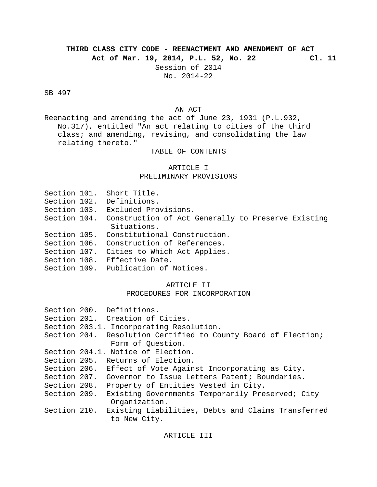# **THIRD CLASS CITY CODE - REENACTMENT AND AMENDMENT OF ACT**

**Act of Mar. 19, 2014, P.L. 52, No. 22 Cl. 11**

Session of 2014 No. 2014-22

SB 497

#### AN ACT

Reenacting and amending the act of June 23, 1931 (P.L.932, No.317), entitled "An act relating to cities of the third class; and amending, revising, and consolidating the law relating thereto."

TABLE OF CONTENTS

#### ARTICLE I

#### PRELIMINARY PROVISIONS

|  | Section 101. Short Title.                                                                                                                                                                                                                                                                                                        |
|--|----------------------------------------------------------------------------------------------------------------------------------------------------------------------------------------------------------------------------------------------------------------------------------------------------------------------------------|
|  | Section 102. Definitions.                                                                                                                                                                                                                                                                                                        |
|  | Section 103. Excluded Provisions.                                                                                                                                                                                                                                                                                                |
|  | Section 104. Construction of Act Generally to Preserve Existing<br>Situations.                                                                                                                                                                                                                                                   |
|  | Section 105. Constitutional Construction.                                                                                                                                                                                                                                                                                        |
|  | Section 106. Construction of References.                                                                                                                                                                                                                                                                                         |
|  | Section 107. Cities to Which Act Applies.                                                                                                                                                                                                                                                                                        |
|  | Section 108. Effective Date.                                                                                                                                                                                                                                                                                                     |
|  | $\alpha$ and $\alpha$ and $\alpha$ and $\alpha$ and $\alpha$ and $\alpha$ and $\alpha$ and $\alpha$ and $\alpha$ and $\alpha$ and $\alpha$ and $\alpha$ and $\alpha$ and $\alpha$ and $\alpha$ and $\alpha$ and $\alpha$ and $\alpha$ and $\alpha$ and $\alpha$ and $\alpha$ and $\alpha$ and $\alpha$ and $\alpha$ and $\alpha$ |

Section 109. Publication of Notices.

## ARTICLE II

## PROCEDURES FOR INCORPORATION

|              | Section 200. Definitions.                                          |
|--------------|--------------------------------------------------------------------|
|              | Section 201. Creation of Cities.                                   |
|              | Section 203.1. Incorporating Resolution.                           |
|              | Section 204. Resolution Certified to County Board of Election;     |
|              | Form of Question.                                                  |
|              | Section 204.1. Notice of Election.                                 |
|              | Section 205. Returns of Election.                                  |
| Section 206. | Effect of Vote Against Incorporating as City.                      |
|              | Section 207. Governor to Issue Letters Patent; Boundaries.         |
| Section 208. | Property of Entities Vested in City.                               |
| Section 209. | Existing Governments Temporarily Preserved; City<br>Organization.  |
| Section 210. | Existing Liabilities, Debts and Claims Transferred<br>to New City. |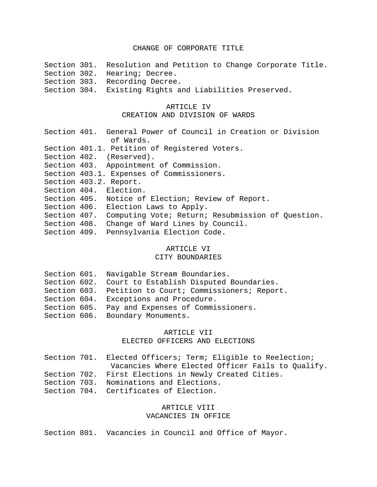#### CHANGE OF CORPORATE TITLE

Section 301. Resolution and Petition to Change Corporate Title. Section 302. Hearing; Decree. Section 303. Recording Decree. Section 304. Existing Rights and Liabilities Preserved. ARTICLE IV CREATION AND DIVISION OF WARDS Section 401. General Power of Council in Creation or Division of Wards. Section 401.1. Petition of Registered Voters. Section 402. (Reserved). Section 403. Appointment of Commission. Section 403.1. Expenses of Commissioners. Section 403.2. Report. Section 404. Election. Section 405. Notice of Election; Review of Report. Section 406. Election Laws to Apply. Section 407. Computing Vote; Return; Resubmission of Question. Section 408. Change of Ward Lines by Council. Section 409. Pennsylvania Election Code.

#### ARTICLE VI

## CITY BOUNDARIES

|  | Section 601. Navigable Stream Boundaries.              |
|--|--------------------------------------------------------|
|  | Section 602. Court to Establish Disputed Boundaries.   |
|  | Section 603. Petition to Court; Commissioners; Report. |
|  | Section 604. Exceptions and Procedure.                 |
|  | Section 605. Pay and Expenses of Commissioners.        |
|  | Section 606. Boundary Monuments.                       |

#### ARTICLE VII

#### ELECTED OFFICERS AND ELECTIONS

|  | Section 701. Elected Officers; Term; Eligible to Reelection; |
|--|--------------------------------------------------------------|
|  | Vacancies Where Elected Officer Fails to Qualify.            |
|  | Section 702. First Elections in Newly Created Cities.        |
|  | Section 703. Nominations and Elections.                      |
|  | Section 704. Certificates of Election.                       |

## ARTICLE VIII VACANCIES IN OFFICE

Section 801. Vacancies in Council and Office of Mayor.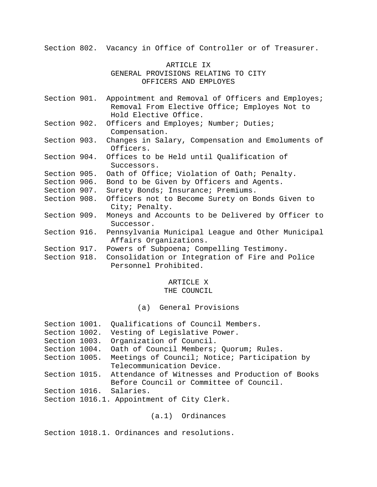Section 802. Vacancy in Office of Controller or of Treasurer.

## ARTICLE IX GENERAL PROVISIONS RELATING TO CITY OFFICERS AND EMPLOYES

- Section 901. Appointment and Removal of Officers and Employes; Removal From Elective Office; Employes Not to Hold Elective Office.
- Section 902. Officers and Employes; Number; Duties; Compensation.
- Section 903. Changes in Salary, Compensation and Emoluments of Officers.
- Section 904. Offices to be Held until Qualification of Successors.
- Section 905. Oath of Office; Violation of Oath; Penalty.
- Section 906. Bond to be Given by Officers and Agents.
- Section 907. Surety Bonds; Insurance; Premiums.
- Section 908. Officers not to Become Surety on Bonds Given to City; Penalty.
- Section 909. Moneys and Accounts to be Delivered by Officer to Successor.
- Section 916. Pennsylvania Municipal League and Other Municipal Affairs Organizations.
- Section 917. Powers of Subpoena; Compelling Testimony.
- Section 918. Consolidation or Integration of Fire and Police Personnel Prohibited.

## ARTICLE X

## THE COUNCIL

(a) General Provisions

| Section 1001. | Qualifications of Council Members.              |
|---------------|-------------------------------------------------|
| Section 1002. | Vesting of Legislative Power.                   |
| Section 1003. | Organization of Council.                        |
| Section 1004. | Oath of Council Members; Quorum; Rules.         |
| Section 1005. | Meetings of Council; Notice; Participation by   |
|               | Telecommunication Device.                       |
| Section 1015. | Attendance of Witnesses and Production of Books |
|               | Before Council or Committee of Council.         |
|               | Section 1016. Salaries.                         |
|               | Section 1016.1. Appointment of City Clerk.      |
|               |                                                 |

(a.1) Ordinances

Section 1018.1. Ordinances and resolutions.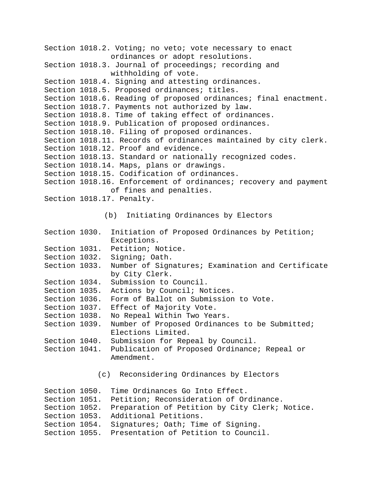```
Section 1018.2. Voting; no veto; vote necessary to enact 
               ordinances or adopt resolutions.
Section 1018.3. Journal of proceedings; recording and 
               withholding of vote.
Section 1018.4. Signing and attesting ordinances.
Section 1018.5. Proposed ordinances; titles.
Section 1018.6. Reading of proposed ordinances; final enactment.
Section 1018.7. Payments not authorized by law.
Section 1018.8. Time of taking effect of ordinances.
Section 1018.9. Publication of proposed ordinances.
Section 1018.10. Filing of proposed ordinances.
Section 1018.11. Records of ordinances maintained by city clerk.
Section 1018.12. Proof and evidence.
Section 1018.13. Standard or nationally recognized codes.
Section 1018.14. Maps, plans or drawings.
Section 1018.15. Codification of ordinances.
Section 1018.16. Enforcement of ordinances; recovery and payment 
               of fines and penalties.
Section 1018.17. Penalty.
             (b) Initiating Ordinances by Electors
Section 1030. Initiation of Proposed Ordinances by Petition; 
               Exceptions.
Section 1031. Petition; Notice.
Section 1032. Signing; Oath.
```

```
Section 1033. Number of Signatures; Examination and Certificate 
              by City Clerk.
```
- Section 1034. Submission to Council.
- Section 1035. Actions by Council; Notices.
- Section 1036. Form of Ballot on Submission to Vote.
- Section 1037. Effect of Majority Vote.
- Section 1038. No Repeal Within Two Years.
- Section 1039. Number of Proposed Ordinances to be Submitted; Elections Limited.

```
Section 1040. Submission for Repeal by Council.
```
Section 1041. Publication of Proposed Ordinance; Repeal or Amendment.

```
(c) Reconsidering Ordinances by Electors
```

|               | Section 1050. Time Ordinances Go Into Effect.                |
|---------------|--------------------------------------------------------------|
|               | Section 1051. Petition; Reconsideration of Ordinance.        |
|               | Section 1052. Preparation of Petition by City Clerk; Notice. |
|               | Section 1053. Additional Petitions.                          |
| Section 1054. | Signatures; Oath; Time of Signing.                           |
|               | Section 1055. Presentation of Petition to Council.           |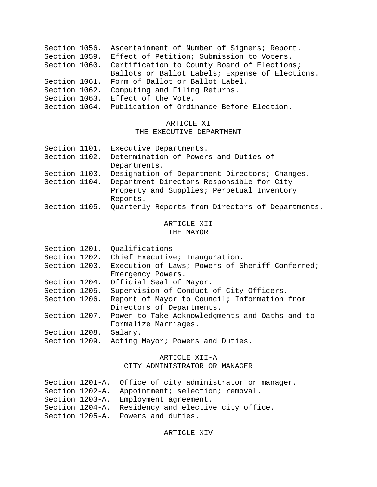|               | Section 1056. Ascertainment of Number of Signers; Report.<br>Section 1059. Effect of Petition; Submission to Voters.<br>Section 1060. Certification to County Board of Elections;<br>Ballots or Ballot Labels; Expense of Elections. |
|---------------|--------------------------------------------------------------------------------------------------------------------------------------------------------------------------------------------------------------------------------------|
|               | Section 1061. Form of Ballot or Ballot Label.                                                                                                                                                                                        |
| Section 1062. | Computing and Filing Returns.                                                                                                                                                                                                        |
|               | Section 1063. Effect of the Vote.                                                                                                                                                                                                    |
|               | Section 1064. Publication of Ordinance Before Election.                                                                                                                                                                              |

## ARTICLE XI

## THE EXECUTIVE DEPARTMENT

| Section 1101. | Executive Departments.                                         |
|---------------|----------------------------------------------------------------|
| Section 1102. | Determination of Powers and Duties of                          |
|               | Departments.                                                   |
| Section 1103. | Designation of Department Directors; Changes.                  |
| Section 1104. | Department Directors Responsible for City                      |
|               | Property and Supplies; Perpetual Inventory                     |
|               | Reports.                                                       |
|               | Section 1105. Quarterly Reports from Directors of Departments. |
|               |                                                                |

## ARTICLE XII THE MAYOR

| Section 1201. | Qualifications.                                 |
|---------------|-------------------------------------------------|
| Section 1202. | Chief Executive; Inauguration.                  |
| Section 1203. | Execution of Laws; Powers of Sheriff Conferred; |
|               | Emergency Powers.                               |
| Section 1204. | Official Seal of Mayor.                         |
| Section 1205. | Supervision of Conduct of City Officers.        |
| Section 1206. | Report of Mayor to Council; Information from    |
|               | Directors of Departments.                       |
| Section 1207. | Power to Take Acknowledgments and Oaths and to  |
|               | Formalize Marriages.                            |
| Section 1208. | Salary.                                         |
| Section 1209. | Acting Mayor; Powers and Duties.                |
|               |                                                 |

## ARTICLE XII-A

## CITY ADMINISTRATOR OR MANAGER

|  | Section 1201-A. Office of city administrator or manager. |
|--|----------------------------------------------------------|
|  | Section 1202-A. Appointment; selection; removal.         |
|  | Section 1203-A. Employment agreement.                    |
|  | Section 1204-A. Residency and elective city office.      |
|  | Section 1205-A. Powers and duties.                       |

## ARTICLE XIV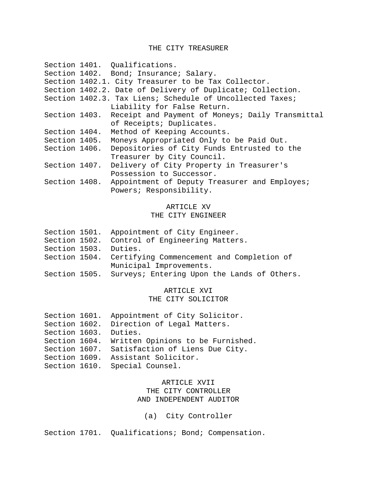## THE CITY TREASURER

|               | Section 1401. Qualifications.                                  |
|---------------|----------------------------------------------------------------|
|               | Section 1402. Bond; Insurance; Salary.                         |
|               | Section 1402.1. City Treasurer to be Tax Collector.            |
|               | Section 1402.2. Date of Delivery of Duplicate; Collection.     |
|               | Section 1402.3. Tax Liens; Schedule of Uncollected Taxes;      |
|               | Liability for False Return.                                    |
|               | Section 1403. Receipt and Payment of Moneys; Daily Transmittal |
|               | of Receipts; Duplicates.                                       |
| Section 1404. | Method of Keeping Accounts.                                    |
| Section 1405. | Moneys Appropriated Only to be Paid Out.                       |
| Section 1406. | Depositories of City Funds Entrusted to the                    |
|               | Treasurer by City Council.                                     |
| Section 1407. | Delivery of City Property in Treasurer's                       |
|               | Possession to Successor.                                       |
| Section 1408. | Appointment of Deputy Treasurer and Employes;                  |
|               | Powers; Responsibility.                                        |

## ARTICLE XV

## THE CITY ENGINEER

|                       | Section 1501. Appointment of City Engineer.               |
|-----------------------|-----------------------------------------------------------|
|                       | Section 1502. Control of Engineering Matters.             |
| Section 1503. Duties. |                                                           |
|                       | Section 1504. Certifying Commencement and Completion of   |
|                       | Municipal Improvements.                                   |
|                       | Section 1505. Surveys; Entering Upon the Lands of Others. |

# ARTICLE XVI

## THE CITY SOLICITOR

| Section 1601.         | Appointment of City Solicitor.                  |
|-----------------------|-------------------------------------------------|
|                       | Section 1602. Direction of Legal Matters.       |
| Section 1603. Duties. |                                                 |
|                       | Section 1604. Written Opinions to be Furnished. |
| Section 1607.         | Satisfaction of Liens Due City.                 |
| Section 1609.         | Assistant Solicitor.                            |
|                       | Section 1610. Special Counsel.                  |
|                       |                                                 |

## ARTICLE XVII THE CITY CONTROLLER AND INDEPENDENT AUDITOR

(a) City Controller

Section 1701. Qualifications; Bond; Compensation.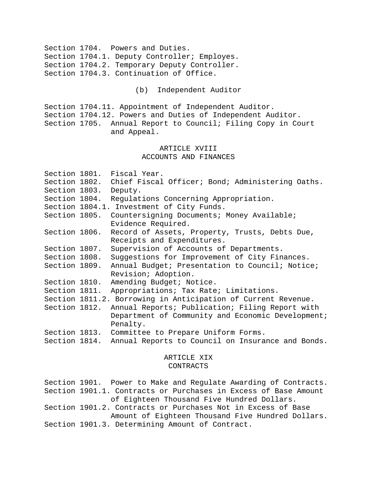Section 1704. Powers and Duties. Section 1704.1. Deputy Controller; Employes. Section 1704.2. Temporary Deputy Controller. Section 1704.3. Continuation of Office.

(b) Independent Auditor

Section 1704.11. Appointment of Independent Auditor. Section 1704.12. Powers and Duties of Independent Auditor. Section 1705. Annual Report to Council; Filing Copy in Court and Appeal.

## ARTICLE XVIII ACCOUNTS AND FINANCES

|                       | Section 1801. Fiscal Year.                                      |
|-----------------------|-----------------------------------------------------------------|
|                       | Section 1802. Chief Fiscal Officer; Bond; Administering Oaths.  |
| Section 1803. Deputy. |                                                                 |
|                       | Section 1804. Regulations Concerning Appropriation.             |
|                       | Section 1804.1. Investment of City Funds.                       |
| Section 1805.         | Countersigning Documents; Money Available;                      |
|                       | Evidence Required.                                              |
| Section 1806.         | Record of Assets, Property, Trusts, Debts Due,                  |
|                       | Receipts and Expenditures.                                      |
| Section 1807.         | Supervision of Accounts of Departments.                         |
|                       | Section 1808. Suggestions for Improvement of City Finances.     |
|                       | Section 1809. Annual Budget; Presentation to Council; Notice;   |
|                       | Revision; Adoption.                                             |
| Section 1810.         | Amending Budget; Notice.                                        |
| Section 1811.         | Appropriations; Tax Rate; Limitations.                          |
|                       | Section 1811.2. Borrowing in Anticipation of Current Revenue.   |
| Section 1812.         | Annual Reports; Publication; Filing Report with                 |
|                       | Department of Community and Economic Development;               |
|                       | Penalty.                                                        |
|                       | Section 1813. Committee to Prepare Uniform Forms.               |
|                       | Section 1814. Annual Reports to Council on Insurance and Bonds. |
|                       |                                                                 |

## ARTICLE XIX CONTRACTS

Section 1901. Power to Make and Regulate Awarding of Contracts. Section 1901.1. Contracts or Purchases in Excess of Base Amount of Eighteen Thousand Five Hundred Dollars. Section 1901.2. Contracts or Purchases Not in Excess of Base Amount of Eighteen Thousand Five Hundred Dollars. Section 1901.3. Determining Amount of Contract.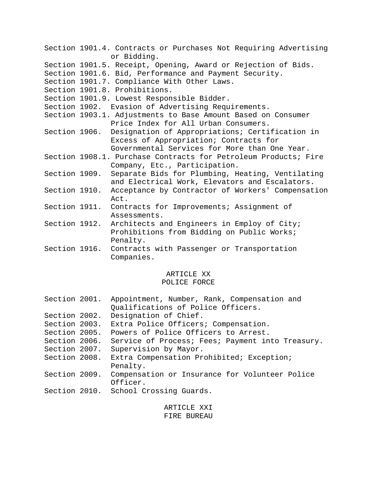|               | Section 1901.4. Contracts or Purchases Not Requiring Advertising<br>or Bidding. |
|---------------|---------------------------------------------------------------------------------|
|               | Section 1901.5. Receipt, Opening, Award or Rejection of Bids.                   |
|               | Section 1901.6. Bid, Performance and Payment Security.                          |
|               | Section 1901.7. Compliance With Other Laws.                                     |
|               | Section 1901.8. Prohibitions.                                                   |
|               | Section 1901.9. Lowest Responsible Bidder.                                      |
|               | Section 1902. Evasion of Advertising Requirements.                              |
|               | Section 1903.1. Adjustments to Base Amount Based on Consumer                    |
|               | Price Index for All Urban Consumers.                                            |
|               | Section 1906. Designation of Appropriations; Certification in                   |
|               | Excess of Appropriation; Contracts for                                          |
|               | Governmental Services for More than One Year.                                   |
|               | Section 1908.1. Purchase Contracts for Petroleum Products; Fire                 |
|               | Company, Etc., Participation.                                                   |
| Section 1909. | Separate Bids for Plumbing, Heating, Ventilating                                |
|               | and Electrical Work, Elevators and Escalators.                                  |
| Section 1910. | Acceptance by Contractor of Workers' Compensation                               |
|               | Act.                                                                            |
|               | Section 1911. Contracts for Improvements; Assignment of                         |
|               | Assessments.                                                                    |
|               | Section 1912. Architects and Engineers in Employ of City;                       |
|               | Prohibitions from Bidding on Public Works;                                      |
|               | Penalty.                                                                        |
| Section 1916. | Contracts with Passenger or Transportation                                      |
|               | Companies.                                                                      |

# ARTICLE XX

# POLICE FORCE

| Section 2001. | Appointment, Number, Rank, Compensation and<br>Qualifications of Police Officers. |
|---------------|-----------------------------------------------------------------------------------|
| Section 2002. | Designation of Chief.                                                             |
| Section 2003. | Extra Police Officers; Compensation.                                              |
| Section 2005. | Powers of Police Officers to Arrest.                                              |
| Section 2006. | Service of Process; Fees; Payment into Treasury.                                  |
| Section 2007. | Supervision by Mayor.                                                             |
| Section 2008. | Extra Compensation Prohibited; Exception;<br>Penalty.                             |
| Section 2009. | Compensation or Insurance for Volunteer Police<br>Officer.                        |
|               | Section 2010. School Crossing Guards.                                             |

ARTICLE XXI FIRE BUREAU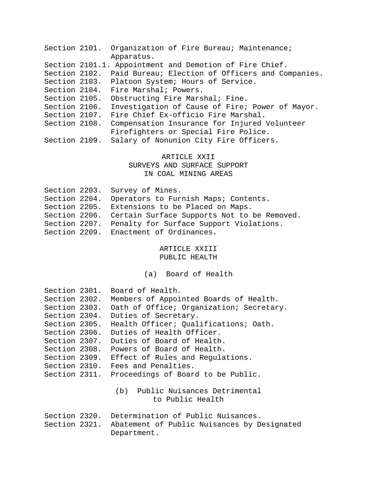|               | Section 2101. Organization of Fire Bureau; Maintenance;        |
|---------------|----------------------------------------------------------------|
|               | Apparatus.                                                     |
|               | Section 2101.1. Appointment and Demotion of Fire Chief.        |
|               | Section 2102. Paid Bureau; Election of Officers and Companies. |
|               | Section 2103. Platoon System; Hours of Service.                |
|               | Section 2104. Fire Marshal; Powers.                            |
| Section 2105. | Obstructing Fire Marshal; Fine.                                |
| Section 2106. | Investigation of Cause of Fire; Power of Mayor.                |
| Section 2107. | Fire Chief Ex-officio Fire Marshal.                            |
| Section 2108. | Compensation Insurance for Injured Volunteer                   |
|               | Firefighters or Special Fire Police.                           |
|               | Salary of Nonunion City Fire Officers.                         |
|               | Section 2109.                                                  |

## ARTICLE XXII SURVEYS AND SURFACE SUPPORT IN COAL MINING AREAS

|  | Section 2203. Survey of Mines.                            |
|--|-----------------------------------------------------------|
|  | Section 2204. Operators to Furnish Maps; Contents.        |
|  | Section 2205. Extensions to be Placed on Maps.            |
|  | Section 2206. Certain Surface Supports Not to be Removed. |
|  | Section 2207. Penalty for Surface Support Violations.     |
|  | Section 2209. Enactment of Ordinances.                    |

## ARTICLE XXIII PUBLIC HEALTH

(a) Board of Health

| Section 2301. | Board of Health.                                          |
|---------------|-----------------------------------------------------------|
| Section 2302. | Members of Appointed Boards of Health.                    |
| Section 2303. | Oath of Office; Organization; Secretary.                  |
| Section 2304. | Duties of Secretary.                                      |
| Section 2305. | Health Officer; Qualifications; Oath.                     |
| Section 2306. | Duties of Health Officer.                                 |
|               | Section 2307. Duties of Board of Health.                  |
|               | Section 2308. Powers of Board of Health.                  |
|               | Section 2309. Effect of Rules and Requlations.            |
|               | Section 2310. Fees and Penalties.                         |
|               | Section 2311. Proceedings of Board to be Public.          |
|               |                                                           |
|               | (b) Public Nuisances Detrimental                          |
|               | to Public Health                                          |
|               |                                                           |
|               | Section 2320. Determination of Public Nuisances.          |
|               | Section 2321. Abatement of Public Nuisances by Designated |
|               | Department.                                               |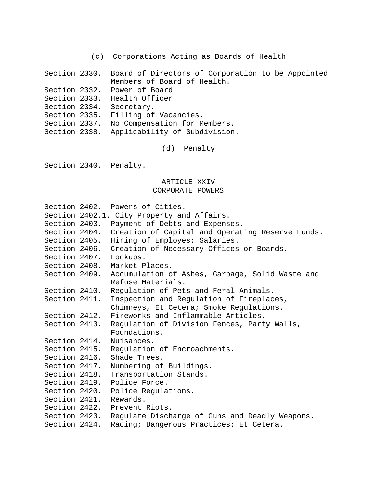| (c) Corporations Acting as Boards of Health |  |  |  |  |  |
|---------------------------------------------|--|--|--|--|--|
|---------------------------------------------|--|--|--|--|--|

Section 2330. Board of Directors of Corporation to be Appointed Members of Board of Health. Section 2332. Power of Board. Section 2333. Health Officer. Section 2334. Secretary. Section 2335. Filling of Vacancies. Section 2337. No Compensation for Members. Section 2338. Applicability of Subdivision.

(d) Penalty

Section 2340. Penalty.

## ARTICLE XXIV CORPORATE POWERS

|               | Section 2402. Powers of Cities.                  |
|---------------|--------------------------------------------------|
|               | Section 2402.1. City Property and Affairs.       |
| Section 2403. | Payment of Debts and Expenses.                   |
| Section 2404. | Creation of Capital and Operating Reserve Funds. |
| Section 2405. | Hiring of Employes; Salaries.                    |
| Section 2406. | Creation of Necessary Offices or Boards.         |
| Section 2407. | Lockups.                                         |
| Section 2408. | Market Places.                                   |
| Section 2409. | Accumulation of Ashes, Garbage, Solid Waste and  |
|               | Refuse Materials.                                |
| Section 2410. | Regulation of Pets and Feral Animals.            |
| Section 2411. | Inspection and Regulation of Fireplaces,         |
|               | Chimneys, Et Cetera; Smoke Regulations.          |
| Section 2412. | Fireworks and Inflammable Articles.              |
| Section 2413. | Regulation of Division Fences, Party Walls,      |
|               | Foundations.                                     |
| Section 2414. | Nuisances.                                       |
| Section 2415. | Requlation of Encroachments.                     |
| Section 2416. | Shade Trees.                                     |
| Section 2417. | Numbering of Buildings.                          |
| Section 2418. | Transportation Stands.                           |
| Section 2419. | Police Force.                                    |
| Section 2420. | Police Regulations.                              |
| Section 2421. | Rewards.                                         |
|               | Section 2422. Prevent Riots.                     |
| Section 2423. | Regulate Discharge of Guns and Deadly Weapons.   |
| Section 2424. | Racing; Dangerous Practices; Et Cetera.          |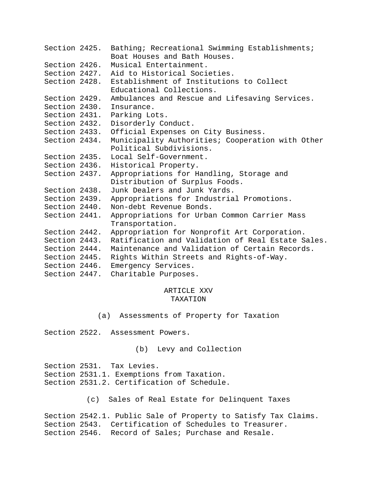| Section 2425. | Bathing; Recreational Swimming Establishments;<br>Boat Houses and Bath Houses. |
|---------------|--------------------------------------------------------------------------------|
| Section 2426. | Musical Entertainment.                                                         |
| Section 2427. | Aid to Historical Societies.                                                   |
| Section 2428. | Establishment of Institutions to Collect                                       |
|               | Educational Collections.                                                       |
| Section 2429. | Ambulances and Rescue and Lifesaving Services.                                 |
| Section 2430. | Insurance.                                                                     |
| Section 2431. | Parking Lots.                                                                  |
| Section 2432. | Disorderly Conduct.                                                            |
| Section 2433. | Official Expenses on City Business.                                            |
| Section 2434. | Municipality Authorities; Cooperation with Other                               |
|               | Political Subdivisions.                                                        |
| Section 2435. | Local Self-Government.                                                         |
| Section 2436. | Historical Property.                                                           |
| Section 2437. | Appropriations for Handling, Storage and                                       |
|               | Distribution of Surplus Foods.                                                 |
| Section 2438. | Junk Dealers and Junk Yards.                                                   |
| Section 2439. | Appropriations for Industrial Promotions.                                      |
| Section 2440. | Non-debt Revenue Bonds.                                                        |
| Section 2441. | Appropriations for Urban Common Carrier Mass                                   |
|               | Transportation.                                                                |
| Section 2442. | Appropriation for Nonprofit Art Corporation.                                   |
| Section 2443. | Ratification and Validation of Real Estate Sales.                              |
| Section 2444. | Maintenance and Validation of Certain Records.                                 |
| Section 2445. | Rights Within Streets and Rights-of-Way.                                       |
| Section 2446. | Emergency Services.                                                            |
| Section 2447. | Charitable Purposes.                                                           |

## ARTICLE XXV TAXATION

(a) Assessments of Property for Taxation

Section 2522. Assessment Powers.

(b) Levy and Collection

Section 2531. Tax Levies. Section 2531.1. Exemptions from Taxation. Section 2531.2. Certification of Schedule.

(c) Sales of Real Estate for Delinquent Taxes

Section 2542.1. Public Sale of Property to Satisfy Tax Claims. Section 2543. Certification of Schedules to Treasurer. Section 2546. Record of Sales; Purchase and Resale.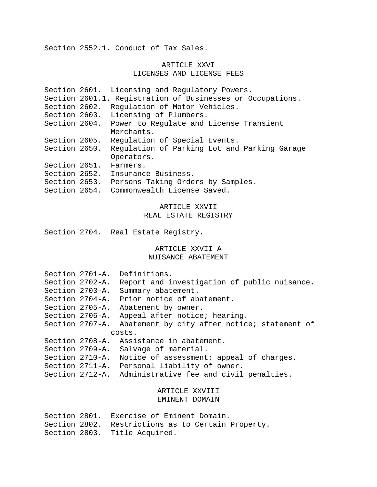Section 2552.1. Conduct of Tax Sales.

## ARTICLE XXVI LICENSES AND LICENSE FEES

| Section 2601. | Licensing and Regulatory Powers.                           |
|---------------|------------------------------------------------------------|
|               | Section 2601.1. Registration of Businesses or Occupations. |
| Section 2602. | Requlation of Motor Vehicles.                              |
| Section 2603. | Licensing of Plumbers.                                     |
| Section 2604. | Power to Regulate and License Transient                    |
|               | Merchants.                                                 |
| Section 2605. | Requlation of Special Events.                              |
| Section 2650. | Regulation of Parking Lot and Parking Garage               |
|               | Operators.                                                 |
| Section 2651. | Farmers.                                                   |
| Section 2652. | Insurance Business.                                        |
| Section 2653. | Persons Taking Orders by Samples.                          |
| Section 2654. | Commonwealth License Saved.                                |

## ARTICLE XXVII REAL ESTATE REGISTRY

Section 2704. Real Estate Registry.

# ARTICLE XXVII-A

## NUISANCE ABATEMENT

| Section 2703-A. | Section 2701-A.<br>Section 2702-A.<br>Section 2704-A. | Definitions.<br>Report and investigation of public nuisance.<br>Summary abatement.<br>Prior notice of abatement. |
|-----------------|-------------------------------------------------------|------------------------------------------------------------------------------------------------------------------|
|                 | Section 2705-A.                                       | Abatement by owner.                                                                                              |
|                 | Section 2706-A.                                       | Appeal after notice; hearing.                                                                                    |
| Section 2707-A. |                                                       | Abatement by city after notice; statement of                                                                     |
|                 |                                                       | costs.                                                                                                           |
|                 |                                                       | Section 2708-A. Assistance in abatement.                                                                         |
|                 | Section 2709-A.                                       | Salvage of material.                                                                                             |
|                 | Section 2710-A.                                       | Notice of assessment; appeal of charges.                                                                         |
|                 | Section 2711-A.                                       | Personal liability of owner.                                                                                     |
|                 | Section 2712-A.                                       | Administrative fee and civil penalties.                                                                          |

## ARTICLE XXVIII EMINENT DOMAIN

|  | Section 2801. Exercise of Eminent Domain.          |
|--|----------------------------------------------------|
|  | Section 2802. Restrictions as to Certain Property. |
|  | Section 2803. Title Acquired.                      |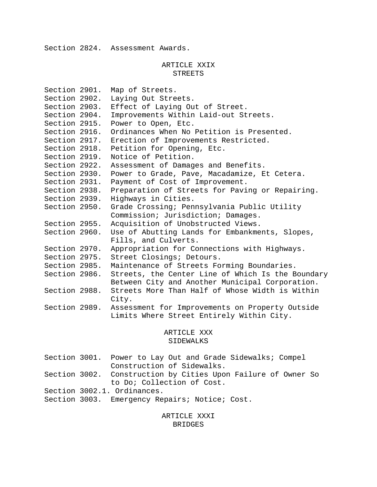Section 2824. Assessment Awards.

## ARTICLE XXIX STREETS

| Section 2901. | Map of Streets.                                   |
|---------------|---------------------------------------------------|
| Section 2902. | Laying Out Streets.                               |
| Section 2903. | Effect of Laying Out of Street.                   |
| Section 2904. | Improvements Within Laid-out Streets.             |
| Section 2915. | Power to Open, Etc.                               |
| Section 2916. | Ordinances When No Petition is Presented.         |
| Section 2917. | Erection of Improvements Restricted.              |
| Section 2918. | Petition for Opening, Etc.                        |
| Section 2919. | Notice of Petition.                               |
| Section 2922. | Assessment of Damages and Benefits.               |
| Section 2930. | Power to Grade, Pave, Macadamize, Et Cetera.      |
| Section 2931. | Payment of Cost of Improvement.                   |
| Section 2938. | Preparation of Streets for Paving or Repairing.   |
| Section 2939. | Highways in Cities.                               |
| Section 2950. | Grade Crossing; Pennsylvania Public Utility       |
|               | Commission; Jurisdiction; Damages.                |
| Section 2955. | Acquisition of Unobstructed Views.                |
| Section 2960. | Use of Abutting Lands for Embankments, Slopes,    |
|               | Fills, and Culverts.                              |
| Section 2970. | Appropriation for Connections with Highways.      |
| Section 2975. | Street Closings; Detours.                         |
| Section 2985. | Maintenance of Streets Forming Boundaries.        |
| Section 2986. | Streets, the Center Line of Which Is the Boundary |
|               | Between City and Another Municipal Corporation.   |
| Section 2988. | Streets More Than Half of Whose Width is Within   |
|               | City.                                             |
| Section 2989. | Assessment for Improvements on Property Outside   |
|               | Limits Where Street Entirely Within City.         |
|               |                                                   |

## ARTICLE XXX SIDEWALKS

|  | Section 3001. Power to Lay Out and Grade Sidewalks; Compel    |
|--|---------------------------------------------------------------|
|  | Construction of Sidewalks.                                    |
|  | Section 3002. Construction by Cities Upon Failure of Owner So |
|  | to Do; Collection of Cost.                                    |
|  | Section 3002.1. Ordinances.                                   |
|  | Section 3003. Emergency Repairs; Notice; Cost.                |

## ARTICLE XXXI BRIDGES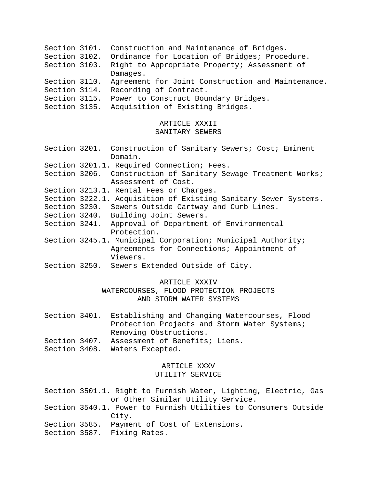- Section 3101. Construction and Maintenance of Bridges.
- Section 3102. Ordinance for Location of Bridges; Procedure.
- Section 3103. Right to Appropriate Property; Assessment of Damages.
- Section 3110. Agreement for Joint Construction and Maintenance. Section 3114. Recording of Contract.
- Section 3115. Power to Construct Boundary Bridges.
- Section 3135. Acquisition of Existing Bridges.

## ARTICLE XXXII SANITARY SEWERS

Section 3201. Construction of Sanitary Sewers; Cost; Eminent Domain. Section 3201.1. Required Connection; Fees. Section 3206. Construction of Sanitary Sewage Treatment Works; Assessment of Cost. Section 3213.1. Rental Fees or Charges. Section 3222.1. Acquisition of Existing Sanitary Sewer Systems. Section 3230. Sewers Outside Cartway and Curb Lines. Section 3240. Building Joint Sewers. Section 3241. Approval of Department of Environmental Protection. Section 3245.1. Municipal Corporation; Municipal Authority; Agreements for Connections; Appointment of Viewers. Section 3250. Sewers Extended Outside of City.

## ARTICLE XXXIV

WATERCOURSES, FLOOD PROTECTION PROJECTS AND STORM WATER SYSTEMS

- Section 3401. Establishing and Changing Watercourses, Flood Protection Projects and Storm Water Systems; Removing Obstructions. Section 3407. Assessment of Benefits; Liens.
- Section 3408. Waters Excepted.

## ARTICLE XXXV

## UTILITY SERVICE

Section 3501.1. Right to Furnish Water, Lighting, Electric, Gas or Other Similar Utility Service.

- Section 3540.1. Power to Furnish Utilities to Consumers Outside City.
- Section 3585. Payment of Cost of Extensions.

Section 3587. Fixing Rates.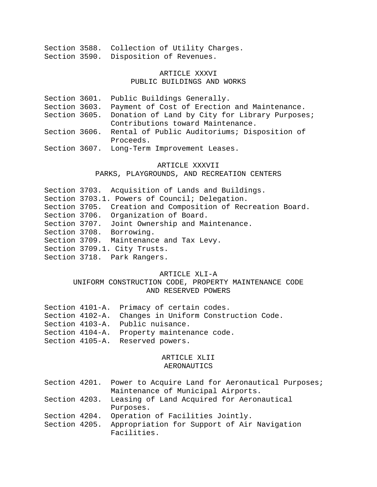|  | Section 3588. Collection of Utility Charges. |  |  |
|--|----------------------------------------------|--|--|
|  | Section 3590. Disposition of Revenues.       |  |  |

## ARTICLE XXXVI PUBLIC BUILDINGS AND WORKS

|  | Section 3601. Public Buildings Generally.                    |
|--|--------------------------------------------------------------|
|  | Section 3603. Payment of Cost of Erection and Maintenance.   |
|  | Section 3605. Donation of Land by City for Library Purposes; |
|  | Contributions toward Maintenance.                            |
|  | Section 3606. Rental of Public Auditoriums; Disposition of   |
|  | Proceeds.                                                    |
|  | Section 3607. Long-Term Improvement Leases.                  |

#### ARTICLE XXXVII

#### PARKS, PLAYGROUNDS, AND RECREATION CENTERS

Section 3703. Acquisition of Lands and Buildings. Section 3703.1. Powers of Council; Delegation. Section 3705. Creation and Composition of Recreation Board. Section 3706. Organization of Board. Section 3707. Joint Ownership and Maintenance. Section 3708. Borrowing. Section 3709. Maintenance and Tax Levy. Section 3709.1. City Trusts. Section 3718. Park Rangers.

## ARTICLE XLI-A

UNIFORM CONSTRUCTION CODE, PROPERTY MAINTENANCE CODE AND RESERVED POWERS

|  | Section 4101-A. Primacy of certain codes.             |
|--|-------------------------------------------------------|
|  | Section 4102-A. Changes in Uniform Construction Code. |
|  | Section 4103-A. Public nuisance.                      |
|  | Section 4104-A. Property maintenance code.            |
|  | Section 4105-A. Reserved powers.                      |

# ARTICLE XLII

## AERONAUTICS

|               | Section 4201. Power to Acquire Land for Aeronautical Purposes; |
|---------------|----------------------------------------------------------------|
|               | Maintenance of Municipal Airports.                             |
| Section 4203. | Leasing of Land Acquired for Aeronautical                      |
|               | Purposes.                                                      |
| Section 4204. | Operation of Facilities Jointly.                               |
| Section 4205. | Appropriation for Support of Air Navigation<br>Facilities.     |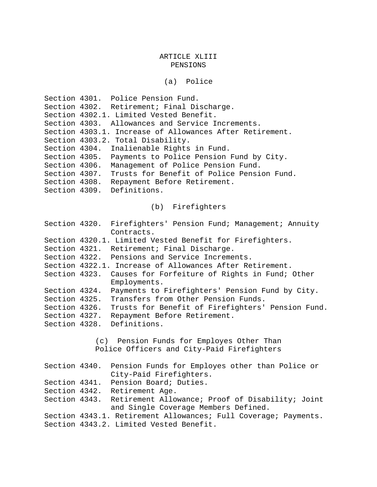(a) Police

Section 4301. Police Pension Fund. Section 4302. Retirement; Final Discharge. Section 4302.1. Limited Vested Benefit. Section 4303. Allowances and Service Increments. Section 4303.1. Increase of Allowances After Retirement. Section 4303.2. Total Disability. Section 4304. Inalienable Rights in Fund. Section 4305. Payments to Police Pension Fund by City. Section 4306. Management of Police Pension Fund. Section 4307. Trusts for Benefit of Police Pension Fund. Section 4308. Repayment Before Retirement. Section 4309. Definitions.

(b) Firefighters

|               | Section 4320. Firefighters' Pension Fund; Management; Annuity<br>Contracts.                            |
|---------------|--------------------------------------------------------------------------------------------------------|
|               | Section 4320.1. Limited Vested Benefit for Firefighters.                                               |
|               | Section 4321. Retirement; Final Discharge.                                                             |
|               | Section 4322. Pensions and Service Increments.                                                         |
|               | Section 4322.1. Increase of Allowances After Retirement.                                               |
| Section 4323. | Causes for Forfeiture of Rights in Fund; Other<br>Employments.                                         |
| Section 4324. | Payments to Firefighters' Pension Fund by City.                                                        |
| Section 4325. | Transfers from Other Pension Funds.                                                                    |
| Section 4326. | Trusts for Benefit of Firefighters' Pension Fund.                                                      |
| Section 4327. | Repayment Before Retirement.                                                                           |
| Section 4328. | Definitions.                                                                                           |
|               | (c) Pension Funds for Employes Other Than                                                              |
|               | Police Officers and City-Paid Firefighters                                                             |
|               | Section 4340. Pension Funds for Employes other than Police or<br>City-Paid Firefighters.               |
|               | Section 4341. Pension Board; Duties.                                                                   |
|               | Section 4342. Retirement Age.                                                                          |
|               | Section 4343. Retirement Allowance; Proof of Disability; Joint<br>and Single Coverage Members Defined. |
|               | Section 4343.1. Retirement Allowances; Full Coverage; Payments.                                        |

Section 4343.2. Limited Vested Benefit.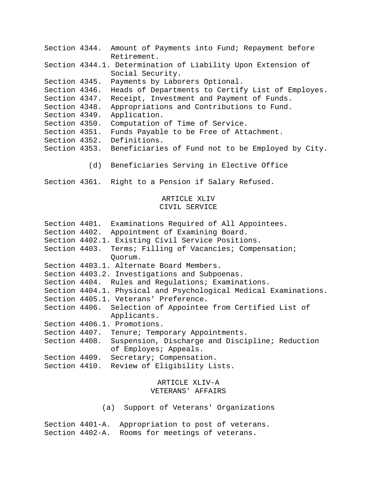|               | Section 4344. Amount of Payments into Fund; Repayment before    |
|---------------|-----------------------------------------------------------------|
|               | Retirement.                                                     |
|               | Section 4344.1. Determination of Liability Upon Extension of    |
|               | Social Security.                                                |
| Section 4345. | Payments by Laborers Optional.                                  |
| Section 4346. | Heads of Departments to Certify List of Employes.               |
| Section 4347. | Receipt, Investment and Payment of Funds.                       |
| Section 4348. | Appropriations and Contributions to Fund.                       |
| Section 4349. | Application.                                                    |
| Section 4350. | Computation of Time of Service.                                 |
| Section 4351. | Funds Payable to be Free of Attachment.                         |
| Section 4352. | Definitions.                                                    |
|               | Section 4353. Beneficiaries of Fund not to be Employed by City. |
|               |                                                                 |

(d) Beneficiaries Serving in Elective Office

Section 4361. Right to a Pension if Salary Refused.

## ARTICLE XLIV CIVIL SERVICE

|               | Section 4401. Examinations Required of All Appointees.           |
|---------------|------------------------------------------------------------------|
|               | Section 4402. Appointment of Examining Board.                    |
|               | Section 4402.1. Existing Civil Service Positions.                |
| Section 4403. | Terms; Filling of Vacancies; Compensation;<br>Quorum.            |
|               | Section 4403.1. Alternate Board Members.                         |
|               | Section 4403.2. Investigations and Subpoenas.                    |
|               | Section 4404. Rules and Regulations; Examinations.               |
|               | Section 4404.1. Physical and Psychological Medical Examinations. |
|               | Section 4405.1. Veterans' Preference.                            |
|               | Section 4406. Selection of Appointee from Certified List of      |
|               | Applicants.                                                      |
|               | Section 4406.1. Promotions.                                      |
|               | Section 4407. Tenure; Temporary Appointments.                    |
|               | Section 4408. Suspension, Discharge and Discipline; Reduction    |
|               | of Employes; Appeals.                                            |
|               | Section 4409. Secretary; Compensation.                           |
|               | Section 4410. Review of Eligibility Lists.                       |
|               |                                                                  |

## ARTICLE XLIV-A VETERANS' AFFAIRS

(a) Support of Veterans' Organizations

Section 4401-A. Appropriation to post of veterans. Section 4402-A. Rooms for meetings of veterans.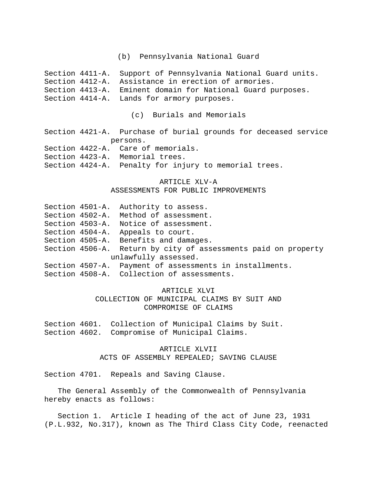(b) Pennsylvania National Guard

Section 4411-A. Support of Pennsylvania National Guard units. Section 4412-A. Assistance in erection of armories. Section 4413-A. Eminent domain for National Guard purposes. Section 4414-A. Lands for armory purposes.

(c) Burials and Memorials

Section 4421-A. Purchase of burial grounds for deceased service persons.

- Section 4422-A. Care of memorials.
- Section 4423-A. Memorial trees.

Section 4424-A. Penalty for injury to memorial trees.

## ARTICLE XLV-A

#### ASSESSMENTS FOR PUBLIC IMPROVEMENTS

- Section 4501-A. Authority to assess.
- Section 4502-A. Method of assessment.
- Section 4503-A. Notice of assessment.
- Section 4504-A. Appeals to court.
- Section 4505-A. Benefits and damages.
- Section 4506-A. Return by city of assessments paid on property unlawfully assessed.
- Section 4507-A. Payment of assessments in installments.

Section 4508-A. Collection of assessments.

### ARTICLE XLVI

COLLECTION OF MUNICIPAL CLAIMS BY SUIT AND COMPROMISE OF CLAIMS

Section 4601. Collection of Municipal Claims by Suit. Section 4602. Compromise of Municipal Claims.

> ARTICLE XLVII ACTS OF ASSEMBLY REPEALED; SAVING CLAUSE

Section 4701. Repeals and Saving Clause.

The General Assembly of the Commonwealth of Pennsylvania hereby enacts as follows:

Section 1. Article I heading of the act of June 23, 1931 (P.L.932, No.317), known as The Third Class City Code, reenacted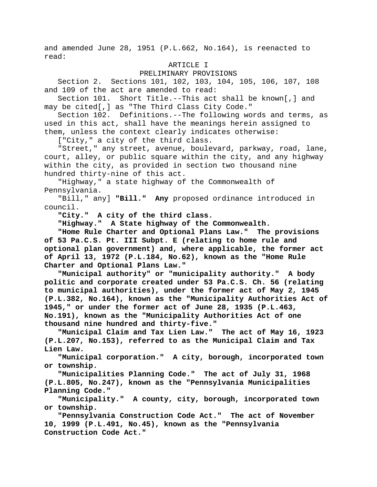and amended June 28, 1951 (P.L.662, No.164), is reenacted to read:

#### ARTICLE I

#### PRELIMINARY PROVISIONS

Section 2. Sections 101, 102, 103, 104, 105, 106, 107, 108 and 109 of the act are amended to read:

Section 101. Short Title.--This act shall be known[,] and may be cited[,] as "The Third Class City Code."

Section 102. Definitions.--The following words and terms, as used in this act, shall have the meanings herein assigned to them, unless the context clearly indicates otherwise:

["City," a city of the third class.

"Street," any street, avenue, boulevard, parkway, road, lane, court, alley, or public square within the city, and any highway within the city, as provided in section two thousand nine hundred thirty-nine of this act.

"Highway," a state highway of the Commonwealth of Pennsylvania.

"Bill," any] **"Bill." Any** proposed ordinance introduced in council.

**"City." A city of the third class.**

**"Highway." A State highway of the Commonwealth.**

**"Home Rule Charter and Optional Plans Law." The provisions of 53 Pa.C.S. Pt. III Subpt. E (relating to home rule and optional plan government) and, where applicable, the former act of April 13, 1972 (P.L.184, No.62), known as the "Home Rule Charter and Optional Plans Law."**

**"Municipal authority" or "municipality authority." A body politic and corporate created under 53 Pa.C.S. Ch. 56 (relating to municipal authorities), under the former act of May 2, 1945 (P.L.382, No.164), known as the "Municipality Authorities Act of 1945," or under the former act of June 28, 1935 (P.L.463, No.191), known as the "Municipality Authorities Act of one thousand nine hundred and thirty-five."**

**"Municipal Claim and Tax Lien Law." The act of May 16, 1923 (P.L.207, No.153), referred to as the Municipal Claim and Tax Lien Law.**

**"Municipal corporation." A city, borough, incorporated town or township.**

**"Municipalities Planning Code." The act of July 31, 1968 (P.L.805, No.247), known as the "Pennsylvania Municipalities Planning Code."**

**"Municipality." A county, city, borough, incorporated town or township.**

**"Pennsylvania Construction Code Act." The act of November 10, 1999 (P.L.491, No.45), known as the "Pennsylvania Construction Code Act."**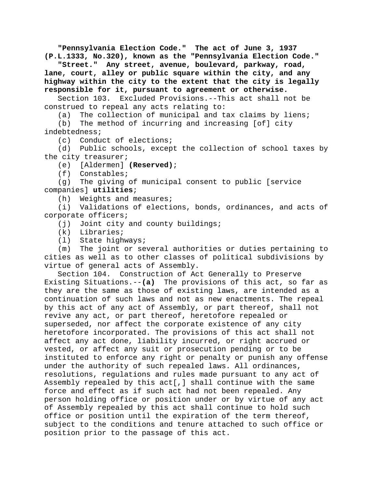**"Pennsylvania Election Code." The act of June 3, 1937 (P.L.1333, No.320), known as the "Pennsylvania Election Code."**

**"Street." Any street, avenue, boulevard, parkway, road, lane, court, alley or public square within the city, and any highway within the city to the extent that the city is legally responsible for it, pursuant to agreement or otherwise.**

Section 103. Excluded Provisions.--This act shall not be construed to repeal any acts relating to:

(a) The collection of municipal and tax claims by liens;

(b) The method of incurring and increasing [of] city indebtedness;

(c) Conduct of elections;

(d) Public schools, except the collection of school taxes by the city treasurer;<br>(e) [Aldermen]

[Aldermen] **(Reserved)**;

(f) Constables;

(g) The giving of municipal consent to public [service companies] **utilities**;

(h) Weights and measures;

(i) Validations of elections, bonds, ordinances, and acts of corporate officers;

(i) Joint city and county buildings;

(k) Libraries;

(l) State highways;

(m) The joint or several authorities or duties pertaining to cities as well as to other classes of political subdivisions by virtue of general acts of Assembly.

Section 104. Construction of Act Generally to Preserve Existing Situations.--**(a)** The provisions of this act, so far as they are the same as those of existing laws, are intended as a continuation of such laws and not as new enactments. The repeal by this act of any act of Assembly, or part thereof, shall not revive any act, or part thereof, heretofore repealed or superseded, nor affect the corporate existence of any city heretofore incorporated. The provisions of this act shall not affect any act done, liability incurred, or right accrued or vested, or affect any suit or prosecution pending or to be instituted to enforce any right or penalty or punish any offense under the authority of such repealed laws. All ordinances, resolutions, regulations and rules made pursuant to any act of Assembly repealed by this act[,] shall continue with the same force and effect as if such act had not been repealed. Any person holding office or position under or by virtue of any act of Assembly repealed by this act shall continue to hold such office or position until the expiration of the term thereof, subject to the conditions and tenure attached to such office or position prior to the passage of this act.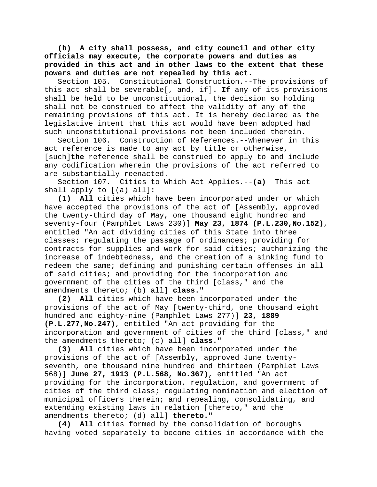**(b) A city shall possess, and city council and other city officials may execute, the corporate powers and duties as provided in this act and in other laws to the extent that these powers and duties are not repealed by this act.**

Section 105. Constitutional Construction.--The provisions of this act shall be severable[, and, if]**. If** any of its provisions shall be held to be unconstitutional, the decision so holding shall not be construed to affect the validity of any of the remaining provisions of this act. It is hereby declared as the legislative intent that this act would have been adopted had such unconstitutional provisions not been included therein.

Section 106. Construction of References.--Whenever in this act reference is made to any act by title or otherwise, [such]**the** reference shall be construed to apply to and include any codification wherein the provisions of the act referred to are substantially reenacted.

Section 107. Cities to Which Act Applies.--**(a)** This act shall apply to [(a) all]**:**

**(1) All** cities which have been incorporated under or which have accepted the provisions of the act of [Assembly, approved the twenty-third day of May, one thousand eight hundred and seventy-four (Pamphlet Laws 230)] **May 23, 1874 (P.L.230,No.152)**, entitled "An act dividing cities of this State into three classes; regulating the passage of ordinances; providing for contracts for supplies and work for said cities; authorizing the increase of indebtedness, and the creation of a sinking fund to redeem the same; defining and punishing certain offenses in all of said cities; and providing for the incorporation and government of the cities of the third [class," and the amendments thereto; (b) all] **class."**

**(2) All** cities which have been incorporated under the provisions of the act of May [twenty-third, one thousand eight hundred and eighty-nine (Pamphlet Laws 277)] **23, 1889 (P.L.277,No.247)**, entitled "An act providing for the incorporation and government of cities of the third [class," and the amendments thereto; (c) all] **class."**

**(3) All** cities which have been incorporated under the provisions of the act of [Assembly, approved June twentyseventh, one thousand nine hundred and thirteen (Pamphlet Laws 568)] **June 27, 1913 (P.L.568, No.367)**, entitled "An act providing for the incorporation, regulation, and government of cities of the third class; regulating nomination and election of municipal officers therein; and repealing, consolidating, and extending existing laws in relation [thereto," and the amendments thereto; (d) all] **thereto."**

**(4) All** cities formed by the consolidation of boroughs having voted separately to become cities in accordance with the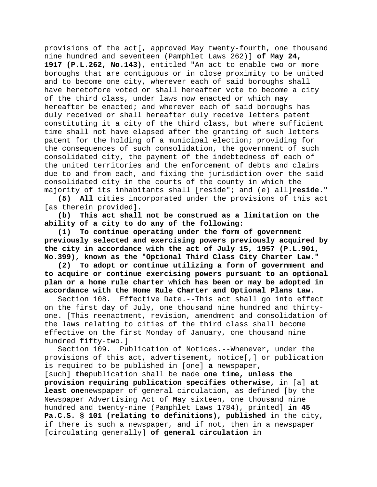provisions of the act[, approved May twenty-fourth, one thousand nine hundred and seventeen (Pamphlet Laws 262)] **of May 24, 1917 (P.L.262, No.143)**, entitled "An act to enable two or more boroughs that are contiguous or in close proximity to be united and to become one city, wherever each of said boroughs shall have heretofore voted or shall hereafter vote to become a city of the third class, under laws now enacted or which may hereafter be enacted; and wherever each of said boroughs has duly received or shall hereafter duly receive letters patent constituting it a city of the third class, but where sufficient time shall not have elapsed after the granting of such letters patent for the holding of a municipal election; providing for the consequences of such consolidation, the government of such consolidated city, the payment of the indebtedness of each of the united territories and the enforcement of debts and claims due to and from each, and fixing the jurisdiction over the said consolidated city in the courts of the county in which the majority of its inhabitants shall [reside"; and (e) all]**reside."**

**(5) All** cities incorporated under the provisions of this act [as therein provided].

**(b) This act shall not be construed as a limitation on the ability of a city to do any of the following:**

**(1) To continue operating under the form of government previously selected and exercising powers previously acquired by the city in accordance with the act of July 15, 1957 (P.L.901, No.399), known as the "Optional Third Class City Charter Law."**

**(2) To adopt or continue utilizing a form of government and to acquire or continue exercising powers pursuant to an optional plan or a home rule charter which has been or may be adopted in accordance with the Home Rule Charter and Optional Plans Law.**

Section 108. Effective Date.--This act shall go into effect on the first day of July, one thousand nine hundred and thirtyone. [This reenactment, revision, amendment and consolidation of the laws relating to cities of the third class shall become effective on the first Monday of January, one thousand nine hundred fifty-two.]

Section 109. Publication of Notices.--Whenever, under the provisions of this act, advertisement, notice[,] or publication is required to be published in [one] **a** newspaper,

[such] **the**publication shall be made **one time, unless the provision requiring publication specifies otherwise,** in [a] **at least one**newspaper of general circulation, as defined [by the Newspaper Advertising Act of May sixteen, one thousand nine hundred and twenty-nine (Pamphlet Laws 1784), printed] **in 45 Pa.C.S. § 101 (relating to definitions), published** in the city, if there is such a newspaper, and if not, then in a newspaper [circulating generally] **of general circulation** in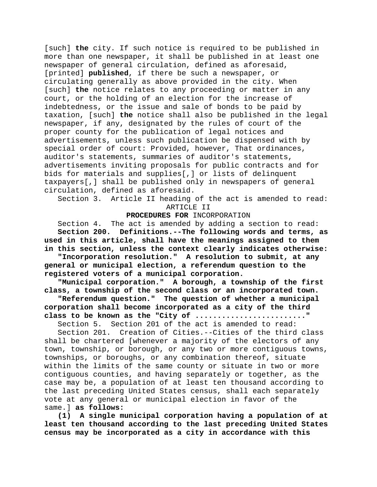[such] **the** city. If such notice is required to be published in more than one newspaper, it shall be published in at least one newspaper of general circulation, defined as aforesaid, [printed] **published**, if there be such a newspaper, or circulating generally as above provided in the city. When [such] **the** notice relates to any proceeding or matter in any court, or the holding of an election for the increase of indebtedness, or the issue and sale of bonds to be paid by taxation, [such] **the** notice shall also be published in the legal newspaper, if any, designated by the rules of court of the proper county for the publication of legal notices and advertisements, unless such publication be dispensed with by special order of court: Provided, however, That ordinances, auditor's statements, summaries of auditor's statements, advertisements inviting proposals for public contracts and for bids for materials and supplies[,] or lists of delinquent taxpayers[,] shall be published only in newspapers of general circulation, defined as aforesaid.

Section 3. Article II heading of the act is amended to read: ARTICLE II

#### **PROCEDURES FOR** INCORPORATION

Section 4. The act is amended by adding a section to read: **Section 200. Definitions.--The following words and terms, as used in this article, shall have the meanings assigned to them in this section, unless the context clearly indicates otherwise:**

**"Incorporation resolution." A resolution to submit, at any general or municipal election, a referendum question to the registered voters of a municipal corporation.**

**"Municipal corporation." A borough, a township of the first class, a township of the second class or an incorporated town.**

**"Referendum question." The question of whether a municipal corporation shall become incorporated as a city of the third** 

**class to be known as the "City of ........................"**<br>Section 5. Section 201 of the act is amended to read: Section 201 of the act is amended to read:

Section 201. Creation of Cities.--Cities of the third class shall be chartered [whenever a majority of the electors of any town, township, or borough, or any two or more contiguous towns, townships, or boroughs, or any combination thereof, situate within the limits of the same county or situate in two or more contiguous counties, and having separately or together, as the case may be, a population of at least ten thousand according to the last preceding United States census, shall each separately vote at any general or municipal election in favor of the same.] **as follows:**

**(1) A single municipal corporation having a population of at least ten thousand according to the last preceding United States census may be incorporated as a city in accordance with this**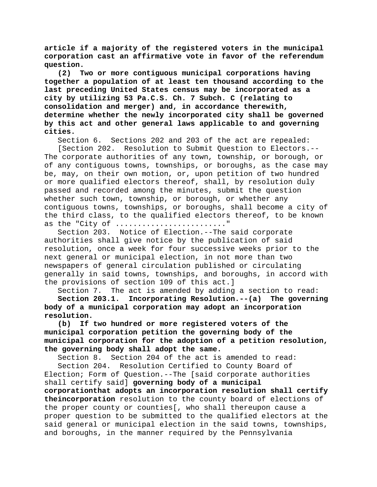**article if a majority of the registered voters in the municipal corporation cast an affirmative vote in favor of the referendum**  question.<br>T (2)

**(2) Two or more contiguous municipal corporations having together a population of at least ten thousand according to the last preceding United States census may be incorporated as a city by utilizing 53 Pa.C.S. Ch. 7 Subch. C (relating to consolidation and merger) and, in accordance therewith, determine whether the newly incorporated city shall be governed by this act and other general laws applicable to and governing cities.**

Section 6. Sections 202 and 203 of the act are repealed:

[Section 202. Resolution to Submit Question to Electors.-- The corporate authorities of any town, township, or borough, or of any contiguous towns, townships, or boroughs, as the case may be, may, on their own motion, or, upon petition of two hundred or more qualified electors thereof, shall, by resolution duly passed and recorded among the minutes, submit the question whether such town, township, or borough, or whether any contiguous towns, townships, or boroughs, shall become a city of the third class, to the qualified electors thereof, to be known as the "City of ............................"

Section 203. Notice of Election.--The said corporate authorities shall give notice by the publication of said resolution, once a week for four successive weeks prior to the next general or municipal election, in not more than two newspapers of general circulation published or circulating generally in said towns, townships, and boroughs, in accord with the provisions of section 109 of this act.]

Section 7. The act is amended by adding a section to read: **Section 203.1. Incorporating Resolution.--(a) The governing body of a municipal corporation may adopt an incorporation**  resolution.<br>(b) If

**(b) If two hundred or more registered voters of the municipal corporation petition the governing body of the municipal corporation for the adoption of a petition resolution, the governing body shall adopt the same.**

Section 8. Section 204 of the act is amended to read:

Section 204. Resolution Certified to County Board of Election; Form of Question.--The [said corporate authorities shall certify said] **governing body of a municipal corporationthat adopts an incorporation resolution shall certify theincorporation** resolution to the county board of elections of the proper county or counties[, who shall thereupon cause a proper question to be submitted to the qualified electors at the said general or municipal election in the said towns, townships, and boroughs, in the manner required by the Pennsylvania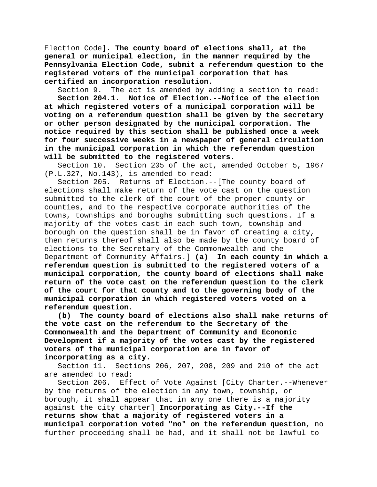Election Code]. **The county board of elections shall, at the general or municipal election, in the manner required by the Pennsylvania Election Code, submit a referendum question to the registered voters of the municipal corporation that has certified an incorporation resolution.**

Section 9. The act is amended by adding a section to read: **Section 204.1. Notice of Election.--Notice of the election at which registered voters of a municipal corporation will be voting on a referendum question shall be given by the secretary or other person designated by the municipal corporation. The notice required by this section shall be published once a week for four successive weeks in a newspaper of general circulation in the municipal corporation in which the referendum question will be submitted to the registered voters.**

Section 10. Section 205 of the act, amended October 5, 1967 (P.L.327, No.143), is amended to read:

Section 205. Returns of Election.--[The county board of elections shall make return of the vote cast on the question submitted to the clerk of the court of the proper county or counties, and to the respective corporate authorities of the towns, townships and boroughs submitting such questions. If a majority of the votes cast in each such town, township and borough on the question shall be in favor of creating a city, then returns thereof shall also be made by the county board of elections to the Secretary of the Commonwealth and the Department of Community Affairs.] **(a) In each county in which a referendum question is submitted to the registered voters of a municipal corporation, the county board of elections shall make return of the vote cast on the referendum question to the clerk of the court for that county and to the governing body of the municipal corporation in which registered voters voted on a referendum question.**

**(b) The county board of elections also shall make returns of the vote cast on the referendum to the Secretary of the Commonwealth and the Department of Community and Economic Development if a majority of the votes cast by the registered voters of the municipal corporation are in favor of incorporating as a city.**

Section 11. Sections 206, 207, 208, 209 and 210 of the act are amended to read:

Section 206. Effect of Vote Against [City Charter.--Whenever by the returns of the election in any town, township, or borough, it shall appear that in any one there is a majority against the city charter] **Incorporating as City.--If the returns show that a majority of registered voters in a municipal corporation voted "no" on the referendum question**, no further proceeding shall be had, and it shall not be lawful to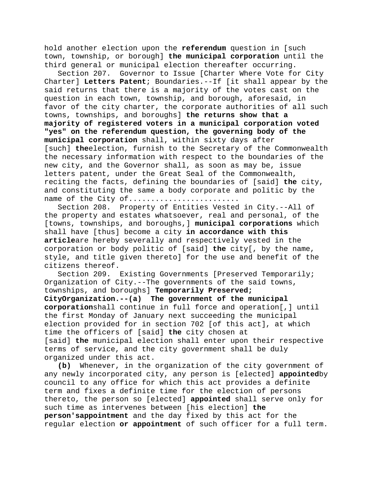hold another election upon the **referendum** question in [such town, township, or borough] **the municipal corporation** until the third general or municipal election thereafter occurring.

Section 207. Governor to Issue [Charter Where Vote for City Charter] **Letters Patent**; Boundaries.--If [it shall appear by the said returns that there is a majority of the votes cast on the question in each town, township, and borough, aforesaid, in favor of the city charter, the corporate authorities of all such towns, townships, and boroughs] **the returns show that a majority of registered voters in a municipal corporation voted "yes" on the referendum question, the governing body of the municipal corporation** shall, within sixty days after [such] **the**election, furnish to the Secretary of the Commonwealth the necessary information with respect to the boundaries of the new city, and the Governor shall, as soon as may be, issue letters patent, under the Great Seal of the Commonwealth, reciting the facts, defining the boundaries of [said] **the** city, and constituting the same a body corporate and politic by the name of the City of.........................

Section 208. Property of Entities Vested in City.--All of the property and estates whatsoever, real and personal, of the [towns, townships, and boroughs,] **municipal corporations** which shall have [thus] become a city **in accordance with this article**are hereby severally and respectively vested in the corporation or body politic of [said] **the** city[, by the name, style, and title given thereto] for the use and benefit of the citizens thereof.

Section 209. Existing Governments [Preserved Temporarily; Organization of City.--The governments of the said towns, townships, and boroughs] **Temporarily Preserved; CityOrganization.--(a) The government of the municipal corporation**shall continue in full force and operation[,] until the first Monday of January next succeeding the municipal election provided for in section 702 [of this act], at which time the officers of [said] **the** city chosen at [said] **the** municipal election shall enter upon their respective terms of service, and the city government shall be duly organized under this act.

**(b)** Whenever, in the organization of the city government of any newly incorporated city, any person is [elected] **appointed**by council to any office for which this act provides a definite term and fixes a definite time for the election of persons thereto, the person so [elected] **appointed** shall serve only for such time as intervenes between [his election] **the person'sappointment** and the day fixed by this act for the regular election **or appointment** of such officer for a full term.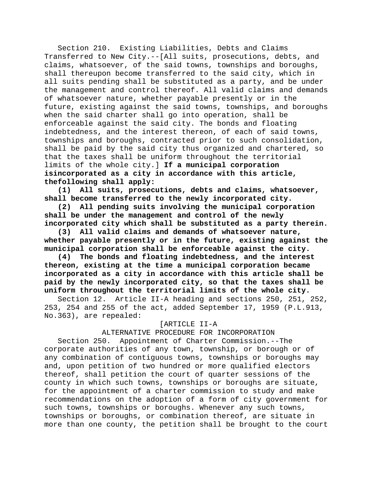Section 210. Existing Liabilities, Debts and Claims Transferred to New City.--[All suits, prosecutions, debts, and claims, whatsoever, of the said towns, townships and boroughs, shall thereupon become transferred to the said city, which in all suits pending shall be substituted as a party, and be under the management and control thereof. All valid claims and demands of whatsoever nature, whether payable presently or in the future, existing against the said towns, townships, and boroughs when the said charter shall go into operation, shall be enforceable against the said city. The bonds and floating indebtedness, and the interest thereon, of each of said towns, townships and boroughs, contracted prior to such consolidation, shall be paid by the said city thus organized and chartered, so that the taxes shall be uniform throughout the territorial limits of the whole city.] **If a municipal corporation isincorporated as a city in accordance with this article, thefollowing shall apply:**

**(1) All suits, prosecutions, debts and claims, whatsoever, shall become transferred to the newly incorporated city.**

**(2) All pending suits involving the municipal corporation shall be under the management and control of the newly incorporated city which shall be substituted as a party therein.**

**(3) All valid claims and demands of whatsoever nature, whether payable presently or in the future, existing against the municipal corporation shall be enforceable against the city.**

**(4) The bonds and floating indebtedness, and the interest thereon, existing at the time a municipal corporation became incorporated as a city in accordance with this article shall be paid by the newly incorporated city, so that the taxes shall be uniform throughout the territorial limits of the whole city.**

Section 12. Article II-A heading and sections 250, 251, 252, 253, 254 and 255 of the act, added September 17, 1959 (P.L.913, No.363), are repealed:

## [ARTICLE II-A

ALTERNATIVE PROCEDURE FOR INCORPORATION

Section 250. Appointment of Charter Commission.--The corporate authorities of any town, township, or borough or of any combination of contiguous towns, townships or boroughs may and, upon petition of two hundred or more qualified electors thereof, shall petition the court of quarter sessions of the county in which such towns, townships or boroughs are situate, for the appointment of a charter commission to study and make recommendations on the adoption of a form of city government for such towns, townships or boroughs. Whenever any such towns, townships or boroughs, or combination thereof, are situate in more than one county, the petition shall be brought to the court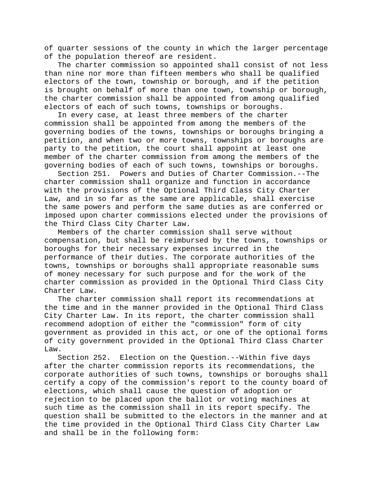of quarter sessions of the county in which the larger percentage of the population thereof are resident.

The charter commission so appointed shall consist of not less than nine nor more than fifteen members who shall be qualified electors of the town, township or borough, and if the petition is brought on behalf of more than one town, township or borough, the charter commission shall be appointed from among qualified electors of each of such towns, townships or boroughs.

In every case, at least three members of the charter commission shall be appointed from among the members of the governing bodies of the towns, townships or boroughs bringing a petition, and when two or more towns, townships or boroughs are party to the petition, the court shall appoint at least one member of the charter commission from among the members of the governing bodies of each of such towns, townships or boroughs.

Section 251. Powers and Duties of Charter Commission.--The charter commission shall organize and function in accordance with the provisions of the Optional Third Class City Charter Law, and in so far as the same are applicable, shall exercise the same powers and perform the same duties as are conferred or imposed upon charter commissions elected under the provisions of the Third Class City Charter Law.

Members of the charter commission shall serve without compensation, but shall be reimbursed by the towns, townships or boroughs for their necessary expenses incurred in the performance of their duties. The corporate authorities of the towns, townships or boroughs shall appropriate reasonable sums of money necessary for such purpose and for the work of the charter commission as provided in the Optional Third Class City Charter Law.

The charter commission shall report its recommendations at the time and in the manner provided in the Optional Third Class City Charter Law. In its report, the charter commission shall recommend adoption of either the "commission" form of city government as provided in this act, or one of the optional forms of city government provided in the Optional Third Class Charter Law.

Section 252. Election on the Question.--Within five days after the charter commission reports its recommendations, the corporate authorities of such towns, townships or boroughs shall certify a copy of the commission's report to the county board of elections, which shall cause the question of adoption or rejection to be placed upon the ballot or voting machines at such time as the commission shall in its report specify. The question shall be submitted to the electors in the manner and at the time provided in the Optional Third Class City Charter Law and shall be in the following form: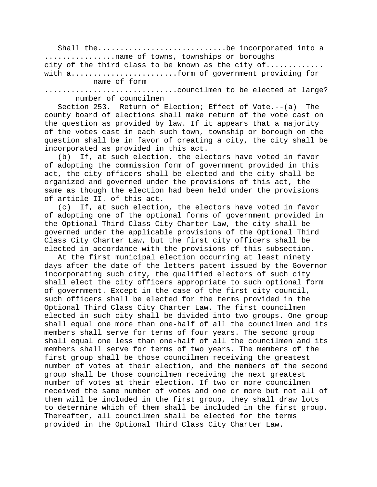Shall the.............................be incorporated into a ................name of towns, townships or boroughs city of the third class to be known as the city of............. with a........................form of government providing for name of form

..............................councilmen to be elected at large? number of councilmen

Section 253. Return of Election; Effect of Vote.--(a) The county board of elections shall make return of the vote cast on the question as provided by law. If it appears that a majority of the votes cast in each such town, township or borough on the question shall be in favor of creating a city, the city shall be incorporated as provided in this act.

(b) If, at such election, the electors have voted in favor of adopting the commission form of government provided in this act, the city officers shall be elected and the city shall be organized and governed under the provisions of this act, the same as though the election had been held under the provisions of article II. of this act.

(c) If, at such election, the electors have voted in favor of adopting one of the optional forms of government provided in the Optional Third Class City Charter Law, the city shall be governed under the applicable provisions of the Optional Third Class City Charter Law, but the first city officers shall be elected in accordance with the provisions of this subsection.

At the first municipal election occurring at least ninety days after the date of the letters patent issued by the Governor incorporating such city, the qualified electors of such city shall elect the city officers appropriate to such optional form of government. Except in the case of the first city council, such officers shall be elected for the terms provided in the Optional Third Class City Charter Law. The first councilmen elected in such city shall be divided into two groups. One group shall equal one more than one-half of all the councilmen and its members shall serve for terms of four years. The second group shall equal one less than one-half of all the councilmen and its members shall serve for terms of two years. The members of the first group shall be those councilmen receiving the greatest number of votes at their election, and the members of the second group shall be those councilmen receiving the next greatest number of votes at their election. If two or more councilmen received the same number of votes and one or more but not all of them will be included in the first group, they shall draw lots to determine which of them shall be included in the first group. Thereafter, all councilmen shall be elected for the terms provided in the Optional Third Class City Charter Law.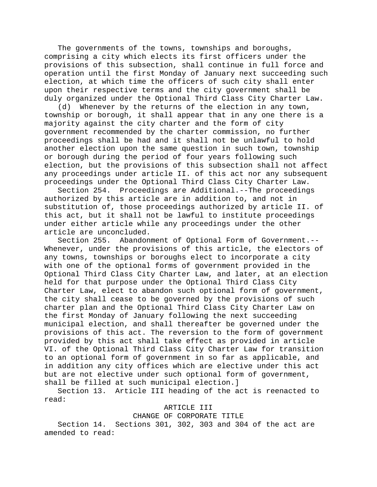The governments of the towns, townships and boroughs, comprising a city which elects its first officers under the provisions of this subsection, shall continue in full force and operation until the first Monday of January next succeeding such election, at which time the officers of such city shall enter upon their respective terms and the city government shall be duly organized under the Optional Third Class City Charter Law.

(d) Whenever by the returns of the election in any town, township or borough, it shall appear that in any one there is a majority against the city charter and the form of city government recommended by the charter commission, no further proceedings shall be had and it shall not be unlawful to hold another election upon the same question in such town, township or borough during the period of four years following such election, but the provisions of this subsection shall not affect any proceedings under article II. of this act nor any subsequent proceedings under the Optional Third Class City Charter Law.

Section 254. Proceedings are Additional.--The proceedings authorized by this article are in addition to, and not in substitution of, those proceedings authorized by article II. of this act, but it shall not be lawful to institute proceedings under either article while any proceedings under the other article are unconcluded.

Section 255. Abandonment of Optional Form of Government.-- Whenever, under the provisions of this article, the electors of any towns, townships or boroughs elect to incorporate a city with one of the optional forms of government provided in the Optional Third Class City Charter Law, and later, at an election held for that purpose under the Optional Third Class City Charter Law, elect to abandon such optional form of government, the city shall cease to be governed by the provisions of such charter plan and the Optional Third Class City Charter Law on the first Monday of January following the next succeeding municipal election, and shall thereafter be governed under the provisions of this act. The reversion to the form of government provided by this act shall take effect as provided in article VI. of the Optional Third Class City Charter Law for transition to an optional form of government in so far as applicable, and in addition any city offices which are elective under this act but are not elective under such optional form of government, shall be filled at such municipal election.]

Section 13. Article III heading of the act is reenacted to read:

ARTICLE III

#### CHANGE OF CORPORATE TITLE

Section 14. Sections 301, 302, 303 and 304 of the act are amended to read: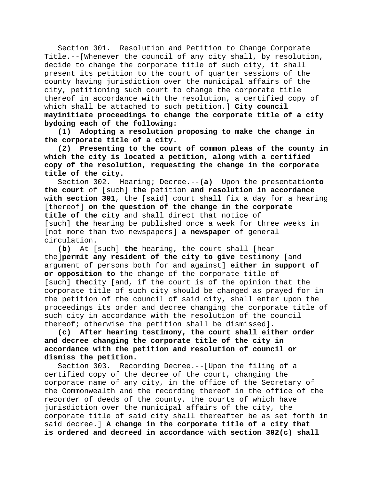Section 301. Resolution and Petition to Change Corporate Title.--[Whenever the council of any city shall, by resolution, decide to change the corporate title of such city, it shall present its petition to the court of quarter sessions of the county having jurisdiction over the municipal affairs of the city, petitioning such court to change the corporate title thereof in accordance with the resolution, a certified copy of which shall be attached to such petition.] **City council mayinitiate proceedings to change the corporate title of a city bydoing each of the following:**

**(1) Adopting a resolution proposing to make the change in the corporate title of a city.**

**(2) Presenting to the court of common pleas of the county in which the city is located a petition, along with a certified copy of the resolution, requesting the change in the corporate title of the city.**

Section 302. Hearing; Decree.--**(a)** Upon the presentation**to the court** of [such] **the** petition **and resolution in accordance with section 301**, the [said] court shall fix a day for a hearing [thereof] **on the question of the change in the corporate title of the city** and shall direct that notice of [such] **the** hearing be published once a week for three weeks in [not more than two newspapers] **a newspaper** of general circulation.

**(b)** At [such] **the** hearing**,** the court shall [hear the]**permit any resident of the city to give** testimony [and argument of persons both for and against] **either in support of or opposition to** the change of the corporate title of [such] **the**city [and, if the court is of the opinion that the corporate title of such city should be changed as prayed for in the petition of the council of said city, shall enter upon the proceedings its order and decree changing the corporate title of such city in accordance with the resolution of the council thereof; otherwise the petition shall be dismissed].

**(c) After hearing testimony, the court shall either order and decree changing the corporate title of the city in accordance with the petition and resolution of council or dismiss the petition.**

Section 303. Recording Decree.--[Upon the filing of a certified copy of the decree of the court, changing the corporate name of any city, in the office of the Secretary of the Commonwealth and the recording thereof in the office of the recorder of deeds of the county, the courts of which have jurisdiction over the municipal affairs of the city, the corporate title of said city shall thereafter be as set forth in said decree.] **A change in the corporate title of a city that is ordered and decreed in accordance with section 302(c) shall**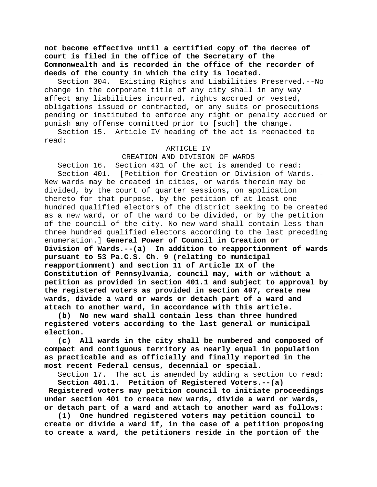**not become effective until a certified copy of the decree of court is filed in the office of the Secretary of the Commonwealth and is recorded in the office of the recorder of deeds of the county in which the city is located.**

Section 304. Existing Rights and Liabilities Preserved.--No change in the corporate title of any city shall in any way affect any liabilities incurred, rights accrued or vested, obligations issued or contracted, or any suits or prosecutions pending or instituted to enforce any right or penalty accrued or punish any offense committed prior to [such] **the** change.

Section 15. Article IV heading of the act is reenacted to read:

#### ARTICLE IV

CREATION AND DIVISION OF WARDS Section 16. Section 401 of the act is amended to read: Section 401. [Petition for Creation or Division of Wards.-- New wards may be created in cities, or wards therein may be divided, by the court of quarter sessions, on application thereto for that purpose, by the petition of at least one hundred qualified electors of the district seeking to be created as a new ward, or of the ward to be divided, or by the petition of the council of the city. No new ward shall contain less than three hundred qualified electors according to the last preceding enumeration.] **General Power of Council in Creation or Division of Wards.--(a) In addition to reapportionment of wards pursuant to 53 Pa.C.S. Ch. 9 (relating to municipal reapportionment) and section 11 of Article IX of the Constitution of Pennsylvania, council may, with or without a petition as provided in section 401.1 and subject to approval by the registered voters as provided in section 407, create new wards, divide a ward or wards or detach part of a ward and attach to another ward, in accordance with this article.**

**(b) No new ward shall contain less than three hundred registered voters according to the last general or municipal election.**

**(c) All wards in the city shall be numbered and composed of compact and contiguous territory as nearly equal in population as practicable and as officially and finally reported in the most recent Federal census, decennial or special.**

Section 17. The act is amended by adding a section to read: **Section 401.1. Petition of Registered Voters.--(a)** 

**Registered voters may petition council to initiate proceedings under section 401 to create new wards, divide a ward or wards, or detach part of a ward and attach to another ward as follows:**

**(1) One hundred registered voters may petition council to create or divide a ward if, in the case of a petition proposing to create a ward, the petitioners reside in the portion of the**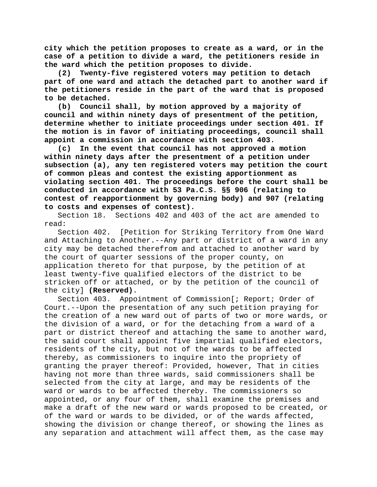**city which the petition proposes to create as a ward, or in the case of a petition to divide a ward, the petitioners reside in the ward which the petition proposes to divide.**

**(2) Twenty-five registered voters may petition to detach part of one ward and attach the detached part to another ward if the petitioners reside in the part of the ward that is proposed to be detached.**

**(b) Council shall, by motion approved by a majority of council and within ninety days of presentment of the petition, determine whether to initiate proceedings under section 401. If the motion is in favor of initiating proceedings, council shall appoint a commission in accordance with section 403.**

**(c) In the event that council has not approved a motion within ninety days after the presentment of a petition under subsection (a), any ten registered voters may petition the court of common pleas and contest the existing apportionment as violating section 401. The proceedings before the court shall be conducted in accordance with 53 Pa.C.S. §§ 906 (relating to contest of reapportionment by governing body) and 907 (relating to costs and expenses of contest).**

Section 18. Sections 402 and 403 of the act are amended to read:

Section 402. [Petition for Striking Territory from One Ward and Attaching to Another.--Any part or district of a ward in any city may be detached therefrom and attached to another ward by the court of quarter sessions of the proper county, on application thereto for that purpose, by the petition of at least twenty-five qualified electors of the district to be stricken off or attached, or by the petition of the council of the city] **(Reserved)**.

Section 403. Appointment of Commission[; Report; Order of Court.--Upon the presentation of any such petition praying for the creation of a new ward out of parts of two or more wards, or the division of a ward, or for the detaching from a ward of a part or district thereof and attaching the same to another ward, the said court shall appoint five impartial qualified electors, residents of the city, but not of the wards to be affected thereby, as commissioners to inquire into the propriety of granting the prayer thereof: Provided, however, That in cities having not more than three wards, said commissioners shall be selected from the city at large, and may be residents of the ward or wards to be affected thereby. The commissioners so appointed, or any four of them, shall examine the premises and make a draft of the new ward or wards proposed to be created, or of the ward or wards to be divided, or of the wards affected, showing the division or change thereof, or showing the lines as any separation and attachment will affect them, as the case may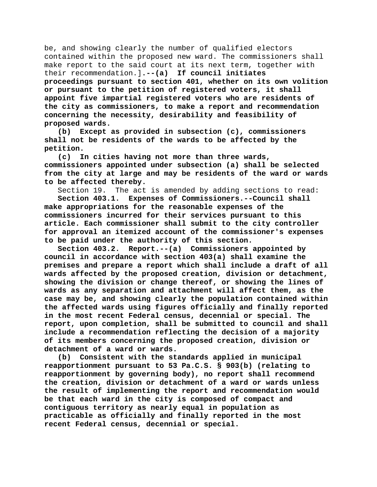be, and showing clearly the number of qualified electors contained within the proposed new ward. The commissioners shall make report to the said court at its next term, together with their recommendation.]**.--(a) If council initiates proceedings pursuant to section 401, whether on its own volition or pursuant to the petition of registered voters, it shall appoint five impartial registered voters who are residents of the city as commissioners, to make a report and recommendation concerning the necessity, desirability and feasibility of proposed wards.**

**(b) Except as provided in subsection (c), commissioners shall not be residents of the wards to be affected by the petition.**

**(c) In cities having not more than three wards, commissioners appointed under subsection (a) shall be selected from the city at large and may be residents of the ward or wards to be affected thereby.**

Section 19. The act is amended by adding sections to read: **Section 403.1. Expenses of Commissioners.--Council shall make appropriations for the reasonable expenses of the commissioners incurred for their services pursuant to this article. Each commissioner shall submit to the city controller for approval an itemized account of the commissioner's expenses to be paid under the authority of this section.**

**Section 403.2. Report.--(a) Commissioners appointed by council in accordance with section 403(a) shall examine the premises and prepare a report which shall include a draft of all wards affected by the proposed creation, division or detachment, showing the division or change thereof, or showing the lines of wards as any separation and attachment will affect them, as the case may be, and showing clearly the population contained within the affected wards using figures officially and finally reported in the most recent Federal census, decennial or special. The report, upon completion, shall be submitted to council and shall include a recommendation reflecting the decision of a majority of its members concerning the proposed creation, division or detachment of a ward or wards.**

**(b) Consistent with the standards applied in municipal reapportionment pursuant to 53 Pa.C.S. § 903(b) (relating to reapportionment by governing body), no report shall recommend the creation, division or detachment of a ward or wards unless the result of implementing the report and recommendation would be that each ward in the city is composed of compact and contiguous territory as nearly equal in population as practicable as officially and finally reported in the most recent Federal census, decennial or special.**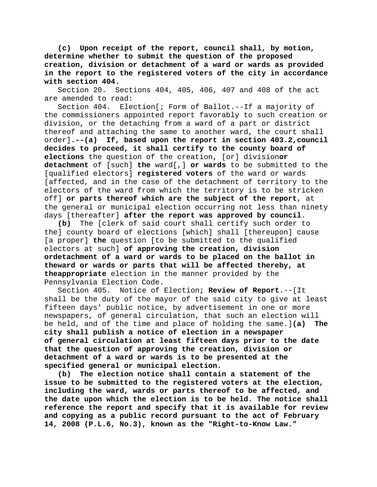**(c) Upon receipt of the report, council shall, by motion, determine whether to submit the question of the proposed creation, division or detachment of a ward or wards as provided in the report to the registered voters of the city in accordance with section 404.**

Section 20. Sections 404, 405, 406, 407 and 408 of the act are amended to read:

Section 404. Election[; Form of Ballot.--If a majority of the commissioners appointed report favorably to such creation or division, or the detaching from a ward of a part or district thereof and attaching the same to another ward, the court shall order]**.--(a) If, based upon the report in section 403.2,council decides to proceed, it shall certify to the county board of elections** the question of the creation, [or] division**or detachment** of [such] **the** ward[,] **or wards** to be submitted to the [qualified electors] **registered voters** of the ward or wards [affected, and in the case of the detachment of territory to the electors of the ward from which the territory is to be stricken off] **or parts thereof which are the subject of the report**, at the general or municipal election occurring not less than ninety days [thereafter] **after the report was approved by council**.

**(b)** The [clerk of said court shall certify such order to the] county board of elections [which] shall [thereupon] cause [a proper] **the** question [to be submitted to the qualified electors at such] **of approving the creation, division ordetachment of a ward or wards to be placed on the ballot in theward or wards or parts that will be affected thereby, at theappropriate** election in the manner provided by the Pennsylvania Election Code.

Section 405. Notice of Election**; Review of Report**.--[It shall be the duty of the mayor of the said city to give at least fifteen days' public notice, by advertisement in one or more newspapers, of general circulation, that such an election will be held, and of the time and place of holding the same.]**(a) The city shall publish a notice of election in a newspaper of general circulation at least fifteen days prior to the date that the question of approving the creation, division or detachment of a ward or wards is to be presented at the specified general or municipal election.**

**(b) The election notice shall contain a statement of the issue to be submitted to the registered voters at the election, including the ward, wards or parts thereof to be affected, and the date upon which the election is to be held. The notice shall reference the report and specify that it is available for review and copying as a public record pursuant to the act of February 14, 2008 (P.L.6, No.3), known as the "Right-to-Know Law."**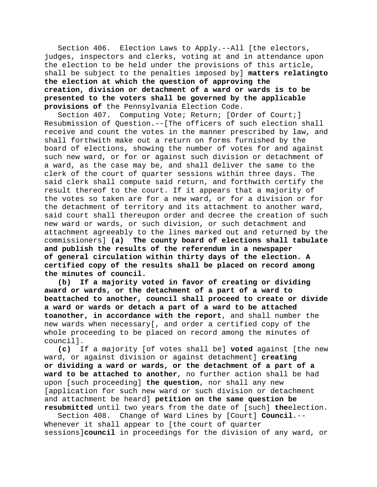Section 406. Election Laws to Apply.--All [the electors, judges, inspectors and clerks, voting at and in attendance upon the election to be held under the provisions of this article, shall be subject to the penalties imposed by] **matters relatingto the election at which the question of approving the creation, division or detachment of a ward or wards is to be presented to the voters shall be governed by the applicable provisions of** the Pennsylvania Election Code.

Section 407. Computing Vote; Return; [Order of Court;] Resubmission of Question.--[The officers of such election shall receive and count the votes in the manner prescribed by law, and shall forthwith make out a return on forms furnished by the board of elections, showing the number of votes for and against such new ward, or for or against such division or detachment of a ward, as the case may be, and shall deliver the same to the clerk of the court of quarter sessions within three days. The said clerk shall compute said return, and forthwith certify the result thereof to the court. If it appears that a majority of the votes so taken are for a new ward, or for a division or for the detachment of territory and its attachment to another ward, said court shall thereupon order and decree the creation of such new ward or wards, or such division, or such detachment and attachment agreeably to the lines marked out and returned by the commissioners] **(a) The county board of elections shall tabulate and publish the results of the referendum in a newspaper of general circulation within thirty days of the election. A certified copy of the results shall be placed on record among the minutes of council.**

**(b) If a majority voted in favor of creating or dividing award or wards, or the detachment of a part of a ward to beattached to another, council shall proceed to create or divide a ward or wards or detach a part of a ward to be attached toanother, in accordance with the report**, and shall number the new wards when necessary[, and order a certified copy of the whole proceeding to be placed on record among the minutes of council].

**(c)** If a majority [of votes shall be] **voted** against [the new ward, or against division or against detachment] **creating or dividing a ward or wards, or the detachment of a part of a ward to be attached to another**, no further action shall be had upon [such proceeding] **the question**, nor shall any new [application for such new ward or such division or detachment and attachment be heard] **petition on the same question be resubmitted** until two years from the date of [such] **the**election.

Section 408. Change of Ward Lines by [Court] **Council**.-- Whenever it shall appear to [the court of quarter sessions]**council** in proceedings for the division of any ward, or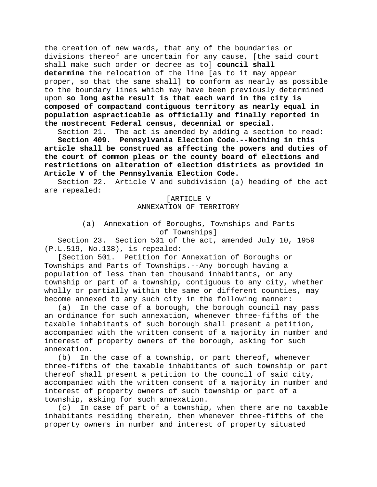the creation of new wards, that any of the boundaries or divisions thereof are uncertain for any cause, [the said court shall make such order or decree as to] **council shall determine** the relocation of the line [as to it may appear proper, so that the same shall] **to** conform as nearly as possible to the boundary lines which may have been previously determined upon **so long asthe result is that each ward in the city is composed of compactand contiguous territory as nearly equal in population aspracticable as officially and finally reported in the mostrecent Federal census, decennial or special**.

Section 21. The act is amended by adding a section to read:

**Section 409. Pennsylvania Election Code.--Nothing in this article shall be construed as affecting the powers and duties of the court of common pleas or the county board of elections and restrictions on alteration of election districts as provided in Article V of the Pennsylvania Election Code.**

Section 22. Article V and subdivision (a) heading of the act are repealed:

> [ARTICLE V ANNEXATION OF TERRITORY

(a) Annexation of Boroughs, Townships and Parts of Townships]

Section 23. Section 501 of the act, amended July 10, 1959 (P.L.519, No.138), is repealed:

[Section 501. Petition for Annexation of Boroughs or Townships and Parts of Townships.--Any borough having a population of less than ten thousand inhabitants, or any township or part of a township, contiguous to any city, whether wholly or partially within the same or different counties, may become annexed to any such city in the following manner:

(a) In the case of a borough, the borough council may pass an ordinance for such annexation, whenever three-fifths of the taxable inhabitants of such borough shall present a petition, accompanied with the written consent of a majority in number and interest of property owners of the borough, asking for such annexation.

(b) In the case of a township, or part thereof, whenever three-fifths of the taxable inhabitants of such township or part thereof shall present a petition to the council of said city, accompanied with the written consent of a majority in number and interest of property owners of such township or part of a township, asking for such annexation.

(c) In case of part of a township, when there are no taxable inhabitants residing therein, then whenever three-fifths of the property owners in number and interest of property situated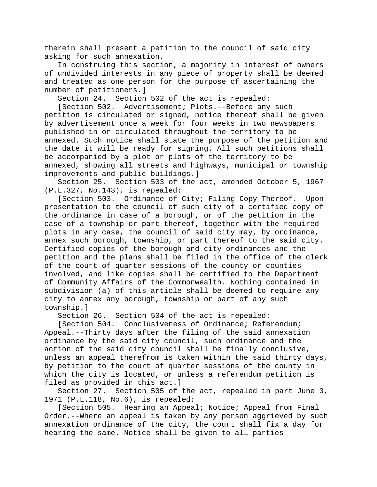therein shall present a petition to the council of said city asking for such annexation.

In construing this section, a majority in interest of owners of undivided interests in any piece of property shall be deemed and treated as one person for the purpose of ascertaining the number of petitioners.]<br>Section 24. Section

Section 502 of the act is repealed:

[Section 502. Advertisement; Plots.--Before any such petition is circulated or signed, notice thereof shall be given by advertisement once a week for four weeks in two newspapers published in or circulated throughout the territory to be annexed. Such notice shall state the purpose of the petition and the date it will be ready for signing. All such petitions shall be accompanied by a plot or plots of the territory to be annexed, showing all streets and highways, municipal or township improvements and public buildings.]

Section 25. Section 503 of the act, amended October 5, 1967 (P.L.327, No.143), is repealed:

[Section 503. Ordinance of City; Filing Copy Thereof.--Upon presentation to the council of such city of a certified copy of the ordinance in case of a borough, or of the petition in the case of a township or part thereof, together with the required plots in any case, the council of said city may, by ordinance, annex such borough, township, or part thereof to the said city. Certified copies of the borough and city ordinances and the petition and the plans shall be filed in the office of the clerk of the court of quarter sessions of the county or counties involved, and like copies shall be certified to the Department of Community Affairs of the Commonwealth. Nothing contained in subdivision (a) of this article shall be deemed to require any city to annex any borough, township or part of any such township.]

Section 26. Section 504 of the act is repealed:

[Section 504. Conclusiveness of Ordinance; Referendum; Appeal.--Thirty days after the filing of the said annexation ordinance by the said city council, such ordinance and the action of the said city council shall be finally conclusive, unless an appeal therefrom is taken within the said thirty days, by petition to the court of quarter sessions of the county in which the city is located, or unless a referendum petition is filed as provided in this act.]

Section 27. Section 505 of the act, repealed in part June 3, 1971 (P.L.118, No.6), is repealed:

[Section 505. Hearing an Appeal; Notice; Appeal from Final Order.--Where an appeal is taken by any person aggrieved by such annexation ordinance of the city, the court shall fix a day for hearing the same. Notice shall be given to all parties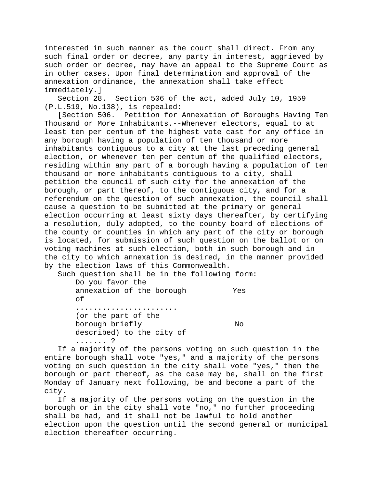interested in such manner as the court shall direct. From any such final order or decree, any party in interest, aggrieved by such order or decree, may have an appeal to the Supreme Court as in other cases. Upon final determination and approval of the annexation ordinance, the annexation shall take effect immediately.]<br>Section 28.

Section 506 of the act, added July 10, 1959 (P.L.519, No.138), is repealed:

[Section 506. Petition for Annexation of Boroughs Having Ten Thousand or More Inhabitants.--Whenever electors, equal to at least ten per centum of the highest vote cast for any office in any borough having a population of ten thousand or more inhabitants contiguous to a city at the last preceding general election, or whenever ten per centum of the qualified electors, residing within any part of a borough having a population of ten thousand or more inhabitants contiguous to a city, shall petition the council of such city for the annexation of the borough, or part thereof, to the contiguous city, and for a referendum on the question of such annexation, the council shall cause a question to be submitted at the primary or general election occurring at least sixty days thereafter, by certifying a resolution, duly adopted, to the county board of elections of the county or counties in which any part of the city or borough is located, for submission of such question on the ballot or on voting machines at such election, both in such borough and in the city to which annexation is desired, in the manner provided by the election laws of this Commonwealth.

Such question shall be in the following form:

| Do you favor the          |     |
|---------------------------|-----|
| annexation of the borough | Yes |
| оf                        |     |
|                           |     |
| (or the part of the       |     |
| borough briefly           | N∩  |
| described) to the city of |     |
| . ?                       |     |

If a majority of the persons voting on such question in the entire borough shall vote "yes," and a majority of the persons voting on such question in the city shall vote "yes," then the borough or part thereof, as the case may be, shall on the first Monday of January next following, be and become a part of the city.

If a majority of the persons voting on the question in the borough or in the city shall vote "no," no further proceeding shall be had, and it shall not be lawful to hold another election upon the question until the second general or municipal election thereafter occurring.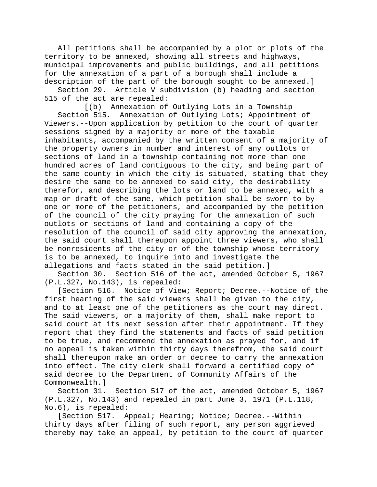All petitions shall be accompanied by a plot or plots of the territory to be annexed, showing all streets and highways, municipal improvements and public buildings, and all petitions for the annexation of a part of a borough shall include a description of the part of the borough sought to be annexed.]

Section 29. Article V subdivision (b) heading and section 515 of the act are repealed:

[(b) Annexation of Outlying Lots in a Township Section 515. Annexation of Outlying Lots; Appointment of Viewers.--Upon application by petition to the court of quarter sessions signed by a majority or more of the taxable inhabitants, accompanied by the written consent of a majority of the property owners in number and interest of any outlots or sections of land in a township containing not more than one hundred acres of land contiguous to the city, and being part of the same county in which the city is situated, stating that they desire the same to be annexed to said city, the desirability therefor, and describing the lots or land to be annexed, with a map or draft of the same, which petition shall be sworn to by one or more of the petitioners, and accompanied by the petition of the council of the city praying for the annexation of such outlots or sections of land and containing a copy of the resolution of the council of said city approving the annexation, the said court shall thereupon appoint three viewers, who shall be nonresidents of the city or of the township whose territory is to be annexed, to inquire into and investigate the allegations and facts stated in the said petition.]

Section 30. Section 516 of the act, amended October 5, 1967 (P.L.327, No.143), is repealed:

[Section 516. Notice of View; Report; Decree.--Notice of the first hearing of the said viewers shall be given to the city, and to at least one of the petitioners as the court may direct. The said viewers, or a majority of them, shall make report to said court at its next session after their appointment. If they report that they find the statements and facts of said petition to be true, and recommend the annexation as prayed for, and if no appeal is taken within thirty days therefrom, the said court shall thereupon make an order or decree to carry the annexation into effect. The city clerk shall forward a certified copy of said decree to the Department of Community Affairs of the Commonwealth.]

Section 31. Section 517 of the act, amended October 5, 1967 (P.L.327, No.143) and repealed in part June 3, 1971 (P.L.118, No.6), is repealed:

[Section 517. Appeal; Hearing; Notice; Decree.--Within thirty days after filing of such report, any person aggrieved thereby may take an appeal, by petition to the court of quarter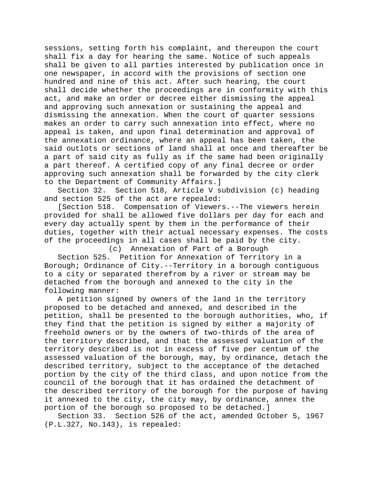sessions, setting forth his complaint, and thereupon the court shall fix a day for hearing the same. Notice of such appeals shall be given to all parties interested by publication once in one newspaper, in accord with the provisions of section one hundred and nine of this act. After such hearing, the court shall decide whether the proceedings are in conformity with this act, and make an order or decree either dismissing the appeal and approving such annexation or sustaining the appeal and dismissing the annexation. When the court of quarter sessions makes an order to carry such annexation into effect, where no appeal is taken, and upon final determination and approval of the annexation ordinance, where an appeal has been taken, the said outlots or sections of land shall at once and thereafter be a part of said city as fully as if the same had been originally a part thereof. A certified copy of any final decree or order approving such annexation shall be forwarded by the city clerk to the Department of Community Affairs.]

Section 32. Section 518, Article V subdivision (c) heading and section 525 of the act are repealed:

[Section 518. Compensation of Viewers.--The viewers herein provided for shall be allowed five dollars per day for each and every day actually spent by them in the performance of their duties, together with their actual necessary expenses. The costs of the proceedings in all cases shall be paid by the city.

(c) Annexation of Part of a Borough Section 525. Petition for Annexation of Territory in a Borough; Ordinance of City.--Territory in a borough contiguous to a city or separated therefrom by a river or stream may be detached from the borough and annexed to the city in the following manner:

A petition signed by owners of the land in the territory proposed to be detached and annexed, and described in the petition, shall be presented to the borough authorities, who, if they find that the petition is signed by either a majority of freehold owners or by the owners of two-thirds of the area of the territory described, and that the assessed valuation of the territory described is not in excess of five per centum of the assessed valuation of the borough, may, by ordinance, detach the described territory, subject to the acceptance of the detached portion by the city of the third class, and upon notice from the council of the borough that it has ordained the detachment of the described territory of the borough for the purpose of having it annexed to the city, the city may, by ordinance, annex the portion of the borough so proposed to be detached.]

Section 33. Section 526 of the act, amended October 5, 1967 (P.L.327, No.143), is repealed: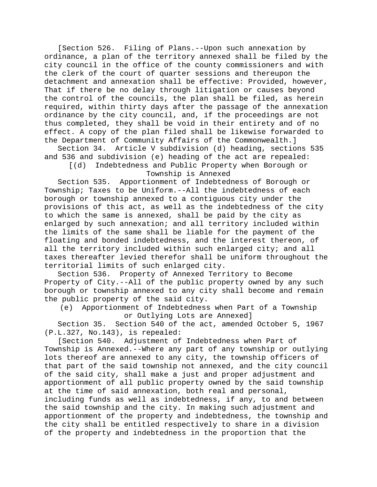[Section 526. Filing of Plans.--Upon such annexation by ordinance, a plan of the territory annexed shall be filed by the city council in the office of the county commissioners and with the clerk of the court of quarter sessions and thereupon the detachment and annexation shall be effective: Provided, however, That if there be no delay through litigation or causes beyond the control of the councils, the plan shall be filed, as herein required, within thirty days after the passage of the annexation ordinance by the city council, and, if the proceedings are not thus completed, they shall be void in their entirety and of no effect. A copy of the plan filed shall be likewise forwarded to the Department of Community Affairs of the Commonwealth.]<br>Section 34. Article V subdivision (d) heading, section

Article V subdivision (d) heading, sections 535 and 536 and subdivision (e) heading of the act are repealed:

[(d) Indebtedness and Public Property when Borough or Township is Annexed

Section 535. Apportionment of Indebtedness of Borough or Township; Taxes to be Uniform.--All the indebtedness of each borough or township annexed to a contiguous city under the provisions of this act, as well as the indebtedness of the city to which the same is annexed, shall be paid by the city as enlarged by such annexation; and all territory included within the limits of the same shall be liable for the payment of the floating and bonded indebtedness, and the interest thereon, of all the territory included within such enlarged city; and all taxes thereafter levied therefor shall be uniform throughout the territorial limits of such enlarged city.

Section 536. Property of Annexed Territory to Become Property of City.--All of the public property owned by any such borough or township annexed to any city shall become and remain the public property of the said city.

(e) Apportionment of Indebtedness when Part of a Township or Outlying Lots are Annexed]

Section 35. Section 540 of the act, amended October 5, 1967 (P.L.327, No.143), is repealed:

[Section 540. Adjustment of Indebtedness when Part of Township is Annexed.--Where any part of any township or outlying lots thereof are annexed to any city, the township officers of that part of the said township not annexed, and the city council of the said city, shall make a just and proper adjustment and apportionment of all public property owned by the said township at the time of said annexation, both real and personal, including funds as well as indebtedness, if any, to and between the said township and the city. In making such adjustment and apportionment of the property and indebtedness, the township and the city shall be entitled respectively to share in a division of the property and indebtedness in the proportion that the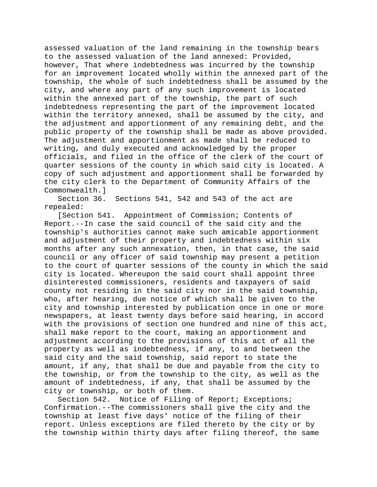assessed valuation of the land remaining in the township bears to the assessed valuation of the land annexed: Provided, however, That where indebtedness was incurred by the township for an improvement located wholly within the annexed part of the township, the whole of such indebtedness shall be assumed by the city, and where any part of any such improvement is located within the annexed part of the township, the part of such indebtedness representing the part of the improvement located within the territory annexed, shall be assumed by the city, and the adjustment and apportionment of any remaining debt, and the public property of the township shall be made as above provided. The adjustment and apportionment as made shall be reduced to writing, and duly executed and acknowledged by the proper officials, and filed in the office of the clerk of the court of quarter sessions of the county in which said city is located. A copy of such adjustment and apportionment shall be forwarded by the city clerk to the Department of Community Affairs of the Commonwealth.]

Section 36. Sections 541, 542 and 543 of the act are repealed:

[Section 541. Appointment of Commission; Contents of Report.--In case the said council of the said city and the township's authorities cannot make such amicable apportionment and adjustment of their property and indebtedness within six months after any such annexation, then, in that case, the said council or any officer of said township may present a petition to the court of quarter sessions of the county in which the said city is located. Whereupon the said court shall appoint three disinterested commissioners, residents and taxpayers of said county not residing in the said city nor in the said township, who, after hearing, due notice of which shall be given to the city and township interested by publication once in one or more newspapers, at least twenty days before said hearing, in accord with the provisions of section one hundred and nine of this act, shall make report to the court, making an apportionment and adjustment according to the provisions of this act of all the property as well as indebtedness, if any, to and between the said city and the said township, said report to state the amount, if any, that shall be due and payable from the city to the township, or from the township to the city, as well as the amount of indebtedness, if any, that shall be assumed by the city or township, or both of them.

Section 542. Notice of Filing of Report; Exceptions; Confirmation.--The commissioners shall give the city and the township at least five days' notice of the filing of their report. Unless exceptions are filed thereto by the city or by the township within thirty days after filing thereof, the same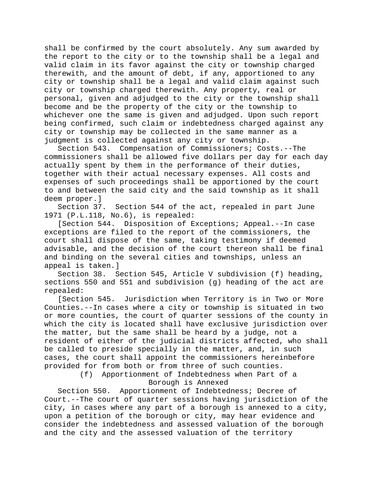shall be confirmed by the court absolutely. Any sum awarded by the report to the city or to the township shall be a legal and valid claim in its favor against the city or township charged therewith, and the amount of debt, if any, apportioned to any city or township shall be a legal and valid claim against such city or township charged therewith. Any property, real or personal, given and adjudged to the city or the township shall become and be the property of the city or the township to whichever one the same is given and adjudged. Upon such report being confirmed, such claim or indebtedness charged against any city or township may be collected in the same manner as a judgment is collected against any city or township.

Section 543. Compensation of Commissioners; Costs.--The commissioners shall be allowed five dollars per day for each day actually spent by them in the performance of their duties, together with their actual necessary expenses. All costs and expenses of such proceedings shall be apportioned by the court to and between the said city and the said township as it shall deem proper.]

Section 37. Section 544 of the act, repealed in part June 1971 (P.L.118, No.6), is repealed:

[Section 544. Disposition of Exceptions; Appeal.--In case exceptions are filed to the report of the commissioners, the court shall dispose of the same, taking testimony if deemed advisable, and the decision of the court thereon shall be final and binding on the several cities and townships, unless an appeal is taken.]

Section 38. Section 545, Article V subdivision (f) heading, sections 550 and 551 and subdivision (g) heading of the act are repealed:

[Section 545. Jurisdiction when Territory is in Two or More Counties.--In cases where a city or township is situated in two or more counties, the court of quarter sessions of the county in which the city is located shall have exclusive jurisdiction over the matter, but the same shall be heard by a judge, not a resident of either of the judicial districts affected, who shall be called to preside specially in the matter, and, in such cases, the court shall appoint the commissioners hereinbefore provided for from both or from three of such counties.

> (f) Apportionment of Indebtedness when Part of a Borough is Annexed

Section 550. Apportionment of Indebtedness; Decree of Court.--The court of quarter sessions having jurisdiction of the city, in cases where any part of a borough is annexed to a city, upon a petition of the borough or city, may hear evidence and consider the indebtedness and assessed valuation of the borough and the city and the assessed valuation of the territory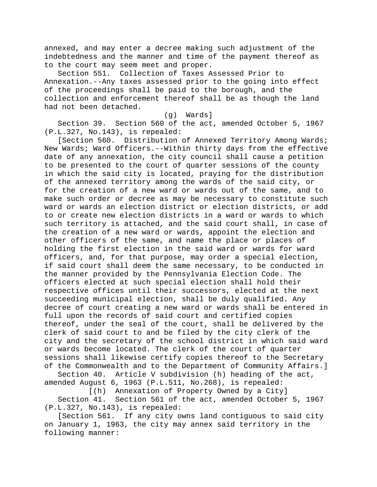annexed, and may enter a decree making such adjustment of the indebtedness and the manner and time of the payment thereof as to the court may seem meet and proper.

Section 551. Collection of Taxes Assessed Prior to Annexation.--Any taxes assessed prior to the going into effect of the proceedings shall be paid to the borough, and the collection and enforcement thereof shall be as though the land had not been detached.

# (g) Wards]

Section 39. Section 560 of the act, amended October 5, 1967 (P.L.327, No.143), is repealed:

[Section 560. Distribution of Annexed Territory Among Wards; New Wards; Ward Officers.--Within thirty days from the effective date of any annexation, the city council shall cause a petition to be presented to the court of quarter sessions of the county in which the said city is located, praying for the distribution of the annexed territory among the wards of the said city, or for the creation of a new ward or wards out of the same, and to make such order or decree as may be necessary to constitute such ward or wards an election district or election districts, or add to or create new election districts in a ward or wards to which such territory is attached, and the said court shall, in case of the creation of a new ward or wards, appoint the election and other officers of the same, and name the place or places of holding the first election in the said ward or wards for ward officers, and, for that purpose, may order a special election, if said court shall deem the same necessary, to be conducted in the manner provided by the Pennsylvania Election Code. The officers elected at such special election shall hold their respective offices until their successors, elected at the next succeeding municipal election, shall be duly qualified. Any decree of court creating a new ward or wards shall be entered in full upon the records of said court and certified copies thereof, under the seal of the court, shall be delivered by the clerk of said court to and be filed by the city clerk of the city and the secretary of the school district in which said ward or wards become located. The clerk of the court of quarter sessions shall likewise certify copies thereof to the Secretary of the Commonwealth and to the Department of Community Affairs.]

Section 40. Article V subdivision (h) heading of the act, amended August 6, 1963 (P.L.511, No.268), is repealed:

[(h) Annexation of Property Owned by a City]

Section 41. Section 561 of the act, amended October 5, 1967 (P.L.327, No.143), is repealed:

[Section 561. If any city owns land contiguous to said city on January 1, 1963, the city may annex said territory in the following manner: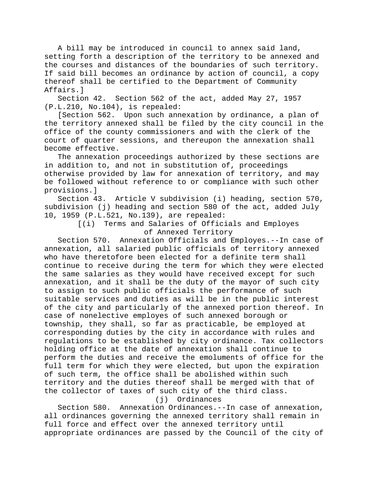A bill may be introduced in council to annex said land, setting forth a description of the territory to be annexed and the courses and distances of the boundaries of such territory. If said bill becomes an ordinance by action of council, a copy thereof shall be certified to the Department of Community Affairs.]

Section 42. Section 562 of the act, added May 27, 1957 (P.L.210, No.104), is repealed:

[Section 562. Upon such annexation by ordinance, a plan of the territory annexed shall be filed by the city council in the office of the county commissioners and with the clerk of the court of quarter sessions, and thereupon the annexation shall become effective.

The annexation proceedings authorized by these sections are in addition to, and not in substitution of, proceedings otherwise provided by law for annexation of territory, and may be followed without reference to or compliance with such other provisions.]

Section 43. Article V subdivision (i) heading, section 570, subdivision (j) heading and section 580 of the act, added July 10, 1959 (P.L.521, No.139), are repealed:

> [(i) Terms and Salaries of Officials and Employes of Annexed Territory

Section 570. Annexation Officials and Employes.--In case of annexation, all salaried public officials of territory annexed who have theretofore been elected for a definite term shall continue to receive during the term for which they were elected the same salaries as they would have received except for such annexation, and it shall be the duty of the mayor of such city to assign to such public officials the performance of such suitable services and duties as will be in the public interest of the city and particularly of the annexed portion thereof. In case of nonelective employes of such annexed borough or township, they shall, so far as practicable, be employed at corresponding duties by the city in accordance with rules and regulations to be established by city ordinance. Tax collectors holding office at the date of annexation shall continue to perform the duties and receive the emoluments of office for the full term for which they were elected, but upon the expiration of such term, the office shall be abolished within such territory and the duties thereof shall be merged with that of the collector of taxes of such city of the third class.

(j) Ordinances

Section 580. Annexation Ordinances.--In case of annexation, all ordinances governing the annexed territory shall remain in full force and effect over the annexed territory until appropriate ordinances are passed by the Council of the city of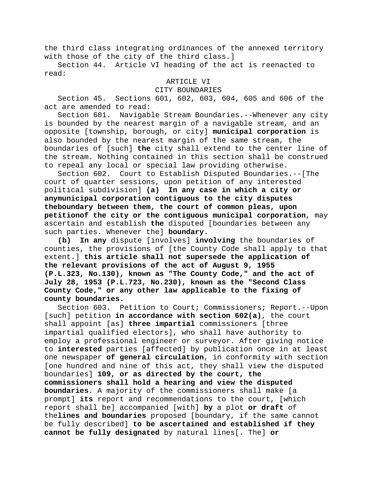the third class integrating ordinances of the annexed territory with those of the city of the third class.]

Section 44. Article VI heading of the act is reenacted to read:

# ARTICLE VI

### CITY BOUNDARIES

Section 45. Sections 601, 602, 603, 604, 605 and 606 of the act are amended to read:

Section 601. Navigable Stream Boundaries.--Whenever any city is bounded by the nearest margin of a navigable stream, and an opposite [township, borough, or city] **municipal corporation** is also bounded by the nearest margin of the same stream, the boundaries of [such] **the** city shall extend to the center line of the stream. Nothing contained in this section shall be construed to repeal any local or special law providing otherwise.

Section 602. Court to Establish Disputed Boundaries.--[The court of quarter sessions, upon petition of any interested political subdivision] **(a) In any case in which a city or anymunicipal corporation contiguous to the city disputes theboundary between them, the court of common pleas, upon petitionof the city or the contiguous municipal corporation**, may ascertain and establish **the** disputed [boundaries between any such parties. Whenever the] **boundary.**

**(b) In any** dispute [involves] **involving** the boundaries of counties, the provisions of [the County Code shall apply to that extent.] **this article shall not supersede the application of the relevant provisions of the act of August 9, 1955 (P.L.323, No.130), known as "The County Code," and the act of July 28, 1953 (P.L.723, No.230), known as the "Second Class County Code," or any other law applicable to the fixing of county boundaries.**

Section 603. Petition to Court; Commissioners; Report.--Upon [such] petition **in accordance with section 602(a)**, the court shall appoint [as] **three impartial** commissioners [three impartial qualified electors], who shall have authority to employ a professional engineer or surveyor. After giving notice to **interested** parties [affected] by publication once in at least one newspaper **of general circulation**, in conformity with section [one hundred and nine of this act, they shall view the disputed boundaries] **109, or as directed by the court, the commissioners shall hold a hearing and view the disputed boundaries**. A majority of the commissioners shall make [a prompt] **its** report and recommendations to the court, [which report shall be] accompanied [with] **by** a plot **or draft** of the**lines and boundaries** proposed [boundary, if the same cannot be fully described] **to be ascertained and established if they cannot be fully designated** by natural lines[. The] **or**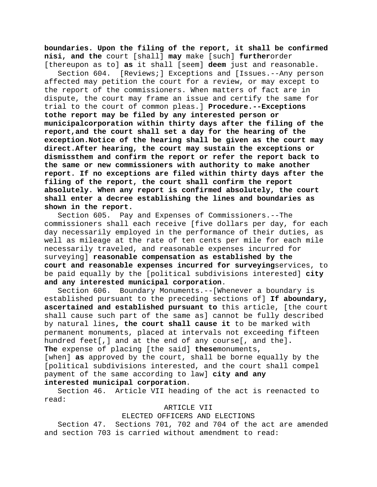**boundaries. Upon the filing of the report, it shall be confirmed nisi, and the** court [shall] **may** make [such] **further**order [thereupon as to] **as** it shall [seem] **deem** just and reasonable.

Section 604. [Reviews;] Exceptions and [Issues.--Any person affected may petition the court for a review, or may except to the report of the commissioners. When matters of fact are in dispute, the court may frame an issue and certify the same for trial to the court of common pleas.] **Procedure.--Exceptions tothe report may be filed by any interested person or municipalcorporation within thirty days after the filing of the report,and the court shall set a day for the hearing of the exception.Notice of the hearing shall be given as the court may direct.After hearing, the court may sustain the exceptions or dismissthem and confirm the report or refer the report back to the same or new commissioners with authority to make another report. If no exceptions are filed within thirty days after the filing of the report, the court shall confirm the report absolutely. When any report is confirmed absolutely, the court shall enter a decree establishing the lines and boundaries as shown in the report.**

Section 605. Pay and Expenses of Commissioners.--The commissioners shall each receive [five dollars per day, for each day necessarily employed in the performance of their duties, as well as mileage at the rate of ten cents per mile for each mile necessarily traveled, and reasonable expenses incurred for surveying] **reasonable compensation as established by the court and reasonable expenses incurred for surveying**services, to be paid equally by the [political subdivisions interested] **city and any interested municipal corporation**.

Section 606. Boundary Monuments.--[Whenever a boundary is established pursuant to the preceding sections of] **If aboundary, ascertained and established pursuant to** this article, [the court shall cause such part of the same as] cannot be fully described by natural lines**, the court shall cause it** to be marked with permanent monuments, placed at intervals not exceeding fifteen hundred feet[,] and at the end of any course[, and the]**. The** expense of placing [the said] **these**monuments,

[when] **as** approved by the court, shall be borne equally by the [political subdivisions interested, and the court shall compel payment of the same according to law] **city and any interested municipal corporation**.

Section 46. Article VII heading of the act is reenacted to read:

### ARTICLE VII

### ELECTED OFFICERS AND ELECTIONS

Section 47. Sections 701, 702 and 704 of the act are amended and section 703 is carried without amendment to read: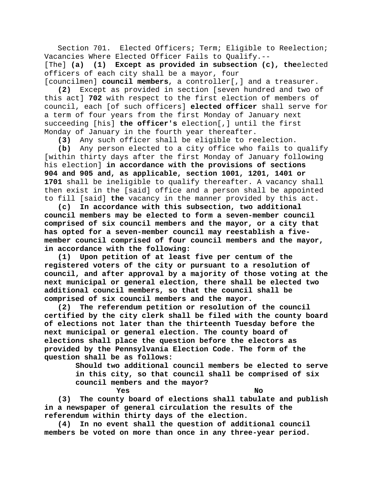Section 701. Elected Officers; Term; Eligible to Reelection; Vacancies Where Elected Officer Fails to Qualify.--

[The] **(a) (1) Except as provided in subsection (c), the**elected officers of each city shall be a mayor, four

[councilmen] **council members**, a controller[,] and a treasurer. **(2)** Except as provided in section [seven hundred and two of this act] **702** with respect to the first election of members of council, each [of such officers] **elected officer** shall serve for a term of four years from the first Monday of January next succeeding [his] **the officer's** election[,] until the first Monday of January in the fourth year thereafter.

**(3)** Any such officer shall be eligible to reelection.

**(b)** Any person elected to a city office who fails to qualify [within thirty days after the first Monday of January following his election] **in accordance with the provisions of sections 904 and 905 and, as applicable, section 1001, 1201, 1401 or 1701** shall be ineligible to qualify thereafter. A vacancy shall then exist in the [said] office and a person shall be appointed to fill [said] **the** vacancy in the manner provided by this act.

**(c) In accordance with this subsection, two additional council members may be elected to form a seven-member council comprised of six council members and the mayor, or a city that has opted for a seven-member council may reestablish a fivemember council comprised of four council members and the mayor, in accordance with the following:**

**(1) Upon petition of at least five per centum of the registered voters of the city or pursuant to a resolution of council, and after approval by a majority of those voting at the next municipal or general election, there shall be elected two additional council members, so that the council shall be comprised of six council members and the mayor.**

**(2) The referendum petition or resolution of the council certified by the city clerk shall be filed with the county board of elections not later than the thirteenth Tuesday before the next municipal or general election. The county board of elections shall place the question before the electors as provided by the Pennsylvania Election Code. The form of the question shall be as follows:**

> **Should two additional council members be elected to serve in this city, so that council shall be comprised of six council members and the mayor?**

**Yes No (3) The county board of elections shall tabulate and publish in a newspaper of general circulation the results of the referendum within thirty days of the election.**

**(4) In no event shall the question of additional council members be voted on more than once in any three-year period.**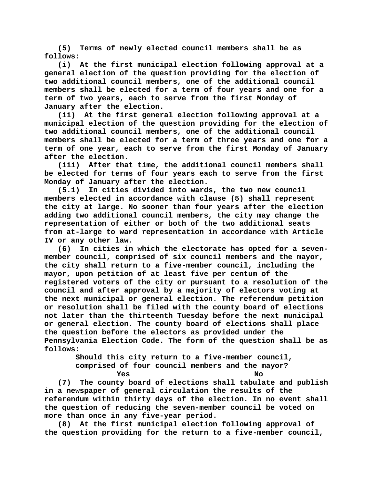**(5) Terms of newly elected council members shall be as follows:**

**(i) At the first municipal election following approval at a general election of the question providing for the election of two additional council members, one of the additional council members shall be elected for a term of four years and one for a term of two years, each to serve from the first Monday of January after the election.**

**(ii) At the first general election following approval at a municipal election of the question providing for the election of two additional council members, one of the additional council members shall be elected for a term of three years and one for a term of one year, each to serve from the first Monday of January after the election.**

**(iii) After that time, the additional council members shall be elected for terms of four years each to serve from the first Monday of January after the election.**

**(5.1) In cities divided into wards, the two new council members elected in accordance with clause (5) shall represent the city at large. No sooner than four years after the election adding two additional council members, the city may change the representation of either or both of the two additional seats from at-large to ward representation in accordance with Article IV or any other law.**

**(6) In cities in which the electorate has opted for a sevenmember council, comprised of six council members and the mayor, the city shall return to a five-member council, including the mayor, upon petition of at least five per centum of the registered voters of the city or pursuant to a resolution of the council and after approval by a majority of electors voting at the next municipal or general election. The referendum petition or resolution shall be filed with the county board of elections not later than the thirteenth Tuesday before the next municipal or general election. The county board of elections shall place the question before the electors as provided under the Pennsylvania Election Code. The form of the question shall be as follows:**

> **Should this city return to a five-member council, comprised of four council members and the mayor? Yes No**

**(7) The county board of elections shall tabulate and publish in a newspaper of general circulation the results of the referendum within thirty days of the election. In no event shall the question of reducing the seven-member council be voted on more than once in any five-year period.**

**(8) At the first municipal election following approval of the question providing for the return to a five-member council,**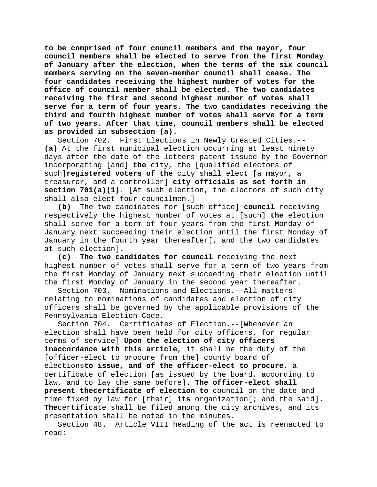**to be comprised of four council members and the mayor, four council members shall be elected to serve from the first Monday of January after the election, when the terms of the six council members serving on the seven-member council shall cease. The four candidates receiving the highest number of votes for the office of council member shall be elected. The two candidates receiving the first and second highest number of votes shall serve for a term of four years. The two candidates receiving the third and fourth highest number of votes shall serve for a term of two years. After that time, council members shall be elected as provided in subsection (a).**

Section 702. First Elections in Newly Created Cities.-- **(a)** At the first municipal election occurring at least ninety days after the date of the letters patent issued by the Governor incorporating [and] **the** city, the [qualified electors of such]**registered voters of the** city shall elect [a mayor, a treasurer, and a controller] **city officials as set forth in section 701(a)(1)**. [At such election, the electors of such city shall also elect four councilmen.]

**(b)** The two candidates for [such office] **council** receiving respectively the highest number of votes at [such] **the** election shall serve for a term of four years from the first Monday of January next succeeding their election until the first Monday of January in the fourth year thereafter[, and the two candidates at such election]**.**

**(c) The two candidates for council** receiving the next highest number of votes shall serve for a term of two years from the first Monday of January next succeeding their election until the first Monday of January in the second year thereafter.

Section 703. Nominations and Elections.--All matters relating to nominations of candidates and election of city officers shall be governed by the applicable provisions of the Pennsylvania Election Code.

Section 704. Certificates of Election.--[Whenever an election shall have been held for city officers, for regular terms of service] **Upon the election of city officers inaccordance with this article**, it shall be the duty of the [officer-elect to procure from the] county board of elections**to issue, and of the officer-elect to procure**, a certificate of election [as issued by the board, according to law, and to lay the same before]**. The officer-elect shall present thecertificate of election to** council on the date and time fixed by law for [their] **its** organization[; and the said]**. The**certificate shall be filed among the city archives, and its presentation shall be noted in the minutes.

Section 48. Article VIII heading of the act is reenacted to read: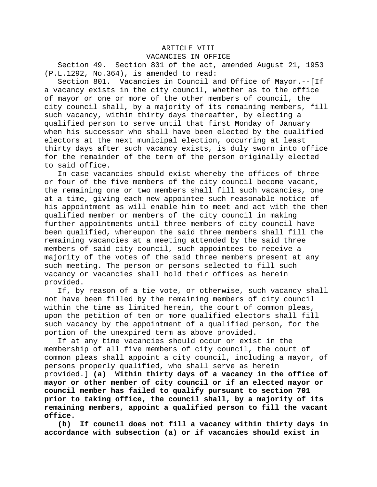# ARTICLE VIII

VACANCIES IN OFFICE

Section 49. Section 801 of the act, amended August 21, 1953 (P.L.1292, No.364), is amended to read:

Section 801. Vacancies in Council and Office of Mayor.--[If a vacancy exists in the city council, whether as to the office of mayor or one or more of the other members of council, the city council shall, by a majority of its remaining members, fill such vacancy, within thirty days thereafter, by electing a qualified person to serve until that first Monday of January when his successor who shall have been elected by the qualified electors at the next municipal election, occurring at least thirty days after such vacancy exists, is duly sworn into office for the remainder of the term of the person originally elected to said office.

In case vacancies should exist whereby the offices of three or four of the five members of the city council become vacant, the remaining one or two members shall fill such vacancies, one at a time, giving each new appointee such reasonable notice of his appointment as will enable him to meet and act with the then qualified member or members of the city council in making further appointments until three members of city council have been qualified, whereupon the said three members shall fill the remaining vacancies at a meeting attended by the said three members of said city council, such appointees to receive a majority of the votes of the said three members present at any such meeting. The person or persons selected to fill such vacancy or vacancies shall hold their offices as herein provided.

If, by reason of a tie vote, or otherwise, such vacancy shall not have been filled by the remaining members of city council within the time as limited herein, the court of common pleas, upon the petition of ten or more qualified electors shall fill such vacancy by the appointment of a qualified person, for the portion of the unexpired term as above provided.

If at any time vacancies should occur or exist in the membership of all five members of city council, the court of common pleas shall appoint a city council, including a mayor, of persons properly qualified, who shall serve as herein provided.] **(a) Within thirty days of a vacancy in the office of mayor or other member of city council or if an elected mayor or council member has failed to qualify pursuant to section 701 prior to taking office, the council shall, by a majority of its remaining members, appoint a qualified person to fill the vacant office.**

**(b) If council does not fill a vacancy within thirty days in accordance with subsection (a) or if vacancies should exist in**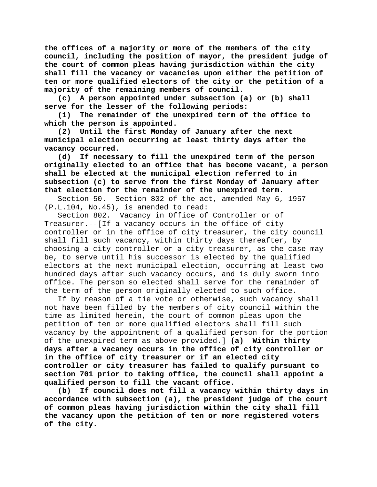**the offices of a majority or more of the members of the city council, including the position of mayor, the president judge of the court of common pleas having jurisdiction within the city shall fill the vacancy or vacancies upon either the petition of ten or more qualified electors of the city or the petition of a majority of the remaining members of council.**

**(c) A person appointed under subsection (a) or (b) shall serve for the lesser of the following periods:**

**(1) The remainder of the unexpired term of the office to which the person is appointed.**

**(2) Until the first Monday of January after the next municipal election occurring at least thirty days after the vacancy occurred.**

**(d) If necessary to fill the unexpired term of the person originally elected to an office that has become vacant, a person shall be elected at the municipal election referred to in subsection (c) to serve from the first Monday of January after that election for the remainder of the unexpired term.**

Section 50. Section 802 of the act, amended May 6, 1957 (P.L.104, No.45), is amended to read:

Section 802. Vacancy in Office of Controller or of Treasurer.--[If a vacancy occurs in the office of city controller or in the office of city treasurer, the city council shall fill such vacancy, within thirty days thereafter, by choosing a city controller or a city treasurer, as the case may be, to serve until his successor is elected by the qualified electors at the next municipal election, occurring at least two hundred days after such vacancy occurs, and is duly sworn into office. The person so elected shall serve for the remainder of the term of the person originally elected to such office.

If by reason of a tie vote or otherwise, such vacancy shall not have been filled by the members of city council within the time as limited herein, the court of common pleas upon the petition of ten or more qualified electors shall fill such vacancy by the appointment of a qualified person for the portion of the unexpired term as above provided.] **(a) Within thirty days after a vacancy occurs in the office of city controller or in the office of city treasurer or if an elected city controller or city treasurer has failed to qualify pursuant to section 701 prior to taking office, the council shall appoint a qualified person to fill the vacant office.**

**(b) If council does not fill a vacancy within thirty days in accordance with subsection (a), the president judge of the court of common pleas having jurisdiction within the city shall fill the vacancy upon the petition of ten or more registered voters of the city.**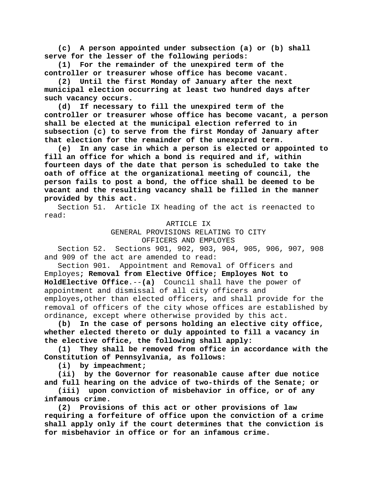**(c) A person appointed under subsection (a) or (b) shall serve for the lesser of the following periods:**

**(1) For the remainder of the unexpired term of the controller or treasurer whose office has become vacant.**

**(2) Until the first Monday of January after the next municipal election occurring at least two hundred days after such vacancy occurs.**

**(d) If necessary to fill the unexpired term of the controller or treasurer whose office has become vacant, a person shall be elected at the municipal election referred to in subsection (c) to serve from the first Monday of January after that election for the remainder of the unexpired term.**

**(e) In any case in which a person is elected or appointed to fill an office for which a bond is required and if, within fourteen days of the date that person is scheduled to take the oath of office at the organizational meeting of council, the person fails to post a bond, the office shall be deemed to be vacant and the resulting vacancy shall be filled in the manner provided by this act.**

Section 51. Article IX heading of the act is reenacted to read:

ARTICLE IX

GENERAL PROVISIONS RELATING TO CITY

OFFICERS AND EMPLOYES

Section 52. Sections 901, 902, 903, 904, 905, 906, 907, 908 and 909 of the act are amended to read:

Section 901. Appointment and Removal of Officers and Employes**; Removal from Elective Office; Employes Not to HoldElective Office**.--**(a)** Council shall have the power of appointment and dismissal of all city officers and employes**,**other than elected officers, and shall provide for the removal of officers of the city whose offices are established by ordinance, except where otherwise provided by this act.<br>(b) In the case of persons holding an elective city

**(b) In the case of persons holding an elective city office, whether elected thereto or duly appointed to fill a vacancy in the elective office, the following shall apply:**

**(1) They shall be removed from office in accordance with the Constitution of Pennsylvania, as follows:**

**(i) by impeachment;**

**(ii) by the Governor for reasonable cause after due notice and full hearing on the advice of two-thirds of the Senate; or**

**(iii) upon conviction of misbehavior in office, or of any infamous crime.**

**(2) Provisions of this act or other provisions of law requiring a forfeiture of office upon the conviction of a crime shall apply only if the court determines that the conviction is for misbehavior in office or for an infamous crime.**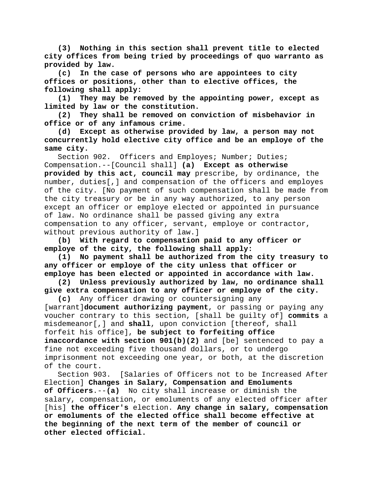**(3) Nothing in this section shall prevent title to elected city offices from being tried by proceedings of quo warranto as provided by law.**

**(c) In the case of persons who are appointees to city offices or positions, other than to elective offices, the following shall apply:**

**(1) They may be removed by the appointing power, except as limited by law or the constitution.**

**(2) They shall be removed on conviction of misbehavior in office or of any infamous crime.**

**(d) Except as otherwise provided by law, a person may not concurrently hold elective city office and be an employe of the same city.**

Section 902. Officers and Employes; Number; Duties; Compensation.--[Council shall] **(a) Except as otherwise provided by this act, council may** prescribe, by ordinance, the number, duties[,] and compensation of the officers and employes of the city. [No payment of such compensation shall be made from the city treasury or be in any way authorized, to any person except an officer or employe elected or appointed in pursuance of law. No ordinance shall be passed giving any extra compensation to any officer, servant, employe or contractor, without previous authority of law.]

**(b) With regard to compensation paid to any officer or employe of the city, the following shall apply:**

**(1) No payment shall be authorized from the city treasury to any officer or employe of the city unless that officer or employe has been elected or appointed in accordance with law.**

**(2) Unless previously authorized by law, no ordinance shall give extra compensation to any officer or employe of the city.**

**(c)** Any officer drawing or countersigning any [warrant]**document authorizing payment**, or passing or paying any voucher contrary to this section, [shall be guilty of] **commits** a misdemeanor[,] and **shall**, upon conviction [thereof, shall forfeit his office], **be subject to forfeiting office inaccordance with section 901(b)(2)** and [be] sentenced to pay a fine not exceeding five thousand dollars, or to undergo imprisonment not exceeding one year, or both, at the discretion of the court.

Section 903. [Salaries of Officers not to be Increased After Election] **Changes in Salary, Compensation and Emoluments of Officers**.--**(a)** No city shall increase or diminish the salary, compensation, or emoluments of any elected officer after [his] **the officer's** election. **Any change in salary, compensation or emoluments of the elected office shall become effective at the beginning of the next term of the member of council or other elected official.**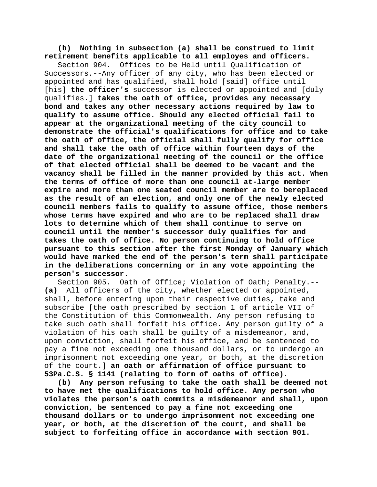**(b) Nothing in subsection (a) shall be construed to limit retirement benefits applicable to all employes and officers.**

Section 904. Offices to be Held until Qualification of Successors.--Any officer of any city, who has been elected or appointed and has qualified, shall hold [said] office until [his] **the officer's** successor is elected or appointed and [duly qualifies.] **takes the oath of office, provides any necessary bond and takes any other necessary actions required by law to qualify to assume office. Should any elected official fail to appear at the organizational meeting of the city council to demonstrate the official's qualifications for office and to take the oath of office, the official shall fully qualify for office and shall take the oath of office within fourteen days of the date of the organizational meeting of the council or the office of that elected official shall be deemed to be vacant and the vacancy shall be filled in the manner provided by this act. When the terms of office of more than one council at-large member expire and more than one seated council member are to bereplaced as the result of an election, and only one of the newly elected council members fails to qualify to assume office, those members whose terms have expired and who are to be replaced shall draw lots to determine which of them shall continue to serve on council until the member's successor duly qualifies for and takes the oath of office. No person continuing to hold office pursuant to this section after the first Monday of January which would have marked the end of the person's term shall participate in the deliberations concerning or in any vote appointing the person's successor.**

Section 905. Oath of Office; Violation of Oath; Penalty.-- **(a)** All officers of the city, whether elected or appointed, shall, before entering upon their respective duties, take and subscribe [the oath prescribed by section 1 of article VII of the Constitution of this Commonwealth. Any person refusing to take such oath shall forfeit his office. Any person guilty of a violation of his oath shall be guilty of a misdemeanor, and, upon conviction, shall forfeit his office, and be sentenced to pay a fine not exceeding one thousand dollars, or to undergo an imprisonment not exceeding one year, or both, at the discretion of the court.] **an oath or affirmation of office pursuant to 53Pa.C.S. § 1141 (relating to form of oaths of office).**

**(b) Any person refusing to take the oath shall be deemed not to have met the qualifications to hold office. Any person who violates the person's oath commits a misdemeanor and shall, upon conviction, be sentenced to pay a fine not exceeding one thousand dollars or to undergo imprisonment not exceeding one year, or both, at the discretion of the court, and shall be subject to forfeiting office in accordance with section 901.**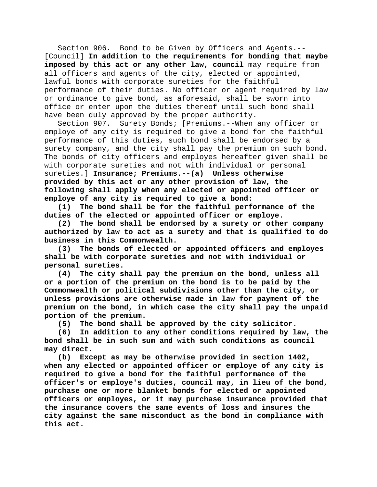Section 906. Bond to be Given by Officers and Agents.-- [Council] **In addition to the requirements for bonding that maybe imposed by this act or any other law, council** may require from all officers and agents of the city, elected or appointed, lawful bonds with corporate sureties for the faithful performance of their duties. No officer or agent required by law or ordinance to give bond, as aforesaid, shall be sworn into office or enter upon the duties thereof until such bond shall have been duly approved by the proper authority.

Section 907. Surety Bonds; [Premiums.--When any officer or employe of any city is required to give a bond for the faithful performance of this duties, such bond shall be endorsed by a surety company, and the city shall pay the premium on such bond. The bonds of city officers and employes hereafter given shall be with corporate sureties and not with individual or personal sureties.] **Insurance; Premiums.--(a) Unless otherwise provided by this act or any other provision of law, the following shall apply when any elected or appointed officer or employe of any city is required to give a bond:**

**(1) The bond shall be for the faithful performance of the duties of the elected or appointed officer or employe.**

**(2) The bond shall be endorsed by a surety or other company authorized by law to act as a surety and that is qualified to do business in this Commonwealth.**

**(3) The bonds of elected or appointed officers and employes shall be with corporate sureties and not with individual or personal sureties.**

**(4) The city shall pay the premium on the bond, unless all or a portion of the premium on the bond is to be paid by the Commonwealth or political subdivisions other than the city, or unless provisions are otherwise made in law for payment of the premium on the bond, in which case the city shall pay the unpaid portion of the premium.**

**(5) The bond shall be approved by the city solicitor.**

**(6) In addition to any other conditions required by law, the bond shall be in such sum and with such conditions as council may direct.**

**(b) Except as may be otherwise provided in section 1402, when any elected or appointed officer or employe of any city is required to give a bond for the faithful performance of the officer's or employe's duties, council may, in lieu of the bond, purchase one or more blanket bonds for elected or appointed officers or employes, or it may purchase insurance provided that the insurance covers the same events of loss and insures the city against the same misconduct as the bond in compliance with this act.**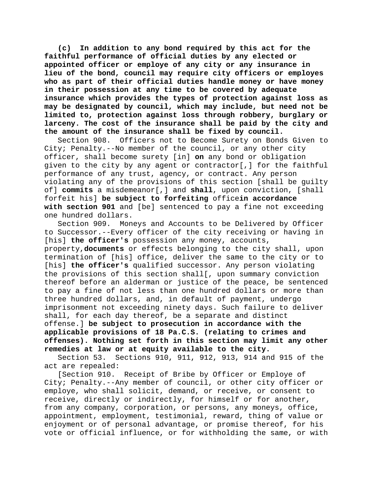**(c) In addition to any bond required by this act for the faithful performance of official duties by any elected or appointed officer or employe of any city or any insurance in lieu of the bond, council may require city officers or employes who as part of their official duties handle money or have money in their possession at any time to be covered by adequate insurance which provides the types of protection against loss as may be designated by council, which may include, but need not be limited to, protection against loss through robbery, burglary or larceny. The cost of the insurance shall be paid by the city and the amount of the insurance shall be fixed by council.**

Section 908. Officers not to Become Surety on Bonds Given to City; Penalty.--No member of the council, or any other city officer, shall become surety [in] **on** any bond or obligation given to the city by any agent or contractor[,] for the faithful performance of any trust, agency, or contract. Any person violating any of the provisions of this section [shall be guilty of] **commits** a misdemeanor[,] and **shall**, upon conviction, [shall forfeit his] **be subject to forfeiting** office**in accordance with section 901** and [be] sentenced to pay a fine not exceeding one hundred dollars.<br>Section 909. Mon

Moneys and Accounts to be Delivered by Officer to Successor.--Every officer of the city receiving or having in [his] **the officer's** possession any money, accounts, property,**documents** or effects belonging to the city shall, upon termination of [his] office, deliver the same to the city or to [his] **the officer's** qualified successor. Any person violating the provisions of this section shall[, upon summary conviction thereof before an alderman or justice of the peace, be sentenced to pay a fine of not less than one hundred dollars or more than three hundred dollars, and, in default of payment, undergo imprisonment not exceeding ninety days. Such failure to deliver shall, for each day thereof, be a separate and distinct offense.] **be subject to prosecution in accordance with the applicable provisions of 18 Pa.C.S. (relating to crimes and offenses). Nothing set forth in this section may limit any other remedies at law or at equity available to the city.**

Section 53. Sections 910, 911, 912, 913, 914 and 915 of the act are repealed:

[Section 910. Receipt of Bribe by Officer or Employe of City; Penalty.--Any member of council, or other city officer or employe, who shall solicit, demand, or receive, or consent to receive, directly or indirectly, for himself or for another, from any company, corporation, or persons, any moneys, office, appointment, employment, testimonial, reward, thing of value or enjoyment or of personal advantage, or promise thereof, for his vote or official influence, or for withholding the same, or with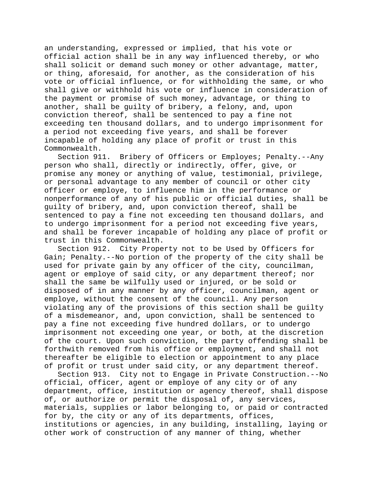an understanding, expressed or implied, that his vote or official action shall be in any way influenced thereby, or who shall solicit or demand such money or other advantage, matter, or thing, aforesaid, for another, as the consideration of his vote or official influence, or for withholding the same, or who shall give or withhold his vote or influence in consideration of the payment or promise of such money, advantage, or thing to another, shall be guilty of bribery, a felony, and, upon conviction thereof, shall be sentenced to pay a fine not exceeding ten thousand dollars, and to undergo imprisonment for a period not exceeding five years, and shall be forever incapable of holding any place of profit or trust in this Commonwealth.

Section 911. Bribery of Officers or Employes; Penalty.--Any person who shall, directly or indirectly, offer, give, or promise any money or anything of value, testimonial, privilege, or personal advantage to any member of council or other city officer or employe, to influence him in the performance or nonperformance of any of his public or official duties, shall be guilty of bribery, and, upon conviction thereof, shall be sentenced to pay a fine not exceeding ten thousand dollars, and to undergo imprisonment for a period not exceeding five years, and shall be forever incapable of holding any place of profit or trust in this Commonwealth.

Section 912. City Property not to be Used by Officers for Gain; Penalty.--No portion of the property of the city shall be used for private gain by any officer of the city, councilman, agent or employe of said city, or any department thereof; nor shall the same be wilfully used or injured, or be sold or disposed of in any manner by any officer, councilman, agent or employe, without the consent of the council. Any person violating any of the provisions of this section shall be guilty of a misdemeanor, and, upon conviction, shall be sentenced to pay a fine not exceeding five hundred dollars, or to undergo imprisonment not exceeding one year, or both, at the discretion of the court. Upon such conviction, the party offending shall be forthwith removed from his office or employment, and shall not thereafter be eligible to election or appointment to any place of profit or trust under said city, or any department thereof.

Section 913. City not to Engage in Private Construction.--No official, officer, agent or employe of any city or of any department, office, institution or agency thereof, shall dispose of, or authorize or permit the disposal of, any services, materials, supplies or labor belonging to, or paid or contracted for by, the city or any of its departments, offices, institutions or agencies, in any building, installing, laying or other work of construction of any manner of thing, whether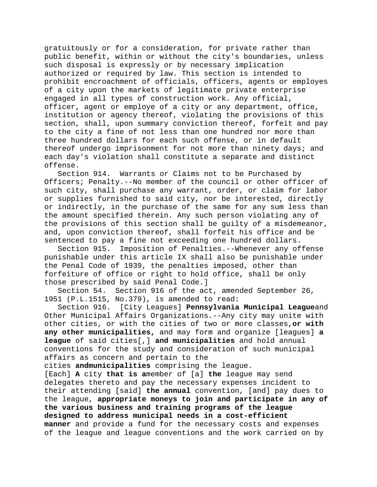gratuitously or for a consideration, for private rather than public benefit, within or without the city's boundaries, unless such disposal is expressly or by necessary implication authorized or required by law. This section is intended to prohibit encroachment of officials, officers, agents or employes of a city upon the markets of legitimate private enterprise engaged in all types of construction work. Any official, officer, agent or employe of a city or any department, office, institution or agency thereof, violating the provisions of this section, shall, upon summary conviction thereof, forfeit and pay to the city a fine of not less than one hundred nor more than three hundred dollars for each such offense, or in default thereof undergo imprisonment for not more than ninety days; and each day's violation shall constitute a separate and distinct offense.

Section 914. Warrants or Claims not to be Purchased by Officers; Penalty.--No member of the council or other officer of such city, shall purchase any warrant, order, or claim for labor or supplies furnished to said city, nor be interested, directly or indirectly, in the purchase of the same for any sum less than the amount specified therein. Any such person violating any of the provisions of this section shall be guilty of a misdemeanor, and, upon conviction thereof, shall forfeit his office and be sentenced to pay a fine not exceeding one hundred dollars.

Section 915. Imposition of Penalties.--Whenever any offense punishable under this article IX shall also be punishable under the Penal Code of 1939, the penalties imposed, other than forfeiture of office or right to hold office, shall be only those prescribed by said Penal Code.]

Section 54. Section 916 of the act, amended September 26, 1951 (P.L.1515, No.379), is amended to read:

Section 916. [City Leagues] **Pennsylvania Municipal League**and Other Municipal Affairs Organizations.--Any city may unite with other cities, or with the cities of two or more classes,**or with any other municipalities,** and may form and organize [leagues] **a league** of said cities[,] **and municipalities** and hold annual conventions for the study and consideration of such municipal affairs as concern and pertain to the

cities **andmunicipalities** comprising the league.

[Each] **A** city **that is a**member of [a] **the** league may send delegates thereto and pay the necessary expenses incident to their attending [said] **the annual** convention, [and] pay dues to the league, **appropriate moneys to join and participate in any of the various business and training programs of the league designed to address municipal needs in a cost-efficient manner** and provide a fund for the necessary costs and expenses of the league and league conventions and the work carried on by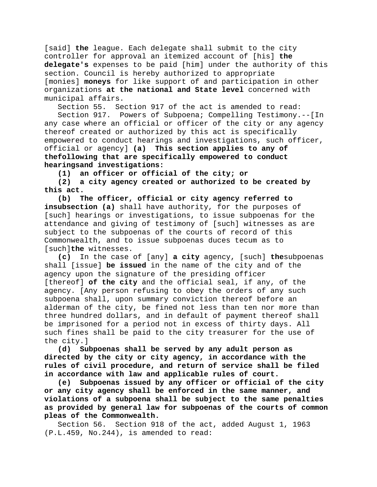[said] **the** league. Each delegate shall submit to the city controller for approval an itemized account of [his] **the delegate's** expenses to be paid [him] under the authority of this section. Council is hereby authorized to appropriate [monies] **moneys** for like support of and participation in other organizations **at the national and State level** concerned with municipal affairs.

Section 55. Section 917 of the act is amended to read:

Section 917. Powers of Subpoena; Compelling Testimony.--[In any case where an official or officer of the city or any agency thereof created or authorized by this act is specifically empowered to conduct hearings and investigations, such officer, official or agency] **(a) This section applies to any of thefollowing that are specifically empowered to conduct hearingsand investigations:**

**(1) an officer or official of the city; or**

**(2) a city agency created or authorized to be created by this act.**

**(b) The officer, official or city agency referred to insubsection (a)** shall have authority, for the purposes of [such] hearings or investigations, to issue subpoenas for the attendance and giving of testimony of [such] witnesses as are subject to the subpoenas of the courts of record of this Commonwealth, and to issue subpoenas duces tecum as to [such]**the** witnesses.

**(c)** In the case of [any] **a city** agency, [such] **the**subpoenas shall [issue] **be issued** in the name of the city and of the agency upon the signature of the presiding officer [thereof] **of the city** and the official seal, if any, of the agency. [Any person refusing to obey the orders of any such subpoena shall, upon summary conviction thereof before an alderman of the city, be fined not less than ten nor more than three hundred dollars, and in default of payment thereof shall be imprisoned for a period not in excess of thirty days. All such fines shall be paid to the city treasurer for the use of the city.]

**(d) Subpoenas shall be served by any adult person as directed by the city or city agency, in accordance with the rules of civil procedure, and return of service shall be filed in accordance with law and applicable rules of court.**

**(e) Subpoenas issued by any officer or official of the city or any city agency shall be enforced in the same manner, and violations of a subpoena shall be subject to the same penalties as provided by general law for subpoenas of the courts of common pleas of the Commonwealth.**

Section 56. Section 918 of the act, added August 1, 1963 (P.L.459, No.244), is amended to read: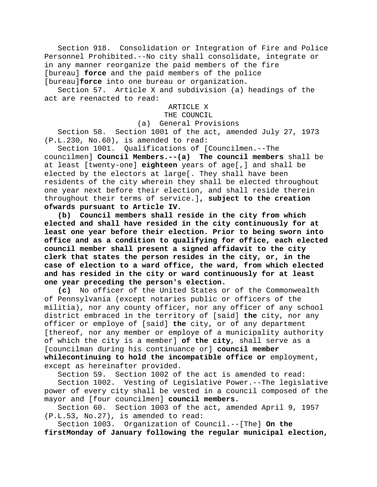Section 918. Consolidation or Integration of Fire and Police Personnel Prohibited.--No city shall consolidate, integrate or in any manner reorganize the paid members of the fire [bureau] **force** and the paid members of the police [bureau]**force** into one bureau or organization.

Section 57. Article X and subdivision (a) headings of the act are reenacted to read:

## ARTICLE X

# THE COUNCIL

(a) General Provisions

Section 58. Section 1001 of the act, amended July 27, 1973 (P.L.230, No.60), is amended to read:

Section 1001. Qualifications of [Councilmen.--The councilmen] **Council Members.--(a) The council members** shall be at least [twenty-one] **eighteen** years of age[,] and shall be elected by the electors at large[. They shall have been residents of the city wherein they shall be elected throughout one year next before their election, and shall reside therein throughout their terms of service.]**, subject to the creation ofwards pursuant to Article IV.**

**(b) Council members shall reside in the city from which elected and shall have resided in the city continuously for at least one year before their election. Prior to being sworn into office and as a condition to qualifying for office, each elected council member shall present a signed affidavit to the city clerk that states the person resides in the city, or, in the case of election to a ward office, the ward, from which elected and has resided in the city or ward continuously for at least one year preceding the person's election.**

**(c)** No officer of the United States or of the Commonwealth of Pennsylvania (except notaries public or officers of the militia), nor any county officer, nor any officer of any school district embraced in the territory of [said] **the** city, nor any officer or employe of [said] **the** city, or of any department [thereof, nor any member or employe of a municipality authority of which the city is a member] **of the city**, shall serve as a [councilman during his continuance or] **council member whilecontinuing to hold the incompatible office or** employment, except as hereinafter provided.

Section 59. Section 1002 of the act is amended to read:

Section 1002. Vesting of Legislative Power.--The legislative power of every city shall be vested in a council composed of the mayor and [four councilmen] **council members**.

Section 60. Section 1003 of the act, amended April 9, 1957 (P.L.53, No.27), is amended to read:

Section 1003. Organization of Council.--[The] **On the firstMonday of January following the regular municipal election,**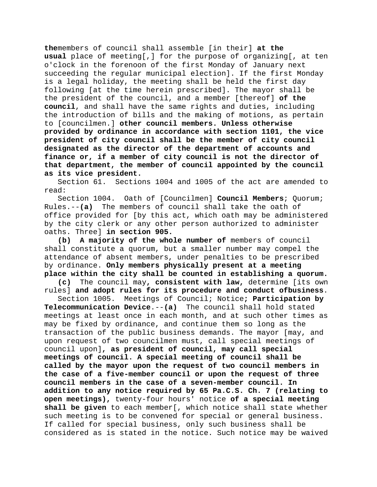**the**members of council shall assemble [in their] **at the usual** place of meeting[,] for the purpose of organizing[, at ten o'clock in the forenoon of the first Monday of January next succeeding the regular municipal election]. If the first Monday is a legal holiday, the meeting shall be held the first day following [at the time herein prescribed]. The mayor shall be the president of the council, and a member [thereof] **of the council**, and shall have the same rights and duties, including the introduction of bills and the making of motions, as pertain to [councilmen.] **other council members. Unless otherwise provided by ordinance in accordance with section 1101, the vice president of city council shall be the member of city council designated as the director of the department of accounts and finance or, if a member of city council is not the director of that department, the member of council appointed by the council as its vice president.**

Section 61. Sections 1004 and 1005 of the act are amended to read:

Section 1004. Oath of [Councilmen] **Council Members**; Quorum; Rules.--**(a)** The members of council shall take the oath of office provided for [by this act, which oath may be administered by the city clerk or any other person authorized to administer oaths. Three] **in section 905.**

**(b) A majority of the whole number of** members of council shall constitute a quorum, but a smaller number may compel the attendance of absent members, under penalties to be prescribed by ordinance. **Only members physically present at a meeting place within the city shall be counted in establishing a quorum.**

**(c)** The council may**, consistent with law,** determine [its own rules] **and adopt rules for its procedure and conduct ofbusiness**.

Section 1005. Meetings of Council; Notice**; Participation by Telecommunication Device**.--**(a)** The council shall hold stated meetings at least once in each month, and at such other times as may be fixed by ordinance, and continue them so long as the transaction of the public business demands. The mayor [may, and upon request of two councilmen must, call special meetings of council upon]**, as president of council, may call special meetings of council. A special meeting of council shall be called by the mayor upon the request of two council members in the case of a five-member council or upon the request of three council members in the case of a seven-member council. In addition to any notice required by 65 Pa.C.S. Ch. 7 (relating to open meetings),** twenty-four hours' notice **of a special meeting shall be given** to each member[, which notice shall state whether such meeting is to be convened for special or general business. If called for special business, only such business shall be considered as is stated in the notice. Such notice may be waived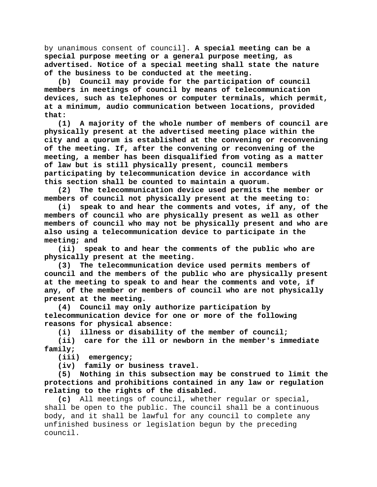by unanimous consent of council]. **A special meeting can be a special purpose meeting or a general purpose meeting, as advertised. Notice of a special meeting shall state the nature of the business to be conducted at the meeting.**

**(b) Council may provide for the participation of council members in meetings of council by means of telecommunication devices, such as telephones or computer terminals, which permit, at a minimum, audio communication between locations, provided that:**

**(1) A majority of the whole number of members of council are physically present at the advertised meeting place within the city and a quorum is established at the convening or reconvening of the meeting. If, after the convening or reconvening of the meeting, a member has been disqualified from voting as a matter of law but is still physically present, council members participating by telecommunication device in accordance with this section shall be counted to maintain a quorum.**

**(2) The telecommunication device used permits the member or members of council not physically present at the meeting to:**

**(i) speak to and hear the comments and votes, if any, of the members of council who are physically present as well as other members of council who may not be physically present and who are also using a telecommunication device to participate in the meeting; and**

**(ii) speak to and hear the comments of the public who are physically present at the meeting.**

**(3) The telecommunication device used permits members of council and the members of the public who are physically present at the meeting to speak to and hear the comments and vote, if any, of the member or members of council who are not physically present at the meeting.**

**(4) Council may only authorize participation by telecommunication device for one or more of the following reasons for physical absence:**

**(i) illness or disability of the member of council;**

**(ii) care for the ill or newborn in the member's immediate family;**

**(iii) emergency;**

**(iv) family or business travel.**

**(5) Nothing in this subsection may be construed to limit the protections and prohibitions contained in any law or regulation relating to the rights of the disabled.**

**(c)** All meetings of council, whether regular or special, shall be open to the public. The council shall be a continuous body, and it shall be lawful for any council to complete any unfinished business or legislation begun by the preceding council.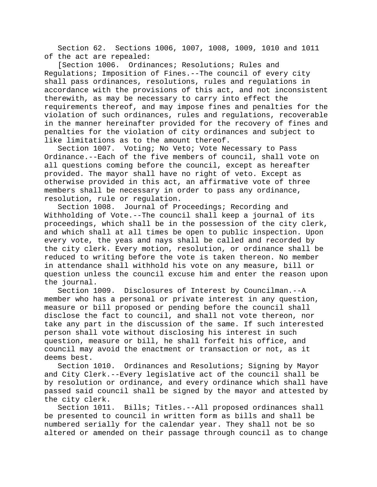Section 62. Sections 1006, 1007, 1008, 1009, 1010 and 1011 of the act are repealed:<br>Section 1006. Ordin

Ordinances; Resolutions; Rules and Regulations; Imposition of Fines.--The council of every city shall pass ordinances, resolutions, rules and regulations in accordance with the provisions of this act, and not inconsistent therewith, as may be necessary to carry into effect the requirements thereof, and may impose fines and penalties for the violation of such ordinances, rules and regulations, recoverable in the manner hereinafter provided for the recovery of fines and penalties for the violation of city ordinances and subject to like limitations as to the amount thereof.

Section 1007. Voting; No Veto; Vote Necessary to Pass Ordinance.--Each of the five members of council, shall vote on all questions coming before the council, except as hereafter provided. The mayor shall have no right of veto. Except as otherwise provided in this act, an affirmative vote of three members shall be necessary in order to pass any ordinance, resolution, rule or regulation.

Section 1008. Journal of Proceedings; Recording and Withholding of Vote.--The council shall keep a journal of its proceedings, which shall be in the possession of the city clerk, and which shall at all times be open to public inspection. Upon every vote, the yeas and nays shall be called and recorded by the city clerk. Every motion, resolution, or ordinance shall be reduced to writing before the vote is taken thereon. No member in attendance shall withhold his vote on any measure, bill or question unless the council excuse him and enter the reason upon the journal.

Section 1009. Disclosures of Interest by Councilman.--A member who has a personal or private interest in any question, measure or bill proposed or pending before the council shall disclose the fact to council, and shall not vote thereon, nor take any part in the discussion of the same. If such interested person shall vote without disclosing his interest in such question, measure or bill, he shall forfeit his office, and council may avoid the enactment or transaction or not, as it deems best.

Section 1010. Ordinances and Resolutions; Signing by Mayor and City Clerk.--Every legislative act of the council shall be by resolution or ordinance, and every ordinance which shall have passed said council shall be signed by the mayor and attested by the city clerk.

Section 1011. Bills; Titles.--All proposed ordinances shall be presented to council in written form as bills and shall be numbered serially for the calendar year. They shall not be so altered or amended on their passage through council as to change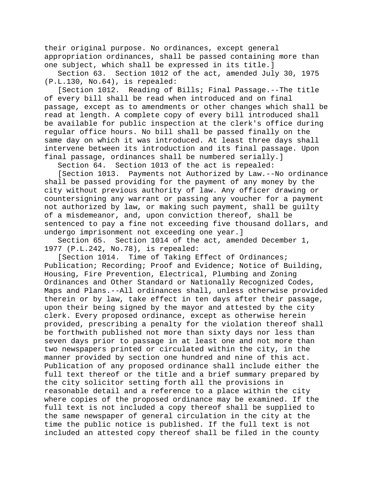their original purpose. No ordinances, except general appropriation ordinances, shall be passed containing more than one subject, which shall be expressed in its title.]

Section 63. Section 1012 of the act, amended July 30, 1975 (P.L.130, No.64), is repealed:

[Section 1012. Reading of Bills; Final Passage.--The title of every bill shall be read when introduced and on final passage, except as to amendments or other changes which shall be read at length. A complete copy of every bill introduced shall be available for public inspection at the clerk's office during regular office hours. No bill shall be passed finally on the same day on which it was introduced. At least three days shall intervene between its introduction and its final passage. Upon final passage, ordinances shall be numbered serially.]

Section 64. Section 1013 of the act is repealed:

[Section 1013. Payments not Authorized by Law.--No ordinance shall be passed providing for the payment of any money by the city without previous authority of law. Any officer drawing or countersigning any warrant or passing any voucher for a payment not authorized by law, or making such payment, shall be guilty of a misdemeanor, and, upon conviction thereof, shall be sentenced to pay a fine not exceeding five thousand dollars, and undergo imprisonment not exceeding one year.]

Section 65. Section 1014 of the act, amended December 1, 1977 (P.L.242, No.78), is repealed:

[Section 1014. Time of Taking Effect of Ordinances; Publication; Recording; Proof and Evidence; Notice of Building, Housing, Fire Prevention, Electrical, Plumbing and Zoning Ordinances and Other Standard or Nationally Recognized Codes, Maps and Plans.--All ordinances shall, unless otherwise provided therein or by law, take effect in ten days after their passage, upon their being signed by the mayor and attested by the city clerk. Every proposed ordinance, except as otherwise herein provided, prescribing a penalty for the violation thereof shall be forthwith published not more than sixty days nor less than seven days prior to passage in at least one and not more than two newspapers printed or circulated within the city, in the manner provided by section one hundred and nine of this act. Publication of any proposed ordinance shall include either the full text thereof or the title and a brief summary prepared by the city solicitor setting forth all the provisions in reasonable detail and a reference to a place within the city where copies of the proposed ordinance may be examined. If the full text is not included a copy thereof shall be supplied to the same newspaper of general circulation in the city at the time the public notice is published. If the full text is not included an attested copy thereof shall be filed in the county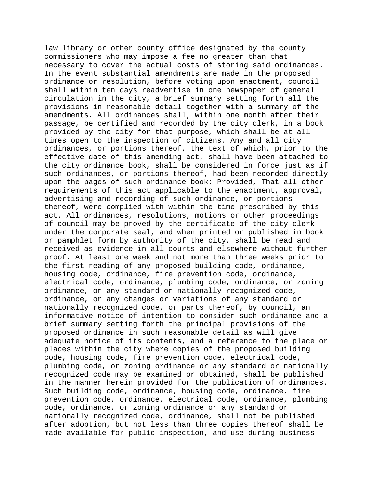law library or other county office designated by the county commissioners who may impose a fee no greater than that necessary to cover the actual costs of storing said ordinances. In the event substantial amendments are made in the proposed ordinance or resolution, before voting upon enactment, council shall within ten days readvertise in one newspaper of general circulation in the city, a brief summary setting forth all the provisions in reasonable detail together with a summary of the amendments. All ordinances shall, within one month after their passage, be certified and recorded by the city clerk, in a book provided by the city for that purpose, which shall be at all times open to the inspection of citizens. Any and all city ordinances, or portions thereof, the text of which, prior to the effective date of this amending act, shall have been attached to the city ordinance book, shall be considered in force just as if such ordinances, or portions thereof, had been recorded directly upon the pages of such ordinance book: Provided, That all other requirements of this act applicable to the enactment, approval, advertising and recording of such ordinance, or portions thereof, were complied with within the time prescribed by this act. All ordinances, resolutions, motions or other proceedings of council may be proved by the certificate of the city clerk under the corporate seal, and when printed or published in book or pamphlet form by authority of the city, shall be read and received as evidence in all courts and elsewhere without further proof. At least one week and not more than three weeks prior to the first reading of any proposed building code, ordinance, housing code, ordinance, fire prevention code, ordinance, electrical code, ordinance, plumbing code, ordinance, or zoning ordinance, or any standard or nationally recognized code, ordinance, or any changes or variations of any standard or nationally recognized code, or parts thereof, by council, an informative notice of intention to consider such ordinance and a brief summary setting forth the principal provisions of the proposed ordinance in such reasonable detail as will give adequate notice of its contents, and a reference to the place or places within the city where copies of the proposed building code, housing code, fire prevention code, electrical code, plumbing code, or zoning ordinance or any standard or nationally recognized code may be examined or obtained, shall be published in the manner herein provided for the publication of ordinances. Such building code, ordinance, housing code, ordinance, fire prevention code, ordinance, electrical code, ordinance, plumbing code, ordinance, or zoning ordinance or any standard or nationally recognized code, ordinance, shall not be published after adoption, but not less than three copies thereof shall be made available for public inspection, and use during business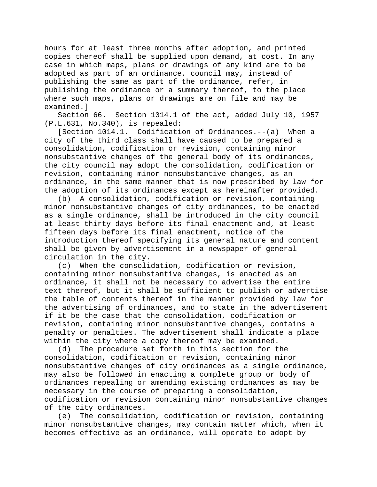hours for at least three months after adoption, and printed copies thereof shall be supplied upon demand, at cost. In any case in which maps, plans or drawings of any kind are to be adopted as part of an ordinance, council may, instead of publishing the same as part of the ordinance, refer, in publishing the ordinance or a summary thereof, to the place where such maps, plans or drawings are on file and may be examined.]

Section 66. Section 1014.1 of the act, added July 10, 1957 (P.L.631, No.340), is repealed:

[Section 1014.1. Codification of Ordinances.--(a) When a city of the third class shall have caused to be prepared a consolidation, codification or revision, containing minor nonsubstantive changes of the general body of its ordinances, the city council may adopt the consolidation, codification or revision, containing minor nonsubstantive changes, as an ordinance, in the same manner that is now prescribed by law for the adoption of its ordinances except as hereinafter provided.

(b) A consolidation, codification or revision, containing minor nonsubstantive changes of city ordinances, to be enacted as a single ordinance, shall be introduced in the city council at least thirty days before its final enactment and, at least fifteen days before its final enactment, notice of the introduction thereof specifying its general nature and content shall be given by advertisement in a newspaper of general circulation in the city.

(c) When the consolidation, codification or revision, containing minor nonsubstantive changes, is enacted as an ordinance, it shall not be necessary to advertise the entire text thereof, but it shall be sufficient to publish or advertise the table of contents thereof in the manner provided by law for the advertising of ordinances, and to state in the advertisement if it be the case that the consolidation, codification or revision, containing minor nonsubstantive changes, contains a penalty or penalties. The advertisement shall indicate a place within the city where a copy thereof may be examined.

(d) The procedure set forth in this section for the consolidation, codification or revision, containing minor nonsubstantive changes of city ordinances as a single ordinance, may also be followed in enacting a complete group or body of ordinances repealing or amending existing ordinances as may be necessary in the course of preparing a consolidation, codification or revision containing minor nonsubstantive changes of the city ordinances.

(e) The consolidation, codification or revision, containing minor nonsubstantive changes, may contain matter which, when it becomes effective as an ordinance, will operate to adopt by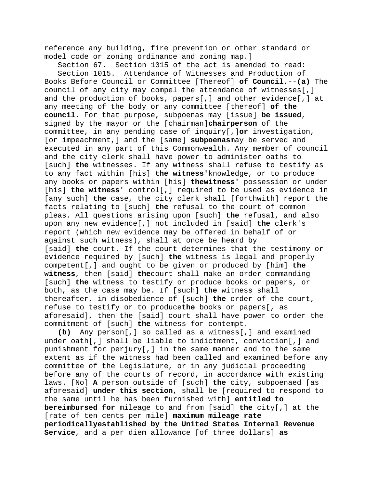reference any building, fire prevention or other standard or model code or zoning ordinance and zoning map.]

Section 67. Section 1015 of the act is amended to read: Section 1015. Attendance of Witnesses and Production of Books Before Council or Committee [Thereof] **of Council**.--**(a)** The council of any city may compel the attendance of witnesses[,] and the production of books, papers[,] and other evidence[,] at any meeting of the body or any committee [thereof] **of the council**. For that purpose, subpoenas may [issue] **be issued**, signed by the mayor or the [chairman]**chairperson** of the committee, in any pending case of inquiry[,]**or** investigation, [or impeachment,] and the [same] **subpoenas**may be served and executed in any part of this Commonwealth. Any member of council and the city clerk shall have power to administer oaths to [such] **the** witnesses. If any witness shall refuse to testify as to any fact within [his] **the witness'**knowledge, or to produce any books or papers within [his] **thewitness'** possession or under [his] **the witness'** control[,] required to be used as evidence in [any such] **the** case, the city clerk shall [forthwith] report the facts relating to [such] **the** refusal to the court of common pleas. All questions arising upon [such] **the** refusal, and also upon any new evidence[,] not included in [said] **the** clerk's report (which new evidence may be offered in behalf of or against such witness), shall at once be heard by [said] **the** court. If the court determines that the testimony or evidence required by [such] **the** witness is legal and properly competent[,] and ought to be given or produced by [him] **the witness**, then [said] **the**court shall make an order commanding [such] **the** witness to testify or produce books or papers, or both, as the case may be. If [such] **the** witness shall thereafter, in disobedience of [such] **the** order of the court, refuse to testify or to produce**the** books or papers[, as aforesaid], then the [said] court shall have power to order the commitment of [such] **the** witness for contempt.

**(b)** Any person[,] so called as a witness[,] and examined under oath[,] shall be liable to indictment, conviction[,] and punishment for perjury[,] in the same manner and to the same extent as if the witness had been called and examined before any committee of the Legislature, or in any judicial proceeding before any of the courts of record, in accordance with existing laws. [No] **A** person outside of [such] **the** city, subpoenaed [as aforesaid] **under this section**, shall be [required to respond to the same until he has been furnished with] **entitled to bereimbursed for** mileage to and from [said] **the** city[,] at the [rate of ten cents per mile] **maximum mileage rate periodicallyestablished by the United States Internal Revenue Service**, and a per diem allowance [of three dollars] **as**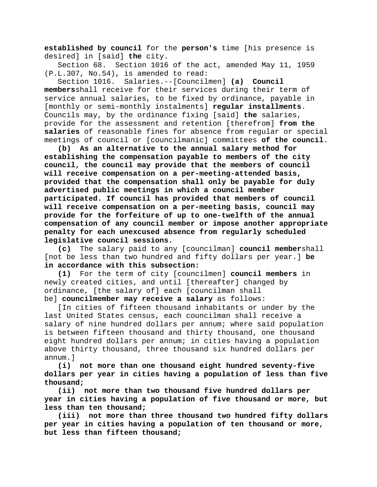**established by council** for the **person's** time [his presence is desired] in [said] **the** city.

Section 68. Section 1016 of the act, amended May 11, 1959 (P.L.307, No.54), is amended to read:

Section 1016. Salaries.--[Councilmen] **(a) Council members**shall receive for their services during their term of service annual salaries, to be fixed by ordinance, payable in [monthly or semi-monthly instalments] **regular installments**. Councils may, by the ordinance fixing [said] **the** salaries, provide for the assessment and retention [therefrom] **from the salaries** of reasonable fines for absence from regular or special meetings of council or [councilmanic] committees **of the council**.

**(b) As an alternative to the annual salary method for establishing the compensation payable to members of the city council, the council may provide that the members of council will receive compensation on a per-meeting-attended basis, provided that the compensation shall only be payable for duly advertised public meetings in which a council member participated. If council has provided that members of council will receive compensation on a per-meeting basis, council may provide for the forfeiture of up to one-twelfth of the annual compensation of any council member or impose another appropriate penalty for each unexcused absence from regularly scheduled legislative council sessions.**

**(c)** The salary paid to any [councilman] **council member**shall [not be less than two hundred and fifty dollars per year.] **be in accordance with this subsection:**

**(1)** For the term of city [councilmen] **council members** in newly created cities, and until [thereafter] changed by ordinance, [the salary of] each [councilman shall be] **councilmember may receive a salary** as follows:

[In cities of fifteen thousand inhabitants or under by the last United States census, each councilman shall receive a salary of nine hundred dollars per annum; where said population is between fifteen thousand and thirty thousand, one thousand eight hundred dollars per annum; in cities having a population above thirty thousand, three thousand six hundred dollars per annum.]

**(i) not more than one thousand eight hundred seventy-five dollars per year in cities having a population of less than five thousand;**

**(ii) not more than two thousand five hundred dollars per year in cities having a population of five thousand or more, but less than ten thousand;**

**(iii) not more than three thousand two hundred fifty dollars per year in cities having a population of ten thousand or more, but less than fifteen thousand;**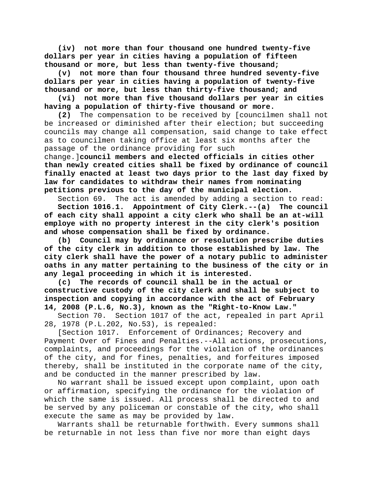**(iv) not more than four thousand one hundred twenty-five dollars per year in cities having a population of fifteen thousand or more, but less than twenty-five thousand;**

**(v) not more than four thousand three hundred seventy-five dollars per year in cities having a population of twenty-five thousand or more, but less than thirty-five thousand; and**

**(vi) not more than five thousand dollars per year in cities having a population of thirty-five thousand or more.**

**(2)** The compensation to be received by [councilmen shall not be increased or diminished after their election; but succeeding councils may change all compensation, said change to take effect as to councilmen taking office at least six months after the passage of the ordinance providing for such

change.]**council members and elected officials in cities other than newly created cities shall be fixed by ordinance of council finally enacted at least two days prior to the last day fixed by law for candidates to withdraw their names from nominating petitions previous to the day of the municipal election.**

Section 69. The act is amended by adding a section to read:

**Section 1016.1. Appointment of City Clerk.--(a) The council of each city shall appoint a city clerk who shall be an at-will employe with no property interest in the city clerk's position and whose compensation shall be fixed by ordinance.**

**(b) Council may by ordinance or resolution prescribe duties of the city clerk in addition to those established by law. The city clerk shall have the power of a notary public to administer oaths in any matter pertaining to the business of the city or in any legal proceeding in which it is interested.**

**(c) The records of council shall be in the actual or constructive custody of the city clerk and shall be subject to inspection and copying in accordance with the act of February 14, 2008 (P.L.6, No.3), known as the "Right-to-Know Law."**

Section 70. Section 1017 of the act, repealed in part April 28, 1978 (P.L.202, No.53), is repealed:

[Section 1017. Enforcement of Ordinances; Recovery and Payment Over of Fines and Penalties.--All actions, prosecutions, complaints, and proceedings for the violation of the ordinances of the city, and for fines, penalties, and forfeitures imposed thereby, shall be instituted in the corporate name of the city, and be conducted in the manner prescribed by law.

No warrant shall be issued except upon complaint, upon oath or affirmation, specifying the ordinance for the violation of which the same is issued. All process shall be directed to and be served by any policeman or constable of the city, who shall execute the same as may be provided by law.

Warrants shall be returnable forthwith. Every summons shall be returnable in not less than five nor more than eight days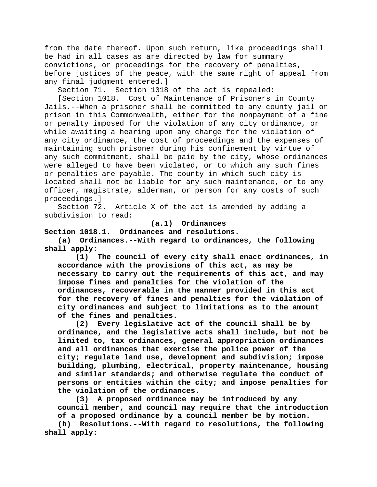from the date thereof. Upon such return, like proceedings shall be had in all cases as are directed by law for summary convictions, or proceedings for the recovery of penalties, before justices of the peace, with the same right of appeal from any final judgment entered.]

Section 71. Section 1018 of the act is repealed:

[Section 1018. Cost of Maintenance of Prisoners in County Jails.--When a prisoner shall be committed to any county jail or prison in this Commonwealth, either for the nonpayment of a fine or penalty imposed for the violation of any city ordinance, or while awaiting a hearing upon any charge for the violation of any city ordinance, the cost of proceedings and the expenses of maintaining such prisoner during his confinement by virtue of any such commitment, shall be paid by the city, whose ordinances were alleged to have been violated, or to which any such fines or penalties are payable. The county in which such city is located shall not be liable for any such maintenance, or to any officer, magistrate, alderman, or person for any costs of such proceedings.]

Section 72. Article X of the act is amended by adding a subdivision to read:

**(a.1) Ordinances**

**Section 1018.1. Ordinances and resolutions.**

**(a) Ordinances.--With regard to ordinances, the following shall apply:**

**(1) The council of every city shall enact ordinances, in accordance with the provisions of this act, as may be necessary to carry out the requirements of this act, and may impose fines and penalties for the violation of the ordinances, recoverable in the manner provided in this act for the recovery of fines and penalties for the violation of city ordinances and subject to limitations as to the amount of the fines and penalties.**

Every legislative act of the council shall be by **ordinance, and the legislative acts shall include, but not be limited to, tax ordinances, general appropriation ordinances and all ordinances that exercise the police power of the city; regulate land use, development and subdivision; impose building, plumbing, electrical, property maintenance, housing and similar standards; and otherwise regulate the conduct of persons or entities within the city; and impose penalties for the violation of the ordinances.**

**(3) A proposed ordinance may be introduced by any council member, and council may require that the introduction of a proposed ordinance by a council member be by motion. (b) Resolutions.--With regard to resolutions, the following shall apply:**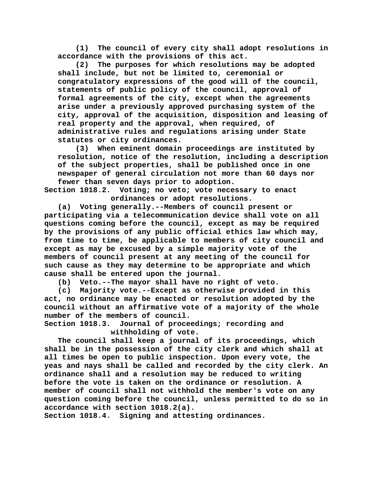**(1) The council of every city shall adopt resolutions in accordance with the provisions of this act.**

**(2) The purposes for which resolutions may be adopted shall include, but not be limited to, ceremonial or congratulatory expressions of the good will of the council, statements of public policy of the council, approval of formal agreements of the city, except when the agreements arise under a previously approved purchasing system of the city, approval of the acquisition, disposition and leasing of real property and the approval, when required, of administrative rules and regulations arising under State statutes or city ordinances.**

**(3) When eminent domain proceedings are instituted by resolution, notice of the resolution, including a description of the subject properties, shall be published once in one newspaper of general circulation not more than 60 days nor fewer than seven days prior to adoption.**

**Section 1018.2. Voting; no veto; vote necessary to enact ordinances or adopt resolutions.**

**(a) Voting generally.--Members of council present or participating via a telecommunication device shall vote on all questions coming before the council, except as may be required by the provisions of any public official ethics law which may, from time to time, be applicable to members of city council and except as may be excused by a simple majority vote of the members of council present at any meeting of the council for such cause as they may determine to be appropriate and which cause shall be entered upon the journal.**

**(b) Veto.--The mayor shall have no right of veto.**

**(c) Majority vote.--Except as otherwise provided in this act, no ordinance may be enacted or resolution adopted by the council without an affirmative vote of a majority of the whole**  number of the members of council.<br>Section 1018.3. Journal of proce

**Section 1018.3. Journal of proceedings; recording and withholding of vote.**

**The council shall keep a journal of its proceedings, which shall be in the possession of the city clerk and which shall at all times be open to public inspection. Upon every vote, the yeas and nays shall be called and recorded by the city clerk. An ordinance shall and a resolution may be reduced to writing before the vote is taken on the ordinance or resolution. A member of council shall not withhold the member's vote on any question coming before the council, unless permitted to do so in accordance with section 1018.2(a).**

**Section 1018.4. Signing and attesting ordinances.**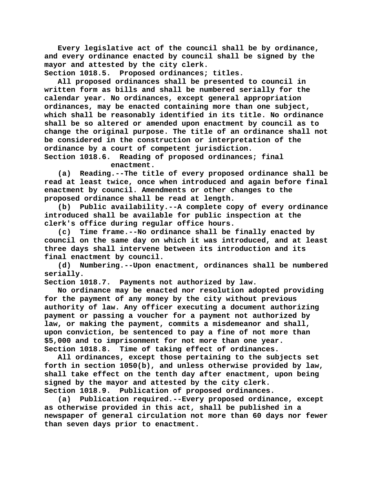**Every legislative act of the council shall be by ordinance, and every ordinance enacted by council shall be signed by the mayor and attested by the city clerk.**

**Section 1018.5. Proposed ordinances; titles.**

**All proposed ordinances shall be presented to council in written form as bills and shall be numbered serially for the calendar year. No ordinances, except general appropriation ordinances, may be enacted containing more than one subject, which shall be reasonably identified in its title. No ordinance shall be so altered or amended upon enactment by council as to change the original purpose. The title of an ordinance shall not be considered in the construction or interpretation of the ordinance by a court of competent jurisdiction.**

Reading of proposed ordinances; final **enactment.**

**(a) Reading.--The title of every proposed ordinance shall be read at least twice, once when introduced and again before final enactment by council. Amendments or other changes to the proposed ordinance shall be read at length.**

**(b) Public availability.--A complete copy of every ordinance introduced shall be available for public inspection at the clerk's office during regular office hours.**

**(c) Time frame.--No ordinance shall be finally enacted by council on the same day on which it was introduced, and at least three days shall intervene between its introduction and its final enactment by council.**

**(d) Numbering.--Upon enactment, ordinances shall be numbered serially.**

**Section 1018.7. Payments not authorized by law.**

**No ordinance may be enacted nor resolution adopted providing for the payment of any money by the city without previous authority of law. Any officer executing a document authorizing payment or passing a voucher for a payment not authorized by law, or making the payment, commits a misdemeanor and shall, upon conviction, be sentenced to pay a fine of not more than \$5,000 and to imprisonment for not more than one year. Section 1018.8. Time of taking effect of ordinances.**

**All ordinances, except those pertaining to the subjects set forth in section 1050(b), and unless otherwise provided by law, shall take effect on the tenth day after enactment, upon being signed by the mayor and attested by the city clerk. Section 1018.9. Publication of proposed ordinances.**

**(a) Publication required.--Every proposed ordinance, except as otherwise provided in this act, shall be published in a newspaper of general circulation not more than 60 days nor fewer than seven days prior to enactment.**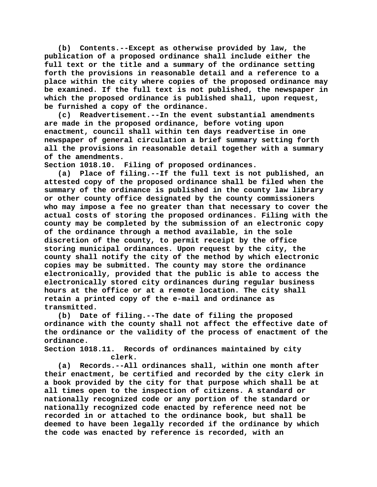**(b) Contents.--Except as otherwise provided by law, the publication of a proposed ordinance shall include either the full text or the title and a summary of the ordinance setting forth the provisions in reasonable detail and a reference to a place within the city where copies of the proposed ordinance may be examined. If the full text is not published, the newspaper in which the proposed ordinance is published shall, upon request, be furnished a copy of the ordinance.**

**(c) Readvertisement.--In the event substantial amendments are made in the proposed ordinance, before voting upon enactment, council shall within ten days readvertise in one newspaper of general circulation a brief summary setting forth all the provisions in reasonable detail together with a summary of the amendments.**

**Section 1018.10. Filing of proposed ordinances.**

**(a) Place of filing.--If the full text is not published, an attested copy of the proposed ordinance shall be filed when the summary of the ordinance is published in the county law library or other county office designated by the county commissioners who may impose a fee no greater than that necessary to cover the actual costs of storing the proposed ordinances. Filing with the county may be completed by the submission of an electronic copy of the ordinance through a method available, in the sole discretion of the county, to permit receipt by the office storing municipal ordinances. Upon request by the city, the county shall notify the city of the method by which electronic copies may be submitted. The county may store the ordinance electronically, provided that the public is able to access the electronically stored city ordinances during regular business hours at the office or at a remote location. The city shall retain a printed copy of the e-mail and ordinance as transmitted.**

**(b) Date of filing.--The date of filing the proposed ordinance with the county shall not affect the effective date of the ordinance or the validity of the process of enactment of the ordinance.**

Records of ordinances maintained by city **clerk.**

**(a) Records.--All ordinances shall, within one month after their enactment, be certified and recorded by the city clerk in a book provided by the city for that purpose which shall be at all times open to the inspection of citizens. A standard or nationally recognized code or any portion of the standard or nationally recognized code enacted by reference need not be recorded in or attached to the ordinance book, but shall be deemed to have been legally recorded if the ordinance by which the code was enacted by reference is recorded, with an**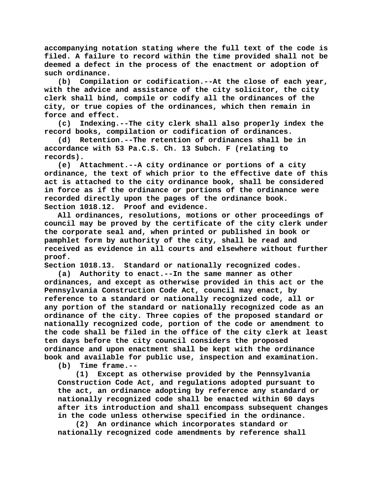**accompanying notation stating where the full text of the code is filed. A failure to record within the time provided shall not be deemed a defect in the process of the enactment or adoption of such ordinance.**

**(b) Compilation or codification.--At the close of each year, with the advice and assistance of the city solicitor, the city clerk shall bind, compile or codify all the ordinances of the city, or true copies of the ordinances, which then remain in force and effect.**

**(c) Indexing.--The city clerk shall also properly index the record books, compilation or codification of ordinances.**

**(d) Retention.--The retention of ordinances shall be in accordance with 53 Pa.C.S. Ch. 13 Subch. F (relating to records).**

**(e) Attachment.--A city ordinance or portions of a city ordinance, the text of which prior to the effective date of this act is attached to the city ordinance book, shall be considered in force as if the ordinance or portions of the ordinance were recorded directly upon the pages of the ordinance book. Section 1018.12. Proof and evidence.**

**All ordinances, resolutions, motions or other proceedings of council may be proved by the certificate of the city clerk under the corporate seal and, when printed or published in book or pamphlet form by authority of the city, shall be read and received as evidence in all courts and elsewhere without further proof.**

**Section 1018.13. Standard or nationally recognized codes.**

**(a) Authority to enact.--In the same manner as other ordinances, and except as otherwise provided in this act or the Pennsylvania Construction Code Act, council may enact, by reference to a standard or nationally recognized code, all or any portion of the standard or nationally recognized code as an ordinance of the city. Three copies of the proposed standard or nationally recognized code, portion of the code or amendment to the code shall be filed in the office of the city clerk at least ten days before the city council considers the proposed ordinance and upon enactment shall be kept with the ordinance book and available for public use, inspection and examination.**

**(b) Time frame.--**

**(1) Except as otherwise provided by the Pennsylvania Construction Code Act, and regulations adopted pursuant to the act, an ordinance adopting by reference any standard or nationally recognized code shall be enacted within 60 days after its introduction and shall encompass subsequent changes in the code unless otherwise specified in the ordinance.**

**(2) An ordinance which incorporates standard or nationally recognized code amendments by reference shall**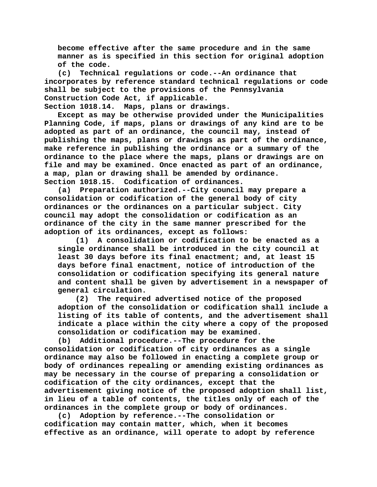**become effective after the same procedure and in the same manner as is specified in this section for original adoption of the code.**

**(c) Technical regulations or code.--An ordinance that incorporates by reference standard technical regulations or code shall be subject to the provisions of the Pennsylvania Construction Code Act, if applicable.**

**Section 1018.14. Maps, plans or drawings.**

**Except as may be otherwise provided under the Municipalities Planning Code, if maps, plans or drawings of any kind are to be adopted as part of an ordinance, the council may, instead of publishing the maps, plans or drawings as part of the ordinance, make reference in publishing the ordinance or a summary of the ordinance to the place where the maps, plans or drawings are on file and may be examined. Once enacted as part of an ordinance, a map, plan or drawing shall be amended by ordinance. Section 1018.15. Codification of ordinances.**

**(a) Preparation authorized.--City council may prepare a consolidation or codification of the general body of city ordinances or the ordinances on a particular subject. City council may adopt the consolidation or codification as an ordinance of the city in the same manner prescribed for the adoption of its ordinances, except as follows:**

**(1) A consolidation or codification to be enacted as a single ordinance shall be introduced in the city council at least 30 days before its final enactment; and, at least 15 days before final enactment, notice of introduction of the consolidation or codification specifying its general nature and content shall be given by advertisement in a newspaper of general circulation.**

**(2) The required advertised notice of the proposed adoption of the consolidation or codification shall include a listing of its table of contents, and the advertisement shall indicate a place within the city where a copy of the proposed consolidation or codification may be examined.**

**(b) Additional procedure.--The procedure for the consolidation or codification of city ordinances as a single ordinance may also be followed in enacting a complete group or body of ordinances repealing or amending existing ordinances as may be necessary in the course of preparing a consolidation or codification of the city ordinances, except that the advertisement giving notice of the proposed adoption shall list, in lieu of a table of contents, the titles only of each of the ordinances in the complete group or body of ordinances.**

**(c) Adoption by reference.--The consolidation or codification may contain matter, which, when it becomes effective as an ordinance, will operate to adopt by reference**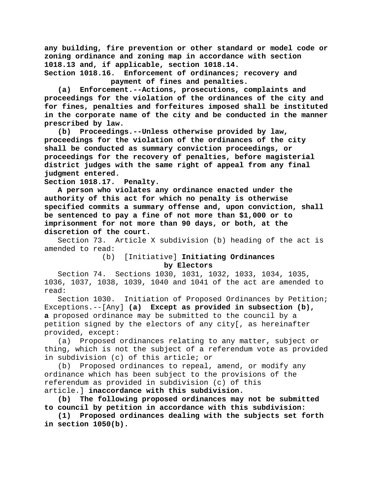**any building, fire prevention or other standard or model code or zoning ordinance and zoning map in accordance with section 1018.13 and, if applicable, section 1018.14. Section 1018.16. Enforcement of ordinances; recovery and** 

**payment of fines and penalties.**

**(a) Enforcement.--Actions, prosecutions, complaints and proceedings for the violation of the ordinances of the city and for fines, penalties and forfeitures imposed shall be instituted in the corporate name of the city and be conducted in the manner prescribed by law.**

**(b) Proceedings.--Unless otherwise provided by law, proceedings for the violation of the ordinances of the city shall be conducted as summary conviction proceedings, or proceedings for the recovery of penalties, before magisterial district judges with the same right of appeal from any final judgment entered.**

**Section 1018.17. Penalty.**

**A person who violates any ordinance enacted under the authority of this act for which no penalty is otherwise specified commits a summary offense and, upon conviction, shall be sentenced to pay a fine of not more than \$1,000 or to imprisonment for not more than 90 days, or both, at the discretion of the court.**

Section 73. Article X subdivision (b) heading of the act is amended to read:<br>(b)

(b) [Initiative] **Initiating Ordinances by Electors**

Section 74. Sections 1030, 1031, 1032, 1033, 1034, 1035, 1036, 1037, 1038, 1039, 1040 and 1041 of the act are amended to read:

Section 1030. Initiation of Proposed Ordinances by Petition; Exceptions.--[Any] **(a) Except as provided in subsection (b), a** proposed ordinance may be submitted to the council by a petition signed by the electors of any city[, as hereinafter provided, except:

(a) Proposed ordinances relating to any matter, subject or thing, which is not the subject of a referendum vote as provided in subdivision (c) of this article; or

(b) Proposed ordinances to repeal, amend, or modify any ordinance which has been subject to the provisions of the referendum as provided in subdivision (c) of this article.] **inaccordance with this subdivision.**

**(b) The following proposed ordinances may not be submitted to council by petition in accordance with this subdivision:**

**(1) Proposed ordinances dealing with the subjects set forth in section 1050(b).**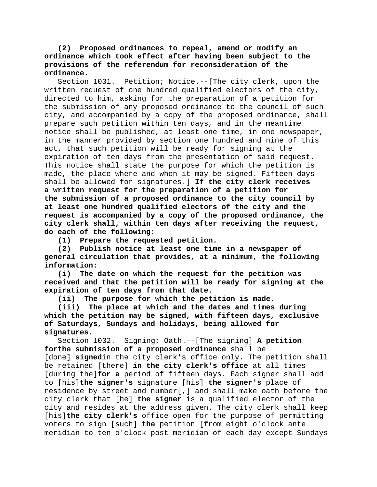# **(2) Proposed ordinances to repeal, amend or modify an ordinance which took effect after having been subject to the provisions of the referendum for reconsideration of the ordinance.**

Section 1031. Petition; Notice.--[The city clerk, upon the written request of one hundred qualified electors of the city, directed to him, asking for the preparation of a petition for the submission of any proposed ordinance to the council of such city, and accompanied by a copy of the proposed ordinance, shall prepare such petition within ten days, and in the meantime notice shall be published, at least one time, in one newspaper, in the manner provided by section one hundred and nine of this act, that such petition will be ready for signing at the expiration of ten days from the presentation of said request. This notice shall state the purpose for which the petition is made, the place where and when it may be signed. Fifteen days shall be allowed for signatures.] **If the city clerk receives a written request for the preparation of a petition for the submission of a proposed ordinance to the city council by at least one hundred qualified electors of the city and the request is accompanied by a copy of the proposed ordinance, the city clerk shall, within ten days after receiving the request, do each of the following:**

**(1) Prepare the requested petition.**

**(2) Publish notice at least one time in a newspaper of general circulation that provides, at a minimum, the following information:**

**(i) The date on which the request for the petition was received and that the petition will be ready for signing at the expiration of ten days from that date.**

**(ii) The purpose for which the petition is made.**

**(iii) The place at which and the dates and times during which the petition may be signed, with fifteen days, exclusive of Saturdays, Sundays and holidays, being allowed for signatures.**

Section 1032. Signing; Oath.--[The signing] **A petition forthe submission of a proposed ordinance** shall be [done] **signed**in the city clerk's office only. The petition shall be retained [there] **in the city clerk's office** at all times [during the]**for a** period of fifteen days. Each signer shall add to [his]**the signer's** signature [his] **the signer's** place of residence by street and number[,] and shall make oath before the city clerk that [he] **the signer** is a qualified elector of the city and resides at the address given. The city clerk shall keep [his]**the city clerk's** office open for the purpose of permitting voters to sign [such] **the** petition [from eight o'clock ante meridian to ten o'clock post meridian of each day except Sundays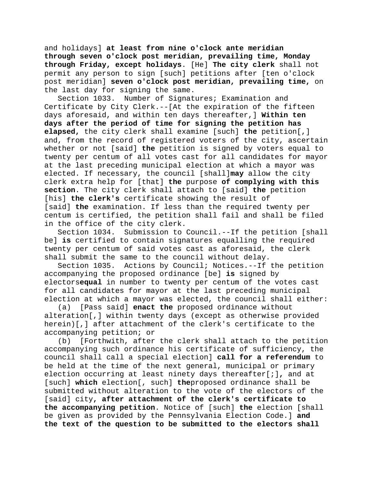and holidays] **at least from nine o'clock ante meridian through seven o'clock post meridian, prevailing time, Monday through Friday, except holidays**. [He] **The city clerk** shall not permit any person to sign [such] petitions after [ten o'clock post meridian] **seven o'clock post meridian, prevailing time,** on the last day for signing the same.

Section 1033. Number of Signatures; Examination and Certificate by City Clerk.--[At the expiration of the fifteen days aforesaid, and within ten days thereafter,] **Within ten days after the period of time for signing the petition has elapsed,** the city clerk shall examine [such] **the** petition[,] and, from the record of registered voters of the city, ascertain whether or not [said] **the** petition is signed by voters equal to twenty per centum of all votes cast for all candidates for mayor at the last preceding municipal election at which a mayor was elected. If necessary, the council [shall]**may** allow the city clerk extra help for [that] **the** purpose **of complying with this section**. The city clerk shall attach to [said] **the** petition [his] **the clerk's** certificate showing the result of [said] **the** examination. If less than the required twenty per centum is certified, the petition shall fail and shall be filed in the office of the city clerk.

Section 1034. Submission to Council.--If the petition [shall be] **is** certified to contain signatures equalling the required twenty per centum of said votes cast as aforesaid, the clerk shall submit the same to the council without delay.<br>Section 1035. Actions by Council; Notices.--If

Actions by Council; Notices.--If the petition accompanying the proposed ordinance [be] **is** signed by electors**equal** in number to twenty per centum of the votes cast for all candidates for mayor at the last preceding municipal election at which a mayor was elected, the council shall either:

(a) [Pass said] **enact the** proposed ordinance without alteration[,] within twenty days (except as otherwise provided herein)[,] after attachment of the clerk's certificate to the accompanying petition; or

(b) [Forthwith, after the clerk shall attach to the petition accompanying such ordinance his certificate of sufficiency, the council shall call a special election] **call for a referendum** to be held at the time of the next general, municipal or primary election occurring at least ninety days thereafter[;]**,** and at [such] **which** election[, such] **the**proposed ordinance shall be submitted without alteration to the vote of the electors of the [said] city**, after attachment of the clerk's certificate to the accompanying petition**. Notice of [such] **the** election [shall be given as provided by the Pennsylvania Election Code.] **and the text of the question to be submitted to the electors shall**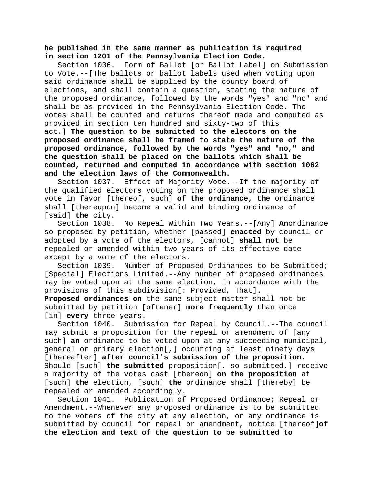# **be published in the same manner as publication is required in section 1201 of the Pennsylvania Election Code.**

Section 1036. Form of Ballot [or Ballot Label] on Submission to Vote.--[The ballots or ballot labels used when voting upon said ordinance shall be supplied by the county board of elections, and shall contain a question, stating the nature of the proposed ordinance, followed by the words "yes" and "no" and shall be as provided in the Pennsylvania Election Code. The votes shall be counted and returns thereof made and computed as provided in section ten hundred and sixty-two of this act.] **The question to be submitted to the electors on the proposed ordinance shall be framed to state the nature of the proposed ordinance, followed by the words "yes" and "no," and the question shall be placed on the ballots which shall be counted, returned and computed in accordance with section 1062 and the election laws of the Commonwealth.**

Effect of Majority Vote.--If the majority of the qualified electors voting on the proposed ordinance shall vote in favor [thereof, such] **of the ordinance, the** ordinance shall [thereupon] become a valid and binding ordinance of [said] **the** city.

Section 1038. No Repeal Within Two Years.--[Any] **An**ordinance so proposed by petition, whether [passed] **enacted** by council or adopted by a vote of the electors, [cannot] **shall not** be repealed or amended within two years of its effective date except by a vote of the electors.

Section 1039. Number of Proposed Ordinances to be Submitted; [Special] Elections Limited.--Any number of proposed ordinances may be voted upon at the same election, in accordance with the provisions of this subdivision[: Provided, That]**.** 

**Proposed ordinances on** the same subject matter shall not be submitted by petition [oftener] **more frequently** than once [in] **every** three years.<br>Section 1040. Submi

Submission for Repeal by Council.--The council may submit a proposition for the repeal or amendment of [any such] **an** ordinance to be voted upon at any succeeding municipal, general or primary election[,] occurring at least ninety days [thereafter] **after council's submission of the proposition**. Should [such] **the submitted** proposition[, so submitted,] receive a majority of the votes cast [thereon] **on the proposition** at [such] **the** election, [such] **the** ordinance shall [thereby] be repealed or amended accordingly.

Section 1041. Publication of Proposed Ordinance; Repeal or Amendment.--Whenever any proposed ordinance is to be submitted to the voters of the city at any election, or any ordinance is submitted by council for repeal or amendment, notice [thereof]**of the election and text of the question to be submitted to**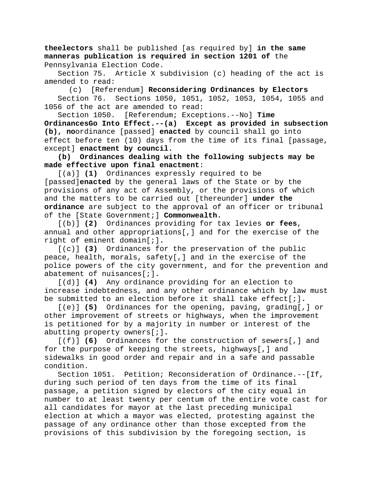**theelectors** shall be published [as required by] **in the same manneras publication is required in section 1201 of** the Pennsylvania Election Code.

Section 75. Article X subdivision (c) heading of the act is amended to read:

(c) [Referendum] **Reconsidering Ordinances by Electors** Section 76. Sections 1050, 1051, 1052, 1053, 1054, 1055 and 1056 of the act are amended to read:

Section 1050. [Referendum; Exceptions.--No] **Time OrdinancesGo Into Effect.--(a) Except as provided in subsection (b), no**ordinance [passed] **enacted** by council shall go into effect before ten (10) days from the time of its final [passage, except] **enactment by council.**

**(b) Ordinances dealing with the following subjects may be made effective upon final enactment**:

[(a)] **(1)** Ordinances expressly required to be [passed]**enacted** by the general laws of the State or by the provisions of any act of Assembly, or the provisions of which and the matters to be carried out [thereunder] **under the ordinance** are subject to the approval of an officer or tribunal of the [State Government;] **Commonwealth.**

[(b)] **(2)** Ordinances providing for tax levies **or fees**, annual and other appropriations[,] and for the exercise of the right of eminent domain[;]**.**

[(c)] **(3)** Ordinances for the preservation of the public peace, health, morals, safety[,] and in the exercise of the police powers of the city government, and for the prevention and abatement of nuisances[;]**.**

[(d)] **(4)** Any ordinance providing for an election to increase indebtedness, and any other ordinance which by law must be submitted to an election before it shall take effect[;]**.**

[(e)] **(5)** Ordinances for the opening, paving, grading[,] or other improvement of streets or highways, when the improvement is petitioned for by a majority in number or interest of the abutting property owners[;]**.**

[(f)] **(6)** Ordinances for the construction of sewers[,] and for the purpose of keeping the streets, highways[,] and sidewalks in good order and repair and in a safe and passable condition.

Section 1051. Petition; Reconsideration of Ordinance.--[If, during such period of ten days from the time of its final passage, a petition signed by electors of the city equal in number to at least twenty per centum of the entire vote cast for all candidates for mayor at the last preceding municipal election at which a mayor was elected, protesting against the passage of any ordinance other than those excepted from the provisions of this subdivision by the foregoing section, is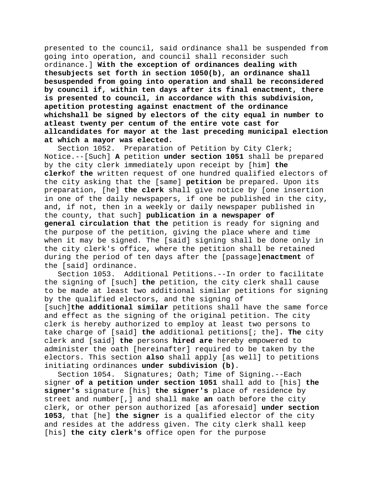presented to the council, said ordinance shall be suspended from going into operation, and council shall reconsider such ordinance.] **With the exception of ordinances dealing with thesubjects set forth in section 1050(b), an ordinance shall besuspended from going into operation and shall be reconsidered by council if, within ten days after its final enactment, there is presented to council, in accordance with this subdivision, apetition protesting against enactment of the ordinance whichshall be signed by electors of the city equal in number to atleast twenty per centum of the entire vote cast for allcandidates for mayor at the last preceding municipal election at which a mayor was elected.**

Preparation of Petition by City Clerk; Notice.--[Such] **A** petition **under section 1051** shall be prepared by the city clerk immediately upon receipt by [him] **the clerk**of **the** written request of one hundred qualified electors of the city asking that the [same] **petition** be prepared. Upon its preparation, [he] **the clerk** shall give notice by [one insertion in one of the daily newspapers, if one be published in the city, and, if not, then in a weekly or daily newspaper published in the county, that such] **publication in a newspaper of general circulation that the** petition is ready for signing and the purpose of the petition, giving the place where and time when it may be signed. The [said] signing shall be done only in the city clerk's office, where the petition shall be retained during the period of ten days after the [passage]**enactment** of the [said] ordinance.

Section 1053. Additional Petitions.--In order to facilitate the signing of [such] **the** petition, the city clerk shall cause to be made at least two additional similar petitions for signing by the qualified electors, and the signing of

[such]**the additional similar** petitions shall have the same force and effect as the signing of the original petition. The city clerk is hereby authorized to employ at least two persons to take charge of [said] **the** additional petitions[; the]**. The** city clerk and [said] **the** persons **hired are** hereby empowered to administer the oath [hereinafter] required to be taken by the electors. This section **also** shall apply [as well] to petitions initiating ordinances **under subdivision (b)**.

Section 1054. Signatures; Oath; Time of Signing.--Each signer **of a petition under section 1051** shall add to [his] **the signer's** signature [his] **the signer's** place of residence by street and number[,] and shall make **an** oath before the city clerk, or other person authorized [as aforesaid] **under section 1053**, that [he] **the signer** is a qualified elector of the city and resides at the address given. The city clerk shall keep [his] **the city clerk's** office open for the purpose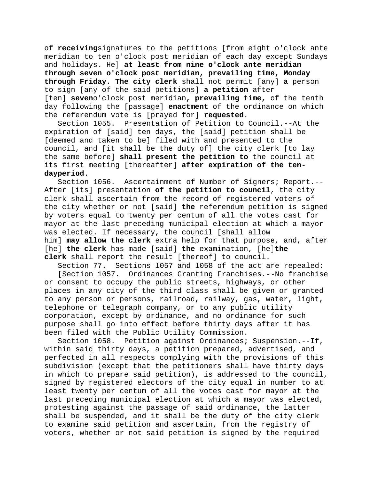of **receiving**signatures to the petitions [from eight o'clock ante meridian to ten o'clock post meridian of each day except Sundays and holidays. He] **at least from nine o'clock ante meridian through seven o'clock post meridian, prevailing time, Monday through Friday. The city clerk** shall not permit [any] **a** person to sign [any of the said petitions] **a petition** after [ten] **seven**o'clock post meridian**, prevailing time,** of the tenth day following the [passage] **enactment** of the ordinance on which the referendum vote is [prayed for] **requested**.

Section 1055. Presentation of Petition to Council.--At the expiration of [said] ten days, the [said] petition shall be [deemed and taken to be] filed with and presented to the council, and [it shall be the duty of] the city clerk [to lay the same before] **shall present the petition to** the council at its first meeting [thereafter] **after expiration of the tendayperiod**.

Ascertainment of Number of Signers; Report.--After [its] presentation **of the petition to council**, the city clerk shall ascertain from the record of registered voters of the city whether or not [said] **the** referendum petition is signed by voters equal to twenty per centum of all the votes cast for mayor at the last preceding municipal election at which a mayor was elected. If necessary, the council [shall allow him] **may allow the clerk** extra help for that purpose, and, after [he] **the clerk** has made [said] **the** examination, [he]**the clerk** shall report the result [thereof] to council.

Section 77. Sections 1057 and 1058 of the act are repealed:<br>[Section 1057. Ordinances Granting Franchises.--No franchis Ordinances Granting Franchises.--No franchise or consent to occupy the public streets, highways, or other places in any city of the third class shall be given or granted to any person or persons, railroad, railway, gas, water, light, telephone or telegraph company, or to any public utility corporation, except by ordinance, and no ordinance for such purpose shall go into effect before thirty days after it has been filed with the Public Utility Commission.

Section 1058. Petition against Ordinances; Suspension.--If, within said thirty days, a petition prepared, advertised, and perfected in all respects complying with the provisions of this subdivision (except that the petitioners shall have thirty days in which to prepare said petition), is addressed to the council, signed by registered electors of the city equal in number to at least twenty per centum of all the votes cast for mayor at the last preceding municipal election at which a mayor was elected, protesting against the passage of said ordinance, the latter shall be suspended, and it shall be the duty of the city clerk to examine said petition and ascertain, from the registry of voters, whether or not said petition is signed by the required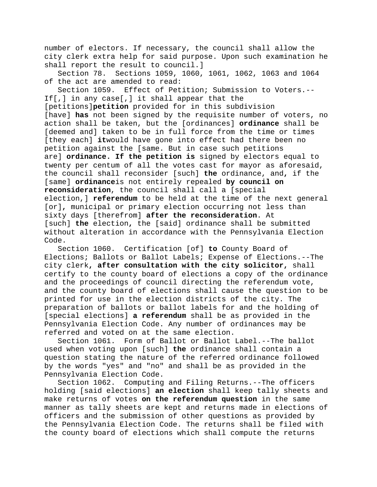number of electors. If necessary, the council shall allow the city clerk extra help for said purpose. Upon such examination he shall report the result to council.]

Section 78. Sections 1059, 1060, 1061, 1062, 1063 and 1064 of the act are amended to read:

Section 1059. Effect of Petition; Submission to Voters.-- If[,] in any case[,] it shall appear that the [petitions]**petition** provided for in this subdivision [have] **has** not been signed by the requisite number of voters, no action shall be taken, but the [ordinances] **ordinance** shall be [deemed and] taken to be in full force from the time or times [they each] **it**would have gone into effect had there been no petition against the [same. But in case such petitions are] **ordinance. If the petition is** signed by electors equal to twenty per centum of all the votes cast for mayor as aforesaid, the council shall reconsider [such] **the** ordinance, and**,** if the [same] **ordinance**is not entirely repealed **by council on reconsideration**, the council shall call a [special election,] **referendum** to be held at the time of the next general [or]**,** municipal or primary election occurring not less than sixty days [therefrom] **after the reconsideration**. At [such] **the** election**,** the [said] ordinance shall be submitted without alteration in accordance with the Pennsylvania Election Code.

Section 1060. Certification [of] **to** County Board of Elections; Ballots or Ballot Labels; Expense of Elections.--The city clerk**, after consultation with the city solicitor,** shall certify to the county board of elections a copy of the ordinance and the proceedings of council directing the referendum vote, and the county board of elections shall cause the question to be printed for use in the election districts of the city. The preparation of ballots or ballot labels for and the holding of [special elections] **a referendum** shall be as provided in the Pennsylvania Election Code. Any number of ordinances may be referred and voted on at the same election.

Section 1061. Form of Ballot or Ballot Label.--The ballot used when voting upon [such] **the** ordinance shall contain a question stating the nature of the referred ordinance followed by the words "yes" and "no" and shall be as provided in the Pennsylvania Election Code.

Section 1062. Computing and Filing Returns.--The officers holding [said elections] **an election** shall keep tally sheets and make returns of votes **on the referendum question** in the same manner as tally sheets are kept and returns made in elections of officers and the submission of other questions as provided by the Pennsylvania Election Code. The returns shall be filed with the county board of elections which shall compute the returns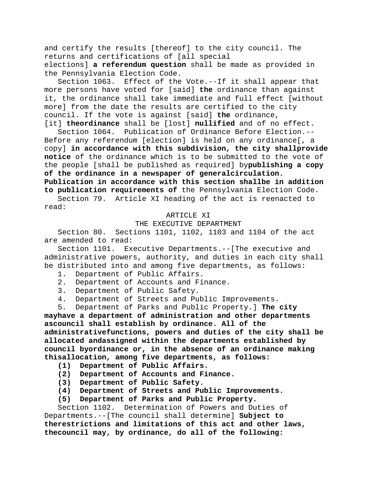and certify the results [thereof] to the city council. The returns and certifications of [all special

elections] **a referendum question** shall be made as provided in the Pennsylvania Election Code.

Section 1063. Effect of the Vote.--If it shall appear that more persons have voted for [said] **the** ordinance than against it, the ordinance shall take immediate and full effect [without more] from the date the results are certified to the city council. If the vote is against [said] **the** ordinance, [it] **theordinance** shall be [lost] **nullified** and of no effect.

Section 1064. Publication of Ordinance Before Election.-- Before any referendum [election] is held on any ordinance[, a copy] **in accordance with this subdivision, the city shallprovide notice** of the ordinance which is to be submitted to the vote of the people [shall be published as required] by**publishing a copy of the ordinance in a newspaper of generalcirculation. Publication in accordance with this section shallbe in addition to publication requirements of** the Pennsylvania Election Code.

Section 79. Article XI heading of the act is reenacted to read:

#### ARTICLE XI

# THE EXECUTIVE DEPARTMENT

Section 80. Sections 1101, 1102, 1103 and 1104 of the act are amended to read:

Section 1101. Executive Departments.--[The executive and administrative powers, authority, and duties in each city shall be distributed into and among five departments, as follows:

- 1. Department of Public Affairs.
- 2. Department of Accounts and Finance.
- 3. Department of Public Safety.
- 4. Department of Streets and Public Improvements.
- 5. Department of Parks and Public Property.] **The city**

**mayhave a department of administration and other departments ascouncil shall establish by ordinance. All of the administrativefunctions, powers and duties of the city shall be allocated andassigned within the departments established by council byordinance or, in the absence of an ordinance making thisallocation, among five departments, as follows:**

- **(1) Department of Public Affairs.**
- **(2) Department of Accounts and Finance.**
- **(3) Department of Public Safety.**
- **(4) Department of Streets and Public Improvements.**
- **(5) Department of Parks and Public Property.**

Section 1102. Determination of Powers and Duties of Departments.--[The council shall determine] **Subject to therestrictions and limitations of this act and other laws, thecouncil may, by ordinance, do all of the following:**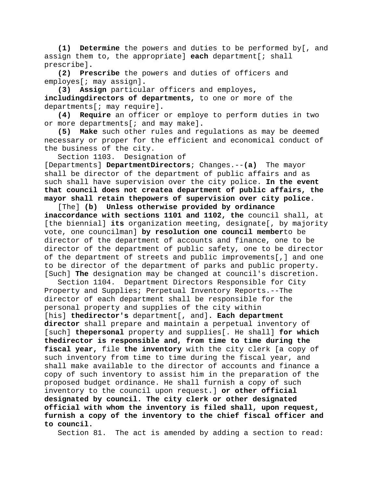**(1) Determine** the powers and duties to be performed by[, and assign them to, the appropriate] **each** department[; shall prescribe]**.**

**(2) Prescribe** the powers and duties of officers and employes[; may assign]**.**

**(3) Assign** particular officers and employes**, includingdirectors of departments,** to one or more of the departments[; may require]**.**

**(4) Require** an officer or employe to perform duties in two or more departments[; and may make]**.**

**(5) Make** such other rules and regulations as may be deemed necessary or proper for the efficient and economical conduct of the business of the city.

Section 1103. Designation of

[Departments] **DepartmentDirectors**; Changes.--**(a)** The mayor shall be director of the department of public affairs and as such shall have supervision over the city police. **In the event that council does not createa department of public affairs, the mayor shall retain thepowers of supervision over city police.**

[The] **(b) Unless otherwise provided by ordinance inaccordance with sections 1101 and 1102, the** council shall, at [the biennial] **its** organization meeting, designate[, by majority vote, one councilman] **by resolution one council member**to be director of the department of accounts and finance, one to be director of the department of public safety, one to be director of the department of streets and public improvements[,] and one to be director of the department of parks and public property. [Such] **The** designation may be changed at council's discretion.

Section 1104. Department Directors Responsible for City Property and Supplies; Perpetual Inventory Reports.--The director of each department shall be responsible for the personal property and supplies of the city within [his] **thedirector's** department[, and]**. Each department director** shall prepare and maintain a perpetual inventory of [such] **thepersonal** property and supplies[. He shall] **for which thedirector is responsible and, from time to time during the fiscal year,** file **the inventory** with the city clerk [a copy of such inventory from time to time during the fiscal year, and shall make available to the director of accounts and finance a copy of such inventory to assist him in the preparation of the proposed budget ordinance. He shall furnish a copy of such inventory to the council upon request.] **or other official designated by council. The city clerk or other designated official with whom the inventory is filed shall, upon request, furnish a copy of the inventory to the chief fiscal officer and to council.**

Section 81. The act is amended by adding a section to read: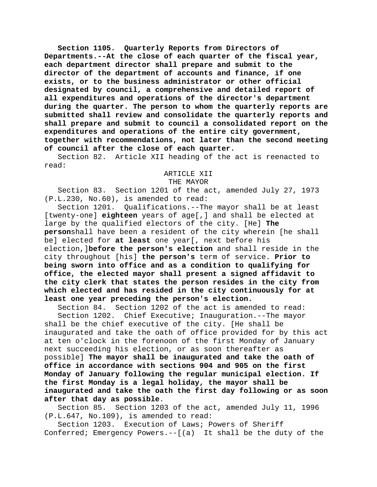**Section 1105. Quarterly Reports from Directors of Departments.--At the close of each quarter of the fiscal year, each department director shall prepare and submit to the director of the department of accounts and finance, if one exists, or to the business administrator or other official designated by council, a comprehensive and detailed report of all expenditures and operations of the director's department during the quarter. The person to whom the quarterly reports are submitted shall review and consolidate the quarterly reports and shall prepare and submit to council a consolidated report on the expenditures and operations of the entire city government, together with recommendations, not later than the second meeting of council after the close of each quarter.**

Section 82. Article XII heading of the act is reenacted to read:

## ARTICLE XII

### THE MAYOR

Section 83. Section 1201 of the act, amended July 27, 1973 (P.L.230, No.60), is amended to read:

Section 1201. Qualifications.--The mayor shall be at least [twenty-one] **eighteen** years of age[,] and shall be elected at large by the qualified electors of the city. [He] **The person**shall have been a resident of the city wherein [he shall be] elected for **at least** one year[, next before his election,]**before the person's election** and shall reside in the city throughout [his] **the person's** term of service. **Prior to being sworn into office and as a condition to qualifying for office, the elected mayor shall present a signed affidavit to the city clerk that states the person resides in the city from which elected and has resided in the city continuously for at least one year preceding the person's election.**

Section 84. Section 1202 of the act is amended to read:<br>Section 1202. Chief Executive; Inauguration.--The mayor

Chief Executive; Inauguration.--The mayor shall be the chief executive of the city. [He shall be inaugurated and take the oath of office provided for by this act at ten o'clock in the forenoon of the first Monday of January next succeeding his election, or as soon thereafter as possible] **The mayor shall be inaugurated and take the oath of office in accordance with sections 904 and 905 on the first Monday of January following the regular municipal election. If the first Monday is a legal holiday, the mayor shall be inaugurated and take the oath the first day following or as soon after that day as possible**.

Section 85. Section 1203 of the act, amended July 11, 1996 (P.L.647, No.109), is amended to read:

Section 1203. Execution of Laws; Powers of Sheriff Conferred; Emergency Powers.--[(a) It shall be the duty of the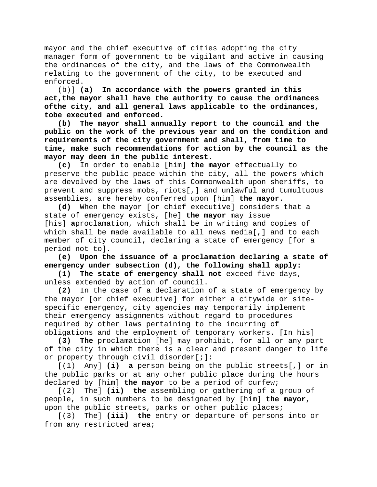mayor and the chief executive of cities adopting the city manager form of government to be vigilant and active in causing the ordinances of the city, and the laws of the Commonwealth relating to the government of the city, to be executed and enforced.

(b)] **(a) In accordance with the powers granted in this act,the mayor shall have the authority to cause the ordinances ofthe city, and all general laws applicable to the ordinances, tobe executed and enforced.**

**(b) The mayor shall annually report to the council and the public on the work of the previous year and on the condition and requirements of the city government and shall, from time to time, make such recommendations for action by the council as the mayor may deem in the public interest.**

**(c)** In order to enable [him] **the mayor** effectually to preserve the public peace within the city, all the powers which are devolved by the laws of this Commonwealth upon sheriffs, to prevent and suppress mobs, riots[,] and unlawful and tumultuous assemblies, are hereby conferred upon [him] **the mayor**.

**(d)** When the mayor [or chief executive] considers that a state of emergency exists, [he] **the mayor** may issue [his] **a**proclamation, which shall be in writing and copies of which shall be made available to all news media[,] and to each member of city council**,** declaring a state of emergency [for a period not to]**.**

**(e) Upon the issuance of a proclamation declaring a state of emergency under subsection (d), the following shall apply:**<br>(1) The state of emergency shall not exceed five days.

The state of emergency shall not exceed five days, unless extended by action of council.

**(2)** In the case of a declaration of a state of emergency by the mayor [or chief executive] for either a citywide or sitespecific emergency, city agencies may temporarily implement their emergency assignments without regard to procedures required by other laws pertaining to the incurring of

obligations and the employment of temporary workers. [In his]<br>(3) The proclamation [he] may prohibit, for all or any pa **(3) The** proclamation [he] may prohibit, for all or any part of the city in which there is a clear and present danger to life or property through civil disorder[;]**:**

[(1) Any] **(i) a** person being on the public streets[,] or in the public parks or at any other public place during the hours declared by [him] **the mayor** to be a period of curfew;

[(2) The] **(ii) the** assembling or gathering of a group of people, in such numbers to be designated by [him] **the mayor**, upon the public streets, parks or other public places;

[(3) The] **(iii) the** entry or departure of persons into or from any restricted area;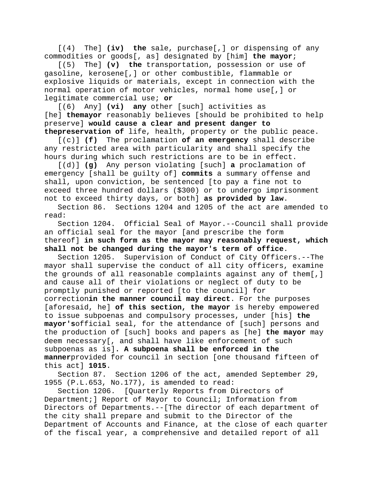[(4) The] **(iv) the** sale, purchase[,] or dispensing of any commodities or goods[, as] designated by [him] **the mayor**;

[(5) The] **(v) the** transportation, possession or use of gasoline, kerosene[,] or other combustible, flammable or explosive liquids or materials, except in connection with the normal operation of motor vehicles, normal home use[,] or legitimate commercial use; **or**

[(6) Any] **(vi) any** other [such] activities as [he] **themayor** reasonably believes [should be prohibited to help preserve] **would cause a clear and present danger to thepreservation of** life, health, property or the public peace.

[(c)] **(f)** The proclamation **of an emergency** shall describe any restricted area with particularity and shall specify the hours during which such restrictions are to be in effect.

[(d)] **(g)** Any person violating [such] **a** proclamation of emergency [shall be guilty of] **commits** a summary offense and shall, upon conviction, be sentenced [to pay a fine not to exceed three hundred dollars (\$300) or to undergo imprisonment not to exceed thirty days, or both] **as provided by law**.

Section 86. Sections 1204 and 1205 of the act are amended to read:

Section 1204. Official Seal of Mayor.--Council shall provide an official seal for the mayor [and prescribe the form thereof] **in such form as the mayor may reasonably request, which shall not be changed during the mayor's term of office**.

Section 1205. Supervision of Conduct of City Officers.--The mayor shall supervise the conduct of all city officers, examine the grounds of all reasonable complaints against any of them[,] and cause all of their violations or neglect of duty to be promptly punished or reported [to the council] for correction**in the manner council may direct**. For the purposes [aforesaid, he] **of this section, the mayor** is hereby empowered to issue subpoenas and compulsory processes, under [his] **the mayor's**official seal, for the attendance of [such] persons and the production of [such] books and papers as [he] **the mayor** may deem necessary[, and shall have like enforcement of such subpoenas as is]**. A subpoena shall be enforced in the manner**provided for council in section [one thousand fifteen of this act] **1015**.

Section 87. Section 1206 of the act, amended September 29, 1955 (P.L.653, No.177), is amended to read:

Section 1206. [Quarterly Reports from Directors of Department;] Report of Mayor to Council; Information from Directors of Departments.--[The director of each department of the city shall prepare and submit to the Director of the Department of Accounts and Finance, at the close of each quarter of the fiscal year, a comprehensive and detailed report of all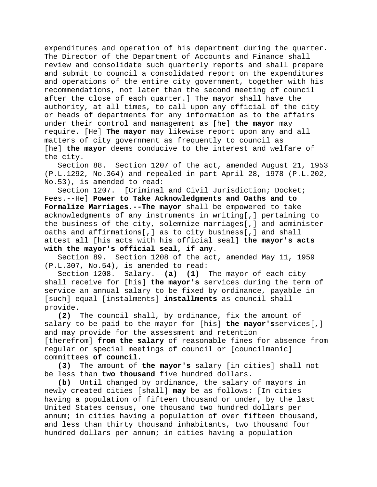expenditures and operation of his department during the quarter. The Director of the Department of Accounts and Finance shall review and consolidate such quarterly reports and shall prepare and submit to council a consolidated report on the expenditures and operations of the entire city government, together with his recommendations, not later than the second meeting of council after the close of each quarter.] The mayor shall have the authority, at all times, to call upon any official of the city or heads of departments for any information as to the affairs under their control and management as [he] **the mayor** may require. [He] **The mayor** may likewise report upon any and all matters of city government as frequently to council as [he] **the mayor** deems conducive to the interest and welfare of the city.

Section 88. Section 1207 of the act, amended August 21, 1953 (P.L.1292, No.364) and repealed in part April 28, 1978 (P.L.202, No.53), is amended to read:

Section 1207. [Criminal and Civil Jurisdiction; Docket; Fees.--He] **Power to Take Acknowledgments and Oaths and to Formalize Marriages.--The mayor** shall be empowered to take acknowledgments of any instruments in writing[,] pertaining to the business of the city, solemnize marriages[,] and administer oaths and affirmations[,] as to city business[,] and shall attest all [his acts with his official seal] **the mayor's acts with the mayor's official seal, if any**.

Section 89. Section 1208 of the act, amended May 11, 1959 (P.L.307, No.54), is amended to read:

Section 1208. Salary.--**(a) (1)** The mayor of each city shall receive for [his] **the mayor's** services during the term of service an annual salary to be fixed by ordinance, payable in [such] equal [instalments] **installments** as council shall provide.<br>(2)

**(2)** The council shall, by ordinance, fix the amount of salary to be paid to the mayor for [his] **the mayor's**services[,] and may provide for the assessment and retention [therefrom] **from the salary** of reasonable fines for absence from regular or special meetings of council or [councilmanic] committees **of council**.

**(3)** The amount of **the mayor's** salary [in cities] shall not be less than **two thousand** five hundred dollars.

**(b)** Until changed by ordinance, the salary of mayors in newly created cities [shall] **may** be as follows: [In cities having a population of fifteen thousand or under, by the last United States census, one thousand two hundred dollars per annum; in cities having a population of over fifteen thousand, and less than thirty thousand inhabitants, two thousand four hundred dollars per annum; in cities having a population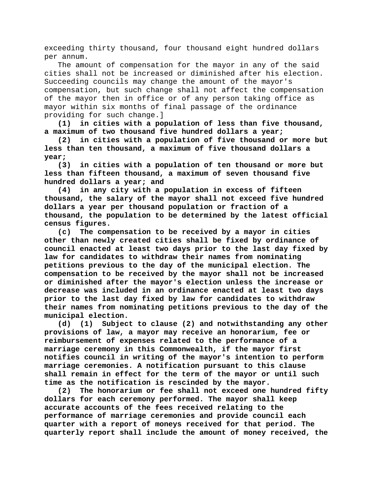exceeding thirty thousand, four thousand eight hundred dollars per annum.

The amount of compensation for the mayor in any of the said cities shall not be increased or diminished after his election. Succeeding councils may change the amount of the mayor's compensation, but such change shall not affect the compensation of the mayor then in office or of any person taking office as mayor within six months of final passage of the ordinance providing for such change.]

**(1) in cities with a population of less than five thousand, a maximum of two thousand five hundred dollars a year;**

**(2) in cities with a population of five thousand or more but less than ten thousand, a maximum of five thousand dollars a year;**

**(3) in cities with a population of ten thousand or more but less than fifteen thousand, a maximum of seven thousand five hundred dollars a year; and**

**(4) in any city with a population in excess of fifteen thousand, the salary of the mayor shall not exceed five hundred dollars a year per thousand population or fraction of a thousand, the population to be determined by the latest official census figures.**

**(c) The compensation to be received by a mayor in cities other than newly created cities shall be fixed by ordinance of council enacted at least two days prior to the last day fixed by law for candidates to withdraw their names from nominating petitions previous to the day of the municipal election. The compensation to be received by the mayor shall not be increased or diminished after the mayor's election unless the increase or decrease was included in an ordinance enacted at least two days prior to the last day fixed by law for candidates to withdraw their names from nominating petitions previous to the day of the municipal election.**

**(d) (1) Subject to clause (2) and notwithstanding any other provisions of law, a mayor may receive an honorarium, fee or reimbursement of expenses related to the performance of a marriage ceremony in this Commonwealth, if the mayor first notifies council in writing of the mayor's intention to perform marriage ceremonies. A notification pursuant to this clause shall remain in effect for the term of the mayor or until such time as the notification is rescinded by the mayor.**

**(2) The honorarium or fee shall not exceed one hundred fifty dollars for each ceremony performed. The mayor shall keep accurate accounts of the fees received relating to the performance of marriage ceremonies and provide council each quarter with a report of moneys received for that period. The quarterly report shall include the amount of money received, the**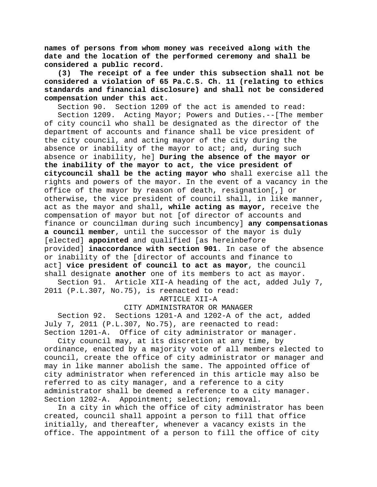**names of persons from whom money was received along with the date and the location of the performed ceremony and shall be considered a public record.**

**(3) The receipt of a fee under this subsection shall not be considered a violation of 65 Pa.C.S. Ch. 11 (relating to ethics standards and financial disclosure) and shall not be considered compensation under this act.**

Section 90. Section 1209 of the act is amended to read:

Section 1209. Acting Mayor; Powers and Duties.--[The member of city council who shall be designated as the director of the department of accounts and finance shall be vice president of the city council, and acting mayor of the city during the absence or inability of the mayor to act; and, during such absence or inability, he] **During the absence of the mayor or the inability of the mayor to act, the vice president of citycouncil shall be the acting mayor who** shall exercise all the rights and powers of the mayor. In the event of a vacancy in the office of the mayor by reason of death, resignation[,] or otherwise, the vice president of council shall, in like manner, act as the mayor and shall**, while acting as mayor,** receive the compensation of mayor but not [of director of accounts and finance or councilman during such incumbency] **any compensationas a council member**, until the successor of the mayor is duly [elected] **appointed** and qualified [as hereinbefore provided] **inaccordance with section 901**. In case of the absence or inability of the [director of accounts and finance to act] **vice president of council to act as mayor**, the council shall designate **another** one of its members to act as mayor.

Section 91. Article XII-A heading of the act, added July 7, 2011 (P.L.307, No.75), is reenacted to read:

# ARTICLE XII-A

## CITY ADMINISTRATOR OR MANAGER

Section 92. Sections 1201-A and 1202-A of the act, added July 7, 2011 (P.L.307, No.75), are reenacted to read: Section 1201-A. Office of city administrator or manager.

City council may, at its discretion at any time, by ordinance, enacted by a majority vote of all members elected to council, create the office of city administrator or manager and may in like manner abolish the same. The appointed office of city administrator when referenced in this article may also be referred to as city manager, and a reference to a city administrator shall be deemed a reference to a city manager. Section 1202-A. Appointment; selection; removal.

In a city in which the office of city administrator has been created, council shall appoint a person to fill that office initially, and thereafter, whenever a vacancy exists in the office. The appointment of a person to fill the office of city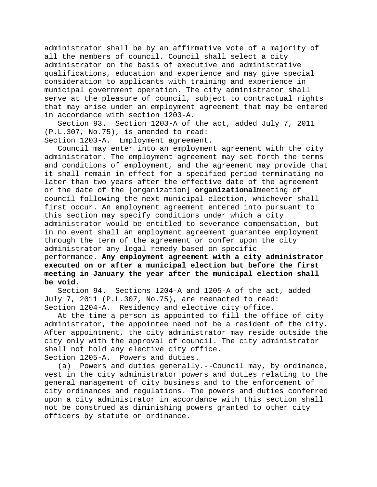administrator shall be by an affirmative vote of a majority of all the members of council. Council shall select a city administrator on the basis of executive and administrative qualifications, education and experience and may give special consideration to applicants with training and experience in municipal government operation. The city administrator shall serve at the pleasure of council, subject to contractual rights that may arise under an employment agreement that may be entered in accordance with section 1203-A.

Section 93. Section 1203-A of the act, added July 7, 2011 (P.L.307, No.75), is amended to read:

Section 1203-A. Employment agreement.

Council may enter into an employment agreement with the city administrator. The employment agreement may set forth the terms and conditions of employment, and the agreement may provide that it shall remain in effect for a specified period terminating no later than two years after the effective date of the agreement or the date of the [organization] **organizational**meeting of council following the next municipal election, whichever shall first occur. An employment agreement entered into pursuant to this section may specify conditions under which a city administrator would be entitled to severance compensation, but in no event shall an employment agreement guarantee employment through the term of the agreement or confer upon the city administrator any legal remedy based on specific performance. **Any employment agreement with a city administrator executed on or after a municipal election but before the first meeting in January the year after the municipal election shall be void.**

Sections 1204-A and 1205-A of the act, added July 7, 2011 (P.L.307, No.75), are reenacted to read: Section 1204-A. Residency and elective city office.

At the time a person is appointed to fill the office of city administrator, the appointee need not be a resident of the city. After appointment, the city administrator may reside outside the city only with the approval of council. The city administrator shall not hold any elective city office.

Section 1205-A. Powers and duties.

(a) Powers and duties generally.--Council may, by ordinance, vest in the city administrator powers and duties relating to the general management of city business and to the enforcement of city ordinances and regulations. The powers and duties conferred upon a city administrator in accordance with this section shall not be construed as diminishing powers granted to other city officers by statute or ordinance.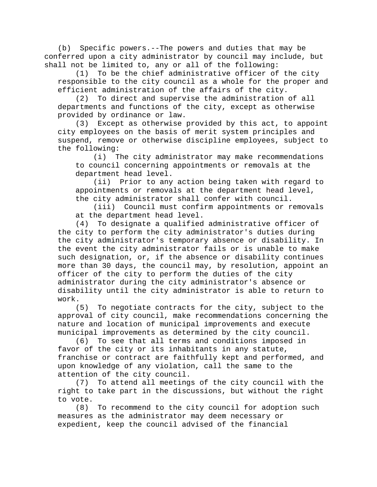(b) Specific powers.--The powers and duties that may be conferred upon a city administrator by council may include, but shall not be limited to, any or all of the following:

(1) To be the chief administrative officer of the city responsible to the city council as a whole for the proper and efficient administration of the affairs of the city.

(2) To direct and supervise the administration of all departments and functions of the city, except as otherwise provided by ordinance or law.

(3) Except as otherwise provided by this act, to appoint city employees on the basis of merit system principles and suspend, remove or otherwise discipline employees, subject to the following:<br> $(i)$  T

The city administrator may make recommendations to council concerning appointments or removals at the department head level.

(ii) Prior to any action being taken with regard to appointments or removals at the department head level, the city administrator shall confer with council.

(iii) Council must confirm appointments or removals at the department head level.

(4) To designate a qualified administrative officer of the city to perform the city administrator's duties during the city administrator's temporary absence or disability. In the event the city administrator fails or is unable to make such designation, or, if the absence or disability continues more than 30 days, the council may, by resolution, appoint an officer of the city to perform the duties of the city administrator during the city administrator's absence or disability until the city administrator is able to return to work.

(5) To negotiate contracts for the city, subject to the approval of city council, make recommendations concerning the nature and location of municipal improvements and execute municipal improvements as determined by the city council.

(6) To see that all terms and conditions imposed in favor of the city or its inhabitants in any statute, franchise or contract are faithfully kept and performed, and upon knowledge of any violation, call the same to the attention of the city council.

(7) To attend all meetings of the city council with the right to take part in the discussions, but without the right to vote.

(8) To recommend to the city council for adoption such measures as the administrator may deem necessary or expedient, keep the council advised of the financial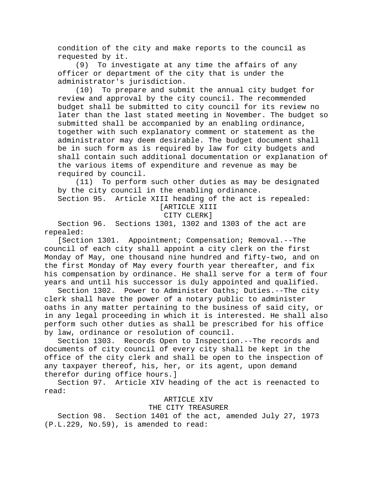condition of the city and make reports to the council as requested by it.

(9) To investigate at any time the affairs of any officer or department of the city that is under the administrator's jurisdiction.

(10) To prepare and submit the annual city budget for review and approval by the city council. The recommended budget shall be submitted to city council for its review no later than the last stated meeting in November. The budget so submitted shall be accompanied by an enabling ordinance, together with such explanatory comment or statement as the administrator may deem desirable. The budget document shall be in such form as is required by law for city budgets and shall contain such additional documentation or explanation of the various items of expenditure and revenue as may be required by council.

(11) To perform such other duties as may be designated by the city council in the enabling ordinance.

Section 95. Article XIII heading of the act is repealed: [ARTICLE XIII

CITY CLERK]

Section 96. Sections 1301, 1302 and 1303 of the act are repealed:

[Section 1301. Appointment; Compensation; Removal.--The council of each city shall appoint a city clerk on the first Monday of May, one thousand nine hundred and fifty-two, and on the first Monday of May every fourth year thereafter, and fix his compensation by ordinance. He shall serve for a term of four years and until his successor is duly appointed and qualified.

Section 1302. Power to Administer Oaths; Duties.--The city clerk shall have the power of a notary public to administer oaths in any matter pertaining to the business of said city, or in any legal proceeding in which it is interested. He shall also perform such other duties as shall be prescribed for his office by law, ordinance or resolution of council.

Section 1303. Records Open to Inspection.--The records and documents of city council of every city shall be kept in the office of the city clerk and shall be open to the inspection of any taxpayer thereof, his, her, or its agent, upon demand therefor during office hours.]

Section 97. Article XIV heading of the act is reenacted to read:

# ARTICLE XIV

## THE CITY TREASURER

Section 98. Section 1401 of the act, amended July 27, 1973 (P.L.229, No.59), is amended to read: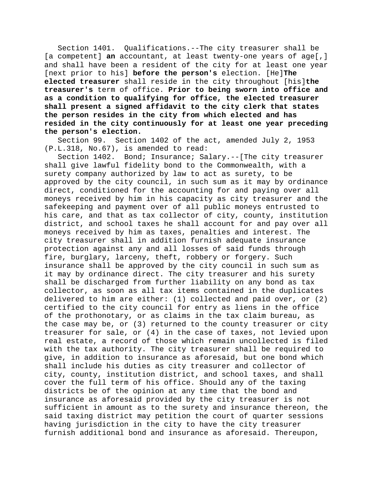Section 1401. Qualifications.--The city treasurer shall be [a competent] **an** accountant, at least twenty-one years of age[,] and shall have been a resident of the city for at least one year [next prior to his] **before the person's** election. [He]**The elected treasurer** shall reside in the city throughout [his]**the treasurer's** term of office. **Prior to being sworn into office and as a condition to qualifying for office, the elected treasurer shall present a signed affidavit to the city clerk that states the person resides in the city from which elected and has resided in the city continuously for at least one year preceding the person's election.**

Section 99. Section 1402 of the act, amended July 2, 1953 (P.L.318, No.67), is amended to read:

Section 1402. Bond; Insurance; Salary.--[The city treasurer shall give lawful fidelity bond to the Commonwealth, with a surety company authorized by law to act as surety, to be approved by the city council, in such sum as it may by ordinance direct, conditioned for the accounting for and paying over all moneys received by him in his capacity as city treasurer and the safekeeping and payment over of all public moneys entrusted to his care, and that as tax collector of city, county, institution district, and school taxes he shall account for and pay over all moneys received by him as taxes, penalties and interest. The city treasurer shall in addition furnish adequate insurance protection against any and all losses of said funds through fire, burglary, larceny, theft, robbery or forgery. Such insurance shall be approved by the city council in such sum as it may by ordinance direct. The city treasurer and his surety shall be discharged from further liability on any bond as tax collector, as soon as all tax items contained in the duplicates delivered to him are either: (1) collected and paid over, or (2) certified to the city council for entry as liens in the office of the prothonotary, or as claims in the tax claim bureau, as the case may be, or (3) returned to the county treasurer or city treasurer for sale, or (4) in the case of taxes, not levied upon real estate, a record of those which remain uncollected is filed with the tax authority. The city treasurer shall be required to give, in addition to insurance as aforesaid, but one bond which shall include his duties as city treasurer and collector of city, county, institution district, and school taxes, and shall cover the full term of his office. Should any of the taxing districts be of the opinion at any time that the bond and insurance as aforesaid provided by the city treasurer is not sufficient in amount as to the surety and insurance thereon, the said taxing district may petition the court of quarter sessions having jurisdiction in the city to have the city treasurer furnish additional bond and insurance as aforesaid. Thereupon,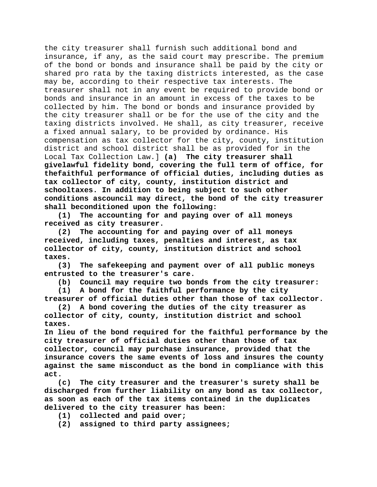the city treasurer shall furnish such additional bond and insurance, if any, as the said court may prescribe. The premium of the bond or bonds and insurance shall be paid by the city or shared pro rata by the taxing districts interested, as the case may be, according to their respective tax interests. The treasurer shall not in any event be required to provide bond or bonds and insurance in an amount in excess of the taxes to be collected by him. The bond or bonds and insurance provided by the city treasurer shall or be for the use of the city and the taxing districts involved. He shall, as city treasurer, receive a fixed annual salary, to be provided by ordinance. His compensation as tax collector for the city, county, institution district and school district shall be as provided for in the Local Tax Collection Law.] **(a) The city treasurer shall givelawful fidelity bond, covering the full term of office, for thefaithful performance of official duties, including duties as tax collector of city, county, institution district and schooltaxes. In addition to being subject to such other conditions ascouncil may direct, the bond of the city treasurer shall beconditioned upon the following:**

**(1) The accounting for and paying over of all moneys received as city treasurer.**

**(2) The accounting for and paying over of all moneys received, including taxes, penalties and interest, as tax collector of city, county, institution district and school taxes.**

**(3) The safekeeping and payment over of all public moneys entrusted to the treasurer's care.**

**(b) Council may require two bonds from the city treasurer:**

**(1) A bond for the faithful performance by the city treasurer of official duties other than those of tax collector.**

**(2) A bond covering the duties of the city treasurer as collector of city, county, institution district and school taxes.**

**In lieu of the bond required for the faithful performance by the city treasurer of official duties other than those of tax collector, council may purchase insurance, provided that the insurance covers the same events of loss and insures the county against the same misconduct as the bond in compliance with this act.**

**(c) The city treasurer and the treasurer's surety shall be discharged from further liability on any bond as tax collector, as soon as each of the tax items contained in the duplicates delivered to the city treasurer has been:**

- **(1) collected and paid over;**
- **(2) assigned to third party assignees;**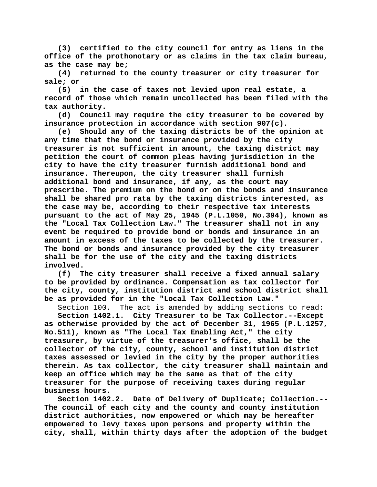**(3) certified to the city council for entry as liens in the office of the prothonotary or as claims in the tax claim bureau, as the case may be;**

**(4) returned to the county treasurer or city treasurer for sale; or**

**(5) in the case of taxes not levied upon real estate, a record of those which remain uncollected has been filed with the tax authority.**

**(d) Council may require the city treasurer to be covered by insurance protection in accordance with section 907(c).**

**(e) Should any of the taxing districts be of the opinion at any time that the bond or insurance provided by the city treasurer is not sufficient in amount, the taxing district may petition the court of common pleas having jurisdiction in the city to have the city treasurer furnish additional bond and insurance. Thereupon, the city treasurer shall furnish additional bond and insurance, if any, as the court may prescribe. The premium on the bond or on the bonds and insurance shall be shared pro rata by the taxing districts interested, as the case may be, according to their respective tax interests pursuant to the act of May 25, 1945 (P.L.1050, No.394), known as the "Local Tax Collection Law." The treasurer shall not in any event be required to provide bond or bonds and insurance in an amount in excess of the taxes to be collected by the treasurer. The bond or bonds and insurance provided by the city treasurer shall be for the use of the city and the taxing districts involved.**

**(f) The city treasurer shall receive a fixed annual salary to be provided by ordinance. Compensation as tax collector for the city, county, institution district and school district shall be as provided for in the "Local Tax Collection Law."**

Section 100. The act is amended by adding sections to read: **Section 1402.1. City Treasurer to be Tax Collector.--Except as otherwise provided by the act of December 31, 1965 (P.L.1257, No.511), known as "The Local Tax Enabling Act," the city treasurer, by virtue of the treasurer's office, shall be the collector of the city, county, school and institution district taxes assessed or levied in the city by the proper authorities therein. As tax collector, the city treasurer shall maintain and keep an office which may be the same as that of the city treasurer for the purpose of receiving taxes during regular** 

**business hours.**

**Section 1402.2. Date of Delivery of Duplicate; Collection.-- The council of each city and the county and county institution district authorities, now empowered or which may be hereafter empowered to levy taxes upon persons and property within the city, shall, within thirty days after the adoption of the budget**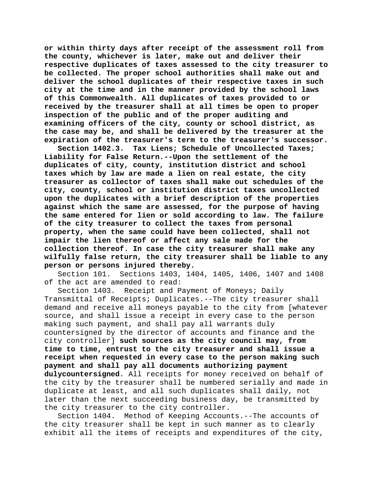**or within thirty days after receipt of the assessment roll from the county, whichever is later, make out and deliver their respective duplicates of taxes assessed to the city treasurer to be collected. The proper school authorities shall make out and deliver the school duplicates of their respective taxes in such city at the time and in the manner provided by the school laws of this Commonwealth. All duplicates of taxes provided to or received by the treasurer shall at all times be open to proper inspection of the public and of the proper auditing and examining officers of the city, county or school district, as the case may be, and shall be delivered by the treasurer at the expiration of the treasurer's term to the treasurer's successor.**

**Section 1402.3. Tax Liens; Schedule of Uncollected Taxes; Liability for False Return.--Upon the settlement of the duplicates of city, county, institution district and school taxes which by law are made a lien on real estate, the city treasurer as collector of taxes shall make out schedules of the city, county, school or institution district taxes uncollected upon the duplicates with a brief description of the properties against which the same are assessed, for the purpose of having the same entered for lien or sold according to law. The failure of the city treasurer to collect the taxes from personal property, when the same could have been collected, shall not impair the lien thereof or affect any sale made for the collection thereof. In case the city treasurer shall make any wilfully false return, the city treasurer shall be liable to any person or persons injured thereby.**<br>Section 101. Sections 1403, 14

Sections 1403, 1404, 1405, 1406, 1407 and 1408 of the act are amended to read:

Section 1403. Receipt and Payment of Moneys; Daily Transmittal of Receipts; Duplicates.--The city treasurer shall demand and receive all moneys payable to the city from [whatever source, and shall issue a receipt in every case to the person making such payment, and shall pay all warrants duly countersigned by the director of accounts and finance and the city controller] **such sources as the city council may, from time to time, entrust to the city treasurer and shall issue a receipt when requested in every case to the person making such payment and shall pay all documents authorizing payment dulycountersigned**. All receipts for money received on behalf of the city by the treasurer shall be numbered serially and made in duplicate at least, and all such duplicates shall daily, not later than the next succeeding business day, be transmitted by the city treasurer to the city controller.

Section 1404. Method of Keeping Accounts.--The accounts of the city treasurer shall be kept in such manner as to clearly exhibit all the items of receipts and expenditures of the city,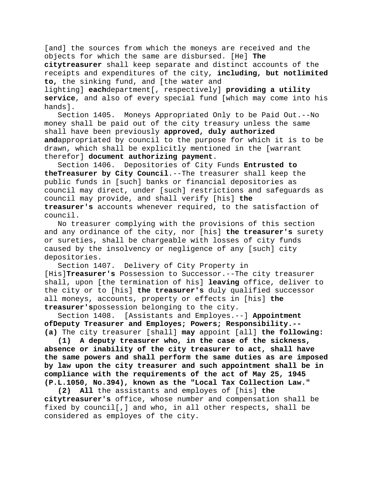[and] the sources from which the moneys are received and the objects for which the same are disbursed. [He] **The citytreasurer** shall keep separate and distinct accounts of the receipts and expenditures of the city, **including, but notlimited to,** the sinking fund, and [the water and lighting] **each**department[, respectively] **providing a utility service**, and also of every special fund [which may come into his hands].

Section 1405. Moneys Appropriated Only to be Paid Out.--No money shall be paid out of the city treasury unless the same shall have been previously **approved, duly authorized and**appropriated by council to the purpose for which it is to be drawn, which shall be explicitly mentioned in the [warrant therefor] **document authorizing payment**.

Section 1406. Depositories of City Funds **Entrusted to theTreasurer by City Council**.--The treasurer shall keep the public funds in [such] banks or financial depositories as council may direct, under [such] restrictions and safeguards as council may provide, and shall verify [his] **the treasurer's** accounts whenever required, to the satisfaction of council.

No treasurer complying with the provisions of this section and any ordinance of the city, nor [his] **the treasurer's** surety or sureties, shall be chargeable with losses of city funds caused by the insolvency or negligence of any [such] city depositories.

Section 1407. Delivery of City Property in [His]**Treasurer's** Possession to Successor.--The city treasurer shall, upon [the termination of his] **leaving** office, deliver to the city or to [his] **the treasurer's** duly qualified successor all moneys, accounts, property or effects in [his] **the treasurer's**possession belonging to the city.

[Assistants and Employes.--] **Appointment ofDeputy Treasurer and Employes; Powers; Responsibility.-- (a)** The city treasurer [shall] **may** appoint [all] **the following:**

**(1) A deputy treasurer who, in the case of the sickness, absence or inability of the city treasurer to act, shall have the same powers and shall perform the same duties as are imposed by law upon the city treasurer and such appointment shall be in compliance with the requirements of the act of May 25, 1945 (P.L.1050, No.394), known as the "Local Tax Collection Law."**

**(2) All** the assistants and employes of [his] **the citytreasurer's** office, whose number and compensation shall be fixed by council[,] and who, in all other respects, shall be considered as employes of the city.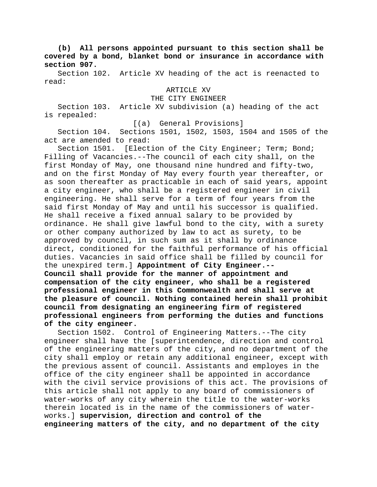**(b) All persons appointed pursuant to this section shall be covered by a bond, blanket bond or insurance in accordance with section 907.**

Section 102. Article XV heading of the act is reenacted to read:

ARTICLE XV

THE CITY ENGINEER

Section 103. Article XV subdivision (a) heading of the act is repealed:

[(a) General Provisions]

Section 104. Sections 1501, 1502, 1503, 1504 and 1505 of the act are amended to read:

Section 1501. [Election of the City Engineer; Term; Bond; Filling of Vacancies.--The council of each city shall, on the first Monday of May, one thousand nine hundred and fifty-two, and on the first Monday of May every fourth year thereafter, or as soon thereafter as practicable in each of said years, appoint a city engineer, who shall be a registered engineer in civil engineering. He shall serve for a term of four years from the said first Monday of May and until his successor is qualified. He shall receive a fixed annual salary to be provided by ordinance. He shall give lawful bond to the city, with a surety or other company authorized by law to act as surety, to be approved by council, in such sum as it shall by ordinance direct, conditioned for the faithful performance of his official duties. Vacancies in said office shall be filled by council for the unexpired term.] **Appointment of City Engineer.-- Council shall provide for the manner of appointment and compensation of the city engineer, who shall be a registered professional engineer in this Commonwealth and shall serve at the pleasure of council. Nothing contained herein shall prohibit council from designating an engineering firm of registered professional engineers from performing the duties and functions of the city engineer.**

Section 1502. Control of Engineering Matters.--The city engineer shall have the [superintendence, direction and control of the engineering matters of the city, and no department of the city shall employ or retain any additional engineer, except with the previous assent of council. Assistants and employes in the office of the city engineer shall be appointed in accordance with the civil service provisions of this act. The provisions of this article shall not apply to any board of commissioners of water-works of any city wherein the title to the water-works therein located is in the name of the commissioners of waterworks.] **supervision, direction and control of the engineering matters of the city, and no department of the city**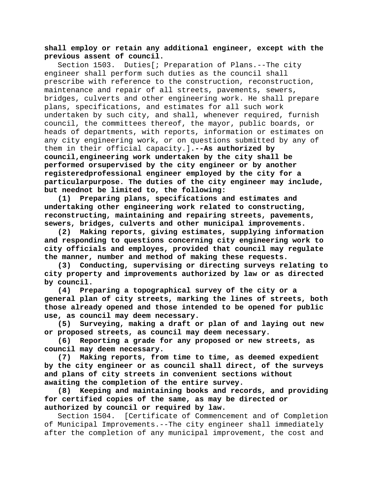# **shall employ or retain any additional engineer, except with the previous assent of council.**

Section 1503. Duties[; Preparation of Plans.--The city engineer shall perform such duties as the council shall prescribe with reference to the construction, reconstruction, maintenance and repair of all streets, pavements, sewers, bridges, culverts and other engineering work. He shall prepare plans, specifications, and estimates for all such work undertaken by such city, and shall, whenever required, furnish council, the committees thereof, the mayor, public boards, or heads of departments, with reports, information or estimates on any city engineering work, or on questions submitted by any of them in their official capacity.]**.--As authorized by council,engineering work undertaken by the city shall be performed orsupervised by the city engineer or by another registeredprofessional engineer employed by the city for a particularpurpose. The duties of the city engineer may include, but neednot be limited to, the following:**

**(1) Preparing plans, specifications and estimates and undertaking other engineering work related to constructing, reconstructing, maintaining and repairing streets, pavements, sewers, bridges, culverts and other municipal improvements.**

**(2) Making reports, giving estimates, supplying information and responding to questions concerning city engineering work to city officials and employes, provided that council may regulate the manner, number and method of making these requests.**

**(3) Conducting, supervising or directing surveys relating to city property and improvements authorized by law or as directed by council.**

**(4) Preparing a topographical survey of the city or a general plan of city streets, marking the lines of streets, both those already opened and those intended to be opened for public use, as council may deem necessary.**

**(5) Surveying, making a draft or plan of and laying out new or proposed streets, as council may deem necessary.**

**(6) Reporting a grade for any proposed or new streets, as council may deem necessary.**

**(7) Making reports, from time to time, as deemed expedient by the city engineer or as council shall direct, of the surveys and plans of city streets in convenient sections without awaiting the completion of the entire survey.**

**(8) Keeping and maintaining books and records, and providing for certified copies of the same, as may be directed or authorized by council or required by law.**

Section 1504. [Certificate of Commencement and of Completion of Municipal Improvements.--The city engineer shall immediately after the completion of any municipal improvement, the cost and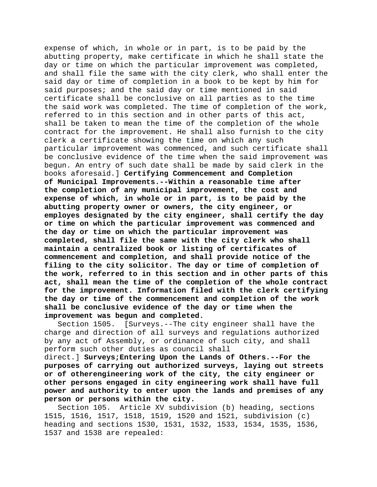expense of which, in whole or in part, is to be paid by the abutting property, make certificate in which he shall state the day or time on which the particular improvement was completed, and shall file the same with the city clerk, who shall enter the said day or time of completion in a book to be kept by him for said purposes; and the said day or time mentioned in said certificate shall be conclusive on all parties as to the time the said work was completed. The time of completion of the work, referred to in this section and in other parts of this act, shall be taken to mean the time of the completion of the whole contract for the improvement. He shall also furnish to the city clerk a certificate showing the time on which any such particular improvement was commenced, and such certificate shall be conclusive evidence of the time when the said improvement was begun. An entry of such date shall be made by said clerk in the books aforesaid.] **Certifying Commencement and Completion of Municipal Improvements.--Within a reasonable time after the completion of any municipal improvement, the cost and expense of which, in whole or in part, is to be paid by the abutting property owner or owners, the city engineer, or employes designated by the city engineer, shall certify the day or time on which the particular improvement was commenced and the day or time on which the particular improvement was completed, shall file the same with the city clerk who shall maintain a centralized book or listing of certificates of commencement and completion, and shall provide notice of the filing to the city solicitor. The day or time of completion of the work, referred to in this section and in other parts of this act, shall mean the time of the completion of the whole contract for the improvement. Information filed with the clerk certifying the day or time of the commencement and completion of the work shall be conclusive evidence of the day or time when the improvement was begun and completed.**

Section 1505. [Surveys.--The city engineer shall have the charge and direction of all surveys and regulations authorized by any act of Assembly, or ordinance of such city, and shall perform such other duties as council shall

direct.] **Surveys;Entering Upon the Lands of Others.--For the purposes of carrying out authorized surveys, laying out streets or of otherengineering work of the city, the city engineer or other persons engaged in city engineering work shall have full power and authority to enter upon the lands and premises of any person or persons within the city.**

Section 105. Article XV subdivision (b) heading, sections 1515, 1516, 1517, 1518, 1519, 1520 and 1521, subdivision (c) heading and sections 1530, 1531, 1532, 1533, 1534, 1535, 1536, 1537 and 1538 are repealed: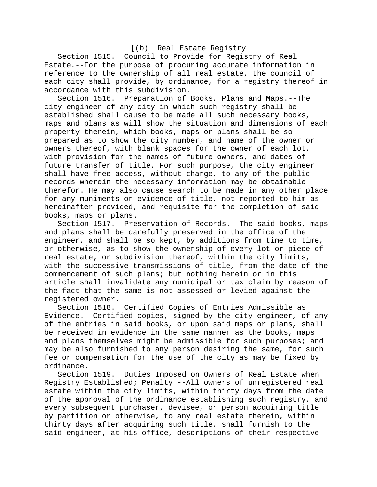# [(b) Real Estate Registry

Section 1515. Council to Provide for Registry of Real Estate.--For the purpose of procuring accurate information in reference to the ownership of all real estate, the council of each city shall provide, by ordinance, for a registry thereof in accordance with this subdivision.

Section 1516. Preparation of Books, Plans and Maps.--The city engineer of any city in which such registry shall be established shall cause to be made all such necessary books, maps and plans as will show the situation and dimensions of each property therein, which books, maps or plans shall be so prepared as to show the city number, and name of the owner or owners thereof, with blank spaces for the owner of each lot, with provision for the names of future owners, and dates of future transfer of title. For such purpose, the city engineer shall have free access, without charge, to any of the public records wherein the necessary information may be obtainable therefor. He may also cause search to be made in any other place for any muniments or evidence of title, not reported to him as hereinafter provided, and requisite for the completion of said books, maps or plans.

Preservation of Records.--The said books, maps and plans shall be carefully preserved in the office of the engineer, and shall be so kept, by additions from time to time, or otherwise, as to show the ownership of every lot or piece of real estate, or subdivision thereof, within the city limits, with the successive transmissions of title, from the date of the commencement of such plans; but nothing herein or in this article shall invalidate any municipal or tax claim by reason of the fact that the same is not assessed or levied against the registered owner.

Section 1518. Certified Copies of Entries Admissible as Evidence.--Certified copies, signed by the city engineer, of any of the entries in said books, or upon said maps or plans, shall be received in evidence in the same manner as the books, maps and plans themselves might be admissible for such purposes; and may be also furnished to any person desiring the same, for such fee or compensation for the use of the city as may be fixed by ordinance.

Section 1519. Duties Imposed on Owners of Real Estate when Registry Established; Penalty.--All owners of unregistered real estate within the city limits, within thirty days from the date of the approval of the ordinance establishing such registry, and every subsequent purchaser, devisee, or person acquiring title by partition or otherwise, to any real estate therein, within thirty days after acquiring such title, shall furnish to the said engineer, at his office, descriptions of their respective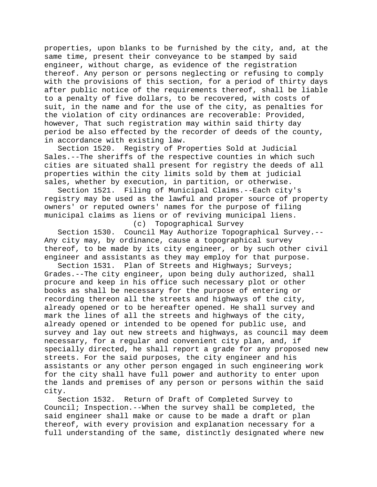properties, upon blanks to be furnished by the city, and, at the same time, present their conveyance to be stamped by said engineer, without charge, as evidence of the registration thereof. Any person or persons neglecting or refusing to comply with the provisions of this section, for a period of thirty days after public notice of the requirements thereof, shall be liable to a penalty of five dollars, to be recovered, with costs of suit, in the name and for the use of the city, as penalties for the violation of city ordinances are recoverable: Provided, however, That such registration may within said thirty day period be also effected by the recorder of deeds of the county, in accordance with existing law.<br>Section 1520. Reqistry of Pr

Registry of Properties Sold at Judicial Sales.--The sheriffs of the respective counties in which such cities are situated shall present for registry the deeds of all properties within the city limits sold by them at judicial sales, whether by execution, in partition, or otherwise.

Section 1521. Filing of Municipal Claims.--Each city's registry may be used as the lawful and proper source of property owners' or reputed owners' names for the purpose of filing municipal claims as liens or of reviving municipal liens.<br>(c) Topographical Survey

Topographical Survey

Section 1530. Council May Authorize Topographical Survey.-- Any city may, by ordinance, cause a topographical survey thereof, to be made by its city engineer, or by such other civil engineer and assistants as they may employ for that purpose.

Section 1531. Plan of Streets and Highways; Surveys; Grades.--The city engineer, upon being duly authorized, shall procure and keep in his office such necessary plot or other books as shall be necessary for the purpose of entering or recording thereon all the streets and highways of the city, already opened or to be hereafter opened. He shall survey and mark the lines of all the streets and highways of the city, already opened or intended to be opened for public use, and survey and lay out new streets and highways, as council may deem necessary, for a regular and convenient city plan, and, if specially directed, he shall report a grade for any proposed new streets. For the said purposes, the city engineer and his assistants or any other person engaged in such engineering work for the city shall have full power and authority to enter upon the lands and premises of any person or persons within the said city.

Section 1532. Return of Draft of Completed Survey to Council; Inspection.--When the survey shall be completed, the said engineer shall make or cause to be made a draft or plan thereof, with every provision and explanation necessary for a full understanding of the same, distinctly designated where new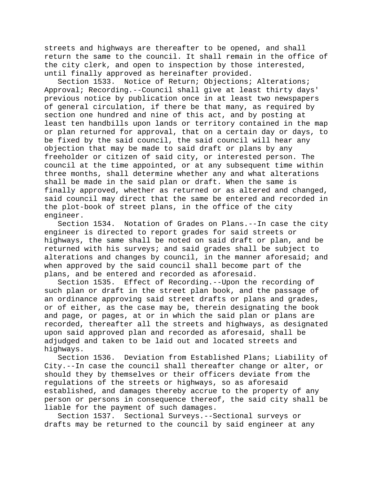streets and highways are thereafter to be opened, and shall return the same to the council. It shall remain in the office of the city clerk, and open to inspection by those interested, until finally approved as hereinafter provided.

Section 1533. Notice of Return; Objections; Alterations; Approval; Recording.--Council shall give at least thirty days' previous notice by publication once in at least two newspapers of general circulation, if there be that many, as required by section one hundred and nine of this act, and by posting at least ten handbills upon lands or territory contained in the map or plan returned for approval, that on a certain day or days, to be fixed by the said council, the said council will hear any objection that may be made to said draft or plans by any freeholder or citizen of said city, or interested person. The council at the time appointed, or at any subsequent time within three months, shall determine whether any and what alterations shall be made in the said plan or draft. When the same is finally approved, whether as returned or as altered and changed, said council may direct that the same be entered and recorded in the plot-book of street plans, in the office of the city engineer.

Section 1534. Notation of Grades on Plans.--In case the city engineer is directed to report grades for said streets or highways, the same shall be noted on said draft or plan, and be returned with his surveys; and said grades shall be subject to alterations and changes by council, in the manner aforesaid; and when approved by the said council shall become part of the plans, and be entered and recorded as aforesaid.

Section 1535. Effect of Recording.--Upon the recording of such plan or draft in the street plan book, and the passage of an ordinance approving said street drafts or plans and grades, or of either, as the case may be, therein designating the book and page, or pages, at or in which the said plan or plans are recorded, thereafter all the streets and highways, as designated upon said approved plan and recorded as aforesaid, shall be adjudged and taken to be laid out and located streets and highways.

Section 1536. Deviation from Established Plans; Liability of City.--In case the council shall thereafter change or alter, or should they by themselves or their officers deviate from the regulations of the streets or highways, so as aforesaid established, and damages thereby accrue to the property of any person or persons in consequence thereof, the said city shall be liable for the payment of such damages.<br>Section 1537. Sectional Surveys.--S

Sectional Surveys. --Sectional surveys or drafts may be returned to the council by said engineer at any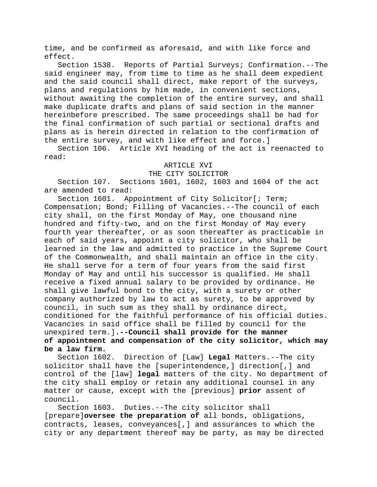time, and be confirmed as aforesaid, and with like force and effect.

Section 1538. Reports of Partial Surveys; Confirmation.--The said engineer may, from time to time as he shall deem expedient and the said council shall direct, make report of the surveys, plans and regulations by him made, in convenient sections, without awaiting the completion of the entire survey, and shall make duplicate drafts and plans of said section in the manner hereinbefore prescribed. The same proceedings shall be had for the final confirmation of such partial or sectional drafts and plans as is herein directed in relation to the confirmation of the entire survey, and with like effect and force.]

Section 106. Article XVI heading of the act is reenacted to read:

### ARTICLE XVI

### THE CITY SOLICITOR

Section 107. Sections 1601, 1602, 1603 and 1604 of the act are amended to read:<br>Section 1601. Ap

Appointment of City Solicitor[; Term; Compensation; Bond; Filling of Vacancies.--The council of each city shall, on the first Monday of May, one thousand nine hundred and fifty-two, and on the first Monday of May every fourth year thereafter, or as soon thereafter as practicable in each of said years, appoint a city solicitor, who shall be learned in the law and admitted to practice in the Supreme Court of the Commonwealth, and shall maintain an office in the city. He shall serve for a term of four years from the said first Monday of May and until his successor is qualified. He shall receive a fixed annual salary to be provided by ordinance. He shall give lawful bond to the city, with a surety or other company authorized by law to act as surety, to be approved by council, in such sum as they shall by ordinance direct, conditioned for the faithful performance of his official duties. Vacancies in said office shall be filled by council for the unexpired term.]**.--Council shall provide for the manner of appointment and compensation of the city solicitor, which may be a law firm.**

Section 1602. Direction of [Law] **Legal** Matters.--The city solicitor shall have the [superintendence,] direction[,] and control of the [law] **legal** matters of the city. No department of the city shall employ or retain any additional counsel in any matter or cause, except with the [previous] **prior** assent of council.

Section 1603. Duties.--The city solicitor shall [prepare]**oversee the preparation of** all bonds, obligations, contracts, leases, conveyances[,] and assurances to which the city or any department thereof may be party, as may be directed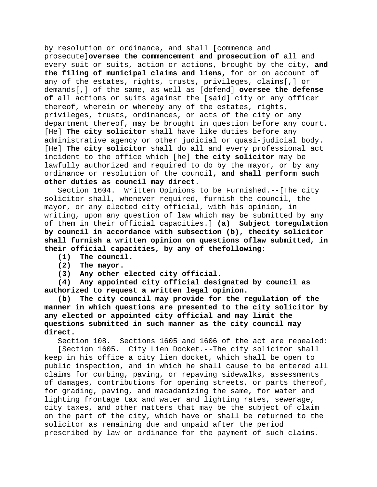by resolution or ordinance, and shall [commence and prosecute]**oversee the commencement and prosecution of** all and every suit or suits, action or actions, brought by the city, **and the filing of municipal claims and liens,** for or on account of any of the estates, rights, trusts, privileges, claims[,] or demands[,] of the same, as well as [defend] **oversee the defense of** all actions or suits against the [said] city or any officer thereof, wherein or whereby any of the estates, rights, privileges, trusts, ordinances, or acts of the city or any department thereof, may be brought in question before any court. [He] **The city solicitor** shall have like duties before any administrative agency or other judicial or quasi-judicial body. [He] **The city solicitor** shall do all and every professional act incident to the office which [he] **the city solicitor** may be lawfully authorized and required to do by the mayor, or by any ordinance or resolution of the council**, and shall perform such other duties as council may direct**.

Section 1604. Written Opinions to be Furnished.--[The city solicitor shall, whenever required, furnish the council, the mayor, or any elected city official, with his opinion, in writing, upon any question of law which may be submitted by any of them in their official capacities.] **(a) Subject toregulation by council in accordance with subsection (b), thecity solicitor shall furnish a written opinion on questions oflaw submitted, in their official capacities, by any of thefollowing:**

- **(1) The council.**
- **(2) The mayor.**
- **(3) Any other elected city official.**

**(4) Any appointed city official designated by council as authorized to request a written legal opinion.**

**(b) The city council may provide for the regulation of the manner in which questions are presented to the city solicitor by any elected or appointed city official and may limit the questions submitted in such manner as the city council may direct.**

Section 108. Sections 1605 and 1606 of the act are repealed:

[Section 1605. City Lien Docket.--The city solicitor shall keep in his office a city lien docket, which shall be open to public inspection, and in which he shall cause to be entered all claims for curbing, paving, or repaving sidewalks, assessments of damages, contributions for opening streets, or parts thereof, for grading, paving, and macadamizing the same, for water and lighting frontage tax and water and lighting rates, sewerage, city taxes, and other matters that may be the subject of claim on the part of the city, which have or shall be returned to the solicitor as remaining due and unpaid after the period prescribed by law or ordinance for the payment of such claims.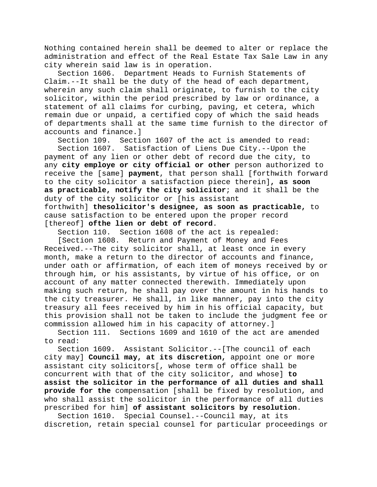Nothing contained herein shall be deemed to alter or replace the administration and effect of the Real Estate Tax Sale Law in any city wherein said law is in operation.

Section 1606. Department Heads to Furnish Statements of Claim.--It shall be the duty of the head of each department, wherein any such claim shall originate, to furnish to the city solicitor, within the period prescribed by law or ordinance, a statement of all claims for curbing, paving, et cetera, which remain due or unpaid, a certified copy of which the said heads of departments shall at the same time furnish to the director of accounts and finance.]

Section 109. Section 1607 of the act is amended to read:<br>Section 1607. Satisfaction of Liens Due City.--Upon the Satisfaction of Liens Due City. -- Upon the payment of any lien or other debt of record due the city, to any **city employe or city official or other** person authorized to receive the [same] **payment**, that person shall [forthwith forward to the city solicitor a satisfaction piece therein]**, as soon as practicable, notify the city solicitor**; and it shall be the duty of the city solicitor or [his assistant forthwith] **thesolicitor's designee, as soon as practicable,** to cause satisfaction to be entered upon the proper record [thereof] **ofthe lien or debt of record**.

Section 110. Section 1608 of the act is repealed:

[Section 1608. Return and Payment of Money and Fees Received.--The city solicitor shall, at least once in every month, make a return to the director of accounts and finance, under oath or affirmation, of each item of moneys received by or through him, or his assistants, by virtue of his office, or on account of any matter connected therewith. Immediately upon making such return, he shall pay over the amount in his hands to the city treasurer. He shall, in like manner, pay into the city treasury all fees received by him in his official capacity, but this provision shall not be taken to include the judgment fee or commission allowed him in his capacity of attorney.]

Section 111. Sections 1609 and 1610 of the act are amended to read:

Section 1609. Assistant Solicitor.--[The council of each city may] **Council may, at its discretion,** appoint one or more assistant city solicitors[, whose term of office shall be concurrent with that of the city solicitor, and whose] **to assist the solicitor in the performance of all duties and shall provide for the** compensation [shall be fixed by resolution, and who shall assist the solicitor in the performance of all duties prescribed for him] **of assistant solicitors by resolution**.

Section 1610. Special Counsel.--Council may, at its discretion, retain special counsel for particular proceedings or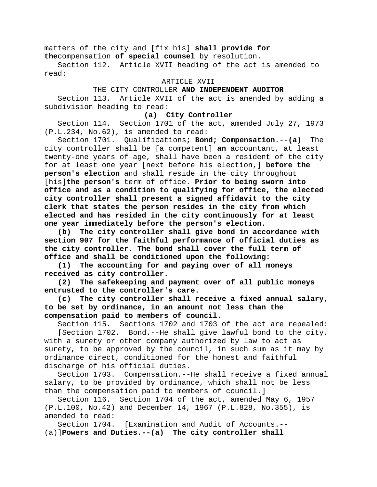matters of the city and [fix his] **shall provide for the**compensation **of special counsel** by resolution.

Section 112. Article XVII heading of the act is amended to read:

### ARTICLE XVII

## THE CITY CONTROLLER **AND INDEPENDENT AUDITOR**

Section 113. Article XVII of the act is amended by adding a subdivision heading to read:

## **(a) City Controller**

Section 114. Section 1701 of the act, amended July 27, 1973 (P.L.234, No.62), is amended to read:

Section 1701. Qualifications**; Bond; Compensation**.--**(a)** The city controller shall be [a competent] **an** accountant, at least twenty-one years of age, shall have been a resident of the city for at least one year [next before his election,] **before the person's election** and shall reside in the city throughout [his]**the person's** term of office. **Prior to being sworn into office and as a condition to qualifying for office, the elected city controller shall present a signed affidavit to the city clerk that states the person resides in the city from which elected and has resided in the city continuously for at least one year immediately before the person's election.**

**(b) The city controller shall give bond in accordance with section 907 for the faithful performance of official duties as the city controller. The bond shall cover the full term of office and shall be conditioned upon the following:**

**(1) The accounting for and paying over of all moneys received as city controller.**

**(2) The safekeeping and payment over of all public moneys entrusted to the controller's care.**

**(c) The city controller shall receive a fixed annual salary, to be set by ordinance, in an amount not less than the compensation paid to members of council.**

Section 115. Sections 1702 and 1703 of the act are repealed:

[Section 1702. Bond.--He shall give lawful bond to the city, with a surety or other company authorized by law to act as surety, to be approved by the council, in such sum as it may by ordinance direct, conditioned for the honest and faithful discharge of his official duties.

Section 1703. Compensation.--He shall receive a fixed annual salary, to be provided by ordinance, which shall not be less than the compensation paid to members of council.]

Section 116. Section 1704 of the act, amended May 6, 1957 (P.L.100, No.42) and December 14, 1967 (P.L.828, No.355), is amended to read:<br>Section 1704.

[Examination and Audit of Accounts.--(a)]**Powers and Duties.--(a) The city controller shall**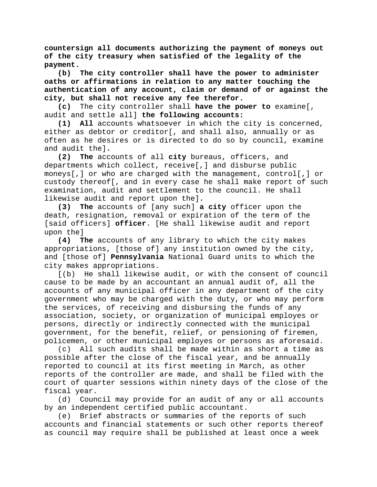**countersign all documents authorizing the payment of moneys out of the city treasury when satisfied of the legality of the payment.**

**(b) The city controller shall have the power to administer oaths or affirmations in relation to any matter touching the authentication of any account, claim or demand of or against the city, but shall not receive any fee therefor.**

**(c)** The city controller shall **have the power to** examine[, audit and settle all] **the following accounts:**

**(1) All** accounts whatsoever in which the city is concerned, either as debtor or creditor[, and shall also, annually or as often as he desires or is directed to do so by council, examine and audit the]**.**

**(2) The** accounts of all **city** bureaus, officers, and departments which collect, receive[,] and disburse public moneys[,] or who are charged with the management, control[,] or custody thereof[, and in every case he shall make report of such examination, audit and settlement to the council. He shall likewise audit and report upon the]**.**

**(3) The** accounts of [any such] **a city** officer upon the death, resignation, removal or expiration of the term of the [said officers] **officer**. [He shall likewise audit and report upon the]

**(4) The** accounts of any library to which the city makes appropriations, [those of] any institution owned by the city, and [those of] **Pennsylvania** National Guard units to which the city makes appropriations.

[(b) He shall likewise audit, or with the consent of council cause to be made by an accountant an annual audit of, all the accounts of any municipal officer in any department of the city government who may be charged with the duty, or who may perform the services, of receiving and disbursing the funds of any association, society, or organization of municipal employes or persons, directly or indirectly connected with the municipal government, for the benefit, relief, or pensioning of firemen, policemen, or other municipal employes or persons as aforesaid.

(c) All such audits shall be made within as short a time as possible after the close of the fiscal year, and be annually reported to council at its first meeting in March, as other reports of the controller are made, and shall be filed with the court of quarter sessions within ninety days of the close of the fiscal year.

(d) Council may provide for an audit of any or all accounts by an independent certified public accountant.

(e) Brief abstracts or summaries of the reports of such accounts and financial statements or such other reports thereof as council may require shall be published at least once a week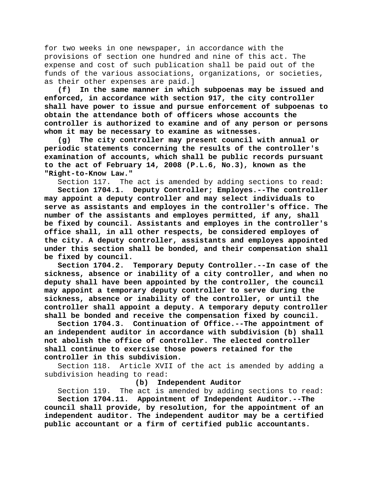for two weeks in one newspaper, in accordance with the provisions of section one hundred and nine of this act. The expense and cost of such publication shall be paid out of the funds of the various associations, organizations, or societies, as their other expenses are paid.]

**(f) In the same manner in which subpoenas may be issued and enforced, in accordance with section 917, the city controller shall have power to issue and pursue enforcement of subpoenas to obtain the attendance both of officers whose accounts the controller is authorized to examine and of any person or persons whom it may be necessary to examine as witnesses.**

**(g) The city controller may present council with annual or periodic statements concerning the results of the controller's examination of accounts, which shall be public records pursuant to the act of February 14, 2008 (P.L.6, No.3), known as the "Right-to-Know Law."**

Section 117. The act is amended by adding sections to read:

**Section 1704.1. Deputy Controller; Employes.--The controller may appoint a deputy controller and may select individuals to serve as assistants and employes in the controller's office. The number of the assistants and employes permitted, if any, shall be fixed by council. Assistants and employes in the controller's office shall, in all other respects, be considered employes of the city. A deputy controller, assistants and employes appointed under this section shall be bonded, and their compensation shall be fixed by council.**

Temporary Deputy Controller.--In case of the **sickness, absence or inability of a city controller, and when no deputy shall have been appointed by the controller, the council may appoint a temporary deputy controller to serve during the sickness, absence or inability of the controller, or until the controller shall appoint a deputy. A temporary deputy controller shall be bonded and receive the compensation fixed by council.**

**Section 1704.3. Continuation of Office.--The appointment of an independent auditor in accordance with subdivision (b) shall not abolish the office of controller. The elected controller shall continue to exercise those powers retained for the controller in this subdivision.**

Section 118. Article XVII of the act is amended by adding a subdivision heading to read:<br>**(b)** Ind

### **(b) Independent Auditor**

Section 119. The act is amended by adding sections to read:<br>Section 1704.11. Appointment of Independent Auditor.--The **Section 1704.11. Appointment of Independent Auditor.--The council shall provide, by resolution, for the appointment of an independent auditor. The independent auditor may be a certified public accountant or a firm of certified public accountants.**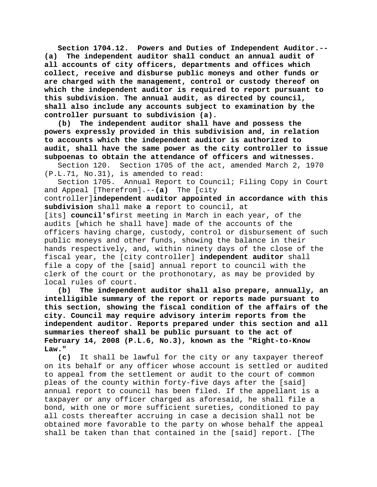**Section 1704.12. Powers and Duties of Independent Auditor.-- (a) The independent auditor shall conduct an annual audit of all accounts of city officers, departments and offices which collect, receive and disburse public moneys and other funds or are charged with the management, control or custody thereof on which the independent auditor is required to report pursuant to this subdivision. The annual audit, as directed by council, shall also include any accounts subject to examination by the controller pursuant to subdivision (a).**

**(b) The independent auditor shall have and possess the powers expressly provided in this subdivision and, in relation to accounts which the independent auditor is authorized to audit, shall have the same power as the city controller to issue subpoenas to obtain the attendance of officers and witnesses.**

Section 120. Section 1705 of the act, amended March 2, 1970 (P.L.71, No.31), is amended to read:

Section 1705. Annual Report to Council; Filing Copy in Court and Appeal [Therefrom].--**(a)** The [city

controller]**independent auditor appointed in accordance with this subdivision** shall make **a** report to council, at

[its] **council's**first meeting in March in each year, of the audits [which he shall have] made of the accounts of the officers having charge, custody, control or disbursement of such public moneys and other funds, showing the balance in their hands respectively, and, within ninety days of the close of the fiscal year, the [city controller] **independent auditor** shall file a copy of the [said] annual report to council with the clerk of the court or the prothonotary, as may be provided by local rules of court.

**(b) The independent auditor shall also prepare, annually, an intelligible summary of the report or reports made pursuant to this section, showing the fiscal condition of the affairs of the city. Council may require advisory interim reports from the independent auditor. Reports prepared under this section and all summaries thereof shall be public pursuant to the act of February 14, 2008 (P.L.6, No.3), known as the "Right-to-Know Law."**

**(c)** It shall be lawful for the city or any taxpayer thereof on its behalf or any officer whose account is settled or audited to appeal from the settlement or audit to the court of common pleas of the county within forty-five days after the [said] annual report to council has been filed. If the appellant is a taxpayer or any officer charged as aforesaid, he shall file a bond, with one or more sufficient sureties, conditioned to pay all costs thereafter accruing in case a decision shall not be obtained more favorable to the party on whose behalf the appeal shall be taken than that contained in the [said] report. [The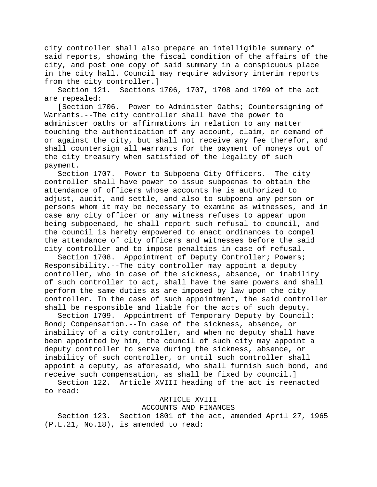city controller shall also prepare an intelligible summary of said reports, showing the fiscal condition of the affairs of the city, and post one copy of said summary in a conspicuous place in the city hall. Council may require advisory interim reports from the city controller.]<br>Section 121. Sections

Sections 1706, 1707, 1708 and 1709 of the act are repealed:

[Section 1706. Power to Administer Oaths; Countersigning of Warrants.--The city controller shall have the power to administer oaths or affirmations in relation to any matter touching the authentication of any account, claim, or demand of or against the city, but shall not receive any fee therefor, and shall countersign all warrants for the payment of moneys out of the city treasury when satisfied of the legality of such payment.

Section 1707. Power to Subpoena City Officers.--The city controller shall have power to issue subpoenas to obtain the attendance of officers whose accounts he is authorized to adjust, audit, and settle, and also to subpoena any person or persons whom it may be necessary to examine as witnesses, and in case any city officer or any witness refuses to appear upon being subpoenaed, he shall report such refusal to council, and the council is hereby empowered to enact ordinances to compel the attendance of city officers and witnesses before the said city controller and to impose penalties in case of refusal.

Section 1708. Appointment of Deputy Controller; Powers; Responsibility.--The city controller may appoint a deputy controller, who in case of the sickness, absence, or inability of such controller to act, shall have the same powers and shall perform the same duties as are imposed by law upon the city controller. In the case of such appointment, the said controller shall be responsible and liable for the acts of such deputy.

Section 1709. Appointment of Temporary Deputy by Council; Bond; Compensation.--In case of the sickness, absence, or inability of a city controller, and when no deputy shall have been appointed by him, the council of such city may appoint a deputy controller to serve during the sickness, absence, or inability of such controller, or until such controller shall appoint a deputy, as aforesaid, who shall furnish such bond, and receive such compensation, as shall be fixed by council.]

Section 122. Article XVIII heading of the act is reenacted to read:

## ARTICLE XVIII

### ACCOUNTS AND FINANCES

Section 123. Section 1801 of the act, amended April 27, 1965 (P.L.21, No.18), is amended to read: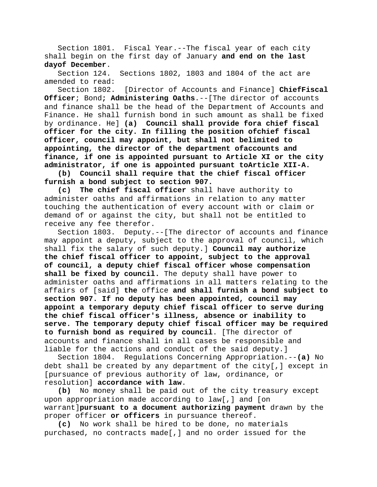Section 1801. Fiscal Year.--The fiscal year of each city shall begin on the first day of January **and end on the last dayof December**.

Section 124. Sections 1802, 1803 and 1804 of the act are amended to read:

Section 1802. [Director of Accounts and Finance] **ChiefFiscal Officer**; Bond**; Administering Oaths**.--[The director of accounts and finance shall be the head of the Department of Accounts and Finance. He shall furnish bond in such amount as shall be fixed by ordinance. He] **(a) Council shall provide fora chief fiscal officer for the city. In filling the position ofchief fiscal officer, council may appoint, but shall not belimited to appointing, the director of the department ofaccounts and finance, if one is appointed pursuant to Article XI or the city administrator, if one is appointed pursuant toArticle XII-A.**

**(b) Council shall require that the chief fiscal officer furnish a bond subject to section 907.**

**(c) The chief fiscal officer** shall have authority to administer oaths and affirmations in relation to any matter touching the authentication of every account with or claim or demand of or against the city, but shall not be entitled to receive any fee therefor.

Section 1803. Deputy.--[The director of accounts and finance may appoint a deputy, subject to the approval of council, which shall fix the salary of such deputy.] **Council may authorize the chief fiscal officer to appoint, subject to the approval of council, a deputy chief fiscal officer whose compensation shall be fixed by council.** The deputy shall have power to administer oaths and affirmations in all matters relating to the affairs of [said] **the** office **and shall furnish a bond subject to section 907. If no deputy has been appointed, council may appoint a temporary deputy chief fiscal officer to serve during the chief fiscal officer's illness, absence or inability to serve. The temporary deputy chief fiscal officer may be required to furnish bond as required by council**. [The director of accounts and finance shall in all cases be responsible and liable for the actions and conduct of the said deputy.]

Section 1804. Regulations Concerning Appropriation.--**(a)** No debt shall be created by any department of the city[,] except in [pursuance of previous authority of law, ordinance, or resolution] **accordance with law**.

**(b)** No money shall be paid out of the city treasury except upon appropriation made according to law[,] and [on warrant]**pursuant to a document authorizing payment** drawn by the proper officer **or officers** in pursuance thereof.

**(c)** No work shall be hired to be done, no materials purchased, no contracts made[,] and no order issued for the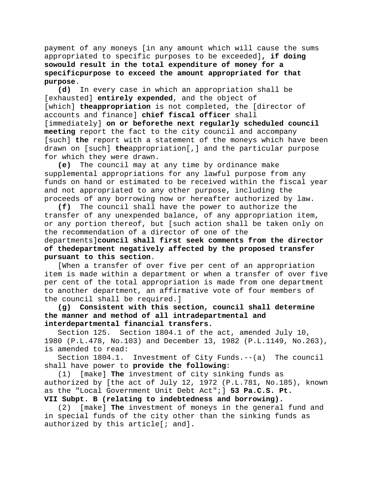payment of any moneys [in any amount which will cause the sums appropriated to specific purposes to be exceeded]**, if doing sowould result in the total expenditure of money for a specificpurpose to exceed the amount appropriated for that purpose**.

**(d)** In every case in which an appropriation shall be [exhausted] **entirely expended**, and the object of [which] **theappropriation** is not completed, the [director of accounts and finance] **chief fiscal officer** shall [immediately] **on or beforethe next regularly scheduled council meeting** report the fact to the city council and accompany [such] **the** report with a statement of the moneys which have been drawn on [such] **the**appropriation[,] and the particular purpose for which they were drawn.

**(e)** The council may at any time by ordinance make supplemental appropriations for any lawful purpose from any funds on hand or estimated to be received within the fiscal year and not appropriated to any other purpose, including the proceeds of any borrowing now or hereafter authorized by law.

**(f)** The council shall have the power to authorize the transfer of any unexpended balance, of any appropriation item, or any portion thereof, but [such action shall be taken only on the recommendation of a director of one of the

# departments]**council shall first seek comments from the director of thedepartment negatively affected by the proposed transfer pursuant to this section**.

[When a transfer of over five per cent of an appropriation item is made within a department or when a transfer of over five per cent of the total appropriation is made from one department to another department, an affirmative vote of four members of the council shall be required.]

# **(g) Consistent with this section, council shall determine the manner and method of all intradepartmental and interdepartmental financial transfers.**

Section 125. Section 1804.1 of the act, amended July 10, 1980 (P.L.478, No.103) and December 13, 1982 (P.L.1149, No.263), is amended to read:<br>Section 1804.1.

Investment of City Funds.-- $(a)$  The council shall have power to **provide the following**:

(1) [make] **The** investment of city sinking funds as authorized by [the act of July 12, 1972 (P.L.781, No.185), known as the "Local Government Unit Debt Act";] **53 Pa.C.S. Pt.** 

**VII Subpt. B (relating to indebtedness and borrowing).**

(2) [make] **The** investment of moneys in the general fund and in special funds of the city other than the sinking funds as authorized by this article[; and]**.**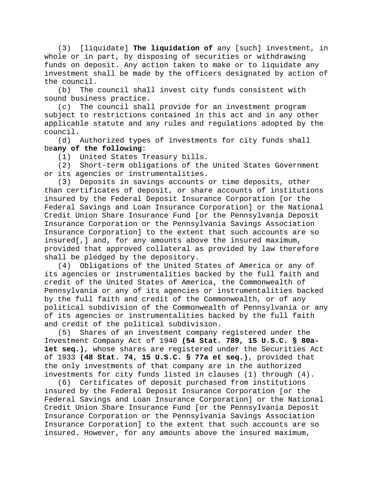(3) [liquidate] **The liquidation of** any [such] investment, in whole or in part, by disposing of securities or withdrawing funds on deposit. Any action taken to make or to liquidate any investment shall be made by the officers designated by action of the council.

(b) The council shall invest city funds consistent with sound business practice.

(c) The council shall provide for an investment program subject to restrictions contained in this act and in any other applicable statute and any rules and regulations adopted by the  $\begin{array}{c} \text{countil.} \\ \text{(d)} \end{array}$ 

Authorized types of investments for city funds shall be**any of the following**:

(1) United States Treasury bills.

(2) Short-term obligations of the United States Government or its agencies or instrumentalities.

(3) Deposits in savings accounts or time deposits, other than certificates of deposit, or share accounts of institutions insured by the Federal Deposit Insurance Corporation [or the Federal Savings and Loan Insurance Corporation] or the National Credit Union Share Insurance Fund [or the Pennsylvania Deposit Insurance Corporation or the Pennsylvania Savings Association Insurance Corporation] to the extent that such accounts are so insured[,] and, for any amounts above the insured maximum, provided that approved collateral as provided by law therefore shall be pledged by the depository.

(4) Obligations of the United States of America or any of its agencies or instrumentalities backed by the full faith and credit of the United States of America, the Commonwealth of Pennsylvania or any of its agencies or instrumentalities backed by the full faith and credit of the Commonwealth, or of any political subdivision of the Commonwealth of Pennsylvania or any of its agencies or instrumentalities backed by the full faith and credit of the political subdivision.

(5) Shares of an investment company registered under the Investment Company Act of 1940 **(54 Stat. 789, 15 U.S.C. § 80a-1et seq.)**, whose shares are registered under the Securities Act of 1933 **(48 Stat. 74, 15 U.S.C. § 77a et seq.)**, provided that the only investments of that company are in the authorized investments for city funds listed in clauses (1) through (4).

(6) Certificates of deposit purchased from institutions insured by the Federal Deposit Insurance Corporation [or the Federal Savings and Loan Insurance Corporation] or the National Credit Union Share Insurance Fund [or the Pennsylvania Deposit Insurance Corporation or the Pennsylvania Savings Association Insurance Corporation] to the extent that such accounts are so insured. However, for any amounts above the insured maximum,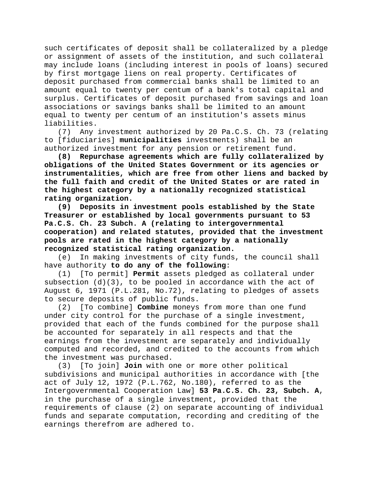such certificates of deposit shall be collateralized by a pledge or assignment of assets of the institution, and such collateral may include loans (including interest in pools of loans) secured by first mortgage liens on real property. Certificates of deposit purchased from commercial banks shall be limited to an amount equal to twenty per centum of a bank's total capital and surplus. Certificates of deposit purchased from savings and loan associations or savings banks shall be limited to an amount equal to twenty per centum of an institution's assets minus liabilities.

(7) Any investment authorized by 20 Pa.C.S. Ch. 73 (relating to [fiduciaries] **municipalities** investments) shall be an authorized investment for any pension or retirement fund.

**(8) Repurchase agreements which are fully collateralized by obligations of the United States Government or its agencies or instrumentalities, which are free from other liens and backed by the full faith and credit of the United States or are rated in the highest category by a nationally recognized statistical rating organization.**

**(9) Deposits in investment pools established by the State Treasurer or established by local governments pursuant to 53 Pa.C.S. Ch. 23 Subch. A (relating to intergovernmental cooperation) and related statutes, provided that the investment pools are rated in the highest category by a nationally recognized statistical rating organization.**

In making investments of city funds, the council shall have authority **to do any of the following**:

(1) [To permit] **Permit** assets pledged as collateral under subsection  $(d)(3)$ , to be pooled in accordance with the act of August 6, 1971 (P.L.281, No.72), relating to pledges of assets to secure deposits of public funds.

(2) [To combine] **Combine** moneys from more than one fund under city control for the purchase of a single investment, provided that each of the funds combined for the purpose shall be accounted for separately in all respects and that the earnings from the investment are separately and individually computed and recorded, and credited to the accounts from which the investment was purchased.

(3) [To join] **Join** with one or more other political subdivisions and municipal authorities in accordance with [the act of July 12, 1972 (P.L.762, No.180), referred to as the Intergovernmental Cooperation Law] **53 Pa.C.S. Ch. 23, Subch. A**, in the purchase of a single investment, provided that the requirements of clause (2) on separate accounting of individual funds and separate computation, recording and crediting of the earnings therefrom are adhered to.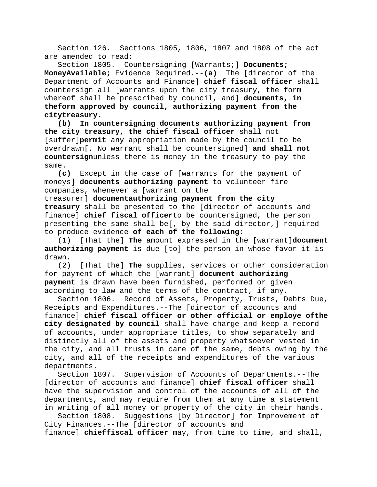Section 126. Sections 1805, 1806, 1807 and 1808 of the act are amended to read:

Section 1805. Countersigning [Warrants;] **Documents; MoneyAvailable;** Evidence Required.--**(a)** The [director of the Department of Accounts and Finance] **chief fiscal officer** shall countersign all [warrants upon the city treasury, the form whereof shall be prescribed by council, and] **documents, in theform approved by council, authorizing payment from the citytreasury.**

**(b) In countersigning documents authorizing payment from the city treasury, the chief fiscal officer** shall not [suffer]**permit** any appropriation made by the council to be overdrawn[. No warrant shall be countersigned] **and shall not countersign**unless there is money in the treasury to pay the same.

**(c)** Except in the case of [warrants for the payment of moneys] **documents authorizing payment** to volunteer fire companies, whenever a [warrant on the

treasurer] **documentauthorizing payment from the city treasury** shall be presented to the [director of accounts and finance] **chief fiscal officer**to be countersigned, the person presenting the same shall be[, by the said director,] required to produce evidence **of each of the following**:

(1) [That the] **The** amount expressed in the [warrant]**document authorizing payment** is due [to] the person in whose favor it is drawn.<br> $(2)$ 

[That the] The supplies, services or other consideration for payment of which the [warrant] **document authorizing payment** is drawn have been furnished, performed or given according to law and the terms of the contract, if any.

Section 1806. Record of Assets, Property, Trusts, Debts Due, Receipts and Expenditures.--The [director of accounts and finance] **chief fiscal officer or other official or employe ofthe city designated by council** shall have charge and keep a record of accounts, under appropriate titles, to show separately and distinctly all of the assets and property whatsoever vested in the city, and all trusts in care of the same, debts owing by the city, and all of the receipts and expenditures of the various departments.

Section 1807. Supervision of Accounts of Departments.--The [director of accounts and finance] **chief fiscal officer** shall have the supervision and control of the accounts of all of the departments, and may require from them at any time a statement in writing of all money or property of the city in their hands.

Section 1808. Suggestions [by Director] for Improvement of City Finances.--The [director of accounts and finance] **chieffiscal officer** may, from time to time, and shall,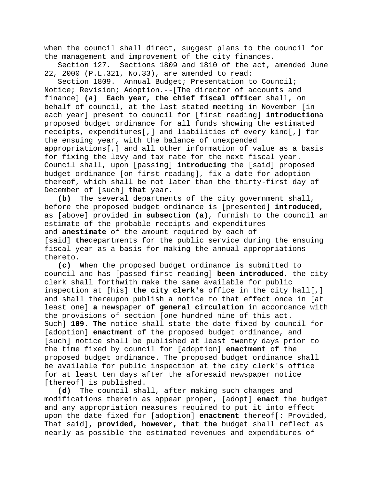when the council shall direct, suggest plans to the council for the management and improvement of the city finances.

Section 127. Sections 1809 and 1810 of the act, amended June 22, 2000 (P.L.321, No.33), are amended to read:

Section 1809. Annual Budget; Presentation to Council; Notice; Revision; Adoption.--[The director of accounts and finance] **(a) Each year, the chief fiscal officer** shall, on behalf of council, at the last stated meeting in November [in each year] present to council for [first reading] **introduction**a proposed budget ordinance for all funds showing the estimated receipts, expenditures[,] and liabilities of every kind[,] for the ensuing year, with the balance of unexpended appropriations[,] and all other information of value as a basis for fixing the levy and tax rate for the next fiscal year. Council shall, upon [passing] **introducing** the [said] proposed budget ordinance [on first reading], fix a date for adoption thereof, which shall be not later than the thirty-first day of December of [such] **that** year.

**(b)** The several departments of the city government shall, before the proposed budget ordinance is [presented] **introduced**, as [above] provided **in subsection (a)**, furnish to the council an estimate of the probable receipts and expenditures and **anestimate** of the amount required by each of [said] **the**departments for the public service during the ensuing fiscal year as a basis for making the annual appropriations thereto.<br> $(c)$ 

**(c)** When the proposed budget ordinance is submitted to council and has [passed first reading] **been introduced**, the city clerk shall forthwith make the same available for public inspection at [his] **the city clerk's** office in the city hall[,] and shall thereupon publish a notice to that effect once in [at least one] **a** newspaper **of general circulation** in accordance with the provisions of section [one hundred nine of this act. Such] **109. The** notice shall state the date fixed by council for [adoption] **enactment** of the proposed budget ordinance, and [such] notice shall be published at least twenty days prior to the time fixed by council for [adoption] **enactment** of the proposed budget ordinance. The proposed budget ordinance shall be available for public inspection at the city clerk's office for at least ten days after the aforesaid newspaper notice [thereof] is published.

**(d)** The council shall, after making such changes and modifications therein as appear proper, [adopt] **enact** the budget and any appropriation measures required to put it into effect upon the date fixed for [adoption] **enactment** thereof[: Provided, That said]**, provided, however, that the** budget shall reflect as nearly as possible the estimated revenues and expenditures of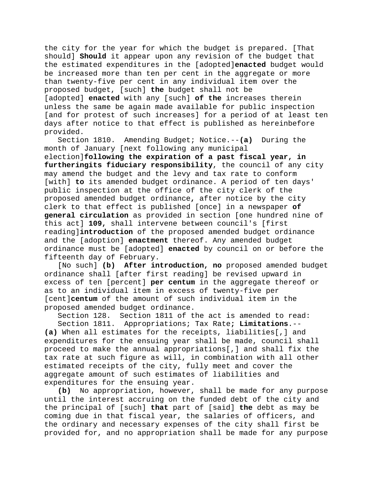the city for the year for which the budget is prepared. [That should] **Should** it appear upon any revision of the budget that the estimated expenditures in the [adopted]**enacted** budget would be increased more than ten per cent in the aggregate or more than twenty-five per cent in any individual item over the proposed budget, [such] **the** budget shall not be [adopted] **enacted** with any [such] **of the** increases therein unless the same be again made available for public inspection [and for protest of such increases] for a period of at least ten days after notice to that effect is published as hereinbefore provided.

Section 1810. Amending Budget; Notice.--**(a)** During the month of January [next following any municipal

election]**following the expiration of a past fiscal year, in furtheringits fiduciary responsibility**, the council of any city may amend the budget and the levy and tax rate to conform [with] **to** its amended budget ordinance. A period of ten days' public inspection at the office of the city clerk of the proposed amended budget ordinance**,** after notice by the city clerk to that effect is published [once] in a newspaper **of general circulation** as provided in section [one hundred nine of this act] **109,** shall intervene between council's [first reading]**introduction** of the proposed amended budget ordinance and the [adoption] **enactment** thereof. Any amended budget ordinance must be [adopted] **enacted** by council on or before the fifteenth day of February.

[No such] **(b) After introduction, no** proposed amended budget ordinance shall [after first reading] be revised upward in excess of ten [percent] **per centum** in the aggregate thereof or as to an individual item in excess of twenty-five per [cent]**centum** of the amount of such individual item in the proposed amended budget ordinance.

Section 128. Section 1811 of the act is amended to read:

Section 1811. Appropriations; Tax Rate**; Limitations**.-- **(a)** When all estimates for the receipts, liabilities[,] and expenditures for the ensuing year shall be made, council shall proceed to make the annual appropriations[,] and shall fix the tax rate at such figure as will, in combination with all other estimated receipts of the city, fully meet and cover the aggregate amount of such estimates of liabilities and expenditures for the ensuing year.

**(b)** No appropriation, however, shall be made for any purpose until the interest accruing on the funded debt of the city and the principal of [such] **that** part of [said] **the** debt as may be coming due in that fiscal year, the salaries of officers, and the ordinary and necessary expenses of the city shall first be provided for, and no appropriation shall be made for any purpose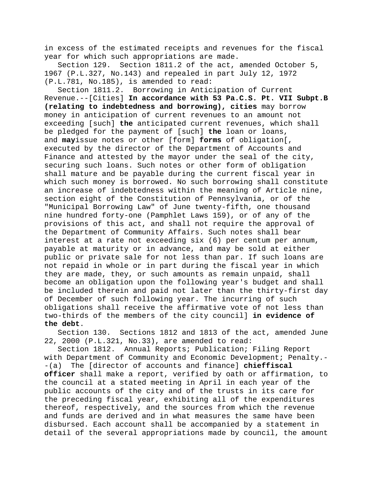in excess of the estimated receipts and revenues for the fiscal year for which such appropriations are made.

Section 129. Section 1811.2 of the act, amended October 5, 1967 (P.L.327, No.143) and repealed in part July 12, 1972 (P.L.781, No.185), is amended to read:

Section 1811.2. Borrowing in Anticipation of Current Revenue.--[Cities] **In accordance with 53 Pa.C.S. Pt. VII Subpt.B (relating to indebtedness and borrowing), cities** may borrow money in anticipation of current revenues to an amount not exceeding [such] **the** anticipated current revenues, which shall be pledged for the payment of [such] **the** loan or loans, and **may**issue notes or other [form] **forms** of obligation[, executed by the director of the Department of Accounts and Finance and attested by the mayor under the seal of the city, securing such loans. Such notes or other form of obligation shall mature and be payable during the current fiscal year in which such money is borrowed. No such borrowing shall constitute an increase of indebtedness within the meaning of Article nine, section eight of the Constitution of Pennsylvania, or of the "Municipal Borrowing Law" of June twenty-fifth, one thousand nine hundred forty-one (Pamphlet Laws 159), or of any of the provisions of this act, and shall not require the approval of the Department of Community Affairs. Such notes shall bear interest at a rate not exceeding six (6) per centum per annum, payable at maturity or in advance, and may be sold at either public or private sale for not less than par. If such loans are not repaid in whole or in part during the fiscal year in which they are made, they, or such amounts as remain unpaid, shall become an obligation upon the following year's budget and shall be included therein and paid not later than the thirty-first day of December of such following year. The incurring of such obligations shall receive the affirmative vote of not less than two-thirds of the members of the city council] **in evidence of the debt**.

Section 130. Sections 1812 and 1813 of the act, amended June 22, 2000 (P.L.321, No.33), are amended to read:

Section 1812. Annual Reports; Publication; Filing Report with Department of Community and Economic Development; Penalty.- -(a) The [director of accounts and finance] **chieffiscal officer** shall make a report, verified by oath or affirmation, to the council at a stated meeting in April in each year of the public accounts of the city and of the trusts in its care for the preceding fiscal year, exhibiting all of the expenditures thereof, respectively, and the sources from which the revenue and funds are derived and in what measures the same have been disbursed. Each account shall be accompanied by a statement in detail of the several appropriations made by council, the amount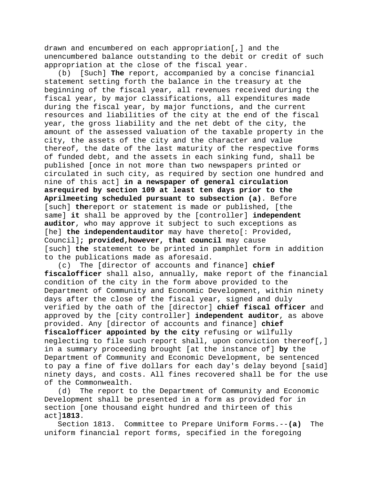drawn and encumbered on each appropriation[,] and the unencumbered balance outstanding to the debit or credit of such appropriation at the close of the fiscal year.

(b) [Such] **The** report, accompanied by a concise financial statement setting forth the balance in the treasury at the beginning of the fiscal year, all revenues received during the fiscal year, by major classifications, all expenditures made during the fiscal year, by major functions, and the current resources and liabilities of the city at the end of the fiscal year, the gross liability and the net debt of the city, the amount of the assessed valuation of the taxable property in the city, the assets of the city and the character and value thereof, the date of the last maturity of the respective forms of funded debt, and the assets in each sinking fund, shall be published [once in not more than two newspapers printed or circulated in such city, as required by section one hundred and nine of this act] **in a newspaper of general circulation asrequired by section 109 at least ten days prior to the Aprilmeeting scheduled pursuant to subsection (a)**. Before [such] **the**report or statement is made or published, [the same] **it** shall be approved by the [controller] **independent auditor**, who may approve it subject to such exceptions as [he] **the independentauditor** may have thereto[: Provided, Council]**; provided,however, that council** may cause [such] **the** statement to be printed in pamphlet form in addition to the publications made as aforesaid.

(c) The [director of accounts and finance] **chief fiscalofficer** shall also, annually, make report of the financial condition of the city in the form above provided to the Department of Community and Economic Development, within ninety days after the close of the fiscal year, signed and duly verified by the oath of the [director] **chief fiscal officer** and approved by the [city controller] **independent auditor**, as above provided. Any [director of accounts and finance] **chief fiscalofficer appointed by the city** refusing or wilfully neglecting to file such report shall, upon conviction thereof[,] in a summary proceeding brought [at the instance of] **by** the Department of Community and Economic Development, be sentenced to pay a fine of five dollars for each day's delay beyond [said] ninety days, and costs. All fines recovered shall be for the use of the Commonwealth.

(d) The report to the Department of Community and Economic Development shall be presented in a form as provided for in section [one thousand eight hundred and thirteen of this act]**1813**.

Section 1813. Committee to Prepare Uniform Forms.--**(a)** The uniform financial report forms, specified in the foregoing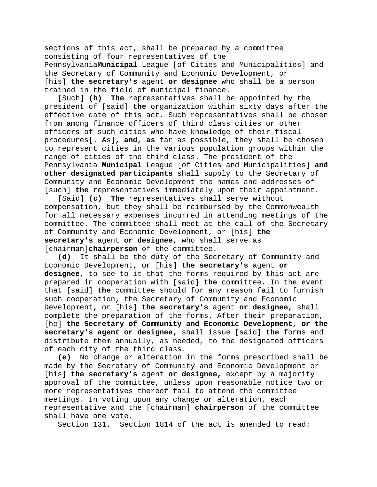sections of this act, shall be prepared by a committee consisting of four representatives of the Pennsylvania**Municipal** League [of Cities and Municipalities] and the Secretary of Community and Economic Development, or [his] **the secretary's** agent **or designee** who shall be a person trained in the field of municipal finance.

[Such] **(b) The** representatives shall be appointed by the president of [said] **the** organization within sixty days after the effective date of this act. Such representatives shall be chosen from among finance officers of third class cities or other officers of such cities who have knowledge of their fiscal procedures[. As]**, and, as** far as possible, they shall be chosen to represent cities in the various population groups within the range of cities of the third class. The president of the Pennsylvania **Municipal** League [of Cities and Municipalities] **and other designated participants** shall supply to the Secretary of Community and Economic Development the names and addresses of [such] **the** representatives immediately upon their appointment.

[Said] **(c) The** representatives shall serve without compensation, but they shall be reimbursed by the Commonwealth for all necessary expenses incurred in attending meetings of the committee. The committee shall meet at the call of the Secretary of Community and Economic Development, or [his] **the secretary's** agent **or designee**, who shall serve as [chairman]**chairperson** of the committee.<br>(**d**) It shall be the duty of the Sec

It shall be the duty of the Secretary of Community and Economic Development, or [his] **the secretary's** agent **or designee**, to see to it that the forms required by this act are prepared in cooperation with [said] **the** committee. In the event that [said] **the** committee should for any reason fail to furnish such cooperation, the Secretary of Community and Economic Development, or [his] **the secretary's** agent **or designee**, shall complete the preparation of the forms. After their preparation, [he] **the Secretary of Community and Economic Development, or the secretary's agent or designee,** shall issue [said] **the** forms and distribute them annually, as needed, to the designated officers of each city of the third class.

**(e)** No change or alteration in the forms prescribed shall be made by the Secretary of Community and Economic Development or [his] **the secretary's** agent **or designee,** except by a majority approval of the committee, unless upon reasonable notice two or more representatives thereof fail to attend the committee meetings. In voting upon any change or alteration, each representative and the [chairman] **chairperson** of the committee shall have one vote.

Section 131. Section 1814 of the act is amended to read: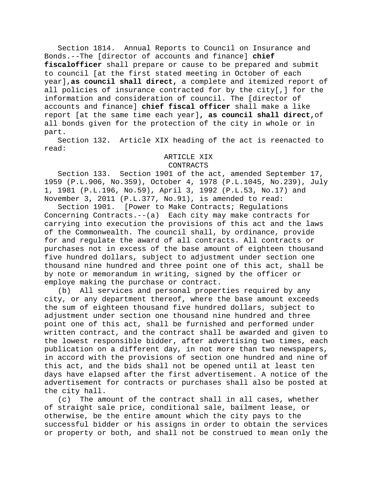Section 1814. Annual Reports to Council on Insurance and Bonds.--The [director of accounts and finance] **chief fiscalofficer** shall prepare or cause to be prepared and submit to council [at the first stated meeting in October of each year],**as council shall direct,** a complete and itemized report of all policies of insurance contracted for by the city[,] for the information and consideration of council. The [director of accounts and finance] **chief fiscal officer** shall make a like report [at the same time each year]**, as council shall direct,**of all bonds given for the protection of the city in whole or in part.

Section 132. Article XIX heading of the act is reenacted to read:

### ARTICLE XIX

### CONTRACTS

Section 133. Section 1901 of the act, amended September 17, 1959 (P.L.906, No.359), October 4, 1978 (P.L.1045, No.239), July 1, 1981 (P.L.196, No.59), April 3, 1992 (P.L.53, No.17) and November 3, 2011 (P.L.377, No.91), is amended to read:

[Power to Make Contracts; Regulations Concerning Contracts.--(a) Each city may make contracts for carrying into execution the provisions of this act and the laws of the Commonwealth. The council shall, by ordinance, provide for and regulate the award of all contracts. All contracts or purchases not in excess of the base amount of eighteen thousand five hundred dollars, subject to adjustment under section one thousand nine hundred and three point one of this act, shall be by note or memorandum in writing, signed by the officer or employe making the purchase or contract.

(b) All services and personal properties required by any city, or any department thereof, where the base amount exceeds the sum of eighteen thousand five hundred dollars, subject to adjustment under section one thousand nine hundred and three point one of this act, shall be furnished and performed under written contract, and the contract shall be awarded and given to the lowest responsible bidder, after advertising two times, each publication on a different day, in not more than two newspapers, in accord with the provisions of section one hundred and nine of this act, and the bids shall not be opened until at least ten days have elapsed after the first advertisement. A notice of the advertisement for contracts or purchases shall also be posted at the city hall.<br>c) The am

The amount of the contract shall in all cases, whether of straight sale price, conditional sale, bailment lease, or otherwise, be the entire amount which the city pays to the successful bidder or his assigns in order to obtain the services or property or both, and shall not be construed to mean only the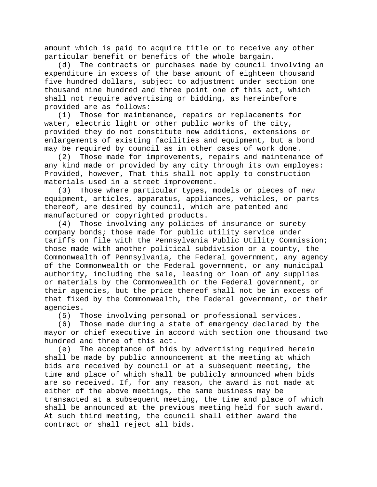amount which is paid to acquire title or to receive any other particular benefit or benefits of the whole bargain.

(d) The contracts or purchases made by council involving an expenditure in excess of the base amount of eighteen thousand five hundred dollars, subject to adjustment under section one thousand nine hundred and three point one of this act, which shall not require advertising or bidding, as hereinbefore provided are as follows:

(1) Those for maintenance, repairs or replacements for water, electric light or other public works of the city, provided they do not constitute new additions, extensions or enlargements of existing facilities and equipment, but a bond may be required by council as in other cases of work done.

(2) Those made for improvements, repairs and maintenance of any kind made or provided by any city through its own employes: Provided, however, That this shall not apply to construction materials used in a street improvement.

(3) Those where particular types, models or pieces of new equipment, articles, apparatus, appliances, vehicles, or parts thereof, are desired by council, which are patented and manufactured or copyrighted products.

(4) Those involving any policies of insurance or surety company bonds; those made for public utility service under tariffs on file with the Pennsylvania Public Utility Commission; those made with another political subdivision or a county, the Commonwealth of Pennsylvania, the Federal government, any agency of the Commonwealth or the Federal government, or any municipal authority, including the sale, leasing or loan of any supplies or materials by the Commonwealth or the Federal government, or their agencies, but the price thereof shall not be in excess of that fixed by the Commonwealth, the Federal government, or their agencies.

(5) Those involving personal or professional services.

Those made during a state of emergency declared by the mayor or chief executive in accord with section one thousand two hundred and three of this act.

(e) The acceptance of bids by advertising required herein shall be made by public announcement at the meeting at which bids are received by council or at a subsequent meeting, the time and place of which shall be publicly announced when bids are so received. If, for any reason, the award is not made at either of the above meetings, the same business may be transacted at a subsequent meeting, the time and place of which shall be announced at the previous meeting held for such award. At such third meeting, the council shall either award the contract or shall reject all bids.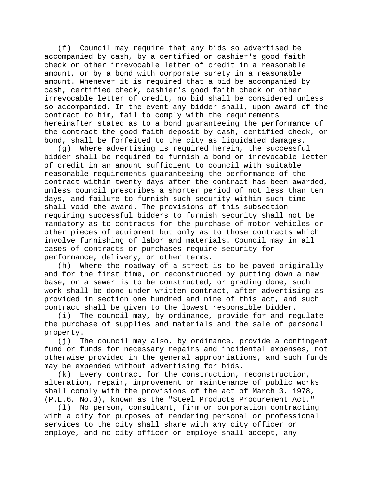(f) Council may require that any bids so advertised be accompanied by cash, by a certified or cashier's good faith check or other irrevocable letter of credit in a reasonable amount, or by a bond with corporate surety in a reasonable amount. Whenever it is required that a bid be accompanied by cash, certified check, cashier's good faith check or other irrevocable letter of credit, no bid shall be considered unless so accompanied. In the event any bidder shall, upon award of the contract to him, fail to comply with the requirements hereinafter stated as to a bond guaranteeing the performance of the contract the good faith deposit by cash, certified check, or

bond, shall be forfeited to the city as liquidated damages.<br>(q) Where advertising is required herein, the successfu Where advertising is required herein, the successful bidder shall be required to furnish a bond or irrevocable letter of credit in an amount sufficient to council with suitable reasonable requirements guaranteeing the performance of the contract within twenty days after the contract has been awarded, unless council prescribes a shorter period of not less than ten days, and failure to furnish such security within such time shall void the award. The provisions of this subsection requiring successful bidders to furnish security shall not be mandatory as to contracts for the purchase of motor vehicles or other pieces of equipment but only as to those contracts which involve furnishing of labor and materials. Council may in all cases of contracts or purchases require security for performance, delivery, or other terms.

(h) Where the roadway of a street is to be paved originally and for the first time, or reconstructed by putting down a new base, or a sewer is to be constructed, or grading done, such work shall be done under written contract, after advertising as provided in section one hundred and nine of this act, and such contract shall be given to the lowest responsible bidder.

(i) The council may, by ordinance, provide for and regulate the purchase of supplies and materials and the sale of personal property.

(j) The council may also, by ordinance, provide a contingent fund or funds for necessary repairs and incidental expenses, not otherwise provided in the general appropriations, and such funds may be expended without advertising for bids.

(k) Every contract for the construction, reconstruction, alteration, repair, improvement or maintenance of public works shall comply with the provisions of the act of March 3, 1978, (P.L.6, No.3), known as the "Steel Products Procurement Act."

(l) No person, consultant, firm or corporation contracting with a city for purposes of rendering personal or professional services to the city shall share with any city officer or employe, and no city officer or employe shall accept, any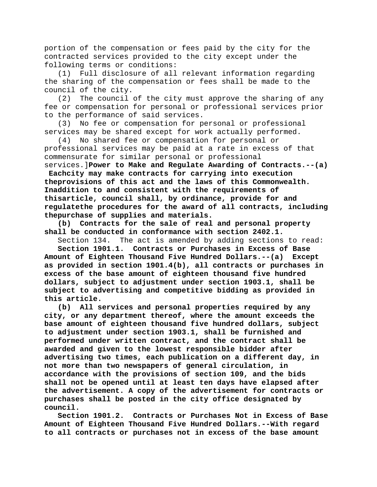portion of the compensation or fees paid by the city for the contracted services provided to the city except under the following terms or conditions:

(1) Full disclosure of all relevant information regarding the sharing of the compensation or fees shall be made to the council of the city.<br>(2) The council

The council of the city must approve the sharing of any fee or compensation for personal or professional services prior to the performance of said services.

(3) No fee or compensation for personal or professional services may be shared except for work actually performed.

(4) No shared fee or compensation for personal or professional services may be paid at a rate in excess of that commensurate for similar personal or professional services.]**Power to Make and Regulate Awarding of Contracts.--(a)** 

**Eachcity may make contracts for carrying into execution theprovisions of this act and the laws of this Commonwealth. Inaddition to and consistent with the requirements of thisarticle, council shall, by ordinance, provide for and regulatethe procedures for the award of all contracts, including thepurchase of supplies and materials.**

**(b) Contracts for the sale of real and personal property shall be conducted in conformance with section 2402.1.**

Section 134. The act is amended by adding sections to read:

**Section 1901.1. Contracts or Purchases in Excess of Base Amount of Eighteen Thousand Five Hundred Dollars.--(a) Except as provided in section 1901.4(b), all contracts or purchases in excess of the base amount of eighteen thousand five hundred dollars, subject to adjustment under section 1903.1, shall be subject to advertising and competitive bidding as provided in this article.**

**(b) All services and personal properties required by any city, or any department thereof, where the amount exceeds the base amount of eighteen thousand five hundred dollars, subject to adjustment under section 1903.1, shall be furnished and performed under written contract, and the contract shall be awarded and given to the lowest responsible bidder after advertising two times, each publication on a different day, in not more than two newspapers of general circulation, in accordance with the provisions of section 109, and the bids shall not be opened until at least ten days have elapsed after the advertisement. A copy of the advertisement for contracts or purchases shall be posted in the city office designated by council.**

**Section 1901.2. Contracts or Purchases Not in Excess of Base Amount of Eighteen Thousand Five Hundred Dollars.--With regard to all contracts or purchases not in excess of the base amount**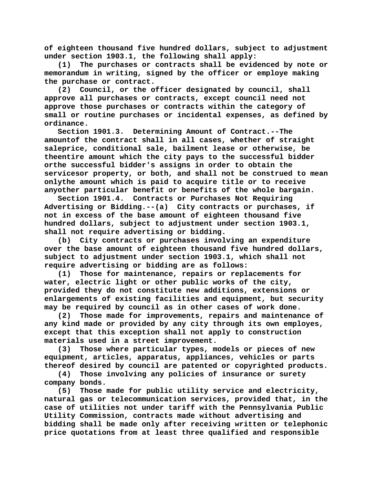**of eighteen thousand five hundred dollars, subject to adjustment under section 1903.1, the following shall apply:**

**(1) The purchases or contracts shall be evidenced by note or memorandum in writing, signed by the officer or employe making the purchase or contract.**

**(2) Council, or the officer designated by council, shall approve all purchases or contracts, except council need not approve those purchases or contracts within the category of small or routine purchases or incidental expenses, as defined by ordinance.**

**Section 1901.3. Determining Amount of Contract.--The amountof the contract shall in all cases, whether of straight saleprice, conditional sale, bailment lease or otherwise, be theentire amount which the city pays to the successful bidder orthe successful bidder's assigns in order to obtain the servicesor property, or both, and shall not be construed to mean onlythe amount which is paid to acquire title or to receive anyother particular benefit or benefits of the whole bargain.**

**Section 1901.4. Contracts or Purchases Not Requiring Advertising or Bidding.--(a) City contracts or purchases, if not in excess of the base amount of eighteen thousand five hundred dollars, subject to adjustment under section 1903.1, shall not require advertising or bidding.**

**(b) City contracts or purchases involving an expenditure over the base amount of eighteen thousand five hundred dollars, subject to adjustment under section 1903.1, which shall not require advertising or bidding are as follows:**

**(1) Those for maintenance, repairs or replacements for water, electric light or other public works of the city, provided they do not constitute new additions, extensions or enlargements of existing facilities and equipment, but security** 

**may be required by council as in other cases of work done. (2) Those made for improvements, repairs and maintenance of any kind made or provided by any city through its own employes, except that this exception shall not apply to construction materials used in a street improvement.**

**(3) Those where particular types, models or pieces of new equipment, articles, apparatus, appliances, vehicles or parts thereof desired by council are patented or copyrighted products.**

**(4) Those involving any policies of insurance or surety company bonds.**

**(5) Those made for public utility service and electricity, natural gas or telecommunication services, provided that, in the case of utilities not under tariff with the Pennsylvania Public Utility Commission, contracts made without advertising and bidding shall be made only after receiving written or telephonic price quotations from at least three qualified and responsible**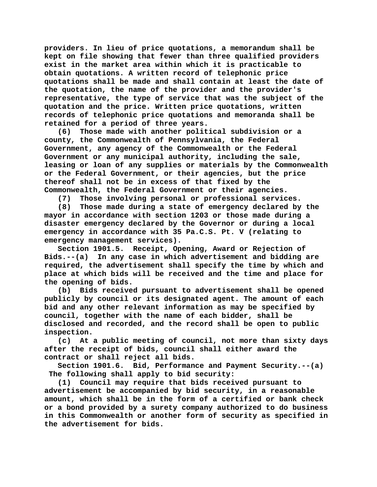**providers. In lieu of price quotations, a memorandum shall be kept on file showing that fewer than three qualified providers exist in the market area within which it is practicable to obtain quotations. A written record of telephonic price quotations shall be made and shall contain at least the date of the quotation, the name of the provider and the provider's representative, the type of service that was the subject of the quotation and the price. Written price quotations, written records of telephonic price quotations and memoranda shall be retained for a period of three years.**

**(6) Those made with another political subdivision or a county, the Commonwealth of Pennsylvania, the Federal Government, any agency of the Commonwealth or the Federal Government or any municipal authority, including the sale, leasing or loan of any supplies or materials by the Commonwealth or the Federal Government, or their agencies, but the price thereof shall not be in excess of that fixed by the Commonwealth, the Federal Government or their agencies.**

**(7) Those involving personal or professional services.**

**(8) Those made during a state of emergency declared by the mayor in accordance with section 1203 or those made during a disaster emergency declared by the Governor or during a local emergency in accordance with 35 Pa.C.S. Pt. V (relating to emergency management services).**

**Section 1901.5. Receipt, Opening, Award or Rejection of Bids.--(a) In any case in which advertisement and bidding are required, the advertisement shall specify the time by which and place at which bids will be received and the time and place for the opening of bids.**

**(b) Bids received pursuant to advertisement shall be opened publicly by council or its designated agent. The amount of each bid and any other relevant information as may be specified by council, together with the name of each bidder, shall be disclosed and recorded, and the record shall be open to public inspection.**

**(c) At a public meeting of council, not more than sixty days after the receipt of bids, council shall either award the contract or shall reject all bids.**

**Section 1901.6. Bid, Performance and Payment Security.--(a) The following shall apply to bid security:**

**(1) Council may require that bids received pursuant to advertisement be accompanied by bid security, in a reasonable amount, which shall be in the form of a certified or bank check or a bond provided by a surety company authorized to do business in this Commonwealth or another form of security as specified in the advertisement for bids.**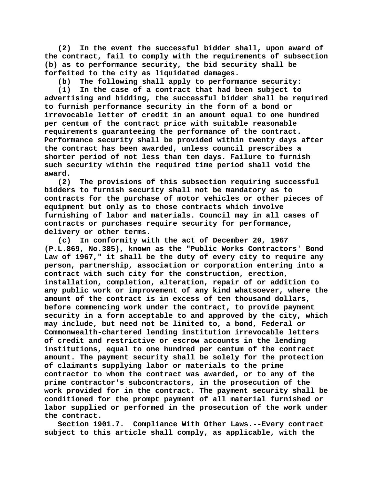**(2) In the event the successful bidder shall, upon award of the contract, fail to comply with the requirements of subsection (b) as to performance security, the bid security shall be forfeited to the city as liquidated damages.**

**(b) The following shall apply to performance security:**

**(1) In the case of a contract that had been subject to advertising and bidding, the successful bidder shall be required to furnish performance security in the form of a bond or irrevocable letter of credit in an amount equal to one hundred per centum of the contract price with suitable reasonable requirements guaranteeing the performance of the contract. Performance security shall be provided within twenty days after the contract has been awarded, unless council prescribes a shorter period of not less than ten days. Failure to furnish such security within the required time period shall void the award.**

**(2) The provisions of this subsection requiring successful bidders to furnish security shall not be mandatory as to contracts for the purchase of motor vehicles or other pieces of equipment but only as to those contracts which involve furnishing of labor and materials. Council may in all cases of contracts or purchases require security for performance, delivery or other terms.**

**(c) In conformity with the act of December 20, 1967 (P.L.869, No.385), known as the "Public Works Contractors' Bond Law of 1967," it shall be the duty of every city to require any person, partnership, association or corporation entering into a contract with such city for the construction, erection, installation, completion, alteration, repair of or addition to any public work or improvement of any kind whatsoever, where the amount of the contract is in excess of ten thousand dollars, before commencing work under the contract, to provide payment security in a form acceptable to and approved by the city, which may include, but need not be limited to, a bond, Federal or Commonwealth-chartered lending institution irrevocable letters of credit and restrictive or escrow accounts in the lending institutions, equal to one hundred per centum of the contract amount. The payment security shall be solely for the protection of claimants supplying labor or materials to the prime contractor to whom the contract was awarded, or to any of the prime contractor's subcontractors, in the prosecution of the work provided for in the contract. The payment security shall be conditioned for the prompt payment of all material furnished or labor supplied or performed in the prosecution of the work under the contract.**

**Section 1901.7. Compliance With Other Laws.--Every contract subject to this article shall comply, as applicable, with the**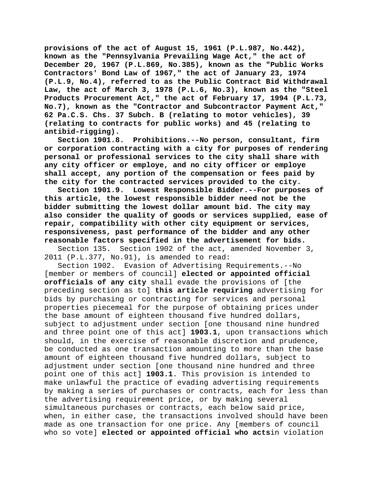**provisions of the act of August 15, 1961 (P.L.987, No.442), known as the "Pennsylvania Prevailing Wage Act," the act of December 20, 1967 (P.L.869, No.385), known as the "Public Works Contractors' Bond Law of 1967," the act of January 23, 1974 (P.L.9, No.4), referred to as the Public Contract Bid Withdrawal Law, the act of March 3, 1978 (P.L.6, No.3), known as the "Steel Products Procurement Act," the act of February 17, 1994 (P.L.73, No.7), known as the "Contractor and Subcontractor Payment Act," 62 Pa.C.S. Chs. 37 Subch. B (relating to motor vehicles), 39 (relating to contracts for public works) and 45 (relating to antibid-rigging).**

**Section 1901.8. Prohibitions.--No person, consultant, firm or corporation contracting with a city for purposes of rendering personal or professional services to the city shall share with any city officer or employe, and no city officer or employe shall accept, any portion of the compensation or fees paid by the city for the contracted services provided to the city.**

**Section 1901.9. Lowest Responsible Bidder.--For purposes of this article, the lowest responsible bidder need not be the bidder submitting the lowest dollar amount bid. The city may also consider the quality of goods or services supplied, ease of repair, compatibility with other city equipment or services, responsiveness, past performance of the bidder and any other reasonable factors specified in the advertisement for bids.**

Section 135. Section 1902 of the act, amended November 3, 2011 (P.L.377, No.91), is amended to read:

Section 1902. Evasion of Advertising Requirements.--No [member or members of council] **elected or appointed official orofficials of any city** shall evade the provisions of [the preceding section as to] **this article requiring** advertising for bids by purchasing or contracting for services and personal properties piecemeal for the purpose of obtaining prices under the base amount of eighteen thousand five hundred dollars, subject to adjustment under section [one thousand nine hundred and three point one of this act] **1903.1**, upon transactions which should, in the exercise of reasonable discretion and prudence, be conducted as one transaction amounting to more than the base amount of eighteen thousand five hundred dollars, subject to adjustment under section [one thousand nine hundred and three point one of this act] **1903.1**. This provision is intended to make unlawful the practice of evading advertising requirements by making a series of purchases or contracts, each for less than the advertising requirement price, or by making several simultaneous purchases or contracts, each below said price, when, in either case, the transactions involved should have been made as one transaction for one price. Any [members of council who so vote] **elected or appointed official who acts**in violation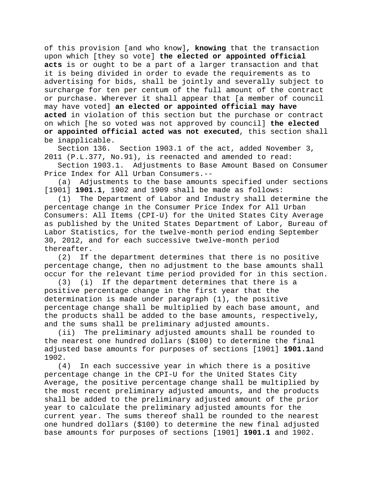of this provision [and who know]**, knowing** that the transaction upon which [they so vote] **the elected or appointed official acts** is or ought to be a part of a larger transaction and that it is being divided in order to evade the requirements as to advertising for bids, shall be jointly and severally subject to surcharge for ten per centum of the full amount of the contract or purchase. Wherever it shall appear that [a member of council may have voted] **an elected or appointed official may have acted** in violation of this section but the purchase or contract on which [he so voted was not approved by council] **the elected or appointed official acted was not executed**, this section shall be inapplicable.<br>Section 136.

Section 1903.1 of the act, added November 3, 2011 (P.L.377, No.91), is reenacted and amended to read:

Section 1903.1. Adjustments to Base Amount Based on Consumer Price Index for All Urban Consumers.--<br>(a) Adjustments to the base amount

Adjustments to the base amounts specified under sections [1901] **1901.1**, 1902 and 1909 shall be made as follows:

(1) The Department of Labor and Industry shall determine the percentage change in the Consumer Price Index for All Urban Consumers: All Items (CPI-U) for the United States City Average as published by the United States Department of Labor, Bureau of Labor Statistics, for the twelve-month period ending September 30, 2012, and for each successive twelve-month period thereafter.<br>(2) If

If the department determines that there is no positive percentage change, then no adjustment to the base amounts shall occur for the relevant time period provided for in this section.

(3) (i) If the department determines that there is a positive percentage change in the first year that the determination is made under paragraph (1), the positive percentage change shall be multiplied by each base amount, and the products shall be added to the base amounts, respectively, and the sums shall be preliminary adjusted amounts.

(ii) The preliminary adjusted amounts shall be rounded to the nearest one hundred dollars (\$100) to determine the final adjusted base amounts for purposes of sections [1901] **1901.1**and 1902.

(4) In each successive year in which there is a positive percentage change in the CPI-U for the United States City Average, the positive percentage change shall be multiplied by the most recent preliminary adjusted amounts, and the products shall be added to the preliminary adjusted amount of the prior year to calculate the preliminary adjusted amounts for the current year. The sums thereof shall be rounded to the nearest one hundred dollars (\$100) to determine the new final adjusted base amounts for purposes of sections [1901] **1901.1** and 1902.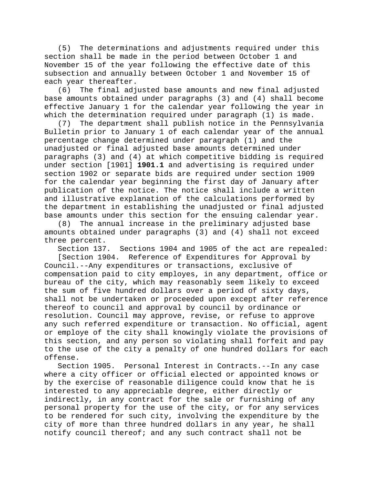(5) The determinations and adjustments required under this section shall be made in the period between October 1 and November 15 of the year following the effective date of this subsection and annually between October 1 and November 15 of each year thereafter.

(6) The final adjusted base amounts and new final adjusted base amounts obtained under paragraphs (3) and (4) shall become effective January 1 for the calendar year following the year in which the determination required under paragraph (1) is made.

(7) The department shall publish notice in the Pennsylvania Bulletin prior to January 1 of each calendar year of the annual percentage change determined under paragraph (1) and the unadjusted or final adjusted base amounts determined under paragraphs (3) and (4) at which competitive bidding is required under section [1901] **1901.1** and advertising is required under section 1902 or separate bids are required under section 1909 for the calendar year beginning the first day of January after publication of the notice. The notice shall include a written and illustrative explanation of the calculations performed by the department in establishing the unadjusted or final adjusted base amounts under this section for the ensuing calendar year.

(8) The annual increase in the preliminary adjusted base amounts obtained under paragraphs (3) and (4) shall not exceed three percent.

Section 137. Sections 1904 and 1905 of the act are repealed:

[Section 1904. Reference of Expenditures for Approval by Council.--Any expenditures or transactions, exclusive of compensation paid to city employes, in any department, office or bureau of the city, which may reasonably seem likely to exceed the sum of five hundred dollars over a period of sixty days, shall not be undertaken or proceeded upon except after reference thereof to council and approval by council by ordinance or resolution. Council may approve, revise, or refuse to approve any such referred expenditure or transaction. No official, agent or employe of the city shall knowingly violate the provisions of this section, and any person so violating shall forfeit and pay to the use of the city a penalty of one hundred dollars for each offense.

Section 1905. Personal Interest in Contracts.--In any case where a city officer or official elected or appointed knows or by the exercise of reasonable diligence could know that he is interested to any appreciable degree, either directly or indirectly, in any contract for the sale or furnishing of any personal property for the use of the city, or for any services to be rendered for such city, involving the expenditure by the city of more than three hundred dollars in any year, he shall notify council thereof; and any such contract shall not be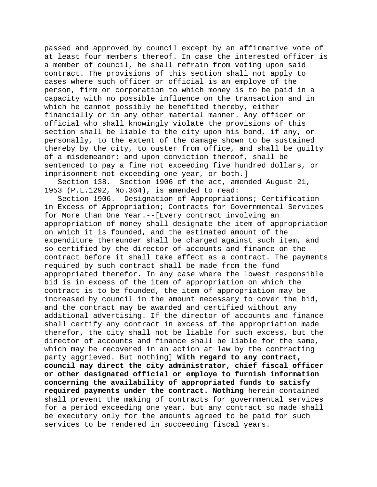passed and approved by council except by an affirmative vote of at least four members thereof. In case the interested officer is a member of council, he shall refrain from voting upon said contract. The provisions of this section shall not apply to cases where such officer or official is an employe of the person, firm or corporation to which money is to be paid in a capacity with no possible influence on the transaction and in which he cannot possibly be benefited thereby, either financially or in any other material manner. Any officer or official who shall knowingly violate the provisions of this section shall be liable to the city upon his bond, if any, or personally, to the extent of the damage shown to be sustained thereby by the city, to ouster from office, and shall be guilty of a misdemeanor; and upon conviction thereof, shall be sentenced to pay a fine not exceeding five hundred dollars, or imprisonment not exceeding one year, or both.]

Section 138. Section 1906 of the act, amended August 21, 1953 (P.L.1292, No.364), is amended to read:

Section 1906. Designation of Appropriations; Certification in Excess of Appropriation; Contracts for Governmental Services for More than One Year.--[Every contract involving an appropriation of money shall designate the item of appropriation on which it is founded, and the estimated amount of the expenditure thereunder shall be charged against such item, and so certified by the director of accounts and finance on the contract before it shall take effect as a contract. The payments required by such contract shall be made from the fund appropriated therefor. In any case where the lowest responsible bid is in excess of the item of appropriation on which the contract is to be founded, the item of appropriation may be increased by council in the amount necessary to cover the bid, and the contract may be awarded and certified without any additional advertising. If the director of accounts and finance shall certify any contract in excess of the appropriation made therefor, the city shall not be liable for such excess, but the director of accounts and finance shall be liable for the same, which may be recovered in an action at law by the contracting party aggrieved. But nothing] **With regard to any contract, council may direct the city administrator, chief fiscal officer or other designated official or employe to furnish information concerning the availability of appropriated funds to satisfy required payments under the contract. Nothing** herein contained shall prevent the making of contracts for governmental services for a period exceeding one year, but any contract so made shall be executory only for the amounts agreed to be paid for such services to be rendered in succeeding fiscal years.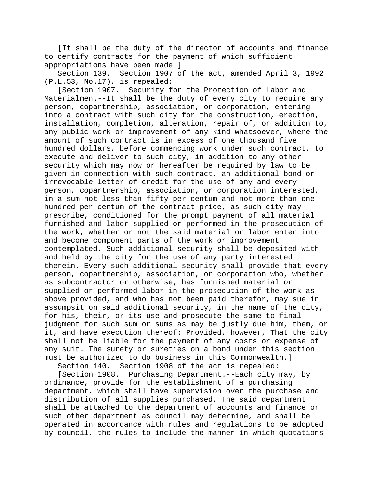[It shall be the duty of the director of accounts and finance to certify contracts for the payment of which sufficient appropriations have been made.]

Section 139. Section 1907 of the act, amended April 3, 1992 (P.L.53, No.17), is repealed:

[Section 1907. Security for the Protection of Labor and Materialmen.--It shall be the duty of every city to require any person, copartnership, association, or corporation, entering into a contract with such city for the construction, erection, installation, completion, alteration, repair of, or addition to, any public work or improvement of any kind whatsoever, where the amount of such contract is in excess of one thousand five hundred dollars, before commencing work under such contract, to execute and deliver to such city, in addition to any other security which may now or hereafter be required by law to be given in connection with such contract, an additional bond or irrevocable letter of credit for the use of any and every person, copartnership, association, or corporation interested, in a sum not less than fifty per centum and not more than one hundred per centum of the contract price, as such city may prescribe, conditioned for the prompt payment of all material furnished and labor supplied or performed in the prosecution of the work, whether or not the said material or labor enter into and become component parts of the work or improvement contemplated. Such additional security shall be deposited with and held by the city for the use of any party interested therein. Every such additional security shall provide that every person, copartnership, association, or corporation who, whether as subcontractor or otherwise, has furnished material or supplied or performed labor in the prosecution of the work as above provided, and who has not been paid therefor, may sue in assumpsit on said additional security, in the name of the city, for his, their, or its use and prosecute the same to final judgment for such sum or sums as may be justly due him, them, or it, and have execution thereof: Provided, however, That the city shall not be liable for the payment of any costs or expense of any suit. The surety or sureties on a bond under this section must be authorized to do business in this Commonwealth.]

Section 140. Section 1908 of the act is repealed:

[Section 1908. Purchasing Department.--Each city may, by ordinance, provide for the establishment of a purchasing department, which shall have supervision over the purchase and distribution of all supplies purchased. The said department shall be attached to the department of accounts and finance or such other department as council may determine, and shall be operated in accordance with rules and regulations to be adopted by council, the rules to include the manner in which quotations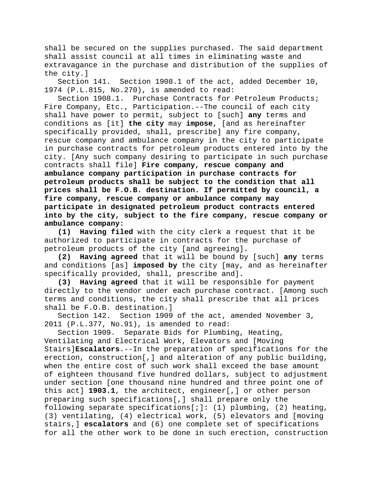shall be secured on the supplies purchased. The said department shall assist council at all times in eliminating waste and extravagance in the purchase and distribution of the supplies of the city.]

Section 141. Section 1908.1 of the act, added December 10, 1974 (P.L.815, No.270), is amended to read:

Section 1908.1. Purchase Contracts for Petroleum Products; Fire Company, Etc., Participation.--The council of each city shall have power to permit, subject to [such] **any** terms and conditions as [it] **the city** may **impose**, [and as hereinafter specifically provided, shall, prescribe] any fire company, rescue company and ambulance company in the city to participate in purchase contracts for petroleum products entered into by the city. [Any such company desiring to participate in such purchase contracts shall file] **Fire company, rescue company and ambulance company participation in purchase contracts for petroleum products shall be subject to the condition that all prices shall be F.O.B. destination. If permitted by council, a fire company, rescue company or ambulance company may participate in designated petroleum product contracts entered into by the city, subject to the fire company, rescue company or ambulance company:**

**(1) Having filed** with the city clerk a request that it be authorized to participate in contracts for the purchase of petroleum products of the city [and agreeing]**.**

**(2) Having agreed** that it will be bound by [such] **any** terms and conditions [as] **imposed by** the city [may, and as hereinafter specifically provided, shall, prescribe and]**.**

**(3) Having agreed** that it will be responsible for payment directly to the vendor under each purchase contract. [Among such terms and conditions, the city shall prescribe that all prices shall be F.O.B. destination.]

Section 142. Section 1909 of the act, amended November 3, 2011 (P.L.377, No.91), is amended to read:

Section 1909. Separate Bids for Plumbing, Heating, Ventilating and Electrical Work, Elevators and [Moving Stairs]**Escalators**.--In the preparation of specifications for the erection, construction[,] and alteration of any public building, when the entire cost of such work shall exceed the base amount of eighteen thousand five hundred dollars, subject to adjustment under section [one thousand nine hundred and three point one of this act] **1903.1**, the architect, engineer[,] or other person preparing such specifications[,] shall prepare only the following separate specifications[;]**:** (1) plumbing, (2) heating, (3) ventilating, (4) electrical work, (5) elevators and [moving stairs,] **escalators** and (6) one complete set of specifications for all the other work to be done in such erection, construction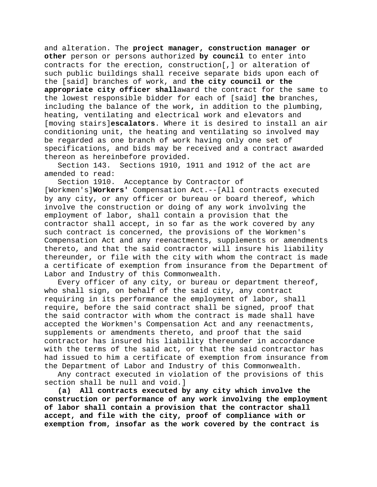and alteration. The **project manager, construction manager or other** person or persons authorized **by council** to enter into contracts for the erection, construction[,] or alteration of such public buildings shall receive separate bids upon each of the [said] branches of work, and **the city council or the appropriate city officer shall**award the contract for the same to the lowest responsible bidder for each of [said] **the** branches, including the balance of the work**,** in addition to the plumbing, heating, ventilating and electrical work and elevators and [moving stairs]**escalators**. Where it is desired to install an air conditioning unit, the heating and ventilating so involved may be regarded as one branch of work having only one set of specifications, and bids may be received and a contract awarded thereon as hereinbefore provided.<br>Section 143. Sections 1910, 1

Sections 1910, 1911 and 1912 of the act are amended to read:

Section 1910. Acceptance by Contractor of [Workmen's]**Workers'** Compensation Act.--[All contracts executed by any city, or any officer or bureau or board thereof, which involve the construction or doing of any work involving the employment of labor, shall contain a provision that the contractor shall accept, in so far as the work covered by any such contract is concerned, the provisions of the Workmen's Compensation Act and any reenactments, supplements or amendments thereto, and that the said contractor will insure his liability thereunder, or file with the city with whom the contract is made a certificate of exemption from insurance from the Department of

Labor and Industry of this Commonwealth. Every officer of any city, or bureau or department thereof, who shall sign, on behalf of the said city, any contract requiring in its performance the employment of labor, shall require, before the said contract shall be signed, proof that the said contractor with whom the contract is made shall have accepted the Workmen's Compensation Act and any reenactments, supplements or amendments thereto, and proof that the said contractor has insured his liability thereunder in accordance with the terms of the said act, or that the said contractor has had issued to him a certificate of exemption from insurance from the Department of Labor and Industry of this Commonwealth.

Any contract executed in violation of the provisions of this section shall be null and void.]

**(a) All contracts executed by any city which involve the construction or performance of any work involving the employment of labor shall contain a provision that the contractor shall accept, and file with the city, proof of compliance with or exemption from, insofar as the work covered by the contract is**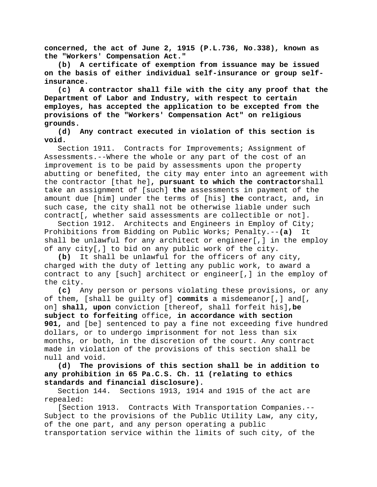**concerned, the act of June 2, 1915 (P.L.736, No.338), known as the "Workers' Compensation Act."**

**(b) A certificate of exemption from issuance may be issued on the basis of either individual self-insurance or group selfinsurance.**

**(c) A contractor shall file with the city any proof that the Department of Labor and Industry, with respect to certain employes, has accepted the application to be excepted from the provisions of the "Workers' Compensation Act" on religious grounds.**

**(d) Any contract executed in violation of this section is void.**

Section 1911. Contracts for Improvements; Assignment of Assessments.--Where the whole or any part of the cost of an improvement is to be paid by assessments upon the property abutting or benefited, the city may enter into an agreement with the contractor [that he]**, pursuant to which the contractor**shall take an assignment of [such] **the** assessments in payment of the amount due [him] under the terms of [his] **the** contract, and**,** in such case, the city shall not be otherwise liable under such contract[, whether said assessments are collectible or not].

Section 1912. Architects and Engineers in Employ of City; Prohibitions from Bidding on Public Works; Penalty.--**(a)** It shall be unlawful for any architect or engineer[,] in the employ of any city[,] to bid on any public work of the city.

**(b)** It shall be unlawful for the officers of any city, charged with the duty of letting any public work, to award a contract to any [such] architect or engineer[,] in the employ of the city.

**(c)** Any person or persons violating these provisions, or any of them, [shall be guilty of] **commits** a misdemeanor[,] and[, on] **shall, upon** conviction [thereof, shall forfeit his]**,be subject to forfeiting** office, **in accordance with section 901,** and [be] sentenced to pay a fine not exceeding five hundred dollars, or to undergo imprisonment for not less than six months, or both, in the discretion of the court. Any contract made in violation of the provisions of this section shall be null and void.

**(d) The provisions of this section shall be in addition to any prohibition in 65 Pa.C.S. Ch. 11 (relating to ethics standards and financial disclosure).**

Section 144. Sections 1913, 1914 and 1915 of the act are repealed:

[Section 1913. Contracts With Transportation Companies.-- Subject to the provisions of the Public Utility Law, any city, of the one part, and any person operating a public transportation service within the limits of such city, of the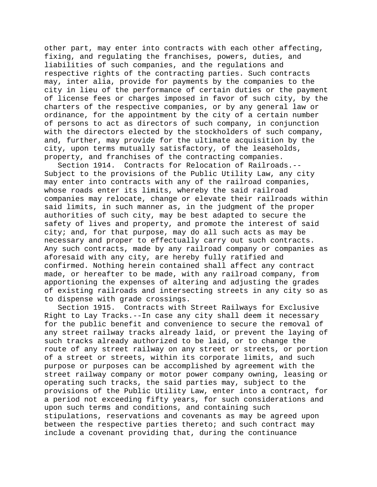other part, may enter into contracts with each other affecting, fixing, and regulating the franchises, powers, duties, and liabilities of such companies, and the regulations and respective rights of the contracting parties. Such contracts may, inter alia, provide for payments by the companies to the city in lieu of the performance of certain duties or the payment of license fees or charges imposed in favor of such city, by the charters of the respective companies, or by any general law or ordinance, for the appointment by the city of a certain number of persons to act as directors of such company, in conjunction with the directors elected by the stockholders of such company, and, further, may provide for the ultimate acquisition by the city, upon terms mutually satisfactory, of the leaseholds, property, and franchises of the contracting companies.

Section 1914. Contracts for Relocation of Railroads.-- Subject to the provisions of the Public Utility Law, any city may enter into contracts with any of the railroad companies, whose roads enter its limits, whereby the said railroad companies may relocate, change or elevate their railroads within said limits, in such manner as, in the judgment of the proper authorities of such city, may be best adapted to secure the safety of lives and property, and promote the interest of said city; and, for that purpose, may do all such acts as may be necessary and proper to effectually carry out such contracts. Any such contracts, made by any railroad company or companies as aforesaid with any city, are hereby fully ratified and confirmed. Nothing herein contained shall affect any contract made, or hereafter to be made, with any railroad company, from apportioning the expenses of altering and adjusting the grades of existing railroads and intersecting streets in any city so as to dispense with grade crossings.

Section 1915. Contracts with Street Railways for Exclusive Right to Lay Tracks.--In case any city shall deem it necessary for the public benefit and convenience to secure the removal of any street railway tracks already laid, or prevent the laying of such tracks already authorized to be laid, or to change the route of any street railway on any street or streets, or portion of a street or streets, within its corporate limits, and such purpose or purposes can be accomplished by agreement with the street railway company or motor power company owning, leasing or operating such tracks, the said parties may, subject to the provisions of the Public Utility Law, enter into a contract, for a period not exceeding fifty years, for such considerations and upon such terms and conditions, and containing such stipulations, reservations and covenants as may be agreed upon between the respective parties thereto; and such contract may include a covenant providing that, during the continuance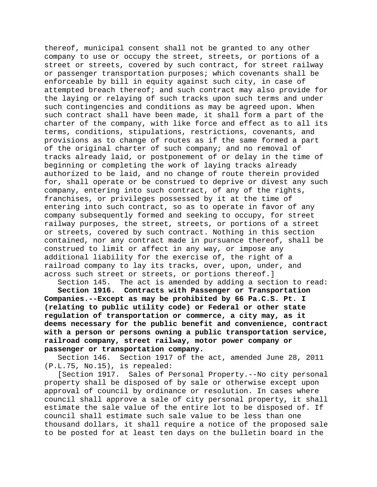thereof, municipal consent shall not be granted to any other company to use or occupy the street, streets, or portions of a street or streets, covered by such contract, for street railway or passenger transportation purposes; which covenants shall be enforceable by bill in equity against such city, in case of attempted breach thereof; and such contract may also provide for the laying or relaying of such tracks upon such terms and under such contingencies and conditions as may be agreed upon. When such contract shall have been made, it shall form a part of the charter of the company, with like force and effect as to all its terms, conditions, stipulations, restrictions, covenants, and provisions as to change of routes as if the same formed a part of the original charter of such company; and no removal of tracks already laid, or postponement of or delay in the time of beginning or completing the work of laying tracks already authorized to be laid, and no change of route therein provided for, shall operate or be construed to deprive or divest any such company, entering into such contract, of any of the rights, franchises, or privileges possessed by it at the time of entering into such contract, so as to operate in favor of any company subsequently formed and seeking to occupy, for street railway purposes, the street, streets, or portions of a street or streets, covered by such contract. Nothing in this section contained, nor any contract made in pursuance thereof, shall be construed to limit or affect in any way, or impose any additional liability for the exercise of, the right of a railroad company to lay its tracks, over, upon, under, and across such street or streets, or portions thereof.]

Section 145. The act is amended by adding a section to read: **Section 1916. Contracts with Passenger or Transportation Companies.--Except as may be prohibited by 66 Pa.C.S. Pt. I (relating to public utility code) or Federal or other state regulation of transportation or commerce, a city may, as it deems necessary for the public benefit and convenience, contract with a person or persons owning a public transportation service, railroad company, street railway, motor power company or passenger or transportation company.**

Section 146. Section 1917 of the act, amended June 28, 2011 (P.L.75, No.15), is repealed:

[Section 1917. Sales of Personal Property.--No city personal property shall be disposed of by sale or otherwise except upon approval of council by ordinance or resolution. In cases where council shall approve a sale of city personal property, it shall estimate the sale value of the entire lot to be disposed of. If council shall estimate such sale value to be less than one thousand dollars, it shall require a notice of the proposed sale to be posted for at least ten days on the bulletin board in the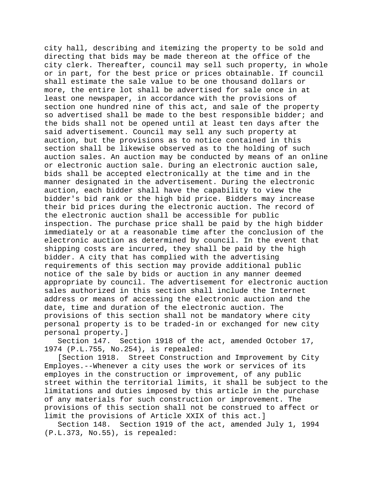city hall, describing and itemizing the property to be sold and directing that bids may be made thereon at the office of the city clerk. Thereafter, council may sell such property, in whole or in part, for the best price or prices obtainable. If council shall estimate the sale value to be one thousand dollars or more, the entire lot shall be advertised for sale once in at least one newspaper, in accordance with the provisions of section one hundred nine of this act, and sale of the property so advertised shall be made to the best responsible bidder; and the bids shall not be opened until at least ten days after the said advertisement. Council may sell any such property at auction, but the provisions as to notice contained in this section shall be likewise observed as to the holding of such auction sales. An auction may be conducted by means of an online or electronic auction sale. During an electronic auction sale, bids shall be accepted electronically at the time and in the manner designated in the advertisement. During the electronic auction, each bidder shall have the capability to view the bidder's bid rank or the high bid price. Bidders may increase their bid prices during the electronic auction. The record of the electronic auction shall be accessible for public inspection. The purchase price shall be paid by the high bidder immediately or at a reasonable time after the conclusion of the electronic auction as determined by council. In the event that shipping costs are incurred, they shall be paid by the high bidder. A city that has complied with the advertising requirements of this section may provide additional public notice of the sale by bids or auction in any manner deemed appropriate by council. The advertisement for electronic auction sales authorized in this section shall include the Internet address or means of accessing the electronic auction and the date, time and duration of the electronic auction. The provisions of this section shall not be mandatory where city personal property is to be traded-in or exchanged for new city

personal property.]<br>Section 147. Se Section 1918 of the act, amended October 17, 1974 (P.L.755, No.254), is repealed:

[Section 1918. Street Construction and Improvement by City Employes.--Whenever a city uses the work or services of its employes in the construction or improvement, of any public street within the territorial limits, it shall be subject to the limitations and duties imposed by this article in the purchase of any materials for such construction or improvement. The provisions of this section shall not be construed to affect or limit the provisions of Article XXIX of this act.]

Section 148. Section 1919 of the act, amended July 1, 1994 (P.L.373, No.55), is repealed: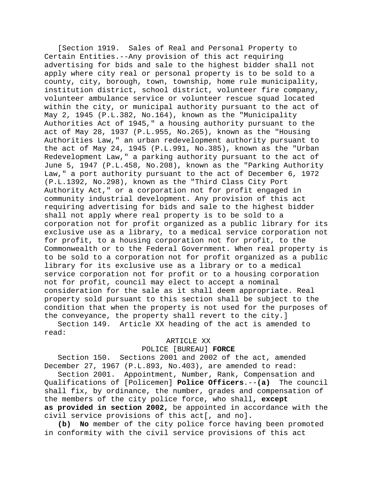[Section 1919. Sales of Real and Personal Property to Certain Entities.--Any provision of this act requiring advertising for bids and sale to the highest bidder shall not apply where city real or personal property is to be sold to a county, city, borough, town, township, home rule municipality, institution district, school district, volunteer fire company, volunteer ambulance service or volunteer rescue squad located within the city, or municipal authority pursuant to the act of May 2, 1945 (P.L.382, No.164), known as the "Municipality Authorities Act of 1945," a housing authority pursuant to the act of May 28, 1937 (P.L.955, No.265), known as the "Housing Authorities Law," an urban redevelopment authority pursuant to the act of May 24, 1945 (P.L.991, No.385), known as the "Urban Redevelopment Law," a parking authority pursuant to the act of June 5, 1947 (P.L.458, No.208), known as the "Parking Authority Law," a port authority pursuant to the act of December 6, 1972 (P.L.1392, No.298), known as the "Third Class City Port Authority Act," or a corporation not for profit engaged in community industrial development. Any provision of this act requiring advertising for bids and sale to the highest bidder shall not apply where real property is to be sold to a corporation not for profit organized as a public library for its exclusive use as a library, to a medical service corporation not for profit, to a housing corporation not for profit, to the Commonwealth or to the Federal Government. When real property is to be sold to a corporation not for profit organized as a public library for its exclusive use as a library or to a medical service corporation not for profit or to a housing corporation not for profit, council may elect to accept a nominal consideration for the sale as it shall deem appropriate. Real property sold pursuant to this section shall be subject to the condition that when the property is not used for the purposes of the conveyance, the property shall revert to the city.]

Section 149. Article XX heading of the act is amended to read:

### ARTICLE XX

### POLICE [BUREAU] **FORCE**

Section 150. Sections 2001 and 2002 of the act, amended December 27, 1967 (P.L.893, No.403), are amended to read:

Section 2001. Appointment, Number, Rank, Compensation and<br>lifications of [Policemen] **Police Officers.--(a)** The council Qualifications of [Policemen] **Police Officers**.--(a) shall fix, by ordinance, the number, grades and compensation of the members of the city police force, who shall**, except as provided in section 2002,** be appointed in accordance with the civil service provisions of this act[, and no]**.**

**(b) No** member of the city police force having been promoted in conformity with the civil service provisions of this act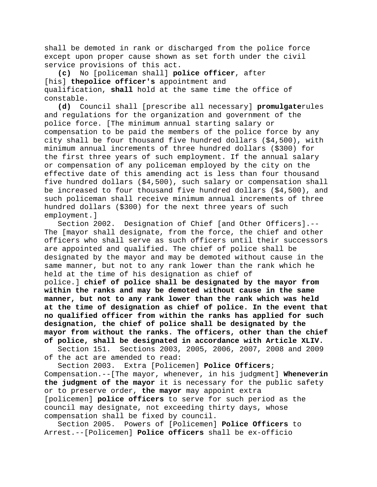shall be demoted in rank or discharged from the police force except upon proper cause shown as set forth under the civil service provisions of this act.

**(c)** No [policeman shall] **police officer**, after [his] **thepolice officer's** appointment and qualification, **shall** hold at the same time the office of  $\frac{\text{constable}}{\text{d}}$ .

**(d)** Council shall [prescribe all necessary] **promulgate**rules and regulations for the organization and government of the police force. [The minimum annual starting salary or compensation to be paid the members of the police force by any city shall be four thousand five hundred dollars (\$4,500), with minimum annual increments of three hundred dollars (\$300) for the first three years of such employment. If the annual salary or compensation of any policeman employed by the city on the effective date of this amending act is less than four thousand five hundred dollars (\$4,500), such salary or compensation shall be increased to four thousand five hundred dollars (\$4,500), and such policeman shall receive minimum annual increments of three hundred dollars (\$300) for the next three years of such employment.]

Section 2002. Designation of Chief [and Other Officers].-- The [mayor shall designate, from the force, the chief and other officers who shall serve as such officers until their successors are appointed and qualified. The chief of police shall be designated by the mayor and may be demoted without cause in the same manner, but not to any rank lower than the rank which he held at the time of his designation as chief of police.] **chief of police shall be designated by the mayor from** 

**within the ranks and may be demoted without cause in the same manner, but not to any rank lower than the rank which was held at the time of designation as chief of police. In the event that no qualified officer from within the ranks has applied for such designation, the chief of police shall be designated by the mayor from without the ranks. The officers, other than the chief of police, shall be designated in accordance with Article XLIV.**

Section 151. Sections 2003, 2005, 2006, 2007, 2008 and 2009 of the act are amended to read:

Section 2003. Extra [Policemen] **Police Officers**; Compensation.--[The mayor, whenever, in his judgment] **Wheneverin the judgment of the mayor** it is necessary for the public safety or to preserve order, **the mayor** may appoint extra [policemen] **police officers** to serve for such period as the council may designate, not exceeding thirty days, whose compensation shall be fixed by council.

Section 2005. Powers of [Policemen] **Police Officers** to Arrest.--[Policemen] **Police officers** shall be ex-officio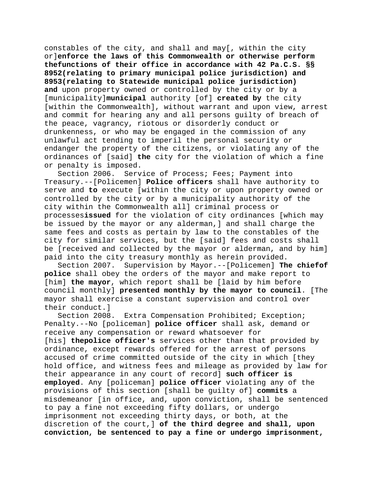constables of the city, and shall and may[, within the city or]**enforce the laws of this Commonwealth or otherwise perform thefunctions of their office in accordance with 42 Pa.C.S. §§ 8952(relating to primary municipal police jurisdiction) and 8953(relating to Statewide municipal police jurisdiction) and** upon property owned or controlled by the city or by a [municipality]**municipal** authority [of] **created by** the city [within the Commonwealth], without warrant and upon view, arrest and commit for hearing any and all persons guilty of breach of the peace, vagrancy, riotous or disorderly conduct or drunkenness, or who may be engaged in the commission of any unlawful act tending to imperil the personal security or endanger the property of the citizens, or violating any of the ordinances of [said] **the** city for the violation of which a fine or penalty is imposed.

Section 2006. Service of Process; Fees; Payment into Treasury.--[Policemen] **Police officers** shall have authority to serve and **to** execute [within the city or upon property owned or controlled by the city or by a municipality authority of the city within the Commonwealth all] criminal process or processes**issued** for the violation of city ordinances [which may be issued by the mayor or any alderman,] and shall charge the same fees and costs as pertain by law to the constables of the city for similar services, but the [said] fees and costs shall be [received and collected by the mayor or alderman, and by him] paid into the city treasury monthly as herein provided.

Section 2007. Supervision by Mayor.--[Policemen] **The chiefof police** shall obey the orders of the mayor and make report to [him] **the mayor**, which report shall be [laid by him before council monthly] **presented monthly by the mayor to council**. [The mayor shall exercise a constant supervision and control over their conduct.]<br>Section 2008.

Extra Compensation Prohibited; Exception; Penalty.--No [policeman] **police officer** shall ask, demand or receive any compensation or reward whatsoever for [his] **thepolice officer's** services other than that provided by ordinance, except rewards offered for the arrest of persons accused of crime committed outside of the city in which [they hold office, and witness fees and mileage as provided by law for their appearance in any court of record] **such officer is employed**. Any [policeman] **police officer** violating any of the provisions of this section [shall be guilty of] **commits** a misdemeanor [in office, and, upon conviction, shall be sentenced to pay a fine not exceeding fifty dollars, or undergo imprisonment not exceeding thirty days, or both, at the discretion of the court,] **of the third degree and shall, upon conviction, be sentenced to pay a fine or undergo imprisonment,**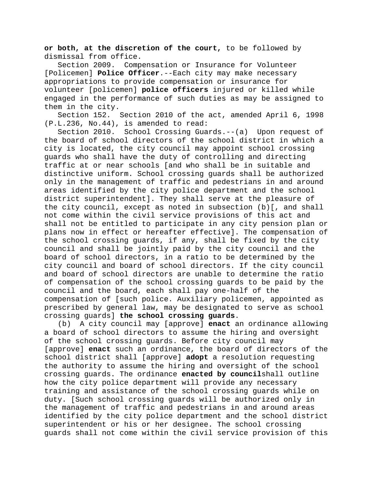**or both, at the discretion of the court,** to be followed by dismissal from office.<br>Section 2009. Comp

Compensation or Insurance for Volunteer [Policemen] **Police Officer**.--Each city may make necessary appropriations to provide compensation or insurance for volunteer [policemen] **police officers** injured or killed while engaged in the performance of such duties as may be assigned to them in the city.

Section 152. Section 2010 of the act, amended April 6, 1998 (P.L.236, No.44), is amended to read:

Section 2010. School Crossing Guards.--(a) Upon request of the board of school directors of the school district in which a city is located, the city council may appoint school crossing guards who shall have the duty of controlling and directing traffic at or near schools [and who shall be in suitable and distinctive uniform. School crossing guards shall be authorized only in the management of traffic and pedestrians in and around areas identified by the city police department and the school district superintendent]. They shall serve at the pleasure of the city council, except as noted in subsection (b)[, and shall not come within the civil service provisions of this act and shall not be entitled to participate in any city pension plan or plans now in effect or hereafter effective]. The compensation of the school crossing guards, if any, shall be fixed by the city council and shall be jointly paid by the city council and the board of school directors, in a ratio to be determined by the city council and board of school directors. If the city council and board of school directors are unable to determine the ratio of compensation of the school crossing guards to be paid by the council and the board, each shall pay one-half of the compensation of [such police. Auxiliary policemen, appointed as prescribed by general law, may be designated to serve as school crossing guards] **the school crossing guards**.

(b) A city council may [approve] **enact** an ordinance allowing a board of school directors to assume the hiring and oversight of the school crossing guards. Before city council may [approve] **enact** such an ordinance, the board of directors of the school district shall [approve] **adopt** a resolution requesting the authority to assume the hiring and oversight of the school crossing guards. The ordinance **enacted by council**shall outline how the city police department will provide any necessary training and assistance of the school crossing guards while on duty. [Such school crossing guards will be authorized only in the management of traffic and pedestrians in and around areas identified by the city police department and the school district superintendent or his or her designee. The school crossing guards shall not come within the civil service provision of this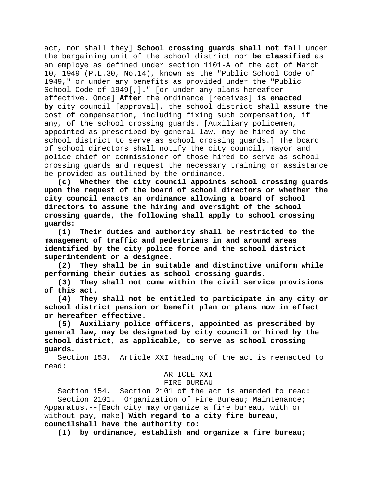act, nor shall they] **School crossing guards shall not** fall under the bargaining unit of the school district nor **be classified** as an employe as defined under section 1101-A of the act of March 10, 1949 (P.L.30, No.14), known as the "Public School Code of 1949," or under any benefits as provided under the "Public School Code of 1949[,]**.**" [or under any plans hereafter effective. Once] **After** the ordinance [receives] **is enacted by** city council [approval], the school district shall assume the cost of compensation, including fixing such compensation, if any, of the school crossing guards. [Auxiliary policemen, appointed as prescribed by general law, may be hired by the school district to serve as school crossing guards.] The board of school directors shall notify the city council, mayor and police chief or commissioner of those hired to serve as school crossing guards and request the necessary training or assistance be provided as outlined by the ordinance.

**(c) Whether the city council appoints school crossing guards upon the request of the board of school directors or whether the city council enacts an ordinance allowing a board of school directors to assume the hiring and oversight of the school crossing guards, the following shall apply to school crossing guards:**

**(1) Their duties and authority shall be restricted to the management of traffic and pedestrians in and around areas identified by the city police force and the school district superintendent or a designee.**

**(2) They shall be in suitable and distinctive uniform while performing their duties as school crossing guards.**

**(3) They shall not come within the civil service provisions of this act.**

**(4) They shall not be entitled to participate in any city or school district pension or benefit plan or plans now in effect or hereafter effective.**

**(5) Auxiliary police officers, appointed as prescribed by general law, may be designated by city council or hired by the school district, as applicable, to serve as school crossing guards.**

Section 153. Article XXI heading of the act is reenacted to read:

### ARTICLE XXI

#### FIRE BUREAU

Section 154. Section 2101 of the act is amended to read: Section 2101. Organization of Fire Bureau; Maintenance; Apparatus.--[Each city may organize a fire bureau, with or without pay, make] **With regard to a city fire bureau, councilshall have the authority to:**

**(1) by ordinance, establish and organize a fire bureau;**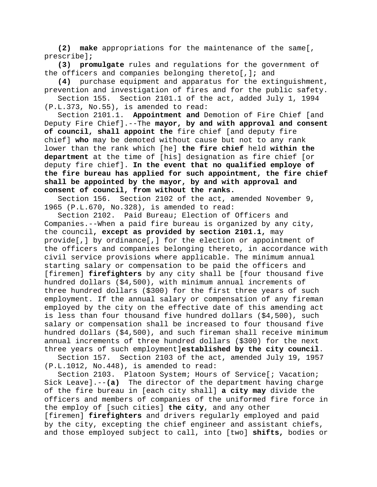**(2) make** appropriations for the maintenance of the same[, prescribe]**;**

**(3) promulgate** rules and regulations for the government of the officers and companies belonging thereto[,]**;** and

**(4)** purchase equipment and apparatus for the extinguishment, prevention and investigation of fires and for the public safety.

Section 155. Section 2101.1 of the act, added July 1, 1994 (P.L.373, No.55), is amended to read:

Section 2101.1. **Appointment and** Demotion of Fire Chief [and Deputy Fire Chief].--The **mayor, by and with approval and consent of council, shall appoint the** fire chief [and deputy fire chief] **who** may be demoted without cause but not to any rank lower than the rank which [he] **the fire chief** held **within the department** at the time of [his] designation as fire chief [or deputy fire chief]. **In the event that no qualified employe of the fire bureau has applied for such appointment, the fire chief shall be appointed by the mayor, by and with approval and consent of council, from without the ranks.**

Section 156. Section 2102 of the act, amended November 9, 1965 (P.L.670, No.328), is amended to read:

Section 2102. Paid Bureau; Election of Officers and Companies.--When a paid fire bureau is organized by any city, the council**, except as provided by section 2101.1,** may provide[,] by ordinance[,] for the election or appointment of the officers and companies belonging thereto, in accordance with civil service provisions where applicable. The minimum annual starting salary or compensation to be paid the officers and [firemen] **firefighters** by any city shall be [four thousand five hundred dollars (\$4,500), with minimum annual increments of three hundred dollars (\$300) for the first three years of such employment. If the annual salary or compensation of any fireman employed by the city on the effective date of this amending act is less than four thousand five hundred dollars (\$4,500), such salary or compensation shall be increased to four thousand five hundred dollars (\$4,500), and such fireman shall receive minimum annual increments of three hundred dollars (\$300) for the next three years of such employment]**established by the city council**.

Section 157. Section 2103 of the act, amended July 19, 1957 (P.L.1012, No.448), is amended to read:

Section 2103. Platoon System; Hours of Service[; Vacation; Sick Leave].--**(a)** The director of the department having charge of the fire bureau in [each city shall] **a city may** divide the officers and members of companies of the uniformed fire force in the employ of [such cities] **the city**, and any other [firemen] **firefighters** and drivers regularly employed and paid by the city, excepting the chief engineer and assistant chiefs, and those employed subject to call, into [two] **shifts,** bodies or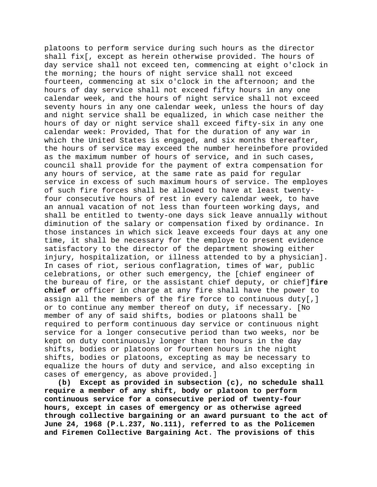platoons to perform service during such hours as the director shall fix[, except as herein otherwise provided. The hours of day service shall not exceed ten, commencing at eight o'clock in the morning; the hours of night service shall not exceed fourteen, commencing at six o'clock in the afternoon; and the hours of day service shall not exceed fifty hours in any one calendar week, and the hours of night service shall not exceed seventy hours in any one calendar week, unless the hours of day and night service shall be equalized, in which case neither the hours of day or night service shall exceed fifty-six in any one calendar week: Provided, That for the duration of any war in which the United States is engaged, and six months thereafter, the hours of service may exceed the number hereinbefore provided as the maximum number of hours of service, and in such cases, council shall provide for the payment of extra compensation for any hours of service, at the same rate as paid for regular service in excess of such maximum hours of service. The employes of such fire forces shall be allowed to have at least twentyfour consecutive hours of rest in every calendar week, to have an annual vacation of not less than fourteen working days, and shall be entitled to twenty-one days sick leave annually without diminution of the salary or compensation fixed by ordinance. In those instances in which sick leave exceeds four days at any one time, it shall be necessary for the employe to present evidence satisfactory to the director of the department showing either injury, hospitalization, or illness attended to by a physician]. In cases of riot, serious conflagration, times of war, public celebrations, or other such emergency, the [chief engineer of the bureau of fire, or the assistant chief deputy, or chief]**fire chief or** officer in charge at any fire shall have the power to assign all the members of the fire force to continuous duty[,] or to continue any member thereof on duty, if necessary. [No member of any of said shifts, bodies or platoons shall be required to perform continuous day service or continuous night service for a longer consecutive period than two weeks, nor be kept on duty continuously longer than ten hours in the day shifts, bodies or platoons or fourteen hours in the night shifts, bodies or platoons, excepting as may be necessary to equalize the hours of duty and service, and also excepting in cases of emergency, as above provided.]

**(b) Except as provided in subsection (c), no schedule shall require a member of any shift, body or platoon to perform continuous service for a consecutive period of twenty-four hours, except in cases of emergency or as otherwise agreed through collective bargaining or an award pursuant to the act of June 24, 1968 (P.L.237, No.111), referred to as the Policemen and Firemen Collective Bargaining Act. The provisions of this**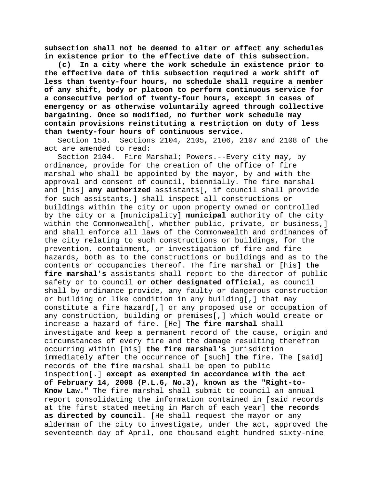**subsection shall not be deemed to alter or affect any schedules in existence prior to the effective date of this subsection.**

**(c) In a city where the work schedule in existence prior to the effective date of this subsection required a work shift of less than twenty-four hours, no schedule shall require a member of any shift, body or platoon to perform continuous service for a consecutive period of twenty-four hours, except in cases of emergency or as otherwise voluntarily agreed through collective bargaining. Once so modified, no further work schedule may contain provisions reinstituting a restriction on duty of less than twenty-four hours of continuous service.**

Section 158. Sections 2104, 2105, 2106, 2107 and 2108 of the act are amended to read:

Section 2104. Fire Marshal; Powers.--Every city may, by ordinance, provide for the creation of the office of fire marshal who shall be appointed by the mayor, by and with the approval and consent of council, biennially. The fire marshal and [his] **any authorized** assistants[, if council shall provide for such assistants,] shall inspect all constructions or buildings within the city or upon property owned or controlled by the city or a [municipality] **municipal** authority of the city within the Commonwealth[, whether public, private, or business,] and shall enforce all laws of the Commonwealth and ordinances of the city relating to such constructions or buildings, for the prevention, containment, or investigation of fire and fire hazards, both as to the constructions or buildings and as to the contents or occupancies thereof. The fire marshal or [his] **the fire marshal's** assistants shall report to the director of public safety or to council **or other designated official**, as council shall by ordinance provide, any faulty or dangerous construction or building or like condition in any building[,] that may constitute a fire hazard[,] or any proposed use or occupation of any construction, building or premises[,] which would create or increase a hazard of fire. [He] **The fire marshal** shall investigate and keep a permanent record of the cause, origin and circumstances of every fire and the damage resulting therefrom occurring within [his] **the fire marshal's** jurisdiction immediately after the occurrence of [such] **the** fire. The [said] records of the fire marshal shall be open to public inspection[.] **except as exempted in accordance with the act of February 14, 2008 (P.L.6, No.3), known as the "Right-to-Know Law."** The fire marshal shall submit to council an annual report consolidating the information contained in [said records at the first stated meeting in March of each year] **the records as directed by council**. [He shall request the mayor or any alderman of the city to investigate, under the act, approved the seventeenth day of April, one thousand eight hundred sixty-nine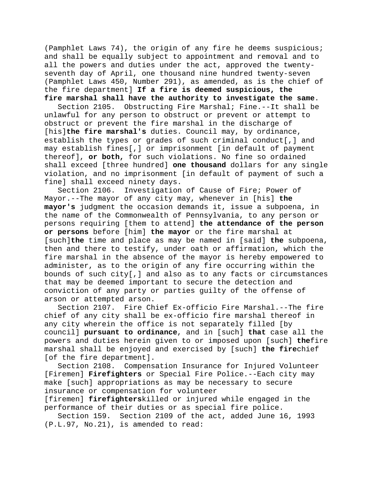(Pamphlet Laws 74), the origin of any fire he deems suspicious; and shall be equally subject to appointment and removal and to all the powers and duties under the act, approved the twentyseventh day of April, one thousand nine hundred twenty-seven (Pamphlet Laws 450, Number 291), as amended, as is the chief of the fire department] **If a fire is deemed suspicious, the fire marshal shall have the authority to investigate the same**.

Section 2105. Obstructing Fire Marshal; Fine.--It shall be unlawful for any person to obstruct or prevent or attempt to obstruct or prevent the fire marshal in the discharge of [his]**the fire marshal's** duties. Council may, by ordinance, establish the types or grades of such criminal conduct[,] and may establish fines[,] or imprisonment [in default of payment thereof], **or both,** for such violations. No fine so ordained shall exceed [three hundred] **one thousand** dollars for any single violation, and no imprisonment [in default of payment of such a fine] shall exceed ninety days.<br>Section 2106. Investigation

Investigation of Cause of Fire; Power of Mayor.--The mayor of any city may, whenever in [his] **the mayor's** judgment the occasion demands it, issue a subpoena, in the name of the Commonwealth of Pennsylvania, to any person or persons requiring [them to attend] **the attendance of the person or persons** before [him] **the mayor** or the fire marshal at [such]**the** time and place as may be named in [said] **the** subpoena, then and there to testify, under oath or affirmation, which the fire marshal in the absence of the mayor is hereby empowered to administer, as to the origin of any fire occurring within the bounds of such city[,] and also as to any facts or circumstances that may be deemed important to secure the detection and conviction of any party or parties guilty of the offense of arson or attempted arson.

Section 2107. Fire Chief Ex-officio Fire Marshal.--The fire chief of any city shall be ex-officio fire marshal thereof in any city wherein the office is not separately filled [by council] **pursuant to ordinance**, and in [such] **that** case all the powers and duties herein given to or imposed upon [such] **the**fire marshal shall be enjoyed and exercised by [such] **the fire**chief [of the fire department].

Section 2108. Compensation Insurance for Injured Volunteer [Firemen] **Firefighters** or Special Fire Police.--Each city may make [such] appropriations as may be necessary to secure insurance or compensation for volunteer

[firemen] **firefighters**killed or injured while engaged in the performance of their duties or as special fire police.

Section 159. Section 2109 of the act, added June 16, 1993 (P.L.97, No.21), is amended to read: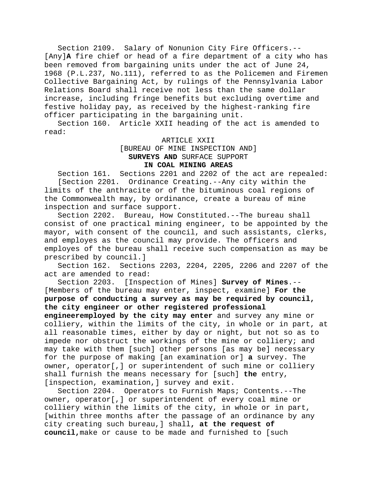Section 2109. Salary of Nonunion City Fire Officers.-- [Any]**A** fire chief or head of a fire department of a city who has been removed from bargaining units under the act of June 24, 1968 (P.L.237, No.111), referred to as the Policemen and Firemen Collective Bargaining Act, by rulings of the Pennsylvania Labor Relations Board shall receive not less than the same dollar increase, including fringe benefits but excluding overtime and festive holiday pay, as received by the highest-ranking fire officer participating in the bargaining unit.

Section 160. Article XXII heading of the act is amended to read:

ARTICLE XXII

[BUREAU OF MINE INSPECTION AND] **SURVEYS AND** SURFACE SUPPORT **IN COAL MINING AREAS**

Section 161. Sections 2201 and 2202 of the act are repealed: [Section 2201. Ordinance Creating.--Any city within the limits of the anthracite or of the bituminous coal regions of the Commonwealth may, by ordinance, create a bureau of mine inspection and surface support.

Section 2202. Bureau, How Constituted.--The bureau shall consist of one practical mining engineer, to be appointed by the mayor, with consent of the council, and such assistants, clerks, and employes as the council may provide. The officers and employes of the bureau shall receive such compensation as may be prescribed by council.]<br>Section 162. Section

Sections 2203, 2204, 2205, 2206 and 2207 of the act are amended to read:

Section 2203. [Inspection of Mines] **Survey of Mines**.-- [Members of the bureau may enter, inspect, examine] **For the purpose of conducting a survey as may be required by council, the city engineer or other registered professional engineeremployed by the city may enter** and survey any mine or

colliery, within the limits of the city, in whole or in part, at all reasonable times, either by day or night, but not so as to impede nor obstruct the workings of the mine or colliery; and may take with them [such] other persons [as may be] necessary for the purpose of making [an examination or] **a** survey. The owner, operator[,] or superintendent of such mine or colliery shall furnish the means necessary for [such] **the** entry, [inspection, examination, ] survey and exit.

Section 2204. Operators to Furnish Maps; Contents.--The owner, operator[,] or superintendent of every coal mine or colliery within the limits of the city, in whole or in part, [within three months after the passage of an ordinance by any city creating such bureau,] shall**, at the request of council,**make or cause to be made and furnished to [such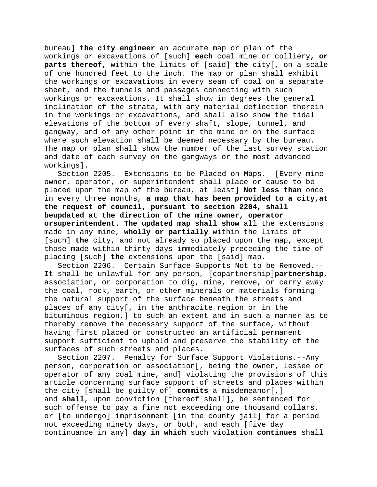bureau] **the city engineer** an accurate map or plan of the workings or excavations of [such] **each** coal mine or colliery**, or parts thereof,** within the limits of [said] **the** city[, on a scale of one hundred feet to the inch. The map or plan shall exhibit the workings or excavations in every seam of coal on a separate sheet, and the tunnels and passages connecting with such workings or excavations. It shall show in degrees the general inclination of the strata, with any material deflection therein in the workings or excavations, and shall also show the tidal elevations of the bottom of every shaft, slope, tunnel, and gangway, and of any other point in the mine or on the surface where such elevation shall be deemed necessary by the bureau. The map or plan shall show the number of the last survey station and date of each survey on the gangways or the most advanced workings].

Section 2205. Extensions to be Placed on Maps.--[Every mine owner, operator, or superintendent shall place or cause to be placed upon the map of the bureau, at least] **Not less than** once in every three months, **a map that has been provided to a city,at the request of council, pursuant to section 2204, shall beupdated at the direction of the mine owner, operator orsuperintendent. The updated map shall show** all the extensions made in any mine, **wholly or partially** within the limits of [such] **the** city, and not already so placed upon the map, except those made within thirty days immediately preceding the time of placing [such] **the** extensions upon the [said] map.

Section 2206. Certain Surface Supports Not to be Removed.-- It shall be unlawful for any person, [copartnership]**partnership**, association, or corporation to dig, mine, remove, or carry away the coal, rock, earth, or other minerals or materials forming the natural support of the surface beneath the streets and places of any city[, in the anthracite region or in the bituminous region,] to such an extent and in such a manner as to thereby remove the necessary support of the surface, without having first placed or constructed an artificial permanent support sufficient to uphold and preserve the stability of the surfaces of such streets and places.

Section 2207. Penalty for Surface Support Violations.--Any person, corporation or association[, being the owner, lessee or operator of any coal mine, and] violating the provisions of this article concerning surface support of streets and places within the city [shall be guilty of] **commits** a misdemeanor[,] and **shall**, upon conviction [thereof shall]**,** be sentenced for such offense to pay a fine not exceeding one thousand dollars, or [to undergo] imprisonment [in the county jail] for a period not exceeding ninety days, or both, and each [five day continuance in any] **day in which** such violation **continues** shall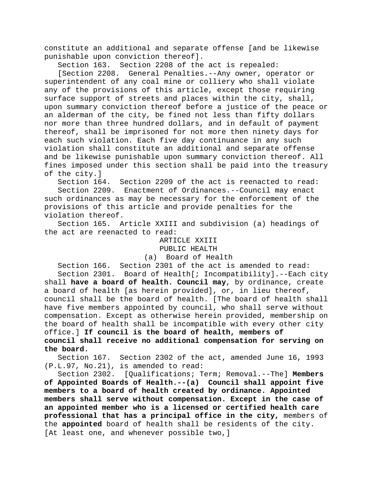constitute an additional and separate offense [and be likewise punishable upon conviction thereof].<br>Section 163. Section 2208 of the

Section 2208 of the act is repealed:

[Section 2208. General Penalties.--Any owner, operator or superintendent of any coal mine or colliery who shall violate any of the provisions of this article, except those requiring surface support of streets and places within the city, shall, upon summary conviction thereof before a justice of the peace or an alderman of the city, be fined not less than fifty dollars nor more than three hundred dollars, and in default of payment thereof, shall be imprisoned for not more then ninety days for each such violation. Each five day continuance in any such violation shall constitute an additional and separate offense and be likewise punishable upon summary conviction thereof. All fines imposed under this section shall be paid into the treasury of the city.]<br>Section 164.

Section 2209 of the act is reenacted to read: Section 2209. Enactment of Ordinances.--Council may enact such ordinances as may be necessary for the enforcement of the provisions of this article and provide penalties for the violation thereof.

Section 165. Article XXIII and subdivision (a) headings of the act are reenacted to read:

> ARTICLE XXIII PUBLIC HEALTH

(a) Board of Health

Section 166. Section 2301 of the act is amended to read: Section 2301. Board of Health[; Incompatibility].--Each city shall **have a board of health. Council may**, by ordinance, create

a board of health [as herein provided], or, in lieu thereof, council shall be the board of health. [The board of health shall have five members appointed by council, who shall serve without compensation. Except as otherwise herein provided, membership on the board of health shall be incompatible with every other city office.] **If council is the board of health, members of council shall receive no additional compensation for serving on the board.**

Section 167. Section 2302 of the act, amended June 16, 1993 (P.L.97, No.21), is amended to read:

Section 2302. [Qualifications; Term; Removal.--The] **Members of Appointed Boards of Health.--(a) Council shall appoint five members to a board of health created by ordinance. Appointed members shall serve without compensation. Except in the case of an appointed member who is a licensed or certified health care professional that has a principal office in the city,** members of the **appointed** board of health shall be residents of the city. [At least one, and whenever possible two,]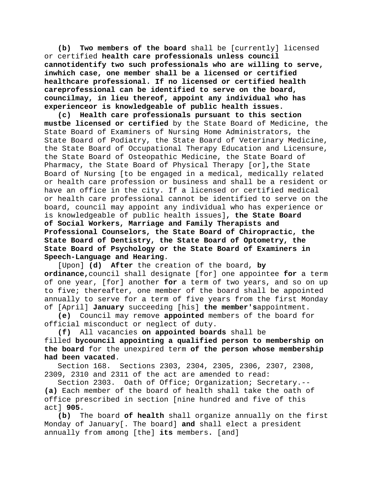**(b) Two members of the board** shall be [currently] licensed or certified **health care professionals unless council cannotidentify two such professionals who are willing to serve, inwhich case, one member shall be a licensed or certified healthcare professional. If no licensed or certified health careprofessional can be identified to serve on the board, councilmay, in lieu thereof, appoint any individual who has experienceor is knowledgeable of public health issues.**

**(c) Health care professionals pursuant to this section mustbe licensed or certified** by the State Board of Medicine, the State Board of Examiners of Nursing Home Administrators, the State Board of Podiatry, the State Board of Veterinary Medicine, the State Board of Occupational Therapy Education and Licensure, the State Board of Osteopathic Medicine, the State Board of Pharmacy, the State Board of Physical Therapy [or]**,**the State Board of Nursing [to be engaged in a medical, medically related or health care profession or business and shall be a resident or have an office in the city. If a licensed or certified medical or health care professional cannot be identified to serve on the board, council may appoint any individual who has experience or is knowledgeable of public health issues]**, the State Board of Social Workers, Marriage and Family Therapists and Professional Counselors, the State Board of Chiropractic, the State Board of Dentistry, the State Board of Optometry, the State Board of Psychology or the State Board of Examiners in Speech-Language and Hearing**.

[Upon] **(d) After** the creation of the board, **by ordinance,**council shall designate [for] one appointee **for** a term of one year, [for] another **for** a term of two years, and so on up to five; thereafter, one member of the board shall be appointed annually to serve for a term of five years from the first Monday of [April] **January** succeeding [his] **the member's**appointment.

**(e)** Council may remove **appointed** members of the board for official misconduct or neglect of duty.

**(f)** All vacancies **on appointed boards** shall be filled **bycouncil appointing a qualified person to membership on the board** for the unexpired term **of the person whose membership had been vacated**.

Section 168. Sections 2303, 2304, 2305, 2306, 2307, 2308, 2309, 2310 and 2311 of the act are amended to read:

Section 2303. Oath of Office; Organization; Secretary.-- **(a)** Each member of the board of health shall take the oath of office prescribed in section [nine hundred and five of this act] **905**.

**(b)** The board **of health** shall organize annually on the first Monday of January[. The board] **and** shall elect a president annually from among [the] **its** members**.** [and]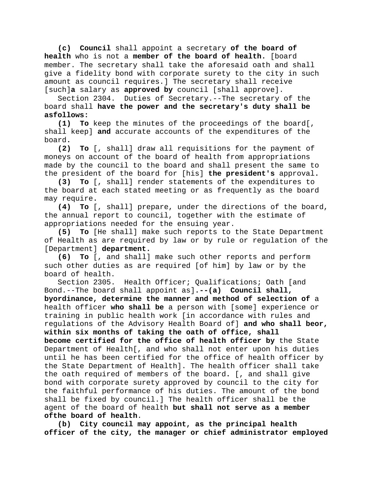**(c) Council** shall appoint a secretary **of the board of health** who is not a **member of the board of health.** [board member. The secretary shall take the aforesaid oath and shall give a fidelity bond with corporate surety to the city in such amount as council requires.] The secretary shall receive [such]**a** salary as **approved by** council [shall approve].

Section 2304. Duties of Secretary.--The secretary of the board shall **have the power and the secretary's duty shall be asfollows:**

**(1) To** keep the minutes of the proceedings of the board[, shall keep] **and** accurate accounts of the expenditures of the board**.**

**(2) To** [, shall] draw all requisitions for the payment of moneys on account of the board of health from appropriations made by the council to the board and shall present the same to the president of the board for [his] **the president's** approval**.**

**(3) To** [, shall] render statements of the expenditures to the board at each stated meeting or as frequently as the board may require**.**

**(4) To** [, shall] prepare, under the directions of the board, the annual report to council, together with the estimate of appropriations needed for the ensuing year.

**(5) To** [He shall] make such reports to the State Department of Health as are required by law or by rule or regulation of the [Department] **department.**

**(6) To** [, and shall] make such other reports and perform such other duties as are required [of him] by law or by the board of health.

Section 2305. Health Officer; Qualifications; Oath [and Bond.--The board shall appoint as]**.--(a) Council shall, byordinance, determine the manner and method of selection of** a health officer **who shall be** a person with [some] experience or training in public health work [in accordance with rules and regulations of the Advisory Health Board of] **and who shall beor, within six months of taking the oath of office, shall become certified for the office of health officer by** the State Department of Health[, and who shall not enter upon his duties

until he has been certified for the office of health officer by the State Department of Health]. The health officer shall take the oath required of members of the board**.** [, and shall give bond with corporate surety approved by council to the city for the faithful performance of his duties. The amount of the bond shall be fixed by council.] The health officer shall be the agent of the board of health **but shall not serve as a member ofthe board of health**.

**(b) City council may appoint, as the principal health officer of the city, the manager or chief administrator employed**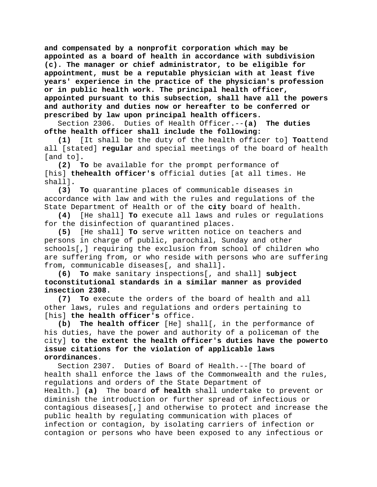**and compensated by a nonprofit corporation which may be appointed as a board of health in accordance with subdivision (c). The manager or chief administrator, to be eligible for appointment, must be a reputable physician with at least five years' experience in the practice of the physician's profession or in public health work. The principal health officer, appointed pursuant to this subsection, shall have all the powers and authority and duties now or hereafter to be conferred or prescribed by law upon principal health officers.**

Section 2306. Duties of Health Officer.--**(a) The duties ofthe health officer shall include the following:**

**(1)** [It shall be the duty of the health officer to] **To**attend all [stated] **regular** and special meetings of the board of health [and to]**.**

To be available for the prompt performance of [his] **thehealth officer's** official duties [at all times. He shall]**.**

**(3) To** quarantine places of communicable diseases in accordance with law and with the rules and regulations of the State Department of Health or of the **city** board of health.

**(4)** [He shall] **To** execute all laws and rules or regulations for the disinfection of quarantined places.

**(5)** [He shall] **To** serve written notice on teachers and persons in charge of public, parochial, Sunday and other schools[,] requiring the exclusion from school of children who are suffering from, or who reside with persons who are suffering from, communicable diseases[, and shall]**.**

**(6) To** make sanitary inspections[, and shall] **subject toconstitutional standards in a similar manner as provided insection 2308.**

**(7) To** execute the orders of the board of health and all other laws, rules and regulations and orders pertaining to [his] **the health officer's** office.

**(b) The health officer** [He] shall[, in the performance of his duties, have the power and authority of a policeman of the city] **to the extent the health officer's duties have the powerto issue citations for the violation of applicable laws orordinances**.

Section 2307. Duties of Board of Health.--[The board of health shall enforce the laws of the Commonwealth and the rules, regulations and orders of the State Department of Health.] **(a)** The board **of health** shall undertake to prevent or diminish the introduction or further spread of infectious or contagious diseases[,] and otherwise to protect and increase the public health by regulating communication with places of infection or contagion, by isolating carriers of infection or contagion or persons who have been exposed to any infectious or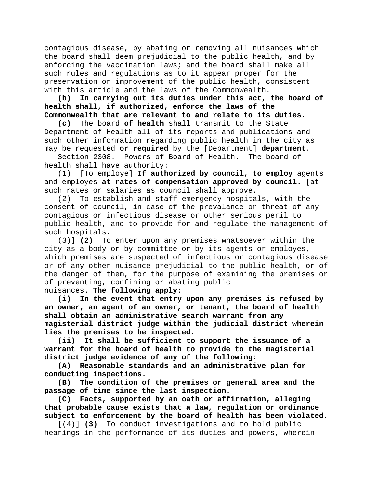contagious disease, by abating or removing all nuisances which the board shall deem prejudicial to the public health, and by enforcing the vaccination laws; and the board shall make all such rules and regulations as to it appear proper for the preservation or improvement of the public health, consistent with this article and the laws of the Commonwealth.

**(b) In carrying out its duties under this act, the board of health shall, if authorized, enforce the laws of the Commonwealth that are relevant to and relate to its duties.**

**(c)** The board **of health** shall transmit to the State Department of Health all of its reports and publications and such other information regarding public health in the city as may be requested **or required** by the [Department] **department**.

Powers of Board of Health.--The board of health shall have authority:

(1) [To employe] **If authorized by council, to employ** agents and employes **at rates of compensation approved by council.** [at

such rates or salaries as council shall approve.<br>(2) To establish and staff emergency hospita To establish and staff emergency hospitals, with the consent of council, in case of the prevalance or threat of any contagious or infectious disease or other serious peril to public health, and to provide for and regulate the management of such hospitals.

(3)] **(2)** To enter upon any premises whatsoever within the city as a body or by committee or by its agents or employes, which premises are suspected of infectious or contagious disease or of any other nuisance prejudicial to the public health, or of the danger of them, for the purpose of examining the premises or of preventing, confining or abating public nuisances. **The following apply:**

**(i) In the event that entry upon any premises is refused by an owner, an agent of an owner, or tenant, the board of health shall obtain an administrative search warrant from any magisterial district judge within the judicial district wherein lies the premises to be inspected.**

**(ii) It shall be sufficient to support the issuance of a warrant for the board of health to provide to the magisterial district judge evidence of any of the following:**

**(A) Reasonable standards and an administrative plan for conducting inspections.**

**(B) The condition of the premises or general area and the passage of time since the last inspection.**

**(C) Facts, supported by an oath or affirmation, alleging that probable cause exists that a law, regulation or ordinance subject to enforcement by the board of health has been violated.**

[(4)] **(3)** To conduct investigations and to hold public hearings in the performance of its duties and powers, wherein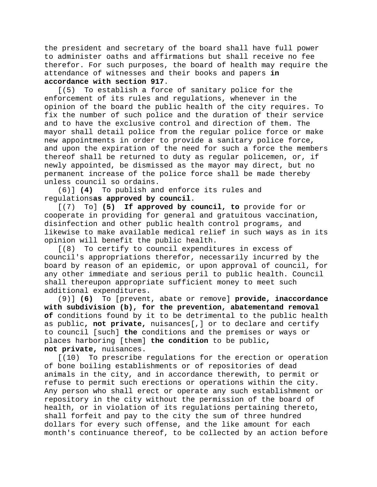the president and secretary of the board shall have full power to administer oaths and affirmations but shall receive no fee therefor. For such purposes, the board of health may require the attendance of witnesses and their books and papers **in accordance with section 917**.

[(5) To establish a force of sanitary police for the enforcement of its rules and regulations, whenever in the opinion of the board the public health of the city requires. To fix the number of such police and the duration of their service and to have the exclusive control and direction of them. The mayor shall detail police from the regular police force or make new appointments in order to provide a sanitary police force, and upon the expiration of the need for such a force the members thereof shall be returned to duty as regular policemen, or, if newly appointed, be dismissed as the mayor may direct, but no permanent increase of the police force shall be made thereby unless council so ordains.

(6)] **(4)** To publish and enforce its rules and regulations**as approved by council**.

[(7) To] **(5) If approved by council, to** provide for or cooperate in providing for general and gratuitous vaccination, disinfection and other public health control programs, and likewise to make available medical relief in such ways as in its opinion will benefit the public health.

[(8) To certify to council expenditures in excess of council's appropriations therefor, necessarily incurred by the board by reason of an epidemic, or upon approval of council, for any other immediate and serious peril to public health. Council shall thereupon appropriate sufficient money to meet such additional expenditures.

(9)] **(6)** To [prevent, abate or remove] **provide, inaccordance with subdivision (b), for the prevention, abatementand removal of** conditions found by it to be detrimental to the public health as public**, not private,** nuisances[,] or to declare and certify to council [such] **the** conditions and the premises or ways or places harboring [them] **the condition** to be public**, not private,** nuisances.

[(10) To prescribe regulations for the erection or operation of bone boiling establishments or of repositories of dead animals in the city, and in accordance therewith, to permit or refuse to permit such erections or operations within the city. Any person who shall erect or operate any such establishment or repository in the city without the permission of the board of health, or in violation of its regulations pertaining thereto, shall forfeit and pay to the city the sum of three hundred dollars for every such offense, and the like amount for each month's continuance thereof, to be collected by an action before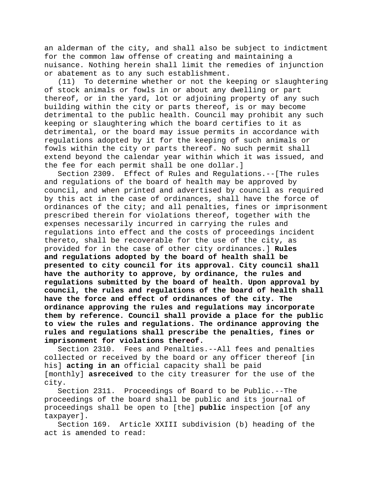an alderman of the city, and shall also be subject to indictment for the common law offense of creating and maintaining a nuisance. Nothing herein shall limit the remedies of injunction or abatement as to any such establishment.<br>(11) To determine whether or not the k

To determine whether or not the keeping or slaughtering of stock animals or fowls in or about any dwelling or part thereof, or in the yard, lot or adjoining property of any such building within the city or parts thereof, is or may become detrimental to the public health. Council may prohibit any such keeping or slaughtering which the board certifies to it as detrimental, or the board may issue permits in accordance with regulations adopted by it for the keeping of such animals or fowls within the city or parts thereof. No such permit shall extend beyond the calendar year within which it was issued, and the fee for each permit shall be one dollar.]

Section 2309. Effect of Rules and Regulations.--[The rules and regulations of the board of health may be approved by council, and when printed and advertised by council as required by this act in the case of ordinances, shall have the force of ordinances of the city; and all penalties, fines or imprisonment prescribed therein for violations thereof, together with the expenses necessarily incurred in carrying the rules and regulations into effect and the costs of proceedings incident thereto, shall be recoverable for the use of the city, as provided for in the case of other city ordinances.] **Rules and regulations adopted by the board of health shall be presented to city council for its approval. City council shall have the authority to approve, by ordinance, the rules and regulations submitted by the board of health. Upon approval by council, the rules and regulations of the board of health shall have the force and effect of ordinances of the city. The ordinance approving the rules and regulations may incorporate them by reference. Council shall provide a place for the public to view the rules and regulations. The ordinance approving the rules and regulations shall prescribe the penalties, fines or imprisonment for violations thereof.**

Section 2310. Fees and Penalties.--All fees and penalties collected or received by the board or any officer thereof [in his] **acting in an** official capacity shall be paid [monthly] **asreceived** to the city treasurer for the use of the city.

Section 2311. Proceedings of Board to be Public.--The proceedings of the board shall be public and its journal of proceedings shall be open to [the] **public** inspection [of any taxpayer].

Section 169. Article XXIII subdivision (b) heading of the act is amended to read: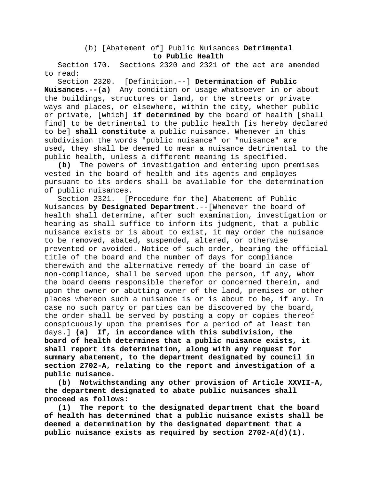# (b) [Abatement of] Public Nuisances **Detrimental to Public Health**

Section 170. Sections 2320 and 2321 of the act are amended to read:

Section 2320. [Definition.--] **Determination of Public Nuisances.--(a)** Any condition or usage whatsoever in or about the buildings, structures or land, or the streets or private ways and places, or elsewhere, within the city, whether public or private, [which] **if determined by** the board of health [shall find] to be detrimental to the public health [is hereby declared to be] **shall constitute** a public nuisance. Whenever in this subdivision the words "public nuisance" or "nuisance" are used**,** they shall be deemed to mean a nuisance detrimental to the public health, unless a different meaning is specified.

**(b)** The powers of investigation and entering upon premises vested in the board of health and its agents and employes pursuant to its orders shall be available for the determination of public nuisances.<br>Section 2321. [P

[Procedure for the] Abatement of Public Nuisances **by Designated Department**.--[Whenever the board of health shall determine, after such examination, investigation or hearing as shall suffice to inform its judgment, that a public nuisance exists or is about to exist, it may order the nuisance to be removed, abated, suspended, altered, or otherwise prevented or avoided. Notice of such order, bearing the official title of the board and the number of days for compliance therewith and the alternative remedy of the board in case of non-compliance, shall be served upon the person, if any, whom the board deems responsible therefor or concerned therein, and upon the owner or abutting owner of the land, premises or other places whereon such a nuisance is or is about to be, if any. In case no such party or parties can be discovered by the board, the order shall be served by posting a copy or copies thereof conspicuously upon the premises for a period of at least ten days.] **(a) If, in accordance with this subdivision, the board of health determines that a public nuisance exists, it shall report its determination, along with any request for summary abatement, to the department designated by council in section 2702-A, relating to the report and investigation of a public nuisance.**

**(b) Notwithstanding any other provision of Article XXVII-A, the department designated to abate public nuisances shall proceed as follows:**

**(1) The report to the designated department that the board of health has determined that a public nuisance exists shall be deemed a determination by the designated department that a public nuisance exists as required by section 2702-A(d)(1).**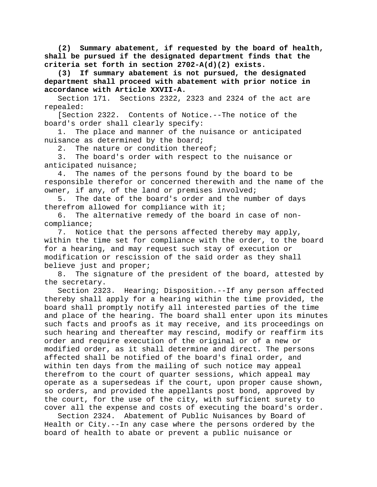**(2) Summary abatement, if requested by the board of health, shall be pursued if the designated department finds that the criteria set forth in section 2702-A(d)(2) exists.**

**(3) If summary abatement is not pursued, the designated department shall proceed with abatement with prior notice in accordance with Article XXVII-A.**

Section 171. Sections 2322, 2323 and 2324 of the act are repealed:

[Section 2322. Contents of Notice.--The notice of the board's order shall clearly specify:

1. The place and manner of the nuisance or anticipated nuisance as determined by the board;<br>2. The nature or condition there

The nature or condition thereof;

3. The board's order with respect to the nuisance or anticipated nuisance;

4. The names of the persons found by the board to be responsible therefor or concerned therewith and the name of the owner, if any, of the land or premises involved;

5. The date of the board's order and the number of days therefrom allowed for compliance with it;

6. The alternative remedy of the board in case of noncompliance;

7. Notice that the persons affected thereby may apply, within the time set for compliance with the order, to the board for a hearing, and may request such stay of execution or modification or rescission of the said order as they shall believe just and proper;

8. The signature of the president of the board, attested by the secretary.

Section 2323. Hearing; Disposition.--If any person affected thereby shall apply for a hearing within the time provided, the board shall promptly notify all interested parties of the time and place of the hearing. The board shall enter upon its minutes such facts and proofs as it may receive, and its proceedings on such hearing and thereafter may rescind, modify or reaffirm its order and require execution of the original or of a new or modified order, as it shall determine and direct. The persons affected shall be notified of the board's final order, and within ten days from the mailing of such notice may appeal therefrom to the court of quarter sessions, which appeal may operate as a supersedeas if the court, upon proper cause shown, so orders, and provided the appellants post bond, approved by the court, for the use of the city, with sufficient surety to cover all the expense and costs of executing the board's order.

Section 2324. Abatement of Public Nuisances by Board of Health or City.--In any case where the persons ordered by the board of health to abate or prevent a public nuisance or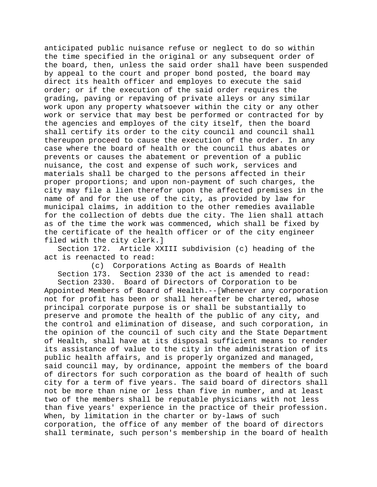anticipated public nuisance refuse or neglect to do so within the time specified in the original or any subsequent order of the board, then, unless the said order shall have been suspended by appeal to the court and proper bond posted, the board may direct its health officer and employes to execute the said order; or if the execution of the said order requires the grading, paving or repaving of private alleys or any similar work upon any property whatsoever within the city or any other work or service that may best be performed or contracted for by the agencies and employes of the city itself, then the board shall certify its order to the city council and council shall thereupon proceed to cause the execution of the order. In any case where the board of health or the council thus abates or prevents or causes the abatement or prevention of a public nuisance, the cost and expense of such work, services and materials shall be charged to the persons affected in their proper proportions; and upon non-payment of such charges, the city may file a lien therefor upon the affected premises in the name of and for the use of the city, as provided by law for municipal claims, in addition to the other remedies available for the collection of debts due the city. The lien shall attach as of the time the work was commenced, which shall be fixed by the certificate of the health officer or of the city engineer filed with the city clerk.]

Section 172. Article XXIII subdivision (c) heading of the act is reenacted to read:

(c) Corporations Acting as Boards of Health Section 173. Section 2330 of the act is amended to read:

Section 2330. Board of Directors of Corporation to be Appointed Members of Board of Health.--[Whenever any corporation not for profit has been or shall hereafter be chartered, whose principal corporate purpose is or shall be substantially to preserve and promote the health of the public of any city, and the control and elimination of disease, and such corporation, in the opinion of the council of such city and the State Department of Health, shall have at its disposal sufficient means to render its assistance of value to the city in the administration of its public health affairs, and is properly organized and managed, said council may, by ordinance, appoint the members of the board of directors for such corporation as the board of health of such city for a term of five years. The said board of directors shall not be more than nine or less than five in number, and at least two of the members shall be reputable physicians with not less than five years' experience in the practice of their profession. When, by limitation in the charter or by-laws of such corporation, the office of any member of the board of directors shall terminate, such person's membership in the board of health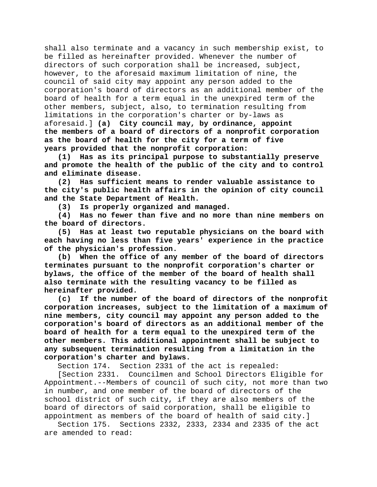shall also terminate and a vacancy in such membership exist, to be filled as hereinafter provided. Whenever the number of directors of such corporation shall be increased, subject, however, to the aforesaid maximum limitation of nine, the council of said city may appoint any person added to the corporation's board of directors as an additional member of the board of health for a term equal in the unexpired term of the other members, subject, also, to termination resulting from limitations in the corporation's charter or by-laws as aforesaid.] **(a) City council may, by ordinance, appoint the members of a board of directors of a nonprofit corporation as the board of health for the city for a term of five years provided that the nonprofit corporation:**

**(1) Has as its principal purpose to substantially preserve and promote the health of the public of the city and to control and eliminate disease.**

**(2) Has sufficient means to render valuable assistance to the city's public health affairs in the opinion of city council and the State Department of Health.**

**(3) Is properly organized and managed.**

**(4) Has no fewer than five and no more than nine members on the board of directors.**

**(5) Has at least two reputable physicians on the board with each having no less than five years' experience in the practice of the physician's profession.**

**(b) When the office of any member of the board of directors terminates pursuant to the nonprofit corporation's charter or bylaws, the office of the member of the board of health shall also terminate with the resulting vacancy to be filled as hereinafter provided.**

**(c) If the number of the board of directors of the nonprofit corporation increases, subject to the limitation of a maximum of nine members, city council may appoint any person added to the corporation's board of directors as an additional member of the board of health for a term equal to the unexpired term of the other members. This additional appointment shall be subject to any subsequent termination resulting from a limitation in the corporation's charter and bylaws.**

Section 174. Section 2331 of the act is repealed:

[Section 2331. Councilmen and School Directors Eligible for Appointment.--Members of council of such city, not more than two in number, and one member of the board of directors of the school district of such city, if they are also members of the board of directors of said corporation, shall be eligible to appointment as members of the board of health of said city.]

Section 175. Sections 2332, 2333, 2334 and 2335 of the act are amended to read: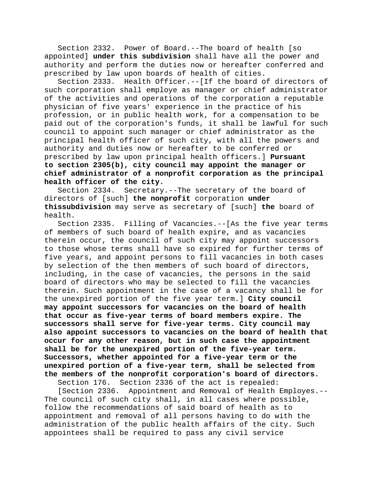Section 2332. Power of Board.--The board of health [so appointed] **under this subdivision** shall have all the power and authority and perform the duties now or hereafter conferred and prescribed by law upon boards of health of cities.

Section 2333. Health Officer.--[If the board of directors of such corporation shall employe as manager or chief administrator of the activities and operations of the corporation a reputable physician of five years' experience in the practice of his profession, or in public health work, for a compensation to be paid out of the corporation's funds, it shall be lawful for such council to appoint such manager or chief administrator as the principal health officer of such city, with all the powers and authority and duties now or hereafter to be conferred or prescribed by law upon principal health officers.] **Pursuant to section 2305(b), city council may appoint the manager or chief administrator of a nonprofit corporation as the principal health officer of the city.**

Section 2334. Secretary.--The secretary of the board of directors of [such] **the nonprofit** corporation **under thissubdivision** may serve as secretary of [such] **the** board of health.

Section 2335. Filling of Vacancies.--[As the five year terms of members of such board of health expire, and as vacancies therein occur, the council of such city may appoint successors to those whose terms shall have so expired for further terms of five years, and appoint persons to fill vacancies in both cases by selection of the then members of such board of directors, including, in the case of vacancies, the persons in the said board of directors who may be selected to fill the vacancies therein. Such appointment in the case of a vacancy shall be for the unexpired portion of the five year term.] **City council may appoint successors for vacancies on the board of health that occur as five-year terms of board members expire. The successors shall serve for five-year terms. City council may also appoint successors to vacancies on the board of health that occur for any other reason, but in such case the appointment shall be for the unexpired portion of the five-year term. Successors, whether appointed for a five-year term or the unexpired portion of a five-year term, shall be selected from the members of the nonprofit corporation's board of directors.**

Section 176. Section 2336 of the act is repealed:

[Section 2336. Appointment and Removal of Health Employes.-- The council of such city shall, in all cases where possible, follow the recommendations of said board of health as to appointment and removal of all persons having to do with the administration of the public health affairs of the city. Such appointees shall be required to pass any civil service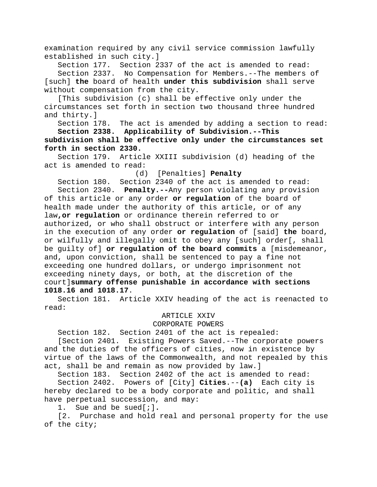examination required by any civil service commission lawfully established in such city.]

Section 177. Section 2337 of the act is amended to read: Section 2337. No Compensation for Members.--The members of [such] **the** board of health **under this subdivision** shall serve without compensation from the city.

[This subdivision (c) shall be effective only under the circumstances set forth in section two thousand three hundred and thirty.]

Section 178. The act is amended by adding a section to read: **Section 2338. Applicability of Subdivision.--This** 

**subdivision shall be effective only under the circumstances set forth in section 2330.**

Section 179. Article XXIII subdivision (d) heading of the act is amended to read:

(d) [Penalties] **Penalty**

Section 180. Section 2340 of the act is amended to read: Section 2340. **Penalty.--**Any person violating any provision of this article or any order **or regulation** of the board of health made under the authority of this article, or of any law**,or regulation** or ordinance therein referred to or authorized, or who shall obstruct or interfere with any person in the execution of any order **or regulation** of [said] **the** board, or wilfully and illegally omit to obey any [such] order[, shall be guilty of] **or regulation of the board commits** a [misdemeanor, and, upon conviction, shall be sentenced to pay a fine not exceeding one hundred dollars, or undergo imprisonment not exceeding ninety days, or both, at the discretion of the court]**summary offense punishable in accordance with sections 1018.16 and 1018.17**.

Section 181. Article XXIV heading of the act is reenacted to read:

#### ARTICLE XXIV

## CORPORATE POWERS

Section 182. Section 2401 of the act is repealed:

[Section 2401. Existing Powers Saved.--The corporate powers and the duties of the officers of cities, now in existence by virtue of the laws of the Commonwealth, and not repealed by this act, shall be and remain as now provided by law.]

Section 183. Section 2402 of the act is amended to read: Section 2402. Powers of [City] **Cities**.--**(a)** Each city is hereby declared to be a body corporate and politic, and shall have perpetual succession, and may:

1. Sue and be sued[;]**.**

[2. Purchase and hold real and personal property for the use of the city;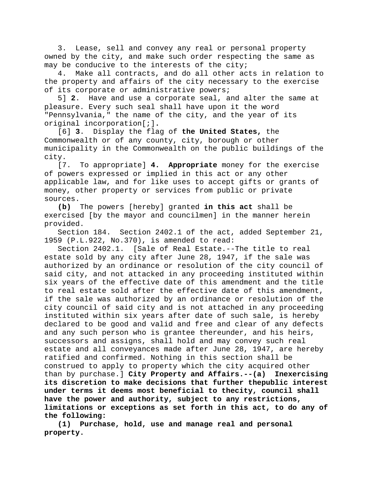3. Lease, sell and convey any real or personal property owned by the city, and make such order respecting the same as may be conducive to the interests of the city;

4. Make all contracts, and do all other acts in relation to the property and affairs of the city necessary to the exercise of its corporate or administrative powers;

5] **2**. Have and use a corporate seal, and alter the same at pleasure. Every such seal shall have upon it the word "Pennsylvania," the name of the city, and the year of its original incorporation[;]**.**

[6] **3**. Display the flag of **the United States,** the Commonwealth or of any county, city, borough or other municipality in the Commonwealth on the public buildings of the city.

[7. To appropriate] **4. Appropriate** money for the exercise of powers expressed or implied in this act or any other applicable law, and for like uses to accept gifts or grants of money, other property or services from public or private sources.

**(b)** The powers [hereby] granted **in this act** shall be exercised [by the mayor and councilmen] in the manner herein provided.

Section 184. Section 2402.1 of the act, added September 21, 1959 (P.L.922, No.370), is amended to read:

Section 2402.1. [Sale of Real Estate.--The title to real estate sold by any city after June 28, 1947, if the sale was authorized by an ordinance or resolution of the city council of said city, and not attacked in any proceeding instituted within six years of the effective date of this amendment and the title to real estate sold after the effective date of this amendment, if the sale was authorized by an ordinance or resolution of the city council of said city and is not attached in any proceeding instituted within six years after date of such sale, is hereby declared to be good and valid and free and clear of any defects and any such person who is grantee thereunder, and his heirs, successors and assigns, shall hold and may convey such real estate and all conveyances made after June 28, 1947, are hereby ratified and confirmed. Nothing in this section shall be construed to apply to property which the city acquired other than by purchase.] **City Property and Affairs.--(a) Inexercising its discretion to make decisions that further thepublic interest under terms it deems most beneficial to thecity, council shall have the power and authority, subject to any restrictions, limitations or exceptions as set forth in this act, to do any of the following:**

**(1) Purchase, hold, use and manage real and personal property.**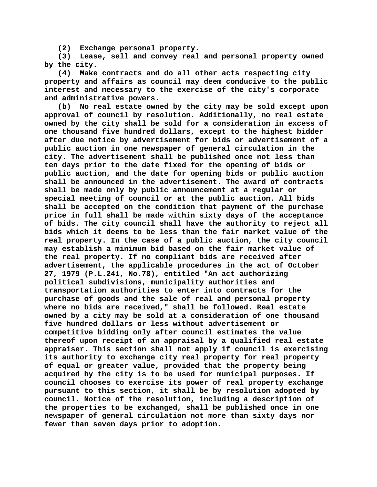**(2) Exchange personal property.**

**(3) Lease, sell and convey real and personal property owned by the city.**

**(4) Make contracts and do all other acts respecting city property and affairs as council may deem conducive to the public interest and necessary to the exercise of the city's corporate and administrative powers.**

**(b) No real estate owned by the city may be sold except upon approval of council by resolution. Additionally, no real estate owned by the city shall be sold for a consideration in excess of one thousand five hundred dollars, except to the highest bidder after due notice by advertisement for bids or advertisement of a public auction in one newspaper of general circulation in the city. The advertisement shall be published once not less than ten days prior to the date fixed for the opening of bids or public auction, and the date for opening bids or public auction shall be announced in the advertisement. The award of contracts shall be made only by public announcement at a regular or special meeting of council or at the public auction. All bids shall be accepted on the condition that payment of the purchase price in full shall be made within sixty days of the acceptance of bids. The city council shall have the authority to reject all bids which it deems to be less than the fair market value of the real property. In the case of a public auction, the city council may establish a minimum bid based on the fair market value of the real property. If no compliant bids are received after advertisement, the applicable procedures in the act of October 27, 1979 (P.L.241, No.78), entitled "An act authorizing political subdivisions, municipality authorities and transportation authorities to enter into contracts for the purchase of goods and the sale of real and personal property where no bids are received," shall be followed. Real estate owned by a city may be sold at a consideration of one thousand five hundred dollars or less without advertisement or competitive bidding only after council estimates the value thereof upon receipt of an appraisal by a qualified real estate appraiser. This section shall not apply if council is exercising its authority to exchange city real property for real property of equal or greater value, provided that the property being acquired by the city is to be used for municipal purposes. If council chooses to exercise its power of real property exchange pursuant to this section, it shall be by resolution adopted by council. Notice of the resolution, including a description of the properties to be exchanged, shall be published once in one newspaper of general circulation not more than sixty days nor fewer than seven days prior to adoption.**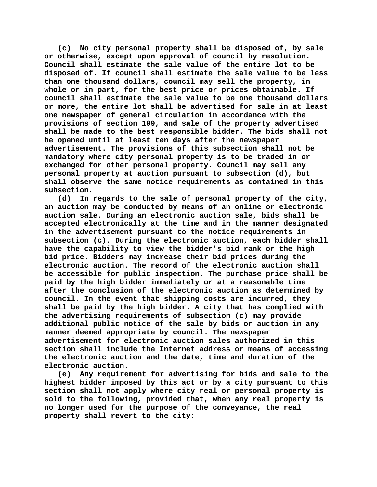**(c) No city personal property shall be disposed of, by sale or otherwise, except upon approval of council by resolution. Council shall estimate the sale value of the entire lot to be disposed of. If council shall estimate the sale value to be less than one thousand dollars, council may sell the property, in whole or in part, for the best price or prices obtainable. If council shall estimate the sale value to be one thousand dollars or more, the entire lot shall be advertised for sale in at least one newspaper of general circulation in accordance with the provisions of section 109, and sale of the property advertised shall be made to the best responsible bidder. The bids shall not be opened until at least ten days after the newspaper advertisement. The provisions of this subsection shall not be mandatory where city personal property is to be traded in or exchanged for other personal property. Council may sell any personal property at auction pursuant to subsection (d), but shall observe the same notice requirements as contained in this subsection.**

**(d) In regards to the sale of personal property of the city, an auction may be conducted by means of an online or electronic auction sale. During an electronic auction sale, bids shall be accepted electronically at the time and in the manner designated in the advertisement pursuant to the notice requirements in subsection (c). During the electronic auction, each bidder shall have the capability to view the bidder's bid rank or the high bid price. Bidders may increase their bid prices during the electronic auction. The record of the electronic auction shall be accessible for public inspection. The purchase price shall be paid by the high bidder immediately or at a reasonable time after the conclusion of the electronic auction as determined by council. In the event that shipping costs are incurred, they shall be paid by the high bidder. A city that has complied with the advertising requirements of subsection (c) may provide additional public notice of the sale by bids or auction in any manner deemed appropriate by council. The newspaper advertisement for electronic auction sales authorized in this section shall include the Internet address or means of accessing the electronic auction and the date, time and duration of the electronic auction.**

**(e) Any requirement for advertising for bids and sale to the highest bidder imposed by this act or by a city pursuant to this section shall not apply where city real or personal property is sold to the following, provided that, when any real property is no longer used for the purpose of the conveyance, the real property shall revert to the city:**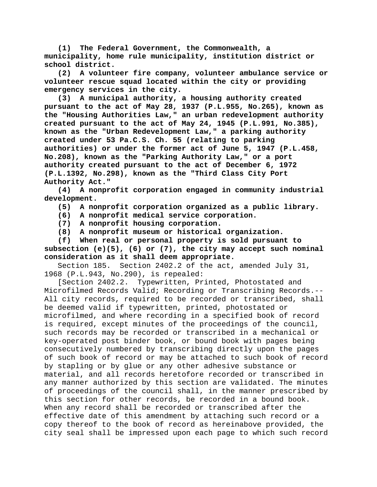**(1) The Federal Government, the Commonwealth, a municipality, home rule municipality, institution district or school district.**

**(2) A volunteer fire company, volunteer ambulance service or volunteer rescue squad located within the city or providing emergency services in the city.**

**(3) A municipal authority, a housing authority created pursuant to the act of May 28, 1937 (P.L.955, No.265), known as the "Housing Authorities Law," an urban redevelopment authority created pursuant to the act of May 24, 1945 (P.L.991, No.385), known as the "Urban Redevelopment Law," a parking authority created under 53 Pa.C.S. Ch. 55 (relating to parking authorities) or under the former act of June 5, 1947 (P.L.458, No.208), known as the "Parking Authority Law," or a port authority created pursuant to the act of December 6, 1972 (P.L.1392, No.298), known as the "Third Class City Port Authority Act."**

**(4) A nonprofit corporation engaged in community industrial development.**

**(5) A nonprofit corporation organized as a public library.**

- **(6) A nonprofit medical service corporation.**
- **(7) A nonprofit housing corporation.**
- **(8) A nonprofit museum or historical organization.**

**(f) When real or personal property is sold pursuant to subsection (e)(5), (6) or (7), the city may accept such nominal consideration as it shall deem appropriate.**

Section 185. Section 2402.2 of the act, amended July 31, 1968 (P.L.943, No.290), is repealed:

[Section 2402.2. Typewritten, Printed, Photostated and Microfilmed Records Valid; Recording or Transcribing Records.-- All city records, required to be recorded or transcribed, shall be deemed valid if typewritten, printed, photostated or microfilmed, and where recording in a specified book of record is required, except minutes of the proceedings of the council, such records may be recorded or transcribed in a mechanical or key-operated post binder book, or bound book with pages being consecutively numbered by transcribing directly upon the pages of such book of record or may be attached to such book of record by stapling or by glue or any other adhesive substance or material, and all records heretofore recorded or transcribed in any manner authorized by this section are validated. The minutes of proceedings of the council shall, in the manner prescribed by this section for other records, be recorded in a bound book. When any record shall be recorded or transcribed after the effective date of this amendment by attaching such record or a copy thereof to the book of record as hereinabove provided, the city seal shall be impressed upon each page to which such record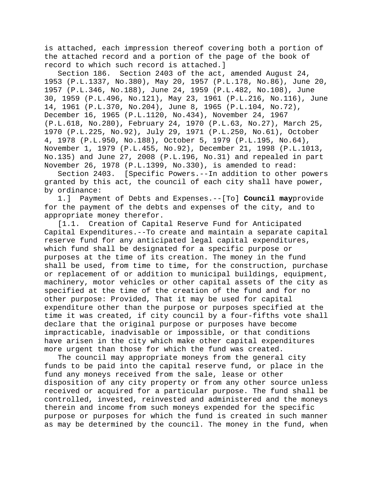is attached, each impression thereof covering both a portion of the attached record and a portion of the page of the book of record to which such record is attached.]

Section 186. Section 2403 of the act, amended August 24, 1953 (P.L.1337, No.380), May 20, 1957 (P.L.178, No.86), June 20, 1957 (P.L.346, No.188), June 24, 1959 (P.L.482, No.108), June 30, 1959 (P.L.496, No.121), May 23, 1961 (P.L.216, No.116), June 14, 1961 (P.L.370, No.204), June 8, 1965 (P.L.104, No.72), December 16, 1965 (P.L.1120, No.434), November 24, 1967 (P.L.618, No.280), February 24, 1970 (P.L.63, No.27), March 25, 1970 (P.L.225, No.92), July 29, 1971 (P.L.250, No.61), October 4, 1978 (P.L.950, No.188), October 5, 1979 (P.L.195, No.64), November 1, 1979 (P.L.455, No.92), December 21, 1998 (P.L.1013, No.135) and June 27, 2008 (P.L.196, No.31) and repealed in part November 26, 1978 (P.L.1399, No.330), is amended to read:

Section 2403. [Specific Powers.--In addition to other powers granted by this act, the council of each city shall have power, by ordinance:<br>1.] Payme

1.] Payment of Debts and Expenses.--[To] **Council may**provide for the payment of the debts and expenses of the city, and to appropriate money therefor.

[1.1. Creation of Capital Reserve Fund for Anticipated Capital Expenditures.--To create and maintain a separate capital reserve fund for any anticipated legal capital expenditures, which fund shall be designated for a specific purpose or purposes at the time of its creation. The money in the fund shall be used, from time to time, for the construction, purchase or replacement of or addition to municipal buildings, equipment, machinery, motor vehicles or other capital assets of the city as specified at the time of the creation of the fund and for no other purpose: Provided, That it may be used for capital expenditure other than the purpose or purposes specified at the time it was created, if city council by a four-fifths vote shall declare that the original purpose or purposes have become impracticable, inadvisable or impossible, or that conditions have arisen in the city which make other capital expenditures more urgent than those for which the fund was created.

The council may appropriate moneys from the general city funds to be paid into the capital reserve fund, or place in the fund any moneys received from the sale, lease or other disposition of any city property or from any other source unless received or acquired for a particular purpose. The fund shall be controlled, invested, reinvested and administered and the moneys therein and income from such moneys expended for the specific purpose or purposes for which the fund is created in such manner as may be determined by the council. The money in the fund, when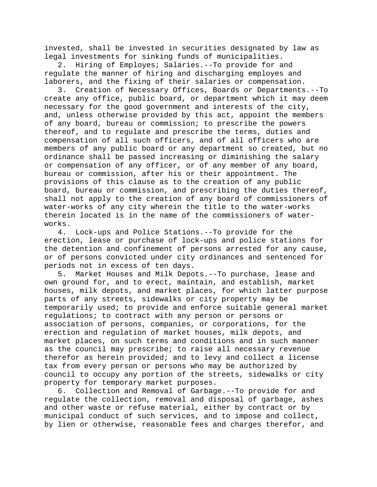invested, shall be invested in securities designated by law as legal investments for sinking funds of municipalities.

2. Hiring of Employes; Salaries.--To provide for and regulate the manner of hiring and discharging employes and laborers, and the fixing of their salaries or compensation.

3. Creation of Necessary Offices, Boards or Departments.--To create any office, public board, or department which it may deem necessary for the good government and interests of the city, and, unless otherwise provided by this act, appoint the members of any board, bureau or commission; to prescribe the powers thereof, and to regulate and prescribe the terms, duties and compensation of all such officers, and of all officers who are members of any public board or any department so created, but no ordinance shall be passed increasing or diminishing the salary or compensation of any officer, or of any member of any board, bureau or commission, after his or their appointment. The provisions of this clause as to the creation of any public board, bureau or commission, and prescribing the duties thereof, shall not apply to the creation of any board of commissioners of water-works of any city wherein the title to the water-works therein located is in the name of the commissioners of waterworks.

4. Lock-ups and Police Stations.--To provide for the erection, lease or purchase of lock-ups and police stations for the detention and confinement of persons arrested for any cause, or of persons convicted under city ordinances and sentenced for periods not in excess of ten days.

5. Market Houses and Milk Depots.--To purchase, lease and own ground for, and to erect, maintain, and establish, market houses, milk depots, and market places, for which latter purpose parts of any streets, sidewalks or city property may be temporarily used; to provide and enforce suitable general market regulations; to contract with any person or persons or association of persons, companies, or corporations, for the erection and regulation of market houses, milk depots, and market places, on such terms and conditions and in such manner as the council may prescribe; to raise all necessary revenue therefor as herein provided; and to levy and collect a license tax from every person or persons who may be authorized by council to occupy any portion of the streets, sidewalks or city property for temporary market purposes.

6. Collection and Removal of Garbage.--To provide for and regulate the collection, removal and disposal of garbage, ashes and other waste or refuse material, either by contract or by municipal conduct of such services, and to impose and collect, by lien or otherwise, reasonable fees and charges therefor, and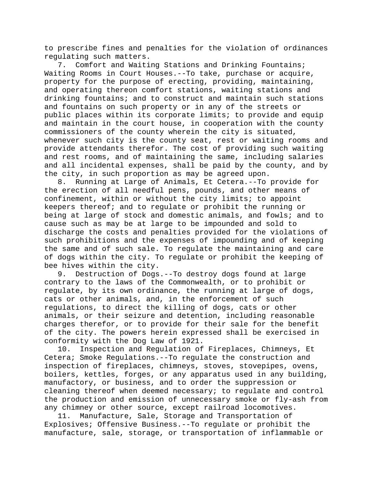to prescribe fines and penalties for the violation of ordinances regulating such matters.

7. Comfort and Waiting Stations and Drinking Fountains; Waiting Rooms in Court Houses.--To take, purchase or acquire, property for the purpose of erecting, providing, maintaining, and operating thereon comfort stations, waiting stations and drinking fountains; and to construct and maintain such stations and fountains on such property or in any of the streets or public places within its corporate limits; to provide and equip and maintain in the court house, in cooperation with the county commissioners of the county wherein the city is situated, whenever such city is the county seat, rest or waiting rooms and provide attendants therefor. The cost of providing such waiting and rest rooms, and of maintaining the same, including salaries and all incidental expenses, shall be paid by the county, and by the city, in such proportion as may be agreed upon.

8. Running at Large of Animals, Et Cetera.--To provide for the erection of all needful pens, pounds, and other means of confinement, within or without the city limits; to appoint keepers thereof; and to regulate or prohibit the running or being at large of stock and domestic animals, and fowls; and to cause such as may be at large to be impounded and sold to discharge the costs and penalties provided for the violations of such prohibitions and the expenses of impounding and of keeping the same and of such sale. To regulate the maintaining and care of dogs within the city. To regulate or prohibit the keeping of bee hives within the city.

9. Destruction of Dogs.--To destroy dogs found at large contrary to the laws of the Commonwealth, or to prohibit or regulate, by its own ordinance, the running at large of dogs, cats or other animals, and, in the enforcement of such regulations, to direct the killing of dogs, cats or other animals, or their seizure and detention, including reasonable charges therefor, or to provide for their sale for the benefit of the city. The powers herein expressed shall be exercised in conformity with the Dog Law of 1921.

10. Inspection and Regulation of Fireplaces, Chimneys, Et Cetera; Smoke Regulations.--To regulate the construction and inspection of fireplaces, chimneys, stoves, stovepipes, ovens, boilers, kettles, forges, or any apparatus used in any building, manufactory, or business, and to order the suppression or cleaning thereof when deemed necessary; to regulate and control the production and emission of unnecessary smoke or fly-ash from any chimney or other source, except railroad locomotives.<br>11. Manufacture, Sale, Storage and Transportation of

Manufacture, Sale, Storage and Transportation of Explosives; Offensive Business.--To regulate or prohibit the manufacture, sale, storage, or transportation of inflammable or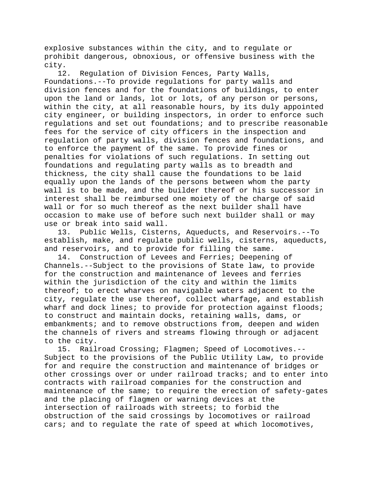explosive substances within the city, and to regulate or prohibit dangerous, obnoxious, or offensive business with the city.

12. Regulation of Division Fences, Party Walls, Foundations.--To provide regulations for party walls and division fences and for the foundations of buildings, to enter upon the land or lands, lot or lots, of any person or persons, within the city, at all reasonable hours, by its duly appointed city engineer, or building inspectors, in order to enforce such regulations and set out foundations; and to prescribe reasonable fees for the service of city officers in the inspection and regulation of party walls, division fences and foundations, and to enforce the payment of the same. To provide fines or penalties for violations of such regulations. In setting out foundations and regulating party walls as to breadth and thickness, the city shall cause the foundations to be laid equally upon the lands of the persons between whom the party wall is to be made, and the builder thereof or his successor in interest shall be reimbursed one moiety of the charge of said wall or for so much thereof as the next builder shall have occasion to make use of before such next builder shall or may use or break into said wall.

13. Public Wells, Cisterns, Aqueducts, and Reservoirs.--To establish, make, and regulate public wells, cisterns, aqueducts, and reservoirs, and to provide for filling the same.

14. Construction of Levees and Ferries; Deepening of Channels.--Subject to the provisions of State law, to provide for the construction and maintenance of levees and ferries within the jurisdiction of the city and within the limits thereof; to erect wharves on navigable waters adjacent to the city, regulate the use thereof, collect wharfage, and establish wharf and dock lines; to provide for protection against floods; to construct and maintain docks, retaining walls, dams, or embankments; and to remove obstructions from, deepen and widen the channels of rivers and streams flowing through or adjacent to the city.

15. Railroad Crossing; Flagmen; Speed of Locomotives.-- Subject to the provisions of the Public Utility Law, to provide for and require the construction and maintenance of bridges or other crossings over or under railroad tracks; and to enter into contracts with railroad companies for the construction and maintenance of the same; to require the erection of safety-gates and the placing of flagmen or warning devices at the intersection of railroads with streets; to forbid the obstruction of the said crossings by locomotives or railroad cars; and to regulate the rate of speed at which locomotives,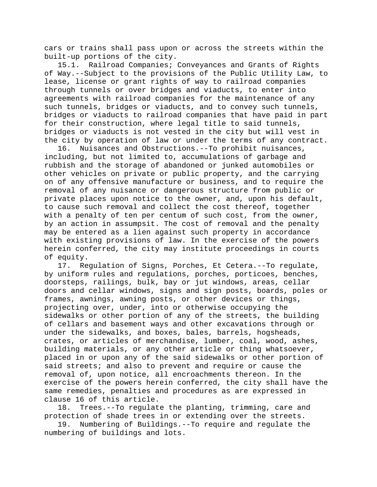cars or trains shall pass upon or across the streets within the built-up portions of the city.

15.1. Railroad Companies; Conveyances and Grants of Rights of Way.--Subject to the provisions of the Public Utility Law, to lease, license or grant rights of way to railroad companies through tunnels or over bridges and viaducts, to enter into agreements with railroad companies for the maintenance of any such tunnels, bridges or viaducts, and to convey such tunnels, bridges or viaducts to railroad companies that have paid in part for their construction, where legal title to said tunnels, bridges or viaducts is not vested in the city but will vest in the city by operation of law or under the terms of any contract.<br>16. Nuisances and Obstructions.--To prohibit nuisances,

Nuisances and Obstructions.--To prohibit nuisances, including, but not limited to, accumulations of garbage and rubbish and the storage of abandoned or junked automobiles or other vehicles on private or public property, and the carrying on of any offensive manufacture or business, and to require the removal of any nuisance or dangerous structure from public or private places upon notice to the owner, and, upon his default, to cause such removal and collect the cost thereof, together with a penalty of ten per centum of such cost, from the owner, by an action in assumpsit. The cost of removal and the penalty may be entered as a lien against such property in accordance with existing provisions of law. In the exercise of the powers herein conferred, the city may institute proceedings in courts of equity.

17. Regulation of Signs, Porches, Et Cetera.--To regulate, by uniform rules and regulations, porches, porticoes, benches, doorsteps, railings, bulk, bay or jut windows, areas, cellar doors and cellar windows, signs and sign posts, boards, poles or frames, awnings, awning posts, or other devices or things, projecting over, under, into or otherwise occupying the sidewalks or other portion of any of the streets, the building of cellars and basement ways and other excavations through or under the sidewalks, and boxes, bales, barrels, hogsheads, crates, or articles of merchandise, lumber, coal, wood, ashes, building materials, or any other article or thing whatsoever, placed in or upon any of the said sidewalks or other portion of said streets; and also to prevent and require or cause the removal of, upon notice, all encroachments thereon. In the exercise of the powers herein conferred, the city shall have the same remedies, penalties and procedures as are expressed in clause 16 of this article.

18. Trees.--To regulate the planting, trimming, care and protection of shade trees in or extending over the streets.

19. Numbering of Buildings.--To require and regulate the numbering of buildings and lots.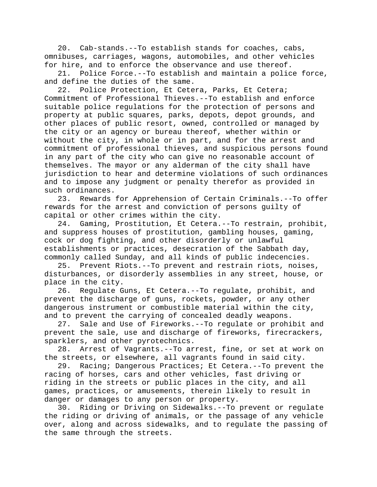20. Cab-stands.--To establish stands for coaches, cabs, omnibuses, carriages, wagons, automobiles, and other vehicles for hire, and to enforce the observance and use thereof.<br>21. Police Force.--To establish and maintain a polic

Police Force.--To establish and maintain a police force, and define the duties of the same.

22. Police Protection, Et Cetera, Parks, Et Cetera; Commitment of Professional Thieves.--To establish and enforce suitable police regulations for the protection of persons and property at public squares, parks, depots, depot grounds, and other places of public resort, owned, controlled or managed by the city or an agency or bureau thereof, whether within or without the city, in whole or in part, and for the arrest and commitment of professional thieves, and suspicious persons found in any part of the city who can give no reasonable account of themselves. The mayor or any alderman of the city shall have jurisdiction to hear and determine violations of such ordinances and to impose any judgment or penalty therefor as provided in such ordinances.<br>23. Rewards

Rewards for Apprehension of Certain Criminals.--To offer rewards for the arrest and conviction of persons guilty of capital or other crimes within the city.

24. Gaming, Prostitution, Et Cetera.--To restrain, prohibit, and suppress houses of prostitution, gambling houses, gaming, cock or dog fighting, and other disorderly or unlawful establishments or practices, desecration of the Sabbath day, commonly called Sunday, and all kinds of public indecencies.

25. Prevent Riots.--To prevent and restrain riots, noises, disturbances, or disorderly assemblies in any street, house, or place in the city.

26. Regulate Guns, Et Cetera.--To regulate, prohibit, and prevent the discharge of guns, rockets, powder, or any other dangerous instrument or combustible material within the city,

and to prevent the carrying of concealed deadly weapons.<br>27. Sale and Use of Fireworks.--To regulate or prohi Sale and Use of Fireworks.--To regulate or prohibit and prevent the sale, use and discharge of fireworks, firecrackers, sparklers, and other pyrotechnics.

28. Arrest of Vagrants.--To arrest, fine, or set at work on the streets, or elsewhere, all vagrants found in said city.

29. Racing; Dangerous Practices; Et Cetera.--To prevent the racing of horses, cars and other vehicles, fast driving or riding in the streets or public places in the city, and all games, practices, or amusements, therein likely to result in danger or damages to any person or property.

30. Riding or Driving on Sidewalks.--To prevent or regulate the riding or driving of animals, or the passage of any vehicle over, along and across sidewalks, and to regulate the passing of the same through the streets.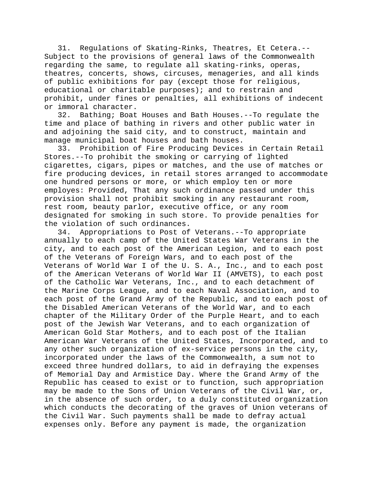31. Regulations of Skating-Rinks, Theatres, Et Cetera.-- Subject to the provisions of general laws of the Commonwealth regarding the same, to regulate all skating-rinks, operas, theatres, concerts, shows, circuses, menageries, and all kinds of public exhibitions for pay (except those for religious, educational or charitable purposes); and to restrain and prohibit, under fines or penalties, all exhibitions of indecent or immoral character.

32. Bathing; Boat Houses and Bath Houses.--To regulate the time and place of bathing in rivers and other public water in and adjoining the said city, and to construct, maintain and manage municipal boat houses and bath houses.

33. Prohibition of Fire Producing Devices in Certain Retail Stores.--To prohibit the smoking or carrying of lighted cigarettes, cigars, pipes or matches, and the use of matches or fire producing devices, in retail stores arranged to accommodate one hundred persons or more, or which employ ten or more employes: Provided, That any such ordinance passed under this provision shall not prohibit smoking in any restaurant room, rest room, beauty parlor, executive office, or any room designated for smoking in such store. To provide penalties for the violation of such ordinances.

34. Appropriations to Post of Veterans.--To appropriate annually to each camp of the United States War Veterans in the city, and to each post of the American Legion, and to each post of the Veterans of Foreign Wars, and to each post of the Veterans of World War I of the U. S. A., Inc., and to each post of the American Veterans of World War II (AMVETS), to each post of the Catholic War Veterans, Inc., and to each detachment of the Marine Corps League, and to each Naval Association, and to each post of the Grand Army of the Republic, and to each post of the Disabled American Veterans of the World War, and to each chapter of the Military Order of the Purple Heart, and to each post of the Jewish War Veterans, and to each organization of American Gold Star Mothers, and to each post of the Italian American War Veterans of the United States, Incorporated, and to any other such organization of ex-service persons in the city, incorporated under the laws of the Commonwealth, a sum not to exceed three hundred dollars, to aid in defraying the expenses of Memorial Day and Armistice Day. Where the Grand Army of the Republic has ceased to exist or to function, such appropriation may be made to the Sons of Union Veterans of the Civil War, or, in the absence of such order, to a duly constituted organization which conducts the decorating of the graves of Union veterans of the Civil War. Such payments shall be made to defray actual expenses only. Before any payment is made, the organization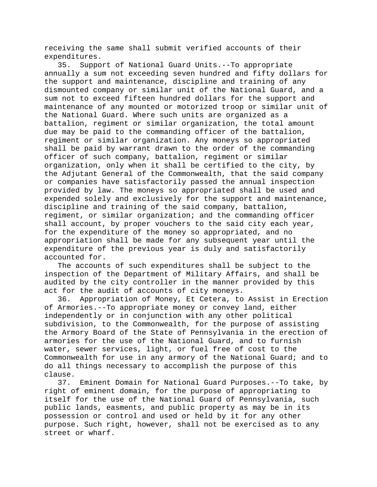receiving the same shall submit verified accounts of their expenditures.<br>35. Suppo

Support of National Guard Units.--To appropriate annually a sum not exceeding seven hundred and fifty dollars for the support and maintenance, discipline and training of any dismounted company or similar unit of the National Guard, and a sum not to exceed fifteen hundred dollars for the support and maintenance of any mounted or motorized troop or similar unit of the National Guard. Where such units are organized as a battalion, regiment or similar organization, the total amount due may be paid to the commanding officer of the battalion, regiment or similar organization. Any moneys so appropriated shall be paid by warrant drawn to the order of the commanding officer of such company, battalion, regiment or similar organization, only when it shall be certified to the city, by the Adjutant General of the Commonwealth, that the said company or companies have satisfactorily passed the annual inspection provided by law. The moneys so appropriated shall be used and expended solely and exclusively for the support and maintenance, discipline and training of the said company, battalion, regiment, or similar organization; and the commanding officer shall account, by proper vouchers to the said city each year, for the expenditure of the money so appropriated, and no appropriation shall be made for any subsequent year until the expenditure of the previous year is duly and satisfactorily accounted for.

The accounts of such expenditures shall be subject to the inspection of the Department of Military Affairs, and shall be audited by the city controller in the manner provided by this act for the audit of accounts of city moneys.

36. Appropriation of Money, Et Cetera, to Assist in Erection of Armories.--To appropriate money or convey land, either independently or in conjunction with any other political subdivision, to the Commonwealth, for the purpose of assisting the Armory Board of the State of Pennsylvania in the erection of armories for the use of the National Guard, and to furnish water, sewer services, light, or fuel free of cost to the Commonwealth for use in any armory of the National Guard; and to do all things necessary to accomplish the purpose of this clause.<br>37.

Eminent Domain for National Guard Purposes.--To take, by right of eminent domain, for the purpose of appropriating to itself for the use of the National Guard of Pennsylvania, such public lands, easments, and public property as may be in its possession or control and used or held by it for any other purpose. Such right, however, shall not be exercised as to any street or wharf.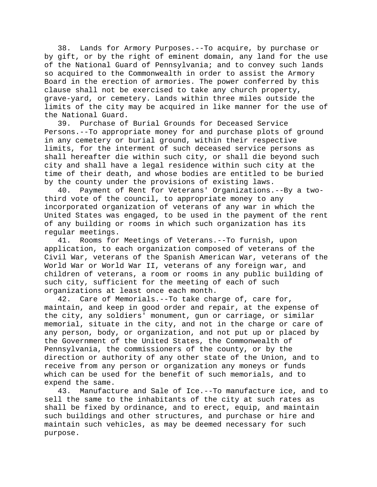38. Lands for Armory Purposes.--To acquire, by purchase or by gift, or by the right of eminent domain, any land for the use of the National Guard of Pennsylvania; and to convey such lands so acquired to the Commonwealth in order to assist the Armory Board in the erection of armories. The power conferred by this clause shall not be exercised to take any church property, grave-yard, or cemetery. Lands within three miles outside the limits of the city may be acquired in like manner for the use of the National Guard.

39. Purchase of Burial Grounds for Deceased Service Persons.--To appropriate money for and purchase plots of ground in any cemetery or burial ground, within their respective limits, for the interment of such deceased service persons as shall hereafter die within such city, or shall die beyond such city and shall have a legal residence within such city at the time of their death, and whose bodies are entitled to be buried by the county under the provisions of existing laws.

40. Payment of Rent for Veterans' Organizations.--By a twothird vote of the council, to appropriate money to any incorporated organization of veterans of any war in which the United States was engaged, to be used in the payment of the rent of any building or rooms in which such organization has its regular meetings.

41. Rooms for Meetings of Veterans.--To furnish, upon application, to each organization composed of veterans of the Civil War, veterans of the Spanish American War, veterans of the World War or World War II, veterans of any foreign war, and children of veterans, a room or rooms in any public building of such city, sufficient for the meeting of each of such organizations at least once each month.

42. Care of Memorials.--To take charge of, care for, maintain, and keep in good order and repair, at the expense of the city, any soldiers' monument, gun or carriage, or similar memorial, situate in the city, and not in the charge or care of any person, body, or organization, and not put up or placed by the Government of the United States, the Commonwealth of Pennsylvania, the commissioners of the county, or by the direction or authority of any other state of the Union, and to receive from any person or organization any moneys or funds which can be used for the benefit of such memorials, and to expend the same.

43. Manufacture and Sale of Ice.--To manufacture ice, and to sell the same to the inhabitants of the city at such rates as shall be fixed by ordinance, and to erect, equip, and maintain such buildings and other structures, and purchase or hire and maintain such vehicles, as may be deemed necessary for such purpose.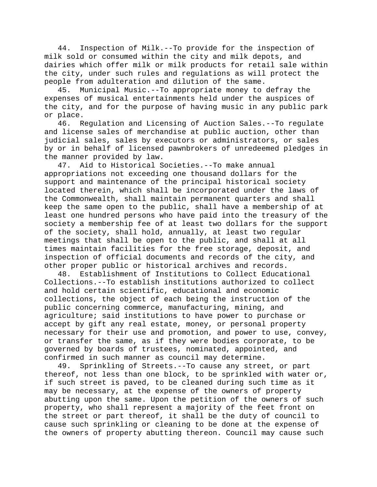44. Inspection of Milk.--To provide for the inspection of milk sold or consumed within the city and milk depots, and dairies which offer milk or milk products for retail sale within the city, under such rules and regulations as will protect the people from adulteration and dilution of the same.

45. Municipal Music.--To appropriate money to defray the expenses of musical entertainments held under the auspices of the city, and for the purpose of having music in any public park or place.<br>46. R

46. Regulation and Licensing of Auction Sales.--To regulate and license sales of merchandise at public auction, other than judicial sales, sales by executors or administrators, or sales by or in behalf of licensed pawnbrokers of unredeemed pledges in the manner provided by law.

47. Aid to Historical Societies.--To make annual appropriations not exceeding one thousand dollars for the support and maintenance of the principal historical society located therein, which shall be incorporated under the laws of the Commonwealth, shall maintain permanent quarters and shall keep the same open to the public, shall have a membership of at least one hundred persons who have paid into the treasury of the society a membership fee of at least two dollars for the support of the society, shall hold, annually, at least two regular meetings that shall be open to the public, and shall at all times maintain facilities for the free storage, deposit, and inspection of official documents and records of the city, and other proper public or historical archives and records.

48. Establishment of Institutions to Collect Educational Collections.--To establish institutions authorized to collect and hold certain scientific, educational and economic collections, the object of each being the instruction of the public concerning commerce, manufacturing, mining, and agriculture; said institutions to have power to purchase or accept by gift any real estate, money, or personal property necessary for their use and promotion, and power to use, convey, or transfer the same, as if they were bodies corporate, to be governed by boards of trustees, nominated, appointed, and confirmed in such manner as council may determine.

49. Sprinkling of Streets.--To cause any street, or part thereof, not less than one block, to be sprinkled with water or, if such street is paved, to be cleaned during such time as it may be necessary, at the expense of the owners of property abutting upon the same. Upon the petition of the owners of such property, who shall represent a majority of the feet front on the street or part thereof, it shall be the duty of council to cause such sprinkling or cleaning to be done at the expense of the owners of property abutting thereon. Council may cause such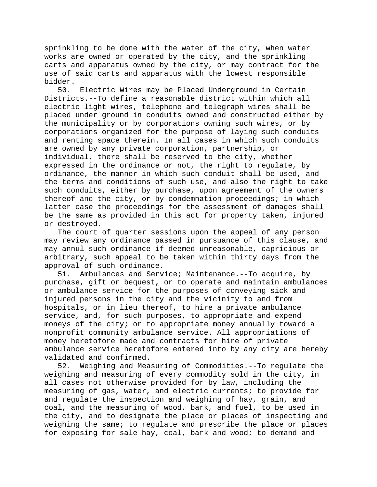sprinkling to be done with the water of the city, when water works are owned or operated by the city, and the sprinkling carts and apparatus owned by the city, or may contract for the use of said carts and apparatus with the lowest responsible bidder.

50. Electric Wires may be Placed Underground in Certain Districts.--To define a reasonable district within which all electric light wires, telephone and telegraph wires shall be placed under ground in conduits owned and constructed either by the municipality or by corporations owning such wires, or by corporations organized for the purpose of laying such conduits and renting space therein. In all cases in which such conduits are owned by any private corporation, partnership, or individual, there shall be reserved to the city, whether expressed in the ordinance or not, the right to regulate, by ordinance, the manner in which such conduit shall be used, and the terms and conditions of such use, and also the right to take such conduits, either by purchase, upon agreement of the owners thereof and the city, or by condemnation proceedings; in which latter case the proceedings for the assessment of damages shall be the same as provided in this act for property taken, injured or destroyed.

The court of quarter sessions upon the appeal of any person may review any ordinance passed in pursuance of this clause, and may annul such ordinance if deemed unreasonable, capricious or arbitrary, such appeal to be taken within thirty days from the approval of such ordinance.

51. Ambulances and Service; Maintenance.--To acquire, by purchase, gift or bequest, or to operate and maintain ambulances or ambulance service for the purposes of conveying sick and injured persons in the city and the vicinity to and from hospitals, or in lieu thereof, to hire a private ambulance service, and, for such purposes, to appropriate and expend moneys of the city; or to appropriate money annually toward a nonprofit community ambulance service. All appropriations of money heretofore made and contracts for hire of private ambulance service heretofore entered into by any city are hereby validated and confirmed.

52. Weighing and Measuring of Commodities.--To regulate the weighing and measuring of every commodity sold in the city, in all cases not otherwise provided for by law, including the measuring of gas, water, and electric currents; to provide for and regulate the inspection and weighing of hay, grain, and coal, and the measuring of wood, bark, and fuel, to be used in the city, and to designate the place or places of inspecting and weighing the same; to regulate and prescribe the place or places for exposing for sale hay, coal, bark and wood; to demand and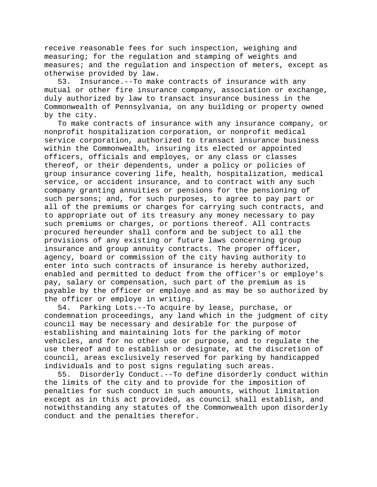receive reasonable fees for such inspection, weighing and measuring; for the regulation and stamping of weights and measures; and the regulation and inspection of meters, except as otherwise provided by law.<br>53. Insurance.--To mak

Insurance.--To make contracts of insurance with any mutual or other fire insurance company, association or exchange, duly authorized by law to transact insurance business in the Commonwealth of Pennsylvania, on any building or property owned by the city.

To make contracts of insurance with any insurance company, or nonprofit hospitalization corporation, or nonprofit medical service corporation, authorized to transact insurance business within the Commonwealth, insuring its elected or appointed officers, officials and employes, or any class or classes thereof, or their dependents, under a policy or policies of group insurance covering life, health, hospitalization, medical service, or accident insurance, and to contract with any such company granting annuities or pensions for the pensioning of such persons; and, for such purposes, to agree to pay part or all of the premiums or charges for carrying such contracts, and to appropriate out of its treasury any money necessary to pay such premiums or charges, or portions thereof. All contracts procured hereunder shall conform and be subject to all the provisions of any existing or future laws concerning group insurance and group annuity contracts. The proper officer, agency, board or commission of the city having authority to enter into such contracts of insurance is hereby authorized, enabled and permitted to deduct from the officer's or employe's pay, salary or compensation, such part of the premium as is payable by the officer or employe and as may be so authorized by the officer or employe in writing.

54. Parking Lots.--To acquire by lease, purchase, or condemnation proceedings, any land which in the judgment of city council may be necessary and desirable for the purpose of establishing and maintaining lots for the parking of motor vehicles, and for no other use or purpose, and to regulate the use thereof and to establish or designate, at the discretion of council, areas exclusively reserved for parking by handicapped individuals and to post signs regulating such areas.

55. Disorderly Conduct.--To define disorderly conduct within the limits of the city and to provide for the imposition of penalties for such conduct in such amounts, without limitation except as in this act provided, as council shall establish, and notwithstanding any statutes of the Commonwealth upon disorderly conduct and the penalties therefor.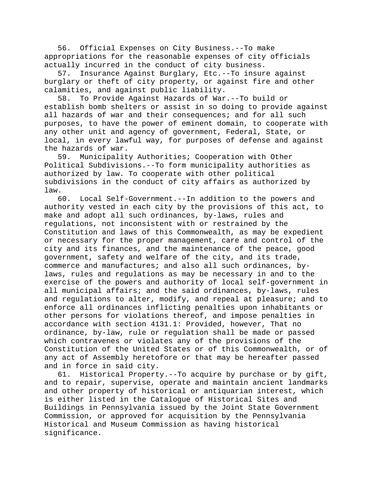56. Official Expenses on City Business.--To make appropriations for the reasonable expenses of city officials actually incurred in the conduct of city business.

57. Insurance Against Burglary, Etc.--To insure against burglary or theft of city property, or against fire and other calamities, and against public liability.

58. To Provide Against Hazards of War.--To build or establish bomb shelters or assist in so doing to provide against all hazards of war and their consequences; and for all such purposes, to have the power of eminent domain, to cooperate with any other unit and agency of government, Federal, State, or local, in every lawful way, for purposes of defense and against the hazards of war.

59. Municipality Authorities; Cooperation with Other Political Subdivisions.--To form municipality authorities as authorized by law. To cooperate with other political subdivisions in the conduct of city affairs as authorized by  $\frac{law}{60}$ .

Local Self-Government.--In addition to the powers and authority vested in each city by the provisions of this act, to make and adopt all such ordinances, by-laws, rules and regulations, not inconsistent with or restrained by the Constitution and laws of this Commonwealth, as may be expedient or necessary for the proper management, care and control of the city and its finances, and the maintenance of the peace, good government, safety and welfare of the city, and its trade, commerce and manufactures; and also all such ordinances, bylaws, rules and regulations as may be necessary in and to the exercise of the powers and authority of local self-government in all municipal affairs; and the said ordinances, by-laws, rules and regulations to alter, modify, and repeal at pleasure; and to enforce all ordinances inflicting penalties upon inhabitants or other persons for violations thereof, and impose penalties in accordance with section 4131.1: Provided, however, That no ordinance, by-law, rule or regulation shall be made or passed which contravenes or violates any of the provisions of the Constitution of the United States or of this Commonwealth, or of any act of Assembly heretofore or that may be hereafter passed and in force in said city.

61. Historical Property.--To acquire by purchase or by gift, and to repair, supervise, operate and maintain ancient landmarks and other property of historical or antiquarian interest, which is either listed in the Catalogue of Historical Sites and Buildings in Pennsylvania issued by the Joint State Government Commission, or approved for acquisition by the Pennsylvania Historical and Museum Commission as having historical significance.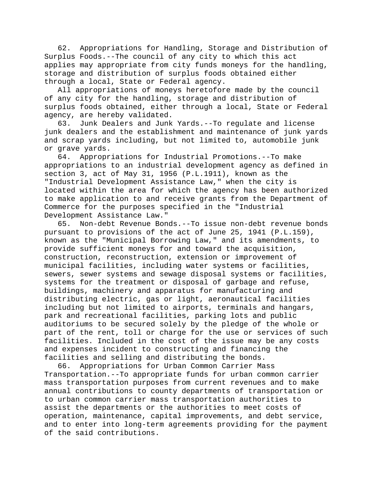62. Appropriations for Handling, Storage and Distribution of Surplus Foods.--The council of any city to which this act applies may appropriate from city funds moneys for the handling, storage and distribution of surplus foods obtained either through a local, State or Federal agency.

All appropriations of moneys heretofore made by the council of any city for the handling, storage and distribution of surplus foods obtained, either through a local, State or Federal agency, are hereby validated.

63. Junk Dealers and Junk Yards.--To regulate and license junk dealers and the establishment and maintenance of junk yards and scrap yards including, but not limited to, automobile junk or grave yards.

64. Appropriations for Industrial Promotions.--To make appropriations to an industrial development agency as defined in section 3, act of May 31, 1956 (P.L.1911), known as the "Industrial Development Assistance Law," when the city is located within the area for which the agency has been authorized to make application to and receive grants from the Department of Commerce for the purposes specified in the "Industrial Development Assistance Law."

65. Non-debt Revenue Bonds.--To issue non-debt revenue bonds pursuant to provisions of the act of June 25, 1941 (P.L.159), known as the "Municipal Borrowing Law," and its amendments, to provide sufficient moneys for and toward the acquisition, construction, reconstruction, extension or improvement of municipal facilities, including water systems or facilities, sewers, sewer systems and sewage disposal systems or facilities, systems for the treatment or disposal of garbage and refuse, buildings, machinery and apparatus for manufacturing and distributing electric, gas or light, aeronautical facilities including but not limited to airports, terminals and hangars, park and recreational facilities, parking lots and public auditoriums to be secured solely by the pledge of the whole or part of the rent, toll or charge for the use or services of such facilities. Included in the cost of the issue may be any costs and expenses incident to constructing and financing the facilities and selling and distributing the bonds.

66. Appropriations for Urban Common Carrier Mass Transportation.--To appropriate funds for urban common carrier mass transportation purposes from current revenues and to make annual contributions to county departments of transportation or to urban common carrier mass transportation authorities to assist the departments or the authorities to meet costs of operation, maintenance, capital improvements, and debt service, and to enter into long-term agreements providing for the payment of the said contributions.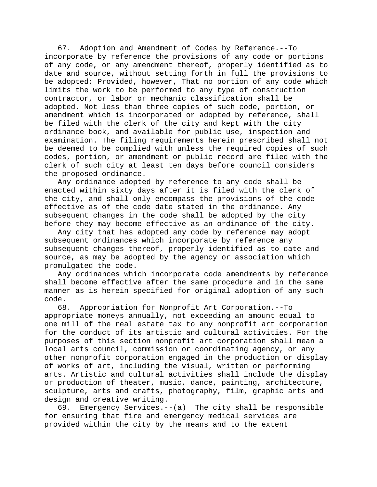67. Adoption and Amendment of Codes by Reference.--To incorporate by reference the provisions of any code or portions of any code, or any amendment thereof, properly identified as to date and source, without setting forth in full the provisions to be adopted: Provided, however, That no portion of any code which limits the work to be performed to any type of construction contractor, or labor or mechanic classification shall be adopted. Not less than three copies of such code, portion, or amendment which is incorporated or adopted by reference, shall be filed with the clerk of the city and kept with the city ordinance book, and available for public use, inspection and examination. The filing requirements herein prescribed shall not be deemed to be complied with unless the required copies of such codes, portion, or amendment or public record are filed with the clerk of such city at least ten days before council considers the proposed ordinance.

Any ordinance adopted by reference to any code shall be enacted within sixty days after it is filed with the clerk of the city, and shall only encompass the provisions of the code effective as of the code date stated in the ordinance. Any subsequent changes in the code shall be adopted by the city before they may become effective as an ordinance of the city.

Any city that has adopted any code by reference may adopt subsequent ordinances which incorporate by reference any subsequent changes thereof, properly identified as to date and source, as may be adopted by the agency or association which promulgated the code.

Any ordinances which incorporate code amendments by reference shall become effective after the same procedure and in the same manner as is herein specified for original adoption of any such code.

68. Appropriation for Nonprofit Art Corporation.--To appropriate moneys annually, not exceeding an amount equal to one mill of the real estate tax to any nonprofit art corporation for the conduct of its artistic and cultural activities. For the purposes of this section nonprofit art corporation shall mean a local arts council, commission or coordinating agency, or any other nonprofit corporation engaged in the production or display of works of art, including the visual, written or performing arts. Artistic and cultural activities shall include the display or production of theater, music, dance, painting, architecture, sculpture, arts and crafts, photography, film, graphic arts and design and creative writing.

69. Emergency Services.--(a) The city shall be responsible for ensuring that fire and emergency medical services are provided within the city by the means and to the extent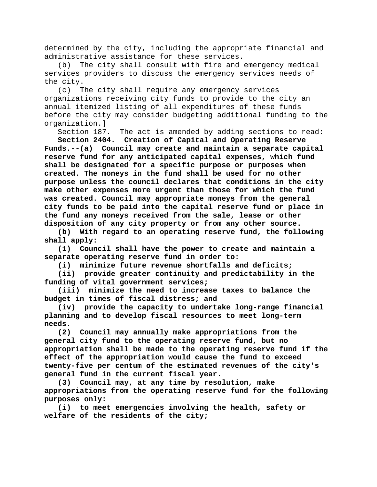determined by the city, including the appropriate financial and administrative assistance for these services.

(b) The city shall consult with fire and emergency medical services providers to discuss the emergency services needs of the city.

(c) The city shall require any emergency services organizations receiving city funds to provide to the city an annual itemized listing of all expenditures of these funds before the city may consider budgeting additional funding to the organization.]

Section 187. The act is amended by adding sections to read:

**Section 2404. Creation of Capital and Operating Reserve Funds.--(a) Council may create and maintain a separate capital reserve fund for any anticipated capital expenses, which fund shall be designated for a specific purpose or purposes when created. The moneys in the fund shall be used for no other purpose unless the council declares that conditions in the city make other expenses more urgent than those for which the fund was created. Council may appropriate moneys from the general city funds to be paid into the capital reserve fund or place in the fund any moneys received from the sale, lease or other disposition of any city property or from any other source.**

**(b) With regard to an operating reserve fund, the following shall apply:**

**(1) Council shall have the power to create and maintain a separate operating reserve fund in order to:**

**(i) minimize future revenue shortfalls and deficits;**

**(ii) provide greater continuity and predictability in the funding of vital government services;**

**(iii) minimize the need to increase taxes to balance the budget in times of fiscal distress; and**

**(iv) provide the capacity to undertake long-range financial planning and to develop fiscal resources to meet long-term needs.**

**(2) Council may annually make appropriations from the general city fund to the operating reserve fund, but no appropriation shall be made to the operating reserve fund if the effect of the appropriation would cause the fund to exceed twenty-five per centum of the estimated revenues of the city's general fund in the current fiscal year.**

**(3) Council may, at any time by resolution, make appropriations from the operating reserve fund for the following purposes only:**

**(i) to meet emergencies involving the health, safety or welfare of the residents of the city;**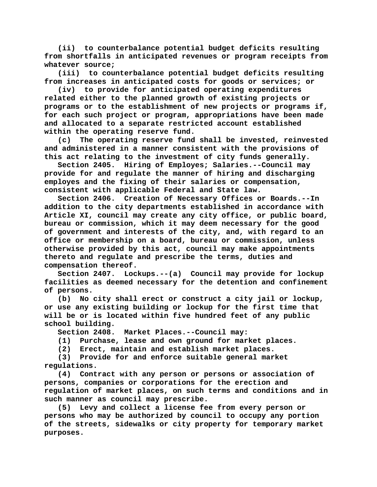**(ii) to counterbalance potential budget deficits resulting from shortfalls in anticipated revenues or program receipts from whatever source;**

**(iii) to counterbalance potential budget deficits resulting from increases in anticipated costs for goods or services; or**

**(iv) to provide for anticipated operating expenditures related either to the planned growth of existing projects or programs or to the establishment of new projects or programs if, for each such project or program, appropriations have been made and allocated to a separate restricted account established within the operating reserve fund.**

**(c) The operating reserve fund shall be invested, reinvested and administered in a manner consistent with the provisions of this act relating to the investment of city funds generally.**

**Section 2405. Hiring of Employes; Salaries.--Council may provide for and regulate the manner of hiring and discharging employes and the fixing of their salaries or compensation, consistent with applicable Federal and State law.**

**Section 2406. Creation of Necessary Offices or Boards.--In addition to the city departments established in accordance with Article XI, council may create any city office, or public board, bureau or commission, which it may deem necessary for the good of government and interests of the city, and, with regard to an office or membership on a board, bureau or commission, unless otherwise provided by this act, council may make appointments thereto and regulate and prescribe the terms, duties and compensation thereof.**

**Section 2407. Lockups.--(a) Council may provide for lockup facilities as deemed necessary for the detention and confinement of persons.**

**(b) No city shall erect or construct a city jail or lockup, or use any existing building or lockup for the first time that will be or is located within five hundred feet of any public school building.**

**Section 2408. Market Places.--Council may:**

**(1) Purchase, lease and own ground for market places.**

**(2) Erect, maintain and establish market places.**

**(3) Provide for and enforce suitable general market regulations.**

**(4) Contract with any person or persons or association of persons, companies or corporations for the erection and regulation of market places, on such terms and conditions and in such manner as council may prescribe.**

**(5) Levy and collect a license fee from every person or persons who may be authorized by council to occupy any portion of the streets, sidewalks or city property for temporary market purposes.**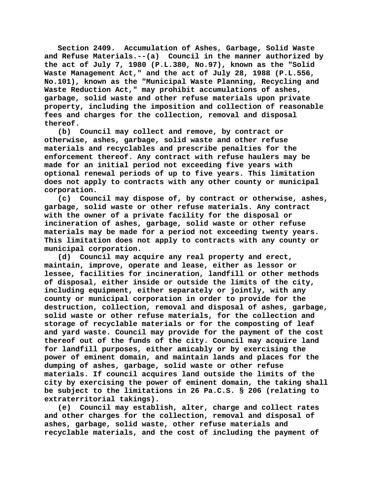**Section 2409. Accumulation of Ashes, Garbage, Solid Waste and Refuse Materials.--(a) Council in the manner authorized by the act of July 7, 1980 (P.L.380, No.97), known as the "Solid Waste Management Act," and the act of July 28, 1988 (P.L.556, No.101), known as the "Municipal Waste Planning, Recycling and Waste Reduction Act," may prohibit accumulations of ashes, garbage, solid waste and other refuse materials upon private property, including the imposition and collection of reasonable fees and charges for the collection, removal and disposal thereof.**

**(b) Council may collect and remove, by contract or otherwise, ashes, garbage, solid waste and other refuse materials and recyclables and prescribe penalties for the enforcement thereof. Any contract with refuse haulers may be made for an initial period not exceeding five years with optional renewal periods of up to five years. This limitation does not apply to contracts with any other county or municipal corporation.**

**(c) Council may dispose of, by contract or otherwise, ashes, garbage, solid waste or other refuse materials. Any contract with the owner of a private facility for the disposal or incineration of ashes, garbage, solid waste or other refuse materials may be made for a period not exceeding twenty years. This limitation does not apply to contracts with any county or municipal corporation.**

**(d) Council may acquire any real property and erect, maintain, improve, operate and lease, either as lessor or lessee, facilities for incineration, landfill or other methods of disposal, either inside or outside the limits of the city, including equipment, either separately or jointly, with any county or municipal corporation in order to provide for the destruction, collection, removal and disposal of ashes, garbage, solid waste or other refuse materials, for the collection and storage of recyclable materials or for the composting of leaf and yard waste. Council may provide for the payment of the cost thereof out of the funds of the city. Council may acquire land for landfill purposes, either amicably or by exercising the power of eminent domain, and maintain lands and places for the dumping of ashes, garbage, solid waste or other refuse materials. If council acquires land outside the limits of the city by exercising the power of eminent domain, the taking shall be subject to the limitations in 26 Pa.C.S. § 206 (relating to extraterritorial takings).**

**(e) Council may establish, alter, charge and collect rates and other charges for the collection, removal and disposal of ashes, garbage, solid waste, other refuse materials and recyclable materials, and the cost of including the payment of**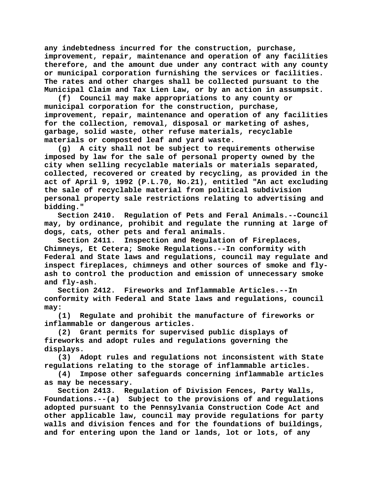**any indebtedness incurred for the construction, purchase, improvement, repair, maintenance and operation of any facilities therefore, and the amount due under any contract with any county or municipal corporation furnishing the services or facilities. The rates and other charges shall be collected pursuant to the Municipal Claim and Tax Lien Law, or by an action in assumpsit.**

**(f) Council may make appropriations to any county or municipal corporation for the construction, purchase, improvement, repair, maintenance and operation of any facilities for the collection, removal, disposal or marketing of ashes, garbage, solid waste, other refuse materials, recyclable materials or composted leaf and yard waste.**

**(g) A city shall not be subject to requirements otherwise imposed by law for the sale of personal property owned by the city when selling recyclable materials or materials separated, collected, recovered or created by recycling, as provided in the act of April 9, 1992 (P.L.70, No.21), entitled "An act excluding the sale of recyclable material from political subdivision personal property sale restrictions relating to advertising and bidding."**

**Section 2410. Regulation of Pets and Feral Animals.--Council may, by ordinance, prohibit and regulate the running at large of dogs, cats, other pets and feral animals.**

**Section 2411. Inspection and Regulation of Fireplaces, Chimneys, Et Cetera; Smoke Regulations.--In conformity with Federal and State laws and regulations, council may regulate and inspect fireplaces, chimneys and other sources of smoke and flyash to control the production and emission of unnecessary smoke and fly-ash.**

**Section 2412. Fireworks and Inflammable Articles.--In conformity with Federal and State laws and regulations, council may:**

**(1) Regulate and prohibit the manufacture of fireworks or inflammable or dangerous articles.**

**(2) Grant permits for supervised public displays of fireworks and adopt rules and regulations governing the displays.**

**(3) Adopt rules and regulations not inconsistent with State regulations relating to the storage of inflammable articles.**

**(4) Impose other safeguards concerning inflammable articles as may be necessary.**

**Section 2413. Regulation of Division Fences, Party Walls, Foundations.--(a) Subject to the provisions of and regulations adopted pursuant to the Pennsylvania Construction Code Act and other applicable law, council may provide regulations for party walls and division fences and for the foundations of buildings, and for entering upon the land or lands, lot or lots, of any**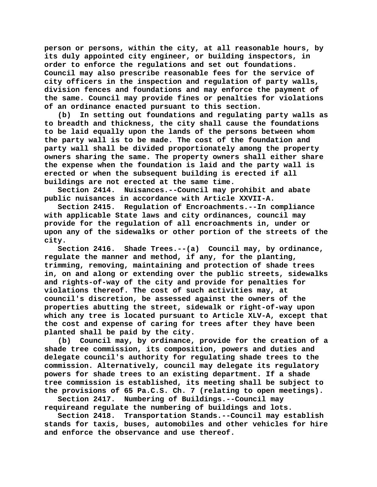**person or persons, within the city, at all reasonable hours, by its duly appointed city engineer, or building inspectors, in order to enforce the regulations and set out foundations. Council may also prescribe reasonable fees for the service of city officers in the inspection and regulation of party walls, division fences and foundations and may enforce the payment of the same. Council may provide fines or penalties for violations of an ordinance enacted pursuant to this section.**

**(b) In setting out foundations and regulating party walls as to breadth and thickness, the city shall cause the foundations to be laid equally upon the lands of the persons between whom the party wall is to be made. The cost of the foundation and party wall shall be divided proportionately among the property owners sharing the same. The property owners shall either share the expense when the foundation is laid and the party wall is erected or when the subsequent building is erected if all buildings are not erected at the same time.**

**Section 2414. Nuisances.--Council may prohibit and abate public nuisances in accordance with Article XXVII-A.**

**Section 2415. Regulation of Encroachments.--In compliance with applicable State laws and city ordinances, council may provide for the regulation of all encroachments in, under or upon any of the sidewalks or other portion of the streets of the city.**

**Section 2416. Shade Trees.--(a) Council may, by ordinance, regulate the manner and method, if any, for the planting, trimming, removing, maintaining and protection of shade trees in, on and along or extending over the public streets, sidewalks and rights-of-way of the city and provide for penalties for violations thereof. The cost of such activities may, at council's discretion, be assessed against the owners of the properties abutting the street, sidewalk or right-of-way upon which any tree is located pursuant to Article XLV-A, except that the cost and expense of caring for trees after they have been planted shall be paid by the city.**

**(b) Council may, by ordinance, provide for the creation of a shade tree commission, its composition, powers and duties and delegate council's authority for regulating shade trees to the commission. Alternatively, council may delegate its regulatory powers for shade trees to an existing department. If a shade tree commission is established, its meeting shall be subject to the provisions of 65 Pa.C.S. Ch. 7 (relating to open meetings).**

**Section 2417. Numbering of Buildings.--Council may requireand regulate the numbering of buildings and lots.**

**Section 2418. Transportation Stands.--Council may establish stands for taxis, buses, automobiles and other vehicles for hire and enforce the observance and use thereof.**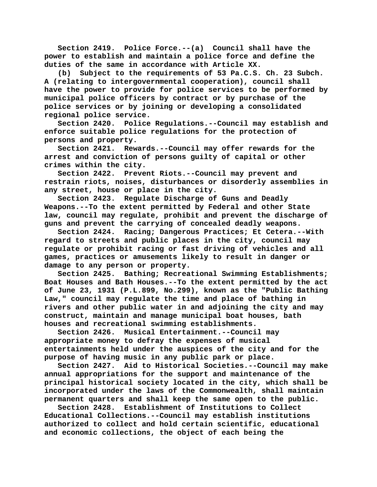**Section 2419. Police Force.--(a) Council shall have the power to establish and maintain a police force and define the duties of the same in accordance with Article XX.**

**(b) Subject to the requirements of 53 Pa.C.S. Ch. 23 Subch. A (relating to intergovernmental cooperation), council shall have the power to provide for police services to be performed by municipal police officers by contract or by purchase of the police services or by joining or developing a consolidated regional police service.**

**Section 2420. Police Regulations.--Council may establish and enforce suitable police regulations for the protection of persons and property.**

**Section 2421. Rewards.--Council may offer rewards for the arrest and conviction of persons guilty of capital or other crimes within the city.**

**Section 2422. Prevent Riots.--Council may prevent and restrain riots, noises, disturbances or disorderly assemblies in any street, house or place in the city.**

**Section 2423. Regulate Discharge of Guns and Deadly Weapons.--To the extent permitted by Federal and other State law, council may regulate, prohibit and prevent the discharge of guns and prevent the carrying of concealed deadly weapons.**

**Section 2424. Racing; Dangerous Practices; Et Cetera.--With regard to streets and public places in the city, council may regulate or prohibit racing or fast driving of vehicles and all games, practices or amusements likely to result in danger or damage to any person or property.**

**Section 2425. Bathing; Recreational Swimming Establishments; Boat Houses and Bath Houses.--To the extent permitted by the act of June 23, 1931 (P.L.899, No.299), known as the "Public Bathing Law," council may regulate the time and place of bathing in rivers and other public water in and adjoining the city and may construct, maintain and manage municipal boat houses, bath houses and recreational swimming establishments.**

**Section 2426. Musical Entertainment.--Council may appropriate money to defray the expenses of musical entertainments held under the auspices of the city and for the purpose of having music in any public park or place.**

**Section 2427. Aid to Historical Societies.--Council may make annual appropriations for the support and maintenance of the principal historical society located in the city, which shall be incorporated under the laws of the Commonwealth, shall maintain permanent quarters and shall keep the same open to the public.**

**Section 2428. Establishment of Institutions to Collect Educational Collections.--Council may establish institutions authorized to collect and hold certain scientific, educational and economic collections, the object of each being the**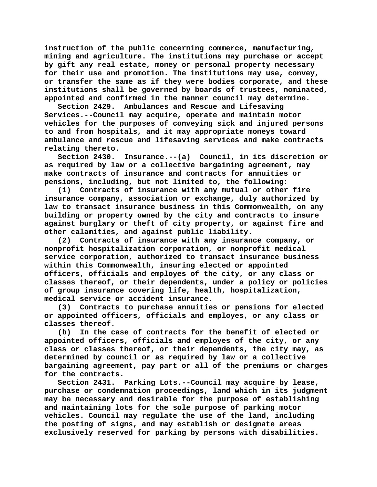**instruction of the public concerning commerce, manufacturing, mining and agriculture. The institutions may purchase or accept by gift any real estate, money or personal property necessary for their use and promotion. The institutions may use, convey, or transfer the same as if they were bodies corporate, and these institutions shall be governed by boards of trustees, nominated, appointed and confirmed in the manner council may determine.**

**Section 2429. Ambulances and Rescue and Lifesaving Services.--Council may acquire, operate and maintain motor vehicles for the purposes of conveying sick and injured persons to and from hospitals, and it may appropriate moneys toward ambulance and rescue and lifesaving services and make contracts relating thereto.**

**Section 2430. Insurance.--(a) Council, in its discretion or as required by law or a collective bargaining agreement, may make contracts of insurance and contracts for annuities or pensions, including, but not limited to, the following:**

**(1) Contracts of insurance with any mutual or other fire insurance company, association or exchange, duly authorized by law to transact insurance business in this Commonwealth, on any building or property owned by the city and contracts to insure against burglary or theft of city property, or against fire and other calamities, and against public liability.**

**(2) Contracts of insurance with any insurance company, or nonprofit hospitalization corporation, or nonprofit medical service corporation, authorized to transact insurance business within this Commonwealth, insuring elected or appointed officers, officials and employes of the city, or any class or classes thereof, or their dependents, under a policy or policies of group insurance covering life, health, hospitalization, medical service or accident insurance.**

**(3) Contracts to purchase annuities or pensions for elected or appointed officers, officials and employes, or any class or classes thereof.**

**(b) In the case of contracts for the benefit of elected or appointed officers, officials and employes of the city, or any class or classes thereof, or their dependents, the city may, as determined by council or as required by law or a collective bargaining agreement, pay part or all of the premiums or charges** 

**for the contracts.** Parking Lots.--Council may acquire by lease, **purchase or condemnation proceedings, land which in its judgment may be necessary and desirable for the purpose of establishing and maintaining lots for the sole purpose of parking motor vehicles. Council may regulate the use of the land, including the posting of signs, and may establish or designate areas exclusively reserved for parking by persons with disabilities.**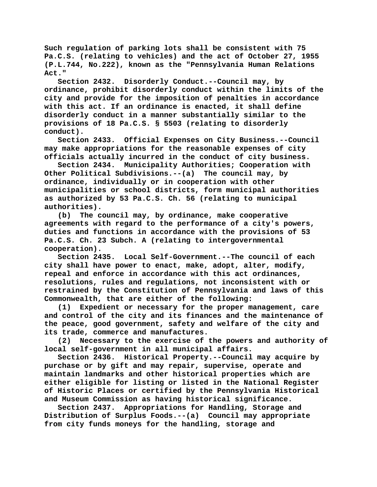**Such regulation of parking lots shall be consistent with 75 Pa.C.S. (relating to vehicles) and the act of October 27, 1955 (P.L.744, No.222), known as the "Pennsylvania Human Relations Act."**

**Section 2432. Disorderly Conduct.--Council may, by ordinance, prohibit disorderly conduct within the limits of the city and provide for the imposition of penalties in accordance with this act. If an ordinance is enacted, it shall define disorderly conduct in a manner substantially similar to the provisions of 18 Pa.C.S. § 5503 (relating to disorderly conduct).**

**Section 2433. Official Expenses on City Business.--Council may make appropriations for the reasonable expenses of city officials actually incurred in the conduct of city business.**

**Section 2434. Municipality Authorities; Cooperation with Other Political Subdivisions.--(a) The council may, by ordinance, individually or in cooperation with other municipalities or school districts, form municipal authorities as authorized by 53 Pa.C.S. Ch. 56 (relating to municipal authorities).**

**(b) The council may, by ordinance, make cooperative agreements with regard to the performance of a city's powers, duties and functions in accordance with the provisions of 53 Pa.C.S. Ch. 23 Subch. A (relating to intergovernmental cooperation).**

**Section 2435. Local Self-Government.--The council of each city shall have power to enact, make, adopt, alter, modify, repeal and enforce in accordance with this act ordinances, resolutions, rules and regulations, not inconsistent with or restrained by the Constitution of Pennsylvania and laws of this Commonwealth, that are either of the following:**

**(1) Expedient or necessary for the proper management, care and control of the city and its finances and the maintenance of the peace, good government, safety and welfare of the city and its trade, commerce and manufactures.**

**(2) Necessary to the exercise of the powers and authority of local self-government in all municipal affairs.**

**Section 2436. Historical Property.--Council may acquire by purchase or by gift and may repair, supervise, operate and maintain landmarks and other historical properties which are either eligible for listing or listed in the National Register of Historic Places or certified by the Pennsylvania Historical and Museum Commission as having historical significance.**

**Section 2437. Appropriations for Handling, Storage and Distribution of Surplus Foods.--(a) Council may appropriate from city funds moneys for the handling, storage and**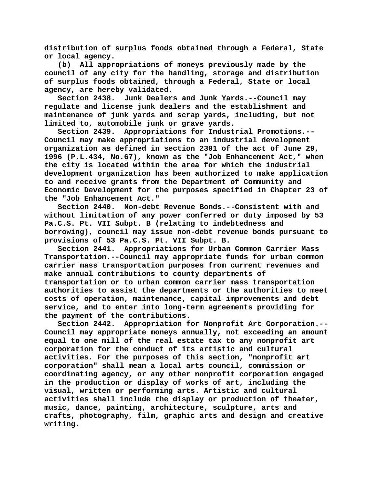**distribution of surplus foods obtained through a Federal, State or local agency.**

**(b) All appropriations of moneys previously made by the council of any city for the handling, storage and distribution of surplus foods obtained, through a Federal, State or local agency, are hereby validated.**

**Section 2438. Junk Dealers and Junk Yards.--Council may regulate and license junk dealers and the establishment and maintenance of junk yards and scrap yards, including, but not limited to, automobile junk or grave yards.**

**Section 2439. Appropriations for Industrial Promotions.-- Council may make appropriations to an industrial development organization as defined in section 2301 of the act of June 29, 1996 (P.L.434, No.67), known as the "Job Enhancement Act," when the city is located within the area for which the industrial development organization has been authorized to make application to and receive grants from the Department of Community and Economic Development for the purposes specified in Chapter 23 of the "Job Enhancement Act."**

**Section 2440. Non-debt Revenue Bonds.--Consistent with and without limitation of any power conferred or duty imposed by 53 Pa.C.S. Pt. VII Subpt. B (relating to indebtedness and borrowing), council may issue non-debt revenue bonds pursuant to provisions of 53 Pa.C.S. Pt. VII Subpt. B.**

**Section 2441. Appropriations for Urban Common Carrier Mass Transportation.--Council may appropriate funds for urban common carrier mass transportation purposes from current revenues and make annual contributions to county departments of transportation or to urban common carrier mass transportation authorities to assist the departments or the authorities to meet costs of operation, maintenance, capital improvements and debt service, and to enter into long-term agreements providing for the payment of the contributions.**

**Section 2442. Appropriation for Nonprofit Art Corporation.-- Council may appropriate moneys annually, not exceeding an amount equal to one mill of the real estate tax to any nonprofit art corporation for the conduct of its artistic and cultural activities. For the purposes of this section, "nonprofit art corporation" shall mean a local arts council, commission or coordinating agency, or any other nonprofit corporation engaged in the production or display of works of art, including the visual, written or performing arts. Artistic and cultural activities shall include the display or production of theater, music, dance, painting, architecture, sculpture, arts and crafts, photography, film, graphic arts and design and creative writing.**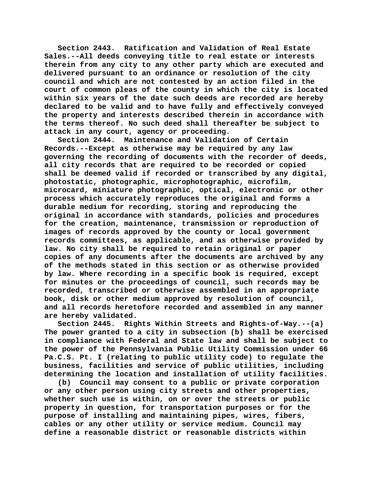**Section 2443. Ratification and Validation of Real Estate Sales.--All deeds conveying title to real estate or interests therein from any city to any other party which are executed and delivered pursuant to an ordinance or resolution of the city council and which are not contested by an action filed in the court of common pleas of the county in which the city is located within six years of the date such deeds are recorded are hereby declared to be valid and to have fully and effectively conveyed the property and interests described therein in accordance with the terms thereof. No such deed shall thereafter be subject to attack in any court, agency or proceeding.**

**Section 2444. Maintenance and Validation of Certain Records.--Except as otherwise may be required by any law governing the recording of documents with the recorder of deeds, all city records that are required to be recorded or copied shall be deemed valid if recorded or transcribed by any digital, photostatic, photographic, microphotographic, microfilm, microcard, miniature photographic, optical, electronic or other process which accurately reproduces the original and forms a durable medium for recording, storing and reproducing the original in accordance with standards, policies and procedures for the creation, maintenance, transmission or reproduction of images of records approved by the county or local government records committees, as applicable, and as otherwise provided by law. No city shall be required to retain original or paper copies of any documents after the documents are archived by any of the methods stated in this section or as otherwise provided by law. Where recording in a specific book is required, except for minutes or the proceedings of council, such records may be recorded, transcribed or otherwise assembled in an appropriate book, disk or other medium approved by resolution of council, and all records heretofore recorded and assembled in any manner are hereby validated.**

**Section 2445. Rights Within Streets and Rights-of-Way.--(a) The power granted to a city in subsection (b) shall be exercised in compliance with Federal and State law and shall be subject to the power of the Pennsylvania Public Utility Commission under 66 Pa.C.S. Pt. I (relating to public utility code) to regulate the business, facilities and service of public utilities, including determining the location and installation of utility facilities.**

**(b) Council may consent to a public or private corporation or any other person using city streets and other properties, whether such use is within, on or over the streets or public property in question, for transportation purposes or for the purpose of installing and maintaining pipes, wires, fibers, cables or any other utility or service medium. Council may define a reasonable district or reasonable districts within**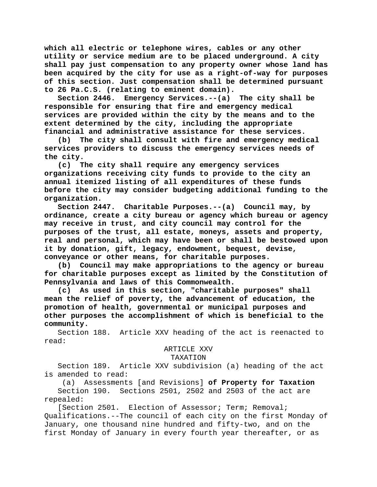**which all electric or telephone wires, cables or any other utility or service medium are to be placed underground. A city shall pay just compensation to any property owner whose land has been acquired by the city for use as a right-of-way for purposes of this section. Just compensation shall be determined pursuant to 26 Pa.C.S. (relating to eminent domain).**

**Section 2446. Emergency Services.--(a) The city shall be responsible for ensuring that fire and emergency medical services are provided within the city by the means and to the extent determined by the city, including the appropriate financial and administrative assistance for these services.**

**(b) The city shall consult with fire and emergency medical services providers to discuss the emergency services needs of the city.**

**(c) The city shall require any emergency services organizations receiving city funds to provide to the city an annual itemized listing of all expenditures of these funds before the city may consider budgeting additional funding to the organization.**

**Section 2447. Charitable Purposes.--(a) Council may, by ordinance, create a city bureau or agency which bureau or agency may receive in trust, and city council may control for the purposes of the trust, all estate, moneys, assets and property, real and personal, which may have been or shall be bestowed upon it by donation, gift, legacy, endowment, bequest, devise, conveyance or other means, for charitable purposes.**

**(b) Council may make appropriations to the agency or bureau for charitable purposes except as limited by the Constitution of Pennsylvania and laws of this Commonwealth.**

**(c) As used in this section, "charitable purposes" shall mean the relief of poverty, the advancement of education, the promotion of health, governmental or municipal purposes and other purposes the accomplishment of which is beneficial to the community.**

Section 188. Article XXV heading of the act is reenacted to read:

## ARTICLE XXV

## TAXATION

Section 189. Article XXV subdivision (a) heading of the act is amended to read:

(a) Assessments [and Revisions] **of Property for Taxation** Section 190. Sections 2501, 2502 and 2503 of the act are repealed:

[Section 2501. Election of Assessor; Term; Removal; Qualifications.--The council of each city on the first Monday of January, one thousand nine hundred and fifty-two, and on the first Monday of January in every fourth year thereafter, or as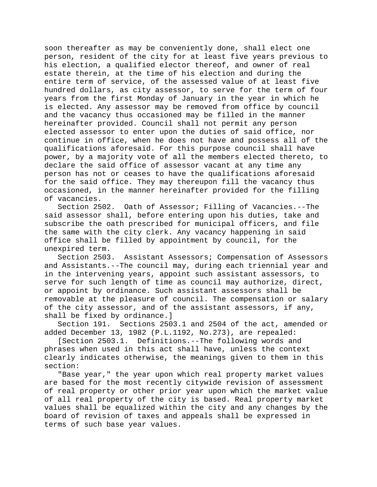soon thereafter as may be conveniently done, shall elect one person, resident of the city for at least five years previous to his election, a qualified elector thereof, and owner of real estate therein, at the time of his election and during the entire term of service, of the assessed value of at least five hundred dollars, as city assessor, to serve for the term of four years from the first Monday of January in the year in which he is elected. Any assessor may be removed from office by council and the vacancy thus occasioned may be filled in the manner hereinafter provided. Council shall not permit any person elected assessor to enter upon the duties of said office, nor continue in office, when he does not have and possess all of the qualifications aforesaid. For this purpose council shall have power, by a majority vote of all the members elected thereto, to declare the said office of assessor vacant at any time any person has not or ceases to have the qualifications aforesaid for the said office. They may thereupon fill the vacancy thus occasioned, in the manner hereinafter provided for the filling of vacancies.

Section 2502. Oath of Assessor; Filling of Vacancies.--The said assessor shall, before entering upon his duties, take and subscribe the oath prescribed for municipal officers, and file the same with the city clerk. Any vacancy happening in said office shall be filled by appointment by council, for the unexpired term.

Section 2503. Assistant Assessors; Compensation of Assessors and Assistants.--The council may, during each triennial year and in the intervening years, appoint such assistant assessors, to serve for such length of time as council may authorize, direct, or appoint by ordinance. Such assistant assessors shall be removable at the pleasure of council. The compensation or salary of the city assessor, and of the assistant assessors, if any, shall be fixed by ordinance.]

Section 191. Sections 2503.1 and 2504 of the act, amended or added December 13, 1982 (P.L.1192, No.273), are repealed:

[Section 2503.1. Definitions.--The following words and phrases when used in this act shall have, unless the context clearly indicates otherwise, the meanings given to them in this section:

"Base year," the year upon which real property market values are based for the most recently citywide revision of assessment of real property or other prior year upon which the market value of all real property of the city is based. Real property market values shall be equalized within the city and any changes by the board of revision of taxes and appeals shall be expressed in terms of such base year values.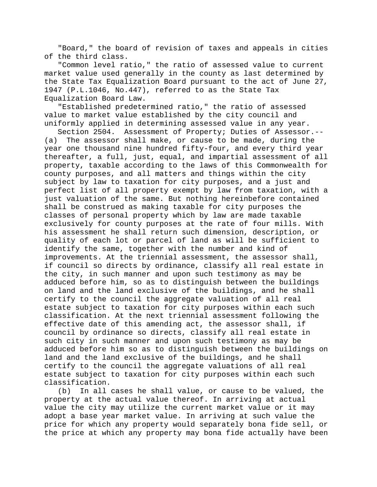"Board," the board of revision of taxes and appeals in cities of the third class.

"Common level ratio," the ratio of assessed value to current market value used generally in the county as last determined by the State Tax Equalization Board pursuant to the act of June 27, 1947 (P.L.1046, No.447), referred to as the State Tax Equalization Board Law.

"Established predetermined ratio," the ratio of assessed value to market value established by the city council and uniformly applied in determining assessed value in any year.

Section 2504. Assessment of Property; Duties of Assessor.--<br>(a) The assessor shall make, or cause to be made, during the The assessor shall make, or cause to be made, during the year one thousand nine hundred fifty-four, and every third year thereafter, a full, just, equal, and impartial assessment of all property, taxable according to the laws of this Commonwealth for county purposes, and all matters and things within the city subject by law to taxation for city purposes, and a just and perfect list of all property exempt by law from taxation, with a just valuation of the same. But nothing hereinbefore contained shall be construed as making taxable for city purposes the classes of personal property which by law are made taxable exclusively for county purposes at the rate of four mills. With his assessment he shall return such dimension, description, or quality of each lot or parcel of land as will be sufficient to identify the same, together with the number and kind of improvements. At the triennial assessment, the assessor shall, if council so directs by ordinance, classify all real estate in the city, in such manner and upon such testimony as may be adduced before him, so as to distinguish between the buildings on land and the land exclusive of the buildings, and he shall certify to the council the aggregate valuation of all real estate subject to taxation for city purposes within each such classification. At the next triennial assessment following the effective date of this amending act, the assessor shall, if council by ordinance so directs, classify all real estate in such city in such manner and upon such testimony as may be adduced before him so as to distinguish between the buildings on land and the land exclusive of the buildings, and he shall certify to the council the aggregate valuations of all real estate subject to taxation for city purposes within each such classification.

(b) In all cases he shall value, or cause to be valued, the property at the actual value thereof. In arriving at actual value the city may utilize the current market value or it may adopt a base year market value. In arriving at such value the price for which any property would separately bona fide sell, or the price at which any property may bona fide actually have been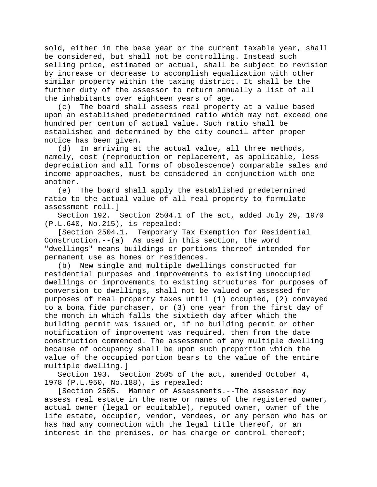sold, either in the base year or the current taxable year, shall be considered, but shall not be controlling. Instead such selling price, estimated or actual, shall be subject to revision by increase or decrease to accomplish equalization with other similar property within the taxing district. It shall be the further duty of the assessor to return annually a list of all the inhabitants over eighteen years of age.

(c) The board shall assess real property at a value based upon an established predetermined ratio which may not exceed one hundred per centum of actual value. Such ratio shall be established and determined by the city council after proper notice has been given.

(d) In arriving at the actual value, all three methods, namely, cost (reproduction or replacement, as applicable, less depreciation and all forms of obsolescence) comparable sales and income approaches, must be considered in conjunction with one another.

(e) The board shall apply the established predetermined ratio to the actual value of all real property to formulate assessment roll.]

Section 192. Section 2504.1 of the act, added July 29, 1970 (P.L.640, No.215), is repealed:

[Section 2504.1. Temporary Tax Exemption for Residential Construction.--(a) As used in this section, the word "dwellings" means buildings or portions thereof intended for permanent use as homes or residences.

(b) New single and multiple dwellings constructed for residential purposes and improvements to existing unoccupied dwellings or improvements to existing structures for purposes of conversion to dwellings, shall not be valued or assessed for purposes of real property taxes until (1) occupied, (2) conveyed to a bona fide purchaser, or (3) one year from the first day of the month in which falls the sixtieth day after which the building permit was issued or, if no building permit or other notification of improvement was required, then from the date construction commenced. The assessment of any multiple dwelling because of occupancy shall be upon such proportion which the value of the occupied portion bears to the value of the entire multiple dwelling.]

Section 193. Section 2505 of the act, amended October 4, 1978 (P.L.950, No.188), is repealed:

[Section 2505. Manner of Assessments.--The assessor may assess real estate in the name or names of the registered owner, actual owner (legal or equitable), reputed owner, owner of the life estate, occupier, vendor, vendees, or any person who has or has had any connection with the legal title thereof, or an interest in the premises, or has charge or control thereof;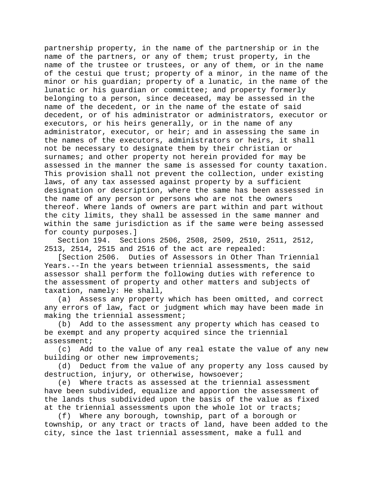partnership property, in the name of the partnership or in the name of the partners, or any of them; trust property, in the name of the trustee or trustees, or any of them, or in the name of the cestui que trust; property of a minor, in the name of the minor or his guardian; property of a lunatic, in the name of the lunatic or his guardian or committee; and property formerly belonging to a person, since deceased, may be assessed in the name of the decedent, or in the name of the estate of said decedent, or of his administrator or administrators, executor or executors, or his heirs generally, or in the name of any administrator, executor, or heir; and in assessing the same in the names of the executors, administrators or heirs, it shall not be necessary to designate them by their christian or surnames; and other property not herein provided for may be assessed in the manner the same is assessed for county taxation. This provision shall not prevent the collection, under existing laws, of any tax assessed against property by a sufficient designation or description, where the same has been assessed in the name of any person or persons who are not the owners thereof. Where lands of owners are part within and part without the city limits, they shall be assessed in the same manner and within the same jurisdiction as if the same were being assessed for county purposes.]

Section 194. Sections 2506, 2508, 2509, 2510, 2511, 2512, 2513, 2514, 2515 and 2516 of the act are repealed:

[Section 2506. Duties of Assessors in Other Than Triennial Years.--In the years between triennial assessments, the said assessor shall perform the following duties with reference to the assessment of property and other matters and subjects of taxation, namely: He shall,<br>(a) Assess any property

Assess any property which has been omitted, and correct any errors of law, fact or judgment which may have been made in making the triennial assessment;

(b) Add to the assessment any property which has ceased to be exempt and any property acquired since the triennial assessment;<br>(c) Add

Add to the value of any real estate the value of any new building or other new improvements;

(d) Deduct from the value of any property any loss caused by destruction, injury, or otherwise, howsoever;

(e) Where tracts as assessed at the triennial assessment have been subdivided, equalize and apportion the assessment of the lands thus subdivided upon the basis of the value as fixed at the triennial assessments upon the whole lot or tracts;

(f) Where any borough, township, part of a borough or township, or any tract or tracts of land, have been added to the city, since the last triennial assessment, make a full and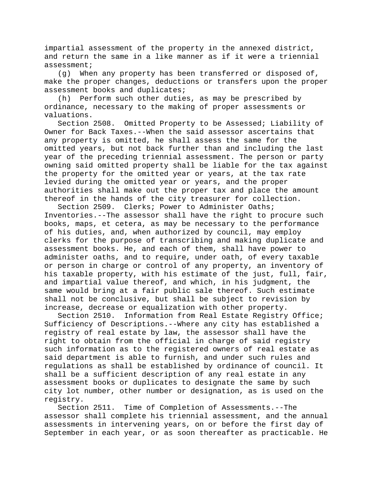impartial assessment of the property in the annexed district, and return the same in a like manner as if it were a triennial assessment;

(g) When any property has been transferred or disposed of, make the proper changes, deductions or transfers upon the proper assessment books and duplicates;

(h) Perform such other duties, as may be prescribed by ordinance, necessary to the making of proper assessments or valuations.<br>Section 2508.

Omitted Property to be Assessed; Liability of Owner for Back Taxes.--When the said assessor ascertains that any property is omitted, he shall assess the same for the omitted years, but not back further than and including the last year of the preceding triennial assessment. The person or party owning said omitted property shall be liable for the tax against the property for the omitted year or years, at the tax rate levied during the omitted year or years, and the proper authorities shall make out the proper tax and place the amount thereof in the hands of the city treasurer for collection.

Section 2509. Clerks; Power to Administer Oaths; Inventories.--The assessor shall have the right to procure such books, maps, et cetera, as may be necessary to the performance of his duties, and, when authorized by council, may employ clerks for the purpose of transcribing and making duplicate and assessment books. He, and each of them, shall have power to administer oaths, and to require, under oath, of every taxable or person in charge or control of any property, an inventory of his taxable property, with his estimate of the just, full, fair, and impartial value thereof, and which, in his judgment, the same would bring at a fair public sale thereof. Such estimate shall not be conclusive, but shall be subject to revision by increase, decrease or equalization with other property.

Section 2510. Information from Real Estate Registry Office; Sufficiency of Descriptions.--Where any city has established a registry of real estate by law, the assessor shall have the right to obtain from the official in charge of said registry such information as to the registered owners of real estate as said department is able to furnish, and under such rules and regulations as shall be established by ordinance of council. It shall be a sufficient description of any real estate in any assessment books or duplicates to designate the same by such city lot number, other number or designation, as is used on the registry.

Section 2511. Time of Completion of Assessments.--The assessor shall complete his triennial assessment, and the annual assessments in intervening years, on or before the first day of September in each year, or as soon thereafter as practicable. He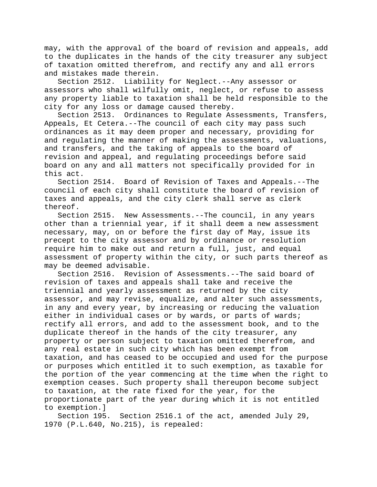may, with the approval of the board of revision and appeals, add to the duplicates in the hands of the city treasurer any subject of taxation omitted therefrom, and rectify any and all errors and mistakes made therein.

Section 2512. Liability for Neglect.--Any assessor or assessors who shall wilfully omit, neglect, or refuse to assess any property liable to taxation shall be held responsible to the city for any loss or damage caused thereby.

Section 2513. Ordinances to Regulate Assessments, Transfers, Appeals, Et Cetera.--The council of each city may pass such ordinances as it may deem proper and necessary, providing for and regulating the manner of making the assessments, valuations, and transfers, and the taking of appeals to the board of revision and appeal, and regulating proceedings before said board on any and all matters not specifically provided for in this act.

Section 2514. Board of Revision of Taxes and Appeals.--The council of each city shall constitute the board of revision of taxes and appeals, and the city clerk shall serve as clerk thereof.

Section 2515. New Assessments.--The council, in any years other than a triennial year, if it shall deem a new assessment necessary, may, on or before the first day of May, issue its precept to the city assessor and by ordinance or resolution require him to make out and return a full, just, and equal assessment of property within the city, or such parts thereof as may be deemed advisable.

Section 2516. Revision of Assessments.--The said board of revision of taxes and appeals shall take and receive the triennial and yearly assessment as returned by the city assessor, and may revise, equalize, and alter such assessments, in any and every year, by increasing or reducing the valuation either in individual cases or by wards, or parts of wards; rectify all errors, and add to the assessment book, and to the duplicate thereof in the hands of the city treasurer, any property or person subject to taxation omitted therefrom, and any real estate in such city which has been exempt from taxation, and has ceased to be occupied and used for the purpose or purposes which entitled it to such exemption, as taxable for the portion of the year commencing at the time when the right to exemption ceases. Such property shall thereupon become subject to taxation, at the rate fixed for the year, for the proportionate part of the year during which it is not entitled to exemption.]<br>Section 195.

Section 2516.1 of the act, amended July 29, 1970 (P.L.640, No.215), is repealed: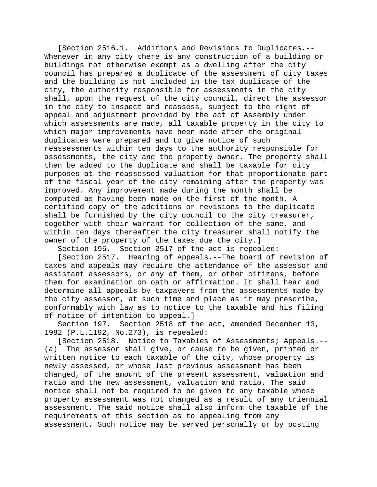[Section 2516.1. Additions and Revisions to Duplicates.-- Whenever in any city there is any construction of a building or buildings not otherwise exempt as a dwelling after the city council has prepared a duplicate of the assessment of city taxes and the building is not included in the tax duplicate of the city, the authority responsible for assessments in the city shall, upon the request of the city council, direct the assessor in the city to inspect and reassess, subject to the right of appeal and adjustment provided by the act of Assembly under which assessments are made, all taxable property in the city to which major improvements have been made after the original duplicates were prepared and to give notice of such reassessments within ten days to the authority responsible for assessments, the city and the property owner. The property shall then be added to the duplicate and shall be taxable for city purposes at the reassessed valuation for that proportionate part of the fiscal year of the city remaining after the property was improved. Any improvement made during the month shall be computed as having been made on the first of the month. A certified copy of the additions or revisions to the duplicate shall be furnished by the city council to the city treasurer, together with their warrant for collection of the same, and within ten days thereafter the city treasurer shall notify the owner of the property of the taxes due the city.]

Section 196. Section 2517 of the act is repealed:

[Section 2517. Hearing of Appeals.--The board of revision of taxes and appeals may require the attendance of the assessor and assistant assessors, or any of them, or other citizens, before them for examination on oath or affirmation. It shall hear and determine all appeals by taxpayers from the assessments made by the city assessor, at such time and place as it may prescribe, conformably with law as to notice to the taxable and his filing of notice of intention to appeal.]<br>Section 197. Section 2518 of tl

Section 2518 of the act, amended December 13, 1982 (P.L.1192, No.273), is repealed:

[Section 2518. Notice to Taxables of Assessments; Appeals.-- (a) The assessor shall give, or cause to be given, printed or written notice to each taxable of the city, whose property is newly assessed, or whose last previous assessment has been changed, of the amount of the present assessment, valuation and ratio and the new assessment, valuation and ratio. The said notice shall not be required to be given to any taxable whose property assessment was not changed as a result of any triennial assessment. The said notice shall also inform the taxable of the requirements of this section as to appealing from any assessment. Such notice may be served personally or by posting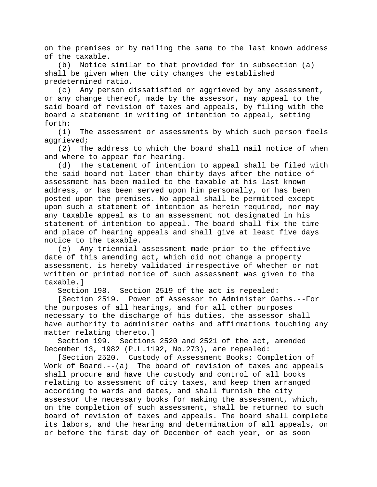on the premises or by mailing the same to the last known address of the taxable.

(b) Notice similar to that provided for in subsection (a) shall be given when the city changes the established predetermined ratio.

(c) Any person dissatisfied or aggrieved by any assessment, or any change thereof, made by the assessor, may appeal to the said board of revision of taxes and appeals, by filing with the board a statement in writing of intention to appeal, setting forth:

(1) The assessment or assessments by which such person feels aggrieved;

(2) The address to which the board shall mail notice of when and where to appear for hearing.

(d) The statement of intention to appeal shall be filed with the said board not later than thirty days after the notice of assessment has been mailed to the taxable at his last known address, or has been served upon him personally, or has been posted upon the premises. No appeal shall be permitted except upon such a statement of intention as herein required, nor may any taxable appeal as to an assessment not designated in his statement of intention to appeal. The board shall fix the time and place of hearing appeals and shall give at least five days notice to the taxable.

(e) Any triennial assessment made prior to the effective date of this amending act, which did not change a property assessment, is hereby validated irrespective of whether or not written or printed notice of such assessment was given to the taxable.]

Section 198. Section 2519 of the act is repealed:

[Section 2519. Power of Assessor to Administer Oaths.--For the purposes of all hearings, and for all other purposes necessary to the discharge of his duties, the assessor shall have authority to administer oaths and affirmations touching any matter relating thereto.]

Section 199. Sections 2520 and 2521 of the act, amended December 13, 1982 (P.L.1192, No.273), are repealed:

[Section 2520. Custody of Assessment Books; Completion of Work of Board.--(a) The board of revision of taxes and appeals shall procure and have the custody and control of all books relating to assessment of city taxes, and keep them arranged according to wards and dates, and shall furnish the city assessor the necessary books for making the assessment, which, on the completion of such assessment, shall be returned to such board of revision of taxes and appeals. The board shall complete its labors, and the hearing and determination of all appeals, on or before the first day of December of each year, or as soon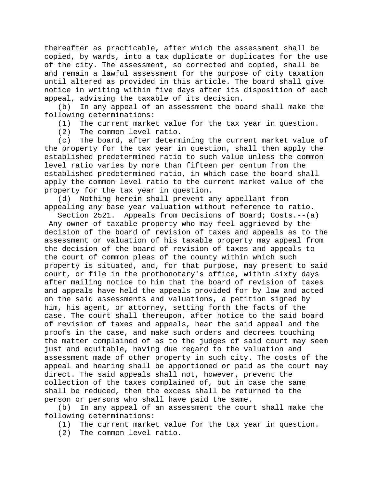thereafter as practicable, after which the assessment shall be copied, by wards, into a tax duplicate or duplicates for the use of the city. The assessment, so corrected and copied, shall be and remain a lawful assessment for the purpose of city taxation until altered as provided in this article. The board shall give notice in writing within five days after its disposition of each appeal, advising the taxable of its decision.

(b) In any appeal of an assessment the board shall make the following determinations:

(1) The current market value for the tax year in question.<br>(2) The common level ratio.

The common level ratio.

(c) The board, after determining the current market value of the property for the tax year in question, shall then apply the established predetermined ratio to such value unless the common level ratio varies by more than fifteen per centum from the established predetermined ratio, in which case the board shall apply the common level ratio to the current market value of the property for the tax year in question.

(d) Nothing herein shall prevent any appellant from appealing any base year valuation without reference to ratio.

Section 2521. Appeals from Decisions of Board; Costs.--(a) Any owner of taxable property who may feel aggrieved by the decision of the board of revision of taxes and appeals as to the assessment or valuation of his taxable property may appeal from the decision of the board of revision of taxes and appeals to the court of common pleas of the county within which such property is situated, and, for that purpose, may present to said court, or file in the prothonotary's office, within sixty days after mailing notice to him that the board of revision of taxes and appeals have held the appeals provided for by law and acted on the said assessments and valuations, a petition signed by him, his agent, or attorney, setting forth the facts of the case. The court shall thereupon, after notice to the said board of revision of taxes and appeals, hear the said appeal and the proofs in the case, and make such orders and decrees touching the matter complained of as to the judges of said court may seem just and equitable, having due regard to the valuation and assessment made of other property in such city. The costs of the appeal and hearing shall be apportioned or paid as the court may direct. The said appeals shall not, however, prevent the collection of the taxes complained of, but in case the same shall be reduced, then the excess shall be returned to the person or persons who shall have paid the same.

(b) In any appeal of an assessment the court shall make the following determinations:

- (1) The current market value for the tax year in question.
- (2) The common level ratio.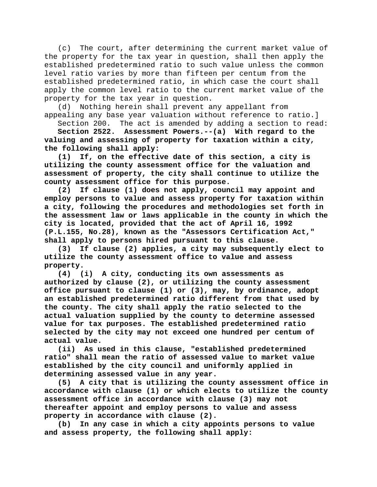(c) The court, after determining the current market value of the property for the tax year in question, shall then apply the established predetermined ratio to such value unless the common level ratio varies by more than fifteen per centum from the established predetermined ratio, in which case the court shall apply the common level ratio to the current market value of the property for the tax year in question.

(d) Nothing herein shall prevent any appellant from appealing any base year valuation without reference to ratio.]

Section 200. The act is amended by adding a section to read:

**Section 2522. Assessment Powers.--(a) With regard to the valuing and assessing of property for taxation within a city, the following shall apply:**

**(1) If, on the effective date of this section, a city is utilizing the county assessment office for the valuation and assessment of property, the city shall continue to utilize the county assessment office for this purpose.**

**(2) If clause (1) does not apply, council may appoint and employ persons to value and assess property for taxation within a city, following the procedures and methodologies set forth in the assessment law or laws applicable in the county in which the city is located, provided that the act of April 16, 1992 (P.L.155, No.28), known as the "Assessors Certification Act," shall apply to persons hired pursuant to this clause.**

**(3) If clause (2) applies, a city may subsequently elect to utilize the county assessment office to value and assess property.**

**(4) (i) A city, conducting its own assessments as authorized by clause (2), or utilizing the county assessment office pursuant to clause (1) or (3), may, by ordinance, adopt an established predetermined ratio different from that used by the county. The city shall apply the ratio selected to the actual valuation supplied by the county to determine assessed value for tax purposes. The established predetermined ratio selected by the city may not exceed one hundred per centum of actual value.**

**(ii) As used in this clause, "established predetermined ratio" shall mean the ratio of assessed value to market value established by the city council and uniformly applied in determining assessed value in any year.**

**(5) A city that is utilizing the county assessment office in accordance with clause (1) or which elects to utilize the county assessment office in accordance with clause (3) may not thereafter appoint and employ persons to value and assess property in accordance with clause (2).**

**(b) In any case in which a city appoints persons to value and assess property, the following shall apply:**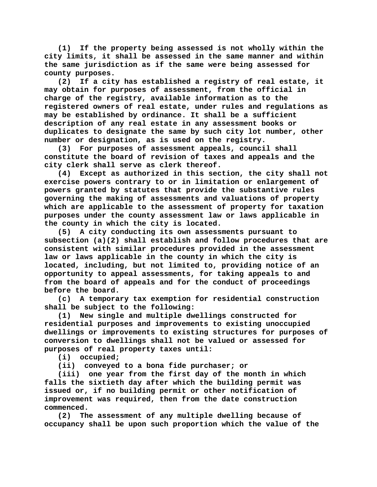**(1) If the property being assessed is not wholly within the city limits, it shall be assessed in the same manner and within the same jurisdiction as if the same were being assessed for county purposes.**

**(2) If a city has established a registry of real estate, it may obtain for purposes of assessment, from the official in charge of the registry, available information as to the registered owners of real estate, under rules and regulations as may be established by ordinance. It shall be a sufficient description of any real estate in any assessment books or duplicates to designate the same by such city lot number, other number or designation, as is used on the registry.**

**(3) For purposes of assessment appeals, council shall constitute the board of revision of taxes and appeals and the city clerk shall serve as clerk thereof.**

**(4) Except as authorized in this section, the city shall not exercise powers contrary to or in limitation or enlargement of powers granted by statutes that provide the substantive rules governing the making of assessments and valuations of property which are applicable to the assessment of property for taxation purposes under the county assessment law or laws applicable in the county in which the city is located.**

**(5) A city conducting its own assessments pursuant to subsection (a)(2) shall establish and follow procedures that are consistent with similar procedures provided in the assessment law or laws applicable in the county in which the city is located, including, but not limited to, providing notice of an opportunity to appeal assessments, for taking appeals to and from the board of appeals and for the conduct of proceedings before the board.**

**(c) A temporary tax exemption for residential construction shall be subject to the following:**

**(1) New single and multiple dwellings constructed for residential purposes and improvements to existing unoccupied dwellings or improvements to existing structures for purposes of conversion to dwellings shall not be valued or assessed for purposes of real property taxes until:**

**(i) occupied;**

**(ii) conveyed to a bona fide purchaser; or**

**(iii) one year from the first day of the month in which falls the sixtieth day after which the building permit was issued or, if no building permit or other notification of improvement was required, then from the date construction commenced.**

**(2) The assessment of any multiple dwelling because of occupancy shall be upon such proportion which the value of the**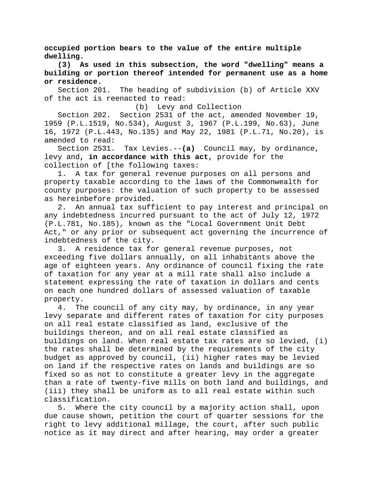**occupied portion bears to the value of the entire multiple dwelling.**

**(3) As used in this subsection, the word "dwelling" means a building or portion thereof intended for permanent use as a home or residence.**

Section 201. The heading of subdivision (b) of Article XXV of the act is reenacted to read:

(b) Levy and Collection

Section 202. Section 2531 of the act, amended November 19, 1959 (P.L.1519, No.534), August 3, 1967 (P.L.199, No.63), June 16, 1972 (P.L.443, No.135) and May 22, 1981 (P.L.71, No.20), is amended to read:<br>Section 2531.

Tax Levies.--(a) Council may, by ordinance, levy and**, in accordance with this act,** provide for the collection of [the following taxes:

1. A tax for general revenue purposes on all persons and property taxable according to the laws of the Commonwealth for county purposes: the valuation of such property to be assessed as hereinbefore provided.

2. An annual tax sufficient to pay interest and principal on any indebtedness incurred pursuant to the act of July 12, 1972 (P.L.781, No.185), known as the "Local Government Unit Debt Act," or any prior or subsequent act governing the incurrence of indebtedness of the city.

3. A residence tax for general revenue purposes, not exceeding five dollars annually, on all inhabitants above the age of eighteen years. Any ordinance of council fixing the rate of taxation for any year at a mill rate shall also include a statement expressing the rate of taxation in dollars and cents on each one hundred dollars of assessed valuation of taxable property.

4. The council of any city may, by ordinance, in any year levy separate and different rates of taxation for city purposes on all real estate classified as land, exclusive of the buildings thereon, and on all real estate classified as buildings on land. When real estate tax rates are so levied, (i) the rates shall be determined by the requirements of the city budget as approved by council, (ii) higher rates may be levied on land if the respective rates on lands and buildings are so fixed so as not to constitute a greater levy in the aggregate than a rate of twenty-five mills on both land and buildings, and (iii) they shall be uniform as to all real estate within such classification.

5. Where the city council by a majority action shall, upon due cause shown, petition the court of quarter sessions for the right to levy additional millage, the court, after such public notice as it may direct and after hearing, may order a greater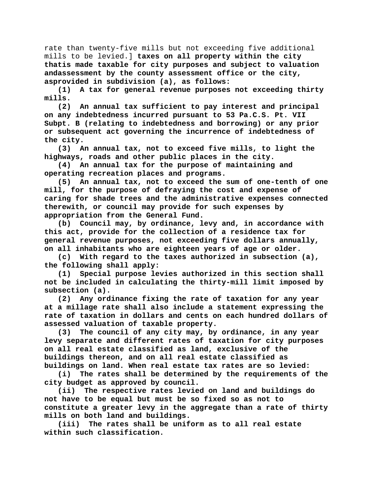rate than twenty-five mills but not exceeding five additional mills to be levied.] **taxes on all property within the city thatis made taxable for city purposes and subject to valuation andassessment by the county assessment office or the city, asprovided in subdivision (a), as follows:**

**(1) A tax for general revenue purposes not exceeding thirty mills.**

**(2) An annual tax sufficient to pay interest and principal on any indebtedness incurred pursuant to 53 Pa.C.S. Pt. VII Subpt. B (relating to indebtedness and borrowing) or any prior or subsequent act governing the incurrence of indebtedness of the city.**

**(3) An annual tax, not to exceed five mills, to light the highways, roads and other public places in the city.**

**(4) An annual tax for the purpose of maintaining and operating recreation places and programs.**

**(5) An annual tax, not to exceed the sum of one-tenth of one mill, for the purpose of defraying the cost and expense of caring for shade trees and the administrative expenses connected therewith, or council may provide for such expenses by appropriation from the General Fund.**

**(b) Council may, by ordinance, levy and, in accordance with this act, provide for the collection of a residence tax for general revenue purposes, not exceeding five dollars annually, on all inhabitants who are eighteen years of age or older.**

**(c) With regard to the taxes authorized in subsection (a), the following shall apply:**

**(1) Special purpose levies authorized in this section shall not be included in calculating the thirty-mill limit imposed by subsection (a).**

**(2) Any ordinance fixing the rate of taxation for any year at a millage rate shall also include a statement expressing the rate of taxation in dollars and cents on each hundred dollars of assessed valuation of taxable property.**

**(3) The council of any city may, by ordinance, in any year levy separate and different rates of taxation for city purposes on all real estate classified as land, exclusive of the buildings thereon, and on all real estate classified as buildings on land. When real estate tax rates are so levied:**

**(i) The rates shall be determined by the requirements of the city budget as approved by council.**

**(ii) The respective rates levied on land and buildings do not have to be equal but must be so fixed so as not to constitute a greater levy in the aggregate than a rate of thirty mills on both land and buildings.**

**(iii) The rates shall be uniform as to all real estate within such classification.**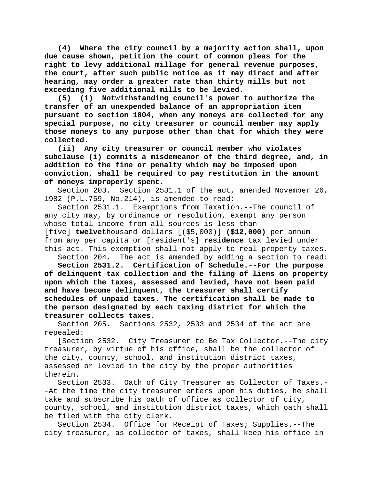**(4) Where the city council by a majority action shall, upon due cause shown, petition the court of common pleas for the right to levy additional millage for general revenue purposes, the court, after such public notice as it may direct and after hearing, may order a greater rate than thirty mills but not exceeding five additional mills to be levied.**

**(5) (i) Notwithstanding council's power to authorize the transfer of an unexpended balance of an appropriation item pursuant to section 1804, when any moneys are collected for any special purpose, no city treasurer or council member may apply those moneys to any purpose other than that for which they were collected.**

**(ii) Any city treasurer or council member who violates subclause (i) commits a misdemeanor of the third degree, and, in addition to the fine or penalty which may be imposed upon conviction, shall be required to pay restitution in the amount of moneys improperly spent.**

Section 203. Section 2531.1 of the act, amended November 26, 1982 (P.L.759, No.214), is amended to read:

Section 2531.1. Exemptions from Taxation.--The council of any city may, by ordinance or resolution, exempt any person whose total income from all sources is less than

[five] **twelve**thousand dollars [(\$5,000)] **(\$12,000)** per annum from any per capita or [resident's] **residence** tax levied under this act. This exemption shall not apply to real property taxes.

Section 204. The act is amended by adding a section to read:

**Section 2531.2. Certification of Schedule.--For the purpose of delinquent tax collection and the filing of liens on property upon which the taxes, assessed and levied, have not been paid and have become delinquent, the treasurer shall certify schedules of unpaid taxes. The certification shall be made to the person designated by each taxing district for which the treasurer collects taxes.**

Section 205. Sections 2532, 2533 and 2534 of the act are repealed:

[Section 2532. City Treasurer to Be Tax Collector.--The city treasurer, by virtue of his office, shall be the collector of the city, county, school, and institution district taxes, assessed or levied in the city by the proper authorities therein.

Section 2533. Oath of City Treasurer as Collector of Taxes.- -At the time the city treasurer enters upon his duties, he shall take and subscribe his oath of office as collector of city, county, school, and institution district taxes, which oath shall be filed with the city clerk.

Section 2534. Office for Receipt of Taxes; Supplies.--The city treasurer, as collector of taxes, shall keep his office in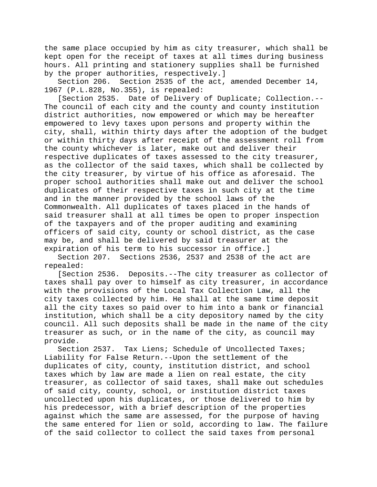the same place occupied by him as city treasurer, which shall be kept open for the receipt of taxes at all times during business hours. All printing and stationery supplies shall be furnished by the proper authorities, respectively.]

Section 206. Section 2535 of the act, amended December 14, 1967 (P.L.828, No.355), is repealed:

[Section 2535. Date of Delivery of Duplicate; Collection.-- The council of each city and the county and county institution district authorities, now empowered or which may be hereafter empowered to levy taxes upon persons and property within the city, shall, within thirty days after the adoption of the budget or within thirty days after receipt of the assessment roll from the county whichever is later, make out and deliver their respective duplicates of taxes assessed to the city treasurer, as the collector of the said taxes, which shall be collected by the city treasurer, by virtue of his office as aforesaid. The proper school authorities shall make out and deliver the school duplicates of their respective taxes in such city at the time and in the manner provided by the school laws of the Commonwealth. All duplicates of taxes placed in the hands of said treasurer shall at all times be open to proper inspection of the taxpayers and of the proper auditing and examining officers of said city, county or school district, as the case may be, and shall be delivered by said treasurer at the expiration of his term to his successor in office.]

Section 207. Sections 2536, 2537 and 2538 of the act are repealed:

[Section 2536. Deposits.--The city treasurer as collector of taxes shall pay over to himself as city treasurer, in accordance with the provisions of the Local Tax Collection Law, all the city taxes collected by him. He shall at the same time deposit all the city taxes so paid over to him into a bank or financial institution, which shall be a city depository named by the city council. All such deposits shall be made in the name of the city treasurer as such, or in the name of the city, as council may provide.

Section 2537. Tax Liens; Schedule of Uncollected Taxes; Liability for False Return.--Upon the settlement of the duplicates of city, county, institution district, and school taxes which by law are made a lien on real estate, the city treasurer, as collector of said taxes, shall make out schedules of said city, county, school, or institution district taxes uncollected upon his duplicates, or those delivered to him by his predecessor, with a brief description of the properties against which the same are assessed, for the purpose of having the same entered for lien or sold, according to law. The failure of the said collector to collect the said taxes from personal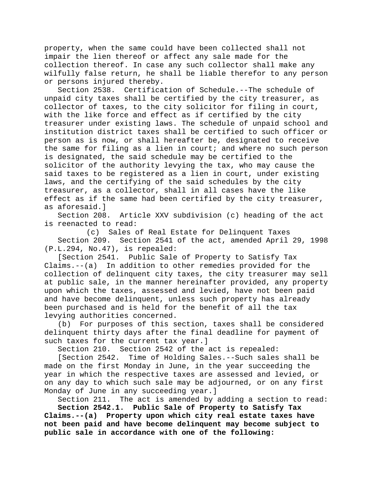property, when the same could have been collected shall not impair the lien thereof or affect any sale made for the collection thereof. In case any such collector shall make any wilfully false return, he shall be liable therefor to any person or persons injured thereby.

Section 2538. Certification of Schedule.--The schedule of unpaid city taxes shall be certified by the city treasurer, as collector of taxes, to the city solicitor for filing in court, with the like force and effect as if certified by the city treasurer under existing laws. The schedule of unpaid school and institution district taxes shall be certified to such officer or person as is now, or shall hereafter be, designated to receive the same for filing as a lien in court; and where no such person is designated, the said schedule may be certified to the solicitor of the authority levying the tax, who may cause the said taxes to be registered as a lien in court, under existing laws, and the certifying of the said schedules by the city treasurer, as a collector, shall in all cases have the like effect as if the same had been certified by the city treasurer, as aforesaid.]

Article XXV subdivision (c) heading of the act is reenacted to read:

(c) Sales of Real Estate for Delinquent Taxes Section 209. Section 2541 of the act, amended April 29, 1998 (P.L.294, No.47), is repealed:

[Section 2541. Public Sale of Property to Satisfy Tax Claims.--(a) In addition to other remedies provided for the collection of delinquent city taxes, the city treasurer may sell at public sale, in the manner hereinafter provided, any property upon which the taxes, assessed and levied, have not been paid and have become delinquent, unless such property has already been purchased and is held for the benefit of all the tax levying authorities concerned.<br>(b) For purposes of this s

For purposes of this section, taxes shall be considered delinquent thirty days after the final deadline for payment of such taxes for the current tax year.]

Section 210. Section 2542 of the act is repealed:

[Section 2542. Time of Holding Sales.--Such sales shall be made on the first Monday in June, in the year succeeding the year in which the respective taxes are assessed and levied, or on any day to which such sale may be adjourned, or on any first Monday of June in any succeeding year.]

Section 211. The act is amended by adding a section to read:

**Section 2542.1. Public Sale of Property to Satisfy Tax Claims.--(a) Property upon which city real estate taxes have not been paid and have become delinquent may become subject to public sale in accordance with one of the following:**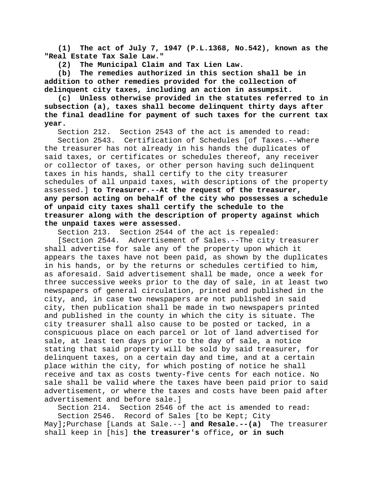**(1) The act of July 7, 1947 (P.L.1368, No.542), known as the "Real Estate Tax Sale Law."**

**(2) The Municipal Claim and Tax Lien Law.**

**(b) The remedies authorized in this section shall be in addition to other remedies provided for the collection of delinquent city taxes, including an action in assumpsit.**

**(c) Unless otherwise provided in the statutes referred to in subsection (a), taxes shall become delinquent thirty days after the final deadline for payment of such taxes for the current tax year.**

Section 212. Section 2543 of the act is amended to read:

Section 2543. Certification of Schedules [of Taxes.--Where the treasurer has not already in his hands the duplicates of said taxes, or certificates or schedules thereof, any receiver or collector of taxes, or other person having such delinquent taxes in his hands, shall certify to the city treasurer schedules of all unpaid taxes, with descriptions of the property assessed.] **to Treasurer.--At the request of the treasurer, any person acting on behalf of the city who possesses a schedule of unpaid city taxes shall certify the schedule to the treasurer along with the description of property against which the unpaid taxes were assessed.**

Section 213. Section 2544 of the act is repealed:

[Section 2544. Advertisement of Sales.--The city treasurer shall advertise for sale any of the property upon which it appears the taxes have not been paid, as shown by the duplicates in his hands, or by the returns or schedules certified to him, as aforesaid. Said advertisement shall be made, once a week for three successive weeks prior to the day of sale, in at least two newspapers of general circulation, printed and published in the city, and, in case two newspapers are not published in said city, then publication shall be made in two newspapers printed and published in the county in which the city is situate. The city treasurer shall also cause to be posted or tacked, in a conspicuous place on each parcel or lot of land advertised for sale, at least ten days prior to the day of sale, a notice stating that said property will be sold by said treasurer, for delinquent taxes, on a certain day and time, and at a certain place within the city, for which posting of notice he shall receive and tax as costs twenty-five cents for each notice. No sale shall be valid where the taxes have been paid prior to said advertisement, or where the taxes and costs have been paid after advertisement and before sale.]

Section 214. Section 2546 of the act is amended to read: Section 2546. Record of Sales [to be Kept; City

May]**;**Purchase [Lands at Sale.--] **and Resale.--(a)** The treasurer shall keep in [his] **the treasurer's** office**, or in such**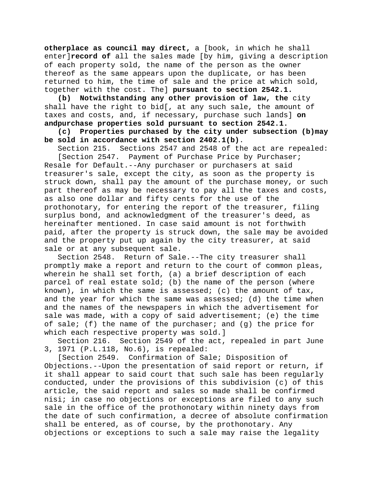**otherplace as council may direct,** a [book, in which he shall enter]**record of** all the sales made [by him, giving a description of each property sold, the name of the person as the owner thereof as the same appears upon the duplicate, or has been returned to him, the time of sale and the price at which sold, together with the cost. The] **pursuant to section 2542.1.**

**(b) Notwithstanding any other provision of law, the** city shall have the right to bid[, at any such sale, the amount of taxes and costs, and, if necessary, purchase such lands] **on andpurchase properties sold pursuant to section 2542.1.**

**(c) Properties purchased by the city under subsection (b)may be sold in accordance with section 2402.1(b)**.

Section 215. Sections 2547 and 2548 of the act are repealed: [Section 2547. Payment of Purchase Price by Purchaser;

Resale for Default.--Any purchaser or purchasers at said treasurer's sale, except the city, as soon as the property is struck down, shall pay the amount of the purchase money, or such part thereof as may be necessary to pay all the taxes and costs, as also one dollar and fifty cents for the use of the prothonotary, for entering the report of the treasurer, filing surplus bond, and acknowledgment of the treasurer's deed, as hereinafter mentioned. In case said amount is not forthwith paid, after the property is struck down, the sale may be avoided and the property put up again by the city treasurer, at said sale or at any subsequent sale.

Section 2548. Return of Sale.--The city treasurer shall promptly make a report and return to the court of common pleas, wherein he shall set forth, (a) a brief description of each parcel of real estate sold; (b) the name of the person (where known), in which the same is assessed; (c) the amount of  $tax$ , and the year for which the same was assessed; (d) the time when and the names of the newspapers in which the advertisement for sale was made, with a copy of said advertisement; (e) the time of sale; (f) the name of the purchaser; and (g) the price for which each respective property was sold.]

Section 216. Section 2549 of the act, repealed in part June 3, 1971 (P.L.118, No.6), is repealed:

[Section 2549. Confirmation of Sale; Disposition of Objections.--Upon the presentation of said report or return, if it shall appear to said court that such sale has been regularly conducted, under the provisions of this subdivision (c) of this article, the said report and sales so made shall be confirmed nisi; in case no objections or exceptions are filed to any such sale in the office of the prothonotary within ninety days from the date of such confirmation, a decree of absolute confirmation shall be entered, as of course, by the prothonotary. Any objections or exceptions to such a sale may raise the legality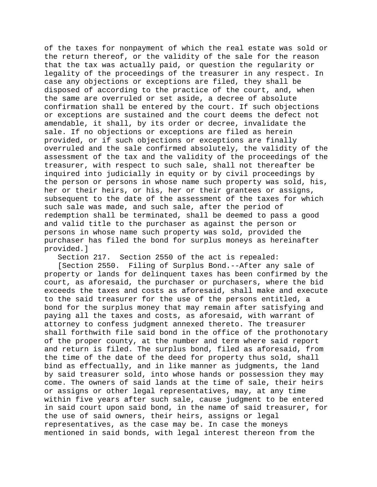of the taxes for nonpayment of which the real estate was sold or the return thereof, or the validity of the sale for the reason that the tax was actually paid, or question the regularity or legality of the proceedings of the treasurer in any respect. In case any objections or exceptions are filed, they shall be disposed of according to the practice of the court, and, when the same are overruled or set aside, a decree of absolute confirmation shall be entered by the court. If such objections or exceptions are sustained and the court deems the defect not amendable, it shall, by its order or decree, invalidate the sale. If no objections or exceptions are filed as herein provided, or if such objections or exceptions are finally overruled and the sale confirmed absolutely, the validity of the assessment of the tax and the validity of the proceedings of the treasurer, with respect to such sale, shall not thereafter be inquired into judicially in equity or by civil proceedings by the person or persons in whose name such property was sold, his, her or their heirs, or his, her or their grantees or assigns, subsequent to the date of the assessment of the taxes for which such sale was made, and such sale, after the period of redemption shall be terminated, shall be deemed to pass a good and valid title to the purchaser as against the person or persons in whose name such property was sold, provided the purchaser has filed the bond for surplus moneys as hereinafter provided.]

Section 217. Section 2550 of the act is repealed:

[Section 2550. Filing of Surplus Bond.--After any sale of property or lands for delinquent taxes has been confirmed by the court, as aforesaid, the purchaser or purchasers, where the bid exceeds the taxes and costs as aforesaid, shall make and execute to the said treasurer for the use of the persons entitled, a bond for the surplus money that may remain after satisfying and paying all the taxes and costs, as aforesaid, with warrant of attorney to confess judgment annexed thereto. The treasurer shall forthwith file said bond in the office of the prothonotary of the proper county, at the number and term where said report and return is filed. The surplus bond, filed as aforesaid, from the time of the date of the deed for property thus sold, shall bind as effectually, and in like manner as judgments, the land by said treasurer sold, into whose hands or possession they may come. The owners of said lands at the time of sale, their heirs or assigns or other legal representatives, may, at any time within five years after such sale, cause judgment to be entered in said court upon said bond, in the name of said treasurer, for the use of said owners, their heirs, assigns or legal representatives, as the case may be. In case the moneys mentioned in said bonds, with legal interest thereon from the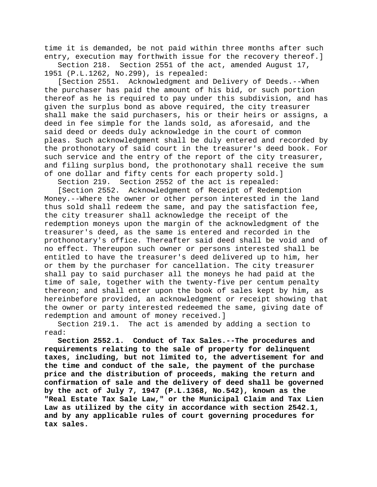time it is demanded, be not paid within three months after such entry, execution may forthwith issue for the recovery thereof.]<br>Section 218. Section 2551 of the act, amended August 17,

Section 2551 of the act, amended August 17, 1951 (P.L.1262, No.299), is repealed:

[Section 2551. Acknowledgment and Delivery of Deeds.--When the purchaser has paid the amount of his bid, or such portion thereof as he is required to pay under this subdivision, and has given the surplus bond as above required, the city treasurer shall make the said purchasers, his or their heirs or assigns, a deed in fee simple for the lands sold, as aforesaid, and the said deed or deeds duly acknowledge in the court of common pleas. Such acknowledgment shall be duly entered and recorded by the prothonotary of said court in the treasurer's deed book. For such service and the entry of the report of the city treasurer, and filing surplus bond, the prothonotary shall receive the sum of one dollar and fifty cents for each property sold.]

Section 219. Section 2552 of the act is repealed:

[Section 2552. Acknowledgment of Receipt of Redemption Money.--Where the owner or other person interested in the land thus sold shall redeem the same, and pay the satisfaction fee, the city treasurer shall acknowledge the receipt of the redemption moneys upon the margin of the acknowledgment of the treasurer's deed, as the same is entered and recorded in the prothonotary's office. Thereafter said deed shall be void and of no effect. Thereupon such owner or persons interested shall be entitled to have the treasurer's deed delivered up to him, her or them by the purchaser for cancellation. The city treasurer shall pay to said purchaser all the moneys he had paid at the time of sale, together with the twenty-five per centum penalty thereon; and shall enter upon the book of sales kept by him, as hereinbefore provided, an acknowledgment or receipt showing that the owner or party interested redeemed the same, giving date of redemption and amount of money received.]

Section 219.1. The act is amended by adding a section to read:

**Section 2552.1. Conduct of Tax Sales.--The procedures and requirements relating to the sale of property for delinquent taxes, including, but not limited to, the advertisement for and the time and conduct of the sale, the payment of the purchase price and the distribution of proceeds, making the return and confirmation of sale and the delivery of deed shall be governed by the act of July 7, 1947 (P.L.1368, No.542), known as the "Real Estate Tax Sale Law," or the Municipal Claim and Tax Lien Law as utilized by the city in accordance with section 2542.1, and by any applicable rules of court governing procedures for tax sales.**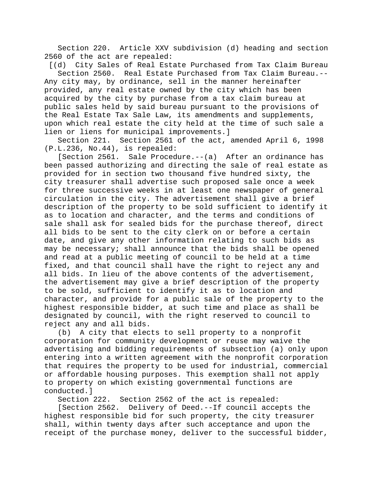Section 220. Article XXV subdivision (d) heading and section 2560 of the act are repealed:

[(d) City Sales of Real Estate Purchased from Tax Claim Bureau Section 2560. Real Estate Purchased from Tax Claim Bureau.-- Any city may, by ordinance, sell in the manner hereinafter provided, any real estate owned by the city which has been acquired by the city by purchase from a tax claim bureau at public sales held by said bureau pursuant to the provisions of the Real Estate Tax Sale Law, its amendments and supplements, upon which real estate the city held at the time of such sale a lien or liens for municipal improvements.]

Section 221. Section 2561 of the act, amended April 6, 1998 (P.L.236, No.44), is repealed:

[Section 2561. Sale Procedure.--(a) After an ordinance has been passed authorizing and directing the sale of real estate as provided for in section two thousand five hundred sixty, the city treasurer shall advertise such proposed sale once a week for three successive weeks in at least one newspaper of general circulation in the city. The advertisement shall give a brief description of the property to be sold sufficient to identify it as to location and character, and the terms and conditions of sale shall ask for sealed bids for the purchase thereof, direct all bids to be sent to the city clerk on or before a certain date, and give any other information relating to such bids as may be necessary; shall announce that the bids shall be opened and read at a public meeting of council to be held at a time fixed, and that council shall have the right to reject any and all bids. In lieu of the above contents of the advertisement, the advertisement may give a brief description of the property to be sold, sufficient to identify it as to location and character, and provide for a public sale of the property to the highest responsible bidder, at such time and place as shall be designated by council, with the right reserved to council to reject any and all bids.

(b) A city that elects to sell property to a nonprofit corporation for community development or reuse may waive the advertising and bidding requirements of subsection (a) only upon entering into a written agreement with the nonprofit corporation that requires the property to be used for industrial, commercial or affordable housing purposes. This exemption shall not apply to property on which existing governmental functions are conducted.]

Section 222. Section 2562 of the act is repealed:

[Section 2562. Delivery of Deed.--If council accepts the highest responsible bid for such property, the city treasurer shall, within twenty days after such acceptance and upon the receipt of the purchase money, deliver to the successful bidder,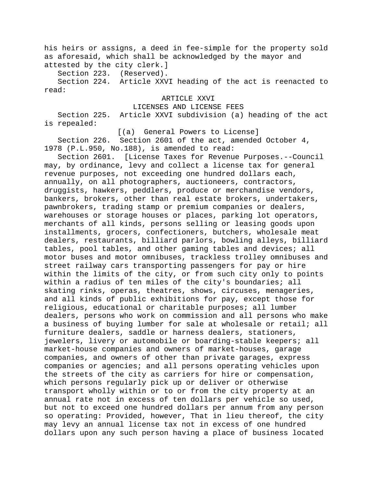his heirs or assigns, a deed in fee-simple for the property sold as aforesaid, which shall be acknowledged by the mayor and attested by the city clerk.]

Section 223. (Reserved).

Section 224. Article XXVI heading of the act is reenacted to read:

# ARTICLE XXVI

LICENSES AND LICENSE FEES

Section 225. Article XXVI subdivision (a) heading of the act is repealed:

[(a) General Powers to License]

Section 226. Section 2601 of the act, amended October 4, 1978 (P.L.950, No.188), is amended to read:

Section 2601. [License Taxes for Revenue Purposes.--Council may, by ordinance, levy and collect a license tax for general revenue purposes, not exceeding one hundred dollars each, annually, on all photographers, auctioneers, contractors, druggists, hawkers, peddlers, produce or merchandise vendors, bankers, brokers, other than real estate brokers, undertakers, pawnbrokers, trading stamp or premium companies or dealers, warehouses or storage houses or places, parking lot operators, merchants of all kinds, persons selling or leasing goods upon installments, grocers, confectioners, butchers, wholesale meat dealers, restaurants, billiard parlors, bowling alleys, billiard tables, pool tables, and other gaming tables and devices; all motor buses and motor omnibuses, trackless trolley omnibuses and street railway cars transporting passengers for pay or hire within the limits of the city, or from such city only to points within a radius of ten miles of the city's boundaries; all skating rinks, operas, theatres, shows, circuses, menageries, and all kinds of public exhibitions for pay, except those for religious, educational or charitable purposes; all lumber dealers, persons who work on commission and all persons who make a business of buying lumber for sale at wholesale or retail; all furniture dealers, saddle or harness dealers, stationers, jewelers, livery or automobile or boarding-stable keepers; all market-house companies and owners of market-houses, garage companies, and owners of other than private garages, express companies or agencies; and all persons operating vehicles upon the streets of the city as carriers for hire or compensation, which persons regularly pick up or deliver or otherwise transport wholly within or to or from the city property at an annual rate not in excess of ten dollars per vehicle so used, but not to exceed one hundred dollars per annum from any person so operating: Provided, however, That in lieu thereof, the city may levy an annual license tax not in excess of one hundred dollars upon any such person having a place of business located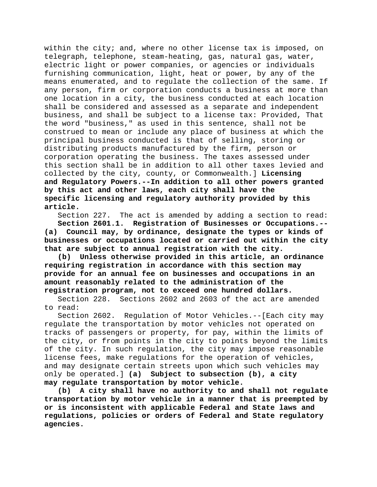within the city; and, where no other license tax is imposed, on telegraph, telephone, steam-heating, gas, natural gas, water, electric light or power companies, or agencies or individuals furnishing communication, light, heat or power, by any of the means enumerated, and to regulate the collection of the same. If any person, firm or corporation conducts a business at more than one location in a city, the business conducted at each location shall be considered and assessed as a separate and independent business, and shall be subject to a license tax: Provided, That the word "business," as used in this sentence, shall not be construed to mean or include any place of business at which the principal business conducted is that of selling, storing or distributing products manufactured by the firm, person or corporation operating the business. The taxes assessed under this section shall be in addition to all other taxes levied and collected by the city, county, or Commonwealth.] **Licensing and Regulatory Powers.--In addition to all other powers granted by this act and other laws, each city shall have the specific licensing and regulatory authority provided by this article.**

Section 227. The act is amended by adding a section to read:<br>Section 2601.1. Registration of Businesses or Occupations.--Registration of Businesses or Occupations.--**(a) Council may, by ordinance, designate the types or kinds of businesses or occupations located or carried out within the city that are subject to annual registration with the city.**

**(b) Unless otherwise provided in this article, an ordinance requiring registration in accordance with this section may provide for an annual fee on businesses and occupations in an amount reasonably related to the administration of the registration program, not to exceed one hundred dollars.**

Section 228. Sections 2602 and 2603 of the act are amended to read:

Section 2602. Regulation of Motor Vehicles.--[Each city may regulate the transportation by motor vehicles not operated on tracks of passengers or property, for pay, within the limits of the city, or from points in the city to points beyond the limits of the city. In such regulation, the city may impose reasonable license fees, make regulations for the operation of vehicles, and may designate certain streets upon which such vehicles may only be operated.] **(a) Subject to subsection (b), a city may regulate transportation by motor vehicle.**

**(b) A city shall have no authority to and shall not regulate transportation by motor vehicle in a manner that is preempted by or is inconsistent with applicable Federal and State laws and regulations, policies or orders of Federal and State regulatory agencies.**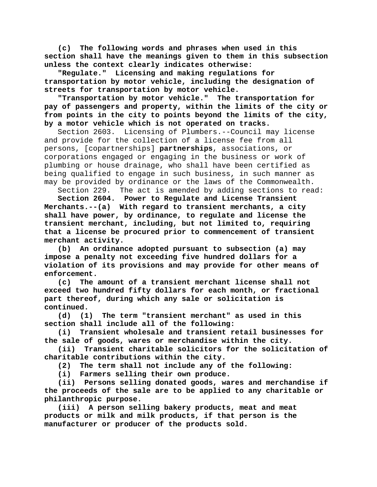**(c) The following words and phrases when used in this section shall have the meanings given to them in this subsection unless the context clearly indicates otherwise:**

**"Regulate." Licensing and making regulations for transportation by motor vehicle, including the designation of streets for transportation by motor vehicle.**

**"Transportation by motor vehicle." The transportation for pay of passengers and property, within the limits of the city or from points in the city to points beyond the limits of the city, by a motor vehicle which is not operated on tracks.**

Section 2603. Licensing of Plumbers.--Council may license and provide for the collection of a license fee from all persons, [copartnerships] **partnerships**, associations, or corporations engaged or engaging in the business or work of plumbing or house drainage, who shall have been certified as being qualified to engage in such business, in such manner as may be provided by ordinance or the laws of the Commonwealth.

Section 229. The act is amended by adding sections to read: **Section 2604. Power to Regulate and License Transient Merchants.--(a) With regard to transient merchants, a city shall have power, by ordinance, to regulate and license the transient merchant, including, but not limited to, requiring that a license be procured prior to commencement of transient merchant activity.**

**(b) An ordinance adopted pursuant to subsection (a) may impose a penalty not exceeding five hundred dollars for a violation of its provisions and may provide for other means of enforcement.**

**(c) The amount of a transient merchant license shall not exceed two hundred fifty dollars for each month, or fractional part thereof, during which any sale or solicitation is continued.**

The term "transient merchant" as used in this **section shall include all of the following:**

**(i) Transient wholesale and transient retail businesses for the sale of goods, wares or merchandise within the city.**

**(ii) Transient charitable solicitors for the solicitation of charitable contributions within the city.**

**(2) The term shall not include any of the following:**

**(i) Farmers selling their own produce.**

**(ii) Persons selling donated goods, wares and merchandise if the proceeds of the sale are to be applied to any charitable or philanthropic purpose.**

**(iii) A person selling bakery products, meat and meat products or milk and milk products, if that person is the manufacturer or producer of the products sold.**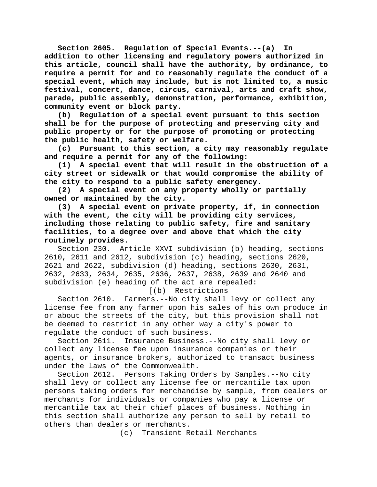**Section 2605. Regulation of Special Events.--(a) In addition to other licensing and regulatory powers authorized in this article, council shall have the authority, by ordinance, to require a permit for and to reasonably regulate the conduct of a special event, which may include, but is not limited to, a music festival, concert, dance, circus, carnival, arts and craft show, parade, public assembly, demonstration, performance, exhibition, community event or block party.**

**(b) Regulation of a special event pursuant to this section shall be for the purpose of protecting and preserving city and public property or for the purpose of promoting or protecting the public health, safety or welfare.**

**(c) Pursuant to this section, a city may reasonably regulate and require a permit for any of the following:**

**(1) A special event that will result in the obstruction of a city street or sidewalk or that would compromise the ability of the city to respond to a public safety emergency.**

**(2) A special event on any property wholly or partially owned or maintained by the city.**

**(3) A special event on private property, if, in connection with the event, the city will be providing city services, including those relating to public safety, fire and sanitary facilities, to a degree over and above that which the city routinely provides.**

Section 230. Article XXVI subdivision (b) heading, sections 2610, 2611 and 2612, subdivision (c) heading, sections 2620, 2621 and 2622, subdivision (d) heading, sections 2630, 2631, 2632, 2633, 2634, 2635, 2636, 2637, 2638, 2639 and 2640 and subdivision (e) heading of the act are repealed:

[(b) Restrictions

Section 2610. Farmers.--No city shall levy or collect any license fee from any farmer upon his sales of his own produce in or about the streets of the city, but this provision shall not be deemed to restrict in any other way a city's power to

regulate the conduct of such business.<br>- Section 2611. Insurance Business. Insurance Business.--No city shall levy or collect any license fee upon insurance companies or their agents, or insurance brokers, authorized to transact business under the laws of the Commonwealth.

Section 2612. Persons Taking Orders by Samples.--No city shall levy or collect any license fee or mercantile tax upon persons taking orders for merchandise by sample, from dealers or merchants for individuals or companies who pay a license or mercantile tax at their chief places of business. Nothing in this section shall authorize any person to sell by retail to others than dealers or merchants.

(c) Transient Retail Merchants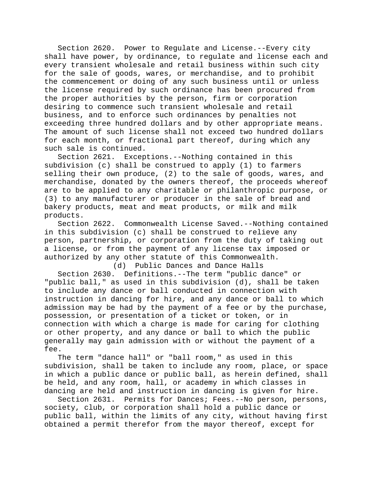Section 2620. Power to Regulate and License.--Every city shall have power, by ordinance, to regulate and license each and every transient wholesale and retail business within such city for the sale of goods, wares, or merchandise, and to prohibit the commencement or doing of any such business until or unless the license required by such ordinance has been procured from the proper authorities by the person, firm or corporation desiring to commence such transient wholesale and retail business, and to enforce such ordinances by penalties not exceeding three hundred dollars and by other appropriate means. The amount of such license shall not exceed two hundred dollars for each month, or fractional part thereof, during which any such sale is continued.

Section 2621. Exceptions.--Nothing contained in this subdivision (c) shall be construed to apply (1) to farmers selling their own produce, (2) to the sale of goods, wares, and merchandise, donated by the owners thereof, the proceeds whereof are to be applied to any charitable or philanthropic purpose, or (3) to any manufacturer or producer in the sale of bread and bakery products, meat and meat products, or milk and milk products.

Section 2622. Commonwealth License Saved.--Nothing contained in this subdivision (c) shall be construed to relieve any person, partnership, or corporation from the duty of taking out a license, or from the payment of any license tax imposed or authorized by any other statute of this Commonwealth.

(d) Public Dances and Dance Halls Section 2630. Definitions.--The term "public dance" or "public ball," as used in this subdivision (d), shall be taken to include any dance or ball conducted in connection with instruction in dancing for hire, and any dance or ball to which admission may be had by the payment of a fee or by the purchase, possession, or presentation of a ticket or token, or in connection with which a charge is made for caring for clothing or other property, and any dance or ball to which the public generally may gain admission with or without the payment of a fee.

The term "dance hall" or "ball room," as used in this subdivision, shall be taken to include any room, place, or space in which a public dance or public ball, as herein defined, shall be held, and any room, hall, or academy in which classes in dancing are held and instruction in dancing is given for hire.

Section 2631. Permits for Dances; Fees.--No person, persons, society, club, or corporation shall hold a public dance or public ball, within the limits of any city, without having first obtained a permit therefor from the mayor thereof, except for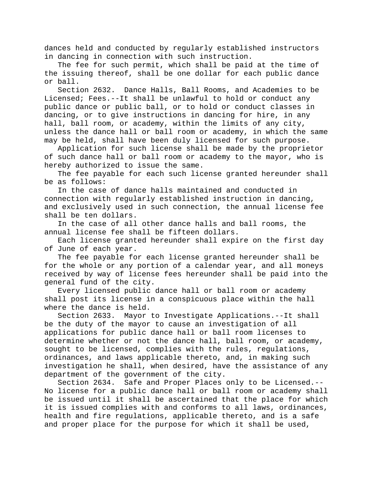dances held and conducted by regularly established instructors in dancing in connection with such instruction.

The fee for such permit, which shall be paid at the time of the issuing thereof, shall be one dollar for each public dance or ball.

Section 2632. Dance Halls, Ball Rooms, and Academies to be Licensed; Fees.--It shall be unlawful to hold or conduct any public dance or public ball, or to hold or conduct classes in dancing, or to give instructions in dancing for hire, in any hall, ball room, or academy, within the limits of any city, unless the dance hall or ball room or academy, in which the same may be held, shall have been duly licensed for such purpose.

Application for such license shall be made by the proprietor of such dance hall or ball room or academy to the mayor, who is hereby authorized to issue the same.

The fee payable for each such license granted hereunder shall be as follows:

In the case of dance halls maintained and conducted in connection with regularly established instruction in dancing, and exclusively used in such connection, the annual license fee shall be ten dollars.

In the case of all other dance halls and ball rooms, the annual license fee shall be fifteen dollars.

Each license granted hereunder shall expire on the first day of June of each year.

The fee payable for each license granted hereunder shall be for the whole or any portion of a calendar year, and all moneys received by way of license fees hereunder shall be paid into the general fund of the city.

Every licensed public dance hall or ball room or academy shall post its license in a conspicuous place within the hall where the dance is held.

Section 2633. Mayor to Investigate Applications.--It shall be the duty of the mayor to cause an investigation of all applications for public dance hall or ball room licenses to determine whether or not the dance hall, ball room, or academy, sought to be licensed, complies with the rules, regulations, ordinances, and laws applicable thereto, and, in making such investigation he shall, when desired, have the assistance of any department of the government of the city.<br>Section 2634. Safe and Proper Places

Safe and Proper Places only to be Licensed.--No license for a public dance hall or ball room or academy shall be issued until it shall be ascertained that the place for which it is issued complies with and conforms to all laws, ordinances, health and fire regulations, applicable thereto, and is a safe and proper place for the purpose for which it shall be used,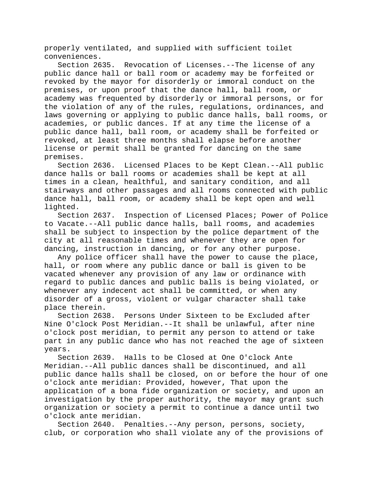properly ventilated, and supplied with sufficient toilet conveniences.

Section 2635. Revocation of Licenses.--The license of any public dance hall or ball room or academy may be forfeited or revoked by the mayor for disorderly or immoral conduct on the premises, or upon proof that the dance hall, ball room, or academy was frequented by disorderly or immoral persons, or for the violation of any of the rules, regulations, ordinances, and laws governing or applying to public dance halls, ball rooms, or academies, or public dances. If at any time the license of a public dance hall, ball room, or academy shall be forfeited or revoked, at least three months shall elapse before another license or permit shall be granted for dancing on the same premises.

Section 2636. Licensed Places to be Kept Clean.--All public dance halls or ball rooms or academies shall be kept at all times in a clean, healthful, and sanitary condition, and all stairways and other passages and all rooms connected with public dance hall, ball room, or academy shall be kept open and well lighted.

Section 2637. Inspection of Licensed Places; Power of Police to Vacate.--All public dance halls, ball rooms, and academies shall be subject to inspection by the police department of the city at all reasonable times and whenever they are open for dancing, instruction in dancing, or for any other purpose.

Any police officer shall have the power to cause the place, hall, or room where any public dance or ball is given to be vacated whenever any provision of any law or ordinance with regard to public dances and public balls is being violated, or whenever any indecent act shall be committed, or when any disorder of a gross, violent or vulgar character shall take place therein.

Section 2638. Persons Under Sixteen to be Excluded after Nine O'clock Post Meridian.--It shall be unlawful, after nine o'clock post meridian, to permit any person to attend or take part in any public dance who has not reached the age of sixteen years.

Section 2639. Halls to be Closed at One O'clock Ante Meridian.--All public dances shall be discontinued, and all public dance halls shall be closed, on or before the hour of one o'clock ante meridian: Provided, however, That upon the application of a bona fide organization or society, and upon an investigation by the proper authority, the mayor may grant such organization or society a permit to continue a dance until two o'clock ante meridian.

Section 2640. Penalties.--Any person, persons, society, club, or corporation who shall violate any of the provisions of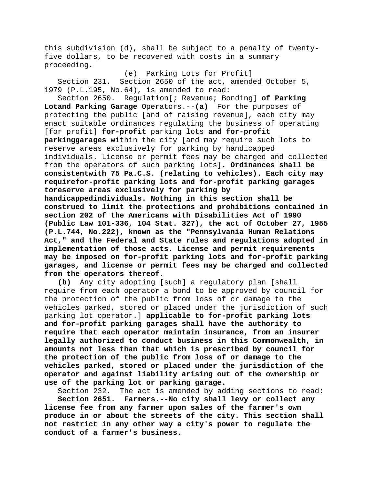this subdivision (d), shall be subject to a penalty of twentyfive dollars, to be recovered with costs in a summary proceeding.

(e) Parking Lots for Profit] Section 231. Section 2650 of the act, amended October 5, 1979 (P.L.195, No.64), is amended to read:

Section 2650. Regulation[; Revenue; Bonding] **of Parking Lotand Parking Garage** Operators.--**(a)** For the purposes of protecting the public [and of raising revenue], each city may enact suitable ordinances regulating the business of operating [for profit] **for-profit** parking lots **and for-profit parkinggarages** within the city [and may require such lots to reserve areas exclusively for parking by handicapped individuals. License or permit fees may be charged and collected from the operators of such parking lots]**. Ordinances shall be consistentwith 75 Pa.C.S. (relating to vehicles). Each city may requirefor-profit parking lots and for-profit parking garages toreserve areas exclusively for parking by handicappedindividuals. Nothing in this section shall be construed to limit the protections and prohibitions contained in section 202 of the Americans with Disabilities Act of 1990 (Public Law 101-336, 104 Stat. 327), the act of October 27, 1955 (P.L.744, No.222), known as the "Pennsylvania Human Relations Act," and the Federal and State rules and regulations adopted in implementation of those acts. License and permit requirements may be imposed on for-profit parking lots and for-profit parking garages, and license or permit fees may be charged and collected from the operators thereof**.

**(b)** Any city adopting [such] a regulatory plan [shall require from each operator a bond to be approved by council for the protection of the public from loss of or damage to the vehicles parked, stored or placed under the jurisdiction of such parking lot operator.] **applicable to for-profit parking lots and for-profit parking garages shall have the authority to require that each operator maintain insurance, from an insurer legally authorized to conduct business in this Commonwealth, in amounts not less than that which is prescribed by council for the protection of the public from loss of or damage to the vehicles parked, stored or placed under the jurisdiction of the operator and against liability arising out of the ownership or use of the parking lot or parking garage.**

Section 232. The act is amended by adding sections to read:

**Section 2651. Farmers.--No city shall levy or collect any license fee from any farmer upon sales of the farmer's own produce in or about the streets of the city. This section shall not restrict in any other way a city's power to regulate the conduct of a farmer's business.**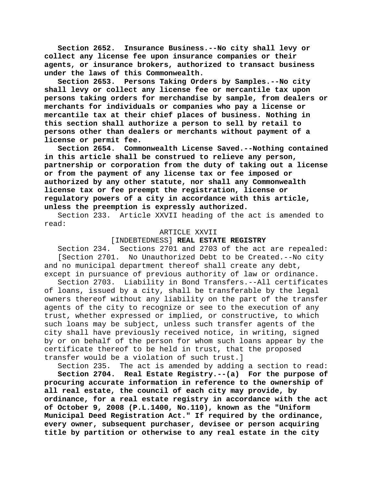**Section 2652. Insurance Business.--No city shall levy or collect any license fee upon insurance companies or their agents, or insurance brokers, authorized to transact business under the laws of this Commonwealth.**

**Section 2653. Persons Taking Orders by Samples.--No city shall levy or collect any license fee or mercantile tax upon persons taking orders for merchandise by sample, from dealers or merchants for individuals or companies who pay a license or mercantile tax at their chief places of business. Nothing in this section shall authorize a person to sell by retail to persons other than dealers or merchants without payment of a license or permit fee.**

Commonwealth License Saved.--Nothing contained **in this article shall be construed to relieve any person, partnership or corporation from the duty of taking out a license or from the payment of any license tax or fee imposed or authorized by any other statute, nor shall any Commonwealth license tax or fee preempt the registration, license or regulatory powers of a city in accordance with this article, unless the preemption is expressly authorized.**

Section 233. Article XXVII heading of the act is amended to read:

#### ARTICLE XXVII

## [INDEBTEDNESS] **REAL ESTATE REGISTRY**

Section 234. Sections 2701 and 2703 of the act are repealed: [Section 2701. No Unauthorized Debt to be Created.--No city and no municipal department thereof shall create any debt, except in pursuance of previous authority of law or ordinance.

Section 2703. Liability in Bond Transfers.--All certificates of loans, issued by a city, shall be transferable by the legal owners thereof without any liability on the part of the transfer agents of the city to recognize or see to the execution of any trust, whether expressed or implied, or constructive, to which such loans may be subject, unless such transfer agents of the city shall have previously received notice, in writing, signed by or on behalf of the person for whom such loans appear by the certificate thereof to be held in trust, that the proposed transfer would be a violation of such trust.]

Section 235. The act is amended by adding a section to read: **Section 2704. Real Estate Registry.--(a) For the purpose of procuring accurate information in reference to the ownership of all real estate, the council of each city may provide, by ordinance, for a real estate registry in accordance with the act of October 9, 2008 (P.L.1400, No.110), known as the "Uniform Municipal Deed Registration Act." If required by the ordinance, every owner, subsequent purchaser, devisee or person acquiring title by partition or otherwise to any real estate in the city**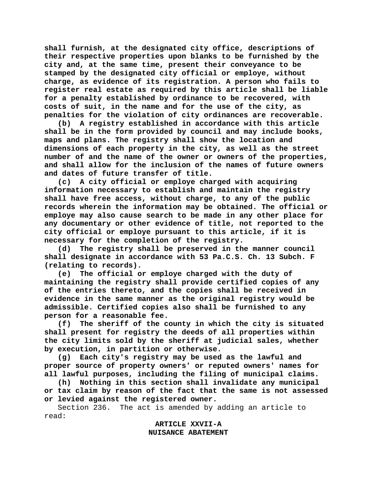**shall furnish, at the designated city office, descriptions of their respective properties upon blanks to be furnished by the city and, at the same time, present their conveyance to be stamped by the designated city official or employe, without charge, as evidence of its registration. A person who fails to register real estate as required by this article shall be liable for a penalty established by ordinance to be recovered, with costs of suit, in the name and for the use of the city, as penalties for the violation of city ordinances are recoverable.**

**(b) A registry established in accordance with this article shall be in the form provided by council and may include books, maps and plans. The registry shall show the location and dimensions of each property in the city, as well as the street number of and the name of the owner or owners of the properties, and shall allow for the inclusion of the names of future owners and dates of future transfer of title.**

**(c) A city official or employe charged with acquiring information necessary to establish and maintain the registry shall have free access, without charge, to any of the public records wherein the information may be obtained. The official or employe may also cause search to be made in any other place for any documentary or other evidence of title, not reported to the city official or employe pursuant to this article, if it is necessary for the completion of the registry.**

**(d) The registry shall be preserved in the manner council shall designate in accordance with 53 Pa.C.S. Ch. 13 Subch. F (relating to records).**

**(e) The official or employe charged with the duty of maintaining the registry shall provide certified copies of any of the entries thereto, and the copies shall be received in evidence in the same manner as the original registry would be admissible. Certified copies also shall be furnished to any person for a reasonable fee.**

**(f) The sheriff of the county in which the city is situated shall present for registry the deeds of all properties within the city limits sold by the sheriff at judicial sales, whether by execution, in partition or otherwise.**

**(g) Each city's registry may be used as the lawful and proper source of property owners' or reputed owners' names for all lawful purposes, including the filing of municipal claims.**

**(h) Nothing in this section shall invalidate any municipal or tax claim by reason of the fact that the same is not assessed or levied against the registered owner.**

Section 236. The act is amended by adding an article to read:

> **ARTICLE XXVII-A NUISANCE ABATEMENT**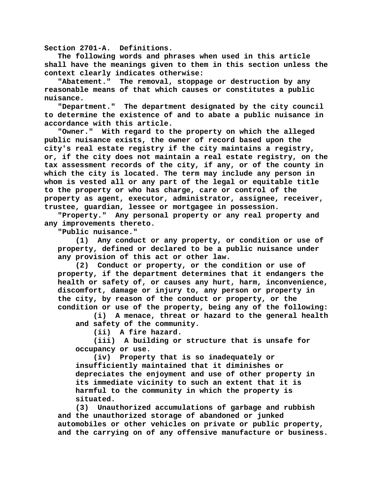**Section 2701-A. Definitions.**

**The following words and phrases when used in this article shall have the meanings given to them in this section unless the context clearly indicates otherwise:**

**"Abatement." The removal, stoppage or destruction by any reasonable means of that which causes or constitutes a public nuisance.**

**"Department." The department designated by the city council to determine the existence of and to abate a public nuisance in accordance with this article.**

**"Owner." With regard to the property on which the alleged public nuisance exists, the owner of record based upon the city's real estate registry if the city maintains a registry, or, if the city does not maintain a real estate registry, on the tax assessment records of the city, if any, or of the county in which the city is located. The term may include any person in whom is vested all or any part of the legal or equitable title to the property or who has charge, care or control of the property as agent, executor, administrator, assignee, receiver, trustee, guardian, lessee or mortgagee in possession.**

**"Property." Any personal property or any real property and any improvements thereto.**

**"Public nuisance."**

**(1) Any conduct or any property, or condition or use of property, defined or declared to be a public nuisance under any provision of this act or other law.**

**(2) Conduct or property, or the condition or use of property, if the department determines that it endangers the health or safety of, or causes any hurt, harm, inconvenience, discomfort, damage or injury to, any person or property in the city, by reason of the conduct or property, or the condition or use of the property, being any of the following:**

**(i) A menace, threat or hazard to the general health and safety of the community.**

**(ii) A fire hazard.**

**(iii) A building or structure that is unsafe for occupancy or use.**

**(iv) Property that is so inadequately or insufficiently maintained that it diminishes or depreciates the enjoyment and use of other property in its immediate vicinity to such an extent that it is harmful to the community in which the property is situated.**

**(3) Unauthorized accumulations of garbage and rubbish and the unauthorized storage of abandoned or junked automobiles or other vehicles on private or public property, and the carrying on of any offensive manufacture or business.**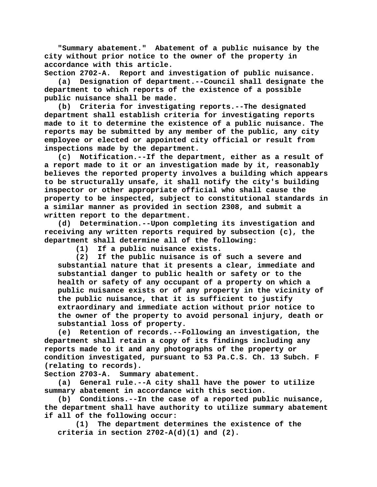**"Summary abatement." Abatement of a public nuisance by the city without prior notice to the owner of the property in accordance with this article.**

**Section 2702-A. Report and investigation of public nuisance.**

**(a) Designation of department.--Council shall designate the department to which reports of the existence of a possible public nuisance shall be made.**

**(b) Criteria for investigating reports.--The designated department shall establish criteria for investigating reports made to it to determine the existence of a public nuisance. The reports may be submitted by any member of the public, any city employee or elected or appointed city official or result from inspections made by the department.**

**(c) Notification.--If the department, either as a result of a report made to it or an investigation made by it, reasonably believes the reported property involves a building which appears to be structurally unsafe, it shall notify the city's building inspector or other appropriate official who shall cause the property to be inspected, subject to constitutional standards in a similar manner as provided in section 2308, and submit a written report to the department.**

**(d) Determination.--Upon completing its investigation and receiving any written reports required by subsection (c), the department shall determine all of the following:**

**(1) If a public nuisance exists.**

If the public nuisance is of such a severe and **substantial nature that it presents a clear, immediate and substantial danger to public health or safety or to the health or safety of any occupant of a property on which a public nuisance exists or of any property in the vicinity of the public nuisance, that it is sufficient to justify extraordinary and immediate action without prior notice to the owner of the property to avoid personal injury, death or substantial loss of property.**

**(e) Retention of records.--Following an investigation, the department shall retain a copy of its findings including any reports made to it and any photographs of the property or condition investigated, pursuant to 53 Pa.C.S. Ch. 13 Subch. F (relating to records).**

**Section 2703-A. Summary abatement.**

**(a) General rule.--A city shall have the power to utilize summary abatement in accordance with this section.**

**(b) Conditions.--In the case of a reported public nuisance, the department shall have authority to utilize summary abatement if all of the following occur:**

**(1) The department determines the existence of the criteria in section 2702-A(d)(1) and (2).**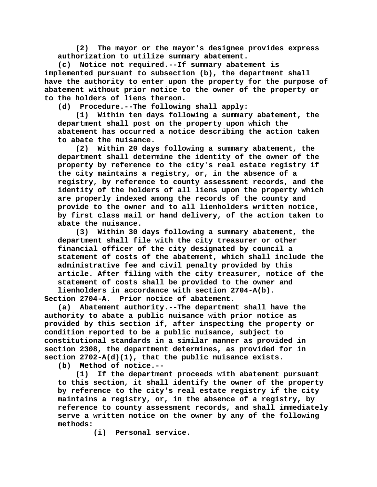**(2) The mayor or the mayor's designee provides express authorization to utilize summary abatement.**

**(c) Notice not required.--If summary abatement is implemented pursuant to subsection (b), the department shall have the authority to enter upon the property for the purpose of abatement without prior notice to the owner of the property or to the holders of liens thereon.**

**(d) Procedure.--The following shall apply:**

**(1) Within ten days following a summary abatement, the department shall post on the property upon which the abatement has occurred a notice describing the action taken to abate the nuisance.**

**(2) Within 20 days following a summary abatement, the department shall determine the identity of the owner of the property by reference to the city's real estate registry if the city maintains a registry, or, in the absence of a registry, by reference to county assessment records, and the identity of the holders of all liens upon the property which are properly indexed among the records of the county and provide to the owner and to all lienholders written notice, by first class mail or hand delivery, of the action taken to abate the nuisance.**

**(3) Within 30 days following a summary abatement, the department shall file with the city treasurer or other financial officer of the city designated by council a statement of costs of the abatement, which shall include the administrative fee and civil penalty provided by this article. After filing with the city treasurer, notice of the statement of costs shall be provided to the owner and lienholders in accordance with section 2704-A(b).**

**Section 2704-A. Prior notice of abatement.**

**(a) Abatement authority.--The department shall have the authority to abate a public nuisance with prior notice as provided by this section if, after inspecting the property or condition reported to be a public nuisance, subject to constitutional standards in a similar manner as provided in section 2308, the department determines, as provided for in section 2702-A(d)(1), that the public nuisance exists.**

**(b) Method of notice.--**

**(1) If the department proceeds with abatement pursuant to this section, it shall identify the owner of the property by reference to the city's real estate registry if the city maintains a registry, or, in the absence of a registry, by reference to county assessment records, and shall immediately serve a written notice on the owner by any of the following methods:**

**(i) Personal service.**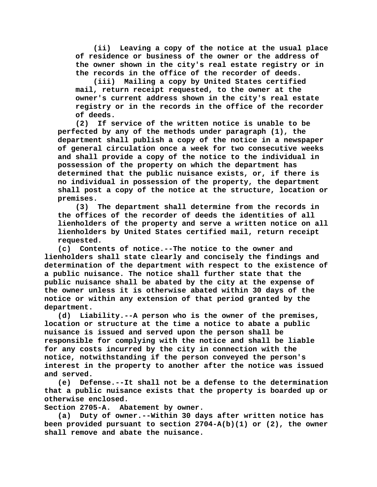**(ii) Leaving a copy of the notice at the usual place of residence or business of the owner or the address of the owner shown in the city's real estate registry or in the records in the office of the recorder of deeds.**

**(iii) Mailing a copy by United States certified mail, return receipt requested, to the owner at the owner's current address shown in the city's real estate registry or in the records in the office of the recorder of deeds.**

**(2) If service of the written notice is unable to be perfected by any of the methods under paragraph (1), the department shall publish a copy of the notice in a newspaper of general circulation once a week for two consecutive weeks and shall provide a copy of the notice to the individual in possession of the property on which the department has determined that the public nuisance exists, or, if there is no individual in possession of the property, the department shall post a copy of the notice at the structure, location or premises.**

**(3) The department shall determine from the records in the offices of the recorder of deeds the identities of all lienholders of the property and serve a written notice on all lienholders by United States certified mail, return receipt requested.**

**(c) Contents of notice.--The notice to the owner and lienholders shall state clearly and concisely the findings and determination of the department with respect to the existence of a public nuisance. The notice shall further state that the public nuisance shall be abated by the city at the expense of the owner unless it is otherwise abated within 30 days of the notice or within any extension of that period granted by the department.**

**(d) Liability.--A person who is the owner of the premises, location or structure at the time a notice to abate a public nuisance is issued and served upon the person shall be responsible for complying with the notice and shall be liable for any costs incurred by the city in connection with the notice, notwithstanding if the person conveyed the person's interest in the property to another after the notice was issued and served.**

**(e) Defense.--It shall not be a defense to the determination that a public nuisance exists that the property is boarded up or otherwise enclosed.**

**Section 2705-A. Abatement by owner.**

**(a) Duty of owner.--Within 30 days after written notice has been provided pursuant to section 2704-A(b)(1) or (2), the owner shall remove and abate the nuisance.**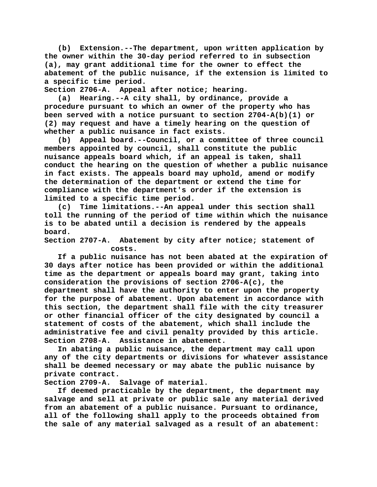**(b) Extension.--The department, upon written application by the owner within the 30-day period referred to in subsection (a), may grant additional time for the owner to effect the abatement of the public nuisance, if the extension is limited to a specific time period.**

**Section 2706-A. Appeal after notice; hearing.**

**(a) Hearing.--A city shall, by ordinance, provide a procedure pursuant to which an owner of the property who has been served with a notice pursuant to section 2704-A(b)(1) or (2) may request and have a timely hearing on the question of whether a public nuisance in fact exists.**

**(b) Appeal board.--Council, or a committee of three council members appointed by council, shall constitute the public nuisance appeals board which, if an appeal is taken, shall conduct the hearing on the question of whether a public nuisance in fact exists. The appeals board may uphold, amend or modify the determination of the department or extend the time for compliance with the department's order if the extension is limited to a specific time period.**

**(c) Time limitations.--An appeal under this section shall toll the running of the period of time within which the nuisance is to be abated until a decision is rendered by the appeals board.**

**Section 2707-A. Abatement by city after notice; statement of costs.**

**If a public nuisance has not been abated at the expiration of 30 days after notice has been provided or within the additional time as the department or appeals board may grant, taking into consideration the provisions of section 2706-A(c), the department shall have the authority to enter upon the property for the purpose of abatement. Upon abatement in accordance with this section, the department shall file with the city treasurer or other financial officer of the city designated by council a statement of costs of the abatement, which shall include the administrative fee and civil penalty provided by this article. Section 2708-A. Assistance in abatement.**

**In abating a public nuisance, the department may call upon any of the city departments or divisions for whatever assistance shall be deemed necessary or may abate the public nuisance by private contract.**

Salvage of material.

**If deemed practicable by the department, the department may salvage and sell at private or public sale any material derived from an abatement of a public nuisance. Pursuant to ordinance, all of the following shall apply to the proceeds obtained from the sale of any material salvaged as a result of an abatement:**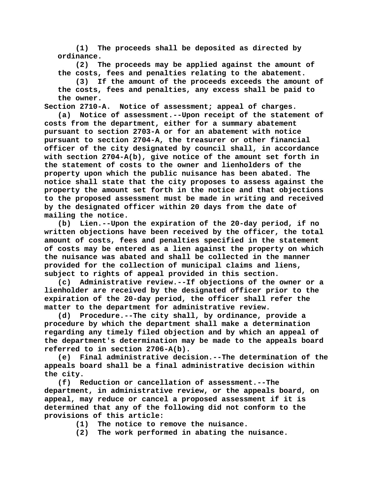**(1) The proceeds shall be deposited as directed by ordinance.**

**(2) The proceeds may be applied against the amount of the costs, fees and penalties relating to the abatement.**

**(3) If the amount of the proceeds exceeds the amount of the costs, fees and penalties, any excess shall be paid to the owner.**

**Section 2710-A. Notice of assessment; appeal of charges.**

**(a) Notice of assessment.--Upon receipt of the statement of costs from the department, either for a summary abatement pursuant to section 2703-A or for an abatement with notice pursuant to section 2704-A, the treasurer or other financial officer of the city designated by council shall, in accordance with section 2704-A(b), give notice of the amount set forth in the statement of costs to the owner and lienholders of the property upon which the public nuisance has been abated. The notice shall state that the city proposes to assess against the property the amount set forth in the notice and that objections to the proposed assessment must be made in writing and received by the designated officer within 20 days from the date of mailing the notice.**

**(b) Lien.--Upon the expiration of the 20-day period, if no written objections have been received by the officer, the total amount of costs, fees and penalties specified in the statement of costs may be entered as a lien against the property on which the nuisance was abated and shall be collected in the manner provided for the collection of municipal claims and liens, subject to rights of appeal provided in this section.**

**(c) Administrative review.--If objections of the owner or a lienholder are received by the designated officer prior to the expiration of the 20-day period, the officer shall refer the matter to the department for administrative review.**

**(d) Procedure.--The city shall, by ordinance, provide a procedure by which the department shall make a determination regarding any timely filed objection and by which an appeal of the department's determination may be made to the appeals board referred to in section 2706-A(b).**

**(e) Final administrative decision.--The determination of the appeals board shall be a final administrative decision within the city.**

**(f) Reduction or cancellation of assessment.--The department, in administrative review, or the appeals board, on appeal, may reduce or cancel a proposed assessment if it is determined that any of the following did not conform to the provisions of this article:**

- **(1) The notice to remove the nuisance.**
- **(2) The work performed in abating the nuisance.**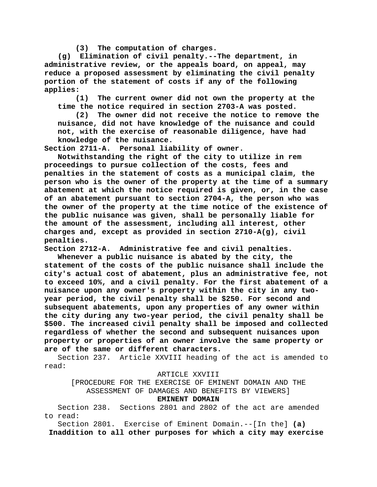**(3) The computation of charges.**

**(g) Elimination of civil penalty.--The department, in administrative review, or the appeals board, on appeal, may reduce a proposed assessment by eliminating the civil penalty portion of the statement of costs if any of the following applies:**

**(1) The current owner did not own the property at the time the notice required in section 2703-A was posted.**

**(2) The owner did not receive the notice to remove the nuisance, did not have knowledge of the nuisance and could not, with the exercise of reasonable diligence, have had knowledge of the nuisance.**

Personal liability of owner.

**Notwithstanding the right of the city to utilize in rem proceedings to pursue collection of the costs, fees and penalties in the statement of costs as a municipal claim, the person who is the owner of the property at the time of a summary abatement at which the notice required is given, or, in the case of an abatement pursuant to section 2704-A, the person who was the owner of the property at the time notice of the existence of the public nuisance was given, shall be personally liable for the amount of the assessment, including all interest, other charges and, except as provided in section 2710-A(g), civil penalties.**

**Section 2712-A. Administrative fee and civil penalties.**

**Whenever a public nuisance is abated by the city, the statement of the costs of the public nuisance shall include the city's actual cost of abatement, plus an administrative fee, not to exceed 10%, and a civil penalty. For the first abatement of a nuisance upon any owner's property within the city in any twoyear period, the civil penalty shall be \$250. For second and subsequent abatements, upon any properties of any owner within the city during any two-year period, the civil penalty shall be \$500. The increased civil penalty shall be imposed and collected regardless of whether the second and subsequent nuisances upon property or properties of an owner involve the same property or are of the same or different characters.**

Section 237. Article XXVIII heading of the act is amended to read:

### ARTICLE XXVIII

[PROCEDURE FOR THE EXERCISE OF EMINENT DOMAIN AND THE ASSESSMENT OF DAMAGES AND BENEFITS BY VIEWERS]

## **EMINENT DOMAIN**

Section 238. Sections 2801 and 2802 of the act are amended to read:

Section 2801. Exercise of Eminent Domain.--[In the] **(a) Inaddition to all other purposes for which a city may exercise**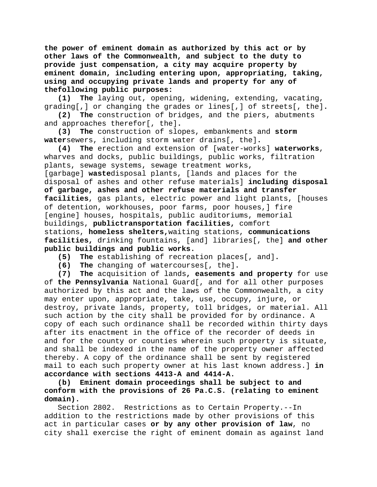**the power of eminent domain as authorized by this act or by other laws of the Commonwealth, and subject to the duty to provide just compensation, a city may acquire property by eminent domain, including entering upon, appropriating, taking, using and occupying private lands and property for any of thefollowing public purposes:**

**(1) The** laying out, opening, widening, extending, vacating, grading[,] or changing the grades or lines[,] of streets[, the]**.**

**(2) The** construction of bridges, and the piers, abutments and approaches therefor[, the]**.**

**(3) The** construction of slopes, embankments and **storm water**sewers, including storm water drains[, the]**.**

**(4) The** erection and extension of [water-works] **waterworks**, wharves and docks, public buildings, public works, filtration plants, sewage systems, sewage treatment works, [garbage] **waste**disposal plants, [lands and places for the disposal of ashes and other refuse materials] **including disposal of garbage, ashes and other refuse materials and transfer facilities**, gas plants, electric power and light plants, [houses of detention, workhouses, poor farms, poor houses,] fire [engine] houses, hospitals, public auditoriums, memorial buildings, **publictransportation facilities,** comfort stations, **homeless shelters,**waiting stations, **communications facilities,** drinking fountains, [and] libraries[, the] **and other public buildings and public works.**

**(5) The** establishing of recreation places[, and]**.**

**(6) The** changing of watercourses[, the]**.**

**(7) The** acquisition of lands**, easements and property** for use of **the Pennsylvania** National Guard[, and for all other purposes authorized by this act and the laws of the Commonwealth, a city may enter upon, appropriate, take, use, occupy, injure, or destroy, private lands, property, toll bridges, or material. All such action by the city shall be provided for by ordinance. A copy of each such ordinance shall be recorded within thirty days after its enactment in the office of the recorder of deeds in and for the county or counties wherein such property is situate, and shall be indexed in the name of the property owner affected thereby. A copy of the ordinance shall be sent by registered mail to each such property owner at his last known address.] **in accordance with sections 4413-A and 4414-A.**

**(b) Eminent domain proceedings shall be subject to and conform with the provisions of 26 Pa.C.S. (relating to eminent domain).**

Section 2802. Restrictions as to Certain Property.--In addition to the restrictions made by other provisions of this act in particular cases **or by any other provision of law**, no city shall exercise the right of eminent domain as against land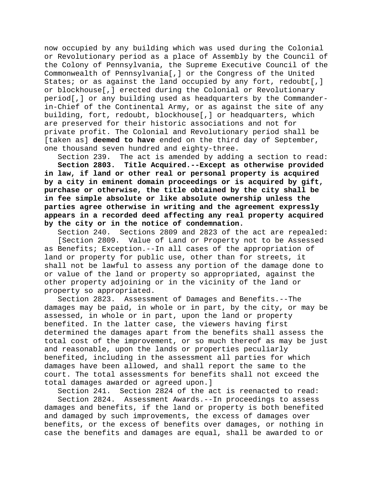now occupied by any building which was used during the Colonial or Revolutionary period as a place of Assembly by the Council of the Colony of Pennsylvania, the Supreme Executive Council of the Commonwealth of Pennsylvania[,] or the Congress of the United States; or as against the land occupied by any fort, redoubt[,] or blockhouse[,] erected during the Colonial or Revolutionary period[,] or any building used as headquarters by the Commanderin-Chief of the Continental Army, or as against the site of any building, fort, redoubt, blockhouse[,] or headquarters, which are preserved for their historic associations and not for private profit. The Colonial and Revolutionary period shall be [taken as] **deemed to have** ended on the third day of September, one thousand seven hundred and eighty-three.

Section 239. The act is amended by adding a section to read: **Section 2803. Title Acquired.--Except as otherwise provided in law, if land or other real or personal property is acquired by a city in eminent domain proceedings or is acquired by gift, purchase or otherwise, the title obtained by the city shall be in fee simple absolute or like absolute ownership unless the parties agree otherwise in writing and the agreement expressly appears in a recorded deed affecting any real property acquired by the city or in the notice of condemnation.**

Section 240. Sections 2809 and 2823 of the act are repealed: [Section 2809. Value of Land or Property not to be Assessed as Benefits; Exception.--In all cases of the appropriation of land or property for public use, other than for streets, it shall not be lawful to assess any portion of the damage done to or value of the land or property so appropriated, against the other property adjoining or in the vicinity of the land or property so appropriated.

Section 2823. Assessment of Damages and Benefits.--The damages may be paid, in whole or in part, by the city, or may be assessed, in whole or in part, upon the land or property benefited. In the latter case, the viewers having first determined the damages apart from the benefits shall assess the total cost of the improvement, or so much thereof as may be just and reasonable, upon the lands or properties peculiarly benefited, including in the assessment all parties for which damages have been allowed, and shall report the same to the court. The total assessments for benefits shall not exceed the total damages awarded or agreed upon.]

Section 241. Section 2824 of the act is reenacted to read: Section 2824. Assessment Awards.--In proceedings to assess damages and benefits, if the land or property is both benefited and damaged by such improvements, the excess of damages over benefits, or the excess of benefits over damages, or nothing in case the benefits and damages are equal, shall be awarded to or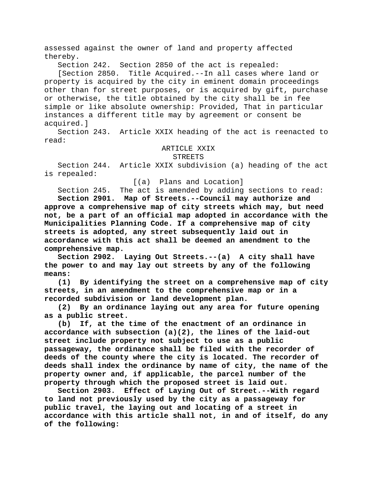assessed against the owner of land and property affected thereby.

Section 242. Section 2850 of the act is repealed:

[Section 2850. Title Acquired.--In all cases where land or property is acquired by the city in eminent domain proceedings other than for street purposes, or is acquired by gift, purchase or otherwise, the title obtained by the city shall be in fee simple or like absolute ownership: Provided, That in particular instances a different title may by agreement or consent be acquired.]

Section 243. Article XXIX heading of the act is reenacted to read:

# ARTICLE XXIX

#### STREETS

Section 244. Article XXIX subdivision (a) heading of the act is repealed:

[(a) Plans and Location]

Section 245. The act is amended by adding sections to read: **Section 2901. Map of Streets.--Council may authorize and approve a comprehensive map of city streets which may, but need not, be a part of an official map adopted in accordance with the Municipalities Planning Code. If a comprehensive map of city streets is adopted, any street subsequently laid out in accordance with this act shall be deemed an amendment to the comprehensive map.**

**Section 2902. Laying Out Streets.--(a) A city shall have the power to and may lay out streets by any of the following means:**

**(1) By identifying the street on a comprehensive map of city streets, in an amendment to the comprehensive map or in a recorded subdivision or land development plan.**

**(2) By an ordinance laying out any area for future opening as a public street.**

**(b) If, at the time of the enactment of an ordinance in accordance with subsection (a)(2), the lines of the laid-out street include property not subject to use as a public passageway, the ordinance shall be filed with the recorder of deeds of the county where the city is located. The recorder of deeds shall index the ordinance by name of city, the name of the property owner and, if applicable, the parcel number of the property through which the proposed street is laid out.**

**Section 2903. Effect of Laying Out of Street.--With regard to land not previously used by the city as a passageway for public travel, the laying out and locating of a street in accordance with this article shall not, in and of itself, do any of the following:**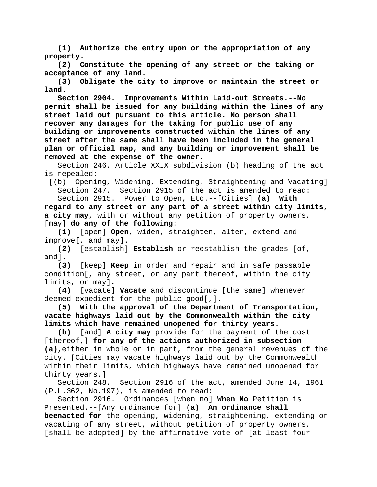**(1) Authorize the entry upon or the appropriation of any property.**

**(2) Constitute the opening of any street or the taking or acceptance of any land.**

**(3) Obligate the city to improve or maintain the street or land.**

**Section 2904. Improvements Within Laid-out Streets.--No permit shall be issued for any building within the lines of any street laid out pursuant to this article. No person shall recover any damages for the taking for public use of any building or improvements constructed within the lines of any street after the same shall have been included in the general plan or official map, and any building or improvement shall be removed at the expense of the owner.**

Section 246. Article XXIX subdivision (b) heading of the act is repealed:

[(b) Opening, Widening, Extending, Straightening and Vacating] Section 247. Section 2915 of the act is amended to read: Section 2915. Power to Open, Etc.--[Cities] **(a) With** 

**regard to any street or any part of a street within city limits, a city may**, with or without any petition of property owners, [may] **do any of the following:**

**(1)** [open] **Open**, widen, straighten, alter, extend and improve[, and may]**.**

**(2)** [establish] **Establish** or reestablish the grades [of, and]**.**

**(3)** [keep] **Keep** in order and repair and in safe passable condition[, any street, or any part thereof, within the city limits, or may]**.**

**(4)** [vacate] **Vacate** and discontinue [the same] whenever deemed expedient for the public good[,]**.**

**(5) With the approval of the Department of Transportation, vacate highways laid out by the Commonwealth within the city limits which have remained unopened for thirty years.**

**(b)** [and] **A city may** provide for the payment of the cost [thereof,] **for any of the actions authorized in subsection (a),**either in whole or in part, from the general revenues of the city. [Cities may vacate highways laid out by the Commonwealth within their limits, which highways have remained unopened for thirty years.]<br>Section 248.

Section 2916 of the act, amended June 14, 1961 (P.L.362, No.197), is amended to read:

Section 2916. Ordinances [when no] **When No** Petition is Presented.--[Any ordinance for] **(a) An ordinance shall beenacted for** the opening, widening, straightening, extending or vacating of any street, without petition of property owners, [shall be adopted] by the affirmative vote of [at least four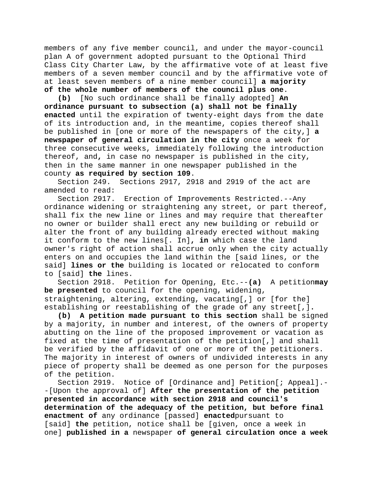members of any five member council, and under the mayor-council plan A of government adopted pursuant to the Optional Third Class City Charter Law, by the affirmative vote of at least five members of a seven member council and by the affirmative vote of at least seven members of a nine member council] **a majority of the whole number of members of the council plus one**.

**(b)** [No such ordinance shall be finally adopted] **An ordinance pursuant to subsection (a) shall not be finally enacted** until the expiration of twenty-eight days from the date of its introduction and, in the meantime, copies thereof shall be published in [one or more of the newspapers of the city,] **a newspaper of general circulation in the city** once a week for three consecutive weeks, immediately following the introduction thereof, and**,** in case no newspaper is published in the city, then in the same manner in one newspaper published in the county **as required by section 109**.

Section 249. Sections 2917, 2918 and 2919 of the act are amended to read:

Section 2917. Erection of Improvements Restricted.--Any ordinance widening or straightening any street, or part thereof, shall fix the new line or lines and may require that thereafter no owner or builder shall erect any new building or rebuild or alter the front of any building already erected without making it conform to the new lines[. In]**, in** which case the land owner's right of action shall accrue only when the city actually enters on and occupies the land within the [said lines, or the said] **lines or the** building is located or relocated to conform to [said] **the** lines.

Section 2918. Petition for Opening, Etc.--**(a)** A petition**may be presented** to council for the opening, widening, straightening, altering, extending, vacating[,] or [for the] establishing or reestablishing of the grade of any street[,]**.**

**(b) A petition made pursuant to this section** shall be signed by a majority, in number and interest, of the owners of property abutting on the line of the proposed improvement or vacation as fixed at the time of presentation of the petition[,] and shall be verified by the affidavit of one or more of the petitioners. The majority in interest of owners of undivided interests in any piece of property shall be deemed as one person for the purposes of the petition.<br>Section 2919.

Notice of [Ordinance and] Petition[; Appeal].--[Upon the approval of] **After the presentation of the petition presented in accordance with section 2918 and council's determination of the adequacy of the petition, but before final enactment of** any ordinance [passed] **enacted**pursuant to [said] **the** petition, notice shall be [given, once a week in one] **published in a** newspaper **of general circulation once a week**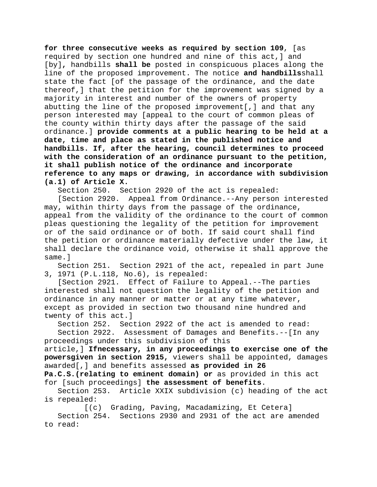**for three consecutive weeks as required by section 109**, [as required by section one hundred and nine of this act,] and [by]**,** handbills **shall be** posted in conspicuous places along the line of the proposed improvement. The notice **and handbills**shall state the fact [of the passage of the ordinance, and the date thereof,] that the petition for the improvement was signed by a majority in interest and number of the owners of property abutting the line of the proposed improvement[,] and that any person interested may [appeal to the court of common pleas of the county within thirty days after the passage of the said ordinance.] **provide comments at a public hearing to be held at a date, time and place as stated in the published notice and handbills. If, after the hearing, council determines to proceed with the consideration of an ordinance pursuant to the petition, it shall publish notice of the ordinance and incorporate reference to any maps or drawing, in accordance with subdivision (a.1) of Article X.**

Section 250. Section 2920 of the act is repealed:

[Section 2920. Appeal from Ordinance.--Any person interested may, within thirty days from the passage of the ordinance, appeal from the validity of the ordinance to the court of common pleas questioning the legality of the petition for improvement or of the said ordinance or of both. If said court shall find the petition or ordinance materially defective under the law, it shall declare the ordinance void, otherwise it shall approve the same.]

Section 251. Section 2921 of the act, repealed in part June 3, 1971 (P.L.118, No.6), is repealed:

[Section 2921. Effect of Failure to Appeal.--The parties interested shall not question the legality of the petition and ordinance in any manner or matter or at any time whatever, except as provided in section two thousand nine hundred and twenty of this act.]<br>Section 252. Sec

Section 2922 of the act is amended to read:

Section 2922. Assessment of Damages and Benefits.--[In any proceedings under this subdivision of this

article,] **Ifnecessary, in any proceedings to exercise one of the powersgiven in section 2915,** viewers shall be appointed, damages awarded[,] and benefits assessed **as provided in 26** 

**Pa.C.S.(relating to eminent domain) or** as provided in this act for [such proceedings] **the assessment of benefits**.

Section 253. Article XXIX subdivision (c) heading of the act is repealed:

[(c) Grading, Paving, Macadamizing, Et Cetera] Section 254. Sections 2930 and 2931 of the act are amended to read: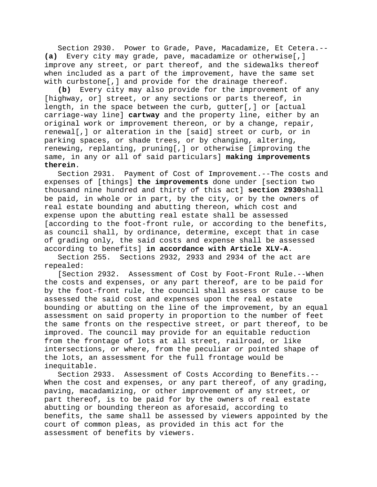Section 2930. Power to Grade, Pave, Macadamize, Et Cetera.-- **(a)** Every city may grade, pave, macadamize or otherwise[,] improve any street, or part thereof, and the sidewalks thereof when included as a part of the improvement, have the same set with curbstone[,] and provide for the drainage thereof.

**(b)** Every city may also provide for the improvement of any [highway, or] street, or any sections or parts thereof, in length, in the space between the curb, gutter[,] or [actual carriage-way line] **cartway** and the property line, either by an original work or improvement thereon, or by a change, repair, renewal[,] or alteration in the [said] street or curb, or in parking spaces, or shade trees, or by changing, altering, renewing, replanting, pruning[,] or otherwise [improving the same, in any or all of said particulars] **making improvements therein**.

Section 2931. Payment of Cost of Improvement.--The costs and expenses of [things] **the improvements** done under [section two thousand nine hundred and thirty of this act] **section 2930**shall be paid, in whole or in part, by the city, or by the owners of real estate bounding and abutting thereon, which cost and expense upon the abutting real estate shall be assessed [according to the foot-front rule, or according to the benefits, as council shall, by ordinance, determine, except that in case of grading only, the said costs and expense shall be assessed according to benefits] **in accordance with Article XLV-A**.

Section 255. Sections 2932, 2933 and 2934 of the act are repealed:

[Section 2932. Assessment of Cost by Foot-Front Rule.--When the costs and expenses, or any part thereof, are to be paid for by the foot-front rule, the council shall assess or cause to be assessed the said cost and expenses upon the real estate bounding or abutting on the line of the improvement, by an equal assessment on said property in proportion to the number of feet the same fronts on the respective street, or part thereof, to be improved. The council may provide for an equitable reduction from the frontage of lots at all street, railroad, or like intersections, or where, from the peculiar or pointed shape of the lots, an assessment for the full frontage would be inequitable.

Section 2933. Assessment of Costs According to Benefits.-- When the cost and expenses, or any part thereof, of any grading, paving, macadamizing, or other improvement of any street, or part thereof, is to be paid for by the owners of real estate abutting or bounding thereon as aforesaid, according to benefits, the same shall be assessed by viewers appointed by the court of common pleas, as provided in this act for the assessment of benefits by viewers.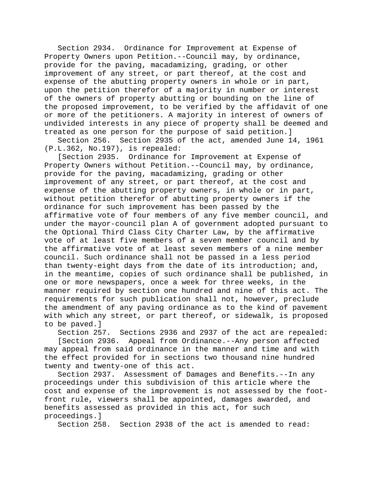Section 2934. Ordinance for Improvement at Expense of Property Owners upon Petition.--Council may, by ordinance, provide for the paving, macadamizing, grading, or other improvement of any street, or part thereof, at the cost and expense of the abutting property owners in whole or in part, upon the petition therefor of a majority in number or interest of the owners of property abutting or bounding on the line of the proposed improvement, to be verified by the affidavit of one or more of the petitioners. A majority in interest of owners of undivided interests in any piece of property shall be deemed and treated as one person for the purpose of said petition.]

Section 256. Section 2935 of the act, amended June 14, 1961 (P.L.362, No.197), is repealed:

[Section 2935. Ordinance for Improvement at Expense of Property Owners without Petition.--Council may, by ordinance, provide for the paving, macadamizing, grading or other improvement of any street, or part thereof, at the cost and expense of the abutting property owners, in whole or in part, without petition therefor of abutting property owners if the ordinance for such improvement has been passed by the affirmative vote of four members of any five member council, and under the mayor-council plan A of government adopted pursuant to the Optional Third Class City Charter Law, by the affirmative vote of at least five members of a seven member council and by the affirmative vote of at least seven members of a nine member council. Such ordinance shall not be passed in a less period than twenty-eight days from the date of its introduction; and, in the meantime, copies of such ordinance shall be published, in one or more newspapers, once a week for three weeks, in the manner required by section one hundred and nine of this act. The requirements for such publication shall not, however, preclude the amendment of any paving ordinance as to the kind of pavement with which any street, or part thereof, or sidewalk, is proposed to be paved.]<br>Section 257.

Sections 2936 and 2937 of the act are repealed: [Section 2936. Appeal from Ordinance.--Any person affected may appeal from said ordinance in the manner and time and with the effect provided for in sections two thousand nine hundred twenty and twenty-one of this act.

Section 2937. Assessment of Damages and Benefits.--In any proceedings under this subdivision of this article where the cost and expense of the improvement is not assessed by the footfront rule, viewers shall be appointed, damages awarded, and benefits assessed as provided in this act, for such proceedings.]

Section 258. Section 2938 of the act is amended to read: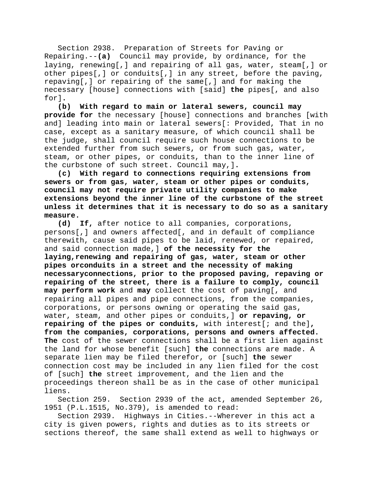Section 2938. Preparation of Streets for Paving or Repairing.--**(a)** Council may provide, by ordinance, for the laying, renewing[,] and repairing of all gas, water, steam[,] or other pipes[,] or conduits[,] in any street, before the paving, repaving[,] or repairing of the same[,] and for making the necessary [house] connections with [said] **the** pipes[, and also for]**.**

**(b) With regard to main or lateral sewers, council may provide for** the necessary [house] connections and branches [with and] leading into main or lateral sewers[: Provided, That in no case, except as a sanitary measure, of which council shall be the judge, shall council require such house connections to be extended further from such sewers, or from such gas, water, steam, or other pipes, or conduits, than to the inner line of the curbstone of such street. Council may,]**.**

**(c) With regard to connections requiring extensions from sewers or from gas, water, steam or other pipes or conduits, council may not require private utility companies to make extensions beyond the inner line of the curbstone of the street unless it determines that it is necessary to do so as a sanitary** 

**measure.** If, after notice to all companies, corporations, persons[,] and owners affected[, and in default of compliance therewith, cause said pipes to be laid, renewed, or repaired, and said connection made,] **of the necessity for the laying,renewing and repairing of gas, water, steam or other pipes orconduits in a street and the necessity of making necessaryconnections, prior to the proposed paving, repaving or repairing of the street, there is a failure to comply, council may perform work** and **may** collect the cost of paving[, and repairing all pipes and pipe connections, from the companies, corporations, or persons owning or operating the said gas, water, steam, and other pipes or conduits,] **or repaving, or repairing of the pipes or conduits,** with interest[; and the]**, from the companies, corporations, persons and owners affected. The** cost of the sewer connections shall be a first lien against the land for whose benefit [such] **the** connections are made. A separate lien may be filed therefor, or [such] **the** sewer connection cost may be included in any lien filed for the cost of [such] **the** street improvement, and the lien and the proceedings thereon shall be as in the case of other municipal liens.

Section 259. Section 2939 of the act, amended September 26, 1951 (P.L.1515, No.379), is amended to read:

Section 2939. Highways in Cities.--Wherever in this act a city is given powers, rights and duties as to its streets or sections thereof, the same shall extend as well to highways or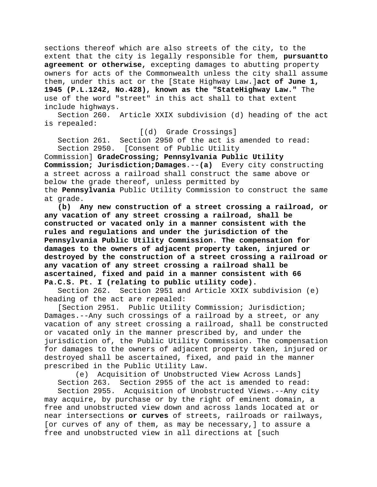sections thereof which are also streets of the city, to the extent that the city is legally responsible for them, **pursuantto agreement or otherwise,** excepting damages to abutting property owners for acts of the Commonwealth unless the city shall assume them, under this act or the [State Highway Law.]**act of June 1, 1945 (P.L.1242, No.428), known as the "StateHighway Law."** The use of the word "street" in this act shall to that extent include highways.

Section 260. Article XXIX subdivision (d) heading of the act is repealed:

[(d) Grade Crossings]

Section 261. Section 2950 of the act is amended to read:<br>Section 2950. [Consent of Public Utility [Consent of Public Utility

Commission] **GradeCrossing; Pennsylvania Public Utility Commission; Jurisdiction;Damages**.--**(a)** Every city constructing a street across a railroad shall construct the same above or below the grade thereof, unless permitted by the **Pennsylvania** Public Utility Commission to construct the same at grade.

**(b) Any new construction of a street crossing a railroad, or any vacation of any street crossing a railroad, shall be constructed or vacated only in a manner consistent with the rules and regulations and under the jurisdiction of the Pennsylvania Public Utility Commission. The compensation for damages to the owners of adjacent property taken, injured or destroyed by the construction of a street crossing a railroad or any vacation of any street crossing a railroad shall be ascertained, fixed and paid in a manner consistent with 66 Pa.C.S. Pt. I (relating to public utility code).**

Section 262. Section 2951 and Article XXIX subdivision (e) heading of the act are repealed:

[Section 2951. Public Utility Commission; Jurisdiction; Damages.--Any such crossings of a railroad by a street, or any vacation of any street crossing a railroad, shall be constructed or vacated only in the manner prescribed by, and under the jurisdiction of, the Public Utility Commission. The compensation for damages to the owners of adjacent property taken, injured or destroyed shall be ascertained, fixed, and paid in the manner prescribed in the Public Utility Law.

(e) Acquisition of Unobstructed View Across Lands]

Section 263. Section 2955 of the act is amended to read: Section 2955. Acquisition of Unobstructed Views.--Any city may acquire, by purchase or by the right of eminent domain, a free and unobstructed view down and across lands located at or near intersections **or curves** of streets, railroads or railways, [or curves of any of them, as may be necessary,] to assure a free and unobstructed view in all directions at [such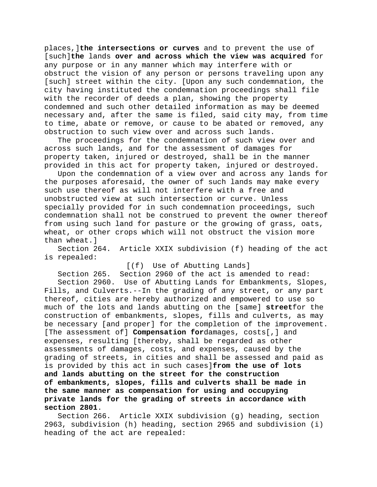places,]**the intersections or curves** and to prevent the use of [such]**the** lands **over and across which the view was acquired** for any purpose or in any manner which may interfere with or obstruct the vision of any person or persons traveling upon any [such] street within the city. [Upon any such condemnation, the city having instituted the condemnation proceedings shall file with the recorder of deeds a plan, showing the property condemned and such other detailed information as may be deemed necessary and, after the same is filed, said city may, from time to time, abate or remove, or cause to be abated or removed, any obstruction to such view over and across such lands.

The proceedings for the condemnation of such view over and across such lands, and for the assessment of damages for property taken, injured or destroyed, shall be in the manner provided in this act for property taken, injured or destroyed.

Upon the condemnation of a view over and across any lands for the purposes aforesaid, the owner of such lands may make every such use thereof as will not interfere with a free and unobstructed view at such intersection or curve. Unless specially provided for in such condemnation proceedings, such condemnation shall not be construed to prevent the owner thereof from using such land for pasture or the growing of grass, oats, wheat, or other crops which will not obstruct the vision more than wheat.]

Section 264. Article XXIX subdivision (f) heading of the act is repealed:

[(f) Use of Abutting Lands]

Section 265. Section 2960 of the act is amended to read: Section 2960. Use of Abutting Lands for Embankments, Slopes, Fills, and Culverts.--In the grading of any street, or any part thereof, cities are hereby authorized and empowered to use so much of the lots and lands abutting on the [same] **street**for the construction of embankments, slopes, fills and culverts, as may be necessary [and proper] for the completion of the improvement. [The assessment of] **Compensation for**damages, costs[,] and expenses, resulting [thereby, shall be regarded as other assessments of damages, costs, and expenses, caused by the grading of streets, in cities and shall be assessed and paid as is provided by this act in such cases]**from the use of lots and lands abutting on the street for the construction of embankments, slopes, fills and culverts shall be made in the same manner as compensation for using and occupying private lands for the grading of streets in accordance with section 2801**.

Section 266. Article XXIX subdivision (g) heading, section 2963, subdivision (h) heading, section 2965 and subdivision (i) heading of the act are repealed: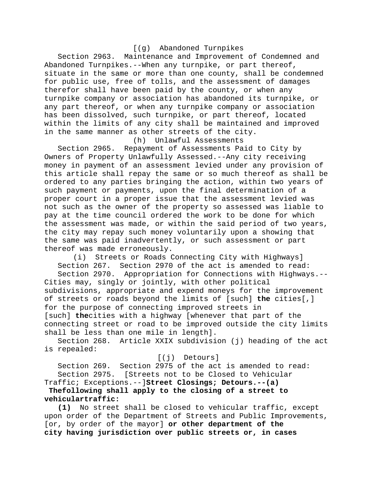## [(g) Abandoned Turnpikes

Section 2963. Maintenance and Improvement of Condemned and Abandoned Turnpikes.--When any turnpike, or part thereof, situate in the same or more than one county, shall be condemned for public use, free of tolls, and the assessment of damages therefor shall have been paid by the county, or when any turnpike company or association has abandoned its turnpike, or any part thereof, or when any turnpike company or association has been dissolved, such turnpike, or part thereof, located within the limits of any city shall be maintained and improved in the same manner as other streets of the city.

(h) Unlawful Assessments

Section 2965. Repayment of Assessments Paid to City by Owners of Property Unlawfully Assessed.--Any city receiving money in payment of an assessment levied under any provision of this article shall repay the same or so much thereof as shall be ordered to any parties bringing the action, within two years of such payment or payments, upon the final determination of a proper court in a proper issue that the assessment levied was not such as the owner of the property so assessed was liable to pay at the time council ordered the work to be done for which the assessment was made, or within the said period of two years, the city may repay such money voluntarily upon a showing that the same was paid inadvertently, or such assessment or part thereof was made erroneously.<br>(i) Streets or Roads (

Streets or Roads Connecting City with Highways] Section 267. Section 2970 of the act is amended to read:

Section 2970. Appropriation for Connections with Highways.-- Cities may, singly or jointly, with other political subdivisions, appropriate and expend moneys for the improvement of streets or roads beyond the limits of [such] **the** cities[,] for the purpose of connecting improved streets in [such] **the**cities with a highway [whenever that part of the connecting street or road to be improved outside the city limits shall be less than one mile in length].<br>Section 268. Article XXIX subdivisi

Article XXIX subdivision (j) heading of the act is repealed:

[(j) Detours]

Section 269. Section 2975 of the act is amended to read: Section 2975. [Streets not to be Closed to Vehicular Traffic; Exceptions.--]**Street Closings; Detours.--(a)** 

**Thefollowing shall apply to the closing of a street to vehiculartraffic:**

**(1)** No street shall be closed to vehicular traffic, except upon order of the Department of Streets and Public Improvements, [or, by order of the mayor] **or other department of the city having jurisdiction over public streets or, in cases**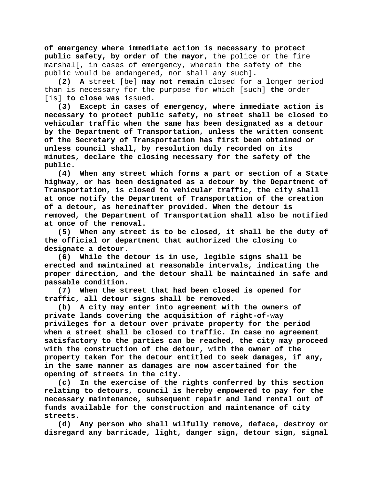**of emergency where immediate action is necessary to protect public safety, by order of the mayor**, the police or the fire marshal[, in cases of emergency, wherein the safety of the public would be endangered, nor shall any such]**.**

**(2) A** street [be] **may not remain** closed for a longer period than is necessary for the purpose for which [such] **the** order [is] **to close was** issued.

**(3) Except in cases of emergency, where immediate action is necessary to protect public safety, no street shall be closed to vehicular traffic when the same has been designated as a detour by the Department of Transportation, unless the written consent of the Secretary of Transportation has first been obtained or unless council shall, by resolution duly recorded on its minutes, declare the closing necessary for the safety of the public.**

**(4) When any street which forms a part or section of a State highway, or has been designated as a detour by the Department of Transportation, is closed to vehicular traffic, the city shall at once notify the Department of Transportation of the creation of a detour, as hereinafter provided. When the detour is removed, the Department of Transportation shall also be notified at once of the removal.**

**(5) When any street is to be closed, it shall be the duty of the official or department that authorized the closing to designate a detour.**

**(6) While the detour is in use, legible signs shall be erected and maintained at reasonable intervals, indicating the proper direction, and the detour shall be maintained in safe and passable condition.**

**(7) When the street that had been closed is opened for traffic, all detour signs shall be removed.**

**(b) A city may enter into agreement with the owners of private lands covering the acquisition of right-of-way privileges for a detour over private property for the period when a street shall be closed to traffic. In case no agreement satisfactory to the parties can be reached, the city may proceed with the construction of the detour, with the owner of the property taken for the detour entitled to seek damages, if any, in the same manner as damages are now ascertained for the opening of streets in the city.**

**(c) In the exercise of the rights conferred by this section relating to detours, council is hereby empowered to pay for the necessary maintenance, subsequent repair and land rental out of funds available for the construction and maintenance of city streets.**

**(d) Any person who shall wilfully remove, deface, destroy or disregard any barricade, light, danger sign, detour sign, signal**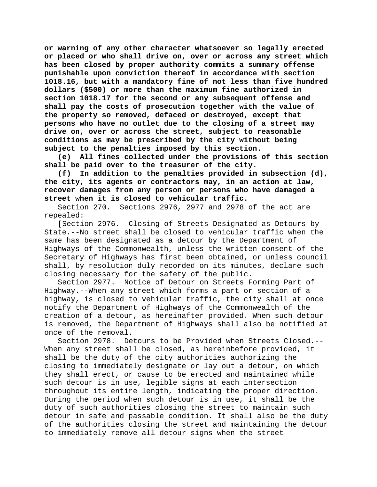**or warning of any other character whatsoever so legally erected or placed or who shall drive on, over or across any street which has been closed by proper authority commits a summary offense punishable upon conviction thereof in accordance with section 1018.16, but with a mandatory fine of not less than five hundred dollars (\$500) or more than the maximum fine authorized in section 1018.17 for the second or any subsequent offense and shall pay the costs of prosecution together with the value of the property so removed, defaced or destroyed, except that persons who have no outlet due to the closing of a street may drive on, over or across the street, subject to reasonable conditions as may be prescribed by the city without being subject to the penalties imposed by this section.**

**(e) All fines collected under the provisions of this section shall be paid over to the treasurer of the city.**

**(f) In addition to the penalties provided in subsection (d), the city, its agents or contractors may, in an action at law, recover damages from any person or persons who have damaged a street when it is closed to vehicular traffic.**

Section 270. Sections 2976, 2977 and 2978 of the act are repealed:

[Section 2976. Closing of Streets Designated as Detours by State.--No street shall be closed to vehicular traffic when the same has been designated as a detour by the Department of Highways of the Commonwealth, unless the written consent of the Secretary of Highways has first been obtained, or unless council shall, by resolution duly recorded on its minutes, declare such closing necessary for the safety of the public.

Section 2977. Notice of Detour on Streets Forming Part of Highway.--When any street which forms a part or section of a highway, is closed to vehicular traffic, the city shall at once notify the Department of Highways of the Commonwealth of the creation of a detour, as hereinafter provided. When such detour is removed, the Department of Highways shall also be notified at once of the removal.<br>Section 2978. De

Detours to be Provided when Streets Closed.--When any street shall be closed, as hereinbefore provided, it shall be the duty of the city authorities authorizing the closing to immediately designate or lay out a detour, on which they shall erect, or cause to be erected and maintained while such detour is in use, legible signs at each intersection throughout its entire length, indicating the proper direction. During the period when such detour is in use, it shall be the duty of such authorities closing the street to maintain such detour in safe and passable condition. It shall also be the duty of the authorities closing the street and maintaining the detour to immediately remove all detour signs when the street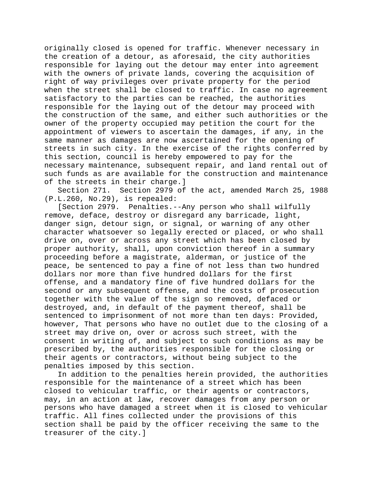originally closed is opened for traffic. Whenever necessary in the creation of a detour, as aforesaid, the city authorities responsible for laying out the detour may enter into agreement with the owners of private lands, covering the acquisition of right of way privileges over private property for the period when the street shall be closed to traffic. In case no agreement satisfactory to the parties can be reached, the authorities responsible for the laying out of the detour may proceed with the construction of the same, and either such authorities or the owner of the property occupied may petition the court for the appointment of viewers to ascertain the damages, if any, in the same manner as damages are now ascertained for the opening of streets in such city. In the exercise of the rights conferred by this section, council is hereby empowered to pay for the necessary maintenance, subsequent repair, and land rental out of such funds as are available for the construction and maintenance of the streets in their charge.]

Section 271. Section 2979 of the act, amended March 25, 1988 (P.L.260, No.29), is repealed:

[Section 2979. Penalties.--Any person who shall wilfully remove, deface, destroy or disregard any barricade, light, danger sign, detour sign, or signal, or warning of any other character whatsoever so legally erected or placed, or who shall drive on, over or across any street which has been closed by proper authority, shall, upon conviction thereof in a summary proceeding before a magistrate, alderman, or justice of the peace, be sentenced to pay a fine of not less than two hundred dollars nor more than five hundred dollars for the first offense, and a mandatory fine of five hundred dollars for the second or any subsequent offense, and the costs of prosecution together with the value of the sign so removed, defaced or destroyed, and, in default of the payment thereof, shall be sentenced to imprisonment of not more than ten days: Provided, however, That persons who have no outlet due to the closing of a street may drive on, over or across such street, with the consent in writing of, and subject to such conditions as may be prescribed by, the authorities responsible for the closing or their agents or contractors, without being subject to the penalties imposed by this section.

In addition to the penalties herein provided, the authorities responsible for the maintenance of a street which has been closed to vehicular traffic, or their agents or contractors, may, in an action at law, recover damages from any person or persons who have damaged a street when it is closed to vehicular traffic. All fines collected under the provisions of this section shall be paid by the officer receiving the same to the treasurer of the city.]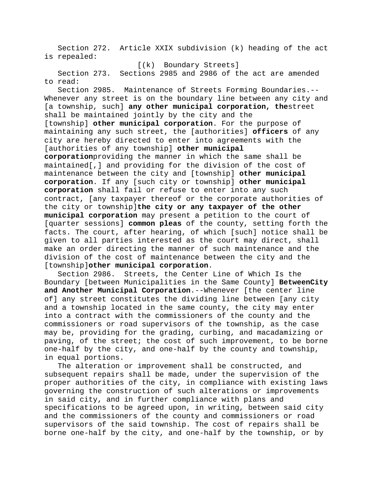Section 272. Article XXIX subdivision (k) heading of the act is repealed:

[(k) Boundary Streets]

Section 273. Sections 2985 and 2986 of the act are amended to read:

Section 2985. Maintenance of Streets Forming Boundaries.-- Whenever any street is on the boundary line between any city and [a township, such] **any other municipal corporation, the**street shall be maintained jointly by the city and the [township] **other municipal corporation**. For the purpose of maintaining any such street, the [authorities] **officers** of any city are hereby directed to enter into agreements with the [authorities of any township] **other municipal** 

**corporation**providing the manner in which the same shall be maintained[,] and providing for the division of the cost of maintenance between the city and [township] **other municipal corporation**. If any [such city or township] **other municipal corporation** shall fail or refuse to enter into any such contract, [any taxpayer thereof or the corporate authorities of the city or township]**the city or any taxpayer of the other municipal corporation** may present a petition to the court of [quarter sessions] **common pleas** of the county, setting forth the facts. The court, after hearing, of which [such] notice shall be given to all parties interested as the court may direct, shall make an order directing the manner of such maintenance and the division of the cost of maintenance between the city and the [township]**other municipal corporation**.

Section 2986. Streets, the Center Line of Which Is the Boundary [between Municipalities in the Same County] **BetweenCity and Another Municipal Corporation**.--Whenever [the center line of] any street constitutes the dividing line between [any city and a township located in the same county, the city may enter into a contract with the commissioners of the county and the commissioners or road supervisors of the township, as the case may be, providing for the grading, curbing, and macadamizing or paving, of the street; the cost of such improvement, to be borne one-half by the city, and one-half by the county and township, in equal portions.

The alteration or improvement shall be constructed, and subsequent repairs shall be made, under the supervision of the proper authorities of the city, in compliance with existing laws governing the construction of such alterations or improvements in said city, and in further compliance with plans and specifications to be agreed upon, in writing, between said city and the commissioners of the county and commissioners or road supervisors of the said township. The cost of repairs shall be borne one-half by the city, and one-half by the township, or by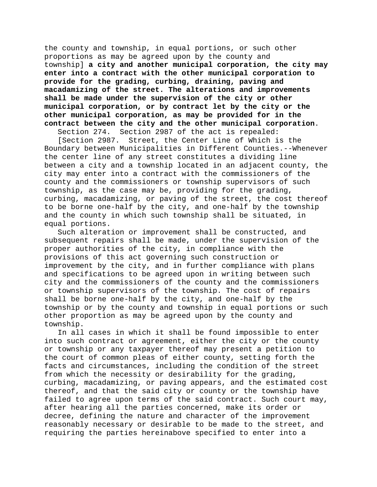the county and township, in equal portions, or such other proportions as may be agreed upon by the county and township] **a city and another municipal corporation, the city may enter into a contract with the other municipal corporation to provide for the grading, curbing, draining, paving and macadamizing of the street. The alterations and improvements shall be made under the supervision of the city or other municipal corporation, or by contract let by the city or the other municipal corporation, as may be provided for in the contract between the city and the other municipal corporation**.

Section 274. Section 2987 of the act is repealed:

[Section 2987. Street, the Center Line of Which is the Boundary between Municipalities in Different Counties.--Whenever the center line of any street constitutes a dividing line between a city and a township located in an adjacent county, the city may enter into a contract with the commissioners of the county and the commissioners or township supervisors of such township, as the case may be, providing for the grading, curbing, macadamizing, or paving of the street, the cost thereof to be borne one-half by the city, and one-half by the township and the county in which such township shall be situated, in equal portions.

Such alteration or improvement shall be constructed, and subsequent repairs shall be made, under the supervision of the proper authorities of the city, in compliance with the provisions of this act governing such construction or improvement by the city, and in further compliance with plans and specifications to be agreed upon in writing between such city and the commissioners of the county and the commissioners or township supervisors of the township. The cost of repairs shall be borne one-half by the city, and one-half by the township or by the county and township in equal portions or such other proportion as may be agreed upon by the county and township.

In all cases in which it shall be found impossible to enter into such contract or agreement, either the city or the county or township or any taxpayer thereof may present a petition to the court of common pleas of either county, setting forth the facts and circumstances, including the condition of the street from which the necessity or desirability for the grading, curbing, macadamizing, or paving appears, and the estimated cost thereof, and that the said city or county or the township have failed to agree upon terms of the said contract. Such court may, after hearing all the parties concerned, make its order or decree, defining the nature and character of the improvement reasonably necessary or desirable to be made to the street, and requiring the parties hereinabove specified to enter into a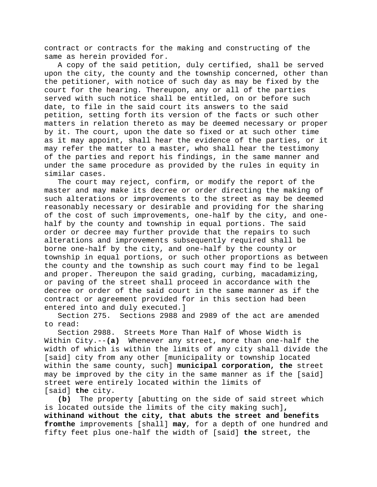contract or contracts for the making and constructing of the same as herein provided for.

A copy of the said petition, duly certified, shall be served upon the city, the county and the township concerned, other than the petitioner, with notice of such day as may be fixed by the court for the hearing. Thereupon, any or all of the parties served with such notice shall be entitled, on or before such date, to file in the said court its answers to the said petition, setting forth its version of the facts or such other matters in relation thereto as may be deemed necessary or proper by it. The court, upon the date so fixed or at such other time as it may appoint, shall hear the evidence of the parties, or it may refer the matter to a master, who shall hear the testimony of the parties and report his findings, in the same manner and under the same procedure as provided by the rules in equity in similar cases.

The court may reject, confirm, or modify the report of the master and may make its decree or order directing the making of such alterations or improvements to the street as may be deemed reasonably necessary or desirable and providing for the sharing of the cost of such improvements, one-half by the city, and onehalf by the county and township in equal portions. The said order or decree may further provide that the repairs to such alterations and improvements subsequently required shall be borne one-half by the city, and one-half by the county or township in equal portions, or such other proportions as between the county and the township as such court may find to be legal and proper. Thereupon the said grading, curbing, macadamizing, or paving of the street shall proceed in accordance with the decree or order of the said court in the same manner as if the contract or agreement provided for in this section had been entered into and duly executed.]

Section 275. Sections 2988 and 2989 of the act are amended to read:

Section 2988. Streets More Than Half of Whose Width is Within City.--**(a)** Whenever any street, more than one-half the width of which is within the limits of any city shall divide the [said] city from any other [municipality or township located within the same county, such] **municipal corporation, the** street may be improved by the city in the same manner as if the [said] street were entirely located within the limits of [said] **the** city.

**(b)** The property [abutting on the side of said street which is located outside the limits of the city making such]**, withinand without the city, that abuts the street and benefits fromthe** improvements [shall] **may**, for a depth of one hundred and fifty feet plus one-half the width of [said] **the** street, the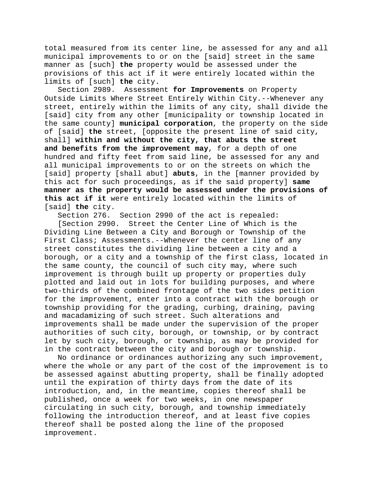total measured from its center line, be assessed for any and all municipal improvements to or on the [said] street in the same manner as [such] **the** property would be assessed under the provisions of this act if it were entirely located within the limits of [such] **the** city.

Assessment for Improvements on Property Outside Limits Where Street Entirely Within City.--Whenever any street, entirely within the limits of any city, shall divide the [said] city from any other [municipality or township located in the same county] **municipal corporation**, the property on the side of [said] **the** street, [opposite the present line of said city, shall] **within and without the city, that abuts the street and benefits from the improvement may**, for a depth of one hundred and fifty feet from said line, be assessed for any and all municipal improvements to or on the streets on which the [said] property [shall abut] **abuts**, in the [manner provided by this act for such proceedings, as if the said property] **same manner as the property would be assessed under the provisions of this act if it** were entirely located within the limits of [said] **the** city.

Section 276. Section 2990 of the act is repealed:

[Section 2990. Street the Center Line of Which is the Dividing Line Between a City and Borough or Township of the First Class; Assessments.--Whenever the center line of any street constitutes the dividing line between a city and a borough, or a city and a township of the first class, located in the same county, the council of such city may, where such improvement is through built up property or properties duly plotted and laid out in lots for building purposes, and where two-thirds of the combined frontage of the two sides petition for the improvement, enter into a contract with the borough or township providing for the grading, curbing, draining, paving and macadamizing of such street. Such alterations and improvements shall be made under the supervision of the proper authorities of such city, borough, or township, or by contract let by such city, borough, or township, as may be provided for in the contract between the city and borough or township.

No ordinance or ordinances authorizing any such improvement, where the whole or any part of the cost of the improvement is to be assessed against abutting property, shall be finally adopted until the expiration of thirty days from the date of its introduction, and, in the meantime, copies thereof shall be published, once a week for two weeks, in one newspaper circulating in such city, borough, and township immediately following the introduction thereof, and at least five copies thereof shall be posted along the line of the proposed improvement.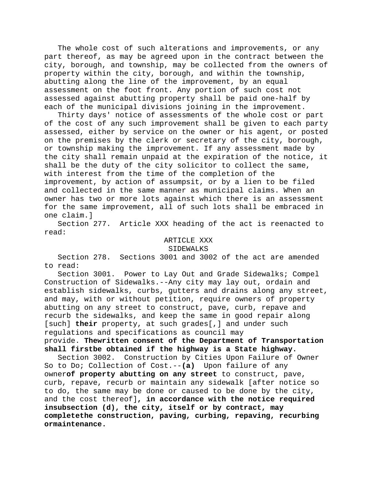The whole cost of such alterations and improvements, or any part thereof, as may be agreed upon in the contract between the city, borough, and township, may be collected from the owners of property within the city, borough, and within the township, abutting along the line of the improvement, by an equal assessment on the foot front. Any portion of such cost not assessed against abutting property shall be paid one-half by each of the municipal divisions joining in the improvement.

Thirty days' notice of assessments of the whole cost or part of the cost of any such improvement shall be given to each party assessed, either by service on the owner or his agent, or posted on the premises by the clerk or secretary of the city, borough, or township making the improvement. If any assessment made by the city shall remain unpaid at the expiration of the notice, it shall be the duty of the city solicitor to collect the same, with interest from the time of the completion of the improvement, by action of assumpsit, or by a lien to be filed and collected in the same manner as municipal claims. When an owner has two or more lots against which there is an assessment for the same improvement, all of such lots shall be embraced in one claim.]

Section 277. Article XXX heading of the act is reenacted to read:

#### ARTICLE XXX

#### SIDEWALKS

Section 278. Sections 3001 and 3002 of the act are amended to read:

Section 3001. Power to Lay Out and Grade Sidewalks; Compel Construction of Sidewalks.--Any city may lay out, ordain and establish sidewalks, curbs, gutters and drains along any street, and may, with or without petition, require owners of property abutting on any street to construct, pave, curb, repave and recurb the sidewalks, and keep the same in good repair along [such] **their** property, at such grades[,] and under such regulations and specifications as council may

provide. **Thewritten consent of the Department of Transportation shall firstbe obtained if the highway is a State highway.**

Section 3002. Construction by Cities Upon Failure of Owner So to Do; Collection of Cost.--**(a)** Upon failure of any owner**of property abutting on any street** to construct, pave, curb, repave, recurb or maintain any sidewalk [after notice so to do, the same may be done or caused to be done by the city, and the cost thereof]**, in accordance with the notice required insubsection (d), the city, itself or by contract, may completethe construction, paving, curbing, repaving, recurbing ormaintenance.**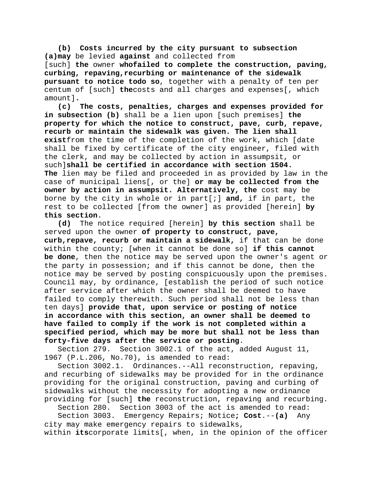**(b) Costs incurred by the city pursuant to subsection (a)may** be levied **against** and collected from [such] **the** owner **whofailed to complete the construction, paving, curbing, repaving,recurbing or maintenance of the sidewalk pursuant to notice todo so**, together with a penalty of ten per centum of [such] **the**costs and all charges and expenses[, which amount]**.**

**(c) The costs, penalties, charges and expenses provided for in subsection (b)** shall be a lien upon [such premises] **the property for which the notice to construct, pave, curb, repave, recurb or maintain the sidewalk was given. The lien shall exist**from the time of the completion of the work, which [date shall be fixed by certificate of the city engineer, filed with the clerk, and may be collected by action in assumpsit, or such]**shall be certified in accordance with section 1504. The** lien may be filed and proceeded in as provided by law in the case of municipal liens[, or the] **or may be collected from the owner by action in assumpsit. Alternatively, the** cost may be borne by the city in whole or in part[;] **and,** if in part, the rest to be collected [from the owner] as provided [herein] **by this section**.

**(d)** The notice required [herein] **by this section** shall be served upon the owner **of property to construct, pave, curb,repave, recurb or maintain a sidewalk,** if that can be done within the county; [when it cannot be done so] **if this cannot be done**, then the notice may be served upon the owner's agent or the party in possession; and if this cannot be done, then the notice may be served by posting conspicuously upon the premises. Council may, by ordinance, [establish the period of such notice after service after which the owner shall be deemed to have failed to comply therewith. Such period shall not be less than ten days] **provide that, upon service or posting of notice in accordance with this section, an owner shall be deemed to have failed to comply if the work is not completed within a specified period, which may be more but shall not be less than forty-five days after the service or posting**.

Section 279. Section 3002.1 of the act, added August 11, 1967 (P.L.206, No.70), is amended to read:

Section 3002.1. Ordinances.--All reconstruction, repaving, and recurbing of sidewalks may be provided for in the ordinance providing for the original construction, paving and curbing of sidewalks without the necessity for adopting a new ordinance providing for [such] **the** reconstruction, repaving and recurbing.

Section 280. Section 3003 of the act is amended to read:

Section 3003. Emergency Repairs; Notice**; Cost**.--**(a)** Any city may make emergency repairs to sidewalks,

within **its**corporate limits[, when, in the opinion of the officer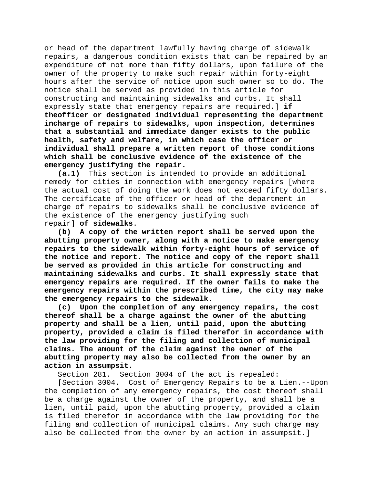or head of the department lawfully having charge of sidewalk repairs, a dangerous condition exists that can be repaired by an expenditure of not more than fifty dollars, upon failure of the owner of the property to make such repair within forty-eight hours after the service of notice upon such owner so to do. The notice shall be served as provided in this article for constructing and maintaining sidewalks and curbs. It shall expressly state that emergency repairs are required.] **if theofficer or designated individual representing the department incharge of repairs to sidewalks, upon inspection, determines that a substantial and immediate danger exists to the public health, safety and welfare, in which case the officer or individual shall prepare a written report of those conditions which shall be conclusive evidence of the existence of the emergency justifying the repair.**

**(a.1)** This section is intended to provide an additional remedy for cities in connection with emergency repairs [where the actual cost of doing the work does not exceed fifty dollars. The certificate of the officer or head of the department in charge of repairs to sidewalks shall be conclusive evidence of the existence of the emergency justifying such repair] **of sidewalks**.

**(b) A copy of the written report shall be served upon the abutting property owner, along with a notice to make emergency repairs to the sidewalk within forty-eight hours of service of the notice and report. The notice and copy of the report shall be served as provided in this article for constructing and maintaining sidewalks and curbs. It shall expressly state that emergency repairs are required. If the owner fails to make the emergency repairs within the prescribed time, the city may make the emergency repairs to the sidewalk.**

**(c) Upon the completion of any emergency repairs, the cost thereof shall be a charge against the owner of the abutting property and shall be a lien, until paid, upon the abutting property, provided a claim is filed therefor in accordance with the law providing for the filing and collection of municipal claims. The amount of the claim against the owner of the abutting property may also be collected from the owner by an action in assumpsit.**

Section 281. Section 3004 of the act is repealed:

[Section 3004. Cost of Emergency Repairs to be a Lien.--Upon the completion of any emergency repairs, the cost thereof shall be a charge against the owner of the property, and shall be a lien, until paid, upon the abutting property, provided a claim is filed therefor in accordance with the law providing for the filing and collection of municipal claims. Any such charge may also be collected from the owner by an action in assumpsit.]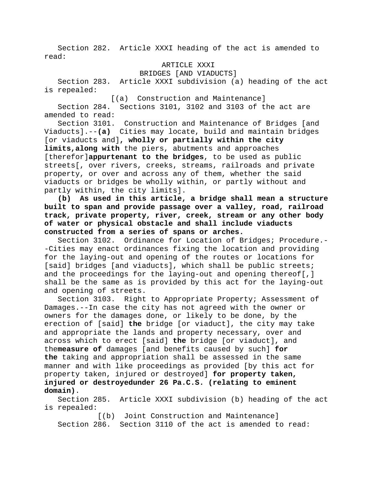Section 282. Article XXXI heading of the act is amended to read:

### ARTICLE XXXI

BRIDGES [AND VIADUCTS]

Section 283. Article XXXI subdivision (a) heading of the act is repealed:

[(a) Construction and Maintenance]

Section 284. Sections 3101, 3102 and 3103 of the act are amended to read:

Section 3101. Construction and Maintenance of Bridges [and Viaducts].--**(a)** Cities may locate, build and maintain bridges [or viaducts and]**, wholly or partially within the city limits,along with** the piers, abutments and approaches [therefor]**appurtenant to the bridges**, to be used as public streets[, over rivers, creeks, streams, railroads and private property, or over and across any of them, whether the said viaducts or bridges be wholly within, or partly without and partly within, the city limits].

**(b) As used in this article, a bridge shall mean a structure built to span and provide passage over a valley, road, railroad track, private property, river, creek, stream or any other body of water or physical obstacle and shall include viaducts constructed from a series of spans or arches.**

Section 3102. Ordinance for Location of Bridges; Procedure.- -Cities may enact ordinances fixing the location and providing for the laying-out and opening of the routes or locations for [said] bridges [and viaducts], which shall be public streets; and the proceedings for the laying-out and opening thereof[,] shall be the same as is provided by this act for the laying-out and opening of streets.

Section 3103. Right to Appropriate Property; Assessment of Damages.--In case the city has not agreed with the owner or owners for the damages done, or likely to be done, by the erection of [said] **the** bridge [or viaduct], the city may take and appropriate the lands and property necessary, over and across which to erect [said] **the** bridge [or viaduct], and the**measure of** damages [and benefits caused by such] **for the** taking and appropriation shall be assessed in the same manner and with like proceedings as provided [by this act for property taken, injured or destroyed] **for property taken, injured or destroyedunder 26 Pa.C.S. (relating to eminent domain)**.

Section 285. Article XXXI subdivision (b) heading of the act is repealed:

[(b) Joint Construction and Maintenance] Section 286. Section 3110 of the act is amended to read: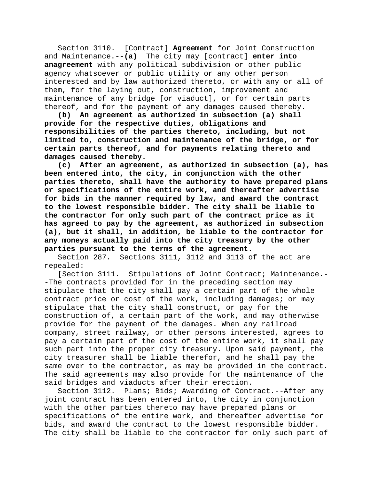Section 3110. [Contract] **Agreement** for Joint Construction and Maintenance.--**(a)** The city may [contract] **enter into anagreement** with any political subdivision or other public agency whatsoever or public utility or any other person interested and by law authorized thereto, or with any or all of them, for the laying out, construction, improvement and maintenance of any bridge [or viaduct], or for certain parts thereof, and for the payment of any damages caused thereby.

**(b) An agreement as authorized in subsection (a) shall provide for the respective duties, obligations and responsibilities of the parties thereto, including, but not limited to, construction and maintenance of the bridge, or for certain parts thereof, and for payments relating thereto and damages caused thereby.**

**(c) After an agreement, as authorized in subsection (a), has been entered into, the city, in conjunction with the other parties thereto, shall have the authority to have prepared plans or specifications of the entire work, and thereafter advertise for bids in the manner required by law, and award the contract to the lowest responsible bidder. The city shall be liable to the contractor for only such part of the contract price as it has agreed to pay by the agreement, as authorized in subsection (a), but it shall, in addition, be liable to the contractor for any moneys actually paid into the city treasury by the other parties pursuant to the terms of the agreement.**

Section 287. Sections 3111, 3112 and 3113 of the act are repealed:

[Section 3111. Stipulations of Joint Contract; Maintenance.- -The contracts provided for in the preceding section may stipulate that the city shall pay a certain part of the whole contract price or cost of the work, including damages; or may stipulate that the city shall construct, or pay for the construction of, a certain part of the work, and may otherwise provide for the payment of the damages. When any railroad company, street railway, or other persons interested, agrees to pay a certain part of the cost of the entire work, it shall pay such part into the proper city treasury. Upon said payment, the city treasurer shall be liable therefor, and he shall pay the same over to the contractor, as may be provided in the contract. The said agreements may also provide for the maintenance of the said bridges and viaducts after their erection.

Section 3112. Plans; Bids; Awarding of Contract.--After any joint contract has been entered into, the city in conjunction with the other parties thereto may have prepared plans or specifications of the entire work, and thereafter advertise for bids, and award the contract to the lowest responsible bidder. The city shall be liable to the contractor for only such part of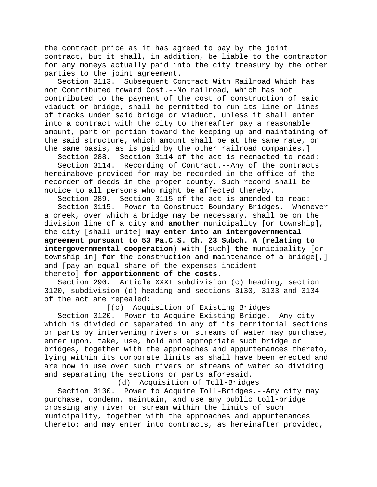the contract price as it has agreed to pay by the joint contract, but it shall, in addition, be liable to the contractor for any moneys actually paid into the city treasury by the other parties to the joint agreement.<br>Section 3113. Subsequent Co

Subsequent Contract With Railroad Which has not Contributed toward Cost.--No railroad, which has not contributed to the payment of the cost of construction of said viaduct or bridge, shall be permitted to run its line or lines of tracks under said bridge or viaduct, unless it shall enter into a contract with the city to thereafter pay a reasonable amount, part or portion toward the keeping-up and maintaining of the said structure, which amount shall be at the same rate, on the same basis, as is paid by the other railroad companies.]

Section 288. Section 3114 of the act is reenacted to read:

Section 3114. Recording of Contract.--Any of the contracts hereinabove provided for may be recorded in the office of the recorder of deeds in the proper county. Such record shall be notice to all persons who might be affected thereby.

Section 289. Section 3115 of the act is amended to read: Section 3115. Power to Construct Boundary Bridges.--Whenever a creek, over which a bridge may be necessary, shall be on the division line of a city and **another** municipality [or township], the city [shall unite] **may enter into an intergovernmental agreement pursuant to 53 Pa.C.S. Ch. 23 Subch. A (relating to intergovernmental cooperation)** with [such] **the** municipality [or township in] **for** the construction and maintenance of a bridge[,] and [pay an equal share of the expenses incident thereto] **for apportionment of the costs**.

Section 290. Article XXXI subdivision (c) heading, section 3120, subdivision (d) heading and sections 3130, 3133 and 3134 of the act are repealed:

[(c) Acquisition of Existing Bridges

Section 3120. Power to Acquire Existing Bridge.--Any city which is divided or separated in any of its territorial sections or parts by intervening rivers or streams of water may purchase, enter upon, take, use, hold and appropriate such bridge or bridges, together with the approaches and appurtenances thereto, lying within its corporate limits as shall have been erected and are now in use over such rivers or streams of water so dividing and separating the sections or parts aforesaid.

(d) Acquisition of Toll-Bridges

Section 3130. Power to Acquire Toll-Bridges.--Any city may purchase, condemn, maintain, and use any public toll-bridge crossing any river or stream within the limits of such municipality, together with the approaches and appurtenances thereto; and may enter into contracts, as hereinafter provided,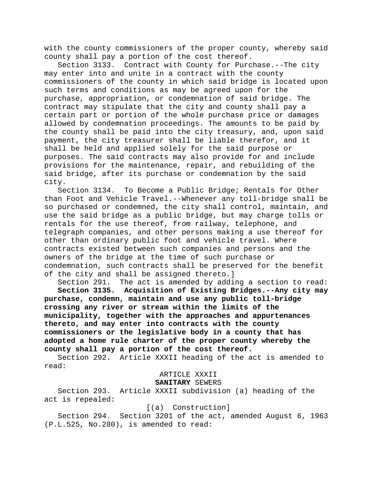with the county commissioners of the proper county, whereby said county shall pay a portion of the cost thereof.

Section 3133. Contract with County for Purchase.--The city may enter into and unite in a contract with the county commissioners of the county in which said bridge is located upon such terms and conditions as may be agreed upon for the purchase, appropriation, or condemnation of said bridge. The contract may stipulate that the city and county shall pay a certain part or portion of the whole purchase price or damages allowed by condemnation proceedings. The amounts to be paid by the county shall be paid into the city treasury, and, upon said payment, the city treasurer shall be liable therefor, and it shall be held and applied solely for the said purpose or purposes. The said contracts may also provide for and include provisions for the maintenance, repair, and rebuilding of the said bridge, after its purchase or condemnation by the said city.

Section 3134. To Become a Public Bridge; Rentals for Other than Foot and Vehicle Travel.--Whenever any toll-bridge shall be so purchased or condemned, the city shall control, maintain, and use the said bridge as a public bridge, but may charge tolls or rentals for the use thereof, from railway, telephone, and telegraph companies, and other persons making a use thereof for other than ordinary public foot and vehicle travel. Where contracts existed between such companies and persons and the owners of the bridge at the time of such purchase or condemnation, such contracts shall be preserved for the benefit of the city and shall be assigned thereto.]

Section 291. The act is amended by adding a section to read: **Section 3135. Acquisition of Existing Bridges.--Any city may purchase, condemn, maintain and use any public toll-bridge crossing any river or stream within the limits of the municipality, together with the approaches and appurtenances thereto, and may enter into contracts with the county commissioners or the legislative body in a county that has adopted a home rule charter of the proper county whereby the county shall pay a portion of the cost thereof.**

Section 292. Article XXXII heading of the act is amended to read:

# ARTICLE XXXII

# **SANITARY** SEWERS

Section 293. Article XXXII subdivision (a) heading of the act is repealed:

#### [(a) Construction]

Section 294. Section 3201 of the act, amended August 6, 1963 (P.L.525, No.280), is amended to read: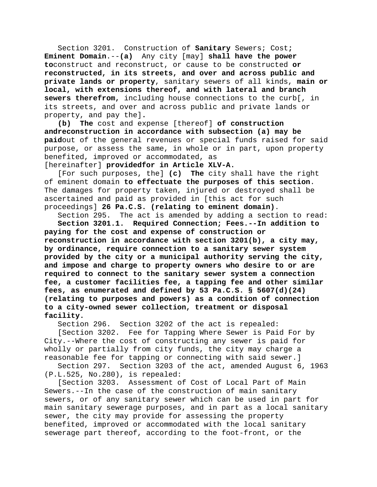Section 3201. Construction of **Sanitary** Sewers; Cost**; Eminent Domain**.--**(a)** Any city [may] **shall have the power to**construct and reconstruct, or cause to be constructed **or reconstructed, in its streets, and over and across public and private lands or property**, sanitary sewers of all kinds, **main or local, with extensions thereof, and with lateral and branch sewers therefrom,** including house connections to the curb[, in its streets, and over and across public and private lands or property, and pay the]**.**

**(b) The** cost and expense [thereof] **of construction andreconstruction in accordance with subsection (a) may be paid**out of the general revenues or special funds raised for said purpose, or assess the same, in whole or in part, upon property benefited, improved or accommodated, as

[hereinafter] **providedfor in Article XLV-A.**

[For such purposes, the] **(c) The** city shall have the right of eminent domain **to effectuate the purposes of this section**. The damages for property taken, injured or destroyed shall be ascertained and paid as provided in [this act for such proceedings] **26 Pa.C.S. (relating to eminent domain)**.

Section 295. The act is amended by adding a section to read:

**Section 3201.1. Required Connection; Fees.--In addition to paying for the cost and expense of construction or reconstruction in accordance with section 3201(b), a city may, by ordinance, require connection to a sanitary sewer system provided by the city or a municipal authority serving the city, and impose and charge to property owners who desire to or are required to connect to the sanitary sewer system a connection fee, a customer facilities fee, a tapping fee and other similar fees, as enumerated and defined by 53 Pa.C.S. § 5607(d)(24) (relating to purposes and powers) as a condition of connection to a city-owned sewer collection, treatment or disposal facility.**

Section 296. Section 3202 of the act is repealed:

[Section 3202. Fee for Tapping Where Sewer is Paid For by City.--Where the cost of constructing any sewer is paid for wholly or partially from city funds, the city may charge a reasonable fee for tapping or connecting with said sewer.]

Section 297. Section 3203 of the act, amended August 6, 1963 (P.L.525, No.280), is repealed:

[Section 3203. Assessment of Cost of Local Part of Main Sewers.--In the case of the construction of main sanitary sewers, or of any sanitary sewer which can be used in part for main sanitary sewerage purposes, and in part as a local sanitary sewer, the city may provide for assessing the property benefited, improved or accommodated with the local sanitary sewerage part thereof, according to the foot-front, or the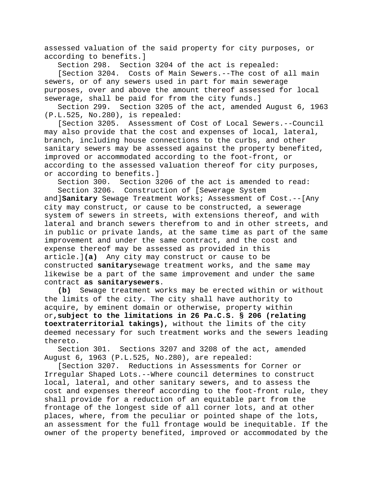assessed valuation of the said property for city purposes, or according to benefits.]

Section 298. Section 3204 of the act is repealed:

[Section 3204. Costs of Main Sewers.--The cost of all main sewers, or of any sewers used in part for main sewerage purposes, over and above the amount thereof assessed for local sewerage, shall be paid for from the city funds.]

Section 299. Section 3205 of the act, amended August 6, 1963 (P.L.525, No.280), is repealed:

[Section 3205. Assessment of Cost of Local Sewers.--Council may also provide that the cost and expenses of local, lateral, branch, including house connections to the curbs, and other sanitary sewers may be assessed against the property benefited, improved or accommodated according to the foot-front, or according to the assessed valuation thereof for city purposes, or according to benefits.]

Section 300. Section 3206 of the act is amended to read: Section 3206. Construction of [Sewerage System

and]**Sanitary** Sewage Treatment Works; Assessment of Cost.--[Any city may construct, or cause to be constructed, a sewerage system of sewers in streets, with extensions thereof, and with lateral and branch sewers therefrom to and in other streets, and in public or private lands, at the same time as part of the same improvement and under the same contract, and the cost and expense thereof may be assessed as provided in this article.]**(a)** Any city may construct or cause to be constructed **sanitary**sewage treatment works, and the same may likewise be a part of the same improvement and under the same contract **as sanitarysewers**.

**(b)** Sewage treatment works may be erected within or without the limits of the city. The city shall have authority to acquire, by eminent domain or otherwise, property within or**,subject to the limitations in 26 Pa.C.S. § 206 (relating toextraterritorial takings),** without the limits of the city deemed necessary for such treatment works and the sewers leading thereto.

Section 301. Sections 3207 and 3208 of the act, amended August 6, 1963 (P.L.525, No.280), are repealed:

[Section 3207. Reductions in Assessments for Corner or Irregular Shaped Lots.--Where council determines to construct local, lateral, and other sanitary sewers, and to assess the cost and expenses thereof according to the foot-front rule, they shall provide for a reduction of an equitable part from the frontage of the longest side of all corner lots, and at other places, where, from the peculiar or pointed shape of the lots, an assessment for the full frontage would be inequitable. If the owner of the property benefited, improved or accommodated by the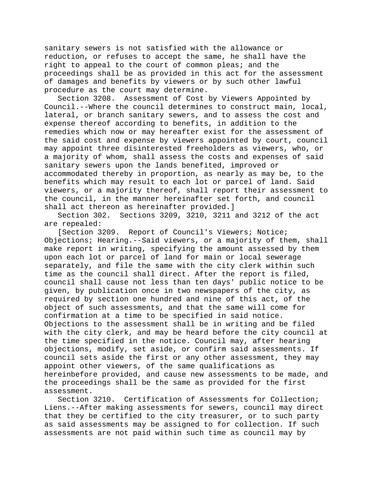sanitary sewers is not satisfied with the allowance or reduction, or refuses to accept the same, he shall have the right to appeal to the court of common pleas; and the proceedings shall be as provided in this act for the assessment of damages and benefits by viewers or by such other lawful procedure as the court may determine.

Section 3208. Assessment of Cost by Viewers Appointed by Council.--Where the council determines to construct main, local, lateral, or branch sanitary sewers, and to assess the cost and expense thereof according to benefits, in addition to the remedies which now or may hereafter exist for the assessment of the said cost and expense by viewers appointed by court, council may appoint three disinterested freeholders as viewers, who, or a majority of whom, shall assess the costs and expenses of said sanitary sewers upon the lands benefited, improved or accommodated thereby in proportion, as nearly as may be, to the benefits which may result to each lot or parcel of land. Said viewers, or a majority thereof, shall report their assessment to the council, in the manner hereinafter set forth, and council shall act thereon as hereinafter provided.]

Section 302. Sections 3209, 3210, 3211 and 3212 of the act are repealed:

[Section 3209. Report of Council's Viewers; Notice; Objections; Hearing.--Said viewers, or a majority of them, shall make report in writing, specifying the amount assessed by them upon each lot or parcel of land for main or local sewerage separately, and file the same with the city clerk within such time as the council shall direct. After the report is filed, council shall cause not less than ten days' public notice to be given, by publication once in two newspapers of the city, as required by section one hundred and nine of this act, of the object of such assessments, and that the same will come for confirmation at a time to be specified in said notice. Objections to the assessment shall be in writing and be filed with the city clerk, and may be heard before the city council at the time specified in the notice. Council may, after hearing objections, modify, set aside, or confirm said assessments. If council sets aside the first or any other assessment, they may appoint other viewers, of the same qualifications as hereinbefore provided, and cause new assessments to be made, and the proceedings shall be the same as provided for the first assessment.

Section 3210. Certification of Assessments for Collection; Liens.--After making assessments for sewers, council may direct that they be certified to the city treasurer, or to such party as said assessments may be assigned to for collection. If such assessments are not paid within such time as council may by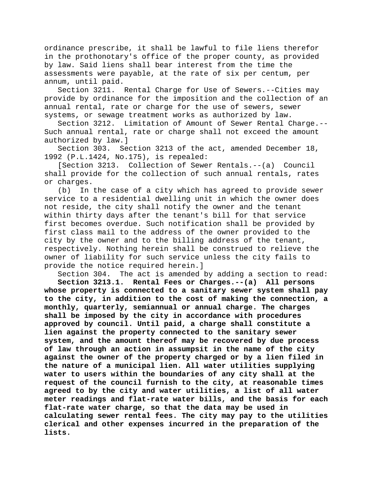ordinance prescribe, it shall be lawful to file liens therefor in the prothonotary's office of the proper county, as provided by law. Said liens shall bear interest from the time the assessments were payable, at the rate of six per centum, per annum, until paid.

Section 3211. Rental Charge for Use of Sewers.--Cities may provide by ordinance for the imposition and the collection of an annual rental, rate or charge for the use of sewers, sewer systems, or sewage treatment works as authorized by law.

Section 3212. Limitation of Amount of Sewer Rental Charge.-- Such annual rental, rate or charge shall not exceed the amount authorized by law.]

Section 303. Section 3213 of the act, amended December 18, 1992 (P.L.1424, No.175), is repealed:

[Section 3213. Collection of Sewer Rentals.--(a) Council shall provide for the collection of such annual rentals, rates or charges.

(b) In the case of a city which has agreed to provide sewer service to a residential dwelling unit in which the owner does not reside, the city shall notify the owner and the tenant within thirty days after the tenant's bill for that service first becomes overdue. Such notification shall be provided by first class mail to the address of the owner provided to the city by the owner and to the billing address of the tenant, respectively. Nothing herein shall be construed to relieve the owner of liability for such service unless the city fails to provide the notice required herein.]

Section 304. The act is amended by adding a section to read:

**Section 3213.1. Rental Fees or Charges.--(a) All persons whose property is connected to a sanitary sewer system shall pay to the city, in addition to the cost of making the connection, a monthly, quarterly, semiannual or annual charge. The charges shall be imposed by the city in accordance with procedures approved by council. Until paid, a charge shall constitute a lien against the property connected to the sanitary sewer system, and the amount thereof may be recovered by due process of law through an action in assumpsit in the name of the city against the owner of the property charged or by a lien filed in the nature of a municipal lien. All water utilities supplying water to users within the boundaries of any city shall at the request of the council furnish to the city, at reasonable times agreed to by the city and water utilities, a list of all water meter readings and flat-rate water bills, and the basis for each flat-rate water charge, so that the data may be used in calculating sewer rental fees. The city may pay to the utilities clerical and other expenses incurred in the preparation of the lists.**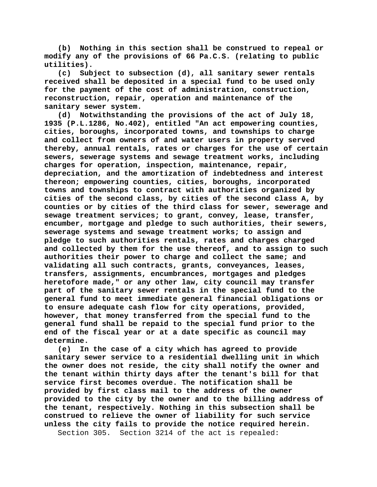**(b) Nothing in this section shall be construed to repeal or modify any of the provisions of 66 Pa.C.S. (relating to public utilities).**

**(c) Subject to subsection (d), all sanitary sewer rentals received shall be deposited in a special fund to be used only for the payment of the cost of administration, construction, reconstruction, repair, operation and maintenance of the sanitary sewer system.**

**(d) Notwithstanding the provisions of the act of July 18, 1935 (P.L.1286, No.402), entitled "An act empowering counties, cities, boroughs, incorporated towns, and townships to charge and collect from owners of and water users in property served thereby, annual rentals, rates or charges for the use of certain sewers, sewerage systems and sewage treatment works, including charges for operation, inspection, maintenance, repair, depreciation, and the amortization of indebtedness and interest thereon; empowering counties, cities, boroughs, incorporated towns and townships to contract with authorities organized by cities of the second class, by cities of the second class A, by counties or by cities of the third class for sewer, sewerage and sewage treatment services; to grant, convey, lease, transfer, encumber, mortgage and pledge to such authorities, their sewers, sewerage systems and sewage treatment works; to assign and pledge to such authorities rentals, rates and charges charged and collected by them for the use thereof, and to assign to such authorities their power to charge and collect the same; and validating all such contracts, grants, conveyances, leases, transfers, assignments, encumbrances, mortgages and pledges heretofore made," or any other law, city council may transfer part of the sanitary sewer rentals in the special fund to the general fund to meet immediate general financial obligations or to ensure adequate cash flow for city operations, provided, however, that money transferred from the special fund to the general fund shall be repaid to the special fund prior to the end of the fiscal year or at a date specific as council may determine.**

**(e) In the case of a city which has agreed to provide sanitary sewer service to a residential dwelling unit in which the owner does not reside, the city shall notify the owner and the tenant within thirty days after the tenant's bill for that service first becomes overdue. The notification shall be provided by first class mail to the address of the owner provided to the city by the owner and to the billing address of the tenant, respectively. Nothing in this subsection shall be construed to relieve the owner of liability for such service unless the city fails to provide the notice required herein.**

Section 305. Section 3214 of the act is repealed: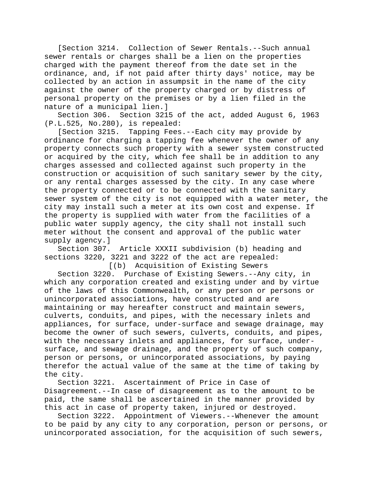[Section 3214. Collection of Sewer Rentals.--Such annual sewer rentals or charges shall be a lien on the properties charged with the payment thereof from the date set in the ordinance, and, if not paid after thirty days' notice, may be collected by an action in assumpsit in the name of the city against the owner of the property charged or by distress of personal property on the premises or by a lien filed in the nature of a municipal lien.]

Section 306. Section 3215 of the act, added August 6, 1963 (P.L.525, No.280), is repealed:

[Section 3215. Tapping Fees.--Each city may provide by ordinance for charging a tapping fee whenever the owner of any property connects such property with a sewer system constructed or acquired by the city, which fee shall be in addition to any charges assessed and collected against such property in the construction or acquisition of such sanitary sewer by the city, or any rental charges assessed by the city. In any case where the property connected or to be connected with the sanitary sewer system of the city is not equipped with a water meter, the city may install such a meter at its own cost and expense. If the property is supplied with water from the facilities of a public water supply agency, the city shall not install such meter without the consent and approval of the public water supply agency.]

Section 307. Article XXXII subdivision (b) heading and sections 3220, 3221 and 3222 of the act are repealed:

[(b) Acquisition of Existing Sewers Section 3220. Purchase of Existing Sewers.--Any city, in which any corporation created and existing under and by virtue of the laws of this Commonwealth, or any person or persons or unincorporated associations, have constructed and are maintaining or may hereafter construct and maintain sewers, culverts, conduits, and pipes, with the necessary inlets and appliances, for surface, under-surface and sewage drainage, may become the owner of such sewers, culverts, conduits, and pipes, with the necessary inlets and appliances, for surface, undersurface, and sewage drainage, and the property of such company, person or persons, or unincorporated associations, by paying therefor the actual value of the same at the time of taking by the city.

Section 3221. Ascertainment of Price in Case of Disagreement.--In case of disagreement as to the amount to be paid, the same shall be ascertained in the manner provided by this act in case of property taken, injured or destroyed.

Section 3222. Appointment of Viewers.--Whenever the amount to be paid by any city to any corporation, person or persons, or unincorporated association, for the acquisition of such sewers,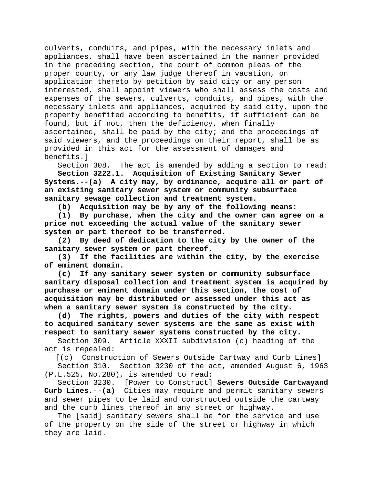culverts, conduits, and pipes, with the necessary inlets and appliances, shall have been ascertained in the manner provided in the preceding section, the court of common pleas of the proper county, or any law judge thereof in vacation, on application thereto by petition by said city or any person interested, shall appoint viewers who shall assess the costs and expenses of the sewers, culverts, conduits, and pipes, with the necessary inlets and appliances, acquired by said city, upon the property benefited according to benefits, if sufficient can be found, but if not, then the deficiency, when finally ascertained, shall be paid by the city; and the proceedings of said viewers, and the proceedings on their report, shall be as provided in this act for the assessment of damages and benefits.]

Section 308. The act is amended by adding a section to read:

**Section 3222.1. Acquisition of Existing Sanitary Sewer Systems.--(a) A city may, by ordinance, acquire all or part of an existing sanitary sewer system or community subsurface sanitary sewage collection and treatment system.**

**(b) Acquisition may be by any of the following means:**

**(1) By purchase, when the city and the owner can agree on a price not exceeding the actual value of the sanitary sewer system or part thereof to be transferred.**

**(2) By deed of dedication to the city by the owner of the**  sanitary sewer system or part thereof.<br>(3) If the facilities are within t

**(3) If the facilities are within the city, by the exercise of eminent domain.**

**(c) If any sanitary sewer system or community subsurface sanitary disposal collection and treatment system is acquired by purchase or eminent domain under this section, the cost of acquisition may be distributed or assessed under this act as when a sanitary sewer system is constructed by the city.**

**(d) The rights, powers and duties of the city with respect to acquired sanitary sewer systems are the same as exist with respect to sanitary sewer systems constructed by the city.**

Section 309. Article XXXII subdivision (c) heading of the act is repealed:

[(c) Construction of Sewers Outside Cartway and Curb Lines]

Section 310. Section 3230 of the act, amended August 6, 1963 (P.L.525, No.280), is amended to read:

Section 3230. [Power to Construct] **Sewers Outside Cartwayand Curb Lines**.--**(a)** Cities may require and permit sanitary sewers and sewer pipes to be laid and constructed outside the cartway and the curb lines thereof in any street or highway.

The [said] sanitary sewers shall be for the service and use of the property on the side of the street or highway in which they are laid.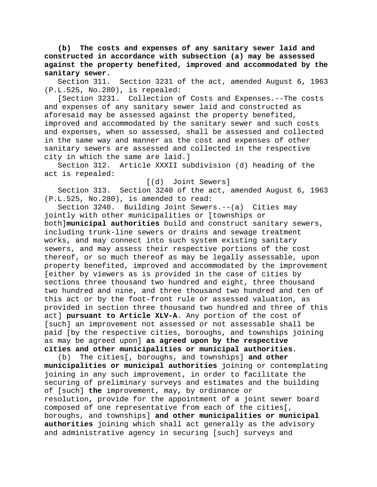**(b) The costs and expenses of any sanitary sewer laid and constructed in accordance with subsection (a) may be assessed against the property benefited, improved and accommodated by the sanitary sewer.**

Section 311. Section 3231 of the act, amended August 6, 1963 (P.L.525, No.280), is repealed:

[Section 3231. Collection of Costs and Expenses.--The costs and expenses of any sanitary sewer laid and constructed as aforesaid may be assessed against the property benefited, improved and accommodated by the sanitary sewer and such costs and expenses, when so assessed, shall be assessed and collected in the same way and manner as the cost and expenses of other sanitary sewers are assessed and collected in the respective city in which the same are laid.]

Article XXXII subdivision (d) heading of the act is repealed:

[(d) Joint Sewers]

Section 313. Section 3240 of the act, amended August 6, 1963 (P.L.525, No.280), is amended to read:

Section 3240. Building Joint Sewers.--(a) Cities may jointly with other municipalities or [townships or both]**municipal authorities** build and construct sanitary sewers, including trunk-line sewers or drains and sewage treatment works, and may connect into such system existing sanitary sewers, and may assess their respective portions of the cost thereof, or so much thereof as may be legally assessable, upon property benefited, improved and accommodated by the improvement [either by viewers as is provided in the case of cities by sections three thousand two hundred and eight, three thousand two hundred and nine, and three thousand two hundred and ten of this act or by the foot-front rule or assessed valuation, as provided in section three thousand two hundred and three of this act] **pursuant to Article XLV-A**. Any portion of the cost of [such] an improvement not assessed or not assessable shall be paid [by the respective cities, boroughs, and townships joining as may be agreed upon] **as agreed upon by the respective cities and other municipalities or municipal authorities**.

(b) The cities[, boroughs, and townships] **and other municipalities or municipal authorities** joining or contemplating joining in any such improvement, in order to facilitate the securing of preliminary surveys and estimates and the building of [such] **the** improvement, may**,** by ordinance or resolution**,** provide for the appointment of a joint sewer board composed of one representative from each of the cities[, boroughs, and townships] **and other municipalities or municipal authorities** joining which shall act generally as the advisory and administrative agency in securing [such] surveys and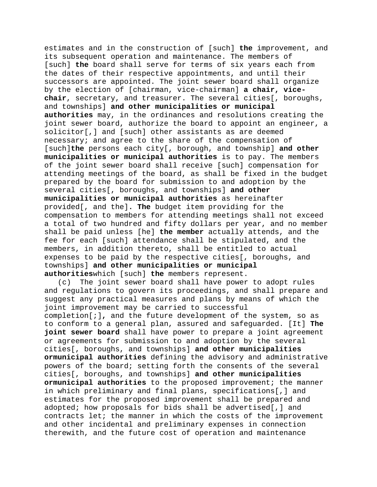estimates and in the construction of [such] **the** improvement, and its subsequent operation and maintenance. The members of [such] **the** board shall serve for terms of six years each from the dates of their respective appointments, and until their successors are appointed. The joint sewer board shall organize by the election of [chairman, vice-chairman] **a chair, vicechair**, secretary, and treasurer. The several cities[, boroughs, and townships] **and other municipalities or municipal authorities** may, in the ordinances and resolutions creating the joint sewer board, authorize the board to appoint an engineer, a solicitor[,] and [such] other assistants as are deemed necessary; and agree to the share of the compensation of [such]**the** persons each city[, borough, and township] **and other municipalities or municipal authorities** is to pay. The members of the joint sewer board shall receive [such] compensation for attending meetings of the board, as shall be fixed in the budget prepared by the board for submission to and adoption by the several cities[, boroughs, and townships] **and other municipalities or municipal authorities** as hereinafter provided[, and the]**. The** budget item providing for the compensation to members for attending meetings shall not exceed a total of two hundred and fifty dollars per year, and no member shall be paid unless [he] **the member** actually attends, and the fee for each [such] attendance shall be stipulated, and the members, in addition thereto, shall be entitled to actual expenses to be paid by the respective cities[, boroughs, and townships] **and other municipalities or municipal authorities**which [such] **the** members represent.

(c) The joint sewer board shall have power to adopt rules and regulations to govern its proceedings, and shall prepare and suggest any practical measures and plans by means of which the joint improvement may be carried to successful completion[;]**,** and the future development of the system, so as to conform to a general plan, assured and safeguarded. [It] **The joint sewer board** shall have power to prepare a joint agreement or agreements for submission to and adoption by the several cities[, boroughs, and townships] **and other municipalities ormunicipal authorities** defining the advisory and administrative powers of the board; setting forth the consents of the several cities[, boroughs, and townships] **and other municipalities ormunicipal authorities** to the proposed improvement; the manner in which preliminary and final plans, specifications[,] and estimates for the proposed improvement shall be prepared and adopted; how proposals for bids shall be advertised[,] and contracts let; the manner in which the costs of the improvement and other incidental and preliminary expenses in connection therewith, and the future cost of operation and maintenance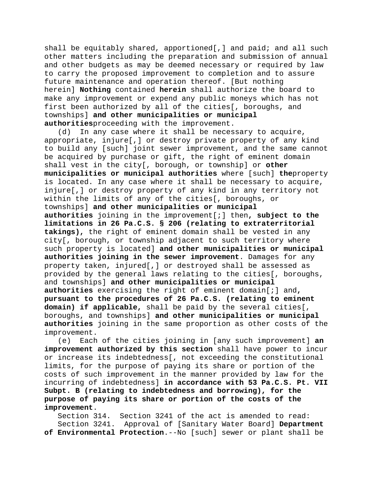shall be equitably shared, apportioned[,] and paid; and all such other matters including the preparation and submission of annual and other budgets as may be deemed necessary or required by law to carry the proposed improvement to completion and to assure future maintenance and operation thereof. [But nothing herein] **Nothing** contained **herein** shall authorize the board to make any improvement or expend any public moneys which has not first been authorized by all of the cities[, boroughs, and townships] **and other municipalities or municipal authorities**proceeding with the improvement.

(d) In any case where it shall be necessary to acquire, appropriate, injure[,] or destroy private property of any kind to build any [such] joint sewer improvement, and the same cannot be acquired by purchase or gift, the right of eminent domain shall vest in the city[, borough, or township] or **other municipalities or municipal authorities** where [such] **the**property is located. In any case where it shall be necessary to acquire, injure[,] or destroy property of any kind in any territory not within the limits of any of the cities[, boroughs, or townships] **and other municipalities or municipal authorities** joining in the improvement[;] then**, subject to the limitations in 26 Pa.C.S. § 206 (relating to extraterritorial takings),** the right of eminent domain shall be vested in any city[, borough, or township adjacent to such territory where such property is located] **and other municipalities or municipal authorities joining in the sewer improvement**. Damages for any property taken, injured[,] or destroyed shall be assessed as provided by the general laws relating to the cities[, boroughs, and townships] **and other municipalities or municipal authorities** exercising the right of eminent domain[;] and**, pursuant to the procedures of 26 Pa.C.S. (relating to eminent domain) if applicable,** shall be paid by the several cities[, boroughs, and townships] **and other municipalities or municipal authorities** joining in the same proportion as other costs of the improvement.<br>e) Each

Each of the cities joining in [any such improvement] an **improvement authorized by this section** shall have power to incur or increase its indebtedness[, not exceeding the constitutional limits, for the purpose of paying its share or portion of the costs of such improvement in the manner provided by law for the incurring of indebtedness] **in accordance with 53 Pa.C.S. Pt. VII Subpt. B (relating to indebtedness and borrowing), for the purpose of paying its share or portion of the costs of the improvement**.

Section 314. Section 3241 of the act is amended to read: Section 3241. Approval of [Sanitary Water Board] **Department of Environmental Protection**.--No [such] sewer or plant shall be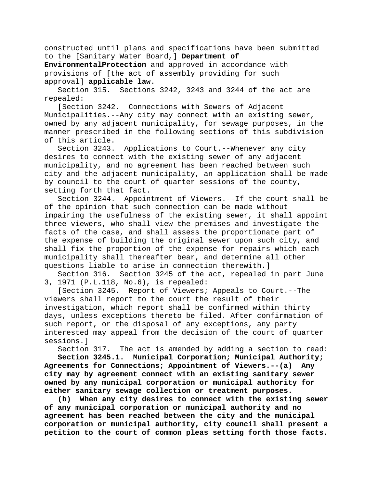constructed until plans and specifications have been submitted to the [Sanitary Water Board,] **Department of** 

**EnvironmentalProtection** and approved in accordance with provisions of [the act of assembly providing for such approval] **applicable law**.

Section 315. Sections 3242, 3243 and 3244 of the act are repealed:

[Section 3242. Connections with Sewers of Adjacent Municipalities.--Any city may connect with an existing sewer, owned by any adjacent municipality, for sewage purposes, in the manner prescribed in the following sections of this subdivision of this article.<br>Section 3243.

Applications to Court.--Whenever any city desires to connect with the existing sewer of any adjacent municipality, and no agreement has been reached between such city and the adjacent municipality, an application shall be made by council to the court of quarter sessions of the county, setting forth that fact.

Section 3244. Appointment of Viewers.--If the court shall be of the opinion that such connection can be made without impairing the usefulness of the existing sewer, it shall appoint three viewers, who shall view the premises and investigate the facts of the case, and shall assess the proportionate part of the expense of building the original sewer upon such city, and shall fix the proportion of the expense for repairs which each municipality shall thereafter bear, and determine all other questions liable to arise in connection therewith.]

Section 316. Section 3245 of the act, repealed in part June 3, 1971 (P.L.118, No.6), is repealed:

[Section 3245. Report of Viewers; Appeals to Court.--The viewers shall report to the court the result of their investigation, which report shall be confirmed within thirty days, unless exceptions thereto be filed. After confirmation of such report, or the disposal of any exceptions, any party interested may appeal from the decision of the court of quarter sessions.]

Section 317. The act is amended by adding a section to read:

**Section 3245.1. Municipal Corporation; Municipal Authority; Agreements for Connections; Appointment of Viewers.--(a) Any city may by agreement connect with an existing sanitary sewer owned by any municipal corporation or municipal authority for either sanitary sewage collection or treatment purposes.**

**(b) When any city desires to connect with the existing sewer of any municipal corporation or municipal authority and no agreement has been reached between the city and the municipal corporation or municipal authority, city council shall present a petition to the court of common pleas setting forth those facts.**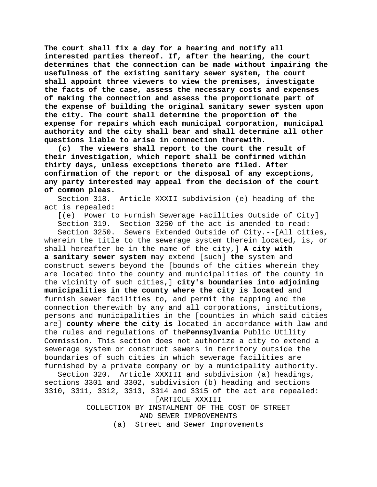**The court shall fix a day for a hearing and notify all interested parties thereof. If, after the hearing, the court determines that the connection can be made without impairing the usefulness of the existing sanitary sewer system, the court shall appoint three viewers to view the premises, investigate the facts of the case, assess the necessary costs and expenses of making the connection and assess the proportionate part of the expense of building the original sanitary sewer system upon the city. The court shall determine the proportion of the expense for repairs which each municipal corporation, municipal authority and the city shall bear and shall determine all other questions liable to arise in connection therewith.**

**(c) The viewers shall report to the court the result of their investigation, which report shall be confirmed within thirty days, unless exceptions thereto are filed. After confirmation of the report or the disposal of any exceptions, any party interested may appeal from the decision of the court of common pleas.**

Section 318. Article XXXII subdivision (e) heading of the act is repealed:

[(e) Power to Furnish Sewerage Facilities Outside of City] Section 319. Section 3250 of the act is amended to read: Section 3250. Sewers Extended Outside of City.--[All cities, wherein the title to the sewerage system therein located, is, or shall hereafter be in the name of the city,] **A city with a sanitary sewer system** may extend [such] **the** system and construct sewers beyond the [bounds of the cities wherein they are located into the county and municipalities of the county in the vicinity of such cities,] **city's boundaries into adjoining municipalities in the county where the city is located** and furnish sewer facilities to, and permit the tapping and the connection therewith by any and all corporations, institutions, persons and municipalities in the [counties in which said cities are] **county where the city is** located in accordance with law and the rules and regulations of the**Pennsylvania** Public Utility Commission. This section does not authorize a city to extend a sewerage system or construct sewers in territory outside the boundaries of such cities in which sewerage facilities are furnished by a private company or by a municipality authority.

Section 320. Article XXXIII and subdivision (a) headings, sections 3301 and 3302, subdivision (b) heading and sections 3310, 3311, 3312, 3313, 3314 and 3315 of the act are repealed: [ARTICLE XXXIII

> COLLECTION BY INSTALMENT OF THE COST OF STREET AND SEWER IMPROVEMENTS

(a) Street and Sewer Improvements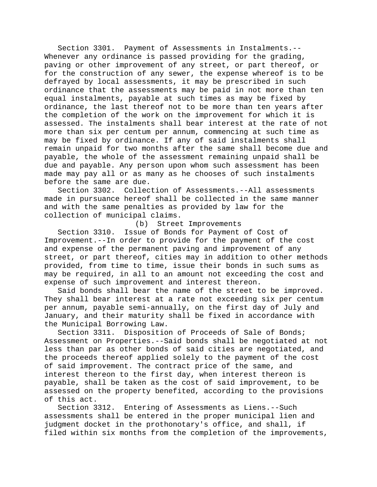Section 3301. Payment of Assessments in Instalments.-- Whenever any ordinance is passed providing for the grading, paving or other improvement of any street, or part thereof, or for the construction of any sewer, the expense whereof is to be defrayed by local assessments, it may be prescribed in such ordinance that the assessments may be paid in not more than ten equal instalments, payable at such times as may be fixed by ordinance, the last thereof not to be more than ten years after the completion of the work on the improvement for which it is assessed. The instalments shall bear interest at the rate of not more than six per centum per annum, commencing at such time as may be fixed by ordinance. If any of said instalments shall remain unpaid for two months after the same shall become due and payable, the whole of the assessment remaining unpaid shall be due and payable. Any person upon whom such assessment has been made may pay all or as many as he chooses of such instalments before the same are due.

Section 3302. Collection of Assessments.--All assessments made in pursuance hereof shall be collected in the same manner and with the same penalties as provided by law for the collection of municipal claims.

#### (b) Street Improvements

Section 3310. Issue of Bonds for Payment of Cost of Improvement.--In order to provide for the payment of the cost and expense of the permanent paving and improvement of any street, or part thereof, cities may in addition to other methods provided, from time to time, issue their bonds in such sums as may be required, in all to an amount not exceeding the cost and expense of such improvement and interest thereon.

Said bonds shall bear the name of the street to be improved. They shall bear interest at a rate not exceeding six per centum per annum, payable semi-annually, on the first day of July and January, and their maturity shall be fixed in accordance with the Municipal Borrowing Law.

Section 3311. Disposition of Proceeds of Sale of Bonds; Assessment on Properties.--Said bonds shall be negotiated at not less than par as other bonds of said cities are negotiated, and the proceeds thereof applied solely to the payment of the cost of said improvement. The contract price of the same, and interest thereon to the first day, when interest thereon is payable, shall be taken as the cost of said improvement, to be assessed on the property benefited, according to the provisions

of this act.<br>Section 3312. Entering of Assessments as Liens.--Such assessments shall be entered in the proper municipal lien and judgment docket in the prothonotary's office, and shall, if filed within six months from the completion of the improvements,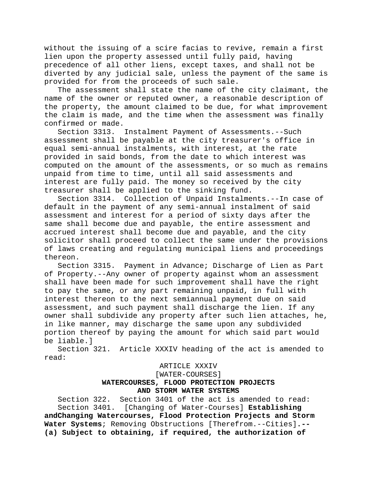without the issuing of a scire facias to revive, remain a first lien upon the property assessed until fully paid, having precedence of all other liens, except taxes, and shall not be diverted by any judicial sale, unless the payment of the same is provided for from the proceeds of such sale.

The assessment shall state the name of the city claimant, the name of the owner or reputed owner, a reasonable description of the property, the amount claimed to be due, for what improvement the claim is made, and the time when the assessment was finally confirmed or made.<br>Section 3313.

Instalment Payment of Assessments.--Such assessment shall be payable at the city treasurer's office in equal semi-annual instalments, with interest, at the rate provided in said bonds, from the date to which interest was computed on the amount of the assessments, or so much as remains unpaid from time to time, until all said assessments and interest are fully paid. The money so received by the city treasurer shall be applied to the sinking fund.

Section 3314. Collection of Unpaid Instalments.--In case of default in the payment of any semi-annual instalment of said assessment and interest for a period of sixty days after the same shall become due and payable, the entire assessment and accrued interest shall become due and payable, and the city solicitor shall proceed to collect the same under the provisions of laws creating and regulating municipal liens and proceedings thereon.

Section 3315. Payment in Advance; Discharge of Lien as Part of Property.--Any owner of property against whom an assessment shall have been made for such improvement shall have the right to pay the same, or any part remaining unpaid, in full with interest thereon to the next semiannual payment due on said assessment, and such payment shall discharge the lien. If any owner shall subdivide any property after such lien attaches, he, in like manner, may discharge the same upon any subdivided portion thereof by paying the amount for which said part would be liable.]

Section 321. Article XXXIV heading of the act is amended to read:

# ARTICLE XXXIV

[WATER-COURSES]

# **WATERCOURSES, FLOOD PROTECTION PROJECTS AND STORM WATER SYSTEMS**

Section 322. Section 3401 of the act is amended to read: Section 3401. [Changing of Water-Courses] **Establishing andChanging Watercourses, Flood Protection Projects and Storm Water Systems**; Removing Obstructions [Therefrom.--Cities]**.-- (a) Subject to obtaining, if required, the authorization of**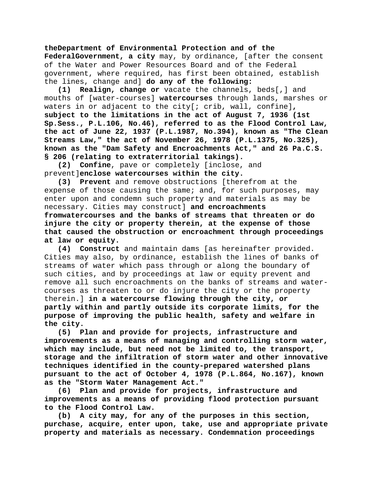**theDepartment of Environmental Protection and of the FederalGovernment, a city** may, by ordinance, [after the consent of the Water and Power Resources Board and of the Federal government, where required, has first been obtained, establish the lines, change and] **do any of the following:**

**(1) Realign, change or** vacate the channels, beds[,] and mouths of [water-courses] **watercourses** through lands, marshes or waters in or adjacent to the city[; crib, wall, confine]**, subject to the limitations in the act of August 7, 1936 (1st Sp.Sess., P.L.106, No.46), referred to as the Flood Control Law, the act of June 22, 1937 (P.L.1987, No.394), known as "The Clean Streams Law," the act of November 26, 1978 (P.L.1375, No.325), known as the "Dam Safety and Encroachments Act," and 26 Pa.C.S. § 206 (relating to extraterritorial takings).**

**(2) Confine**, pave or completely [inclose, and prevent]**enclose watercourses within the city.**

**(3) Prevent** and remove obstructions [therefrom at the expense of those causing the same; and, for such purposes, may enter upon and condemn such property and materials as may be necessary. Cities may construct] **and encroachments fromwatercourses and the banks of streams that threaten or do injure the city or property therein, at the expense of those that caused the obstruction or encroachment through proceedings at law or equity.**

**(4) Construct** and maintain dams [as hereinafter provided. Cities may also, by ordinance, establish the lines of banks of streams of water which pass through or along the boundary of such cities, and by proceedings at law or equity prevent and remove all such encroachments on the banks of streams and watercourses as threaten to or do injure the city or the property therein.] **in a watercourse flowing through the city, or partly within and partly outside its corporate limits, for the purpose of improving the public health, safety and welfare in the city.**

**(5) Plan and provide for projects, infrastructure and improvements as a means of managing and controlling storm water, which may include, but need not be limited to, the transport, storage and the infiltration of storm water and other innovative techniques identified in the county-prepared watershed plans pursuant to the act of October 4, 1978 (P.L.864, No.167), known as the "Storm Water Management Act."**

**(6) Plan and provide for projects, infrastructure and improvements as a means of providing flood protection pursuant to the Flood Control Law.**

**(b) A city may, for any of the purposes in this section, purchase, acquire, enter upon, take, use and appropriate private property and materials as necessary. Condemnation proceedings**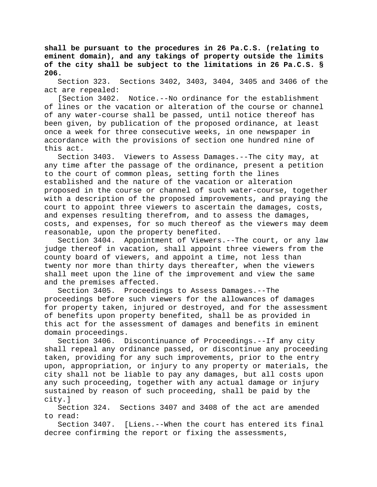**shall be pursuant to the procedures in 26 Pa.C.S. (relating to eminent domain), and any takings of property outside the limits of the city shall be subject to the limitations in 26 Pa.C.S. § 206.**

Section 323. Sections 3402, 3403, 3404, 3405 and 3406 of the act are repealed:

[Section 3402. Notice.--No ordinance for the establishment of lines or the vacation or alteration of the course or channel of any water-course shall be passed, until notice thereof has been given, by publication of the proposed ordinance, at least once a week for three consecutive weeks, in one newspaper in accordance with the provisions of section one hundred nine of this act.

Section 3403. Viewers to Assess Damages.--The city may, at any time after the passage of the ordinance, present a petition to the court of common pleas, setting forth the lines established and the nature of the vacation or alteration proposed in the course or channel of such water-course, together with a description of the proposed improvements, and praying the court to appoint three viewers to ascertain the damages, costs, and expenses resulting therefrom, and to assess the damages, costs, and expenses, for so much thereof as the viewers may deem reasonable, upon the property benefited.

Section 3404. Appointment of Viewers.--The court, or any law judge thereof in vacation, shall appoint three viewers from the county board of viewers, and appoint a time, not less than twenty nor more than thirty days thereafter, when the viewers shall meet upon the line of the improvement and view the same and the premises affected.

Section 3405. Proceedings to Assess Damages.--The proceedings before such viewers for the allowances of damages for property taken, injured or destroyed, and for the assessment of benefits upon property benefited, shall be as provided in this act for the assessment of damages and benefits in eminent domain proceedings.

Section 3406. Discontinuance of Proceedings.--If any city shall repeal any ordinance passed, or discontinue any proceeding taken, providing for any such improvements, prior to the entry upon, appropriation, or injury to any property or materials, the city shall not be liable to pay any damages, but all costs upon any such proceeding, together with any actual damage or injury sustained by reason of such proceeding, shall be paid by the city.]

Section 324. Sections 3407 and 3408 of the act are amended to read:

Section 3407. [Liens.--When the court has entered its final decree confirming the report or fixing the assessments,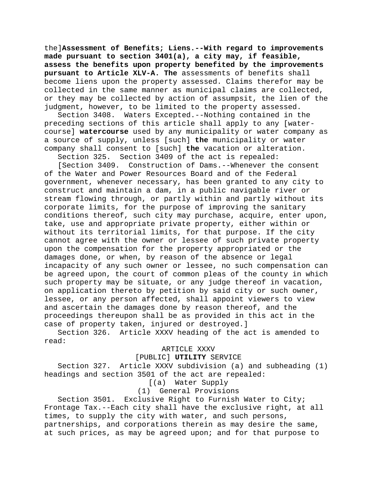the]**Assessment of Benefits; Liens.--With regard to improvements made pursuant to section 3401(a), a city may, if feasible, assess the benefits upon property benefited by the improvements pursuant to Article XLV-A. The** assessments of benefits shall become liens upon the property assessed. Claims therefor may be collected in the same manner as municipal claims are collected, or they may be collected by action of assumpsit, the lien of the judgment, however, to be limited to the property assessed.

Section 3408. Waters Excepted.--Nothing contained in the preceding sections of this article shall apply to any [watercourse] **watercourse** used by any municipality or water company as a source of supply, unless [such] **the** municipality or water company shall consent to [such] **the** vacation or alteration.

Section 3409 of the act is repealed:

[Section 3409. Construction of Dams.--Whenever the consent of the Water and Power Resources Board and of the Federal government, whenever necessary, has been granted to any city to construct and maintain a dam, in a public navigable river or stream flowing through, or partly within and partly without its corporate limits, for the purpose of improving the sanitary conditions thereof, such city may purchase, acquire, enter upon, take, use and appropriate private property, either within or without its territorial limits, for that purpose. If the city cannot agree with the owner or lessee of such private property upon the compensation for the property appropriated or the damages done, or when, by reason of the absence or legal incapacity of any such owner or lessee, no such compensation can be agreed upon, the court of common pleas of the county in which such property may be situate, or any judge thereof in vacation, on application thereto by petition by said city or such owner, lessee, or any person affected, shall appoint viewers to view and ascertain the damages done by reason thereof, and the proceedings thereupon shall be as provided in this act in the case of property taken, injured or destroyed.]

Section 326. Article XXXV heading of the act is amended to read:

#### ARTICLE XXXV

[PUBLIC] **UTILITY** SERVICE

Section 327. Article XXXV subdivision (a) and subheading (1) headings and section 3501 of the act are repealed:

[(a) Water Supply

(1) General Provisions

Section 3501. Exclusive Right to Furnish Water to City; Frontage Tax.--Each city shall have the exclusive right, at all times, to supply the city with water, and such persons, partnerships, and corporations therein as may desire the same, at such prices, as may be agreed upon; and for that purpose to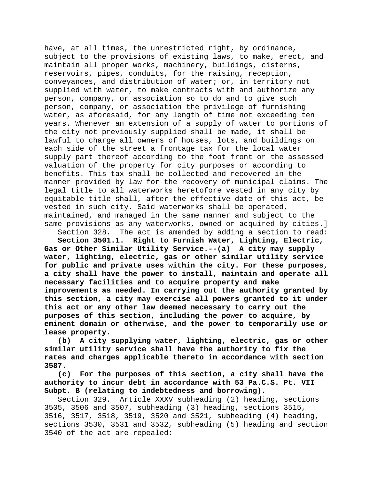have, at all times, the unrestricted right, by ordinance, subject to the provisions of existing laws, to make, erect, and maintain all proper works, machinery, buildings, cisterns, reservoirs, pipes, conduits, for the raising, reception, conveyances, and distribution of water; or, in territory not supplied with water, to make contracts with and authorize any person, company, or association so to do and to give such person, company, or association the privilege of furnishing water, as aforesaid, for any length of time not exceeding ten years. Whenever an extension of a supply of water to portions of the city not previously supplied shall be made, it shall be lawful to charge all owners of houses, lots, and buildings on each side of the street a frontage tax for the local water supply part thereof according to the foot front or the assessed valuation of the property for city purposes or according to benefits. This tax shall be collected and recovered in the manner provided by law for the recovery of municipal claims. The legal title to all waterworks heretofore vested in any city by equitable title shall, after the effective date of this act, be vested in such city. Said waterworks shall be operated, maintained, and managed in the same manner and subject to the same provisions as any waterworks, owned or acquired by cities.]

Section 328. The act is amended by adding a section to read:<br>Section 3501.1. Right to Furnish Water, Lighting, Electric, **Section 3501.1. Right to Furnish Water, Lighting, Electric, Gas or Other Similar Utility Service.--(a) A city may supply water, lighting, electric, gas or other similar utility service for public and private uses within the city. For these purposes, a city shall have the power to install, maintain and operate all necessary facilities and to acquire property and make improvements as needed. In carrying out the authority granted by this section, a city may exercise all powers granted to it under this act or any other law deemed necessary to carry out the purposes of this section, including the power to acquire, by eminent domain or otherwise, and the power to temporarily use or lease property.**

**(b) A city supplying water, lighting, electric, gas or other similar utility service shall have the authority to fix the rates and charges applicable thereto in accordance with section 3587.**

**(c) For the purposes of this section, a city shall have the authority to incur debt in accordance with 53 Pa.C.S. Pt. VII Subpt. B (relating to indebtedness and borrowing).**

Section 329. Article XXXV subheading (2) heading, sections 3505, 3506 and 3507, subheading (3) heading, sections 3515, 3516, 3517, 3518, 3519, 3520 and 3521, subheading (4) heading, sections 3530, 3531 and 3532, subheading (5) heading and section 3540 of the act are repealed: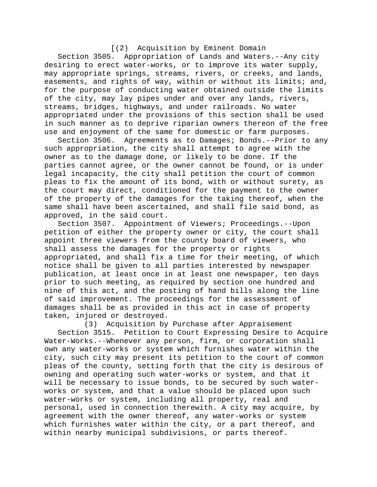# [(2) Acquisition by Eminent Domain

Section 3505. Appropriation of Lands and Waters.--Any city desiring to erect water-works, or to improve its water supply, may appropriate springs, streams, rivers, or creeks, and lands, easements, and rights of way, within or without its limits; and, for the purpose of conducting water obtained outside the limits of the city, may lay pipes under and over any lands, rivers, streams, bridges, highways, and under railroads. No water appropriated under the provisions of this section shall be used in such manner as to deprive riparian owners thereon of the free use and enjoyment of the same for domestic or farm purposes.

Section 3506. Agreements as to Damages; Bonds.--Prior to any such appropriation, the city shall attempt to agree with the owner as to the damage done, or likely to be done. If the parties cannot agree, or the owner cannot be found, or is under legal incapacity, the city shall petition the court of common pleas to fix the amount of its bond, with or without surety, as the court may direct, conditioned for the payment to the owner of the property of the damages for the taking thereof, when the same shall have been ascertained, and shall file said bond, as approved, in the said court.<br>Section 3507. Appointmen

Appointment of Viewers; Proceedings.--Upon petition of either the property owner or city, the court shall appoint three viewers from the county board of viewers, who shall assess the damages for the property or rights appropriated, and shall fix a time for their meeting, of which notice shall be given to all parties interested by newspaper publication, at least once in at least one newspaper, ten days prior to such meeting, as required by section one hundred and nine of this act, and the posting of hand bills along the line of said improvement. The proceedings for the assessment of damages shall be as provided in this act in case of property taken, injured or destroyed.

(3) Acquisition by Purchase after Appraisement Section 3515. Petition to Court Expressing Desire to Acquire Water-Works.--Whenever any person, firm, or corporation shall own any water-works or system which furnishes water within the city, such city may present its petition to the court of common pleas of the county, setting forth that the city is desirous of owning and operating such water-works or system, and that it will be necessary to issue bonds, to be secured by such waterworks or system, and that a value should be placed upon such water-works or system, including all property, real and personal, used in connection therewith. A city may acquire, by agreement with the owner thereof, any water-works or system which furnishes water within the city, or a part thereof, and within nearby municipal subdivisions, or parts thereof.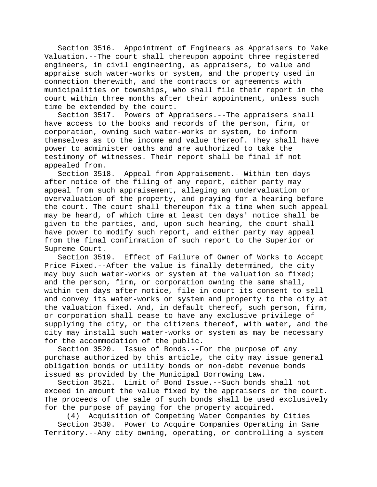Section 3516. Appointment of Engineers as Appraisers to Make Valuation.--The court shall thereupon appoint three registered engineers, in civil engineering, as appraisers, to value and appraise such water-works or system, and the property used in connection therewith, and the contracts or agreements with municipalities or townships, who shall file their report in the court within three months after their appointment, unless such time be extended by the court.

Section 3517. Powers of Appraisers.--The appraisers shall have access to the books and records of the person, firm, or corporation, owning such water-works or system, to inform themselves as to the income and value thereof. They shall have power to administer oaths and are authorized to take the testimony of witnesses. Their report shall be final if not appealed from.

Section 3518. Appeal from Appraisement.--Within ten days after notice of the filing of any report, either party may appeal from such appraisement, alleging an undervaluation or overvaluation of the property, and praying for a hearing before the court. The court shall thereupon fix a time when such appeal may be heard, of which time at least ten days' notice shall be given to the parties, and, upon such hearing, the court shall have power to modify such report, and either party may appeal from the final confirmation of such report to the Superior or Supreme Court.

Section 3519. Effect of Failure of Owner of Works to Accept Price Fixed.--After the value is finally determined, the city may buy such water-works or system at the valuation so fixed; and the person, firm, or corporation owning the same shall, within ten days after notice, file in court its consent to sell and convey its water-works or system and property to the city at the valuation fixed. And, in default thereof, such person, firm, or corporation shall cease to have any exclusive privilege of supplying the city, or the citizens thereof, with water, and the city may install such water-works or system as may be necessary for the accommodation of the public.

Section 3520. Issue of Bonds.--For the purpose of any purchase authorized by this article, the city may issue general obligation bonds or utility bonds or non-debt revenue bonds issued as provided by the Municipal Borrowing Law.

Section 3521. Limit of Bond Issue.--Such bonds shall not exceed in amount the value fixed by the appraisers or the court. The proceeds of the sale of such bonds shall be used exclusively for the purpose of paying for the property acquired.

(4) Acquisition of Competing Water Companies by Cities Section 3530. Power to Acquire Companies Operating in Same Territory.--Any city owning, operating, or controlling a system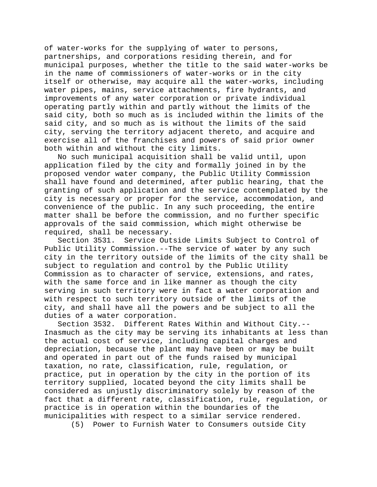of water-works for the supplying of water to persons, partnerships, and corporations residing therein, and for municipal purposes, whether the title to the said water-works be in the name of commissioners of water-works or in the city itself or otherwise, may acquire all the water-works, including water pipes, mains, service attachments, fire hydrants, and improvements of any water corporation or private individual operating partly within and partly without the limits of the said city, both so much as is included within the limits of the said city, and so much as is without the limits of the said city, serving the territory adjacent thereto, and acquire and exercise all of the franchises and powers of said prior owner both within and without the city limits.

No such municipal acquisition shall be valid until, upon application filed by the city and formally joined in by the proposed vendor water company, the Public Utility Commission shall have found and determined, after public hearing, that the granting of such application and the service contemplated by the city is necessary or proper for the service, accommodation, and convenience of the public. In any such proceeding, the entire matter shall be before the commission, and no further specific approvals of the said commission, which might otherwise be required, shall be necessary.

Section 3531. Service Outside Limits Subject to Control of Public Utility Commission.--The service of water by any such city in the territory outside of the limits of the city shall be subject to regulation and control by the Public Utility Commission as to character of service, extensions, and rates, with the same force and in like manner as though the city serving in such territory were in fact a water corporation and with respect to such territory outside of the limits of the city, and shall have all the powers and be subject to all the duties of a water corporation.

Section 3532. Different Rates Within and Without City.-- Inasmuch as the city may be serving its inhabitants at less than the actual cost of service, including capital charges and depreciation, because the plant may have been or may be built and operated in part out of the funds raised by municipal taxation, no rate, classification, rule, regulation, or practice, put in operation by the city in the portion of its territory supplied, located beyond the city limits shall be considered as unjustly discriminatory solely by reason of the fact that a different rate, classification, rule, regulation, or practice is in operation within the boundaries of the municipalities with respect to a similar service rendered.

(5) Power to Furnish Water to Consumers outside City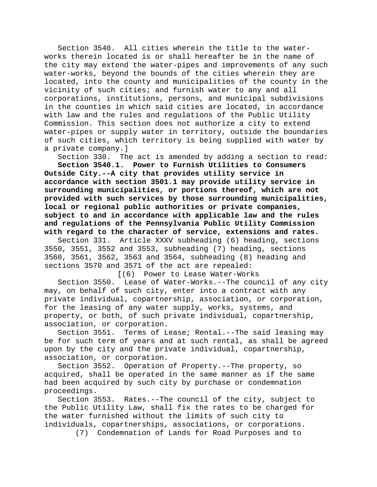Section 3540. All cities wherein the title to the waterworks therein located is or shall hereafter be in the name of the city may extend the water-pipes and improvements of any such water-works, beyond the bounds of the cities wherein they are located, into the county and municipalities of the county in the vicinity of such cities; and furnish water to any and all corporations, institutions, persons, and municipal subdivisions in the counties in which said cities are located, in accordance with law and the rules and regulations of the Public Utility Commission. This section does not authorize a city to extend water-pipes or supply water in territory, outside the boundaries of such cities, which territory is being supplied with water by a private company.]<br>Section 330. Th

Section 330. The act is amended by adding a section to read:<br>Section 3540.1. Power to Furnish Utilities to Consumers

Power to Furnish Utilities to Consumers **Outside City.--A city that provides utility service in accordance with section 3501.1 may provide utility service in surrounding municipalities, or portions thereof, which are not provided with such services by those surrounding municipalities, local or regional public authorities or private companies, subject to and in accordance with applicable law and the rules and regulations of the Pennsylvania Public Utility Commission with regard to the character of service, extensions and rates.**

Section 331. Article XXXV subheading (6) heading, sections 3550, 3551, 3552 and 3553, subheading (7) heading, sections 3560, 3561, 3562, 3563 and 3564, subheading (8) heading and sections 3570 and 3571 of the act are repealed: [(6) Power to Lease Water-Works

Section 3550. Lease of Water-Works.--The council of any city may, on behalf of such city, enter into a contract with any private individual, copartnership, association, or corporation, for the leasing of any water supply, works, systems, and property, or both, of such private individual, copartnership, association, or corporation.

Section 3551. Terms of Lease; Rental.--The said leasing may be for such term of years and at such rental, as shall be agreed upon by the city and the private individual, copartnership, association, or corporation.

Section 3552. Operation of Property.--The property, so acquired, shall be operated in the same manner as if the same had been acquired by such city by purchase or condemnation proceedings.

Section 3553. Rates.--The council of the city, subject to the Public Utility Law, shall fix the rates to be charged for the water furnished without the limits of such city to individuals, copartnerships, associations, or corporations.

(7) Condemnation of Lands for Road Purposes and to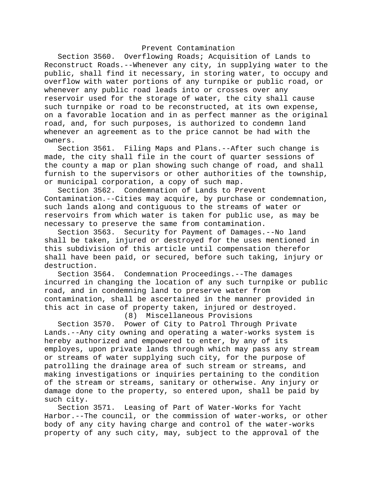#### Prevent Contamination

Section 3560. Overflowing Roads; Acquisition of Lands to Reconstruct Roads.--Whenever any city, in supplying water to the public, shall find it necessary, in storing water, to occupy and overflow with water portions of any turnpike or public road, or whenever any public road leads into or crosses over any reservoir used for the storage of water, the city shall cause such turnpike or road to be reconstructed, at its own expense, on a favorable location and in as perfect manner as the original road, and, for such purposes, is authorized to condemn land whenever an agreement as to the price cannot be had with the owners.

Section 3561. Filing Maps and Plans.--After such change is made, the city shall file in the court of quarter sessions of the county a map or plan showing such change of road, and shall furnish to the supervisors or other authorities of the township, or municipal corporation, a copy of such map.

Section 3562. Condemnation of Lands to Prevent Contamination.--Cities may acquire, by purchase or condemnation, such lands along and contiguous to the streams of water or reservoirs from which water is taken for public use, as may be necessary to preserve the same from contamination.

Section 3563. Security for Payment of Damages.--No land shall be taken, injured or destroyed for the uses mentioned in this subdivision of this article until compensation therefor shall have been paid, or secured, before such taking, injury or destruction.

Section 3564. Condemnation Proceedings.--The damages incurred in changing the location of any such turnpike or public road, and in condemning land to preserve water from contamination, shall be ascertained in the manner provided in this act in case of property taken, injured or destroyed.

(8) Miscellaneous Provisions

Section 3570. Power of City to Patrol Through Private Lands.--Any city owning and operating a water-works system is hereby authorized and empowered to enter, by any of its employes, upon private lands through which may pass any stream or streams of water supplying such city, for the purpose of patrolling the drainage area of such stream or streams, and making investigations or inquiries pertaining to the condition of the stream or streams, sanitary or otherwise. Any injury or damage done to the property, so entered upon, shall be paid by such city.<br>Section 3571.

Leasing of Part of Water-Works for Yacht Harbor.--The council, or the commission of water-works, or other body of any city having charge and control of the water-works property of any such city, may, subject to the approval of the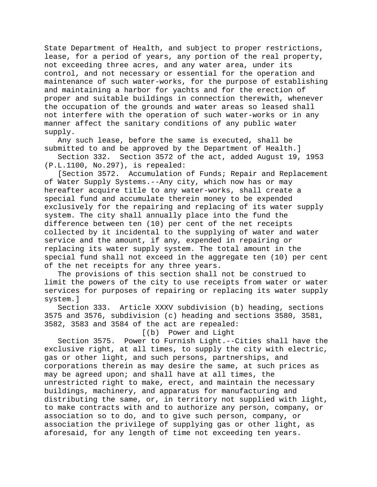State Department of Health, and subject to proper restrictions, lease, for a period of years, any portion of the real property, not exceeding three acres, and any water area, under its control, and not necessary or essential for the operation and maintenance of such water-works, for the purpose of establishing and maintaining a harbor for yachts and for the erection of proper and suitable buildings in connection therewith, whenever the occupation of the grounds and water areas so leased shall not interfere with the operation of such water-works or in any manner affect the sanitary conditions of any public water supply.

Any such lease, before the same is executed, shall be submitted to and be approved by the Department of Health.]<br>Section 332. Section 3572 of the act, added August 19,

Section 3572 of the act, added August 19, 1953 (P.L.1100, No.297), is repealed:

[Section 3572. Accumulation of Funds; Repair and Replacement of Water Supply Systems.--Any city, which now has or may hereafter acquire title to any water-works, shall create a special fund and accumulate therein money to be expended exclusively for the repairing and replacing of its water supply system. The city shall annually place into the fund the difference between ten (10) per cent of the net receipts collected by it incidental to the supplying of water and water service and the amount, if any, expended in repairing or replacing its water supply system. The total amount in the special fund shall not exceed in the aggregate ten (10) per cent of the net receipts for any three years.

The provisions of this section shall not be construed to limit the powers of the city to use receipts from water or water services for purposes of repairing or replacing its water supply system.]

Section 333. Article XXXV subdivision (b) heading, sections 3575 and 3576, subdivision (c) heading and sections 3580, 3581, 3582, 3583 and 3584 of the act are repealed:

[(b) Power and Light

Section 3575. Power to Furnish Light.--Cities shall have the exclusive right, at all times, to supply the city with electric, gas or other light, and such persons, partnerships, and corporations therein as may desire the same, at such prices as may be agreed upon; and shall have at all times, the unrestricted right to make, erect, and maintain the necessary buildings, machinery, and apparatus for manufacturing and distributing the same, or, in territory not supplied with light, to make contracts with and to authorize any person, company, or association so to do, and to give such person, company, or association the privilege of supplying gas or other light, as aforesaid, for any length of time not exceeding ten years.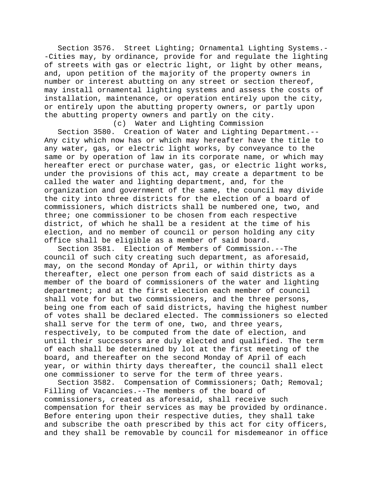Section 3576. Street Lighting; Ornamental Lighting Systems.- -Cities may, by ordinance, provide for and regulate the lighting of streets with gas or electric light, or light by other means, and, upon petition of the majority of the property owners in number or interest abutting on any street or section thereof, may install ornamental lighting systems and assess the costs of installation, maintenance, or operation entirely upon the city, or entirely upon the abutting property owners, or partly upon the abutting property owners and partly on the city.

(c) Water and Lighting Commission Section 3580. Creation of Water and Lighting Department.-- Any city which now has or which may hereafter have the title to any water, gas, or electric light works, by conveyance to the same or by operation of law in its corporate name, or which may hereafter erect or purchase water, gas, or electric light works, under the provisions of this act, may create a department to be called the water and lighting department, and, for the organization and government of the same, the council may divide the city into three districts for the election of a board of commissioners, which districts shall be numbered one, two, and three; one commissioner to be chosen from each respective district, of which he shall be a resident at the time of his election, and no member of council or person holding any city office shall be eligible as a member of said board.

Section 3581. Election of Members of Commission.--The council of such city creating such department, as aforesaid, may, on the second Monday of April, or within thirty days thereafter, elect one person from each of said districts as a member of the board of commissioners of the water and lighting department; and at the first election each member of council shall vote for but two commissioners, and the three persons, being one from each of said districts, having the highest number of votes shall be declared elected. The commissioners so elected shall serve for the term of one, two, and three years, respectively, to be computed from the date of election, and until their successors are duly elected and qualified. The term of each shall be determined by lot at the first meeting of the board, and thereafter on the second Monday of April of each year, or within thirty days thereafter, the council shall elect one commissioner to serve for the term of three years.

Section 3582. Compensation of Commissioners; Oath; Removal; Filling of Vacancies.--The members of the board of commissioners, created as aforesaid, shall receive such compensation for their services as may be provided by ordinance. Before entering upon their respective duties, they shall take and subscribe the oath prescribed by this act for city officers, and they shall be removable by council for misdemeanor in office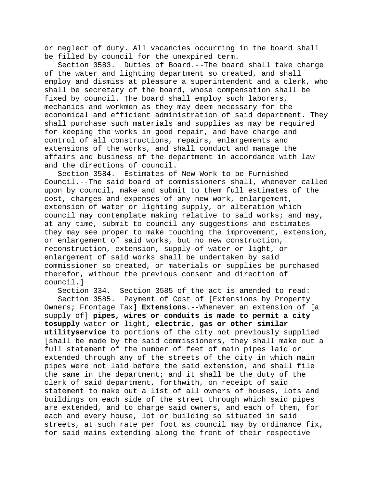or neglect of duty. All vacancies occurring in the board shall be filled by council for the unexpired term.

Section 3583. Duties of Board.--The board shall take charge of the water and lighting department so created, and shall employ and dismiss at pleasure a superintendent and a clerk, who shall be secretary of the board, whose compensation shall be fixed by council. The board shall employ such laborers, mechanics and workmen as they may deem necessary for the economical and efficient administration of said department. They shall purchase such materials and supplies as may be required for keeping the works in good repair, and have charge and control of all constructions, repairs, enlargements and extensions of the works, and shall conduct and manage the affairs and business of the department in accordance with law and the directions of council.

Section 3584. Estimates of New Work to be Furnished Council.--The said board of commissioners shall, whenever called upon by council, make and submit to them full estimates of the cost, charges and expenses of any new work, enlargement, extension of water or lighting supply, or alteration which council may contemplate making relative to said works; and may, at any time, submit to council any suggestions and estimates they may see proper to make touching the improvement, extension, or enlargement of said works, but no new construction, reconstruction, extension, supply of water or light, or enlargement of said works shall be undertaken by said commissioner so created, or materials or supplies be purchased therefor, without the previous consent and direction of council.]

Section 334. Section 3585 of the act is amended to read: Section 3585. Payment of Cost of [Extensions by Property Owners; Frontage Tax] **Extensions**.--Whenever an extension of [a supply of] **pipes, wires or conduits is made to permit a city tosupply** water or light**, electric, gas or other similar utilityservice** to portions of the city not previously supplied [shall be made by the said commissioners, they shall make out a full statement of the number of feet of main pipes laid or extended through any of the streets of the city in which main pipes were not laid before the said extension, and shall file the same in the department; and it shall be the duty of the clerk of said department, forthwith, on receipt of said statement to make out a list of all owners of houses, lots and buildings on each side of the street through which said pipes are extended, and to charge said owners, and each of them, for each and every house, lot or building so situated in said streets, at such rate per foot as council may by ordinance fix, for said mains extending along the front of their respective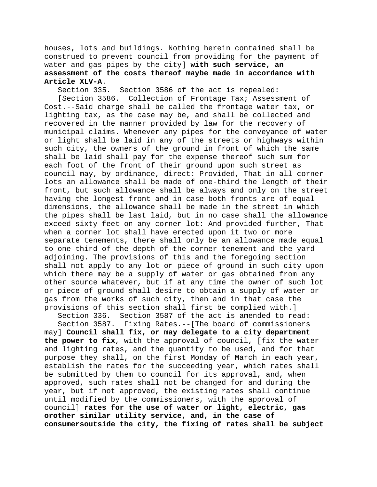houses, lots and buildings. Nothing herein contained shall be construed to prevent council from providing for the payment of water and gas pipes by the city] **with such service, an assessment of the costs thereof maybe made in accordance with Article XLV-A**.

Section 3586 of the act is repealed:

[Section 3586. Collection of Frontage Tax; Assessment of Cost.--Said charge shall be called the frontage water tax, or lighting tax, as the case may be, and shall be collected and recovered in the manner provided by law for the recovery of municipal claims. Whenever any pipes for the conveyance of water or light shall be laid in any of the streets or highways within such city, the owners of the ground in front of which the same shall be laid shall pay for the expense thereof such sum for each foot of the front of their ground upon such street as council may, by ordinance, direct: Provided, That in all corner lots an allowance shall be made of one-third the length of their front, but such allowance shall be always and only on the street having the longest front and in case both fronts are of equal dimensions, the allowance shall be made in the street in which the pipes shall be last laid, but in no case shall the allowance exceed sixty feet on any corner lot: And provided further, That when a corner lot shall have erected upon it two or more separate tenements, there shall only be an allowance made equal to one-third of the depth of the corner tenement and the yard adjoining. The provisions of this and the foregoing section shall not apply to any lot or piece of ground in such city upon which there may be a supply of water or gas obtained from any other source whatever, but if at any time the owner of such lot or piece of ground shall desire to obtain a supply of water or gas from the works of such city, then and in that case the provisions of this section shall first be complied with.]

Section 336. Section 3587 of the act is amended to read:

Section 3587. Fixing Rates.--[The board of commissioners may] **Council shall fix, or may delegate to a city department the power to fix**, with the approval of council, [fix the water and lighting rates, and the quantity to be used, and for that purpose they shall, on the first Monday of March in each year, establish the rates for the succeeding year, which rates shall be submitted by them to council for its approval, and, when approved, such rates shall not be changed for and during the year, but if not approved, the existing rates shall continue until modified by the commissioners, with the approval of council] **rates for the use of water or light, electric, gas orother similar utility service, and, in the case of consumersoutside the city, the fixing of rates shall be subject**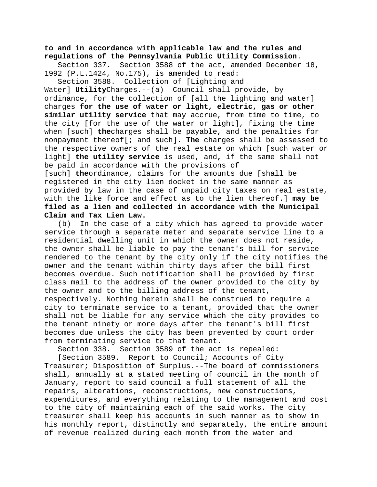**to and in accordance with applicable law and the rules and regulations of the Pennsylvania Public Utility Commission**.

Section 337. Section 3588 of the act, amended December 18, 1992 (P.L.1424, No.175), is amended to read:

Section 3588. Collection of [Lighting and Water] **Utility**Charges.--(a) Council shall provide, by ordinance, for the collection of [all the lighting and water] charges **for the use of water or light, electric, gas or other similar utility service** that may accrue, from time to time, to the city [for the use of the water or light], fixing the time when [such] **the**charges shall be payable, and the penalties for nonpayment thereof[; and such]**. The** charges shall be assessed to the respective owners of the real estate on which [such water or light] **the utility service** is used, and**,** if the same shall not be paid in accordance with the provisions of [such] **the**ordinance, claims for the amounts due [shall be registered in the city lien docket in the same manner as provided by law in the case of unpaid city taxes on real estate, with the like force and effect as to the lien thereof.] **may be filed as a lien and collected in accordance with the Municipal Claim and Tax Lien Law.**

(b) In the case of a city which has agreed to provide water service through a separate meter and separate service line to a residential dwelling unit in which the owner does not reside, the owner shall be liable to pay the tenant's bill for service rendered to the tenant by the city only if the city notifies the owner and the tenant within thirty days after the bill first becomes overdue. Such notification shall be provided by first class mail to the address of the owner provided to the city by the owner and to the billing address of the tenant, respectively. Nothing herein shall be construed to require a city to terminate service to a tenant, provided that the owner shall not be liable for any service which the city provides to the tenant ninety or more days after the tenant's bill first becomes due unless the city has been prevented by court order from terminating service to that tenant.

Section 338. Section 3589 of the act is repealed:

[Section 3589. Report to Council; Accounts of City Treasurer; Disposition of Surplus.--The board of commissioners shall, annually at a stated meeting of council in the month of January, report to said council a full statement of all the repairs, alterations, reconstructions, new constructions, expenditures, and everything relating to the management and cost to the city of maintaining each of the said works. The city treasurer shall keep his accounts in such manner as to show in his monthly report, distinctly and separately, the entire amount of revenue realized during each month from the water and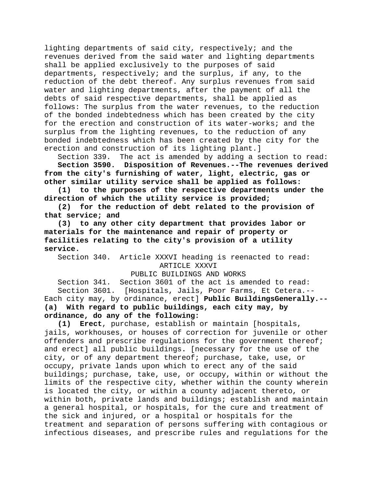lighting departments of said city, respectively; and the revenues derived from the said water and lighting departments shall be applied exclusively to the purposes of said departments, respectively; and the surplus, if any, to the reduction of the debt thereof. Any surplus revenues from said water and lighting departments, after the payment of all the debts of said respective departments, shall be applied as follows: The surplus from the water revenues, to the reduction of the bonded indebtedness which has been created by the city for the erection and construction of its water-works; and the surplus from the lighting revenues, to the reduction of any bonded indebtedness which has been created by the city for the erection and construction of its lighting plant.]

Section 339. The act is amended by adding a section to read: **Section 3590. Disposition of Revenues.--The revenues derived from the city's furnishing of water, light, electric, gas or other similar utility service shall be applied as follows:**

**(1) to the purposes of the respective departments under the direction of which the utility service is provided;**

**(2) for the reduction of debt related to the provision of that service; and**

**(3) to any other city department that provides labor or materials for the maintenance and repair of property or facilities relating to the city's provision of a utility service.**

Section 340. Article XXXVI heading is reenacted to read: ARTICLE XXXVI

## PUBLIC BUILDINGS AND WORKS

Section 341. Section 3601 of the act is amended to read: Section 3601. [Hospitals, Jails, Poor Farms, Et Cetera.-- Each city may, by ordinance, erect] **Public BuildingsGenerally.-- (a) With regard to public buildings, each city may, by ordinance, do any of the following:**

**(1) Erect**, purchase, establish or maintain [hospitals, jails, workhouses, or houses of correction for juvenile or other offenders and prescribe regulations for the government thereof; and erect] all public buildings**.** [necessary for the use of the city, or of any department thereof; purchase, take, use, or occupy, private lands upon which to erect any of the said buildings; purchase, take, use, or occupy, within or without the limits of the respective city, whether within the county wherein is located the city, or within a county adjacent thereto, or within both, private lands and buildings; establish and maintain a general hospital, or hospitals, for the cure and treatment of the sick and injured, or a hospital or hospitals for the treatment and separation of persons suffering with contagious or infectious diseases, and prescribe rules and regulations for the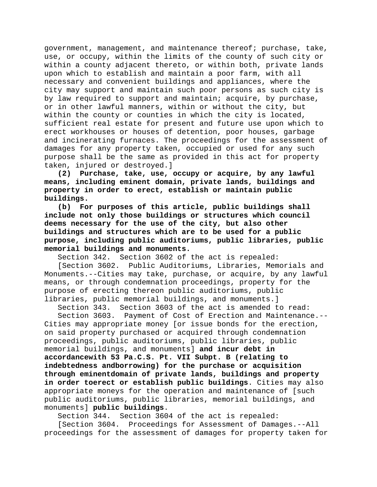government, management, and maintenance thereof; purchase, take, use, or occupy, within the limits of the county of such city or within a county adjacent thereto, or within both, private lands upon which to establish and maintain a poor farm, with all necessary and convenient buildings and appliances, where the city may support and maintain such poor persons as such city is by law required to support and maintain; acquire, by purchase, or in other lawful manners, within or without the city, but within the county or counties in which the city is located, sufficient real estate for present and future use upon which to erect workhouses or houses of detention, poor houses, garbage and incinerating furnaces. The proceedings for the assessment of damages for any property taken, occupied or used for any such purpose shall be the same as provided in this act for property taken, injured or destroyed.]

**(2) Purchase, take, use, occupy or acquire, by any lawful means, including eminent domain, private lands, buildings and property in order to erect, establish or maintain public buildings.**

**(b) For purposes of this article, public buildings shall include not only those buildings or structures which council deems necessary for the use of the city, but also other buildings and structures which are to be used for a public purpose, including public auditoriums, public libraries, public memorial buildings and monuments.**

Section 342. Section 3602 of the act is repealed:<br>[Section 3602. Public Auditoriums, Libraries, Mem Public Auditoriums, Libraries, Memorials and Monuments.--Cities may take, purchase, or acquire, by any lawful means, or through condemnation proceedings, property for the purpose of erecting thereon public auditoriums, public

libraries, public memorial buildings, and monuments.]<br>Section 343. Section 3603 of the act is amended to Section 3603 of the act is amended to read:

Section 3603. Payment of Cost of Erection and Maintenance.-- Cities may appropriate money [or issue bonds for the erection, on said property purchased or acquired through condemnation proceedings, public auditoriums, public libraries, public memorial buildings, and monuments] **and incur debt in accordancewith 53 Pa.C.S. Pt. VII Subpt. B (relating to indebtedness andborrowing) for the purchase or acquisition through eminentdomain of private lands, buildings and property in order toerect or establish public buildings**. Cities may also appropriate moneys for the operation and maintenance of [such public auditoriums, public libraries, memorial buildings, and monuments] **public buildings**.

Section 344. Section 3604 of the act is repealed:

[Section 3604. Proceedings for Assessment of Damages.--All proceedings for the assessment of damages for property taken for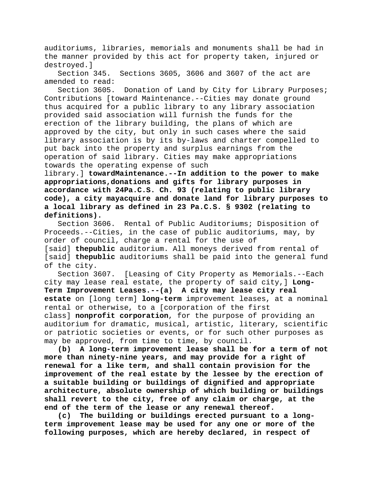auditoriums, libraries, memorials and monuments shall be had in the manner provided by this act for property taken, injured or destroyed.]<br>Section 345.

Sections 3605, 3606 and 3607 of the act are amended to read:

Section 3605. Donation of Land by City for Library Purposes; Contributions [toward Maintenance.--Cities may donate ground thus acquired for a public library to any library association provided said association will furnish the funds for the erection of the library building, the plans of which are approved by the city, but only in such cases where the said library association is by its by-laws and charter compelled to put back into the property and surplus earnings from the operation of said library. Cities may make appropriations towards the operating expense of such

library.] **towardMaintenance.--In addition to the power to make appropriations,donations and gifts for library purposes in accordance with 24Pa.C.S. Ch. 93 (relating to public library code), a city mayacquire and donate land for library purposes to a local library as defined in 23 Pa.C.S. § 9302 (relating to definitions).**

Section 3606. Rental of Public Auditoriums; Disposition of Proceeds.--Cities, in the case of public auditoriums, may, by order of council, charge a rental for the use of [said] **thepublic** auditorium. All moneys derived from rental of [said] **thepublic** auditoriums shall be paid into the general fund of the city.

Section 3607. [Leasing of City Property as Memorials.--Each city may lease real estate, the property of said city,] **Long-Term Improvement Leases.--(a) A city may lease city real estate** on [long term] **long-term** improvement leases, at a nominal rental or otherwise, to a [corporation of the first class] **nonprofit corporation**, for the purpose of providing an auditorium for dramatic, musical, artistic, literary, scientific or patriotic societies or events, or for such other purposes as may be approved, from time to time, by council.

**(b) A long-term improvement lease shall be for a term of not more than ninety-nine years, and may provide for a right of renewal for a like term, and shall contain provision for the improvement of the real estate by the lessee by the erection of a suitable building or buildings of dignified and appropriate architecture, absolute ownership of which building or buildings shall revert to the city, free of any claim or charge, at the end of the term of the lease or any renewal thereof.**

**(c) The building or buildings erected pursuant to a longterm improvement lease may be used for any one or more of the following purposes, which are hereby declared, in respect of**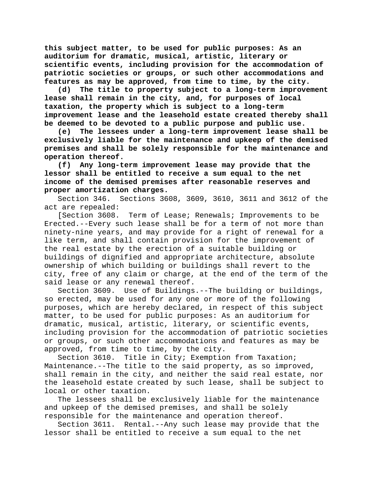**this subject matter, to be used for public purposes: As an auditorium for dramatic, musical, artistic, literary or scientific events, including provision for the accommodation of patriotic societies or groups, or such other accommodations and features as may be approved, from time to time, by the city.**

**(d) The title to property subject to a long-term improvement lease shall remain in the city, and, for purposes of local taxation, the property which is subject to a long-term improvement lease and the leasehold estate created thereby shall be deemed to be devoted to a public purpose and public use.**

**(e) The lessees under a long-term improvement lease shall be exclusively liable for the maintenance and upkeep of the demised premises and shall be solely responsible for the maintenance and operation thereof.**

**(f) Any long-term improvement lease may provide that the lessor shall be entitled to receive a sum equal to the net income of the demised premises after reasonable reserves and proper amortization charges.**

Section 346. Sections 3608, 3609, 3610, 3611 and 3612 of the act are repealed:

[Section 3608. Term of Lease; Renewals; Improvements to be Erected.--Every such lease shall be for a term of not more than ninety-nine years, and may provide for a right of renewal for a like term, and shall contain provision for the improvement of the real estate by the erection of a suitable building or buildings of dignified and appropriate architecture, absolute ownership of which building or buildings shall revert to the city, free of any claim or charge, at the end of the term of the said lease or any renewal thereof.

Section 3609. Use of Buildings.--The building or buildings, so erected, may be used for any one or more of the following purposes, which are hereby declared, in respect of this subject matter, to be used for public purposes: As an auditorium for dramatic, musical, artistic, literary, or scientific events, including provision for the accommodation of patriotic societies or groups, or such other accommodations and features as may be approved, from time to time, by the city.

Section 3610. Title in City; Exemption from Taxation; Maintenance.--The title to the said property, as so improved, shall remain in the city, and neither the said real estate, nor the leasehold estate created by such lease, shall be subject to local or other taxation.

The lessees shall be exclusively liable for the maintenance and upkeep of the demised premises, and shall be solely responsible for the maintenance and operation thereof.

Section 3611. Rental.--Any such lease may provide that the lessor shall be entitled to receive a sum equal to the net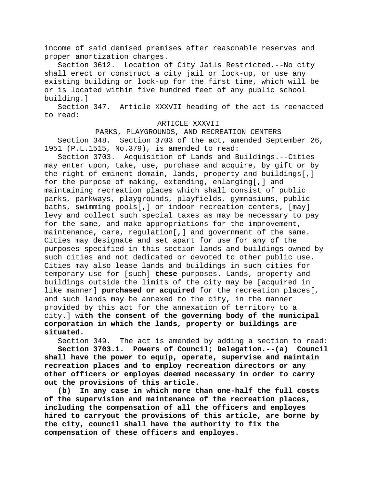income of said demised premises after reasonable reserves and proper amortization charges.<br>Section 3612. Location o

Location of City Jails Restricted.--No city shall erect or construct a city jail or lock-up, or use any existing building or lock-up for the first time, which will be or is located within five hundred feet of any public school building.]

Section 347. Article XXXVII heading of the act is reenacted to read:

#### ARTICLE XXXVII

PARKS, PLAYGROUNDS, AND RECREATION CENTERS Section 348. Section 3703 of the act, amended September 26, 1951 (P.L.1515, No.379), is amended to read:

Section 3703. Acquisition of Lands and Buildings.--Cities may enter upon, take, use, purchase and acquire, by gift or by the right of eminent domain, lands, property and buildings[,] for the purpose of making, extending, enlarging[,] and maintaining recreation places which shall consist of public parks, parkways, playgrounds, playfields, gymnasiums, public baths, swimming pools[,] or indoor recreation centers, [may] levy and collect such special taxes as may be necessary to pay for the same, and make appropriations for the improvement, maintenance, care, regulation[,] and government of the same. Cities may designate and set apart for use for any of the purposes specified in this section lands and buildings owned by such cities and not dedicated or devoted to other public use. Cities may also lease lands and buildings in such cities for temporary use for [such] **these** purposes. Lands, property and buildings outside the limits of the city may be [acquired in like manner] **purchased or acquired** for the recreation places[, and such lands may be annexed to the city, in the manner provided by this act for the annexation of territory to a city.] **with the consent of the governing body of the municipal corporation in which the lands, property or buildings are situated.**

Section 349. The act is amended by adding a section to read:

**Section 3703.1. Powers of Council; Delegation.--(a) Council shall have the power to equip, operate, supervise and maintain recreation places and to employ recreation directors or any other officers or employes deemed necessary in order to carry out the provisions of this article.**

**(b) In any case in which more than one-half the full costs of the supervision and maintenance of the recreation places, including the compensation of all the officers and employes hired to carryout the provisions of this article, are borne by the city, council shall have the authority to fix the compensation of these officers and employes.**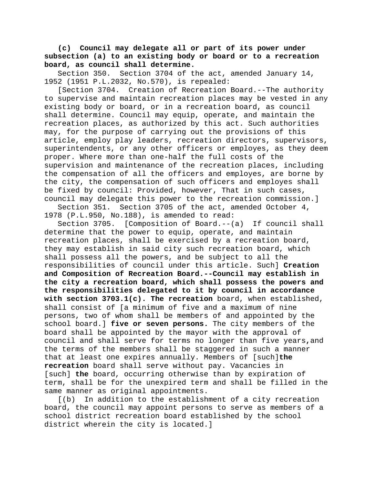**(c) Council may delegate all or part of its power under subsection (a) to an existing body or board or to a recreation board, as council shall determine.**

Section 350. Section 3704 of the act, amended January 14, 1952 (1951 P.L.2032, No.570), is repealed:

[Section 3704. Creation of Recreation Board.--The authority to supervise and maintain recreation places may be vested in any existing body or board, or in a recreation board, as council shall determine. Council may equip, operate, and maintain the recreation places, as authorized by this act. Such authorities may, for the purpose of carrying out the provisions of this article, employ play leaders, recreation directors, supervisors, superintendents, or any other officers or employes, as they deem proper. Where more than one-half the full costs of the supervision and maintenance of the recreation places, including the compensation of all the officers and employes, are borne by the city, the compensation of such officers and employes shall be fixed by council: Provided, however, That in such cases, council may delegate this power to the recreation commission.]

Section 351. Section 3705 of the act, amended October 4, 1978 (P.L.950, No.188), is amended to read:

Section 3705. [Composition of Board.--(a) If council shall determine that the power to equip, operate, and maintain recreation places, shall be exercised by a recreation board, they may establish in said city such recreation board, which shall possess all the powers, and be subject to all the responsibilities of council under this article. Such] **Creation and Composition of Recreation Board.--Council may establish in the city a recreation board, which shall possess the powers and the responsibilities delegated to it by council in accordance with section 3703.1(c). The recreation** board, when established, shall consist of [a minimum of five and a maximum of nine persons, two of whom shall be members of and appointed by the school board.] **five or seven persons.** The city members of the board shall be appointed by the mayor with the approval of council and shall serve for terms no longer than five years**,**and the terms of the members shall be staggered in such a manner that at least one expires annually. Members of [such]**the recreation** board shall serve without pay. Vacancies in [such] **the** board, occurring otherwise than by expiration of term, shall be for the unexpired term and shall be filled in the same manner as original appointments.

[(b) In addition to the establishment of a city recreation board, the council may appoint persons to serve as members of a school district recreation board established by the school district wherein the city is located.]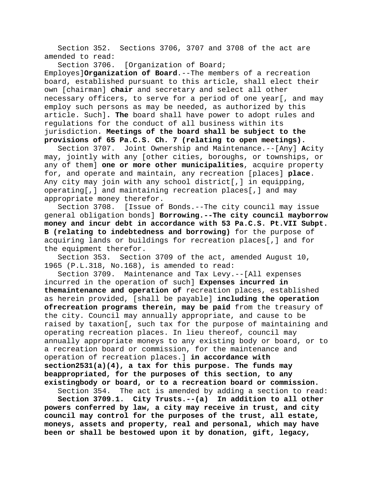Section 352. Sections 3706, 3707 and 3708 of the act are amended to read:

Section 3706. [Organization of Board; Employes]**Organization of Board**.--The members of a recreation board, established pursuant to this article, shall elect their own [chairman] **chair** and secretary and select all other necessary officers, to serve for a period of one year[, and may employ such persons as may be needed, as authorized by this article. Such]**. The** board shall have power to adopt rules and regulations for the conduct of all business within its jurisdiction. **Meetings of the board shall be subject to the provisions of 65 Pa.C.S. Ch. 7 (relating to open meetings).**

Section 3707. Joint Ownership and Maintenance.--[Any] **A**city may, jointly with any [other cities, boroughs, or townships, or any of them] **one or more other municipalities**, acquire property for, and operate and maintain, any recreation [places] **place**. Any city may join with any school district[,] in equipping, operating[,] and maintaining recreation places[,] and may appropriate money therefor.

Section 3708. [Issue of Bonds.--The city council may issue general obligation bonds] **Borrowing.--The city council mayborrow money and incur debt in accordance with 53 Pa.C.S. Pt.VII Subpt. B (relating to indebtedness and borrowing)** for the purpose of acquiring lands or buildings for recreation places[,] and for the equipment therefor.

Section 353. Section 3709 of the act, amended August 10, 1965 (P.L.318, No.168), is amended to read:

Section 3709. Maintenance and Tax Levy.--[All expenses incurred in the operation of such] **Expenses incurred in themaintenance and operation of** recreation places, established as herein provided, [shall be payable] **including the operation ofrecreation programs therein, may be paid** from the treasury of the city. Council may annually appropriate, and cause to be raised by taxation[, such tax for the purpose of maintaining and operating recreation places. In lieu thereof, council may annually appropriate moneys to any existing body or board, or to a recreation board or commission, for the maintenance and operation of recreation places.] **in accordance with section2531(a)(4), a tax for this purpose. The funds may beappropriated, for the purposes of this section, to any existingbody or board, or to a recreation board or commission.**

Section 354. The act is amended by adding a section to read: **Section 3709.1. City Trusts.--(a) In addition to all other powers conferred by law, a city may receive in trust, and city council may control for the purposes of the trust, all estate, moneys, assets and property, real and personal, which may have been or shall be bestowed upon it by donation, gift, legacy,**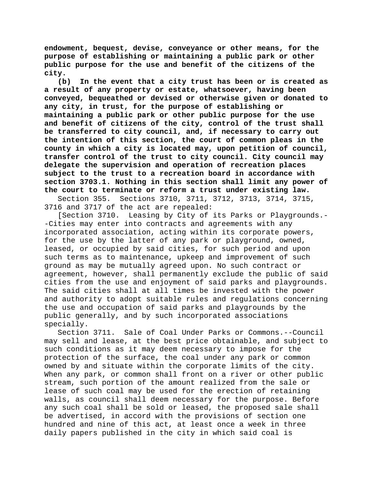**endowment, bequest, devise, conveyance or other means, for the purpose of establishing or maintaining a public park or other public purpose for the use and benefit of the citizens of the city.**

**(b) In the event that a city trust has been or is created as a result of any property or estate, whatsoever, having been conveyed, bequeathed or devised or otherwise given or donated to any city, in trust, for the purpose of establishing or maintaining a public park or other public purpose for the use and benefit of citizens of the city, control of the trust shall be transferred to city council, and, if necessary to carry out the intention of this section, the court of common pleas in the county in which a city is located may, upon petition of council, transfer control of the trust to city council. City council may delegate the supervision and operation of recreation places subject to the trust to a recreation board in accordance with section 3703.1. Nothing in this section shall limit any power of the court to terminate or reform a trust under existing law.**

Section 355. Sections 3710, 3711, 3712, 3713, 3714, 3715, 3716 and 3717 of the act are repealed:

[Section 3710. Leasing by City of its Parks or Playgrounds.- -Cities may enter into contracts and agreements with any incorporated association, acting within its corporate powers, for the use by the latter of any park or playground, owned, leased, or occupied by said cities, for such period and upon such terms as to maintenance, upkeep and improvement of such ground as may be mutually agreed upon. No such contract or agreement, however, shall permanently exclude the public of said cities from the use and enjoyment of said parks and playgrounds. The said cities shall at all times be invested with the power and authority to adopt suitable rules and regulations concerning the use and occupation of said parks and playgrounds by the public generally, and by such incorporated associations specially.

Section 3711. Sale of Coal Under Parks or Commons.--Council may sell and lease, at the best price obtainable, and subject to such conditions as it may deem necessary to impose for the protection of the surface, the coal under any park or common owned by and situate within the corporate limits of the city. When any park, or common shall front on a river or other public stream, such portion of the amount realized from the sale or lease of such coal may be used for the erection of retaining walls, as council shall deem necessary for the purpose. Before any such coal shall be sold or leased, the proposed sale shall be advertised, in accord with the provisions of section one hundred and nine of this act, at least once a week in three daily papers published in the city in which said coal is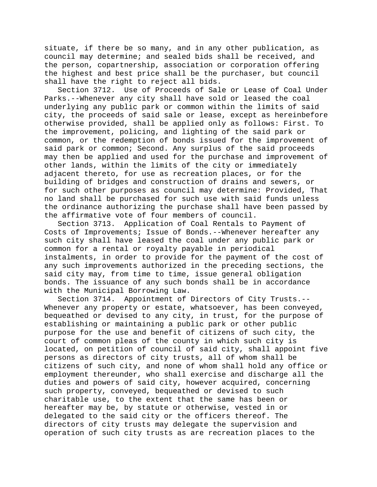situate, if there be so many, and in any other publication, as council may determine; and sealed bids shall be received, and the person, copartnership, association or corporation offering the highest and best price shall be the purchaser, but council shall have the right to reject all bids.

Section 3712. Use of Proceeds of Sale or Lease of Coal Under Parks.--Whenever any city shall have sold or leased the coal underlying any public park or common within the limits of said city, the proceeds of said sale or lease, except as hereinbefore otherwise provided, shall be applied only as follows: First. To the improvement, policing, and lighting of the said park or common, or the redemption of bonds issued for the improvement of said park or common; Second. Any surplus of the said proceeds may then be applied and used for the purchase and improvement of other lands, within the limits of the city or immediately adjacent thereto, for use as recreation places, or for the building of bridges and construction of drains and sewers, or for such other purposes as council may determine: Provided, That no land shall be purchased for such use with said funds unless the ordinance authorizing the purchase shall have been passed by the affirmative vote of four members of council.<br>Section 3713. Application of Coal Rentals to

Application of Coal Rentals to Payment of Costs of Improvements; Issue of Bonds.--Whenever hereafter any such city shall have leased the coal under any public park or common for a rental or royalty payable in periodical instalments, in order to provide for the payment of the cost of any such improvements authorized in the preceding sections, the said city may, from time to time, issue general obligation bonds. The issuance of any such bonds shall be in accordance with the Municipal Borrowing Law.<br>Section 3714. Appointment of

Appointment of Directors of City Trusts.--Whenever any property or estate, whatsoever, has been conveyed, bequeathed or devised to any city, in trust, for the purpose of establishing or maintaining a public park or other public purpose for the use and benefit of citizens of such city, the court of common pleas of the county in which such city is located, on petition of council of said city, shall appoint five persons as directors of city trusts, all of whom shall be citizens of such city, and none of whom shall hold any office or employment thereunder, who shall exercise and discharge all the duties and powers of said city, however acquired, concerning such property, conveyed, bequeathed or devised to such charitable use, to the extent that the same has been or hereafter may be, by statute or otherwise, vested in or delegated to the said city or the officers thereof. The directors of city trusts may delegate the supervision and operation of such city trusts as are recreation places to the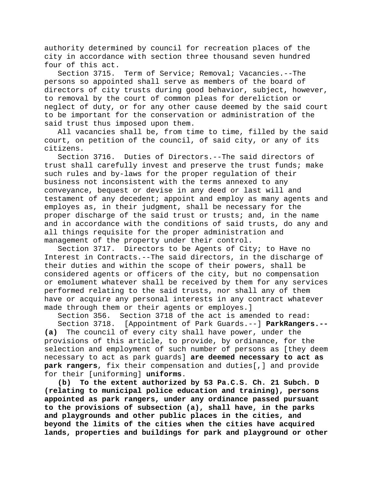authority determined by council for recreation places of the city in accordance with section three thousand seven hundred four of this act.

Section 3715. Term of Service; Removal; Vacancies.--The persons so appointed shall serve as members of the board of directors of city trusts during good behavior, subject, however, to removal by the court of common pleas for dereliction or neglect of duty, or for any other cause deemed by the said court to be important for the conservation or administration of the said trust thus imposed upon them.

All vacancies shall be, from time to time, filled by the said court, on petition of the council, of said city, or any of its citizens.

Section 3716. Duties of Directors.--The said directors of trust shall carefully invest and preserve the trust funds; make such rules and by-laws for the proper regulation of their business not inconsistent with the terms annexed to any conveyance, bequest or devise in any deed or last will and testament of any decedent; appoint and employ as many agents and employes as, in their judgment, shall be necessary for the proper discharge of the said trust or trusts; and, in the name and in accordance with the conditions of said trusts, do any and all things requisite for the proper administration and management of the property under their control.

Section 3717. Directors to be Agents of City; to Have no Interest in Contracts.--The said directors, in the discharge of their duties and within the scope of their powers, shall be considered agents or officers of the city, but no compensation or emolument whatever shall be received by them for any services performed relating to the said trusts, nor shall any of them have or acquire any personal interests in any contract whatever made through them or their agents or employes.]

Section 356. Section 3718 of the act is amended to read:

Section 3718. [Appointment of Park Guards.--] **ParkRangers.-- (a)** The council of every city shall have power, under the provisions of this article, to provide, by ordinance, for the selection and employment of such number of persons as [they deem necessary to act as park guards] **are deemed necessary to act as park rangers**, fix their compensation and duties[,] and provide for their [uniforming] **uniforms**.

**(b) To the extent authorized by 53 Pa.C.S. Ch. 21 Subch. D (relating to municipal police education and training), persons appointed as park rangers, under any ordinance passed pursuant to the provisions of subsection (a), shall have, in the parks and playgrounds and other public places in the cities, and beyond the limits of the cities when the cities have acquired lands, properties and buildings for park and playground or other**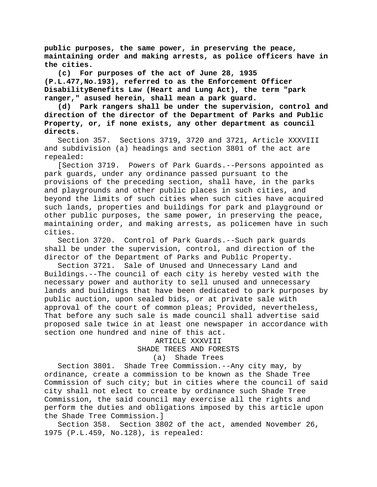**public purposes, the same power, in preserving the peace, maintaining order and making arrests, as police officers have in the cities.**

**(c) For purposes of the act of June 28, 1935 (P.L.477,No.193), referred to as the Enforcement Officer DisabilityBenefits Law (Heart and Lung Act), the term "park ranger," asused herein, shall mean a park guard.**

**(d) Park rangers shall be under the supervision, control and direction of the director of the Department of Parks and Public Property, or, if none exists, any other department as council directs.**

Section 357. Sections 3719, 3720 and 3721, Article XXXVIII and subdivision (a) headings and section 3801 of the act are repealed:

[Section 3719. Powers of Park Guards.--Persons appointed as park guards, under any ordinance passed pursuant to the provisions of the preceding section, shall have, in the parks and playgrounds and other public places in such cities, and beyond the limits of such cities when such cities have acquired such lands, properties and buildings for park and playground or other public purposes, the same power, in preserving the peace, maintaining order, and making arrests, as policemen have in such cities.

Section 3720. Control of Park Guards.--Such park guards shall be under the supervision, control, and direction of the director of the Department of Parks and Public Property.

Section 3721. Sale of Unused and Unnecessary Land and Buildings.--The council of each city is hereby vested with the necessary power and authority to sell unused and unnecessary lands and buildings that have been dedicated to park purposes by public auction, upon sealed bids, or at private sale with approval of the court of common pleas; Provided, nevertheless, That before any such sale is made council shall advertise said proposed sale twice in at least one newspaper in accordance with section one hundred and nine of this act.

ARTICLE XXXVIII

SHADE TREES AND FORESTS

(a) Shade Trees

Section 3801. Shade Tree Commission.--Any city may, by ordinance, create a commission to be known as the Shade Tree Commission of such city; but in cities where the council of said city shall not elect to create by ordinance such Shade Tree Commission, the said council may exercise all the rights and perform the duties and obligations imposed by this article upon the Shade Tree Commission.]

Section 358. Section 3802 of the act, amended November 26, 1975 (P.L.459, No.128), is repealed: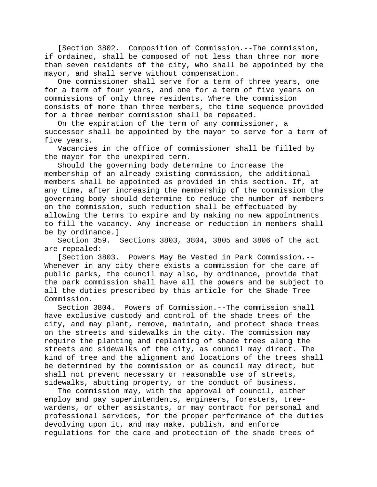[Section 3802. Composition of Commission.--The commission, if ordained, shall be composed of not less than three nor more than seven residents of the city, who shall be appointed by the mayor, and shall serve without compensation.

One commissioner shall serve for a term of three years, one for a term of four years, and one for a term of five years on commissions of only three residents. Where the commission consists of more than three members, the time sequence provided for a three member commission shall be repeated.

On the expiration of the term of any commissioner, a successor shall be appointed by the mayor to serve for a term of five years.

Vacancies in the office of commissioner shall be filled by the mayor for the unexpired term.

Should the governing body determine to increase the membership of an already existing commission, the additional members shall be appointed as provided in this section. If, at any time, after increasing the membership of the commission the governing body should determine to reduce the number of members on the commission, such reduction shall be effectuated by allowing the terms to expire and by making no new appointments to fill the vacancy. Any increase or reduction in members shall be by ordinance.]

Section 359. Sections 3803, 3804, 3805 and 3806 of the act are repealed:

[Section 3803. Powers May Be Vested in Park Commission.-- Whenever in any city there exists a commission for the care of public parks, the council may also, by ordinance, provide that the park commission shall have all the powers and be subject to all the duties prescribed by this article for the Shade Tree Commission.<br>Section 3804.

Powers of Commission. --The commission shall have exclusive custody and control of the shade trees of the city, and may plant, remove, maintain, and protect shade trees on the streets and sidewalks in the city. The commission may require the planting and replanting of shade trees along the streets and sidewalks of the city, as council may direct. The kind of tree and the alignment and locations of the trees shall be determined by the commission or as council may direct, but shall not prevent necessary or reasonable use of streets, sidewalks, abutting property, or the conduct of business.

The commission may, with the approval of council, either employ and pay superintendents, engineers, foresters, treewardens, or other assistants, or may contract for personal and professional services, for the proper performance of the duties devolving upon it, and may make, publish, and enforce regulations for the care and protection of the shade trees of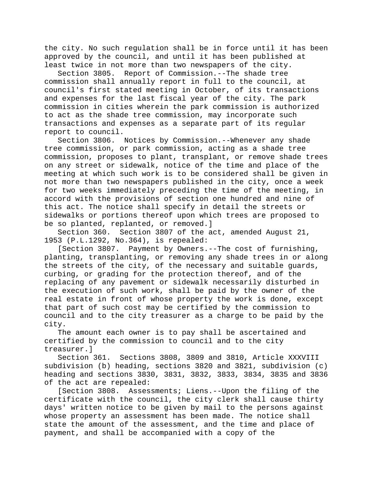the city. No such regulation shall be in force until it has been approved by the council, and until it has been published at least twice in not more than two newspapers of the city.

Section 3805. Report of Commission.--The shade tree commission shall annually report in full to the council, at council's first stated meeting in October, of its transactions and expenses for the last fiscal year of the city. The park commission in cities wherein the park commission is authorized to act as the shade tree commission, may incorporate such transactions and expenses as a separate part of its regular report to council.

Section 3806. Notices by Commission.--Whenever any shade tree commission, or park commission, acting as a shade tree commission, proposes to plant, transplant, or remove shade trees on any street or sidewalk, notice of the time and place of the meeting at which such work is to be considered shall be given in not more than two newspapers published in the city, once a week for two weeks immediately preceding the time of the meeting, in accord with the provisions of section one hundred and nine of this act. The notice shall specify in detail the streets or sidewalks or portions thereof upon which trees are proposed to be so planted, replanted, or removed.]

Section 360. Section 3807 of the act, amended August 21, 1953 (P.L.1292, No.364), is repealed:

[Section 3807. Payment by Owners.--The cost of furnishing, planting, transplanting, or removing any shade trees in or along the streets of the city, of the necessary and suitable guards, curbing, or grading for the protection thereof, and of the replacing of any pavement or sidewalk necessarily disturbed in the execution of such work, shall be paid by the owner of the real estate in front of whose property the work is done, except that part of such cost may be certified by the commission to council and to the city treasurer as a charge to be paid by the city.

The amount each owner is to pay shall be ascertained and certified by the commission to council and to the city treasurer.]<br>Section 361.

Sections 3808, 3809 and 3810, Article XXXVIII subdivision (b) heading, sections 3820 and 3821, subdivision (c) heading and sections 3830, 3831, 3832, 3833, 3834, 3835 and 3836 of the act are repealed:

[Section 3808. Assessments; Liens.--Upon the filing of the certificate with the council, the city clerk shall cause thirty days' written notice to be given by mail to the persons against whose property an assessment has been made. The notice shall state the amount of the assessment, and the time and place of payment, and shall be accompanied with a copy of the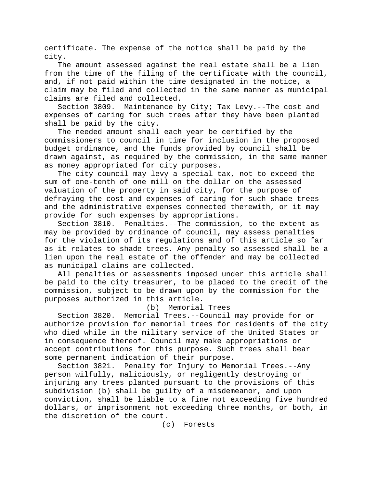certificate. The expense of the notice shall be paid by the city.

The amount assessed against the real estate shall be a lien from the time of the filing of the certificate with the council, and, if not paid within the time designated in the notice, a claim may be filed and collected in the same manner as municipal claims are filed and collected.

Section 3809. Maintenance by City; Tax Levy.--The cost and expenses of caring for such trees after they have been planted shall be paid by the city.

The needed amount shall each year be certified by the commissioners to council in time for inclusion in the proposed budget ordinance, and the funds provided by council shall be drawn against, as required by the commission, in the same manner as money appropriated for city purposes.

The city council may levy a special tax, not to exceed the sum of one-tenth of one mill on the dollar on the assessed valuation of the property in said city, for the purpose of defraying the cost and expenses of caring for such shade trees and the administrative expenses connected therewith, or it may provide for such expenses by appropriations.

Penalties.--The commission, to the extent as may be provided by ordinance of council, may assess penalties for the violation of its regulations and of this article so far as it relates to shade trees. Any penalty so assessed shall be a lien upon the real estate of the offender and may be collected as municipal claims are collected.

All penalties or assessments imposed under this article shall be paid to the city treasurer, to be placed to the credit of the commission, subject to be drawn upon by the commission for the purposes authorized in this article.

#### (b) Memorial Trees

Section 3820. Memorial Trees.--Council may provide for or authorize provision for memorial trees for residents of the city who died while in the military service of the United States or in consequence thereof. Council may make appropriations or accept contributions for this purpose. Such trees shall bear some permanent indication of their purpose.

Section 3821. Penalty for Injury to Memorial Trees.--Any person wilfully, maliciously, or negligently destroying or injuring any trees planted pursuant to the provisions of this subdivision (b) shall be guilty of a misdemeanor, and upon conviction, shall be liable to a fine not exceeding five hundred dollars, or imprisonment not exceeding three months, or both, in the discretion of the court.

(c) Forests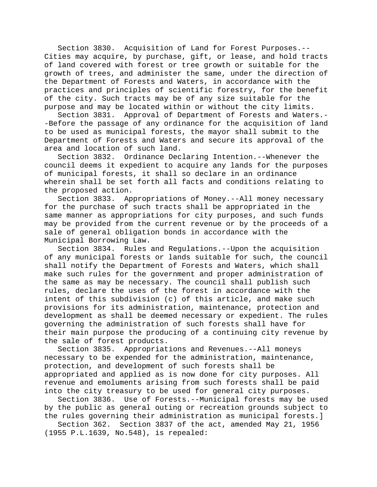Section 3830. Acquisition of Land for Forest Purposes.-- Cities may acquire, by purchase, gift, or lease, and hold tracts of land covered with forest or tree growth or suitable for the growth of trees, and administer the same, under the direction of the Department of Forests and Waters, in accordance with the practices and principles of scientific forestry, for the benefit of the city. Such tracts may be of any size suitable for the purpose and may be located within or without the city limits.

Section 3831. Approval of Department of Forests and Waters.- -Before the passage of any ordinance for the acquisition of land to be used as municipal forests, the mayor shall submit to the Department of Forests and Waters and secure its approval of the area and location of such land.<br>Section 3832. Ordinance Dec

Ordinance Declaring Intention.--Whenever the council deems it expedient to acquire any lands for the purposes of municipal forests, it shall so declare in an ordinance wherein shall be set forth all facts and conditions relating to the proposed action.<br>Section 3833. Ap

Appropriations of Money.--All money necessary for the purchase of such tracts shall be appropriated in the same manner as appropriations for city purposes, and such funds may be provided from the current revenue or by the proceeds of a sale of general obligation bonds in accordance with the Municipal Borrowing Law.

Section 3834. Rules and Regulations.--Upon the acquisition of any municipal forests or lands suitable for such, the council shall notify the Department of Forests and Waters, which shall make such rules for the government and proper administration of the same as may be necessary. The council shall publish such rules, declare the uses of the forest in accordance with the intent of this subdivision (c) of this article, and make such provisions for its administration, maintenance, protection and development as shall be deemed necessary or expedient. The rules governing the administration of such forests shall have for their main purpose the producing of a continuing city revenue by the sale of forest products.

Section 3835. Appropriations and Revenues.--All moneys necessary to be expended for the administration, maintenance, protection, and development of such forests shall be appropriated and applied as is now done for city purposes. All revenue and emoluments arising from such forests shall be paid into the city treasury to be used for general city purposes.

Section 3836. Use of Forests.--Municipal forests may be used by the public as general outing or recreation grounds subject to the rules governing their administration as municipal forests.]

Section 362. Section 3837 of the act, amended May 21, 1956 (1955 P.L.1639, No.548), is repealed: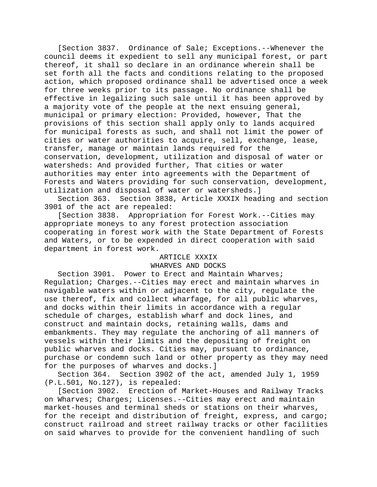[Section 3837. Ordinance of Sale; Exceptions.--Whenever the council deems it expedient to sell any municipal forest, or part thereof, it shall so declare in an ordinance wherein shall be set forth all the facts and conditions relating to the proposed action, which proposed ordinance shall be advertised once a week for three weeks prior to its passage. No ordinance shall be effective in legalizing such sale until it has been approved by a majority vote of the people at the next ensuing general, municipal or primary election: Provided, however, That the provisions of this section shall apply only to lands acquired for municipal forests as such, and shall not limit the power of cities or water authorities to acquire, sell, exchange, lease, transfer, manage or maintain lands required for the conservation, development, utilization and disposal of water or watersheds: And provided further, That cities or water authorities may enter into agreements with the Department of Forests and Waters providing for such conservation, development, utilization and disposal of water or watersheds.]

Section 363. Section 3838, Article XXXIX heading and section 3901 of the act are repealed:

[Section 3838. Appropriation for Forest Work.--Cities may appropriate moneys to any forest protection association cooperating in forest work with the State Department of Forests and Waters, or to be expended in direct cooperation with said department in forest work.

# ARTICLE XXXIX

## WHARVES AND DOCKS

Section 3901. Power to Erect and Maintain Wharves; Regulation; Charges.--Cities may erect and maintain wharves in navigable waters within or adjacent to the city, regulate the use thereof, fix and collect wharfage, for all public wharves, and docks within their limits in accordance with a regular schedule of charges, establish wharf and dock lines, and construct and maintain docks, retaining walls, dams and embankments. They may regulate the anchoring of all manners of vessels within their limits and the depositing of freight on public wharves and docks. Cities may, pursuant to ordinance, purchase or condemn such land or other property as they may need for the purposes of wharves and docks.]

Section 364. Section 3902 of the act, amended July 1, 1959 (P.L.501, No.127), is repealed:

[Section 3902. Erection of Market-Houses and Railway Tracks on Wharves; Charges; Licenses.--Cities may erect and maintain market-houses and terminal sheds or stations on their wharves, for the receipt and distribution of freight, express, and cargo; construct railroad and street railway tracks or other facilities on said wharves to provide for the convenient handling of such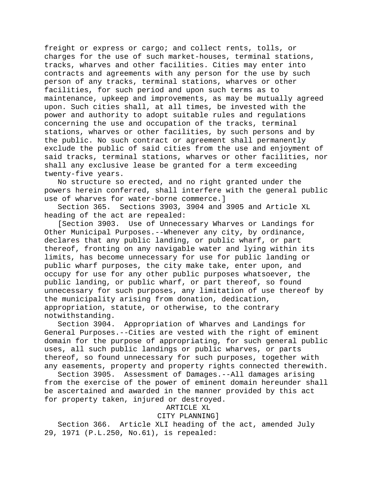freight or express or cargo; and collect rents, tolls, or charges for the use of such market-houses, terminal stations, tracks, wharves and other facilities. Cities may enter into contracts and agreements with any person for the use by such person of any tracks, terminal stations, wharves or other facilities, for such period and upon such terms as to maintenance, upkeep and improvements, as may be mutually agreed upon. Such cities shall, at all times, be invested with the power and authority to adopt suitable rules and regulations concerning the use and occupation of the tracks, terminal stations, wharves or other facilities, by such persons and by the public. No such contract or agreement shall permanently exclude the public of said cities from the use and enjoyment of said tracks, terminal stations, wharves or other facilities, nor shall any exclusive lease be granted for a term exceeding twenty-five years.

No structure so erected, and no right granted under the powers herein conferred, shall interfere with the general public use of wharves for water-borne commerce.]

Section 365. Sections 3903, 3904 and 3905 and Article XL heading of the act are repealed:

[Section 3903. Use of Unnecessary Wharves or Landings for Other Municipal Purposes.--Whenever any city, by ordinance, declares that any public landing, or public wharf, or part thereof, fronting on any navigable water and lying within its limits, has become unnecessary for use for public landing or public wharf purposes, the city make take, enter upon, and occupy for use for any other public purposes whatsoever, the public landing, or public wharf, or part thereof, so found unnecessary for such purposes, any limitation of use thereof by the municipality arising from donation, dedication, appropriation, statute, or otherwise, to the contrary notwithstanding.<br>Section 3904.

Appropriation of Wharves and Landings for General Purposes.--Cities are vested with the right of eminent domain for the purpose of appropriating, for such general public uses, all such public landings or public wharves, or parts thereof, so found unnecessary for such purposes, together with any easements, property and property rights connected therewith.

Section 3905. Assessment of Damages.--All damages arising from the exercise of the power of eminent domain hereunder shall be ascertained and awarded in the manner provided by this act for property taken, injured or destroyed.

## ARTICLE XL

## CITY PLANNING]

Section 366. Article XLI heading of the act, amended July 29, 1971 (P.L.250, No.61), is repealed: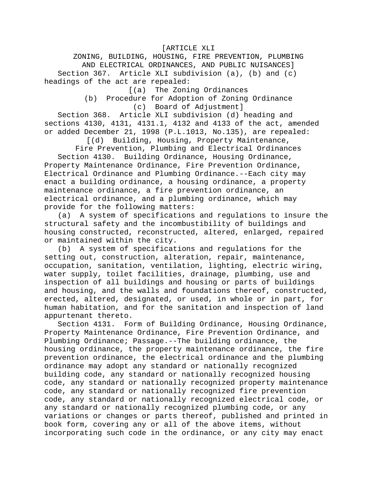[ARTICLE XLI

ZONING, BUILDING, HOUSING, FIRE PREVENTION, PLUMBING AND ELECTRICAL ORDINANCES, AND PUBLIC NUISANCES] Section 367. Article XLI subdivision (a), (b) and (c) headings of the act are repealed:

[(a) The Zoning Ordinances

(b) Procedure for Adoption of Zoning Ordinance (c) Board of Adjustment]

Section 368. Article XLI subdivision (d) heading and sections 4130, 4131, 4131.1, 4132 and 4133 of the act, amended or added December 21, 1998 (P.L.1013, No.135), are repealed:

[(d) Building, Housing, Property Maintenance,

Fire Prevention, Plumbing and Electrical Ordinances Section 4130. Building Ordinance, Housing Ordinance, Property Maintenance Ordinance, Fire Prevention Ordinance, Electrical Ordinance and Plumbing Ordinance.--Each city may enact a building ordinance, a housing ordinance, a property maintenance ordinance, a fire prevention ordinance, an electrical ordinance, and a plumbing ordinance, which may provide for the following matters:

(a) A system of specifications and regulations to insure the structural safety and the incombustibility of buildings and housing constructed, reconstructed, altered, enlarged, repaired or maintained within the city.

(b) A system of specifications and regulations for the setting out, construction, alteration, repair, maintenance, occupation, sanitation, ventilation, lighting, electric wiring, water supply, toilet facilities, drainage, plumbing, use and inspection of all buildings and housing or parts of buildings and housing, and the walls and foundations thereof, constructed, erected, altered, designated, or used, in whole or in part, for human habitation, and for the sanitation and inspection of land appurtenant thereto.<br>Section 4131. Fo

Form of Building Ordinance, Housing Ordinance, Property Maintenance Ordinance, Fire Prevention Ordinance, and Plumbing Ordinance; Passage.--The building ordinance, the housing ordinance, the property maintenance ordinance, the fire prevention ordinance, the electrical ordinance and the plumbing ordinance may adopt any standard or nationally recognized building code, any standard or nationally recognized housing code, any standard or nationally recognized property maintenance code, any standard or nationally recognized fire prevention code, any standard or nationally recognized electrical code, or any standard or nationally recognized plumbing code, or any variations or changes or parts thereof, published and printed in book form, covering any or all of the above items, without incorporating such code in the ordinance, or any city may enact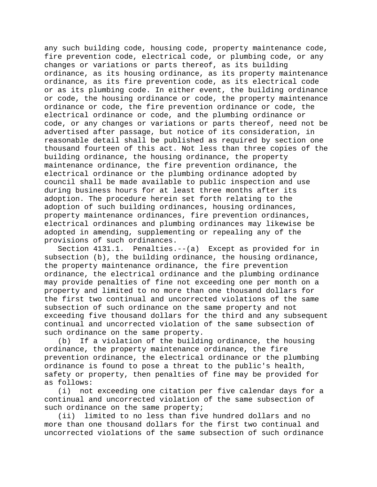any such building code, housing code, property maintenance code, fire prevention code, electrical code, or plumbing code, or any changes or variations or parts thereof, as its building ordinance, as its housing ordinance, as its property maintenance ordinance, as its fire prevention code, as its electrical code or as its plumbing code. In either event, the building ordinance or code, the housing ordinance or code, the property maintenance ordinance or code, the fire prevention ordinance or code, the electrical ordinance or code, and the plumbing ordinance or code, or any changes or variations or parts thereof, need not be advertised after passage, but notice of its consideration, in reasonable detail shall be published as required by section one thousand fourteen of this act. Not less than three copies of the building ordinance, the housing ordinance, the property maintenance ordinance, the fire prevention ordinance, the electrical ordinance or the plumbing ordinance adopted by council shall be made available to public inspection and use during business hours for at least three months after its adoption. The procedure herein set forth relating to the adoption of such building ordinances, housing ordinances, property maintenance ordinances, fire prevention ordinances, electrical ordinances and plumbing ordinances may likewise be adopted in amending, supplementing or repealing any of the provisions of such ordinances.

Section 4131.1. Penalties.--(a) Except as provided for in subsection (b), the building ordinance, the housing ordinance, the property maintenance ordinance, the fire prevention ordinance, the electrical ordinance and the plumbing ordinance may provide penalties of fine not exceeding one per month on a property and limited to no more than one thousand dollars for the first two continual and uncorrected violations of the same subsection of such ordinance on the same property and not exceeding five thousand dollars for the third and any subsequent continual and uncorrected violation of the same subsection of such ordinance on the same property.<br>(b) If a violation of the buildi

If a violation of the building ordinance, the housing ordinance, the property maintenance ordinance, the fire prevention ordinance, the electrical ordinance or the plumbing ordinance is found to pose a threat to the public's health, safety or property, then penalties of fine may be provided for as follows:

(i) not exceeding one citation per five calendar days for a continual and uncorrected violation of the same subsection of such ordinance on the same property;

(ii) limited to no less than five hundred dollars and no more than one thousand dollars for the first two continual and uncorrected violations of the same subsection of such ordinance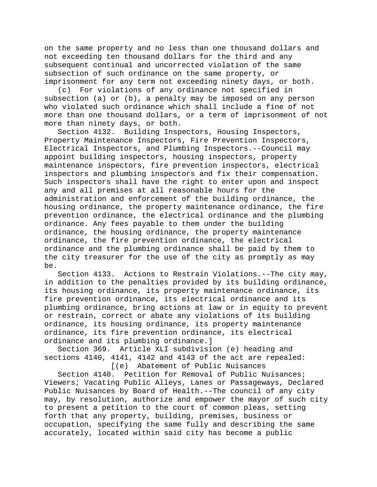on the same property and no less than one thousand dollars and not exceeding ten thousand dollars for the third and any subsequent continual and uncorrected violation of the same subsection of such ordinance on the same property, or imprisonment for any term not exceeding ninety days, or both.

(c) For violations of any ordinance not specified in subsection (a) or (b), a penalty may be imposed on any person who violated such ordinance which shall include a fine of not more than one thousand dollars, or a term of imprisonment of not more than ninety days, or both.

Section 4132. Building Inspectors, Housing Inspectors, Property Maintenance Inspectors, Fire Prevention Inspectors, Electrical Inspectors, and Plumbing Inspectors.--Council may appoint building inspectors, housing inspectors, property maintenance inspectors, fire prevention inspectors, electrical inspectors and plumbing inspectors and fix their compensation. Such inspectors shall have the right to enter upon and inspect any and all premises at all reasonable hours for the administration and enforcement of the building ordinance, the housing ordinance, the property maintenance ordinance, the fire prevention ordinance, the electrical ordinance and the plumbing ordinance. Any fees payable to them under the building ordinance, the housing ordinance, the property maintenance ordinance, the fire prevention ordinance, the electrical ordinance and the plumbing ordinance shall be paid by them to the city treasurer for the use of the city as promptly as may be.

Section 4133. Actions to Restrain Violations.--The city may, in addition to the penalties provided by its building ordinance, its housing ordinance, its property maintenance ordinance, its fire prevention ordinance, its electrical ordinance and its plumbing ordinance, bring actions at law or in equity to prevent or restrain, correct or abate any violations of its building ordinance, its housing ordinance, its property maintenance ordinance, its fire prevention ordinance, its electrical ordinance and its plumbing ordinance.]

Section 369. Article XLI subdivision (e) heading and sections 4140, 4141, 4142 and 4143 of the act are repealed:

[(e) Abatement of Public Nuisances

Section 4140. Petition for Removal of Public Nuisances; Viewers; Vacating Public Alleys, Lanes or Passageways, Declared Public Nuisances by Board of Health.--The council of any city may, by resolution, authorize and empower the mayor of such city to present a petition to the court of common pleas, setting forth that any property, building, premises, business or occupation, specifying the same fully and describing the same accurately, located within said city has become a public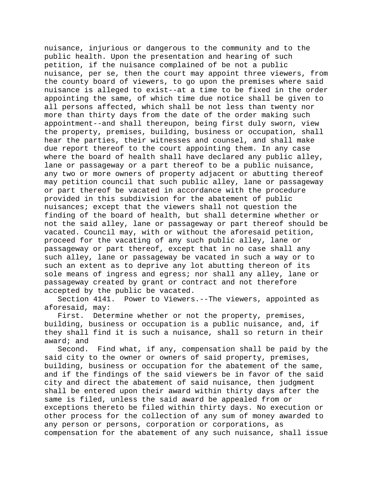nuisance, injurious or dangerous to the community and to the public health. Upon the presentation and hearing of such petition, if the nuisance complained of be not a public nuisance, per se, then the court may appoint three viewers, from the county board of viewers, to go upon the premises where said nuisance is alleged to exist--at a time to be fixed in the order appointing the same, of which time due notice shall be given to all persons affected, which shall be not less than twenty nor more than thirty days from the date of the order making such appointment--and shall thereupon, being first duly sworn, view the property, premises, building, business or occupation, shall hear the parties, their witnesses and counsel, and shall make due report thereof to the court appointing them. In any case where the board of health shall have declared any public alley, lane or passageway or a part thereof to be a public nuisance, any two or more owners of property adjacent or abutting thereof may petition council that such public alley, lane or passageway or part thereof be vacated in accordance with the procedure provided in this subdivision for the abatement of public nuisances; except that the viewers shall not question the finding of the board of health, but shall determine whether or not the said alley, lane or passageway or part thereof should be vacated. Council may, with or without the aforesaid petition, proceed for the vacating of any such public alley, lane or passageway or part thereof, except that in no case shall any such alley, lane or passageway be vacated in such a way or to such an extent as to deprive any lot abutting thereon of its sole means of ingress and egress; nor shall any alley, lane or passageway created by grant or contract and not therefore accepted by the public be vacated.

Section 4141. Power to Viewers.--The viewers, appointed as aforesaid, may:

First. Determine whether or not the property, premises, building, business or occupation is a public nuisance, and, if they shall find it is such a nuisance, shall so return in their award; and

Second. Find what, if any, compensation shall be paid by the said city to the owner or owners of said property, premises, building, business or occupation for the abatement of the same, and if the findings of the said viewers be in favor of the said city and direct the abatement of said nuisance, then judgment shall be entered upon their award within thirty days after the same is filed, unless the said award be appealed from or exceptions thereto be filed within thirty days. No execution or other process for the collection of any sum of money awarded to any person or persons, corporation or corporations, as compensation for the abatement of any such nuisance, shall issue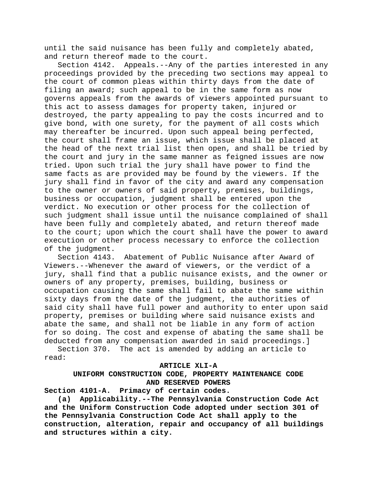until the said nuisance has been fully and completely abated, and return thereof made to the court.<br>Section 4142. Appeals.--Any of th

Appeals.--Any of the parties interested in any proceedings provided by the preceding two sections may appeal to the court of common pleas within thirty days from the date of filing an award; such appeal to be in the same form as now governs appeals from the awards of viewers appointed pursuant to this act to assess damages for property taken, injured or destroyed, the party appealing to pay the costs incurred and to give bond, with one surety, for the payment of all costs which may thereafter be incurred. Upon such appeal being perfected, the court shall frame an issue, which issue shall be placed at the head of the next trial list then open, and shall be tried by the court and jury in the same manner as feigned issues are now tried. Upon such trial the jury shall have power to find the same facts as are provided may be found by the viewers. If the jury shall find in favor of the city and award any compensation to the owner or owners of said property, premises, buildings, business or occupation, judgment shall be entered upon the verdict. No execution or other process for the collection of such judgment shall issue until the nuisance complained of shall have been fully and completely abated, and return thereof made to the court; upon which the court shall have the power to award execution or other process necessary to enforce the collection of the judgment.

Section 4143. Abatement of Public Nuisance after Award of Viewers.--Whenever the award of viewers, or the verdict of a jury, shall find that a public nuisance exists, and the owner or owners of any property, premises, building, business or occupation causing the same shall fail to abate the same within sixty days from the date of the judgment, the authorities of said city shall have full power and authority to enter upon said property, premises or building where said nuisance exists and abate the same, and shall not be liable in any form of action for so doing. The cost and expense of abating the same shall be deducted from any compensation awarded in said proceedings.]

Section 370. The act is amended by adding an article to read:

#### **ARTICLE XLI-A**

# **UNIFORM CONSTRUCTION CODE, PROPERTY MAINTENANCE CODE AND RESERVED POWERS**

**Section 4101-A. Primacy of certain codes.**

**(a) Applicability.--The Pennsylvania Construction Code Act and the Uniform Construction Code adopted under section 301 of the Pennsylvania Construction Code Act shall apply to the construction, alteration, repair and occupancy of all buildings and structures within a city.**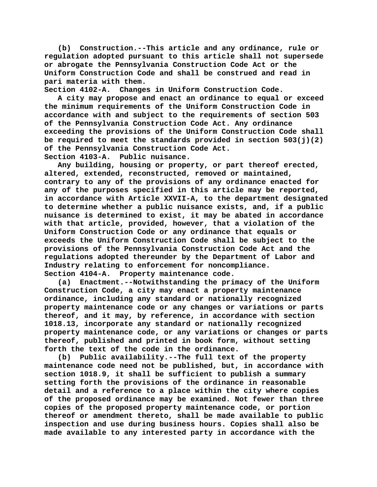**(b) Construction.--This article and any ordinance, rule or regulation adopted pursuant to this article shall not supersede or abrogate the Pennsylvania Construction Code Act or the Uniform Construction Code and shall be construed and read in pari materia with them.**

**Section 4102-A. Changes in Uniform Construction Code. A city may propose and enact an ordinance to equal or exceed the minimum requirements of the Uniform Construction Code in accordance with and subject to the requirements of section 503 of the Pennsylvania Construction Code Act. Any ordinance exceeding the provisions of the Uniform Construction Code shall be required to meet the standards provided in section 503(j)(2) of the Pennsylvania Construction Code Act. Section 4103-A. Public nuisance.**

**Any building, housing or property, or part thereof erected, altered, extended, reconstructed, removed or maintained, contrary to any of the provisions of any ordinance enacted for any of the purposes specified in this article may be reported, in accordance with Article XXVII-A, to the department designated to determine whether a public nuisance exists, and, if a public nuisance is determined to exist, it may be abated in accordance with that article, provided, however, that a violation of the Uniform Construction Code or any ordinance that equals or exceeds the Uniform Construction Code shall be subject to the provisions of the Pennsylvania Construction Code Act and the regulations adopted thereunder by the Department of Labor and Industry relating to enforcement for noncompliance. Section 4104-A. Property maintenance code.**

**(a) Enactment.--Notwithstanding the primacy of the Uniform Construction Code, a city may enact a property maintenance ordinance, including any standard or nationally recognized property maintenance code or any changes or variations or parts thereof, and it may, by reference, in accordance with section 1018.13, incorporate any standard or nationally recognized property maintenance code, or any variations or changes or parts thereof, published and printed in book form, without setting forth the text of the code in the ordinance.**

**(b) Public availability.--The full text of the property maintenance code need not be published, but, in accordance with section 1018.9, it shall be sufficient to publish a summary setting forth the provisions of the ordinance in reasonable detail and a reference to a place within the city where copies of the proposed ordinance may be examined. Not fewer than three copies of the proposed property maintenance code, or portion thereof or amendment thereto, shall be made available to public inspection and use during business hours. Copies shall also be made available to any interested party in accordance with the**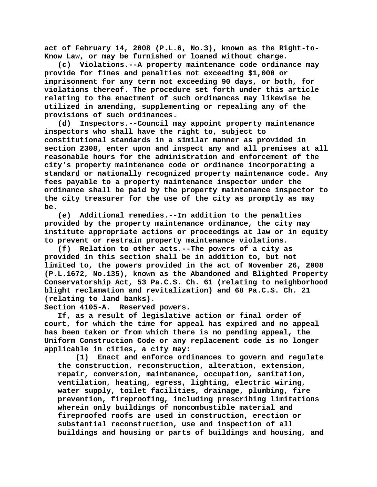**act of February 14, 2008 (P.L.6, No.3), known as the Right-to-Know Law, or may be furnished or loaned without charge.**

**(c) Violations.--A property maintenance code ordinance may provide for fines and penalties not exceeding \$1,000 or imprisonment for any term not exceeding 90 days, or both, for violations thereof. The procedure set forth under this article relating to the enactment of such ordinances may likewise be utilized in amending, supplementing or repealing any of the provisions of such ordinances.**

**(d) Inspectors.--Council may appoint property maintenance inspectors who shall have the right to, subject to constitutional standards in a similar manner as provided in section 2308, enter upon and inspect any and all premises at all reasonable hours for the administration and enforcement of the city's property maintenance code or ordinance incorporating a standard or nationally recognized property maintenance code. Any fees payable to a property maintenance inspector under the ordinance shall be paid by the property maintenance inspector to the city treasurer for the use of the city as promptly as may be.**

**(e) Additional remedies.--In addition to the penalties provided by the property maintenance ordinance, the city may institute appropriate actions or proceedings at law or in equity to prevent or restrain property maintenance violations.**

**(f) Relation to other acts.--The powers of a city as provided in this section shall be in addition to, but not limited to, the powers provided in the act of November 26, 2008 (P.L.1672, No.135), known as the Abandoned and Blighted Property Conservatorship Act, 53 Pa.C.S. Ch. 61 (relating to neighborhood blight reclamation and revitalization) and 68 Pa.C.S. Ch. 21 (relating to land banks).**

**Section 4105-A. Reserved powers.**

**If, as a result of legislative action or final order of court, for which the time for appeal has expired and no appeal has been taken or from which there is no pending appeal, the Uniform Construction Code or any replacement code is no longer applicable in cities, a city may:**

**(1) Enact and enforce ordinances to govern and regulate the construction, reconstruction, alteration, extension, repair, conversion, maintenance, occupation, sanitation, ventilation, heating, egress, lighting, electric wiring, water supply, toilet facilities, drainage, plumbing, fire prevention, fireproofing, including prescribing limitations wherein only buildings of noncombustible material and fireproofed roofs are used in construction, erection or substantial reconstruction, use and inspection of all buildings and housing or parts of buildings and housing, and**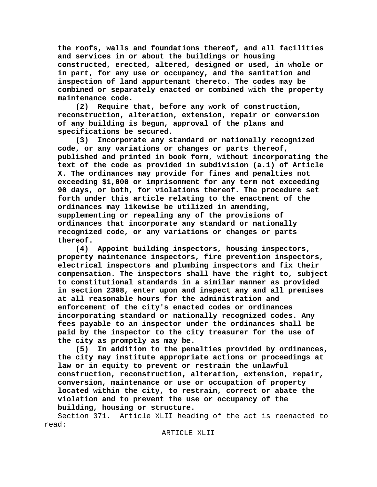**the roofs, walls and foundations thereof, and all facilities and services in or about the buildings or housing constructed, erected, altered, designed or used, in whole or in part, for any use or occupancy, and the sanitation and inspection of land appurtenant thereto. The codes may be combined or separately enacted or combined with the property maintenance code.**

**(2) Require that, before any work of construction, reconstruction, alteration, extension, repair or conversion of any building is begun, approval of the plans and specifications be secured.**

**(3) Incorporate any standard or nationally recognized code, or any variations or changes or parts thereof, published and printed in book form, without incorporating the text of the code as provided in subdivision (a.1) of Article X. The ordinances may provide for fines and penalties not exceeding \$1,000 or imprisonment for any term not exceeding 90 days, or both, for violations thereof. The procedure set forth under this article relating to the enactment of the ordinances may likewise be utilized in amending, supplementing or repealing any of the provisions of ordinances that incorporate any standard or nationally recognized code, or any variations or changes or parts thereof.**

**(4) Appoint building inspectors, housing inspectors, property maintenance inspectors, fire prevention inspectors, electrical inspectors and plumbing inspectors and fix their compensation. The inspectors shall have the right to, subject to constitutional standards in a similar manner as provided in section 2308, enter upon and inspect any and all premises at all reasonable hours for the administration and enforcement of the city's enacted codes or ordinances incorporating standard or nationally recognized codes. Any fees payable to an inspector under the ordinances shall be paid by the inspector to the city treasurer for the use of the city as promptly as may be.**

**(5) In addition to the penalties provided by ordinances, the city may institute appropriate actions or proceedings at law or in equity to prevent or restrain the unlawful construction, reconstruction, alteration, extension, repair, conversion, maintenance or use or occupation of property located within the city, to restrain, correct or abate the violation and to prevent the use or occupancy of the building, housing or structure.**

Section 371. Article XLII heading of the act is reenacted to read: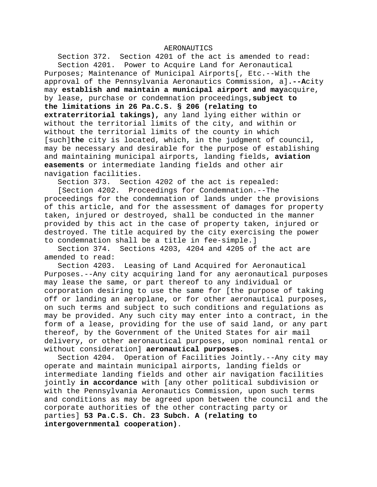#### AERONAUTICS

Section 372. Section 4201 of the act is amended to read: Section 4201. Power to Acquire Land for Aeronautical Purposes; Maintenance of Municipal Airports[, Etc.--With the approval of the Pennsylvania Aeronautics Commission, a]**.--A**city may **establish and maintain a municipal airport and may**acquire, by lease, purchase or condemnation proceedings,**subject to the limitations in 26 Pa.C.S. § 206 (relating to extraterritorial takings),** any land lying either within or without the territorial limits of the city, and within or without the territorial limits of the county in which [such]**the** city is located, which, in the judgment of council, may be necessary and desirable for the purpose of establishing and maintaining municipal airports, landing fields**, aviation easements** or intermediate landing fields and other air navigation facilities.

Section 373. Section 4202 of the act is repealed:

[Section 4202. Proceedings for Condemnation.--The proceedings for the condemnation of lands under the provisions of this article, and for the assessment of damages for property taken, injured or destroyed, shall be conducted in the manner provided by this act in the case of property taken, injured or destroyed. The title acquired by the city exercising the power to condemnation shall be a title in fee-simple.]

Section 374. Sections 4203, 4204 and 4205 of the act are amended to read:<br>Section 4203.

Leasing of Land Acquired for Aeronautical Purposes.--Any city acquiring land for any aeronautical purposes may lease the same, or part thereof to any individual or corporation desiring to use the same for [the purpose of taking off or landing an aeroplane, or for other aeronautical purposes, on such terms and subject to such conditions and regulations as may be provided. Any such city may enter into a contract, in the form of a lease, providing for the use of said land, or any part thereof, by the Government of the United States for air mail delivery, or other aeronautical purposes, upon nominal rental or without consideration] **aeronautical purposes**.

Section 4204. Operation of Facilities Jointly.--Any city may operate and maintain municipal airports, landing fields or intermediate landing fields and other air navigation facilities jointly **in accordance** with [any other political subdivision or with the Pennsylvania Aeronautics Commission, upon such terms and conditions as may be agreed upon between the council and the corporate authorities of the other contracting party or parties] **53 Pa.C.S. Ch. 23 Subch. A (relating to intergovernmental cooperation)**.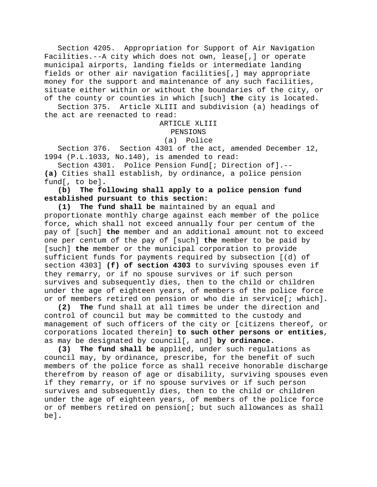Section 4205. Appropriation for Support of Air Navigation Facilities.--A city which does not own, lease[,] or operate municipal airports, landing fields or intermediate landing fields or other air navigation facilities[,] may appropriate money for the support and maintenance of any such facilities, situate either within or without the boundaries of the city, or of the county or counties in which [such] **the** city is located.

Section 375. Article XLIII and subdivision (a) headings of the act are reenacted to read:

# ARTICLE XLIII PENSIONS

## (a) Police

Section 376. Section 4301 of the act, amended December 12, 1994 (P.L.1033, No.140), is amended to read:

Section 4301. Police Pension Fund[; Direction of].-- **(a)** Cities shall establish, by ordinance, a police pension fund[, to be]**.**

**(b) The following shall apply to a police pension fund established pursuant to this section:**

**(1) The fund shall be** maintained by an equal and proportionate monthly charge against each member of the police force, which shall not exceed annually four per centum of the pay of [such] **the** member and an additional amount not to exceed one per centum of the pay of [such] **the** member to be paid by [such] **the** member or the municipal corporation to provide sufficient funds for payments required by subsection [(d) of section 4303] **(f) of section 4303** to surviving spouses even if they remarry, or if no spouse survives or if such person survives and subsequently dies, then to the child or children under the age of eighteen years, of members of the police force or of members retired on pension or who die in service[; which]**.**

**(2) The** fund shall at all times be under the direction and control of council but may be committed to the custody and management of such officers of the city or [citizens thereof, or corporations located therein] **to such other persons or entities**, as may be designated by council[, and] **by ordinance.**

**(3) The fund shall be** applied, under such regulations as council may, by ordinance, prescribe, for the benefit of such members of the police force as shall receive honorable discharge therefrom by reason of age or disability, surviving spouses even if they remarry, or if no spouse survives or if such person survives and subsequently dies, then to the child or children under the age of eighteen years, of members of the police force or of members retired on pension[; but such allowances as shall be]**.**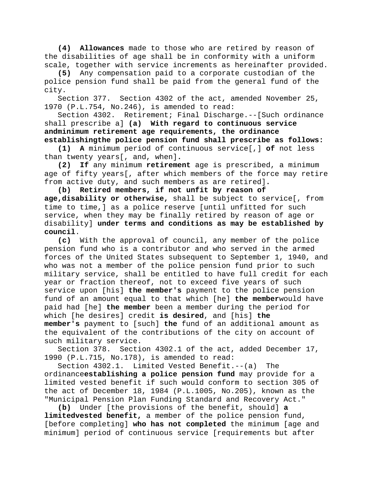**(4) Allowances** made to those who are retired by reason of the disabilities of age shall be in conformity with a uniform scale, together with service increments as hereinafter provided.

**(5)** Any compensation paid to a corporate custodian of the police pension fund shall be paid from the general fund of the city.

Section 377. Section 4302 of the act, amended November 25, 1970 (P.L.754, No.246), is amended to read:

Section 4302. Retirement; Final Discharge.--[Such ordinance shall prescribe a] **(a) With regard to continuous service andminimum retirement age requirements, the ordinance establishingthe police pension fund shall prescribe as follows:**

**(1) A** minimum period of continuous service[,] **of** not less than twenty years[, and, when].<br>(2) If any minimum retireme

**(2) If** any minimum **retirement** age is prescribed, a minimum age of fifty years[, after which members of the force may retire from active duty, and such members as are retired]**.**

**(b) Retired members, if not unfit by reason of age,disability or otherwise,** shall be subject to service[, from time to time,] as a police reserve [until unfitted for such service, when they may be finally retired by reason of age or disability] **under terms and conditions as may be established by council**.

**(c)** With the approval of council, any member of the police pension fund who is a contributor and who served in the armed forces of the United States subsequent to September 1, 1940, and who was not a member of the police pension fund prior to such military service, shall be entitled to have full credit for each year or fraction thereof, not to exceed five years of such service upon [his] **the member's** payment to the police pension fund of an amount equal to that which [he] **the member**would have paid had [he] **the member** been a member during the period for which [he desires] credit **is desired**, and [his] **the member's** payment to [such] **the** fund of an additional amount as the equivalent of the contributions of the city on account of such military service.

Section 378. Section 4302.1 of the act, added December 17, 1990 (P.L.715, No.178), is amended to read:

Section 4302.1. Limited Vested Benefit.--(a) The ordinance**establishing a police pension fund** may provide for a limited vested benefit if such would conform to section 305 of the act of December 18, 1984 (P.L.1005, No.205), known as the "Municipal Pension Plan Funding Standard and Recovery Act."

**(b)** Under [the provisions of the benefit, should] **a limitedvested benefit,** a member of the police pension fund, [before completing] **who has not completed** the minimum [age and minimum] period of continuous service [requirements but after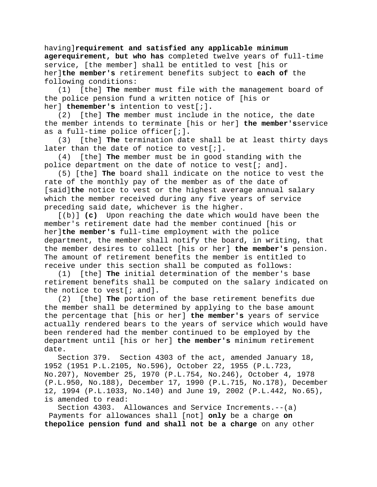having]**requirement and satisfied any applicable minimum agerequirement, but who has** completed twelve years of full-time service, [the member] shall be entitled to vest [his or her]**the member's** retirement benefits subject to **each of** the following conditions:

(1) [the] **The** member must file with the management board of the police pension fund a written notice of [his or her] **themember's** intention to vest[;]**.**

(2) [the] **The** member must include in the notice, the date the member intends to terminate [his or her] **the member's**service as a full-time police officer[;]**.**

(3) [the] **The** termination date shall be at least thirty days later than the date of notice to vest[;]**.**

(4) [the] **The** member must be in good standing with the police department on the date of notice to vest[; and]**.**

(5) [the] **The** board shall indicate on the notice to vest the rate of the monthly pay of the member as of the date of [said]**the** notice to vest or the highest average annual salary which the member received during any five years of service preceding said date, whichever is the higher.

[(b)] **(c)** Upon reaching the date which would have been the member's retirement date had the member continued [his or her]**the member's** full-time employment with the police department, the member shall notify the board, in writing, that the member desires to collect [his or her] **the member's** pension. The amount of retirement benefits the member is entitled to receive under this section shall be computed as follows:

(1) [the] **The** initial determination of the member's base retirement benefits shall be computed on the salary indicated on the notice to vest[; and]**.**

(2) [the] **The** portion of the base retirement benefits due the member shall be determined by applying to the base amount the percentage that [his or her] **the member's** years of service actually rendered bears to the years of service which would have been rendered had the member continued to be employed by the department until [his or her] **the member's** minimum retirement date.

Section 379. Section 4303 of the act, amended January 18, 1952 (1951 P.L.2105, No.596), October 22, 1955 (P.L.723, No.207), November 25, 1970 (P.L.754, No.246), October 4, 1978 (P.L.950, No.188), December 17, 1990 (P.L.715, No.178), December 12, 1994 (P.L.1033, No.140) and June 19, 2002 (P.L.442, No.65), is amended to read:

Section 4303. Allowances and Service Increments.--(a) Payments for allowances shall [not] **only** be a charge **on thepolice pension fund and shall not be a charge** on any other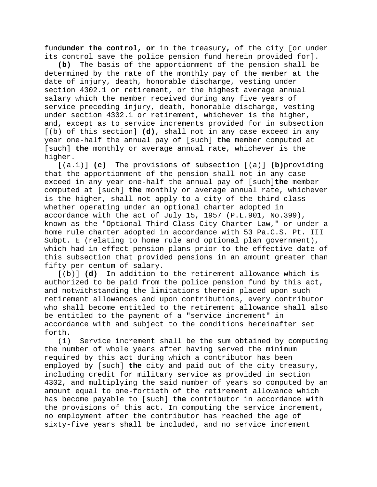fund**under the control, or** in the treasury**,** of the city [or under its control save the police pension fund herein provided for].

**(b)** The basis of the apportionment of the pension shall be determined by the rate of the monthly pay of the member at the date of injury, death, honorable discharge, vesting under section 4302.1 or retirement, or the highest average annual salary which the member received during any five years of service preceding injury, death, honorable discharge, vesting under section 4302.1 or retirement, whichever is the higher, and**,** except as to service increments provided for in subsection [(b) of this section] **(d)**, shall not in any case exceed in any year one-half the annual pay of [such] **the** member computed at [such] **the** monthly or average annual rate, whichever is the higher.

[(a.1)] **(c)** The provisions of subsection [(a)] **(b)**providing that the apportionment of the pension shall not in any case exceed in any year one-half the annual pay of [such]**the** member computed at [such] **the** monthly or average annual rate, whichever is the higher, shall not apply to a city of the third class whether operating under an optional charter adopted in accordance with the act of July 15, 1957 (P.L.901, No.399), known as the "Optional Third Class City Charter Law," or under a home rule charter adopted in accordance with 53 Pa.C.S. Pt. III Subpt. E (relating to home rule and optional plan government), which had in effect pension plans prior to the effective date of this subsection that provided pensions in an amount greater than fifty per centum of salary.

[(b)] **(d)** In addition to the retirement allowance which is authorized to be paid from the police pension fund by this act, and notwithstanding the limitations therein placed upon such retirement allowances and upon contributions, every contributor who shall become entitled to the retirement allowance shall also be entitled to the payment of a "service increment" in accordance with and subject to the conditions hereinafter set forth.<br> $(1)$ 

Service increment shall be the sum obtained by computing the number of whole years after having served the minimum required by this act during which a contributor has been employed by [such] **the** city and paid out of the city treasury, including credit for military service as provided in section 4302, and multiplying the said number of years so computed by an amount equal to one-fortieth of the retirement allowance which has become payable to [such] **the** contributor in accordance with the provisions of this act. In computing the service increment, no employment after the contributor has reached the age of sixty-five years shall be included, and no service increment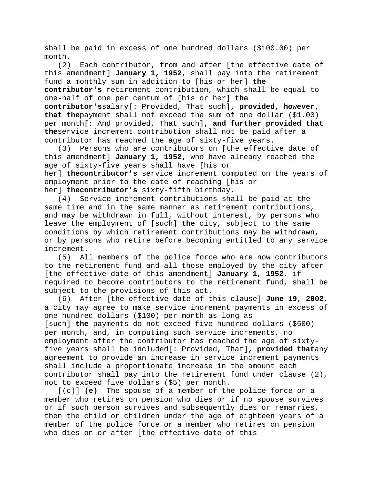shall be paid in excess of one hundred dollars (\$100.00) per month.

(2) Each contributor, from and after [the effective date of this amendment] **January 1, 1952**, shall pay into the retirement fund a monthly sum in addition to [his or her] **the contributor's** retirement contribution, which shall be equal to one-half of one per centum of [his or her] **the contributor's**salary[: Provided, That such]**, provided, however, that the**payment shall not exceed the sum of one dollar (\$1.00) per month[: And provided, That such]**, and further provided that the**service increment contribution shall not be paid after a contributor has reached the age of sixty-five years.

(3) Persons who are contributors on [the effective date of this amendment] **January 1, 1952,** who have already reached the age of sixty-five years shall have [his or her] **thecontributor's** service increment computed on the years of employment prior to the date of reaching [his or her] **thecontributor's** sixty-fifth birthday.

(4) Service increment contributions shall be paid at the same time and in the same manner as retirement contributions, and may be withdrawn in full, without interest, by persons who leave the employment of [such] **the** city, subject to the same conditions by which retirement contributions may be withdrawn, or by persons who retire before becoming entitled to any service increment.

(5) All members of the police force who are now contributors to the retirement fund and all those employed by the city after [the effective date of this amendment] **January 1, 1952**, if required to become contributors to the retirement fund, shall be subject to the provisions of this act.

(6) After [the effective date of this clause] **June 19, 2002**, a city may agree to make service increment payments in excess of one hundred dollars (\$100) per month as long as [such] **the** payments do not exceed five hundred dollars (\$500) per month, and, in computing such service increments, no employment after the contributor has reached the age of sixtyfive years shall be included[: Provided, That]**, provided that**any agreement to provide an increase in service increment payments shall include a proportionate increase in the amount each contributor shall pay into the retirement fund under clause (2), not to exceed five dollars (\$5) per month.

[(c)] **(e)** The spouse of a member of the police force or a member who retires on pension who dies or if no spouse survives or if such person survives and subsequently dies or remarries, then the child or children under the age of eighteen years of a member of the police force or a member who retires on pension who dies on or after [the effective date of this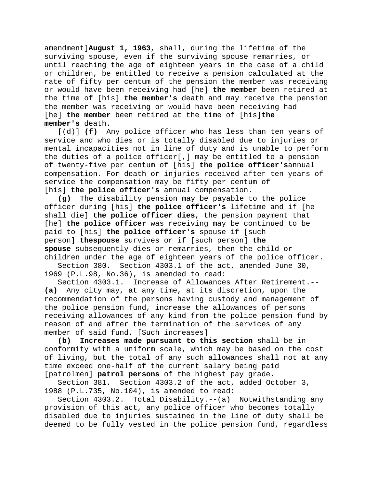amendment]**August 1, 1963**, shall, during the lifetime of the surviving spouse, even if the surviving spouse remarries, or until reaching the age of eighteen years in the case of a child or children, be entitled to receive a pension calculated at the rate of fifty per centum of the pension the member was receiving or would have been receiving had [he] **the member** been retired at the time of [his] **the member's** death and may receive the pension the member was receiving or would have been receiving had [he] **the member** been retired at the time of [his]**the member's** death.

[(d)] **(f)** Any police officer who has less than ten years of service and who dies or is totally disabled due to injuries or mental incapacities not in line of duty and is unable to perform the duties of a police officer[,] may be entitled to a pension of twenty-five per centum of [his] **the police officer's**annual compensation. For death or injuries received after ten years of service the compensation may be fifty per centum of [his] **the police officer's** annual compensation.

**(g)** The disability pension may be payable to the police officer during [his] **the police officer's** lifetime and if [he shall die] **the police officer dies**, the pension payment that [he] **the police officer** was receiving may be continued to be paid to [his] **the police officer's** spouse if [such person] **thespouse** survives or if [such person] **the spouse** subsequently dies or remarries, then the child or children under the age of eighteen years of the police officer.

Section 380. Section 4303.1 of the act, amended June 30, 1969 (P.L.98, No.36), is amended to read:

Section 4303.1. Increase of Allowances After Retirement.-- **(a)** Any city may, at any time, at its discretion, upon the recommendation of the persons having custody and management of the police pension fund, increase the allowances of persons receiving allowances of any kind from the police pension fund by reason of and after the termination of the services of any member of said fund. [Such increases]<br>(b) Increases made pursuant to th

**(b) Increases made pursuant to this section** shall be in conformity with a uniform scale, which may be based on the cost of living, but the total of any such allowances shall not at any time exceed one-half of the current salary being paid [patrolmen] **patrol persons** of the highest pay grade.

Section 381. Section 4303.2 of the act, added October 3, 1988 (P.L.735, No.104), is amended to read:

Section 4303.2. Total Disability.--(a) Notwithstanding any provision of this act, any police officer who becomes totally disabled due to injuries sustained in the line of duty shall be deemed to be fully vested in the police pension fund, regardless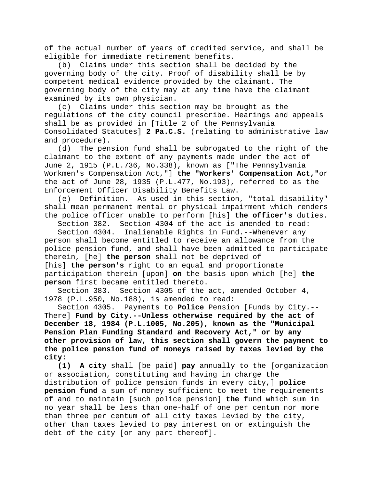of the actual number of years of credited service, and shall be eligible for immediate retirement benefits.

(b) Claims under this section shall be decided by the governing body of the city. Proof of disability shall be by competent medical evidence provided by the claimant. The governing body of the city may at any time have the claimant examined by its own physician.

(c) Claims under this section may be brought as the regulations of the city council prescribe. Hearings and appeals shall be as provided in [Title 2 of the Pennsylvania Consolidated Statutes] **2 Pa.C.S.** (relating to administrative law and procedure).

(d) The pension fund shall be subrogated to the right of the claimant to the extent of any payments made under the act of June 2, 1915 (P.L.736, No.338), known as ["The Pennsylvania Workmen's Compensation Act,"] **the "Workers' Compensation Act,"**or the act of June 28, 1935 (P.L.477, No.193), referred to as the Enforcement Officer Disability Benefits Law.

(e) Definition.--As used in this section, "total disability" shall mean permanent mental or physical impairment which renders the police officer unable to perform [his] **the officer's** duties.

Section 382. Section 4304 of the act is amended to read:

Section 4304. Inalienable Rights in Fund.--Whenever any person shall become entitled to receive an allowance from the police pension fund, and shall have been admitted to participate therein, [he] **the person** shall not be deprived of [his] **the person's** right to an equal and proportionate participation therein [upon] **on** the basis upon which [he] **the person** first became entitled thereto.

Section 383. Section 4305 of the act, amended October 4, 1978 (P.L.950, No.188), is amended to read:

Section 4305. Payments to **Police** Pension [Funds by City.-- There] **Fund by City.--Unless otherwise required by the act of December 18, 1984 (P.L.1005, No.205), known as the "Municipal Pension Plan Funding Standard and Recovery Act," or by any other provision of law, this section shall govern the payment to the police pension fund of moneys raised by taxes levied by the city:**

**(1) A city** shall [be paid] **pay** annually to the [organization or association, constituting and having in charge the distribution of police pension funds in every city,] **police pension fund** a sum of money sufficient to meet the requirements of and to maintain [such police pension] **the** fund which sum in no year shall be less than one-half of one per centum nor more than three per centum of all city taxes levied by the city, other than taxes levied to pay interest on or extinguish the debt of the city [or any part thereof].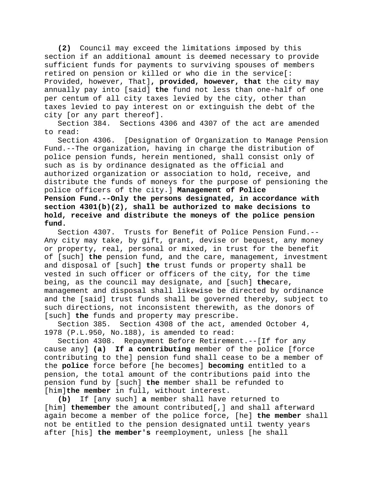**(2)** Council may exceed the limitations imposed by this section if an additional amount is deemed necessary to provide sufficient funds for payments to surviving spouses of members retired on pension or killed or who die in the service[: Provided, however, That]**, provided, however, that** the city may annually pay into [said] **the** fund not less than one-half of one per centum of all city taxes levied by the city, other than taxes levied to pay interest on or extinguish the debt of the city [or any part thereof].

Section 384. Sections 4306 and 4307 of the act are amended to read:

Section 4306. [Designation of Organization to Manage Pension Fund.--The organization, having in charge the distribution of police pension funds, herein mentioned, shall consist only of such as is by ordinance designated as the official and authorized organization or association to hold, receive, and distribute the funds of moneys for the purpose of pensioning the police officers of the city.] **Management of Police Pension Fund.--Only the persons designated, in accordance with section 4301(b)(2), shall be authorized to make decisions to hold, receive and distribute the moneys of the police pension fund.**

Section 4307. Trusts for Benefit of Police Pension Fund.-- Any city may take, by gift, grant, devise or bequest, any money or property, real, personal or mixed, in trust for the benefit of [such] **the** pension fund, and the care, management, investment and disposal of [such] **the** trust funds or property shall be vested in such officer or officers of the city, for the time being, as the council may designate, and [such] **the**care, management and disposal shall likewise be directed by ordinance and the [said] trust funds shall be governed thereby, subject to such directions, not inconsistent therewith, as the donors of [such] **the** funds and property may prescribe.

Section 385. Section 4308 of the act, amended October 4, 1978 (P.L.950, No.188), is amended to read:

Section 4308. Repayment Before Retirement.--[If for any cause any] **(a) If a contributing** member of the police [force contributing to the] pension fund shall cease to be a member of the **police** force before [he becomes] **becoming** entitled to a pension, the total amount of the contributions paid into the pension fund by [such] **the** member shall be refunded to [him]**the member** in full, without interest.

**(b)** If [any such] **a** member shall have returned to [him] **themember** the amount contributed[,] and shall afterward again become a member of the police force, [he] **the member** shall not be entitled to the pension designated until twenty years after [his] **the member's** reemployment, unless [he shall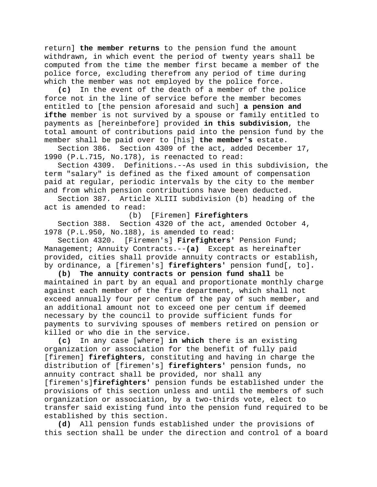return] **the member returns** to the pension fund the amount withdrawn, in which event the period of twenty years shall be computed from the time the member first became a member of the police force, excluding therefrom any period of time during which the member was not employed by the police force.

**(c)** In the event of the death of a member of the police force not in the line of service before the member becomes entitled to [the pension aforesaid and such] **a pension and ifthe** member is not survived by a spouse or family entitled to payments as [hereinbefore] provided **in this subdivision**, the total amount of contributions paid into the pension fund by the member shall be paid over to [his] **the member's** estate.

Section 386. Section 4309 of the act, added December 17, 1990 (P.L.715, No.178), is reenacted to read:

Section 4309. Definitions.--As used in this subdivision, the term "salary" is defined as the fixed amount of compensation paid at regular, periodic intervals by the city to the member and from which pension contributions have been deducted.

Section 387. Article XLIII subdivision (b) heading of the act is amended to read:

(b) [Firemen] **Firefighters**

Section 388. Section 4320 of the act, amended October 4, 1978 (P.L.950, No.188), is amended to read:

Section 4320. [Firemen's] **Firefighters'** Pension Fund; Management; Annuity Contracts.--**(a)** Except as hereinafter provided, cities shall provide annuity contracts or establish, by ordinance, a [firemen's] **firefighters'** pension fund[, to]**.**

**(b) The annuity contracts or pension fund shall** be maintained in part by an equal and proportionate monthly charge against each member of the fire department, which shall not exceed annually four per centum of the pay of such member, and an additional amount not to exceed one per centum if deemed necessary by the council to provide sufficient funds for payments to surviving spouses of members retired on pension or killed or who die in the service.

**(c)** In any case [where] **in which** there is an existing organization or association for the benefit of fully paid [firemen] **firefighters**, constituting and having in charge the distribution of [firemen's] **firefighters'** pension funds, no annuity contract shall be provided, nor shall any [firemen's]**firefighters'** pension funds be established under the provisions of this section unless and until the members of such organization or association, by a two-thirds vote, elect to transfer said existing fund into the pension fund required to be established by this section.

**(d)** All pension funds established under the provisions of this section shall be under the direction and control of a board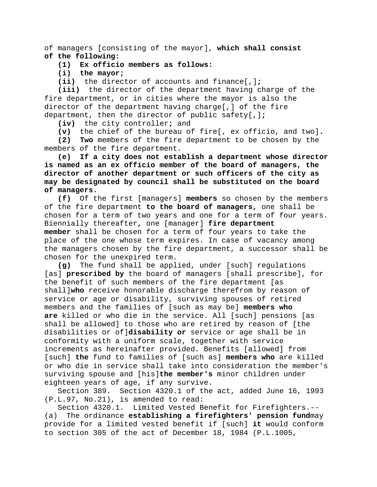of managers [consisting of the mayor], **which shall consist of the following:**

#### **(1) Ex officio members as follows:**

**(i) the mayor;**

**(ii)** the director of accounts and finance[,]**;**

**(iii)** the director of the department having charge of the fire department, or in cities where the mayor is also the director of the department having charge[,] of the fire department, then the director of public safety[,]**;**

**(iv)** the city controller**;** and

**(v)** the chief of the bureau of fire[, ex officio, and two]**.**

**(2) Two** members of the fire department to be chosen by the members of the fire department.

**(e) If a city does not establish a department whose director is named as an ex officio member of the board of managers, the director of another department or such officers of the city as may be designated by council shall be substituted on the board of managers.**

**(f)** Of the first [managers] **members** so chosen by the members of the fire department **to the board of managers,** one shall be chosen for a term of two years and one for a term of four years. Biennially thereafter**,** one [manager] **fire department member** shall be chosen for a term of four years to take the place of the one whose term expires. In case of vacancy among the managers chosen by the fire department, a successor shall be chosen for the unexpired term.

**(g)** The fund shall be applied, under [such] regulations [as] **prescribed by** the board of managers [shall prescribe], for the benefit of such members of the fire department [as shall]**who** receive honorable discharge therefrom by reason of service or age or disability, surviving spouses of retired members and the families of [such as may be] **members who are** killed or who die in the service. All [such] pensions [as shall be allowed] to those who are retired by reason of [the disabilities or of]**disability or** service or age shall be in conformity with a uniform scale, together with service increments as hereinafter provided. Benefits [allowed] from [such] **the** fund to families of [such as] **members who** are killed or who die in service shall take into consideration the member's surviving spouse and [his]**the member's** minor children under eighteen years of age, if any survive.

Section 389. Section 4320.1 of the act, added June 16, 1993 (P.L.97, No.21), is amended to read:

Section 4320.1. Limited Vested Benefit for Firefighters.-- (a) The ordinance **establishing a firefighters' pension fund**may provide for a limited vested benefit if [such] **it** would conform to section 305 of the act of December 18, 1984 (P.L.1005,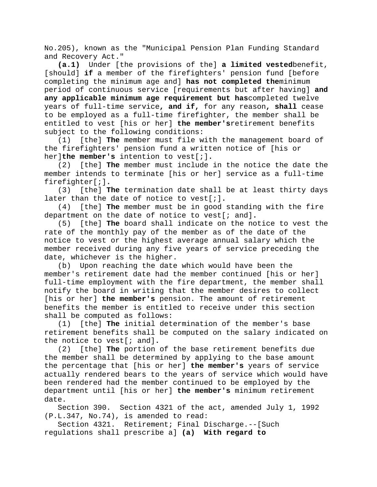No.205), known as the "Municipal Pension Plan Funding Standard and Recovery Act."

**(a.1)** Under [the provisions of the] **a limited vested**benefit, [should] **if** a member of the firefighters' pension fund [before completing the minimum age and] **has not completed the**minimum period of continuous service [requirements but after having] **and any applicable minimum age requirement but has**completed twelve years of full-time service**, and if,** for any reason**, shall** cease to be employed as a full-time firefighter, the member shall be entitled to vest [his or her] **the member's**retirement benefits subject to the following conditions:

(1) [the] **The** member must file with the management board of the firefighters' pension fund a written notice of [his or her]**the member's** intention to vest[;].<br>(2) [the] **The** member must include

(2) [the] **The** member must include in the notice the date the member intends to terminate [his or her] service as a full-time firefighter[;]**.**

(3) [the] **The** termination date shall be at least thirty days later than the date of notice to vest[;]**.**

(4) [the] **The** member must be in good standing with the fire department on the date of notice to vest[; and]**.**

(5) [the] **The** board shall indicate on the notice to vest the rate of the monthly pay of the member as of the date of the notice to vest or the highest average annual salary which the member received during any five years of service preceding the date, whichever is the higher.

(b) Upon reaching the date which would have been the member's retirement date had the member continued [his or her] full-time employment with the fire department, the member shall notify the board in writing that the member desires to collect [his or her] **the member's** pension. The amount of retirement benefits the member is entitled to receive under this section shall be computed as follows:

(1) [the] **The** initial determination of the member's base retirement benefits shall be computed on the salary indicated on the notice to vest[; and]**.**

(2) [the] **The** portion of the base retirement benefits due the member shall be determined by applying to the base amount the percentage that [his or her] **the member's** years of service actually rendered bears to the years of service which would have been rendered had the member continued to be employed by the department until [his or her] **the member's** minimum retirement date.

Section 390. Section 4321 of the act, amended July 1, 1992 (P.L.347, No.74), is amended to read:

Section 4321. Retirement; Final Discharge.--[Such regulations shall prescribe a] **(a) With regard to**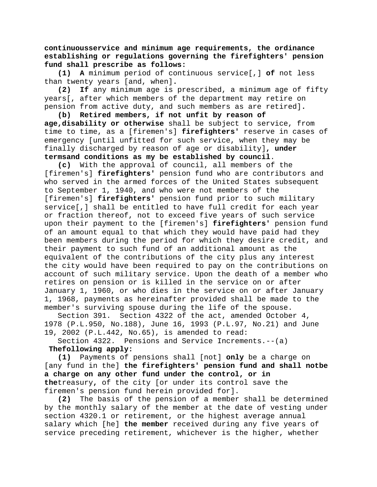**continuousservice and minimum age requirements, the ordinance establishing or regulations governing the firefighters' pension fund shall prescribe as follows:**

**(1) A** minimum period of continuous service[,] **of** not less than twenty years [and, when]**.**

**(2) If** any minimum age is prescribed, a minimum age of fifty years[, after which members of the department may retire on pension from active duty, and such members as are retired]**.**

**(b) Retired members, if not unfit by reason of age,disability or otherwise** shall be subject to service, from time to time, as a [firemen's] **firefighters'** reserve in cases of emergency [until unfitted for such service, when they may be finally discharged by reason of age or disability]**, under termsand conditions as my be established by council**.

**(c)** With the approval of council, all members of the [firemen's] **firefighters'** pension fund who are contributors and who served in the armed forces of the United States subsequent to September 1, 1940, and who were not members of the [firemen's] **firefighters'** pension fund prior to such military service[,] shall be entitled to have full credit for each year or fraction thereof, not to exceed five years of such service upon their payment to the [firemen's] **firefighters'** pension fund of an amount equal to that which they would have paid had they been members during the period for which they desire credit, and their payment to such fund of an additional amount as the equivalent of the contributions of the city plus any interest the city would have been required to pay on the contributions on account of such military service. Upon the death of a member who retires on pension or is killed in the service on or after January 1, 1960, or who dies in the service on or after January 1, 1968, payments as hereinafter provided shall be made to the member's surviving spouse during the life of the spouse.

Section 391. Section 4322 of the act, amended October 4, 1978 (P.L.950, No.188), June 16, 1993 (P.L.97, No.21) and June 19, 2002 (P.L.442, No.65), is amended to read:

Section 4322. Pensions and Service Increments.--(a)

## **Thefollowing apply:**

**(1)** Payments of pensions shall [not] **only** be a charge on [any fund in the] **the firefighters' pension fund and shall notbe a charge on any other fund under the control, or in the**treasury**,** of the city [or under its control save the firemen's pension fund herein provided for].

**(2)** The basis of the pension of a member shall be determined by the monthly salary of the member at the date of vesting under section 4320.1 or retirement, or the highest average annual salary which [he] **the member** received during any five years of service preceding retirement, whichever is the higher, whether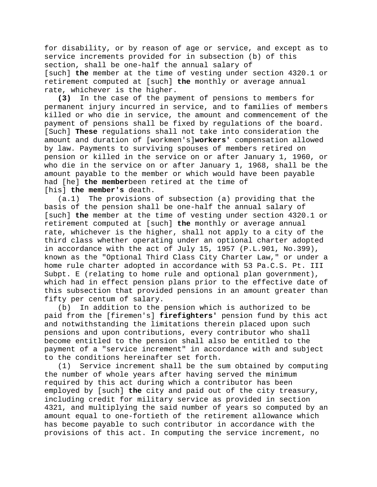for disability, or by reason of age or service, and except as to service increments provided for in subsection (b) of this section, shall be one-half the annual salary of [such] **the** member at the time of vesting under section 4320.1 or retirement computed at [such] **the** monthly or average annual rate, whichever is the higher.<br>(3) In the case of the pay

**(3)** In the case of the payment of pensions to members for permanent injury incurred in service, and to families of members killed or who die in service, the amount and commencement of the payment of pensions shall be fixed by regulations of the board. [Such] **These** regulations shall not take into consideration the amount and duration of [workmen's]**workers'** compensation allowed by law. Payments to surviving spouses of members retired on pension or killed in the service on or after January 1, 1960, or who die in the service on or after January 1, 1968, shall be the amount payable to the member or which would have been payable had [he] **the member**been retired at the time of [his] **the member's** death.

(a.1) The provisions of subsection (a) providing that the basis of the pension shall be one-half the annual salary of [such] **the** member at the time of vesting under section 4320.1 or retirement computed at [such] **the** monthly or average annual rate, whichever is the higher, shall not apply to a city of the third class whether operating under an optional charter adopted in accordance with the act of July 15, 1957 (P.L.901, No.399), known as the "Optional Third Class City Charter Law," or under a home rule charter adopted in accordance with 53 Pa.C.S. Pt. III Subpt. E (relating to home rule and optional plan government), which had in effect pension plans prior to the effective date of this subsection that provided pensions in an amount greater than fifty per centum of salary.

(b) In addition to the pension which is authorized to be paid from the [firemen's] **firefighters'** pension fund by this act and notwithstanding the limitations therein placed upon such pensions and upon contributions, every contributor who shall become entitled to the pension shall also be entitled to the payment of a "service increment" in accordance with and subject to the conditions hereinafter set forth.

(1) Service increment shall be the sum obtained by computing the number of whole years after having served the minimum required by this act during which a contributor has been employed by [such] **the** city and paid out of the city treasury, including credit for military service as provided in section 4321, and multiplying the said number of years so computed by an amount equal to one-fortieth of the retirement allowance which has become payable to such contributor in accordance with the provisions of this act. In computing the service increment, no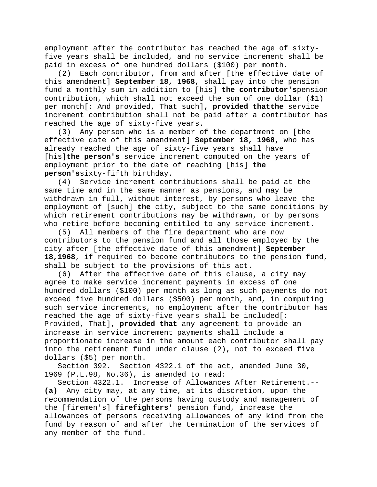employment after the contributor has reached the age of sixtyfive years shall be included, and no service increment shall be paid in excess of one hundred dollars (\$100) per month.

(2) Each contributor, from and after [the effective date of this amendment] **September 18, 1968**, shall pay into the pension fund a monthly sum in addition to [his] **the contributor's**pension contribution, which shall not exceed the sum of one dollar (\$1) per month[: And provided, That such]**, provided thatthe** service increment contribution shall not be paid after a contributor has reached the age of sixty-five years.

(3) Any person who is a member of the department on [the effective date of this amendment] **September 18, 1968,** who has already reached the age of sixty-five years shall have [his]**the person's** service increment computed on the years of employment prior to the date of reaching [his] **the person's**sixty-fifth birthday.

(4) Service increment contributions shall be paid at the same time and in the same manner as pensions, and may be withdrawn in full, without interest, by persons who leave the employment of [such] **the** city, subject to the same conditions by which retirement contributions may be withdrawn, or by persons who retire before becoming entitled to any service increment.

(5) All members of the fire department who are now contributors to the pension fund and all those employed by the city after [the effective date of this amendment] **September 18,1968**, if required to become contributors to the pension fund, shall be subject to the provisions of this act.

(6) After the effective date of this clause, a city may agree to make service increment payments in excess of one hundred dollars (\$100) per month as long as such payments do not exceed five hundred dollars (\$500) per month, and, in computing such service increments, no employment after the contributor has reached the age of sixty-five years shall be included[: Provided, That]**, provided that** any agreement to provide an increase in service increment payments shall include a proportionate increase in the amount each contributor shall pay into the retirement fund under clause (2), not to exceed five dollars (\$5) per month.

Section 392. Section 4322.1 of the act, amended June 30, 1969 (P.L.98, No.36), is amended to read:

Section 4322.1. Increase of Allowances After Retirement.-- **(a)** Any city may, at any time, at its discretion, upon the recommendation of the persons having custody and management of the [firemen's] **firefighters'** pension fund, increase the allowances of persons receiving allowances of any kind from the fund by reason of and after the termination of the services of any member of the fund.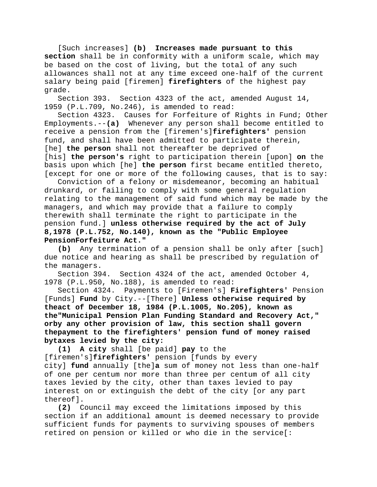[Such increases] **(b) Increases made pursuant to this section** shall be in conformity with a uniform scale, which may be based on the cost of living, but the total of any such allowances shall not at any time exceed one-half of the current salary being paid [firemen] **firefighters** of the highest pay grade.

Section 393. Section 4323 of the act, amended August 14, 1959 (P.L.709, No.246), is amended to read:

Section 4323. Causes for Forfeiture of Rights in Fund; Other Employments.--**(a)** Whenever any person shall become entitled to receive a pension from the [firemen's]**firefighters'** pension fund, and shall have been admitted to participate therein, [he] **the person** shall not thereafter be deprived of [his] **the person's** right to participation therein [upon] **on** the basis upon which [he] **the person** first became entitled thereto, [except for one or more of the following causes, that is to say:

Conviction of a felony or misdemeanor, becoming an habitual drunkard, or failing to comply with some general regulation relating to the management of said fund which may be made by the managers, and which may provide that a failure to comply therewith shall terminate the right to participate in the pension fund.] **unless otherwise required by the act of July 8,1978 (P.L.752, No.140), known as the "Public Employee PensionForfeiture Act."**

**(b)** Any termination of a pension shall be only after [such] due notice and hearing as shall be prescribed by regulation of the managers.

Section 394. Section 4324 of the act, amended October 4, 1978 (P.L.950, No.188), is amended to read:

Section 4324. Payments to [Firemen's] **Firefighters'** Pension [Funds] **Fund** by City.--[There] **Unless otherwise required by theact of December 18, 1984 (P.L.1005, No.205), known as the"Municipal Pension Plan Funding Standard and Recovery Act," orby any other provision of law, this section shall govern thepayment to the firefighters' pension fund of money raised bytaxes levied by the city:**

**(1) A city** shall [be paid] **pay** to the [firemen's]**firefighters'** pension [funds by every city] **fund** annually [the]**a** sum of money not less than one-half of one per centum nor more than three per centum of all city taxes levied by the city, other than taxes levied to pay interest on or extinguish the debt of the city [or any part thereof].

**(2)** Council may exceed the limitations imposed by this section if an additional amount is deemed necessary to provide sufficient funds for payments to surviving spouses of members retired on pension or killed or who die in the service[: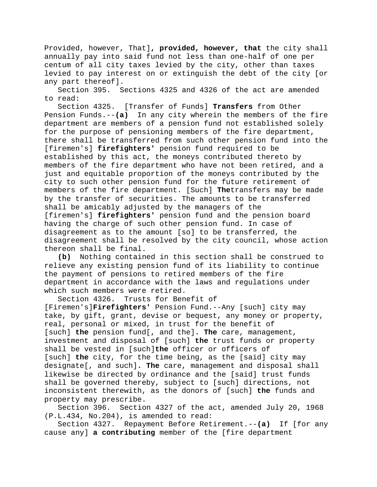Provided, however, That]**, provided, however, that** the city shall annually pay into said fund not less than one-half of one per centum of all city taxes levied by the city, other than taxes levied to pay interest on or extinguish the debt of the city [or any part thereof].

Section 395. Sections 4325 and 4326 of the act are amended to read:

Section 4325. [Transfer of Funds] **Transfers** from Other Pension Funds.--**(a)** In any city wherein the members of the fire department are members of a pension fund not established solely for the purpose of pensioning members of the fire department, there shall be transferred from such other pension fund into the [firemen's] **firefighters'** pension fund required to be established by this act, the moneys contributed thereto by members of the fire department who have not been retired, and a just and equitable proportion of the moneys contributed by the city to such other pension fund for the future retirement of members of the fire department. [Such] **The**transfers may be made by the transfer of securities. The amounts to be transferred shall be amicably adjusted by the managers of the [firemen's] **firefighters'** pension fund and the pension board having the charge of such other pension fund. In case of disagreement as to the amount [so] to be transferred, the disagreement shall be resolved by the city council, whose action thereon shall be final.

**(b)** Nothing contained in this section shall be construed to relieve any existing pension fund of its liability to continue the payment of pensions to retired members of the fire department in accordance with the laws and regulations under which such members were retired.<br>Section 4326. Trusts for Ben

Trusts for Benefit of [Firemen's]**Firefighters'** Pension Fund.--Any [such] city may take, by gift, grant, devise or bequest, any money or property, real, personal or mixed, in trust for the benefit of [such] **the** pension fund[, and the]**. The** care, management, investment and disposal of [such] **the** trust funds or property shall be vested in [such]**the** officer or officers of [such] **the** city, for the time being, as the [said] city may designate[, and such]**. The** care, management and disposal shall likewise be directed by ordinance and the [said] trust funds shall be governed thereby, subject to [such] directions, not inconsistent therewith, as the donors of [such] **the** funds and property may prescribe.

Section 396. Section 4327 of the act, amended July 20, 1968 (P.L.434, No.204), is amended to read:

Section 4327. Repayment Before Retirement.--**(a)** If [for any cause any] **a contributing** member of the [fire department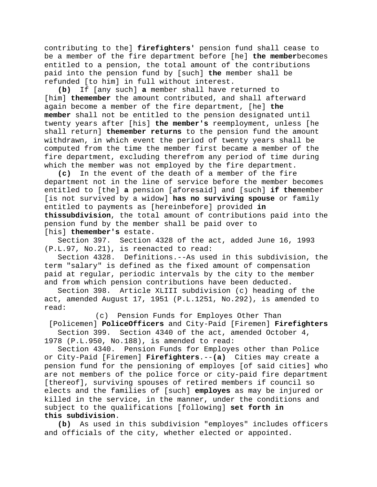contributing to the] **firefighters'** pension fund shall cease to be a member of the fire department before [he] **the member**becomes entitled to a pension, the total amount of the contributions paid into the pension fund by [such] **the** member shall be refunded [to him] in full without interest.

**(b)** If [any such] **a** member shall have returned to [him] **themember** the amount contributed, and shall afterward again become a member of the fire department, [he] **the member** shall not be entitled to the pension designated until twenty years after [his] **the member's** reemployment, unless [he shall return] **themember returns** to the pension fund the amount withdrawn, in which event the period of twenty years shall be computed from the time the member first became a member of the fire department, excluding therefrom any period of time during which the member was not employed by the fire department.

**(c)** In the event of the death of a member of the fire department not in the line of service before the member becomes entitled to [the] **a** pension [aforesaid] and [such] **if the**member [is not survived by a widow] **has no surviving spouse** or family entitled to payments as [hereinbefore] provided **in thissubdivision**, the total amount of contributions paid into the pension fund by the member shall be paid over to [his] **themember's** estate.

Section 397. Section 4328 of the act, added June 16, 1993 (P.L.97, No.21), is reenacted to read:

Section 4328. Definitions.--As used in this subdivision, the term "salary" is defined as the fixed amount of compensation paid at regular, periodic intervals by the city to the member and from which pension contributions have been deducted.

Section 398. Article XLIII subdivision (c) heading of the act, amended August 17, 1951 (P.L.1251, No.292), is amended to read:

(c) Pension Funds for Employes Other Than

[Policemen] **PoliceOfficers** and City-Paid [Firemen] **Firefighters** Section 399. Section 4340 of the act, amended October 4, 1978 (P.L.950, No.188), is amended to read:

Section 4340. Pension Funds for Employes other than Police or City-Paid [Firemen] **Firefighters**.--**(a)** Cities may create a pension fund for the pensioning of employes [of said cities] who are not members of the police force or city-paid fire department [thereof], surviving spouses of retired members if council so elects and the families of [such] **employes** as may be injured or killed in the service, in the manner, under the conditions and subject to the qualifications [following] **set forth in this subdivision**.

**(b)** As used in this subdivision "employes" includes officers and officials of the city, whether elected or appointed.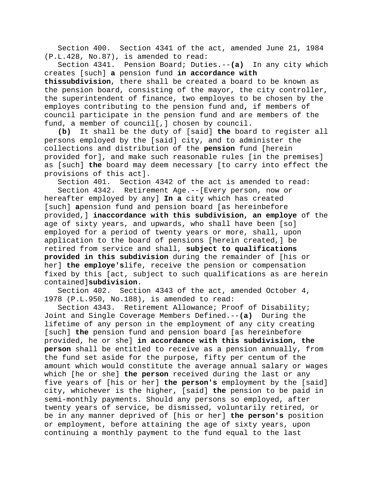Section 400. Section 4341 of the act, amended June 21, 1984 (P.L.428, No.87), is amended to read:

Section 4341. Pension Board; Duties.--**(a)** In any city which creates [such] **a** pension fund **in accordance with** 

**thissubdivision**, there shall be created a board to be known as the pension board, consisting of the mayor, the city controller, the superintendent of finance, two employes to be chosen by the employes contributing to the pension fund and**,** if members of council participate in the pension fund and are members of the fund, a member of council[,] chosen by council.<br>(b) It shall be the duty of [said] **the** boar

**(b)** It shall be the duty of [said] **the** board to register all persons employed by the [said] city, and to administer the collections and distribution of the **pension** fund [herein provided for], and make such reasonable rules [in the premises] as [such] **the** board may deem necessary [to carry into effect the provisions of this act].

Section 401. Section 4342 of the act is amended to read: Section 4342. Retirement Age.--[Every person, now or hereafter employed by any] **In a** city which has created [such] **a**pension fund and pension board [as hereinbefore provided,] **inaccordance with this subdivision, an employe** of the age of sixty years, and upwards, who shall have been [so] employed for a period of twenty years or more, shall, upon application to the board of pensions [herein created,] be retired from service and shall, **subject to qualifications provided in this subdivision** during the remainder of [his or her] **the employe's**life, receive the pension or compensation fixed by this [act, subject to such qualifications as are herein contained]**subdivision**.

Section 402. Section 4343 of the act, amended October 4, 1978 (P.L.950, No.188), is amended to read:

Section 4343. Retirement Allowance; Proof of Disability; Joint and Single Coverage Members Defined.--**(a)** During the lifetime of any person in the employment of any city creating [such] **the** pension fund and pension board [as hereinbefore provided, he or she] **in accordance with this subdivision, the person** shall be entitled to receive as a pension annually, from the fund set aside for the purpose, fifty per centum of the amount which would constitute the average annual salary or wages which [he or she] **the person** received during the last or any five years of [his or her] **the person's** employment by the [said] city, whichever is the higher, [said] **the** pension to be paid in semi-monthly payments. Should any persons so employed, after twenty years of service, be dismissed, voluntarily retired, or be in any manner deprived of [his or her] **the person's** position or employment, before attaining the age of sixty years, upon continuing a monthly payment to the fund equal to the last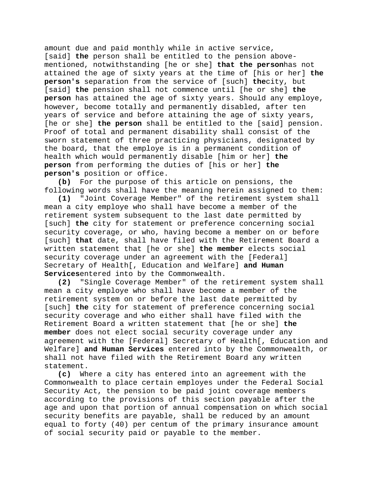amount due and paid monthly while in active service, [said] **the** person shall be entitled to the pension abovementioned, notwithstanding [he or she] **that the person**has not attained the age of sixty years at the time of [his or her] **the person's** separation from the service of [such] **the**city, but [said] **the** pension shall not commence until [he or she] **the person** has attained the age of sixty years. Should any employe, however, become totally and permanently disabled, after ten years of service and before attaining the age of sixty years, [he or she] **the person** shall be entitled to the [said] pension. Proof of total and permanent disability shall consist of the sworn statement of three practicing physicians, designated by the board, that the employe is in a permanent condition of health which would permanently disable [him or her] **the person** from performing the duties of [his or her] **the person's** position or office.<br>(b) For the purpose of t

**(b)** For the purpose of this article on pensions, the following words shall have the meaning herein assigned to them:<br>(1) "Joint Coverage Member" of the retirement system shall

**(1)** "Joint Coverage Member" of the retirement system shall mean a city employe who shall have become a member of the retirement system subsequent to the last date permitted by [such] **the** city for statement or preference concerning social security coverage, or who, having become a member on or before [such] **that** date, shall have filed with the Retirement Board a written statement that [he or she] **the member** elects social security coverage under an agreement with the [Federal] Secretary of Health[, Education and Welfare] **and Human Services**entered into by the Commonwealth.

**(2)** "Single Coverage Member" of the retirement system shall mean a city employe who shall have become a member of the retirement system on or before the last date permitted by [such] **the** city for statement of preference concerning social security coverage and who either shall have filed with the Retirement Board a written statement that [he or she] **the member** does not elect social security coverage under any agreement with the [Federal] Secretary of Health[, Education and Welfare] **and Human Services** entered into by the Commonwealth, or shall not have filed with the Retirement Board any written statement.

**(c)** Where a city has entered into an agreement with the Commonwealth to place certain employes under the Federal Social Security Act, the pension to be paid joint coverage members according to the provisions of this section payable after the age and upon that portion of annual compensation on which social security benefits are payable, shall be reduced by an amount equal to forty (40) per centum of the primary insurance amount of social security paid or payable to the member.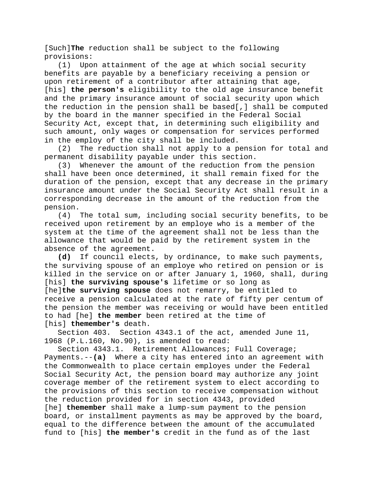[Such]**The** reduction shall be subject to the following provisions:

(1) Upon attainment of the age at which social security benefits are payable by a beneficiary receiving a pension or upon retirement of a contributor after attaining that age, [his] **the person's** eligibility to the old age insurance benefit and the primary insurance amount of social security upon which the reduction in the pension shall be based[,] shall be computed by the board in the manner specified in the Federal Social Security Act, except that**,** in determining such eligibility and such amount**,** only wages or compensation for services performed in the employ of the city shall be included.

(2) The reduction shall not apply to a pension for total and permanent disability payable under this section.

(3) Whenever the amount of the reduction from the pension shall have been once determined, it shall remain fixed for the duration of the pension, except that any decrease in the primary insurance amount under the Social Security Act shall result in a corresponding decrease in the amount of the reduction from the pension.

(4) The total sum, including social security benefits, to be received upon retirement by an employe who is a member of the system at the time of the agreement shall not be less than the allowance that would be paid by the retirement system in the absence of the agreement.

**(d)** If council elects, by ordinance, to make such payments, the surviving spouse of an employe who retired on pension or is killed in the service on or after January 1, 1960, shall, during [his] **the surviving spouse's** lifetime or so long as [he]**the surviving spouse** does not remarry, be entitled to receive a pension calculated at the rate of fifty per centum of the pension the member was receiving or would have been entitled to had [he] **the member** been retired at the time of [his] **themember's** death.

Section 403. Section 4343.1 of the act, amended June 11, 1968 (P.L.160, No.90), is amended to read:

Section 4343.1. Retirement Allowances; Full Coverage; Payments.--**(a)** Where a city has entered into an agreement with the Commonwealth to place certain employes under the Federal Social Security Act, the pension board may authorize any joint coverage member of the retirement system to elect according to the provisions of this section to receive compensation without the reduction provided for in section 4343, provided [he] **themember** shall make a lump-sum payment to the pension board, or installment payments as may be approved by the board, equal to the difference between the amount of the accumulated fund to [his] **the member's** credit in the fund as of the last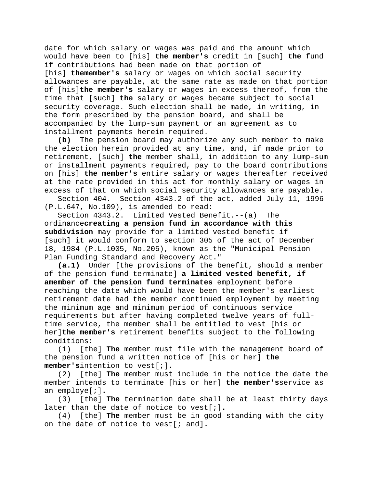date for which salary or wages was paid and the amount which would have been to [his] **the member's** credit in [such] **the** fund if contributions had been made on that portion of [his] **themember's** salary or wages on which social security allowances are payable, at the same rate as made on that portion of [his]**the member's** salary or wages in excess thereof, from the time that [such] **the** salary or wages became subject to social security coverage. Such election shall be made, in writing, in the form prescribed by the pension board, and shall be accompanied by the lump-sum payment or an agreement as to installment payments herein required.<br>(b) The pension board may authori

**(b)** The pension board may authorize any such member to make the election herein provided at any time, and**,** if made prior to retirement, [such] **the** member shall, in addition to any lump-sum or installment payments required, pay to the board contributions on [his] **the member's** entire salary or wages thereafter received at the rate provided in this act for monthly salary or wages in excess of that on which social security allowances are payable.

Section 404. Section 4343.2 of the act, added July 11, 1996 (P.L.647, No.109), is amended to read:

Section 4343.2. Limited Vested Benefit.--(a) The ordinance**creating a pension fund in accordance with this subdivision** may provide for a limited vested benefit if [such] **it** would conform to section 305 of the act of December 18, 1984 (P.L.1005, No.205), known as the "Municipal Pension Plan Funding Standard and Recovery Act."

**(a.1)** Under [the provisions of the benefit, should a member of the pension fund terminate] **a limited vested benefit, if amember of the pension fund terminates** employment before reaching the date which would have been the member's earliest retirement date had the member continued employment by meeting the minimum age and minimum period of continuous service requirements but after having completed twelve years of fulltime service, the member shall be entitled to vest [his or her]**the member's** retirement benefits subject to the following conditions:

(1) [the] **The** member must file with the management board of the pension fund a written notice of [his or her] **the member's**intention to vest[;]**.**

(2) [the] **The** member must include in the notice the date the member intends to terminate [his or her] **the member's**service as an employe[;]**.**

(3) [the] **The** termination date shall be at least thirty days later than the date of notice to vest[;]**.**

(4) [the] **The** member must be in good standing with the city on the date of notice to vest[; and]**.**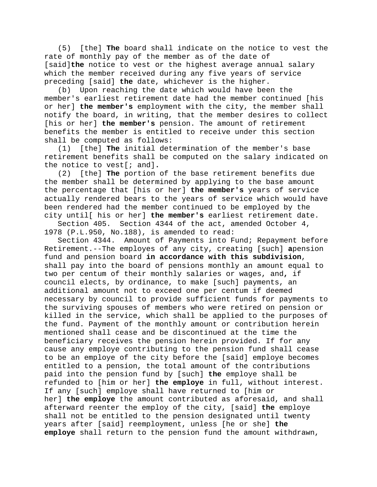(5) [the] **The** board shall indicate on the notice to vest the rate of monthly pay of the member as of the date of [said]**the** notice to vest or the highest average annual salary which the member received during any five years of service preceding [said] **the** date, whichever is the higher.

(b) Upon reaching the date which would have been the member's earliest retirement date had the member continued [his or her] **the member's** employment with the city, the member shall notify the board, in writing, that the member desires to collect [his or her] **the member's** pension. The amount of retirement benefits the member is entitled to receive under this section shall be computed as follows:<br>(1) [the] **The** initial det

[the] The initial determination of the member's base retirement benefits shall be computed on the salary indicated on the notice to vest[; and]**.**

(2) [the] **The** portion of the base retirement benefits due the member shall be determined by applying to the base amount the percentage that [his or her] **the member's** years of service actually rendered bears to the years of service which would have been rendered had the member continued to be employed by the city until[ his or her] **the member's** earliest retirement date.

Section 405. Section 4344 of the act, amended October 4, 1978 (P.L.950, No.188), is amended to read:

Section 4344. Amount of Payments into Fund; Repayment before Retirement.--The employes of any city, creating [such] **a**pension fund and pension board **in accordance with this subdivision**, shall pay into the board of pensions monthly an amount equal to two per centum of their monthly salaries or wages, and**,** if council elects, by ordinance, to make [such] payments, an additional amount not to exceed one per centum if deemed necessary by council to provide sufficient funds for payments to the surviving spouses of members who were retired on pension or killed in the service, which shall be applied to the purposes of the fund. Payment of the monthly amount or contribution herein mentioned shall cease and be discontinued at the time the beneficiary receives the pension herein provided. If for any cause any employe contributing to the pension fund shall cease to be an employe of the city before the [said] employe becomes entitled to a pension, the total amount of the contributions paid into the pension fund by [such] **the** employe shall be refunded to [him or her] **the employe** in full, without interest. If any [such] employe shall have returned to [him or her] **the employe** the amount contributed as aforesaid, and shall afterward reenter the employ of the city, [said] **the** employe shall not be entitled to the pension designated until twenty years after [said] reemployment, unless [he or she] **the employe** shall return to the pension fund the amount withdrawn,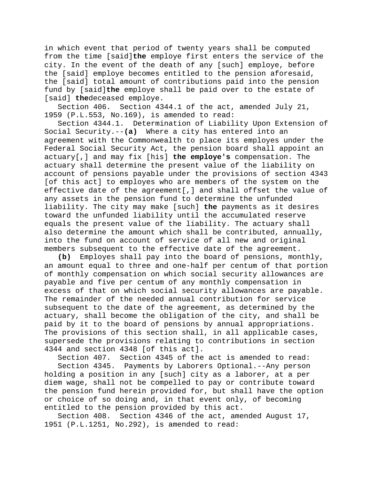in which event that period of twenty years shall be computed from the time [said]**the** employe first enters the service of the city. In the event of the death of any [such] employe, before the [said] employe becomes entitled to the pension aforesaid, the [said] total amount of contributions paid into the pension fund by [said]**the** employe shall be paid over to the estate of [said] **the**deceased employe.

Section 406. Section 4344.1 of the act, amended July 21, 1959 (P.L.553, No.169), is amended to read:

Section 4344.1. Determination of Liability Upon Extension of Social Security.--**(a)** Where a city has entered into an agreement with the Commonwealth to place its employes under the Federal Social Security Act, the pension board shall appoint an actuary[,] and may fix [his] **the employe's** compensation. The actuary shall determine the present value of the liability on account of pensions payable under the provisions of section 4343 [of this act] to employes who are members of the system on the effective date of the agreement[,] and shall offset the value of any assets in the pension fund to determine the unfunded liability. The city may make [such] **the** payments as it desires toward the unfunded liability until the accumulated reserve equals the present value of the liability. The actuary shall also determine the amount which shall be contributed, annually, into the fund on account of service of all new and original

members subsequent to the effective date of the agreement.<br>(b) Employes shall pay into the board of pensions, mon **(b)** Employes shall pay into the board of pensions, monthly, an amount equal to three and one-half per centum of that portion of monthly compensation on which social security allowances are payable and five per centum of any monthly compensation in excess of that on which social security allowances are payable. The remainder of the needed annual contribution for service subsequent to the date of the agreement, as determined by the actuary, shall become the obligation of the city, and shall be paid by it to the board of pensions by annual appropriations. The provisions of this section shall, in all applicable cases, supersede the provisions relating to contributions in section 4344 and section 4348 [of this act].

Section 407. Section 4345 of the act is amended to read:

Section 4345. Payments by Laborers Optional.--Any person holding a position in any [such] city as a laborer, at a per diem wage, shall not be compelled to pay or contribute toward the pension fund herein provided for, but shall have the option or choice of so doing and, in that event only, of becoming entitled to the pension provided by this act.

Section 408. Section 4346 of the act, amended August 17, 1951 (P.L.1251, No.292), is amended to read: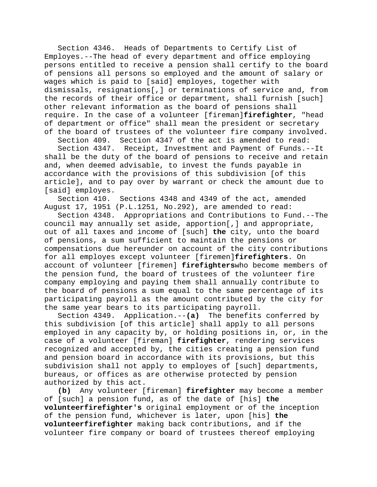Section 4346. Heads of Departments to Certify List of Employes.--The head of every department and office employing persons entitled to receive a pension shall certify to the board of pensions all persons so employed and the amount of salary or wages which is paid to [said] employes, together with dismissals, resignations[,] or terminations of service and, from the records of their office or department, shall furnish [such] other relevant information as the board of pensions shall require. In the case of a volunteer [fireman]**firefighter**, "head of department or office" shall mean the president or secretary of the board of trustees of the volunteer fire company involved.

Section 409. Section 4347 of the act is amended to read: Section 4347. Receipt, Investment and Payment of Funds.--It shall be the duty of the board of pensions to receive and retain and, when deemed advisable, to invest the funds payable in accordance with the provisions of this subdivision [of this article], and to pay over by warrant or check the amount due to [said] employes.

Section 410. Sections 4348 and 4349 of the act, amended August 17, 1951 (P.L.1251, No.292), are amended to read:

Section 4348. Appropriations and Contributions to Fund.--The council may annually set aside, apportion[,] and appropriate, out of all taxes and income of [such] **the** city, unto the board of pensions, a sum sufficient to maintain the pensions or compensations due hereunder on account of the city contributions for all employes except volunteer [firemen]**firefighters**. On account of volunteer [firemen] **firefighters**who become members of the pension fund, the board of trustees of the volunteer fire company employing and paying them shall annually contribute to the board of pensions a sum equal to the same percentage of its participating payroll as the amount contributed by the city for the same year bears to its participating payroll.

Section 4349. Application.--**(a)** The benefits conferred by this subdivision [of this article] shall apply to all persons employed in any capacity by, or holding positions in, or, in the case of a volunteer [fireman] **firefighter**, rendering services recognized and accepted by, the cities creating a pension fund and pension board in accordance with its provisions, but this subdivision shall not apply to employes of [such] departments, bureaus, or offices as are otherwise protected by pension authorized by this act.

**(b)** Any volunteer [fireman] **firefighter** may become a member of [such] a pension fund, as of the date of [his] **the volunteerfirefighter's** original employment or of the inception of the pension fund, whichever is later, upon [his] **the volunteerfirefighter** making back contributions, and if the volunteer fire company or board of trustees thereof employing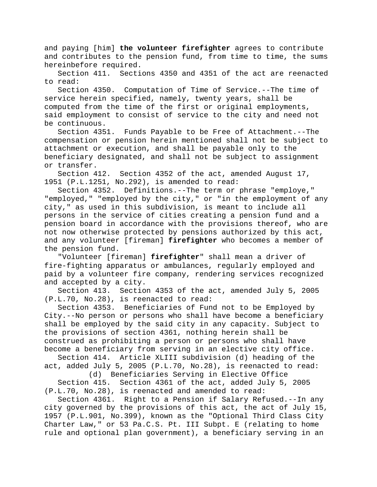and paying [him] **the volunteer firefighter** agrees to contribute and contributes to the pension fund, from time to time, the sums hereinbefore required.

Section 411. Sections 4350 and 4351 of the act are reenacted to read:

Section 4350. Computation of Time of Service.--The time of service herein specified, namely, twenty years, shall be computed from the time of the first or original employments, said employment to consist of service to the city and need not be continuous.

Section 4351. Funds Payable to be Free of Attachment.--The compensation or pension herein mentioned shall not be subject to attachment or execution, and shall be payable only to the beneficiary designated, and shall not be subject to assignment or transfer.

Section 412. Section 4352 of the act, amended August 17, 1951 (P.L.1251, No.292), is amended to read:

Section 4352. Definitions.--The term or phrase "employe," "employed," "employed by the city," or "in the employment of any city," as used in this subdivision, is meant to include all persons in the service of cities creating a pension fund and a pension board in accordance with the provisions thereof, who are not now otherwise protected by pensions authorized by this act, and any volunteer [fireman] **firefighter** who becomes a member of the pension fund.

"Volunteer [fireman] **firefighter**" shall mean a driver of fire-fighting apparatus or ambulances, regularly employed and paid by a volunteer fire company, rendering services recognized and accepted by a city.

Section 413. Section 4353 of the act, amended July 5, 2005 (P.L.70, No.28), is reenacted to read:

Section 4353. Beneficiaries of Fund not to be Employed by City.--No person or persons who shall have become a beneficiary shall be employed by the said city in any capacity. Subject to the provisions of section 4361, nothing herein shall be construed as prohibiting a person or persons who shall have become a beneficiary from serving in an elective city office.

Section 414. Article XLIII subdivision (d) heading of the act, added July 5, 2005 (P.L.70, No.28), is reenacted to read:

(d) Beneficiaries Serving in Elective Office Section 415. Section 4361 of the act, added July 5, 2005 (P.L.70, No.28), is reenacted and amended to read:

Section 4361. Right to a Pension if Salary Refused.--In any city governed by the provisions of this act, the act of July 15, 1957 (P.L.901, No.399), known as the "Optional Third Class City Charter Law," or 53 Pa.C.S. Pt. III Subpt. E (relating to home rule and optional plan government), a beneficiary serving in an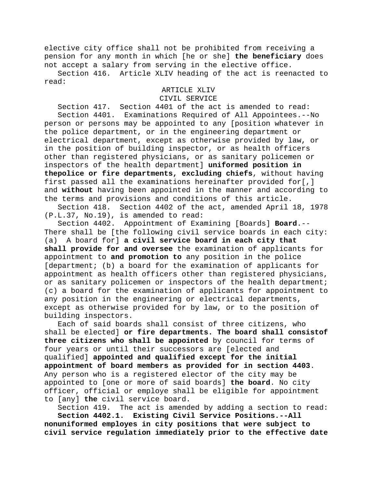elective city office shall not be prohibited from receiving a pension for any month in which [he or she] **the beneficiary** does not accept a salary from serving in the elective office.

Section 416. Article XLIV heading of the act is reenacted to read:

## ARTICLE XLIV CIVIL SERVICE

Section 417. Section 4401 of the act is amended to read: Section 4401. Examinations Required of All Appointees.--No person or persons may be appointed to any [position whatever in the police department, or in the engineering department or electrical department, except as otherwise provided by law, or in the position of building inspector, or as health officers other than registered physicians, or as sanitary policemen or inspectors of the health department] **uniformed position in thepolice or fire departments, excluding chiefs**, without having first passed all the examinations hereinafter provided for[,] and **without** having been appointed in the manner and according to the terms and provisions and conditions of this article.

Section 418. Section 4402 of the act, amended April 18, 1978 (P.L.37, No.19), is amended to read:

Appointment of Examining [Boards] **Board**.--There shall be [the following civil service boards in each city: (a) A board for] **a civil service board in each city that shall provide for and oversee** the examination of applicants for appointment to **and promotion to** any position in the police [department; (b) a board for the examination of applicants for appointment as health officers other than registered physicians, or as sanitary policemen or inspectors of the health department; (c) a board for the examination of applicants for appointment to any position in the engineering or electrical departments, except as otherwise provided for by law, or to the position of building inspectors.

Each of said boards shall consist of three citizens, who shall be elected] **or fire departments. The board shall consistof three citizens who shall be appointed** by council for terms of four years or until their successors are [elected and qualified] **appointed and qualified except for the initial appointment of board members as provided for in section 4403**. Any person who is a registered elector of the city may be appointed to [one or more of said boards] **the board**. No city officer, official or employe shall be eligible for appointment to [any] **the** civil service board.

Section 419. The act is amended by adding a section to read: **Section 4402.1. Existing Civil Service Positions.--All nonuniformed employes in city positions that were subject to civil service regulation immediately prior to the effective date**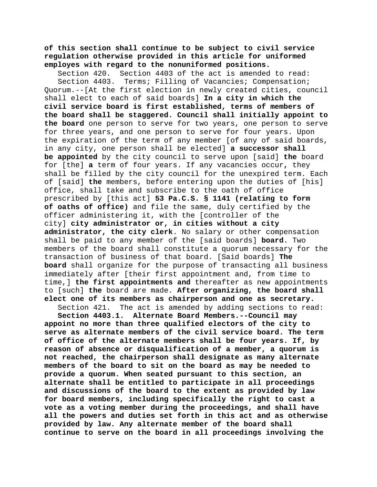**of this section shall continue to be subject to civil service regulation otherwise provided in this article for uniformed employes with regard to the nonuniformed positions.**

Section 420. Section 4403 of the act is amended to read:<br>Section 4403. Terms; Filling of Vacancies; Compensation; Terms; Filling of Vacancies; Compensation; Quorum.--[At the first election in newly created cities, council shall elect to each of said boards] **In a city in which the civil service board is first established, terms of members of the board shall be staggered. Council shall initially appoint to the board** one person to serve for two years, one person to serve for three years, and one person to serve for four years. Upon the expiration of the term of any member [of any of said boards, in any city, one person shall be elected] **a successor shall be appointed** by the city council to serve upon [said] **the** board for [the] **a** term of four years. If any vacancies occur**,** they shall be filled by the city council for the unexpired term. Each of [said] **the** members, before entering upon the duties of [his] office, shall take and subscribe to the oath of office prescribed by [this act] **53 Pa.C.S. § 1141 (relating to form of oaths of office)** and file the same, duly certified by the officer administering it, with the [controller of the city] **city administrator or, in cities without a city administrator, the city clerk**. No salary or other compensation shall be paid to any member of the [said boards] **board**. Two members of the board shall constitute a quorum necessary for the transaction of business of that board. [Said boards] **The board** shall organize for the purpose of transacting all business immediately after [their first appointment and, from time to time,] **the first appointments and** thereafter as new appointments to [such] **the** board are made. **After organizing, the board shall elect one of its members as chairperson and one as secretary.**

Section 421. The act is amended by adding sections to read:

**Section 4403.1. Alternate Board Members.--Council may appoint no more than three qualified electors of the city to serve as alternate members of the civil service board. The term of office of the alternate members shall be four years. If, by reason of absence or disqualification of a member, a quorum is not reached, the chairperson shall designate as many alternate members of the board to sit on the board as may be needed to provide a quorum. When seated pursuant to this section, an alternate shall be entitled to participate in all proceedings and discussions of the board to the extent as provided by law for board members, including specifically the right to cast a vote as a voting member during the proceedings, and shall have all the powers and duties set forth in this act and as otherwise provided by law. Any alternate member of the board shall continue to serve on the board in all proceedings involving the**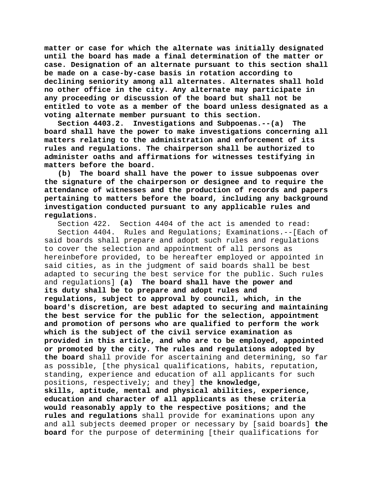**matter or case for which the alternate was initially designated until the board has made a final determination of the matter or case. Designation of an alternate pursuant to this section shall be made on a case-by-case basis in rotation according to declining seniority among all alternates. Alternates shall hold no other office in the city. Any alternate may participate in any proceeding or discussion of the board but shall not be entitled to vote as a member of the board unless designated as a voting alternate member pursuant to this section.**

**Section 4403.2. Investigations and Subpoenas.--(a) The board shall have the power to make investigations concerning all matters relating to the administration and enforcement of its rules and regulations. The chairperson shall be authorized to administer oaths and affirmations for witnesses testifying in matters before the board.**

**(b) The board shall have the power to issue subpoenas over the signature of the chairperson or designee and to require the attendance of witnesses and the production of records and papers pertaining to matters before the board, including any background investigation conducted pursuant to any applicable rules and regulations.**

Section 422. Section 4404 of the act is amended to read:

Section 4404. Rules and Regulations; Examinations.--[Each of said boards shall prepare and adopt such rules and regulations to cover the selection and appointment of all persons as hereinbefore provided, to be hereafter employed or appointed in said cities, as in the judgment of said boards shall be best adapted to securing the best service for the public. Such rules and regulations] **(a) The board shall have the power and its duty shall be to prepare and adopt rules and regulations, subject to approval by council, which, in the board's discretion, are best adapted to securing and maintaining the best service for the public for the selection, appointment and promotion of persons who are qualified to perform the work which is the subject of the civil service examination as provided in this article, and who are to be employed, appointed or promoted by the city. The rules and regulations adopted by the board** shall provide for ascertaining and determining, so far as possible, [the physical qualifications, habits, reputation, standing, experience and education of all applicants for such positions, respectively; and they] **the knowledge, skills, aptitude, mental and physical abilities, experience, education and character of all applicants as these criteria would reasonably apply to the respective positions; and the rules and regulations** shall provide for examinations upon any and all subjects deemed proper or necessary by [said boards] **the board** for the purpose of determining [their qualifications for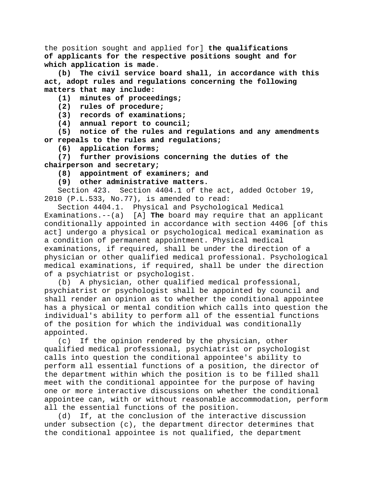the position sought and applied for] **the qualifications of applicants for the respective positions sought and for which application is made**.

**(b) The civil service board shall, in accordance with this act, adopt rules and regulations concerning the following matters that may include:**

**(1) minutes of proceedings;**

**(2) rules of procedure;**

**(3) records of examinations;**

**(4) annual report to council;**

**(5) notice of the rules and regulations and any amendments or repeals to the rules and regulations;**

**(6) application forms;**

**(7) further provisions concerning the duties of the chairperson and secretary;**

**(8) appointment of examiners; and**

**(9) other administrative matters.**

Section 423. Section 4404.1 of the act, added October 19, 2010 (P.L.533, No.77), is amended to read:

Section 4404.1. Physical and Psychological Medical Examinations.--(a) [A] **The** board may require that an applicant conditionally appointed in accordance with section 4406 [of this act] undergo a physical or psychological medical examination as a condition of permanent appointment. Physical medical examinations, if required, shall be under the direction of a physician or other qualified medical professional. Psychological medical examinations, if required, shall be under the direction of a psychiatrist or psychologist.

(b) A physician, other qualified medical professional, psychiatrist or psychologist shall be appointed by council and shall render an opinion as to whether the conditional appointee has a physical or mental condition which calls into question the individual's ability to perform all of the essential functions of the position for which the individual was conditionally

appointed.<br>c) If If the opinion rendered by the physician, other qualified medical professional, psychiatrist or psychologist calls into question the conditional appointee's ability to perform all essential functions of a position, the director of the department within which the position is to be filled shall meet with the conditional appointee for the purpose of having one or more interactive discussions on whether the conditional appointee can, with or without reasonable accommodation, perform all the essential functions of the position.

(d) If, at the conclusion of the interactive discussion under subsection (c), the department director determines that the conditional appointee is not qualified, the department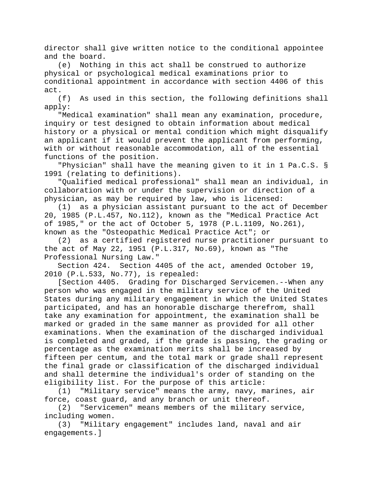director shall give written notice to the conditional appointee and the board.

(e) Nothing in this act shall be construed to authorize physical or psychological medical examinations prior to conditional appointment in accordance with section 4406 of this act.

(f) As used in this section, the following definitions shall apply:

"Medical examination" shall mean any examination, procedure, inquiry or test designed to obtain information about medical history or a physical or mental condition which might disqualify an applicant if it would prevent the applicant from performing, with or without reasonable accommodation, all of the essential functions of the position.

"Physician" shall have the meaning given to it in 1 Pa.C.S. § 1991 (relating to definitions).

"Qualified medical professional" shall mean an individual, in collaboration with or under the supervision or direction of a physician, as may be required by law, who is licensed:

(1) as a physician assistant pursuant to the act of December 20, 1985 (P.L.457, No.112), known as the "Medical Practice Act of 1985," or the act of October 5, 1978 (P.L.1109, No.261), known as the "Osteopathic Medical Practice Act"; or

(2) as a certified registered nurse practitioner pursuant to the act of May 22, 1951 (P.L.317, No.69), known as "The Professional Nursing Law."

Section 424. Section 4405 of the act, amended October 19, 2010 (P.L.533, No.77), is repealed:

[Section 4405. Grading for Discharged Servicemen.--When any person who was engaged in the military service of the United States during any military engagement in which the United States participated, and has an honorable discharge therefrom, shall take any examination for appointment, the examination shall be marked or graded in the same manner as provided for all other examinations. When the examination of the discharged individual is completed and graded, if the grade is passing, the grading or percentage as the examination merits shall be increased by fifteen per centum, and the total mark or grade shall represent the final grade or classification of the discharged individual and shall determine the individual's order of standing on the eligibility list. For the purpose of this article:

(1) "Military service" means the army, navy, marines, air force, coast guard, and any branch or unit thereof.

(2) "Servicemen" means members of the military service, including women.

(3) "Military engagement" includes land, naval and air engagements.]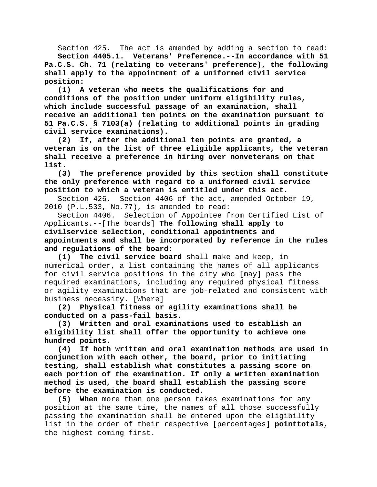Section 425. The act is amended by adding a section to read: **Section 4405.1. Veterans' Preference.--In accordance with 51 Pa.C.S. Ch. 71 (relating to veterans' preference), the following shall apply to the appointment of a uniformed civil service position:**

**(1) A veteran who meets the qualifications for and conditions of the position under uniform eligibility rules, which include successful passage of an examination, shall receive an additional ten points on the examination pursuant to 51 Pa.C.S. § 7103(a) (relating to additional points in grading civil service examinations).**

**(2) If, after the additional ten points are granted, a veteran is on the list of three eligible applicants, the veteran shall receive a preference in hiring over nonveterans on that list.**

**(3) The preference provided by this section shall constitute the only preference with regard to a uniformed civil service position to which a veteran is entitled under this act.**

Section 426. Section 4406 of the act, amended October 19, 2010 (P.L.533, No.77), is amended to read:

Section 4406. Selection of Appointee from Certified List of Applicants.--[The boards] **The following shall apply to civilservice selection, conditional appointments and appointments and shall be incorporated by reference in the rules and regulations of the board:**

The civil service board shall make and keep, in numerical order, a list containing the names of all applicants for civil service positions in the city who [may] pass the required examinations, including any required physical fitness or agility examinations that are job-related and consistent with business necessity. [Where]

**(2) Physical fitness or agility examinations shall be conducted on a pass-fail basis.**

**(3) Written and oral examinations used to establish an eligibility list shall offer the opportunity to achieve one hundred points.**

**(4) If both written and oral examination methods are used in conjunction with each other, the board, prior to initiating testing, shall establish what constitutes a passing score on each portion of the examination. If only a written examination method is used, the board shall establish the passing score before the examination is conducted.**

**(5) When** more than one person takes examinations for any position at the same time, the names of all those successfully passing the examination shall be entered upon the eligibility list in the order of their respective [percentages] **pointtotals**, the highest coming first.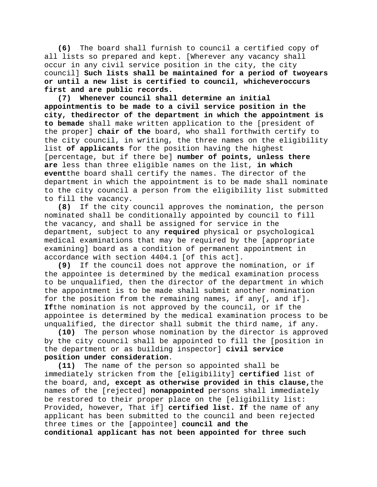**(6)** The board shall furnish to council a certified copy of all lists so prepared and kept. [Wherever any vacancy shall occur in any civil service position in the city, the city council] **Such lists shall be maintained for a period of twoyears or until a new list is certified to council, whicheveroccurs first and are public records.**

**(7) Whenever council shall determine an initial appointmentis to be made to a civil service position in the city, thedirector of the department in which the appointment is to bemade** shall make written application to the [president of the proper] **chair of the** board, who shall forthwith certify to the city council, in writing, the three names on the eligibility list **of applicants** for the position having the highest [percentage, but if there be] **number of points, unless there are** less than three eligible names on the list, **in which event**the board shall certify the names. The director of the department in which the appointment is to be made shall nominate to the city council a person from the eligibility list submitted to fill the vacancy.

**(8)** If the city council approves the nomination, the person nominated shall be conditionally appointed by council to fill the vacancy, and shall be assigned for service in the department, subject to any **required** physical or psychological medical examinations that may be required by the [appropriate examining] board as a condition of permanent appointment in accordance with section 4404.1 [of this act].<br>(9) If the council does not approve the n

**(9)** If the council does not approve the nomination, or if the appointee is determined by the medical examination process to be unqualified, then the director of the department in which the appointment is to be made shall submit another nomination for the position from the remaining names, if any[, and if]**. If**the nomination is not approved by the council, or if the appointee is determined by the medical examination process to be unqualified, the director shall submit the third name, if any.

**(10)** The person whose nomination by the director is approved by the city council shall be appointed to fill the [position in the department or as building inspector] **civil service position under consideration**.

**(11)** The name of the person so appointed shall be immediately stricken from the [eligibility] **certified** list of the board, and**, except as otherwise provided in this clause,**the names of the [rejected] **nonappointed** persons shall immediately be restored to their proper place on the [eligibility list: Provided, however, That if] **certified list. If** the name of any applicant has been submitted to the council and been rejected three times or the [appointee] **council and the conditional applicant has not been appointed for three such**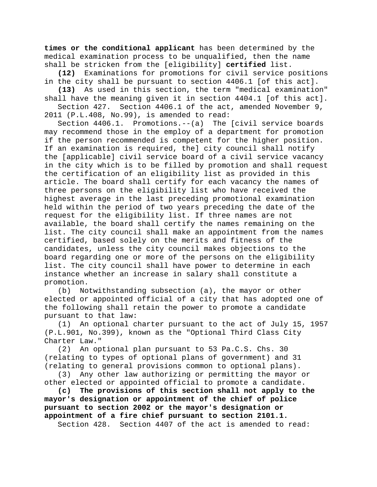**times or the conditional applicant** has been determined by the medical examination process to be unqualified, then the name shall be stricken from the [eligibility] **certified** list.

**(12)** Examinations for promotions for civil service positions in the city shall be pursuant to section 4406.1 [of this act].

**(13)** As used in this section, the term "medical examination"

shall have the meaning given it in section 4404.1 [of this act].<br>Section 427. Section 4406.1 of the act, amended November 9, Section 4406.1 of the act, amended November 9, 2011 (P.L.408, No.99), is amended to read:

Section 4406.1. Promotions.--(a) The [civil service boards may recommend those in the employ of a department for promotion if the person recommended is competent for the higher position. If an examination is required, the] city council shall notify the [applicable] civil service board of a civil service vacancy in the city which is to be filled by promotion and shall request the certification of an eligibility list as provided in this article. The board shall certify for each vacancy the names of three persons on the eligibility list who have received the highest average in the last preceding promotional examination held within the period of two years preceding the date of the request for the eligibility list. If three names are not available, the board shall certify the names remaining on the list. The city council shall make an appointment from the names certified, based solely on the merits and fitness of the candidates, unless the city council makes objections to the board regarding one or more of the persons on the eligibility list. The city council shall have power to determine in each instance whether an increase in salary shall constitute a promotion.

(b) Notwithstanding subsection (a), the mayor or other elected or appointed official of a city that has adopted one of the following shall retain the power to promote a candidate pursuant to that law:

(1) An optional charter pursuant to the act of July 15, 1957 (P.L.901, No.399), known as the "Optional Third Class City Charter Law."

(2) An optional plan pursuant to 53 Pa.C.S. Chs. 30 (relating to types of optional plans of government) and 31 (relating to general provisions common to optional plans).

(3) Any other law authorizing or permitting the mayor or other elected or appointed official to promote a candidate.

**(c) The provisions of this section shall not apply to the mayor's designation or appointment of the chief of police pursuant to section 2002 or the mayor's designation or appointment of a fire chief pursuant to section 2101.1.**

Section 428. Section 4407 of the act is amended to read: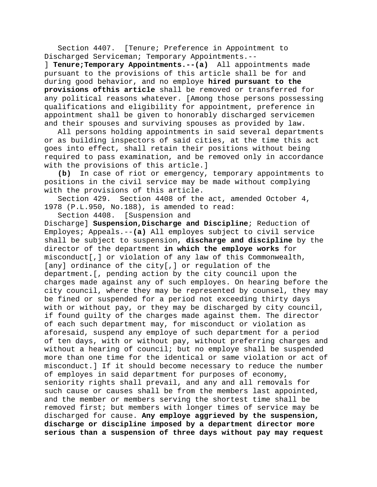Section 4407. [Tenure; Preference in Appointment to Discharged Serviceman; Temporary Appointments.--

] **Tenure;Temporary Appointments.--(a)** All appointments made pursuant to the provisions of this article shall be for and during good behavior, and no employe **hired pursuant to the provisions ofthis article** shall be removed or transferred for any political reasons whatever. [Among those persons possessing qualifications and eligibility for appointment, preference in appointment shall be given to honorably discharged servicemen and their spouses and surviving spouses as provided by law.

All persons holding appointments in said several departments or as building inspectors of said cities, at the time this act goes into effect, shall retain their positions without being required to pass examination, and be removed only in accordance with the provisions of this article.]

**(b)** In case of riot or emergency, temporary appointments to positions in the civil service may be made without complying with the provisions of this article.

Section 429. Section 4408 of the act, amended October 4, 1978 (P.L.950, No.188), is amended to read:

Section 4408. [Suspension and

Discharge] **Suspension,Discharge and Discipline**; Reduction of Employes; Appeals.--**(a)** All employes subject to civil service shall be subject to suspension**, discharge and discipline** by the director of the department **in which the employe works** for misconduct[,] or violation of any law of this Commonwealth, [any] ordinance of the city[,] or regulation of the department**.**[, pending action by the city council upon the charges made against any of such employes. On hearing before the city council, where they may be represented by counsel, they may be fined or suspended for a period not exceeding thirty days with or without pay, or they may be discharged by city council, if found guilty of the charges made against them. The director of each such department may, for misconduct or violation as aforesaid, suspend any employe of such department for a period of ten days, with or without pay, without preferring charges and without a hearing of council; but no employe shall be suspended more than one time for the identical or same violation or act of misconduct.] If it should become necessary to reduce the number of employes in said department for purposes of economy, seniority rights shall prevail, and any and all removals for such cause or causes shall be from the members last appointed, and the member or members serving the shortest time shall be removed first; but members with longer times of service may be discharged for cause. **Any employe aggrieved by the suspension, discharge or discipline imposed by a department director more serious than a suspension of three days without pay may request**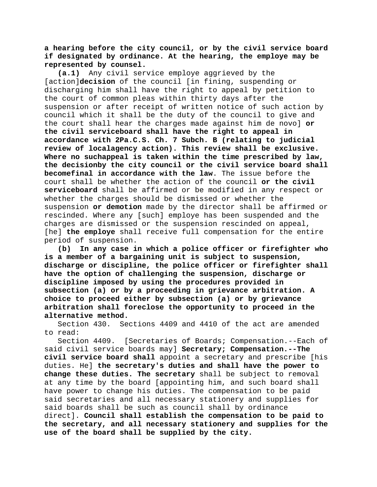# **a hearing before the city council, or by the civil service board if designated by ordinance. At the hearing, the employe may be represented by counsel.**

**(a.1)** Any civil service employe aggrieved by the [action]**decision** of the council [in fining, suspending or discharging him shall have the right to appeal by petition to the court of common pleas within thirty days after the suspension or after receipt of written notice of such action by council which it shall be the duty of the council to give and the court shall hear the charges made against him de novo] **or the civil serviceboard shall have the right to appeal in accordance with 2Pa.C.S. Ch. 7 Subch. B (relating to judicial review of localagency action). This review shall be exclusive. Where no suchappeal is taken within the time prescribed by law, the decisionby the city council or the civil service board shall becomefinal in accordance with the law**. The issue before the court shall be whether the action of the council **or the civil serviceboard** shall be affirmed or be modified in any respect or whether the charges should be dismissed or whether the suspension **or demotion** made by the director shall be affirmed or rescinded. Where any [such] employe has been suspended and the charges are dismissed or the suspension rescinded on appeal, [he] **the employe** shall receive full compensation for the entire period of suspension.

**(b) In any case in which a police officer or firefighter who is a member of a bargaining unit is subject to suspension, discharge or discipline, the police officer or firefighter shall have the option of challenging the suspension, discharge or discipline imposed by using the procedures provided in subsection (a) or by a proceeding in grievance arbitration. A choice to proceed either by subsection (a) or by grievance arbitration shall foreclose the opportunity to proceed in the alternative method.**

Section 430. Sections 4409 and 4410 of the act are amended to read:

Section 4409. [Secretaries of Boards; Compensation.--Each of said civil service boards may] **Secretary; Compensation.--The civil service board shall** appoint a secretary and prescribe [his duties. He] **the secretary's duties and shall have the power to change these duties. The secretary** shall be subject to removal at any time by the board [appointing him, and such board shall have power to change his duties. The compensation to be paid said secretaries and all necessary stationery and supplies for said boards shall be such as council shall by ordinance direct]. **Council shall establish the compensation to be paid to the secretary, and all necessary stationery and supplies for the use of the board shall be supplied by the city.**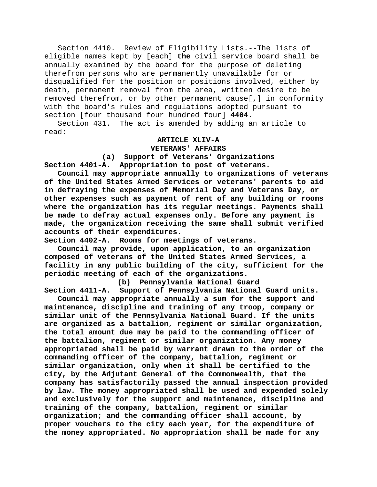Section 4410. Review of Eligibility Lists.--The lists of eligible names kept by [each] **the** civil service board shall be annually examined by the board for the purpose of deleting therefrom persons who are permanently unavailable for or disqualified for the position or positions involved, either by death, permanent removal from the area, written desire to be removed therefrom, or by other permanent cause[,] in conformity with the board's rules and regulations adopted pursuant to section [four thousand four hundred four] **4404**.

Section 431. The act is amended by adding an article to read:

# **ARTICLE XLIV-A VETERANS' AFFAIRS**

**(a) Support of Veterans' Organizations Section 4401-A. Appropriation to post of veterans.**

**Council may appropriate annually to organizations of veterans of the United States Armed Services or veterans' parents to aid in defraying the expenses of Memorial Day and Veterans Day, or other expenses such as payment of rent of any building or rooms where the organization has its regular meetings. Payments shall be made to defray actual expenses only. Before any payment is made, the organization receiving the same shall submit verified accounts of their expenditures.**

**Section 4402-A. Rooms for meetings of veterans.**

**Council may provide, upon application, to an organization composed of veterans of the United States Armed Services, a facility in any public building of the city, sufficient for the periodic meeting of each of the organizations.**

**(b) Pennsylvania National Guard Section 4411-A. Support of Pennsylvania National Guard units.**

**Council may appropriate annually a sum for the support and maintenance, discipline and training of any troop, company or similar unit of the Pennsylvania National Guard. If the units are organized as a battalion, regiment or similar organization, the total amount due may be paid to the commanding officer of the battalion, regiment or similar organization. Any money appropriated shall be paid by warrant drawn to the order of the commanding officer of the company, battalion, regiment or similar organization, only when it shall be certified to the city, by the Adjutant General of the Commonwealth, that the company has satisfactorily passed the annual inspection provided by law. The money appropriated shall be used and expended solely and exclusively for the support and maintenance, discipline and training of the company, battalion, regiment or similar organization; and the commanding officer shall account, by proper vouchers to the city each year, for the expenditure of the money appropriated. No appropriation shall be made for any**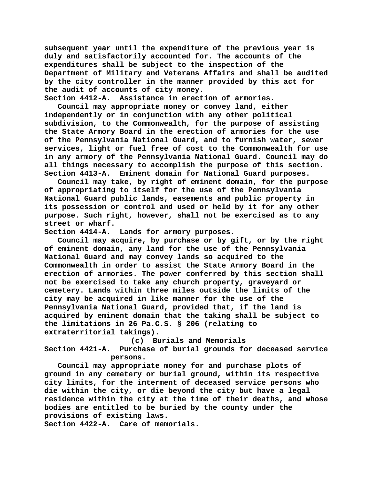**subsequent year until the expenditure of the previous year is duly and satisfactorily accounted for. The accounts of the expenditures shall be subject to the inspection of the Department of Military and Veterans Affairs and shall be audited by the city controller in the manner provided by this act for the audit of accounts of city money.**

**Section 4412-A. Assistance in erection of armories.**

**Council may appropriate money or convey land, either independently or in conjunction with any other political subdivision, to the Commonwealth, for the purpose of assisting the State Armory Board in the erection of armories for the use of the Pennsylvania National Guard, and to furnish water, sewer services, light or fuel free of cost to the Commonwealth for use in any armory of the Pennsylvania National Guard. Council may do all things necessary to accomplish the purpose of this section. Section 4413-A. Eminent domain for National Guard purposes.**

**Council may take, by right of eminent domain, for the purpose of appropriating to itself for the use of the Pennsylvania National Guard public lands, easements and public property in its possession or control and used or held by it for any other purpose. Such right, however, shall not be exercised as to any street or wharf.**

**Section 4414-A. Lands for armory purposes.**

**Council may acquire, by purchase or by gift, or by the right of eminent domain, any land for the use of the Pennsylvania National Guard and may convey lands so acquired to the Commonwealth in order to assist the State Armory Board in the erection of armories. The power conferred by this section shall not be exercised to take any church property, graveyard or cemetery. Lands within three miles outside the limits of the city may be acquired in like manner for the use of the Pennsylvania National Guard, provided that, if the land is acquired by eminent domain that the taking shall be subject to the limitations in 26 Pa.C.S. § 206 (relating to extraterritorial takings).**

**(c) Burials and Memorials**

**Section 4421-A. Purchase of burial grounds for deceased service persons.**

**Council may appropriate money for and purchase plots of ground in any cemetery or burial ground, within its respective city limits, for the interment of deceased service persons who die within the city, or die beyond the city but have a legal residence within the city at the time of their deaths, and whose bodies are entitled to be buried by the county under the provisions of existing laws.**

**Section 4422-A. Care of memorials.**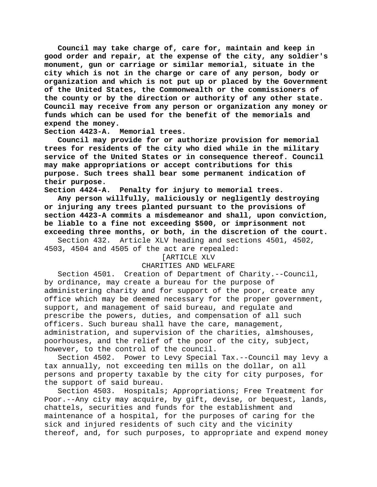**Council may take charge of, care for, maintain and keep in good order and repair, at the expense of the city, any soldier's monument, gun or carriage or similar memorial, situate in the city which is not in the charge or care of any person, body or organization and which is not put up or placed by the Government of the United States, the Commonwealth or the commissioners of the county or by the direction or authority of any other state. Council may receive from any person or organization any money or funds which can be used for the benefit of the memorials and expend the money.**

**Section 4423-A. Memorial trees.**

**Council may provide for or authorize provision for memorial trees for residents of the city who died while in the military service of the United States or in consequence thereof. Council may make appropriations or accept contributions for this purpose. Such trees shall bear some permanent indication of their purpose.**

**Section 4424-A. Penalty for injury to memorial trees.**

**Any person willfully, maliciously or negligently destroying or injuring any trees planted pursuant to the provisions of section 4423-A commits a misdemeanor and shall, upon conviction, be liable to a fine not exceeding \$500, or imprisonment not exceeding three months, or both, in the discretion of the court.**

Section 432. Article XLV heading and sections 4501, 4502, 4503, 4504 and 4505 of the act are repealed:

#### [ARTICLE XLV

### CHARITIES AND WELFARE

Section 4501. Creation of Department of Charity.--Council, by ordinance, may create a bureau for the purpose of administering charity and for support of the poor, create any office which may be deemed necessary for the proper government, support, and management of said bureau, and regulate and prescribe the powers, duties, and compensation of all such officers. Such bureau shall have the care, management, administration, and supervision of the charities, almshouses, poorhouses, and the relief of the poor of the city, subject, however, to the control of the council.

Section 4502. Power to Levy Special Tax.--Council may levy a tax annually, not exceeding ten mills on the dollar, on all persons and property taxable by the city for city purposes, for the support of said bureau.

Section 4503. Hospitals; Appropriations; Free Treatment for Poor.--Any city may acquire, by gift, devise, or bequest, lands, chattels, securities and funds for the establishment and maintenance of a hospital, for the purposes of caring for the sick and injured residents of such city and the vicinity thereof, and, for such purposes, to appropriate and expend money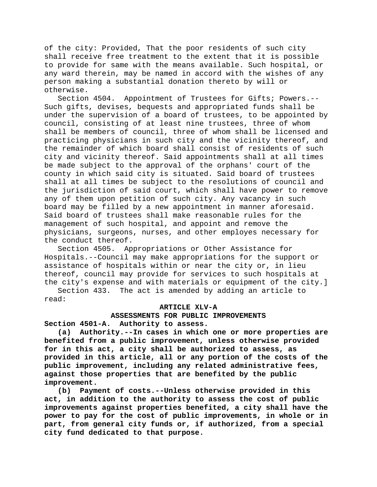of the city: Provided, That the poor residents of such city shall receive free treatment to the extent that it is possible to provide for same with the means available. Such hospital, or any ward therein, may be named in accord with the wishes of any person making a substantial donation thereto by will or otherwise.

Section 4504. Appointment of Trustees for Gifts; Powers.-- Such gifts, devises, bequests and appropriated funds shall be under the supervision of a board of trustees, to be appointed by council, consisting of at least nine trustees, three of whom shall be members of council, three of whom shall be licensed and practicing physicians in such city and the vicinity thereof, and the remainder of which board shall consist of residents of such city and vicinity thereof. Said appointments shall at all times be made subject to the approval of the orphans' court of the county in which said city is situated. Said board of trustees shall at all times be subject to the resolutions of council and the jurisdiction of said court, which shall have power to remove any of them upon petition of such city. Any vacancy in such board may be filled by a new appointment in manner aforesaid. Said board of trustees shall make reasonable rules for the management of such hospital, and appoint and remove the physicians, surgeons, nurses, and other employes necessary for the conduct thereof.

Section 4505. Appropriations or Other Assistance for Hospitals.--Council may make appropriations for the support or assistance of hospitals within or near the city or, in lieu thereof, council may provide for services to such hospitals at the city's expense and with materials or equipment of the city.]

Section 433. The act is amended by adding an article to read:

# **ARTICLE XLV-A**

# ASSESSMENTS FOR PUBLIC IMPROVEMENTS<br>Section 4501-A. Authority to assess. Authority to assess.

**(a) Authority.--In cases in which one or more properties are benefited from a public improvement, unless otherwise provided for in this act, a city shall be authorized to assess, as provided in this article, all or any portion of the costs of the public improvement, including any related administrative fees, against those properties that are benefited by the public improvement.**

**(b) Payment of costs.--Unless otherwise provided in this act, in addition to the authority to assess the cost of public improvements against properties benefited, a city shall have the power to pay for the cost of public improvements, in whole or in part, from general city funds or, if authorized, from a special city fund dedicated to that purpose.**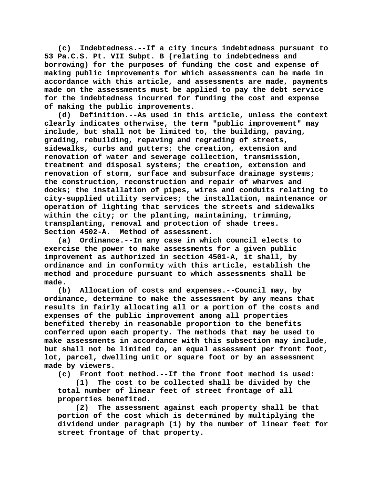**(c) Indebtedness.--If a city incurs indebtedness pursuant to 53 Pa.C.S. Pt. VII Subpt. B (relating to indebtedness and borrowing) for the purposes of funding the cost and expense of making public improvements for which assessments can be made in accordance with this article, and assessments are made, payments made on the assessments must be applied to pay the debt service for the indebtedness incurred for funding the cost and expense of making the public improvements.**

**(d) Definition.--As used in this article, unless the context clearly indicates otherwise, the term "public improvement" may include, but shall not be limited to, the building, paving, grading, rebuilding, repaving and regrading of streets, sidewalks, curbs and gutters; the creation, extension and renovation of water and sewerage collection, transmission, treatment and disposal systems; the creation, extension and renovation of storm, surface and subsurface drainage systems; the construction, reconstruction and repair of wharves and docks; the installation of pipes, wires and conduits relating to city-supplied utility services; the installation, maintenance or operation of lighting that services the streets and sidewalks within the city; or the planting, maintaining, trimming, transplanting, removal and protection of shade trees. Section 4502-A. Method of assessment.**

**(a) Ordinance.--In any case in which council elects to exercise the power to make assessments for a given public improvement as authorized in section 4501-A, it shall, by ordinance and in conformity with this article, establish the method and procedure pursuant to which assessments shall be made.**

**(b) Allocation of costs and expenses.--Council may, by ordinance, determine to make the assessment by any means that results in fairly allocating all or a portion of the costs and expenses of the public improvement among all properties benefited thereby in reasonable proportion to the benefits conferred upon each property. The methods that may be used to make assessments in accordance with this subsection may include, but shall not be limited to, an equal assessment per front foot, lot, parcel, dwelling unit or square foot or by an assessment made by viewers.**

**(c) Front foot method.--If the front foot method is used:**

**(1) The cost to be collected shall be divided by the total number of linear feet of street frontage of all properties benefited.**

**(2) The assessment against each property shall be that portion of the cost which is determined by multiplying the dividend under paragraph (1) by the number of linear feet for street frontage of that property.**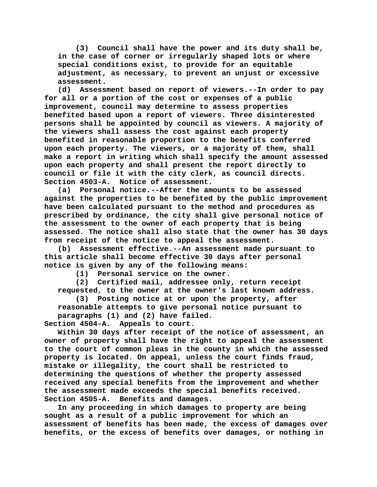**(3) Council shall have the power and its duty shall be, in the case of corner or irregularly shaped lots or where special conditions exist, to provide for an equitable adjustment, as necessary, to prevent an unjust or excessive assessment.**

**(d) Assessment based on report of viewers.--In order to pay for all or a portion of the cost or expenses of a public improvement, council may determine to assess properties benefited based upon a report of viewers. Three disinterested persons shall be appointed by council as viewers. A majority of the viewers shall assess the cost against each property benefited in reasonable proportion to the benefits conferred upon each property. The viewers, or a majority of them, shall make a report in writing which shall specify the amount assessed upon each property and shall present the report directly to council or file it with the city clerk, as council directs. Section 4503-A. Notice of assessment.**

**(a) Personal notice.--After the amounts to be assessed against the properties to be benefited by the public improvement have been calculated pursuant to the method and procedures as prescribed by ordinance, the city shall give personal notice of the assessment to the owner of each property that is being assessed. The notice shall also state that the owner has 30 days from receipt of the notice to appeal the assessment.**

**(b) Assessment effective.--An assessment made pursuant to this article shall become effective 30 days after personal notice is given by any of the following means:**

**(1) Personal service on the owner.**

**(2) Certified mail, addressee only, return receipt requested, to the owner at the owner's last known address.**

**(3) Posting notice at or upon the property, after reasonable attempts to give personal notice pursuant to** 

paragraphs (1) and (2) have failed.<br>Section 4504-A. Appeals to court. Appeals to court.

**Within 30 days after receipt of the notice of assessment, an owner of property shall have the right to appeal the assessment to the court of common pleas in the county in which the assessed property is located. On appeal, unless the court finds fraud, mistake or illegality, the court shall be restricted to determining the questions of whether the property assessed received any special benefits from the improvement and whether the assessment made exceeds the special benefits received. Section 4505-A. Benefits and damages.**

**In any proceeding in which damages to property are being sought as a result of a public improvement for which an assessment of benefits has been made, the excess of damages over benefits, or the excess of benefits over damages, or nothing in**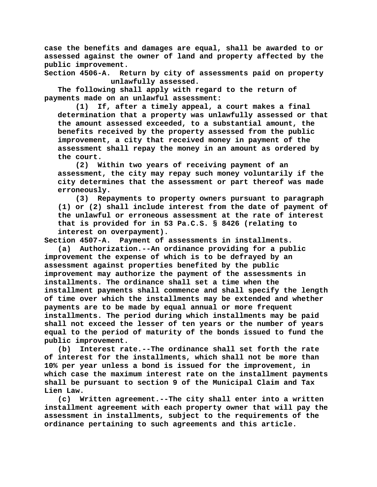**case the benefits and damages are equal, shall be awarded to or assessed against the owner of land and property affected by the public improvement.**

**Section 4506-A. Return by city of assessments paid on property unlawfully assessed.**

**The following shall apply with regard to the return of payments made on an unlawful assessment:**

**(1) If, after a timely appeal, a court makes a final determination that a property was unlawfully assessed or that the amount assessed exceeded, to a substantial amount, the benefits received by the property assessed from the public improvement, a city that received money in payment of the assessment shall repay the money in an amount as ordered by the court.**

**(2) Within two years of receiving payment of an assessment, the city may repay such money voluntarily if the city determines that the assessment or part thereof was made erroneously.**

**(3) Repayments to property owners pursuant to paragraph (1) or (2) shall include interest from the date of payment of the unlawful or erroneous assessment at the rate of interest that is provided for in 53 Pa.C.S. § 8426 (relating to interest on overpayment).**

**Section 4507-A. Payment of assessments in installments.**

**(a) Authorization.--An ordinance providing for a public improvement the expense of which is to be defrayed by an assessment against properties benefited by the public improvement may authorize the payment of the assessments in installments. The ordinance shall set a time when the installment payments shall commence and shall specify the length of time over which the installments may be extended and whether payments are to be made by equal annual or more frequent installments. The period during which installments may be paid shall not exceed the lesser of ten years or the number of years equal to the period of maturity of the bonds issued to fund the public improvement.**

**(b) Interest rate.--The ordinance shall set forth the rate of interest for the installments, which shall not be more than 10% per year unless a bond is issued for the improvement, in which case the maximum interest rate on the installment payments shall be pursuant to section 9 of the Municipal Claim and Tax Lien Law.**

**(c) Written agreement.--The city shall enter into a written installment agreement with each property owner that will pay the assessment in installments, subject to the requirements of the ordinance pertaining to such agreements and this article.**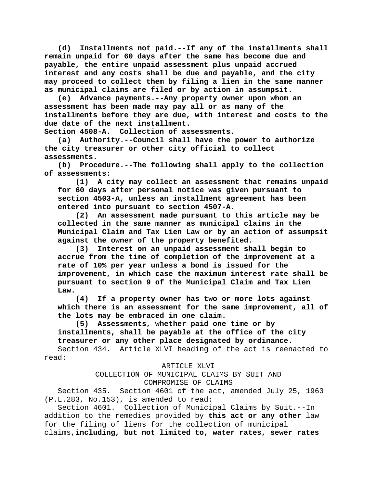**(d) Installments not paid.--If any of the installments shall remain unpaid for 60 days after the same has become due and payable, the entire unpaid assessment plus unpaid accrued interest and any costs shall be due and payable, and the city may proceed to collect them by filing a lien in the same manner as municipal claims are filed or by action in assumpsit.**

**(e) Advance payments.--Any property owner upon whom an assessment has been made may pay all or as many of the installments before they are due, with interest and costs to the due date of the next installment.**

**Section 4508-A. Collection of assessments.**

**(a) Authority.--Council shall have the power to authorize the city treasurer or other city official to collect assessments.**

**(b) Procedure.--The following shall apply to the collection of assessments:**

**(1) A city may collect an assessment that remains unpaid for 60 days after personal notice was given pursuant to section 4503-A, unless an installment agreement has been entered into pursuant to section 4507-A.**

**(2) An assessment made pursuant to this article may be collected in the same manner as municipal claims in the Municipal Claim and Tax Lien Law or by an action of assumpsit against the owner of the property benefited.**

**(3) Interest on an unpaid assessment shall begin to accrue from the time of completion of the improvement at a rate of 10% per year unless a bond is issued for the improvement, in which case the maximum interest rate shall be pursuant to section 9 of the Municipal Claim and Tax Lien Law.**

**(4) If a property owner has two or more lots against which there is an assessment for the same improvement, all of the lots may be embraced in one claim.**

**(5) Assessments, whether paid one time or by installments, shall be payable at the office of the city treasurer or any other place designated by ordinance.**

Section 434. Article XLVI heading of the act is reenacted to read:

ARTICLE XLVI

COLLECTION OF MUNICIPAL CLAIMS BY SUIT AND COMPROMISE OF CLAIMS

Section 435. Section 4601 of the act, amended July 25, 1963 (P.L.283, No.153), is amended to read:

Section 4601. Collection of Municipal Claims by Suit.--In addition to the remedies provided by **this act or any other** law for the filing of liens for the collection of municipal claims,**including, but not limited to, water rates, sewer rates**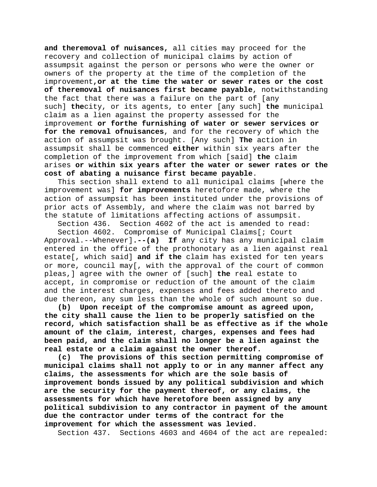**and theremoval of nuisances,** all cities may proceed for the recovery and collection of municipal claims by action of assumpsit against the person or persons who were the owner or owners of the property at the time of the completion of the improvement**,or at the time the water or sewer rates or the cost of theremoval of nuisances first became payable**, notwithstanding the fact that there was a failure on the part of [any such] **the**city, or its agents, to enter [any such] **the** municipal claim as a lien against the property assessed for the improvement **or forthe furnishing of water or sewer services or for the removal ofnuisances**, and for the recovery of which the action of assumpsit was brought. [Any such] **The** action in assumpsit shall be commenced **either** within six years after the completion of the improvement from which [said] **the** claim arises **or within six years after the water or sewer rates or the cost of abating a nuisance first became payable**.

This section shall extend to all municipal claims [where the improvement was] **for improvements** heretofore made, where the action of assumpsit has been instituted under the provisions of prior acts of Assembly, and where the claim was not barred by the statute of limitations affecting actions of assumpsit.

Section 436. Section 4602 of the act is amended to read:

Section 4602. Compromise of Municipal Claims[; Court Approval.--Whenever]**.--(a) If** any city has any municipal claim entered in the office of the prothonotary as a lien against real estate[, which said] **and if the** claim has existed for ten years or more, council may[, with the approval of the court of common pleas,] agree with the owner of [such] **the** real estate to accept, in compromise or reduction of the amount of the claim and the interest charges, expenses and fees added thereto and due thereon, any sum less than the whole of such amount so due.

**(b) Upon receipt of the compromise amount as agreed upon, the city shall cause the lien to be properly satisfied on the record, which satisfaction shall be as effective as if the whole amount of the claim, interest, charges, expenses and fees had been paid, and the claim shall no longer be a lien against the real estate or a claim against the owner thereof.**

**(c) The provisions of this section permitting compromise of municipal claims shall not apply to or in any manner affect any claims, the assessments for which are the sole basis of improvement bonds issued by any political subdivision and which are the security for the payment thereof, or any claims, the assessments for which have heretofore been assigned by any political subdivision to any contractor in payment of the amount due the contractor under terms of the contract for the improvement for which the assessment was levied.**

Section 437. Sections 4603 and 4604 of the act are repealed: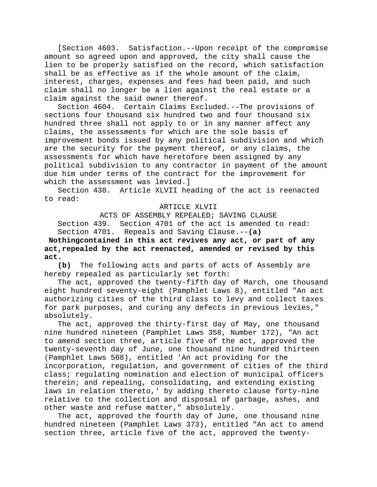[Section 4603. Satisfaction.--Upon receipt of the compromise amount so agreed upon and approved, the city shall cause the lien to be properly satisfied on the record, which satisfaction shall be as effective as if the whole amount of the claim, interest, charges, expenses and fees had been paid, and such claim shall no longer be a lien against the real estate or a claim against the said owner thereof.

Section 4604. Certain Claims Excluded.--The provisions of sections four thousand six hundred two and four thousand six hundred three shall not apply to or in any manner affect any claims, the assessments for which are the sole basis of improvement bonds issued by any political subdivision and which are the security for the payment thereof, or any claims, the assessments for which have heretofore been assigned by any political subdivision to any contractor in payment of the amount due him under terms of the contract for the improvement for which the assessment was levied. I

Section 438. Article XLVII heading of the act is reenacted to read:

## ARTICLE XLVII

ACTS OF ASSEMBLY REPEALED; SAVING CLAUSE Section 439. Section 4701 of the act is amended to read: Section 4701. Repeals and Saving Clause.--**(a)** 

**Nothingcontained in this act revives any act, or part of any act,repealed by the act reenacted, amended or revised by this**  act.<br>(b)

**(b)** The following acts and parts of acts of Assembly are hereby repealed as particularly set forth:

The act, approved the twenty-fifth day of March, one thousand eight hundred seventy-eight (Pamphlet Laws 8), entitled "An act authorizing cities of the third class to levy and collect taxes for park purposes, and curing any defects in previous levies," absolutely.

The act, approved the thirty-first day of May, one thousand nine hundred nineteen (Pamphlet Laws 358, Number 172), "An act to amend section three, article five of the act, approved the twenty-seventh day of June, one thousand nine hundred thirteen (Pamphlet Laws 568), entitled 'An act providing for the incorporation, regulation, and government of cities of the third class; regulating nomination and election of municipal officers therein; and repealing, consolidating, and extending existing laws in relation thereto,' by adding thereto clause forty-nine relative to the collection and disposal of garbage, ashes, and other waste and refuse matter," absolutely.

The act, approved the fourth day of June, one thousand nine hundred nineteen (Pamphlet Laws 373), entitled "An act to amend section three, article five of the act, approved the twenty-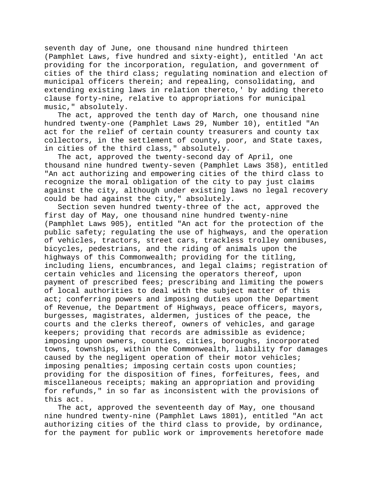seventh day of June, one thousand nine hundred thirteen (Pamphlet Laws, five hundred and sixty-eight), entitled 'An act providing for the incorporation, regulation, and government of cities of the third class; regulating nomination and election of municipal officers therein; and repealing, consolidating, and extending existing laws in relation thereto,' by adding thereto clause forty-nine, relative to appropriations for municipal music," absolutely.

The act, approved the tenth day of March, one thousand nine hundred twenty-one (Pamphlet Laws 29, Number 10), entitled "An act for the relief of certain county treasurers and county tax collectors, in the settlement of county, poor, and State taxes, in cities of the third class," absolutely.

The act, approved the twenty-second day of April, one thousand nine hundred twenty-seven (Pamphlet Laws 358), entitled "An act authorizing and empowering cities of the third class to recognize the moral obligation of the city to pay just claims against the city, although under existing laws no legal recovery could be had against the city," absolutely.

Section seven hundred twenty-three of the act, approved the first day of May, one thousand nine hundred twenty-nine (Pamphlet Laws 905), entitled "An act for the protection of the public safety; regulating the use of highways, and the operation of vehicles, tractors, street cars, trackless trolley omnibuses, bicycles, pedestrians, and the riding of animals upon the highways of this Commonwealth; providing for the titling, including liens, encumbrances, and legal claims; registration of certain vehicles and licensing the operators thereof, upon payment of prescribed fees; prescribing and limiting the powers of local authorities to deal with the subject matter of this act; conferring powers and imposing duties upon the Department of Revenue, the Department of Highways, peace officers, mayors, burgesses, magistrates, aldermen, justices of the peace, the courts and the clerks thereof, owners of vehicles, and garage keepers; providing that records are admissible as evidence; imposing upon owners, counties, cities, boroughs, incorporated towns, townships, within the Commonwealth, liability for damages caused by the negligent operation of their motor vehicles; imposing penalties; imposing certain costs upon counties; providing for the disposition of fines, forfeitures, fees, and miscellaneous receipts; making an appropriation and providing for refunds," in so far as inconsistent with the provisions of this act.

The act, approved the seventeenth day of May, one thousand nine hundred twenty-nine (Pamphlet Laws 1801), entitled "An act authorizing cities of the third class to provide, by ordinance, for the payment for public work or improvements heretofore made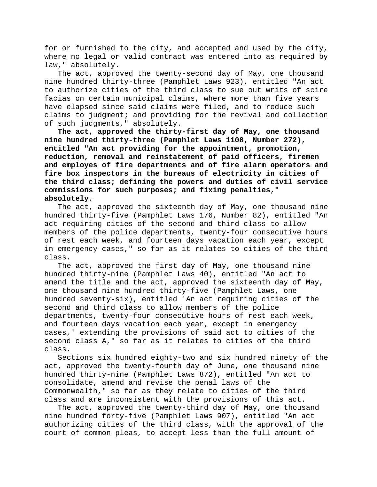for or furnished to the city, and accepted and used by the city, where no legal or valid contract was entered into as required by law," absolutely.

The act, approved the twenty-second day of May, one thousand nine hundred thirty-three (Pamphlet Laws 923), entitled "An act to authorize cities of the third class to sue out writs of scire facias on certain municipal claims, where more than five years have elapsed since said claims were filed, and to reduce such claims to judgment; and providing for the revival and collection of such judgments," absolutely.

**The act, approved the thirty-first day of May, one thousand nine hundred thirty-three (Pamphlet Laws 1108, Number 272), entitled "An act providing for the appointment, promotion, reduction, removal and reinstatement of paid officers, firemen and employes of fire departments and of fire alarm operators and fire box inspectors in the bureaus of electricity in cities of the third class; defining the powers and duties of civil service commissions for such purposes; and fixing penalties," absolutely.**

The act, approved the sixteenth day of May, one thousand nine hundred thirty-five (Pamphlet Laws 176, Number 82), entitled "An act requiring cities of the second and third class to allow members of the police departments, twenty-four consecutive hours of rest each week, and fourteen days vacation each year, except in emergency cases," so far as it relates to cities of the third class.

The act, approved the first day of May, one thousand nine hundred thirty-nine (Pamphlet Laws 40), entitled "An act to amend the title and the act, approved the sixteenth day of May, one thousand nine hundred thirty-five (Pamphlet Laws, one hundred seventy-six), entitled 'An act requiring cities of the second and third class to allow members of the police departments, twenty-four consecutive hours of rest each week, and fourteen days vacation each year, except in emergency cases,' extending the provisions of said act to cities of the second class A," so far as it relates to cities of the third class.

Sections six hundred eighty-two and six hundred ninety of the act, approved the twenty-fourth day of June, one thousand nine hundred thirty-nine (Pamphlet Laws 872), entitled "An act to consolidate, amend and revise the penal laws of the Commonwealth," so far as they relate to cities of the third class and are inconsistent with the provisions of this act.

The act, approved the twenty-third day of May, one thousand nine hundred forty-five (Pamphlet Laws 907), entitled "An act authorizing cities of the third class, with the approval of the court of common pleas, to accept less than the full amount of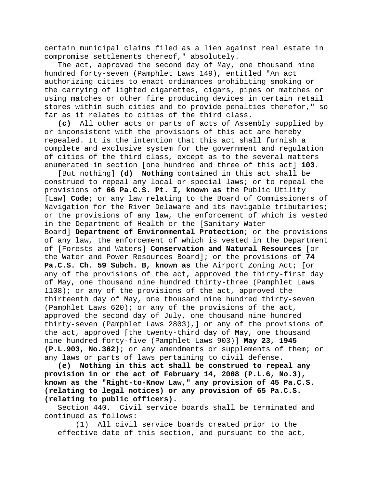certain municipal claims filed as a lien against real estate in compromise settlements thereof," absolutely.

The act, approved the second day of May, one thousand nine hundred forty-seven (Pamphlet Laws 149), entitled "An act authorizing cities to enact ordinances prohibiting smoking or the carrying of lighted cigarettes, cigars, pipes or matches or using matches or other fire producing devices in certain retail stores within such cities and to provide penalties therefor," so far as it relates to cities of the third class.

**(c)** All other acts or parts of acts of Assembly supplied by or inconsistent with the provisions of this act are hereby repealed. It is the intention that this act shall furnish a complete and exclusive system for the government and regulation of cities of the third class, except as to the several matters enumerated in section [one hundred and three of this act] **103**.

[But nothing] **(d) Nothing** contained in this act shall be construed to repeal any local or special laws; or to repeal the provisions of **66 Pa.C.S. Pt. I, known as** the Public Utility [Law] **Code**; or any law relating to the Board of Commissioners of Navigation for the River Delaware and its navigable tributaries; or the provisions of any law, the enforcement of which is vested in the Department of Health or the [Sanitary Water Board] **Department of Environmental Protection**; or the provisions of any law, the enforcement of which is vested in the Department of [Forests and Waters] **Conservation and Natural Resources** [or the Water and Power Resources Board]; or the provisions of **74 Pa.C.S. Ch. 59 Subch. B, known as** the Airport Zoning Act; [or any of the provisions of the act, approved the thirty-first day of May, one thousand nine hundred thirty-three (Pamphlet Laws 1108); or any of the provisions of the act, approved the thirteenth day of May, one thousand nine hundred thirty-seven (Pamphlet Laws 620); or any of the provisions of the act, approved the second day of July, one thousand nine hundred thirty-seven (Pamphlet Laws 2803),] or any of the provisions of the act, approved [the twenty-third day of May, one thousand nine hundred forty-five (Pamphlet Laws 903)] **May 23, 1945 (P.L.903, No.362)**; or any amendments or supplements of them; or any laws or parts of laws pertaining to civil defense.

**(e) Nothing in this act shall be construed to repeal any provision in or the act of February 14, 2008 (P.L.6, No.3), known as the "Right-to-Know Law," any provision of 45 Pa.C.S. (relating to legal notices) or any provision of 65 Pa.C.S. (relating to public officers).**

Section 440. Civil service boards shall be terminated and continued as follows:

(1) All civil service boards created prior to the effective date of this section, and pursuant to the act,